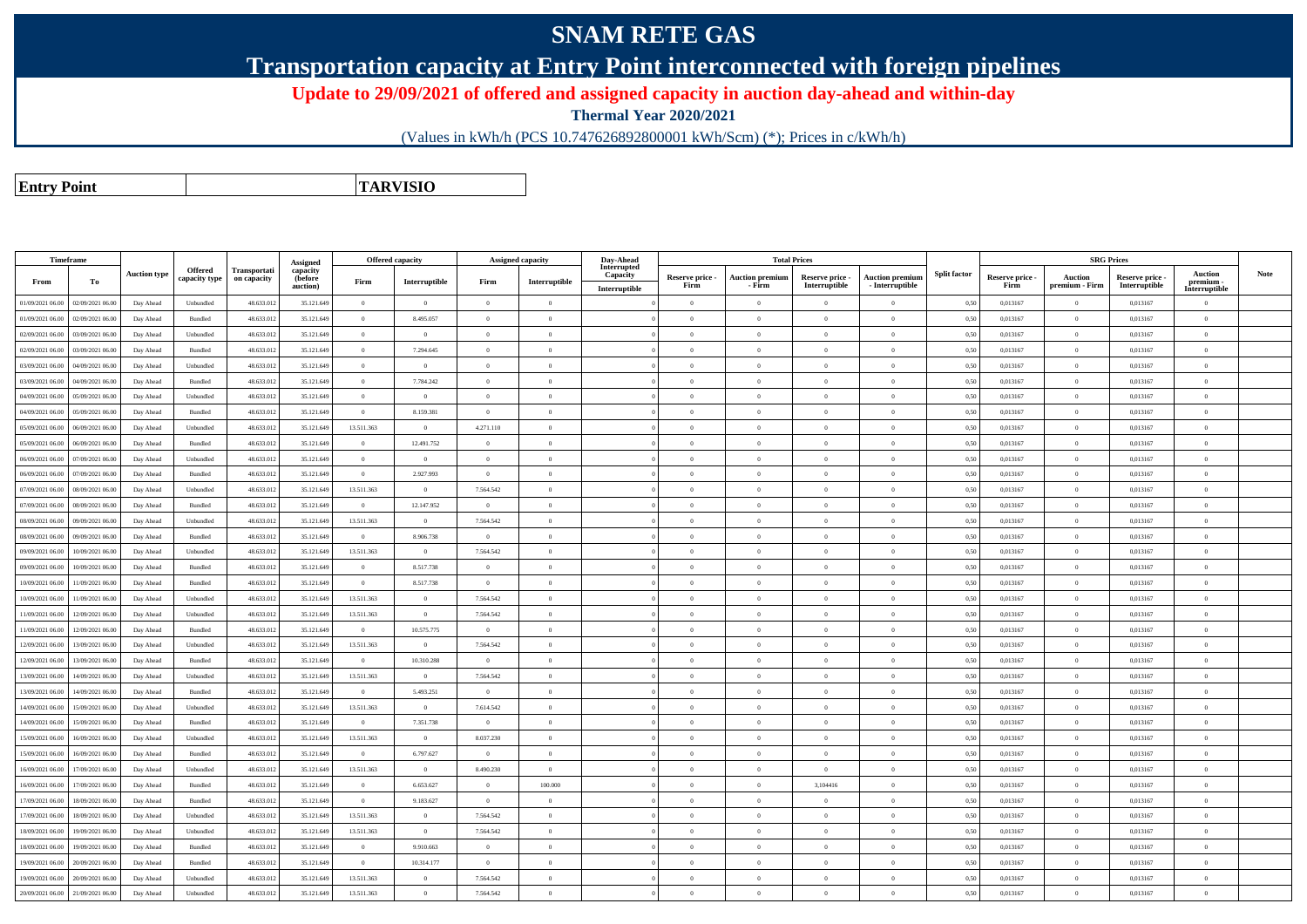## **SNAM RETE GAS**

**Transportation capacity at Entry Point interconnected with foreign pipelines**

**Update to 29/09/2021 of offered and assigned capacity in auction day-ahead and within-day**

**Thermal Year 2020/2021**

(Values in kWh/h (PCS 10.747626892800001 kWh/Scm) (\*); Prices in c/kWh/h)

**Entry PointTARVISIO**

| Timeframe        |                  |                     |                          |                             | Assigned                        | Offered capacity |                | <b>Assigned capacity</b> |                | Day-Ahead                                |                         |                                  | <b>Total Prices</b>              |                                           |                     |                         | <b>SRG Prices</b>                |                                  |                                              |             |
|------------------|------------------|---------------------|--------------------------|-----------------------------|---------------------------------|------------------|----------------|--------------------------|----------------|------------------------------------------|-------------------------|----------------------------------|----------------------------------|-------------------------------------------|---------------------|-------------------------|----------------------------------|----------------------------------|----------------------------------------------|-------------|
| From             | To               | <b>Auction type</b> | Offered<br>capacity type | Transportati<br>on capacity | capacity<br>(before<br>auction) | Firm             | Interruptible  | Firm                     | Interruptible  | Interrupted<br>Capacity<br>Interruptible | Reserve price -<br>Firm | <b>Auction premium</b><br>- Firm | Reserve price -<br>Interruptible | <b>Auction premium</b><br>- Interruptible | <b>Split factor</b> | Reserve price -<br>Firm | <b>Auction</b><br>premium - Firm | Reserve price -<br>Interruptible | <b>Auction</b><br>premium -<br>Interruptible | <b>Note</b> |
| 01/09/2021 06:00 | 02/09/2021 06:00 | Day Ahead           | Unbundled                | 48.633.012                  | 35.121.649                      | $\overline{0}$   | $\theta$       | $\overline{0}$           | $\overline{0}$ |                                          | $\theta$                | $\theta$                         | $\Omega$                         | $\Omega$                                  | 0,50                | 0.013167                | $\theta$                         | 0.013167                         | $\theta$                                     |             |
| 01/09/2021 06:00 | 02/09/2021 06:00 | Day Ahead           | <b>Bundled</b>           | 48.633.012                  | 35.121.649                      | $\theta$         | 8.495.057      | $\Omega$                 | $\theta$       |                                          | $\theta$                | $\theta$                         | $\theta$                         | $\theta$                                  | 0.50                | 0.013167                | $\overline{0}$                   | 0.013167                         | $\theta$                                     |             |
| 02/09/2021 06:00 | 03/09/2021 06:00 | Day Ahead           | Unbundled                | 48.633.012                  | 35.121.649                      | $\theta$         | $\overline{0}$ | $\theta$                 | $\Omega$       |                                          | $\Omega$                | $\sqrt{2}$                       | $\theta$                         | $\overline{0}$                            | 0,50                | 0,013167                | $\overline{0}$                   | 0.013167                         | $\Omega$                                     |             |
| 02/09/2021 06:00 | 03/09/2021 06:00 | Day Ahead           | Bundled                  | 48.633.012                  | 35.121.649                      | $\theta$         | 7.294.645      | $\Omega$                 | $\Omega$       |                                          | $\theta$                | $\theta$                         | $\theta$                         | $\theta$                                  | 0,50                | 0,013167                | $\overline{0}$                   | 0.013167                         | $\Omega$                                     |             |
| 03/09/2021 06:00 | 04/09/2021 06:00 | Day Ahead           | Unbundled                | 48.633.012                  | 35.121.649                      | $\theta$         | $\theta$       | $\Omega$                 | $\Omega$       |                                          | $\theta$                | $\theta$                         | $\Omega$                         | $\theta$                                  | 0,50                | 0,013167                | $\overline{0}$                   | 0.013167                         | $\Omega$                                     |             |
| 03/09/2021 06:00 | 04/09/2021 06:00 | Day Ahead           | Bundled                  | 48.633.012                  | 35.121.649                      | $\bf{0}$         | 7.784.242      | $\theta$                 | $\overline{0}$ |                                          | $\overline{0}$          | $\theta$                         | $\overline{0}$                   | $\overline{0}$                            | 0.50                | 0,013167                | $\overline{0}$                   | 0.013167                         | $\bf{0}$                                     |             |
| 04/09/2021 06:00 | 05/09/2021 06:0  | Day Ahead           | Unbundled                | 48.633.012                  | 35.121.649                      | $\Omega$         | $\theta$       | $\Omega$                 | $\Omega$       |                                          | $\Omega$                | $\theta$                         | $\Omega$                         | $\Omega$                                  | 0.50                | 0.013167                | $\overline{0}$                   | 0.013167                         | $\Omega$                                     |             |
| 04/09/2021 06:00 | 05/09/2021 06:0  | Day Ahead           | Bundled                  | 48.633.012                  | 35.121.649                      | $\overline{0}$   | 8.159.381      | $\theta$                 | $\Omega$       |                                          | $\Omega$                | $\sqrt{2}$                       | $\theta$                         | $\bf{0}$                                  | 0.50                | 0,013167                | $\overline{0}$                   | 0,013167                         | $\Omega$                                     |             |
| 05/09/2021 06:00 | 06/09/2021 06.0  | Day Ahead           | Unbundled                | 48.633.01                   | 35.121.649                      | 13.511.363       | $\overline{0}$ | 4.271.110                | $\Omega$       |                                          | $\Omega$                | $\sqrt{2}$                       | $\Omega$                         | $\Omega$                                  | 0,50                | 0,013167                | $\mathbf{0}$                     | 0,013167                         | $\Omega$                                     |             |
| 05/09/2021 06:00 | 06/09/2021 06:0  | Day Ahead           | Bundled                  | 48.633.012                  | 35.121.649                      | $\bf{0}$         | 12.491.752     | $\theta$                 | $\theta$       |                                          | $\theta$                | $\theta$                         | $\overline{0}$                   | $\overline{0}$                            | 0,50                | 0,013167                | $\overline{0}$                   | 0,013167                         | $\bf{0}$                                     |             |
| 06/09/2021 06:00 | 07/09/2021 06.0  | Day Ahead           | Unbundled                | 48.633.012                  | 35.121.649                      | $\theta$         | $\overline{0}$ | $\Omega$                 | $\Omega$       |                                          | $\Omega$                | $\sqrt{2}$                       | $\Omega$                         | $\bf{0}$                                  | 0,50                | 0,013167                | $\overline{0}$                   | 0,013167                         | $\Omega$                                     |             |
| 06/09/2021 06:00 | 07/09/2021 06:00 | Day Ahead           | Bundled                  | 48.633.012                  | 35.121.649                      | $\mathbf{0}$     | 2.927.993      | $\overline{0}$           | $\theta$       |                                          | $\theta$                | $\theta$                         | $\overline{0}$                   | $\bf{0}$                                  | 0,50                | 0,013167                | $\overline{0}$                   | 0,013167                         | $\bf{0}$                                     |             |
| 07/09/2021 06:00 | 08/09/2021 06:00 | Day Ahead           | Unbundled                | 48.633.012                  | 35.121.649                      | 13.511.363       | $\Omega$       | 7.564.542                | $\Omega$       |                                          | $\Omega$                | $\Omega$                         | $\Omega$                         | $\Omega$                                  | 0,50                | 0,013167                | $\Omega$                         | 0,013167                         | $\theta$                                     |             |
| 07/09/2021 06:00 | 08/09/2021 06:0  | Day Ahead           | Bundled                  | 48.633.012                  | 35.121.649                      | $\mathbf{0}$     | 12.147.952     | $\overline{0}$           | $\theta$       |                                          | $\theta$                | $\overline{0}$                   | $\overline{0}$                   | $\overline{0}$                            | 0,50                | 0,013167                | $\overline{0}$                   | 0,013167                         | $\bf{0}$                                     |             |
| 08/09/2021 06:00 | 09/09/2021 06:00 | Day Ahead           | Unbundled                | 48.633.012                  | 35.121.649                      | 13.511.363       | $\theta$       | 7.564.542                | $\Omega$       |                                          | $\Omega$                | $\theta$                         | $\Omega$                         | $\Omega$                                  | 0,50                | 0,013167                | $\mathbf{0}$                     | 0,013167                         | $\Omega$                                     |             |
| 08/09/2021 06:00 | 09/09/2021 06:00 | Day Ahead           | Bundled                  | 48.633.012                  | 35.121.649                      | $\mathbf{0}$     | 8.906.738      | $\Omega$                 | $\theta$       |                                          | $\theta$                | $\theta$                         | $\Omega$                         | $\bf{0}$                                  | 0,50                | 0,013167                | $\overline{0}$                   | 0,013167                         | $\theta$                                     |             |
| 09/09/2021 06:00 | 10/09/2021 06:00 | Day Ahead           | Unbundled                | 48.633.012                  | 35.121.649                      | 13.511.363       | $\theta$       | 7.564.542                | $\Omega$       |                                          | $\theta$                | $\theta$                         | $\Omega$                         | $\theta$                                  | 0,50                | 0,013167                | $\Omega$                         | 0,013167                         | $\Omega$                                     |             |
| 09/09/2021 06:00 | 10/09/2021 06:00 | Day Ahead           | Bundled                  | 48.633.012                  | 35.121.649                      | $\mathbf{0}$     | 8.517.738      | $\Omega$                 | $\theta$       |                                          | $\theta$                | $\theta$                         | $\overline{0}$                   | $\bf{0}$                                  | 0,50                | 0,013167                | $\overline{0}$                   | 0,013167                         | $\theta$                                     |             |
| 10/09/2021 06:00 | 11/09/2021 06:00 | Day Ahead           | Bundled                  | 48.633.012                  | 35.121.649                      | $\theta$         | 8.517.738      | $\Omega$                 | $\theta$       |                                          | $\theta$                | $\sqrt{2}$                       | $\Omega$                         | $\theta$                                  | 0.50                | 0.013167                | $\theta$                         | 0.013167                         | $\theta$                                     |             |
| 10/09/2021 06:00 | 11/09/2021 06:00 | Day Ahead           | Unbundled                | 48.633.012                  | 35.121.649                      | 13.511.363       | $\theta$       | 7.564.542                | $\theta$       |                                          | $\theta$                | $\theta$                         | $\overline{0}$                   | $\bf{0}$                                  | 0,50                | 0,013167                | $\overline{0}$                   | 0,013167                         | $\theta$                                     |             |
| 11/09/2021 06:00 | 12/09/2021 06:00 | Day Ahead           | Unbundled                | 48.633.012                  | 35.121.649                      | 13.511.363       | $\theta$       | 7.564.542                | $\Omega$       |                                          | $\theta$                | $\sqrt{2}$                       | $\theta$                         | $\theta$                                  | 0.50                | 0.013167                | $\theta$                         | 0.013167                         | $\theta$                                     |             |
| 11/09/2021 06:00 | 12/09/2021 06:0  | Day Ahead           | Bundled                  | 48.633.012                  | 35.121.649                      | $\theta$         | 10.575.775     | $\theta$                 | $\theta$       |                                          | $\theta$                | $\theta$                         | $\Omega$                         | $\overline{0}$                            | 0,50                | 0,013167                | $\overline{0}$                   | 0.013167                         | $\theta$                                     |             |
| 12/09/2021 06:00 | 13/09/2021 06:00 | Day Ahead           | Unbundled                | 48.633.012                  | 35.121.649                      | 13.511.363       | $\overline{0}$ | 7.564.542                | $\Omega$       |                                          | $\Omega$                | $\theta$                         | $\theta$                         | $\theta$                                  | 0.50                | 0.013167                | $\overline{0}$                   | 0.013167                         | $\theta$                                     |             |
| 12/09/2021 06:00 | 13/09/2021 06:00 | Day Ahead           | Bundled                  | 48.633.012                  | 35.121.649                      | $\mathbf{0}$     | 10.310.288     | $\overline{0}$           | $\overline{0}$ |                                          | $\theta$                | $\theta$                         | $\Omega$                         | $\overline{0}$                            | 0,50                | 0,013167                | $\,$ 0 $\,$                      | 0,013167                         | $\bf{0}$                                     |             |
| 13/09/2021 06:00 | 14/09/2021 06:00 | Day Ahead           | Unbundled                | 48.633.012                  | 35.121.649                      | 13.511.363       | $\theta$       | 7.564.542                | $\Omega$       |                                          | $\Omega$                | $\mathbf{a}$                     | $\Omega$                         | $\Omega$                                  | 0,50                | 0,013167                | $\overline{0}$                   | 0.013167                         | $\Omega$                                     |             |
| 13/09/2021 06:00 | 14/09/2021 06:00 | Day Ahead           | Bundled                  | 48.633.012                  | 35.121.649                      | $\theta$         | 5.493.251      | $\theta$                 | $\overline{0}$ |                                          | $\theta$                | $\theta$                         | $\Omega$                         | $\overline{0}$                            | 0,50                | 0,013167                | $\,$ 0 $\,$                      | 0,013167                         | $\theta$                                     |             |
| 14/09/2021 06:00 | 15/09/2021 06:00 | Day Ahead           | Unbundled                | 48.633.012                  | 35.121.649                      | 13.511.363       | $\overline{0}$ | 7.614.542                | $\Omega$       |                                          | $\Omega$                | $\sqrt{2}$                       | $\theta$                         | $\overline{0}$                            | 0.50                | 0.013167                | $\overline{0}$                   | 0.013167                         | $\Omega$                                     |             |
| 14/09/2021 06:00 | 15/09/2021 06.0  | Day Ahead           | Bundled                  | 48.633.01                   | 35.121.649                      | $\bf{0}$         | 7.351.738      | $\overline{0}$           | $\theta$       |                                          | $\theta$                | $\theta$                         | $\theta$                         | $\bf{0}$                                  | 0,50                | 0,013167                | $\overline{0}$                   | 0,013167                         | $\bf{0}$                                     |             |
| 15/09/2021 06:00 | 16/09/2021 06:00 | Day Ahead           | Unbundled                | 48.633.012                  | 35.121.649                      | 13.511.363       | $\theta$       | 8.037.230                | $\Omega$       |                                          | $\Omega$                | $\mathbf{a}$                     | $\Omega$                         | $\Omega$                                  | 0.50                | 0.013167                | $\overline{0}$                   | 0.013167                         | $\Omega$                                     |             |
| 15/09/2021 06:00 | 16/09/2021 06.0  | Day Ahead           | Bundled                  | 48.633.01                   | 35.121.649                      | $\overline{0}$   | 6.797.627      | $\overline{0}$           | $\theta$       |                                          | $\theta$                | $\sqrt{2}$                       | $\Omega$                         | $\bf{0}$                                  | 0,50                | 0,013167                | $\mathbf{0}$                     | 0,013167                         | $\Omega$                                     |             |
| 16/09/2021 06:00 | 17/09/2021 06:00 | Day Ahead           | Unbundled                | 48.633.012                  | 35.121.649                      | 13.511.363       | $\overline{0}$ | 8.490.230                | $\overline{0}$ |                                          | $\overline{0}$          | $\theta$                         | $\overline{0}$                   | $\overline{0}$                            | 0,50                | 0,013167                | $\overline{0}$                   | 0,013167                         | $\bf{0}$                                     |             |
| 16/09/2021 06:00 | 7/09/2021 06.0   | Day Ahead           | Bundled                  | 48.633.01                   | 35.121.649                      | $\Omega$         | 6.653.627      | $\Omega$                 | 100.000        |                                          | $\Omega$                | $\sqrt{2}$                       | 3,104416                         | $\bf{0}$                                  | 0.50                | 0,013167                | $\overline{0}$                   | 0,013167                         | $\Omega$                                     |             |
| 17/09/2021 06:00 | 18/09/2021 06:00 | Day Ahead           | Bundled                  | 48.633.012                  | 35.121.649                      | $\overline{0}$   | 9.183.627      | $\theta$                 | $\Omega$       |                                          | $\theta$                | $\theta$                         | $\overline{0}$                   | $\overline{0}$                            | 0,50                | 0,013167                | $\overline{0}$                   | 0,013167                         | $\bf{0}$                                     |             |
| 17/09/2021 06:00 | 18/09/2021 06.0  | Day Ahead           | Unbundled                | 48.633.01                   | 35.121.649                      | 13.511.363       | $\theta$       | 7.564.542                | $\theta$       |                                          | $\theta$                | $\theta$                         | $\overline{0}$                   | $\bf{0}$                                  | 0,50                | 0,013167                | $\overline{0}$                   | 0,013167                         | $\bf{0}$                                     |             |
| 18/09/2021 06:00 | 19/09/2021 06:00 | Day Ahead           | Unbundled                | 48.633.012                  | 35.121.649                      | 13.511.363       | $\overline{0}$ | 7.564.542                | $\overline{0}$ |                                          | $\overline{0}$          | $\overline{0}$                   | $\overline{0}$                   | $\overline{0}$                            | 0,50                | 0,013167                | $\overline{0}$                   | 0,013167                         | $\bf{0}$                                     |             |
| 18/09/2021 06:00 | 9/09/2021 06.0   | Day Ahead           | Bundled                  | 48.633.012                  | 35.121.649                      | $\theta$         | 9.910.663      | $\overline{0}$           | $\theta$       |                                          | $\theta$                | $\theta$                         | $\overline{0}$                   | $\bf{0}$                                  | 0,50                | 0,013167                | $\overline{0}$                   | 0,013167                         | $\bf{0}$                                     |             |
| 19/09/2021 06:00 | 20/09/2021 06:00 | Day Ahead           | Bundled                  | 48.633.012                  | 35.121.649                      | $\overline{0}$   | 10.314.177     | $\Omega$                 | $\Omega$       |                                          | $\Omega$                | $\theta$                         | $\Omega$                         | $\Omega$                                  | 0,50                | 0,013167                | $\overline{0}$                   | 0,013167                         | $\Omega$                                     |             |
| 19/09/2021 06:00 | 20/09/2021 06.0  | Day Ahead           | Unbundled                | 48.633.01                   | 35.121.649                      | 13.511.363       | $\theta$       | 7.564.542                | $\theta$       |                                          | $\theta$                | $\theta$                         | $\overline{0}$                   | $\bf{0}$                                  | 0,50                | 0,013167                | $\overline{0}$                   | 0,013167                         | $\bf{0}$                                     |             |
| 20/09/2021 06:00 | 21/09/2021 06:00 | Day Ahead           | Unbundled                | 48.633.012                  | 35.121.649                      | 13.511.363       | $\theta$       | 7.564.542                | $\Omega$       |                                          | $\Omega$                | $\theta$                         | $\Omega$                         | $\theta$                                  | 0,50                | 0.013167                | $\theta$                         | 0.013167                         | $\Omega$                                     |             |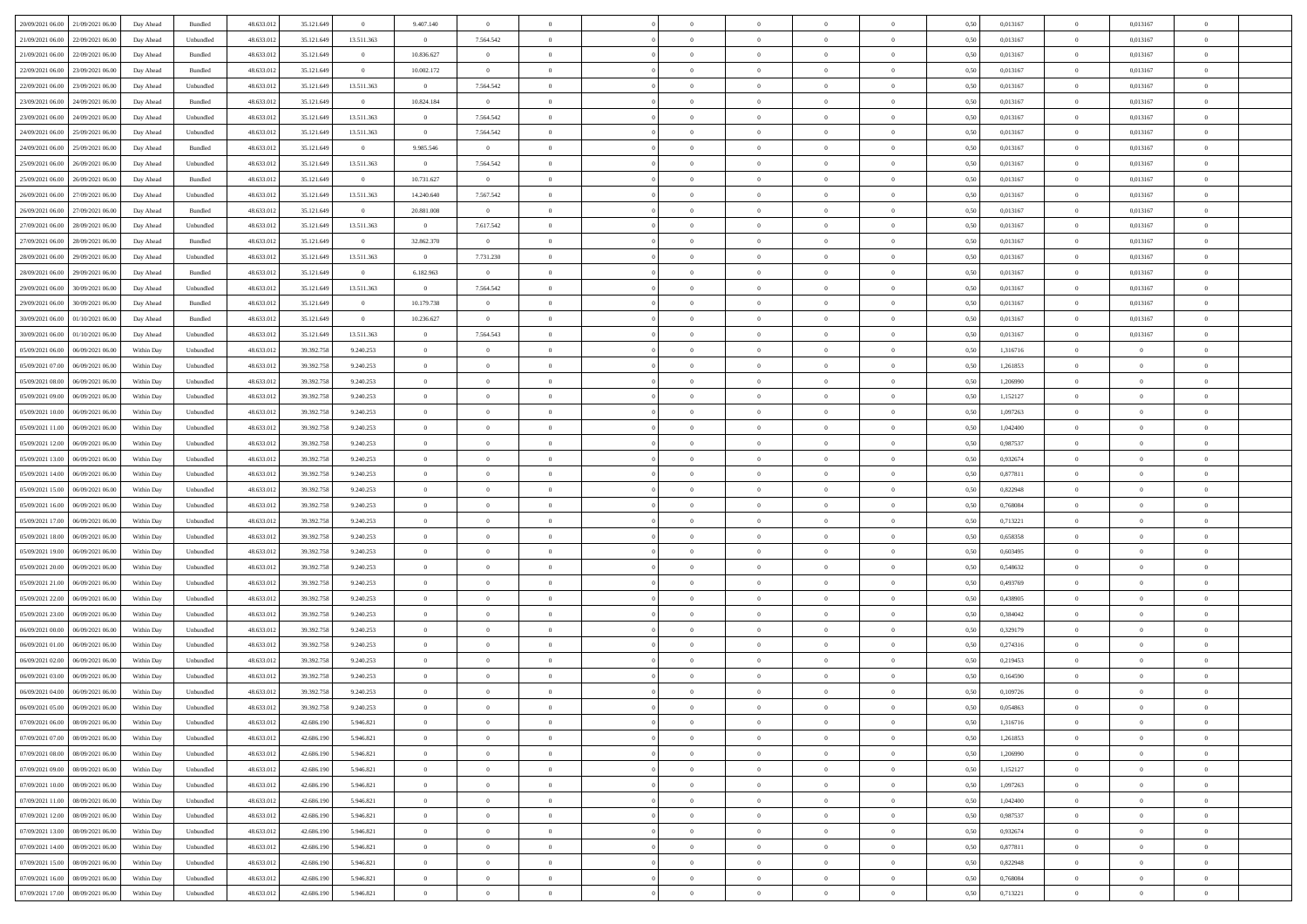| 20/09/2021 06:00 21/09/2021 06:00              | Day Ahead  | Bundled                     | 48.633.01  | 35.121.649 | $\overline{0}$ | 9.407.140      | $\overline{0}$ |                | $\overline{0}$ | $\bf{0}$       | $\overline{0}$ | $\theta$       | 0,50 | 0,013167 | $\mathbf{0}$   | 0,013167       | $\bf{0}$       |  |
|------------------------------------------------|------------|-----------------------------|------------|------------|----------------|----------------|----------------|----------------|----------------|----------------|----------------|----------------|------|----------|----------------|----------------|----------------|--|
|                                                |            |                             |            |            |                |                |                | $\overline{0}$ | $\overline{0}$ | $\,$ 0         |                | $\bf{0}$       |      |          | $\bf{0}$       |                | $\bf{0}$       |  |
| 21/09/2021 06:00<br>22/09/2021 06:00           | Day Ahead  | Unbundled                   | 48.633.01  | 35.121.649 | 13.511.363     | $\overline{0}$ | 7.564.542      |                |                |                | $\overline{0}$ |                | 0,50 | 0,013167 |                | 0,013167       |                |  |
| 21/09/2021 06:00<br>22/09/2021 06:00           | Day Ahead  | Bundled                     | 48.633.013 | 35.121.649 | $\overline{0}$ | 10.836.627     | $\overline{0}$ | $\overline{0}$ | $\overline{0}$ | $\bf{0}$       | $\overline{0}$ | $\overline{0}$ | 0.50 | 0.013167 | $\overline{0}$ | 0.013167       | $\bf{0}$       |  |
| 22/09/2021 06:00<br>23/09/2021 06:00           | Day Ahead  | Bundled                     | 48.633.01  | 35.121.649 | $\overline{0}$ | 10.002.172     | $\overline{0}$ | $\overline{0}$ | $\overline{0}$ | $\bf{0}$       | $\overline{0}$ | $\theta$       | 0,50 | 0,013167 | $\overline{0}$ | 0,013167       | $\overline{0}$ |  |
| 22/09/2021 06:00<br>23/09/2021 06.00           | Day Ahead  | Unbundled                   | 48.633.01  | 35.121.649 | 13.511.363     | $\bf{0}$       | 7.564.542      | $\overline{0}$ |                | $\,$ 0         | $\overline{0}$ | $\bf{0}$       | 0,50 | 0,013167 | $\bf{0}$       | 0,013167       | $\bf{0}$       |  |
| 23/09/2021 06:00<br>24/09/2021 06:00           | Day Ahead  | Bundled                     | 48.633.013 | 35.121.649 | $\overline{0}$ | 10.824.184     | $\mathbf{0}$   | $\overline{0}$ | $\overline{0}$ | $\bf{0}$       | $\overline{0}$ | $\overline{0}$ | 0.50 | 0.013167 | $\bf{0}$       | 0.013167       | $\bf{0}$       |  |
| 23/09/2021 06:00<br>24/09/2021 06:00           | Day Ahead  | Unbundled                   | 48.633.013 | 35.121.649 | 13.511.363     | $\overline{0}$ | 7.564.542      | $\overline{0}$ | $\overline{0}$ | $\bf{0}$       | $\overline{0}$ | $\overline{0}$ | 0,50 | 0,013167 | $\overline{0}$ | 0,013167       | $\overline{0}$ |  |
| 24/09/2021 06:00<br>25/09/2021 06.00           | Day Ahead  | Unbundled                   | 48.633.01  | 35.121.649 | 13.511.363     | $\bf{0}$       | 7.564.542      | $\overline{0}$ |                | $\,$ 0         | $\overline{0}$ | $\bf{0}$       | 0,50 | 0,013167 | $\bf{0}$       | 0,013167       | $\bf{0}$       |  |
| 24/09/2021 06:00<br>25/09/2021 06:00           | Day Ahead  | Bundled                     | 48.633.013 | 35.121.649 | $\overline{0}$ | 9.985.546      | $\mathbf{0}$   | $\overline{0}$ | $\overline{0}$ | $\bf{0}$       | $\overline{0}$ | $\overline{0}$ | 0.50 | 0.013167 | $\overline{0}$ | 0.013167       | $\bf{0}$       |  |
| 25/09/2021 06:00<br>26/09/2021 06:00           | Day Ahead  | Unbundled                   | 48.633.013 | 35.121.649 | 13.511.363     | $\overline{0}$ | 7.564.542      | $\overline{0}$ | $\overline{0}$ | $\bf{0}$       | $\overline{0}$ | $\overline{0}$ | 0,50 | 0,013167 | $\overline{0}$ | 0,013167       | $\overline{0}$ |  |
| 25/09/2021 06:00<br>26/09/2021 06.00           | Day Ahead  | Bundled                     | 48.633.01  | 35.121.649 | $\bf{0}$       | 10.731.627     | $\overline{0}$ | $\overline{0}$ |                | $\,$ 0         | $\overline{0}$ | $\bf{0}$       | 0,50 | 0,013167 | $\bf{0}$       | 0,013167       | $\bf{0}$       |  |
| 26/09/2021 06:00<br>27/09/2021 06:00           | Day Ahead  | Unbundled                   | 48.633.013 | 35.121.649 | 13.511.363     | 14.240.640     | 7.567.542      | $\overline{0}$ | $\overline{0}$ | $\,$ 0 $\,$    | $\overline{0}$ | $\overline{0}$ | 0.50 | 0.013167 | $\,$ 0 $\,$    | 0.013167       | $\bf{0}$       |  |
|                                                |            |                             |            |            | $\overline{0}$ |                | $\overline{0}$ | $\overline{0}$ | $\overline{0}$ | $\bf{0}$       | $\overline{0}$ | $\theta$       |      |          | $\,$ 0 $\,$    |                | $\overline{0}$ |  |
| 26/09/2021 06:00<br>27/09/2021 06:00           | Day Ahead  | Bundled                     | 48.633.01  | 35.121.649 |                | 20.881.008     |                |                |                |                |                |                | 0,50 | 0,013167 |                | 0,013167       |                |  |
| 27/09/2021 06:00<br>28/09/2021 06:00           | Day Ahead  | Unbundled                   | 48.633.01  | 35.121.649 | 13.511.363     | $\bf{0}$       | 7.617.542      | $\overline{0}$ |                | $\,$ 0         | $\overline{0}$ | $\bf{0}$       | 0,50 | 0,013167 | $\bf{0}$       | 0,013167       | $\bf{0}$       |  |
| 27/09/2021 06:00<br>28/09/2021 06:00           | Day Ahead  | Bundled                     | 48.633.013 | 35.121.649 | $\overline{0}$ | 32.862.370     | $\overline{0}$ | $\overline{0}$ | $\overline{0}$ | $\,$ 0         | $\overline{0}$ | $\overline{0}$ | 0.50 | 0.013167 | $\bf{0}$       | 0.013167       | $\bf{0}$       |  |
| 28/09/2021 06:00<br>29/09/2021 06:00           | Day Ahead  | Unbundled                   | 48.633.013 | 35.121.649 | 13.511.363     | $\overline{0}$ | 7.731.230      | $\overline{0}$ | $\overline{0}$ | $\bf{0}$       | $\overline{0}$ | $\overline{0}$ | 0,50 | 0,013167 | $\overline{0}$ | 0,013167       | $\overline{0}$ |  |
| 28/09/2021 06:00<br>29/09/2021 06.00           | Day Ahead  | Bundled                     | 48.633.01  | 35.121.649 | $\bf{0}$       | 6.182.963      | $\overline{0}$ | $\overline{0}$ |                | $\,$ 0         | $\overline{0}$ | $\bf{0}$       | 0,50 | 0,013167 | $\bf{0}$       | 0,013167       | $\bf{0}$       |  |
| 29/09/2021 06:00<br>30/09/2021 06:00           | Day Ahead  | Unbundled                   | 48.633.013 | 35.121.649 | 13.511.363     | $\overline{0}$ | 7.564.542      | $\overline{0}$ | $\overline{0}$ | $\bf{0}$       | $\overline{0}$ | $\overline{0}$ | 0.50 | 0.013167 | $\overline{0}$ | 0.013167       | $\bf{0}$       |  |
| 29/09/2021 06:00<br>30/09/2021 06:00           | Day Ahead  | Bundled                     | 48.633.01  | 35.121.649 | $\overline{0}$ | 10.179.738     | $\overline{0}$ | $\overline{0}$ | $\overline{0}$ | $\,$ 0         | $\overline{0}$ | $\overline{0}$ | 0,50 | 0,013167 | $\,$ 0 $\,$    | 0,013167       | $\overline{0}$ |  |
| 30/09/2021 06:00<br>01/10/2021 06.00           | Day Ahead  | Bundled                     | 48.633.01  | 35.121.649 | $\bf{0}$       | 10.236.627     | $\bf{0}$       | $\overline{0}$ | $\overline{0}$ | $\,$ 0         | $\overline{0}$ | $\bf{0}$       | 0,50 | 0,013167 | $\bf{0}$       | 0,013167       | $\bf{0}$       |  |
| 30/09/2021 06:00<br>01/10/2021 06:00           | Day Ahead  | Unbundled                   | 48.633.013 | 35.121.649 | 13.511.363     | $\overline{0}$ | 7.564.543      | $\overline{0}$ | $\overline{0}$ | $\bf{0}$       | $\overline{0}$ | $\overline{0}$ | 0.50 | 0.013167 | $\overline{0}$ | 0.013167       | $\bf{0}$       |  |
| 05/09/2021 06:00<br>06/09/2021 06:00           | Within Day | Unbundled                   | 48.633.01  | 39.392.758 | 9.240.253      | $\overline{0}$ | $\overline{0}$ | $\overline{0}$ | $\overline{0}$ | $\bf{0}$       | $\overline{0}$ | $\overline{0}$ | 0,50 | 1,316716 | $\,$ 0 $\,$    | $\overline{0}$ | $\overline{0}$ |  |
| 05/09/2021 07:00<br>06/09/2021 06.00           | Within Day | Unbundled                   | 48.633.01  | 39.392.758 | 9.240.253      | $\overline{0}$ | $\theta$       | $\overline{0}$ |                | $\,$ 0         | $\overline{0}$ | $\bf{0}$       | 0,50 | 1,261853 | $\bf{0}$       | $\overline{0}$ | $\bf{0}$       |  |
| 05/09/2021 08:00<br>06/09/2021 06:00           | Within Day | Unbundled                   | 48.633.013 | 39.392.758 | 9.240.253      | $\overline{0}$ | $\overline{0}$ | $\overline{0}$ | $\overline{0}$ | $\bf{0}$       | $\overline{0}$ | $\overline{0}$ | 0.50 | 1.206990 | $\bf{0}$       | $\overline{0}$ | $\bf{0}$       |  |
| 05/09/2021 09:00                               |            |                             |            |            |                | $\overline{0}$ | $\overline{0}$ | $\overline{0}$ | $\overline{0}$ | $\bf{0}$       | $\overline{0}$ | $\overline{0}$ |      |          | $\,$ 0 $\,$    | $\overline{0}$ | $\overline{0}$ |  |
| 06/09/2021 06:00                               | Within Day | Unbundled                   | 48.633.013 | 39.392.758 | 9.240.253      |                |                |                |                |                |                |                | 0,50 | 1,152127 |                |                |                |  |
| 05/09/2021 10:00<br>06/09/2021 06.00           | Within Day | Unbundled                   | 48.633.01  | 39.392.758 | 9.240.253      | $\overline{0}$ | $\theta$       | $\overline{0}$ |                | $\,$ 0         | $\overline{0}$ | $\bf{0}$       | 0,50 | 1,097263 | $\bf{0}$       | $\overline{0}$ | $\,$ 0         |  |
| 05/09/2021 11:00<br>06/09/2021 06:00           | Within Day | Unbundled                   | 48.633.013 | 39.392.758 | 9.240.253      | $\overline{0}$ | $\overline{0}$ | $\overline{0}$ | $\overline{0}$ | $\bf{0}$       | $\overline{0}$ | $\overline{0}$ | 0.50 | 1.042400 | $\bf{0}$       | $\overline{0}$ | $\bf{0}$       |  |
| 05/09/2021 12:00<br>06/09/2021 06:00           | Within Day | Unbundled                   | 48.633.01  | 39.392.758 | 9.240.253      | $\overline{0}$ | $\overline{0}$ | $\overline{0}$ | $\overline{0}$ | $\bf{0}$       | $\overline{0}$ | $\overline{0}$ | 0,50 | 0,987537 | $\,$ 0 $\,$    | $\overline{0}$ | $\overline{0}$ |  |
| 05/09/2021 13:00<br>06/09/2021 06.00           | Within Day | Unbundled                   | 48.633.01  | 39.392.758 | 9.240.253      | $\bf{0}$       | $\overline{0}$ | $\overline{0}$ | $\overline{0}$ | $\bf{0}$       | $\overline{0}$ | $\bf{0}$       | 0,50 | 0,932674 | $\bf{0}$       | $\overline{0}$ | $\bf{0}$       |  |
| 05/09/2021 14:00<br>06/09/2021 06:00           | Within Day | Unbundled                   | 48.633.013 | 39.392.758 | 9.240.253      | $\overline{0}$ | $\overline{0}$ | $\overline{0}$ | $\overline{0}$ | $\,$ 0 $\,$    | $\overline{0}$ | $\overline{0}$ | 0.50 | 0.877811 | $\overline{0}$ | $\overline{0}$ | $\bf{0}$       |  |
| 05/09/2021 15:00<br>06/09/2021 06:00           | Within Day | Unbundled                   | 48.633.013 | 39.392.758 | 9.240.253      | $\overline{0}$ | $\overline{0}$ | $\theta$       | $\Omega$       | $\overline{0}$ | $\overline{0}$ | $\overline{0}$ | 0.50 | 0,822948 | $\mathbf{0}$   | $\overline{0}$ | $\overline{0}$ |  |
| 05/09/2021 16:00<br>06/09/2021 06.00           | Within Day | Unbundled                   | 48.633.01  | 39.392.758 | 9.240.253      | $\overline{0}$ | $\theta$       | $\overline{0}$ |                | $\,$ 0         | $\overline{0}$ | $\bf{0}$       | 0,50 | 0,768084 | $\bf{0}$       | $\overline{0}$ | $\bf{0}$       |  |
| 05/09/2021 17:00<br>06/09/2021 06:00           | Within Day | Unbundled                   | 48.633.013 | 39.392.758 | 9.240.253      | $\overline{0}$ | $\overline{0}$ | $\overline{0}$ | $\overline{0}$ | $\bf{0}$       | $\overline{0}$ | $\overline{0}$ | 0.50 | 0,713221 | $\bf{0}$       | $\overline{0}$ | $\bf{0}$       |  |
| 05/09/2021 18:00<br>06/09/2021 06:00           | Within Day | Unbundled                   | 48.633.013 | 39.392.758 | 9.240.253      | $\overline{0}$ | $\overline{0}$ | $\Omega$       | $\Omega$       | $\mathbf{0}$   | $\overline{0}$ | $\overline{0}$ | 0.50 | 0,658358 | $\mathbf{0}$   | $\overline{0}$ | $\overline{0}$ |  |
| 05/09/2021 19:00<br>06/09/2021 06.00           | Within Day | Unbundled                   | 48.633.013 | 39.392.758 | 9.240.253      | $\overline{0}$ | $\theta$       | $\overline{0}$ |                | $\,$ 0         | $\overline{0}$ | $\bf{0}$       | 0,50 | 0,603495 | $\bf{0}$       | $\overline{0}$ | $\bf{0}$       |  |
| 05/09/2021 20:00<br>06/09/2021 06:00           | Within Day | Unbundled                   | 48.633.013 | 39.392.758 | 9.240.253      | $\overline{0}$ | $\overline{0}$ | $\overline{0}$ | $\overline{0}$ | $\bf{0}$       | $\overline{0}$ | $\overline{0}$ | 0.50 | 0.548632 | $\bf{0}$       | $\overline{0}$ | $\bf{0}$       |  |
| 05/09/2021 21:00<br>06/09/2021 06:00           | Within Day | Unbundled                   | 48.633.013 | 39.392.758 | 9.240.253      | $\overline{0}$ | $\overline{0}$ | $\overline{0}$ | $\Omega$       | $\overline{0}$ | $\overline{0}$ | $\overline{0}$ | 0.50 | 0,493769 | $\mathbf{0}$   | $\overline{0}$ | $\overline{0}$ |  |
| 06/09/2021 06.00                               | Within Day | Unbundled                   | 48.633.01  | 39.392.758 | 9.240.253      | $\bf{0}$       | $\overline{0}$ | $\overline{0}$ | $\overline{0}$ | $\bf{0}$       | $\overline{0}$ | $\bf{0}$       | 0,50 | 0,438905 | $\bf{0}$       | $\overline{0}$ | $\bf{0}$       |  |
| 05/09/2021 22.00                               |            |                             |            |            |                |                |                |                |                |                |                |                |      |          |                |                |                |  |
| 05/09/2021 23:00<br>06/09/2021 06:00           | Within Day | Unbundled                   | 48.633.013 | 39.392.758 | 9.240.253      | $\overline{0}$ | $\overline{0}$ | $\overline{0}$ | $\overline{0}$ | $\bf{0}$       | $\overline{0}$ | $\overline{0}$ | 0.50 | 0.384042 | $\overline{0}$ | $\overline{0}$ | $\bf{0}$       |  |
| 06/09/2021 00:00<br>06/09/2021 06:00           | Within Day | Unbundled                   | 48.633.013 | 39.392.758 | 9.240.253      | $\overline{0}$ | $\overline{0}$ | $\Omega$       | $\Omega$       | $\mathbf{0}$   | $\overline{0}$ | $\overline{0}$ | 0.50 | 0,329179 | $\mathbf{0}$   | $\overline{0}$ | $\overline{0}$ |  |
| 06/09/2021 01:00<br>06/09/2021 06.00           | Within Day | Unbundled                   | 48.633.01  | 39.392.758 | 9.240.253      | $\bf{0}$       | $\overline{0}$ | $\overline{0}$ | $\overline{0}$ | $\,$ 0         | $\overline{0}$ | $\bf{0}$       | 0,50 | 0,274316 | $\bf{0}$       | $\overline{0}$ | $\bf{0}$       |  |
| 06/09/2021 02:00<br>06/09/2021 06:00           | Within Day | Unbundled                   | 48.633.013 | 39.392.758 | 9.240.253      | $\overline{0}$ | $\theta$       | $\overline{0}$ | $\overline{0}$ | $\bf{0}$       | $\overline{0}$ | $\overline{0}$ | 0.50 | 0.219453 | $\bf{0}$       | $\overline{0}$ | $\bf{0}$       |  |
| 06/09/2021 03:00<br>06/09/2021 06:00           | Within Day | Unbundled                   | 48.633.013 | 39.392.758 | 9.240.253      | $\overline{0}$ | $\Omega$       | $\Omega$       | $\Omega$       | $\bf{0}$       | $\overline{0}$ | $\Omega$       | 0.50 | 0,164590 | $\mathbf{0}$   | $\overline{0}$ | $\overline{0}$ |  |
| 06/09/2021 04:00<br>06/09/2021 06:00           | Within Day | Unbundled                   | 48.633.01  | 39.392.758 | 9.240.253      | $\bf{0}$       | $\,$ 0 $\,$    | $\overline{0}$ | $\overline{0}$ | $\,$ 0         | $\overline{0}$ | $\bf{0}$       | 0,50 | 0,109726 | $\bf{0}$       | $\overline{0}$ | $\,$ 0         |  |
| $06/09/2021\; 05.00 \qquad 06/09/2021\; 06.00$ | Within Day | $\ensuremath{\mathsf{Unb}}$ | 48.633.012 | 39.392.758 | 9.240.253      | $\bf{0}$       | $\Omega$       |                |                |                |                |                | 0,50 | 0.054863 | $\overline{0}$ | $\Omega$       |                |  |
| 07/09/2021 06:00 08/09/2021 06:00              | Within Day | Unbundled                   | 48.633.012 | 42.686.190 | 5.946.821      | $\theta$       | $\overline{0}$ | $\Omega$       | $\Omega$       | $\overline{0}$ | $\overline{0}$ | $\overline{0}$ | 0,50 | 1,316716 | $\theta$       | $\overline{0}$ | $\bf{0}$       |  |
| 07/09/2021 07:00<br>08/09/2021 06:00           | Within Day | Unbundled                   | 48.633.013 | 42.686.190 | 5.946.821      | $\bf{0}$       | $\bf{0}$       | $\overline{0}$ | $\bf{0}$       | $\overline{0}$ | $\overline{0}$ | $\mathbf{0}$   | 0,50 | 1,261853 | $\overline{0}$ | $\bf{0}$       | $\bf{0}$       |  |
| 07/09/2021 08:00 08/09/2021 06:00              | Within Day | Unbundled                   | 48.633.012 | 42.686.190 | 5.946.821      | $\overline{0}$ | $\overline{0}$ | $\overline{0}$ | $\overline{0}$ | $\overline{0}$ | $\overline{0}$ | $\mathbf{0}$   | 0.50 | 1.206990 | $\overline{0}$ | $\,$ 0 $\,$    | $\,$ 0 $\,$    |  |
| 07/09/2021 09:00  08/09/2021 06:00             | Within Day | Unbundled                   | 48.633.012 | 42.686.190 | 5.946.821      | $\overline{0}$ | $\overline{0}$ | $\overline{0}$ | $\overline{0}$ | $\overline{0}$ | $\overline{0}$ | $\overline{0}$ | 0,50 | 1,152127 | $\theta$       | $\overline{0}$ | $\bf{0}$       |  |
| 07/09/2021 10:00<br>08/09/2021 06:00           | Within Day | Unbundled                   | 48.633.012 | 42.686.190 | 5.946.821      | $\bf{0}$       | $\overline{0}$ | $\overline{0}$ | $\overline{0}$ | $\bf{0}$       | $\overline{0}$ | $\bf{0}$       | 0,50 | 1,097263 | $\overline{0}$ | $\overline{0}$ | $\bf{0}$       |  |
| 07/09/2021 11:00 08/09/2021 06:00              |            |                             | 48.633.013 |            |                |                | $\overline{0}$ | $\overline{0}$ | $\overline{0}$ | $\,$ 0 $\,$    | $\overline{0}$ | $\overline{0}$ | 0.50 | 1.042400 | $\overline{0}$ | $\overline{0}$ |                |  |
|                                                | Within Day | Unbundled                   |            | 42.686.190 | 5.946.821      | $\overline{0}$ |                |                |                |                |                |                |      |          |                |                | $\bf{0}$       |  |
| 07/09/2021 12:00<br>08/09/2021 06:00           | Within Dav | Unbundled                   | 48.633.012 | 42.686.190 | 5.946.821      | $\overline{0}$ | $\overline{0}$ | $\overline{0}$ | $\overline{0}$ | $\overline{0}$ | $\overline{0}$ | $\overline{0}$ | 0,50 | 0,987537 | $\overline{0}$ | $\overline{0}$ | $\bf{0}$       |  |
| 07/09/2021 13:00<br>08/09/2021 06:00           | Within Day | Unbundled                   | 48.633.013 | 42.686.190 | 5.946.821      | $\bf{0}$       | $\,$ 0         | $\overline{0}$ | $\bf{0}$       | $\,$ 0 $\,$    | $\overline{0}$ | $\mathbf{0}$   | 0,50 | 0,932674 | $\overline{0}$ | $\,$ 0 $\,$    | $\bf{0}$       |  |
| 07/09/2021 14:00  08/09/2021 06:00             | Within Day | Unbundled                   | 48.633.013 | 42.686.190 | 5.946.821      | $\overline{0}$ | $\overline{0}$ | $\overline{0}$ | $\overline{0}$ | $\,$ 0 $\,$    | $\overline{0}$ | $\mathbf{0}$   | 0.50 | 0.877811 | $\overline{0}$ | $\,$ 0 $\,$    | $\bf{0}$       |  |
| 07/09/2021 15:00  08/09/2021 06:00             | Within Dav | Unbundled                   | 48.633.013 | 42.686.190 | 5.946.821      | $\overline{0}$ | $\overline{0}$ | $\overline{0}$ | $\overline{0}$ | $\overline{0}$ | $\overline{0}$ | $\overline{0}$ | 0,50 | 0,822948 | $\overline{0}$ | $\overline{0}$ | $\bf{0}$       |  |
| 07/09/2021 16:00<br>08/09/2021 06:00           | Within Day | Unbundled                   | 48.633.013 | 42.686.190 | 5.946.821      | $\bf{0}$       | $\overline{0}$ | $\overline{0}$ | $\bf{0}$       | $\bf{0}$       | $\overline{0}$ | $\bf{0}$       | 0,50 | 0,768084 | $\overline{0}$ | $\overline{0}$ | $\bf{0}$       |  |
| 07/09/2021 17:00 08/09/2021 06:00              | Within Day | Unbundled                   | 48.633.012 | 42.686.190 | 5.946.821      | $\overline{0}$ | $\bf{0}$       | $\overline{0}$ | $\overline{0}$ | $\,$ 0 $\,$    | $\overline{0}$ | $\overline{0}$ | 0,50 | 0,713221 | $\,$ 0 $\,$    | $\,$ 0 $\,$    | $\bf{0}$       |  |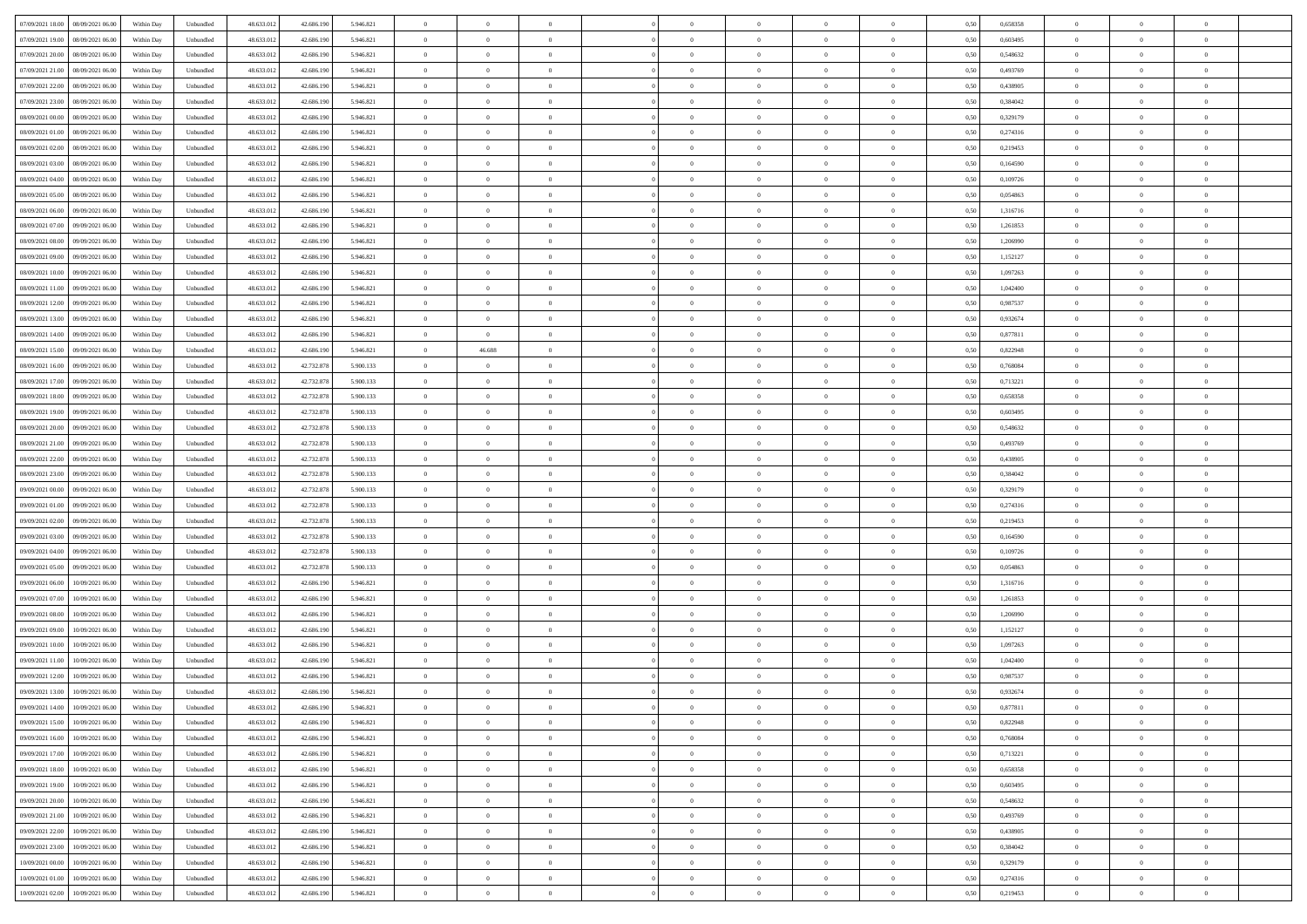| 07/09/2021 18:00  08/09/2021 06:00           | Within Day | Unbundled         | 48.633.01  | 42.686.190 | 5.946.821 | $\overline{0}$ | $\theta$       |                | $\overline{0}$ | $\bf{0}$       |                | $\bf{0}$       | 0,50 | 0,658358 | $\theta$       | $\theta$       | $\overline{0}$ |  |
|----------------------------------------------|------------|-------------------|------------|------------|-----------|----------------|----------------|----------------|----------------|----------------|----------------|----------------|------|----------|----------------|----------------|----------------|--|
| 07/09/2021 19:00<br>08/09/2021 06:00         | Within Day | Unbundled         | 48.633.01  | 42.686.19  | 5.946.821 | $\bf{0}$       | $\overline{0}$ | $\bf{0}$       | $\overline{0}$ | $\bf{0}$       | $\overline{0}$ | $\bf{0}$       | 0,50 | 0,603495 | $\,$ 0 $\,$    | $\bf{0}$       | $\overline{0}$ |  |
| 07/09/2021 20:00<br>08/09/2021 06:00         | Within Day | Unbundled         | 48.633.013 | 42.686.190 | 5.946.821 | $\overline{0}$ | $\bf{0}$       | $\overline{0}$ | $\bf{0}$       | $\bf{0}$       | $\overline{0}$ | $\bf{0}$       | 0.50 | 0.548632 | $\bf{0}$       | $\overline{0}$ | $\overline{0}$ |  |
| 07/09/2021 21:00<br>08/09/2021 06:00         |            |                   | 48.633.01  |            |           | $\overline{0}$ | $\overline{0}$ | $\overline{0}$ | $\theta$       | $\theta$       | $\overline{0}$ |                |      | 0,493769 | $\theta$       | $\theta$       | $\overline{0}$ |  |
|                                              | Within Day | Unbundled         |            | 42.686.190 | 5.946.821 |                |                |                |                |                |                | $\bf{0}$       | 0,50 |          |                |                |                |  |
| 07/09/2021 22.00<br>08/09/2021 06:00         | Within Day | Unbundled         | 48.633.01  | 42.686.190 | 5.946.821 | $\overline{0}$ | $\overline{0}$ | $\bf{0}$       | $\overline{0}$ | $\theta$       | $\overline{0}$ | $\bf{0}$       | 0,50 | 0,438905 | $\,$ 0 $\,$    | $\bf{0}$       | $\overline{0}$ |  |
| 07/09/2021 23:00<br>08/09/2021 06:00         | Within Day | Unbundled         | 48.633.013 | 42.686.190 | 5.946.821 | $\overline{0}$ | $\overline{0}$ | $\overline{0}$ | $\bf{0}$       | $\overline{0}$ | $\theta$       | $\bf{0}$       | 0.50 | 0.384042 | $\,$ 0 $\,$    | $\theta$       | $\overline{0}$ |  |
| 08/09/2021 00:00<br>08/09/2021 06:00         | Within Day | Unbundled         | 48.633.013 | 42.686.190 | 5.946.821 | $\overline{0}$ | $\overline{0}$ | $\overline{0}$ | $\overline{0}$ | $\overline{0}$ | $\overline{0}$ | $\bf{0}$       | 0,50 | 0,329179 | $\theta$       | $\theta$       | $\overline{0}$ |  |
|                                              |            |                   |            |            |           |                |                |                |                |                |                |                |      |          |                |                |                |  |
| 08/09/2021 01:00<br>08/09/2021 06:00         | Within Day | Unbundled         | 48.633.01  | 42.686.190 | 5.946.821 | $\overline{0}$ | $\overline{0}$ | $\bf{0}$       | $\overline{0}$ | $\theta$       | $\overline{0}$ | $\bf{0}$       | 0,50 | 0,274316 | $\,$ 0 $\,$    | $\bf{0}$       | $\overline{0}$ |  |
| 08/09/2021 02:00<br>08/09/2021 06:00         | Within Day | Unbundled         | 48.633.013 | 42.686.190 | 5.946.821 | $\overline{0}$ | $\bf{0}$       | $\overline{0}$ | $\bf{0}$       | $\overline{0}$ | $\overline{0}$ | $\bf{0}$       | 0.50 | 0.219453 | $\bf{0}$       | $\overline{0}$ | $\overline{0}$ |  |
| 08/09/2021 03:00<br>08/09/2021 06:00         | Within Day | Unbundled         | 48.633.013 | 42.686.190 | 5.946.821 | $\overline{0}$ | $\bf{0}$       | $\overline{0}$ | $\overline{0}$ | $\overline{0}$ | $\overline{0}$ | $\bf{0}$       | 0,50 | 0,164590 | $\,$ 0 $\,$    | $\theta$       | $\overline{0}$ |  |
| 08/09/2021 04:00<br>08/09/2021 06:00         | Within Day | Unbundled         | 48.633.01  | 42.686.190 | 5.946.821 | $\bf{0}$       | $\overline{0}$ | $\bf{0}$       | $\overline{0}$ | $\bf{0}$       | $\overline{0}$ | $\bf{0}$       | 0,50 | 0,109726 | $\,$ 0 $\,$    | $\bf{0}$       | $\overline{0}$ |  |
|                                              |            |                   |            |            |           |                |                |                |                |                |                |                |      |          |                |                |                |  |
| 08/09/2021 05:00<br>08/09/2021 06:00         | Within Day | Unbundled         | 48.633.013 | 42.686.190 | 5.946.821 | $\overline{0}$ | $\bf{0}$       | $\overline{0}$ | $\bf{0}$       | $\bf{0}$       | $\overline{0}$ | $\bf{0}$       | 0.50 | 0.054863 | $\bf{0}$       | $\overline{0}$ | $\overline{0}$ |  |
| 08/09/2021 06:00<br>09/09/2021 06:00         | Within Day | Unbundled         | 48.633.01  | 42.686.190 | 5.946.821 | $\overline{0}$ | $\overline{0}$ | $\overline{0}$ | $\theta$       | $\theta$       | $\overline{0}$ | $\bf{0}$       | 0,50 | 1,316716 | $\,$ 0 $\,$    | $\theta$       | $\overline{0}$ |  |
| 08/09/2021 07:00<br>09/09/2021 06.00         | Within Day | Unbundled         | 48.633.01  | 42.686.190 | 5.946.821 | $\bf{0}$       | $\theta$       | $\bf{0}$       | $\overline{0}$ | $\theta$       | $\overline{0}$ | $\bf{0}$       | 0,50 | 1,261853 | $\,$ 0 $\,$    | $\bf{0}$       | $\overline{0}$ |  |
|                                              |            |                   |            |            |           |                |                |                |                |                |                |                |      |          |                |                |                |  |
| 08/09/2021 08:00<br>09/09/2021 06:00         | Within Day | Unbundled         | 48.633.013 | 42.686.190 | 5.946.821 | $\overline{0}$ | $\overline{0}$ | $\overline{0}$ | $\bf{0}$       | $\overline{0}$ | $\Omega$       | $\bf{0}$       | 0.50 | 1.206990 | $\,$ 0 $\,$    | $\theta$       | $\overline{0}$ |  |
| 08/09/2021 09:00<br>09/09/2021 06:00         | Within Day | Unbundled         | 48.633.013 | 42.686.190 | 5.946.821 | $\overline{0}$ | $\overline{0}$ | $\overline{0}$ | $\overline{0}$ | $\theta$       | $\overline{0}$ | $\bf{0}$       | 0,50 | 1,152127 | $\theta$       | $\theta$       | $\overline{0}$ |  |
| 08/09/2021 10:00<br>09/09/2021 06.00         | Within Day | Unbundled         | 48.633.01  | 42.686.190 | 5.946.821 | $\bf{0}$       | $\overline{0}$ | $\bf{0}$       | $\overline{0}$ | $\theta$       | $\overline{0}$ | $\bf{0}$       | 0,50 | 1,097263 | $\,$ 0 $\,$    | $\bf{0}$       | $\overline{0}$ |  |
| 08/09/2021 11:00<br>09/09/2021 06:00         | Within Day | Unbundled         | 48.633.013 | 42.686.190 | 5.946.821 | $\overline{0}$ | $\bf{0}$       | $\overline{0}$ | $\bf{0}$       | $\overline{0}$ | $\overline{0}$ | $\bf{0}$       | 0.50 | 1.042400 | $\bf{0}$       | $\overline{0}$ | $\overline{0}$ |  |
|                                              |            |                   |            |            |           | $\overline{0}$ | $\overline{0}$ | $\overline{0}$ | $\overline{0}$ | $\overline{0}$ | $\overline{0}$ |                |      |          | $\,$ 0 $\,$    | $\theta$       | $\overline{0}$ |  |
| 08/09/2021 12:00<br>09/09/2021 06:00         | Within Day | Unbundled         | 48.633.013 | 42.686.190 | 5.946.821 |                |                |                |                |                |                | $\bf{0}$       | 0,50 | 0,987537 |                |                |                |  |
| 08/09/2021 13:00<br>09/09/2021 06.00         | Within Day | Unbundled         | 48.633.01  | 42.686.190 | 5.946.821 | $\bf{0}$       | $\bf{0}$       | $\bf{0}$       | $\bf{0}$       | $\overline{0}$ | $\overline{0}$ | $\bf{0}$       | 0,50 | 0,932674 | $\,$ 0 $\,$    | $\bf{0}$       | $\overline{0}$ |  |
| 08/09/2021 14:00<br>09/09/2021 06:00         | Within Day | Unbundled         | 48.633.013 | 42.686.190 | 5.946.821 | $\overline{0}$ | $\overline{0}$ | $\overline{0}$ | $\bf{0}$       | $\bf{0}$       | $\overline{0}$ | $\bf{0}$       | 0.50 | 0.877811 | $\bf{0}$       | $\overline{0}$ | $\overline{0}$ |  |
| 08/09/2021 15:00<br>09/09/2021 06:00         | Within Day | Unbundled         | 48.633.01  | 42.686.190 | 5.946.821 | $\overline{0}$ | 46.688         | $\overline{0}$ | $\theta$       | $\theta$       | $\overline{0}$ | $\bf{0}$       | 0,50 | 0,822948 | $\theta$       | $\theta$       | $\overline{0}$ |  |
|                                              |            |                   |            |            |           |                | $\theta$       |                | $\overline{0}$ | $\theta$       | $\overline{0}$ |                |      |          | $\,$ 0 $\,$    | $\bf{0}$       | $\overline{0}$ |  |
| 08/09/2021 16:00<br>09/09/2021 06.00         | Within Day | Unbundled         | 48.633.01  | 42.732.878 | 5.900.133 | $\bf{0}$       |                | $\bf{0}$       |                |                |                | $\bf{0}$       | 0,50 | 0,768084 |                |                |                |  |
| 08/09/2021 17:00<br>09/09/2021 06:00         | Within Day | Unbundled         | 48.633.013 | 42.732.878 | 5.900.133 | $\overline{0}$ | $\overline{0}$ | $\overline{0}$ | $\overline{0}$ | $\overline{0}$ | $\Omega$       | $\bf{0}$       | 0.50 | 0,713221 | $\,$ 0 $\,$    | $\theta$       | $\overline{0}$ |  |
| 08/09/2021 18:00<br>09/09/2021 06:00         | Within Day | Unbundled         | 48.633.013 | 42.732.878 | 5.900.133 | $\overline{0}$ | $\overline{0}$ | $\overline{0}$ | $\overline{0}$ | $\theta$       | $\overline{0}$ | $\bf{0}$       | 0,50 | 0,658358 | $\theta$       | $\theta$       | $\overline{0}$ |  |
| 08/09/2021 19:00<br>09/09/2021 06.00         | Within Day | Unbundled         | 48.633.01  | 42.732.878 | 5.900.133 | $\bf{0}$       | $\theta$       | $\bf{0}$       | $\overline{0}$ | $\theta$       | $\overline{0}$ | $\bf{0}$       | 0,50 | 0,603495 | $\,$ 0 $\,$    | $\bf{0}$       | $\overline{0}$ |  |
| 08/09/2021 20:00<br>09/09/2021 06:00         | Within Day | Unbundled         | 48.633.013 | 42.732.878 | 5.900.133 | $\overline{0}$ | $\bf{0}$       | $\overline{0}$ | $\bf{0}$       | $\overline{0}$ | $\overline{0}$ | $\bf{0}$       | 0.50 | 0.548632 | $\bf{0}$       | $\overline{0}$ | $\overline{0}$ |  |
|                                              |            |                   |            |            |           |                |                |                |                |                |                |                |      |          |                |                |                |  |
| 08/09/2021 21:00<br>09/09/2021 06:00         | Within Day | Unbundled         | 48.633.01  | 42.732.878 | 5.900.133 | $\overline{0}$ | $\overline{0}$ | $\overline{0}$ | $\overline{0}$ | $\overline{0}$ | $\overline{0}$ | $\bf{0}$       | 0,50 | 0,493769 | $\theta$       | $\theta$       | $\overline{0}$ |  |
| 08/09/2021 22:00<br>09/09/2021 06.00         | Within Day | Unbundled         | 48.633.01  | 42.732.878 | 5.900.133 | $\bf{0}$       | $\bf{0}$       | $\bf{0}$       | $\bf{0}$       | $\overline{0}$ | $\overline{0}$ | $\bf{0}$       | 0,50 | 0,438905 | $\,$ 0 $\,$    | $\bf{0}$       | $\overline{0}$ |  |
| 08/09/2021 23:00<br>09/09/2021 06:00         | Within Day | Unbundled         | 48.633.013 | 42.732.878 | 5.900.133 | $\overline{0}$ | $\bf{0}$       | $\overline{0}$ | $\bf{0}$       | $\bf{0}$       | $\overline{0}$ | $\bf{0}$       | 0.50 | 0.384042 | $\bf{0}$       | $\overline{0}$ | $\overline{0}$ |  |
| 09/09/2021 00:00<br>09/09/2021 06:00         | Within Day | Unbundled         | 48.633.013 | 42.732.878 | 5.900.133 | $\overline{0}$ | $\overline{0}$ | $\overline{0}$ | $\overline{0}$ | $\overline{0}$ | $\overline{0}$ | $\bf{0}$       | 0.5( | 0,329179 | $\theta$       | $\theta$       | $\overline{0}$ |  |
|                                              |            |                   |            |            |           |                |                |                |                |                |                |                |      |          |                |                |                |  |
| 09/09/2021 01:00<br>09/09/2021 06.00         | Within Day | Unbundled         | 48.633.01  | 42.732.878 | 5.900.133 | $\bf{0}$       | $\overline{0}$ | $\bf{0}$       | $\overline{0}$ | $\overline{0}$ | $\overline{0}$ | $\bf{0}$       | 0,50 | 0,274316 | $\,$ 0 $\,$    | $\bf{0}$       | $\overline{0}$ |  |
| 09/09/2021 02:00<br>09/09/2021 06:00         | Within Day | Unbundled         | 48.633.013 | 42.732.878 | 5.900.133 | $\overline{0}$ | $\overline{0}$ | $\overline{0}$ | $\bf{0}$       | $\overline{0}$ | $\Omega$       | $\bf{0}$       | 0.50 | 0,219453 | $\,$ 0 $\,$    | $\theta$       | $\overline{0}$ |  |
| 09/09/2021 03:00<br>09/09/2021 06:00         | Within Dav | Unbundled         | 48.633.013 | 42.732.878 | 5.900.133 | $\overline{0}$ | $\overline{0}$ | $\overline{0}$ | $\overline{0}$ | $\theta$       | $\overline{0}$ | $\overline{0}$ | 0.50 | 0,164590 | $\theta$       | $\theta$       | $\overline{0}$ |  |
| 09/09/2021 04:00<br>09/09/2021 06.00         | Within Day | Unbundled         | 48.633.01  | 42.732.878 | 5.900.133 | $\bf{0}$       | $\bf{0}$       | $\bf{0}$       | $\overline{0}$ | $\bf{0}$       | $\overline{0}$ | $\bf{0}$       | 0,50 | 0,109726 | $\,$ 0 $\,$    | $\bf{0}$       | $\overline{0}$ |  |
| 09/09/2021 05:00<br>09/09/2021 06:00         | Within Day | Unbundled         | 48.633.013 | 42.732.878 | 5.900.133 | $\overline{0}$ | $\bf{0}$       | $\overline{0}$ | $\bf{0}$       | $\overline{0}$ | $\overline{0}$ | $\bf{0}$       | 0.50 | 0.054863 | $\bf{0}$       | $\overline{0}$ | $\overline{0}$ |  |
|                                              |            |                   |            |            |           |                |                |                |                |                |                |                |      |          |                |                |                |  |
| 09/09/2021 06:00<br>10/09/2021 06:00         | Within Dav | Unbundled         | 48.633.013 | 42.686.190 | 5.946.821 | $\overline{0}$ | $\overline{0}$ | $\overline{0}$ | $\overline{0}$ | $\overline{0}$ | $\overline{0}$ | $\overline{0}$ | 0.50 | 1,316716 | $\theta$       | $\theta$       | $\overline{0}$ |  |
| 09/09/2021 07:00<br>10/09/2021 06:00         | Within Day | Unbundled         | 48.633.01  | 42.686.19  | 5.946.821 | $\bf{0}$       | $\bf{0}$       | $\bf{0}$       | $\bf{0}$       | $\overline{0}$ | $\overline{0}$ | $\bf{0}$       | 0,50 | 1,261853 | $\,$ 0 $\,$    | $\bf{0}$       | $\overline{0}$ |  |
| 09/09/2021 08:00<br>10/09/2021 06:00         | Within Day | Unbundled         | 48.633.013 | 42.686.190 | 5.946.821 | $\overline{0}$ | $\bf{0}$       | $\overline{0}$ | $\bf{0}$       | $\bf{0}$       | $\overline{0}$ | $\bf{0}$       | 0.50 | 1.206990 | $\bf{0}$       | $\overline{0}$ | $\overline{0}$ |  |
| 09/09/2021 09:00<br>10/09/2021 06:00         | Within Dav | Unbundled         | 48.633.013 | 42.686.190 | 5.946.821 | $\overline{0}$ | $\overline{0}$ | $\overline{0}$ | $\overline{0}$ | $\theta$       | $\overline{0}$ | $\bf{0}$       | 0.5( | 1,152127 | $\theta$       | $\theta$       | $\overline{0}$ |  |
|                                              |            |                   |            |            |           |                |                |                |                |                |                |                |      |          |                |                |                |  |
| 09/09/2021 10:00<br>10/09/2021 06:00         | Within Day | Unbundled         | 48.633.01  | 42.686.190 | 5.946.821 | $\bf{0}$       | $\bf{0}$       | $\bf{0}$       | $\bf{0}$       | $\overline{0}$ | $\overline{0}$ | $\bf{0}$       | 0,50 | 1,097263 | $\,$ 0 $\,$    | $\bf{0}$       | $\overline{0}$ |  |
| 09/09/2021 11:00<br>10/09/2021 06:00         | Within Day | Unbundled         | 48.633.013 | 42.686.190 | 5.946.821 | $\overline{0}$ | $\overline{0}$ | $\overline{0}$ | $\overline{0}$ | $\theta$       | $\Omega$       | $\bf{0}$       | 0.50 | 1.042400 | $\,$ 0 $\,$    | $\theta$       | $\overline{0}$ |  |
| 09/09/2021 12:00<br>10/09/2021 06:00         | Within Dav | Unbundled         | 48.633.013 | 42.686.190 | 5.946.821 | $\overline{0}$ | $\overline{0}$ | $\Omega$       | $\overline{0}$ | $\theta$       | $\Omega$       | $\overline{0}$ | 0.5( | 0,987537 | $\theta$       | $\theta$       | $\overline{0}$ |  |
| 09/09/2021 13:00<br>10/09/2021 06:00         | Within Day | Unbundled         | 48.633.01  | 42.686.190 | 5.946.821 | $\bf{0}$       | $\,$ 0 $\,$    | $\overline{0}$ | $\bf{0}$       | $\bf{0}$       | $\overline{0}$ | $\bf{0}$       | 0,50 | 0,932674 | $\,$ 0 $\,$    | $\bf{0}$       | $\overline{0}$ |  |
| $09/09/2021\ 14.00 \qquad 10/09/2021\ 06.00$ | Within Day | ${\sf Unbundred}$ | 48.633.012 | 42.686.190 | 5 946 821 | $\overline{0}$ |                |                | $\Omega$       |                |                |                | 0,50 | 0,877811 | $\theta$       | $\overline{0}$ |                |  |
|                                              |            |                   |            |            |           |                |                |                |                |                |                |                |      |          |                |                |                |  |
| 09/09/2021 15:00 10/09/2021 06:00            | Within Day | Unbundled         | 48.633.012 | 42.686.190 | 5.946.821 | $\overline{0}$ | $\overline{0}$ | $\Omega$       | $\theta$       | $\overline{0}$ | $\overline{0}$ | $\bf{0}$       | 0,50 | 0,822948 | $\theta$       | $\overline{0}$ | $\overline{0}$ |  |
| 09/09/2021 16:00<br>10/09/2021 06:00         | Within Day | Unbundled         | 48.633.013 | 42.686.190 | 5.946.821 | $\overline{0}$ | $\bf{0}$       | $\overline{0}$ | $\overline{0}$ | $\bf{0}$       | $\overline{0}$ | $\bf{0}$       | 0,50 | 0,768084 | $\bf{0}$       | $\overline{0}$ | $\bf{0}$       |  |
| 09/09/2021 17:00 10/09/2021 06:00            | Within Day | Unbundled         | 48.633.012 | 42.686.190 | 5.946.821 | $\overline{0}$ | $\bf{0}$       | $\overline{0}$ | $\overline{0}$ | $\mathbf{0}$   | $\overline{0}$ | $\,$ 0 $\,$    | 0.50 | 0,713221 | $\overline{0}$ | $\bf{0}$       | $\,$ 0 $\,$    |  |
|                                              |            |                   |            |            |           |                | $\overline{0}$ |                |                | $\overline{0}$ |                |                |      |          | $\overline{0}$ | $\theta$       | $\overline{0}$ |  |
| 09/09/2021 18:00 10/09/2021 06:00            | Within Day | Unbundled         | 48.633.012 | 42.686.190 | 5.946.821 | $\overline{0}$ |                | $\overline{0}$ | $\overline{0}$ |                | $\overline{0}$ | $\bf{0}$       | 0,50 | 0,658358 |                |                |                |  |
| 09/09/2021 19:00<br>10/09/2021 06:00         | Within Day | Unbundled         | 48.633.012 | 42.686.190 | 5.946.821 | $\overline{0}$ | $\bf{0}$       | $\overline{0}$ | $\overline{0}$ | $\overline{0}$ | $\overline{0}$ | $\bf{0}$       | 0,50 | 0,603495 | $\bf{0}$       | $\overline{0}$ | $\overline{0}$ |  |
| 09/09/2021 20:00<br>10/09/2021 06:00         | Within Day | Unbundled         | 48.633.012 | 42.686.190 | 5.946.821 | $\overline{0}$ | $\bf{0}$       | $\overline{0}$ | $\overline{0}$ | $\overline{0}$ | $\overline{0}$ | $\bf{0}$       | 0.50 | 0.548632 | $\,$ 0 $\,$    | $\theta$       | $\,$ 0         |  |
| 09/09/2021 21:00<br>10/09/2021 06:00         | Within Dav | Unbundled         | 48.633.012 | 42.686.190 | 5.946.821 | $\overline{0}$ | $\overline{0}$ | $\overline{0}$ | $\overline{0}$ | $\overline{0}$ | $\overline{0}$ | $\bf{0}$       | 0.50 | 0,493769 | $\overline{0}$ | $\theta$       | $\overline{0}$ |  |
|                                              |            |                   |            |            |           |                | $\overline{0}$ |                |                | $\overline{0}$ |                |                |      |          | $\bf{0}$       | $\overline{0}$ | $\overline{0}$ |  |
| 09/09/2021 22:00<br>10/09/2021 06:00         | Within Day | Unbundled         | 48.633.013 | 42.686.190 | 5.946.821 | $\overline{0}$ |                | $\overline{0}$ | $\overline{0}$ |                | $\overline{0}$ | $\bf{0}$       | 0,50 | 0,438905 |                |                |                |  |
| 09/09/2021 23:00<br>10/09/2021 06:00         | Within Day | Unbundled         | 48.633.012 | 42.686.190 | 5.946.821 | $\overline{0}$ | $\overline{0}$ | $\overline{0}$ | $\overline{0}$ | $\overline{0}$ | $\overline{0}$ | $\bf{0}$       | 0.50 | 0.384042 | $\overline{0}$ | $\bf{0}$       | $\,$ 0         |  |
| 10/09/2021 00:00<br>10/09/2021 06:00         | Within Dav | Unbundled         | 48.633.012 | 42.686.190 | 5.946.821 | $\overline{0}$ | $\overline{0}$ | $\overline{0}$ | $\overline{0}$ | $\overline{0}$ | $\overline{0}$ | $\bf{0}$       | 0,50 | 0,329179 | $\overline{0}$ | $\theta$       | $\overline{0}$ |  |
| 10/09/2021 01:00<br>10/09/2021 06:00         | Within Day | Unbundled         | 48.633.013 | 42.686.190 | 5.946.821 | $\overline{0}$ | $\bf{0}$       | $\overline{0}$ | $\bf{0}$       | $\overline{0}$ | $\bf{0}$       | $\bf{0}$       | 0,50 | 0,274316 | $\bf{0}$       | $\bf{0}$       | $\bf{0}$       |  |
|                                              |            |                   |            |            |           |                |                |                |                |                |                |                |      |          |                |                |                |  |
| 10/09/2021 02:00 10/09/2021 06:00            | Within Day | Unbundled         | 48.633.012 | 42.686.190 | 5.946.821 | $\,$ 0 $\,$    | $\bf{0}$       | $\overline{0}$ | $\overline{0}$ | $\,$ 0 $\,$    | $\overline{0}$ | $\bf{0}$       | 0,50 | 0,219453 | $\overline{0}$ | $\,$ 0 $\,$    | $\,$ 0 $\,$    |  |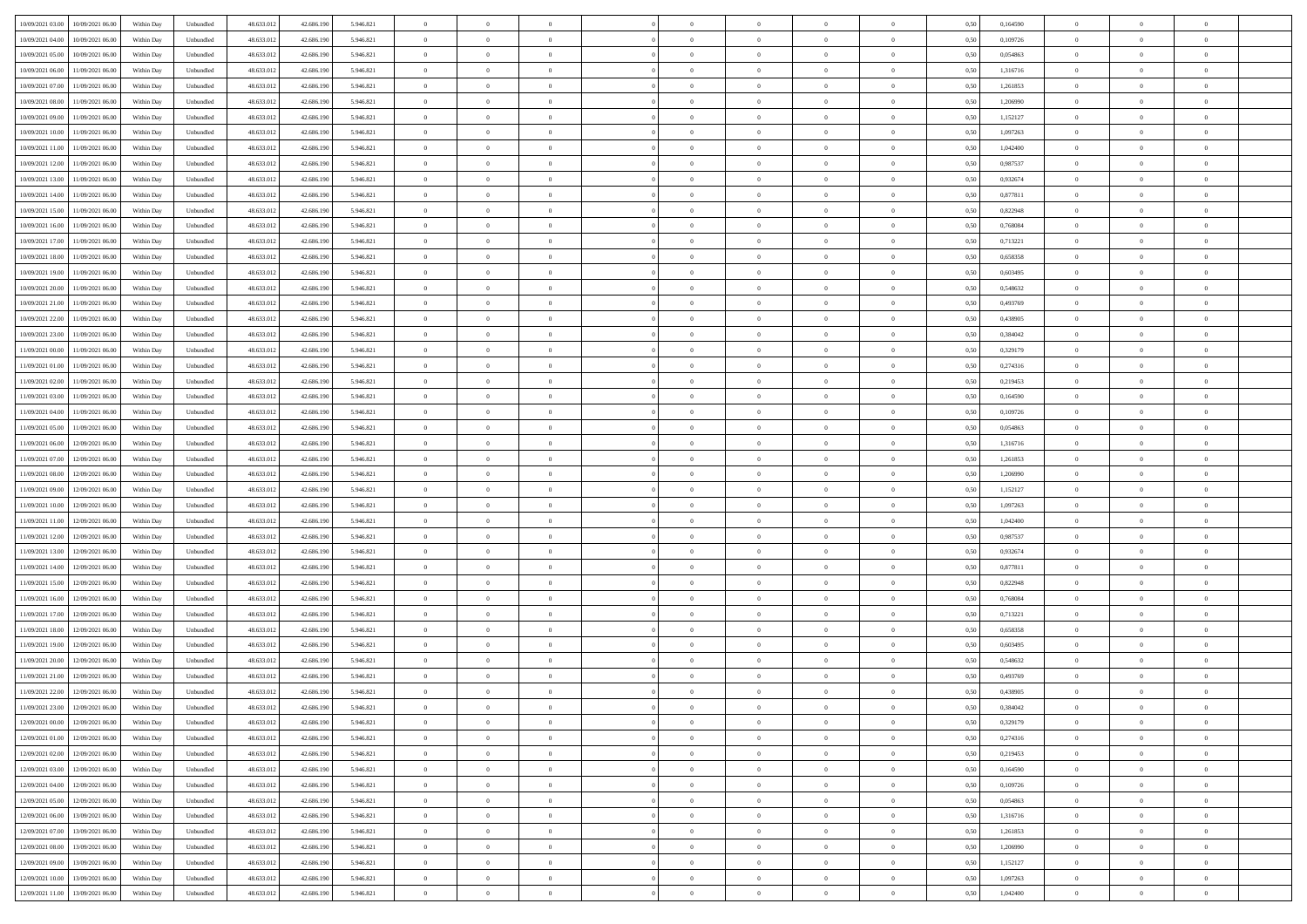| 10/09/2021 03:00<br>10/09/2021 06:00         | Within Day | Unbundled                   | 48.633.01  | 42.686.190 | 5.946.821 | $\overline{0}$ | $\theta$       |                | $\overline{0}$ | $\theta$       |                | $\theta$       | 0,50 | 0,164590 | $\theta$       | $\theta$       | $\theta$       |  |
|----------------------------------------------|------------|-----------------------------|------------|------------|-----------|----------------|----------------|----------------|----------------|----------------|----------------|----------------|------|----------|----------------|----------------|----------------|--|
| 10/09/2021 04:00<br>10/09/2021 06:00         | Within Day | Unbundled                   | 48.633.01  | 42.686.19  | 5.946.821 | $\bf{0}$       | $\bf{0}$       | $\bf{0}$       | $\bf{0}$       | $\overline{0}$ | $\overline{0}$ | $\bf{0}$       | 0,50 | 0,109726 | $\,$ 0 $\,$    | $\bf{0}$       | $\overline{0}$ |  |
| 10/09/2021 05:00<br>10/09/2021 06:00         | Within Day | Unbundled                   | 48.633.013 | 42.686.190 | 5.946.821 | $\overline{0}$ | $\bf{0}$       | $\overline{0}$ | $\bf{0}$       | $\bf{0}$       | $\overline{0}$ | $\bf{0}$       | 0.50 | 0.054863 | $\bf{0}$       | $\overline{0}$ | $\bf{0}$       |  |
|                                              |            |                             |            |            |           | $\overline{0}$ | $\overline{0}$ | $\overline{0}$ | $\overline{0}$ | $\theta$       | $\overline{0}$ |                |      |          | $\theta$       | $\theta$       | $\overline{0}$ |  |
| 10/09/2021 06:00<br>11/09/2021 06:00         | Within Day | Unbundled                   | 48.633.013 | 42.686.190 | 5.946.821 |                |                |                |                |                |                | $\bf{0}$       | 0,50 | 1,316716 |                |                |                |  |
| 10/09/2021 07:00<br>11/09/2021 06:00         | Within Day | Unbundled                   | 48.633.01  | 42.686.190 | 5.946.821 | $\overline{0}$ | $\overline{0}$ | $\bf{0}$       | $\overline{0}$ | $\theta$       | $\overline{0}$ | $\bf{0}$       | 0,50 | 1,261853 | $\,$ 0 $\,$    | $\bf{0}$       | $\overline{0}$ |  |
| 10/09/2021 08:00<br>11/09/2021 06:00         | Within Day | Unbundled                   | 48.633.013 | 42.686.190 | 5.946.821 | $\overline{0}$ | $\overline{0}$ | $\overline{0}$ | $\bf{0}$       | $\overline{0}$ | $\theta$       | $\bf{0}$       | 0.50 | 1.206990 | $\,$ 0 $\,$    | $\theta$       | $\overline{0}$ |  |
| 10/09/2021 09:00<br>11/09/2021 06:00         | Within Day | Unbundled                   | 48.633.013 | 42.686.190 | 5.946.821 | $\overline{0}$ | $\overline{0}$ | $\overline{0}$ | $\overline{0}$ | $\overline{0}$ | $\overline{0}$ | $\bf{0}$       | 0,50 | 1,152127 | $\,$ 0 $\,$    | $\theta$       | $\overline{0}$ |  |
|                                              |            |                             |            |            |           |                |                |                |                |                |                |                |      |          |                |                |                |  |
| 10/09/2021 10:00<br>11/09/2021 06:00         | Within Day | Unbundled                   | 48.633.01  | 42.686.190 | 5.946.821 | $\bf{0}$       | $\bf{0}$       | $\bf{0}$       | $\overline{0}$ | $\overline{0}$ | $\overline{0}$ | $\bf{0}$       | 0,50 | 1,097263 | $\,$ 0 $\,$    | $\bf{0}$       | $\overline{0}$ |  |
| 10/09/2021 11:00<br>11/09/2021 06:00         | Within Day | Unbundled                   | 48.633.013 | 42.686.190 | 5.946.821 | $\overline{0}$ | $\bf{0}$       | $\overline{0}$ | $\bf{0}$       | $\overline{0}$ | $\overline{0}$ | $\bf{0}$       | 0.50 | 1.042400 | $\bf{0}$       | $\overline{0}$ | $\overline{0}$ |  |
| 10/09/2021 12:00<br>11/09/2021 06:00         | Within Day | Unbundled                   | 48.633.013 | 42.686.190 | 5.946.821 | $\overline{0}$ | $\bf{0}$       | $\overline{0}$ | $\overline{0}$ | $\overline{0}$ | $\overline{0}$ | $\bf{0}$       | 0,50 | 0,987537 | $\,$ 0 $\,$    | $\bf{0}$       | $\overline{0}$ |  |
| 10/09/2021 13:00<br>11/09/2021 06:00         | Within Day | Unbundled                   | 48.633.01  | 42.686.190 | 5.946.821 | $\bf{0}$       | $\overline{0}$ | $\bf{0}$       | $\bf{0}$       | $\overline{0}$ | $\overline{0}$ | $\bf{0}$       | 0,50 | 0,932674 | $\,$ 0 $\,$    | $\bf{0}$       | $\overline{0}$ |  |
|                                              |            |                             |            |            |           |                |                |                |                |                |                |                |      |          |                |                |                |  |
| 10/09/2021 14:00<br>11/09/2021 06:00         | Within Day | Unbundled                   | 48.633.013 | 42.686.190 | 5.946.821 | $\overline{0}$ | $\bf{0}$       | $\overline{0}$ | $\overline{0}$ | $\bf{0}$       | $\overline{0}$ | $\bf{0}$       | 0.50 | 0.877811 | $\bf{0}$       | $\overline{0}$ | $\,$ 0         |  |
| 10/09/2021 15:00<br>11/09/2021 06:00         | Within Day | Unbundled                   | 48.633.01  | 42.686.190 | 5.946.821 | $\overline{0}$ | $\overline{0}$ | $\overline{0}$ | $\theta$       | $\theta$       | $\overline{0}$ | $\bf{0}$       | 0,50 | 0,822948 | $\,$ 0 $\,$    | $\theta$       | $\overline{0}$ |  |
| 10/09/2021 16:00<br>11/09/2021 06:00         | Within Day | Unbundled                   | 48.633.01  | 42.686.190 | 5.946.821 | $\bf{0}$       | $\overline{0}$ | $\bf{0}$       | $\overline{0}$ | $\bf{0}$       | $\overline{0}$ | $\bf{0}$       | 0,50 | 0,768084 | $\,$ 0 $\,$    | $\bf{0}$       | $\overline{0}$ |  |
| 10/09/2021 17:00<br>11/09/2021 06:00         | Within Day | Unbundled                   | 48.633.013 | 42.686.190 | 5.946.821 | $\overline{0}$ | $\overline{0}$ | $\overline{0}$ | $\bf{0}$       | $\overline{0}$ | $\theta$       | $\bf{0}$       | 0.50 | 0,713221 | $\,$ 0 $\,$    | $\theta$       | $\overline{0}$ |  |
|                                              |            |                             |            |            |           |                |                |                |                |                |                |                |      |          |                |                |                |  |
| 10/09/2021 18:00<br>11/09/2021 06:00         | Within Day | Unbundled                   | 48.633.013 | 42.686.190 | 5.946.821 | $\overline{0}$ | $\overline{0}$ | $\overline{0}$ | $\overline{0}$ | $\overline{0}$ | $\overline{0}$ | $\bf{0}$       | 0,50 | 0,658358 | $\theta$       | $\theta$       | $\overline{0}$ |  |
| 10/09/2021 19:00<br>11/09/2021 06:00         | Within Day | Unbundled                   | 48.633.01  | 42.686.190 | 5.946.821 | $\bf{0}$       | $\bf{0}$       | $\bf{0}$       | $\overline{0}$ | $\overline{0}$ | $\overline{0}$ | $\bf{0}$       | 0,50 | 0,603495 | $\,$ 0 $\,$    | $\bf{0}$       | $\overline{0}$ |  |
| 10/09/2021 20:00<br>11/09/2021 06:00         | Within Day | Unbundled                   | 48.633.013 | 42.686.190 | 5.946.821 | $\overline{0}$ | $\bf{0}$       | $\overline{0}$ | $\bf{0}$       | $\overline{0}$ | $\overline{0}$ | $\bf{0}$       | 0.50 | 0.548632 | $\bf{0}$       | $\overline{0}$ | $\bf{0}$       |  |
| 10/09/2021 21:00<br>11/09/2021 06:00         | Within Day | Unbundled                   | 48.633.013 | 42.686.190 | 5.946.821 | $\overline{0}$ | $\bf{0}$       | $\overline{0}$ | $\overline{0}$ | $\overline{0}$ | $\overline{0}$ | $\bf{0}$       | 0,50 | 0,493769 | $\,$ 0 $\,$    | $\bf{0}$       | $\overline{0}$ |  |
|                                              |            |                             |            |            |           |                |                |                |                |                |                |                |      |          |                |                |                |  |
| 10/09/2021 22:00<br>11/09/2021 06:00         | Within Day | Unbundled                   | 48.633.01  | 42.686.190 | 5.946.821 | $\bf{0}$       | $\bf{0}$       | $\bf{0}$       | $\bf{0}$       | $\overline{0}$ | $\overline{0}$ | $\bf{0}$       | 0,50 | 0,438905 | $\,$ 0 $\,$    | $\bf{0}$       | $\overline{0}$ |  |
| 10/09/2021 23:00<br>11/09/2021 06:00         | Within Day | Unbundled                   | 48.633.013 | 42.686.190 | 5.946.821 | $\overline{0}$ | $\bf{0}$       | $\overline{0}$ | $\overline{0}$ | $\bf{0}$       | $\overline{0}$ | $\bf{0}$       | 0.50 | 0.384042 | $\bf{0}$       | $\overline{0}$ | $\,$ 0         |  |
| 11/09/2021 00:00<br>11/09/2021 06:00         | Within Day | Unbundled                   | 48.633.01  | 42.686.190 | 5.946.821 | $\overline{0}$ | $\overline{0}$ | $\overline{0}$ | $\overline{0}$ | $\theta$       | $\overline{0}$ | $\bf{0}$       | 0,50 | 0,329179 | $\theta$       | $\theta$       | $\overline{0}$ |  |
| 11/09/2021 01:00<br>11/09/2021 06:00         | Within Day | Unbundled                   | 48.633.01  | 42.686.190 | 5.946.821 | $\bf{0}$       | $\bf{0}$       | $\bf{0}$       | $\bf{0}$       | $\overline{0}$ | $\overline{0}$ | $\bf{0}$       | 0,50 | 0,274316 | $\,$ 0 $\,$    | $\bf{0}$       | $\overline{0}$ |  |
|                                              |            |                             |            |            |           |                |                |                |                |                | $\theta$       |                |      |          |                |                |                |  |
| 11/09/2021 02:00<br>11/09/2021 06:00         | Within Day | Unbundled                   | 48.633.013 | 42.686.190 | 5.946.821 | $\overline{0}$ | $\overline{0}$ | $\overline{0}$ | $\bf{0}$       | $\overline{0}$ |                | $\bf{0}$       | 0.50 | 0.219453 | $\,$ 0 $\,$    | $\theta$       | $\overline{0}$ |  |
| 11/09/2021 03:00<br>11/09/2021 06:00         | Within Day | Unbundled                   | 48.633.013 | 42.686.190 | 5.946.821 | $\overline{0}$ | $\overline{0}$ | $\overline{0}$ | $\overline{0}$ | $\overline{0}$ | $\overline{0}$ | $\bf{0}$       | 0,50 | 0,164590 | $\,$ 0 $\,$    | $\theta$       | $\overline{0}$ |  |
| 11/09/2021 04:00<br>11/09/2021 06:00         | Within Day | Unbundled                   | 48.633.01  | 42.686.190 | 5.946.821 | $\bf{0}$       | $\overline{0}$ | $\bf{0}$       | $\overline{0}$ | $\bf{0}$       | $\overline{0}$ | $\bf{0}$       | 0,50 | 0,109726 | $\,$ 0 $\,$    | $\bf{0}$       | $\overline{0}$ |  |
| 11/09/2021 05:00<br>11/09/2021 06:00         | Within Day | Unbundled                   | 48.633.013 | 42.686.190 | 5.946.821 | $\overline{0}$ | $\bf{0}$       | $\overline{0}$ | $\bf{0}$       | $\overline{0}$ | $\overline{0}$ | $\bf{0}$       | 0.50 | 0.054863 | $\bf{0}$       | $\overline{0}$ | $\overline{0}$ |  |
| 11/09/2021 06:00<br>12/09/2021 06:00         | Within Day | Unbundled                   | 48.633.01  | 42.686.190 | 5.946.821 | $\overline{0}$ | $\bf{0}$       | $\overline{0}$ | $\overline{0}$ | $\overline{0}$ | $\overline{0}$ | $\bf{0}$       | 0,50 | 1,316716 | $\theta$       | $\theta$       | $\overline{0}$ |  |
|                                              |            |                             |            |            |           |                |                |                |                |                |                |                |      |          |                |                |                |  |
| 11/09/2021 07:00<br>12/09/2021 06:00         | Within Day | Unbundled                   | 48.633.01  | 42.686.190 | 5.946.821 | $\bf{0}$       | $\bf{0}$       | $\bf{0}$       | $\bf{0}$       | $\overline{0}$ | $\overline{0}$ | $\bf{0}$       | 0,50 | 1,261853 | $\,$ 0 $\,$    | $\bf{0}$       | $\overline{0}$ |  |
| 11/09/2021 08:00<br>12/09/2021 06:00         | Within Day | Unbundled                   | 48.633.013 | 42.686.190 | 5.946.821 | $\overline{0}$ | $\bf{0}$       | $\overline{0}$ | $\overline{0}$ | $\bf{0}$       | $\overline{0}$ | $\bf{0}$       | 0.50 | 1.206990 | $\bf{0}$       | $\overline{0}$ | $\bf{0}$       |  |
| 11/09/2021 09:00<br>12/09/2021 06:00         | Within Day | Unbundled                   | 48.633.013 | 42.686.190 | 5.946.821 | $\overline{0}$ | $\overline{0}$ | $\overline{0}$ | $\overline{0}$ | $\overline{0}$ | $\overline{0}$ | $\bf{0}$       | 0.5( | 1,152127 | $\theta$       | $\theta$       | $\overline{0}$ |  |
| 11/09/2021 10:00<br>12/09/2021 06:00         | Within Day | Unbundled                   | 48.633.01  | 42.686.190 | 5.946.821 | $\bf{0}$       | $\bf{0}$       | $\bf{0}$       | $\bf{0}$       | $\overline{0}$ | $\overline{0}$ | $\bf{0}$       | 0,50 | 1,097263 | $\,$ 0 $\,$    | $\bf{0}$       | $\overline{0}$ |  |
|                                              |            |                             |            |            |           |                |                |                |                |                |                |                |      |          |                |                |                |  |
| 11/09/2021 11:00<br>12/09/2021 06:00         | Within Day | Unbundled                   | 48.633.013 | 42.686.190 | 5.946.821 | $\overline{0}$ | $\bf{0}$       | $\overline{0}$ | $\bf{0}$       | $\overline{0}$ | $\overline{0}$ | $\bf{0}$       | 0.50 | 1.042400 | $\,$ 0 $\,$    | $\theta$       | $\overline{0}$ |  |
| 11/09/2021 12:00<br>12/09/2021 06:00         | Within Dav | Unbundled                   | 48.633.013 | 42.686.190 | 5.946.821 | $\overline{0}$ | $\overline{0}$ | $\overline{0}$ | $\overline{0}$ | $\overline{0}$ | $\overline{0}$ | $\overline{0}$ | 0.5( | 0,987537 | $\theta$       | $\theta$       | $\overline{0}$ |  |
| 11/09/2021 13:00<br>12/09/2021 06:00         | Within Day | Unbundled                   | 48.633.01  | 42.686.190 | 5.946.821 | $\bf{0}$       | $\bf{0}$       | $\bf{0}$       | $\bf{0}$       | $\overline{0}$ | $\overline{0}$ | $\bf{0}$       | 0,50 | 0,932674 | $\,$ 0 $\,$    | $\bf{0}$       | $\overline{0}$ |  |
| 11/09/2021 14:00<br>12/09/2021 06:00         | Within Day | Unbundled                   | 48.633.013 | 42.686.190 | 5.946.821 | $\overline{0}$ | $\bf{0}$       | $\overline{0}$ | $\bf{0}$       | $\overline{0}$ | $\overline{0}$ | $\bf{0}$       | 0.50 | 0.877811 | $\bf{0}$       | $\overline{0}$ | $\overline{0}$ |  |
| 11/09/2021 15:00<br>12/09/2021 06:00         | Within Dav | Unbundled                   | 48.633.013 | 42.686.190 | 5.946.821 | $\overline{0}$ | $\overline{0}$ | $\overline{0}$ | $\overline{0}$ | $\overline{0}$ | $\overline{0}$ | $\bf{0}$       | 0.50 | 0,822948 | $\theta$       | $\theta$       | $\overline{0}$ |  |
|                                              |            |                             |            |            |           |                |                |                |                |                |                |                |      |          |                |                |                |  |
| 11/09/2021 16:00<br>12/09/2021 06:00         | Within Day | Unbundled                   | 48.633.01  | 42.686.190 | 5.946.821 | $\bf{0}$       | $\bf{0}$       | $\bf{0}$       | $\bf{0}$       | $\overline{0}$ | $\overline{0}$ | $\bf{0}$       | 0,50 | 0,768084 | $\,$ 0 $\,$    | $\bf{0}$       | $\overline{0}$ |  |
| 11/09/2021 17:00<br>12/09/2021 06:00         | Within Day | Unbundled                   | 48.633.013 | 42.686.190 | 5.946.821 | $\overline{0}$ | $\bf{0}$       | $\overline{0}$ | $\overline{0}$ | $\bf{0}$       | $\overline{0}$ | $\bf{0}$       | 0.50 | 0,713221 | $\bf{0}$       | $\overline{0}$ | $\,$ 0         |  |
| 11/09/2021 18:00<br>12/09/2021 06:00         | Within Dav | Unbundled                   | 48.633.013 | 42.686.190 | 5.946.821 | $\overline{0}$ | $\overline{0}$ | $\overline{0}$ | $\overline{0}$ | $\overline{0}$ | $\overline{0}$ | $\bf{0}$       | 0.5( | 0,658358 | $\theta$       | $\theta$       | $\overline{0}$ |  |
| 11/09/2021 19:00<br>12/09/2021 06:00         | Within Day | Unbundled                   | 48.633.01  | 42.686.190 | 5.946.821 | $\bf{0}$       | $\bf{0}$       | $\bf{0}$       | $\bf{0}$       | $\overline{0}$ | $\overline{0}$ | $\bf{0}$       | 0,50 | 0,603495 | $\,$ 0 $\,$    | $\bf{0}$       | $\overline{0}$ |  |
|                                              |            |                             |            |            |           |                |                |                |                |                |                |                |      |          |                |                |                |  |
| 11/09/2021 20:00<br>12/09/2021 06:00         | Within Day | Unbundled                   | 48.633.013 | 42.686.190 | 5.946.821 | $\overline{0}$ | $\overline{0}$ | $\overline{0}$ | $\overline{0}$ | $\overline{0}$ | $\Omega$       | $\bf{0}$       | 0.50 | 0.548632 | $\bf{0}$       | $\theta$       | $\overline{0}$ |  |
| 11/09/2021 21:00<br>12/09/2021 06:00         | Within Dav | Unbundled                   | 48.633.013 | 42.686.190 | 5.946.821 | $\overline{0}$ | $\overline{0}$ | $\Omega$       | $\overline{0}$ | $\theta$       | $\overline{0}$ | $\overline{0}$ | 0.5( | 0,493769 | $\theta$       | $\theta$       | $\overline{0}$ |  |
| 11/09/2021 22:00<br>12/09/2021 06:00         | Within Day | Unbundled                   | 48.633.01  | 42.686.190 | 5.946.821 | $\bf{0}$       | $\bf{0}$       | $\overline{0}$ | $\bf{0}$       | $\bf{0}$       | $\overline{0}$ | $\bf{0}$       | 0,50 | 0,438905 | $\overline{0}$ | $\bf{0}$       | $\overline{0}$ |  |
| $11/09/2021\ 23.00 \qquad 12/09/2021\ 06.00$ | Within Day | $\ensuremath{\mathsf{Unb}}$ | 48.633.012 | 42.686.190 | 5 946 821 | $\bf{0}$       | $\Omega$       |                | $\Omega$       |                |                |                | 0,50 | 0,384042 | $\bf{0}$       | $\overline{0}$ |                |  |
|                                              |            |                             |            |            |           |                |                |                |                |                |                |                |      |          |                |                |                |  |
| 12/09/2021 00:00 12/09/2021 06:00            | Within Day | Unbundled                   | 48.633.012 | 42.686.190 | 5.946.821 | $\overline{0}$ | $\overline{0}$ | $\Omega$       | $\theta$       | $\overline{0}$ | $\overline{0}$ | $\bf{0}$       | 0,50 | 0,329179 | $\theta$       | $\theta$       | $\overline{0}$ |  |
| 12/09/2021 01:00<br>12/09/2021 06:00         | Within Day | Unbundled                   | 48.633.013 | 42.686.190 | 5.946.821 | $\overline{0}$ | $\bf{0}$       | $\overline{0}$ | $\overline{0}$ | $\bf{0}$       | $\overline{0}$ | $\bf{0}$       | 0,50 | 0,274316 | $\bf{0}$       | $\overline{0}$ | $\bf{0}$       |  |
| 12/09/2021 02:00 12/09/2021 06:00            | Within Day | Unbundled                   | 48.633.012 | 42.686.190 | 5.946.821 | $\overline{0}$ | $\bf{0}$       | $\overline{0}$ | $\overline{0}$ | $\mathbf{0}$   | $\overline{0}$ | $\,$ 0 $\,$    | 0.50 | 0,219453 | $\overline{0}$ | $\bf{0}$       | $\,$ 0 $\,$    |  |
| 12/09/2021 03:00 12/09/2021 06:00            | Within Day | Unbundled                   | 48.633.012 | 42.686.190 | 5.946.821 | $\overline{0}$ | $\overline{0}$ | $\overline{0}$ | $\overline{0}$ | $\overline{0}$ | $\overline{0}$ | $\bf{0}$       | 0,50 | 0,164590 | $\overline{0}$ | $\theta$       | $\overline{0}$ |  |
|                                              |            |                             |            |            |           |                |                |                |                |                |                |                |      |          | $\bf{0}$       |                |                |  |
| 12/09/2021 04:00<br>12/09/2021 06:00         | Within Day | Unbundled                   | 48.633.012 | 42.686.190 | 5.946.821 | $\overline{0}$ | $\bf{0}$       | $\overline{0}$ | $\overline{0}$ | $\overline{0}$ | $\overline{0}$ | $\bf{0}$       | 0,50 | 0,109726 |                | $\overline{0}$ | $\overline{0}$ |  |
| 12/09/2021 05:00<br>12/09/2021 06:00         | Within Day | Unbundled                   | 48.633.012 | 42.686.190 | 5.946.821 | $\overline{0}$ | $\bf{0}$       | $\overline{0}$ | $\overline{0}$ | $\bf{0}$       | $\overline{0}$ | $\bf{0}$       | 0.50 | 0.054863 | $\,$ 0 $\,$    | $\overline{0}$ | $\,$ 0         |  |
| 12/09/2021 06:00<br>13/09/2021 06:00         | Within Dav | Unbundled                   | 48.633.012 | 42.686.190 | 5.946.821 | $\overline{0}$ | $\overline{0}$ | $\overline{0}$ | $\overline{0}$ | $\overline{0}$ | $\overline{0}$ | $\bf{0}$       | 0.50 | 1,316716 | $\overline{0}$ | $\theta$       | $\overline{0}$ |  |
| 12/09/2021 07:00<br>13/09/2021 06:00         | Within Day | Unbundled                   | 48.633.013 | 42.686.190 | 5.946.821 | $\overline{0}$ | $\overline{0}$ | $\overline{0}$ | $\overline{0}$ | $\overline{0}$ | $\overline{0}$ | $\bf{0}$       | 0,50 | 1,261853 | $\bf{0}$       | $\overline{0}$ | $\overline{0}$ |  |
| 13/09/2021 06:00                             |            | Unbundled                   | 48.633.012 | 42.686.190 | 5.946.821 | $\overline{0}$ | $\overline{0}$ |                |                |                | $\overline{0}$ |                | 0.50 | 1.206990 | $\mathbf{0}$   | $\bf{0}$       | $\,$ 0         |  |
| 12/09/2021 08:00                             | Within Day |                             |            |            |           |                |                | $\overline{0}$ | $\overline{0}$ | $\overline{0}$ |                | $\bf{0}$       |      |          |                |                |                |  |
| 12/09/2021 09:00 13/09/2021 06:00            | Within Dav | Unbundled                   | 48.633.012 | 42.686.190 | 5.946.821 | $\overline{0}$ | $\overline{0}$ | $\overline{0}$ | $\overline{0}$ | $\overline{0}$ | $\overline{0}$ | $\bf{0}$       | 0,50 | 1,152127 | $\overline{0}$ | $\theta$       | $\overline{0}$ |  |
| 12/09/2021 10:00<br>13/09/2021 06:00         | Within Day | Unbundled                   | 48.633.013 | 42.686.190 | 5.946.821 | $\overline{0}$ | $\bf{0}$       | $\overline{0}$ | $\bf{0}$       | $\overline{0}$ | $\overline{0}$ | $\bf{0}$       | 0,50 | 1,097263 | $\bf{0}$       | $\,$ 0 $\,$    | $\bf{0}$       |  |
| 12/09/2021 11:00 13/09/2021 06:00            | Within Day | Unbundled                   | 48.633.012 | 42.686.190 | 5.946.821 | $\,$ 0 $\,$    | $\bf{0}$       | $\overline{0}$ | $\overline{0}$ | $\,$ 0 $\,$    | $\overline{0}$ | $\bf{0}$       | 0,50 | 1,042400 | $\overline{0}$ | $\,$ 0 $\,$    | $\,$ 0 $\,$    |  |
|                                              |            |                             |            |            |           |                |                |                |                |                |                |                |      |          |                |                |                |  |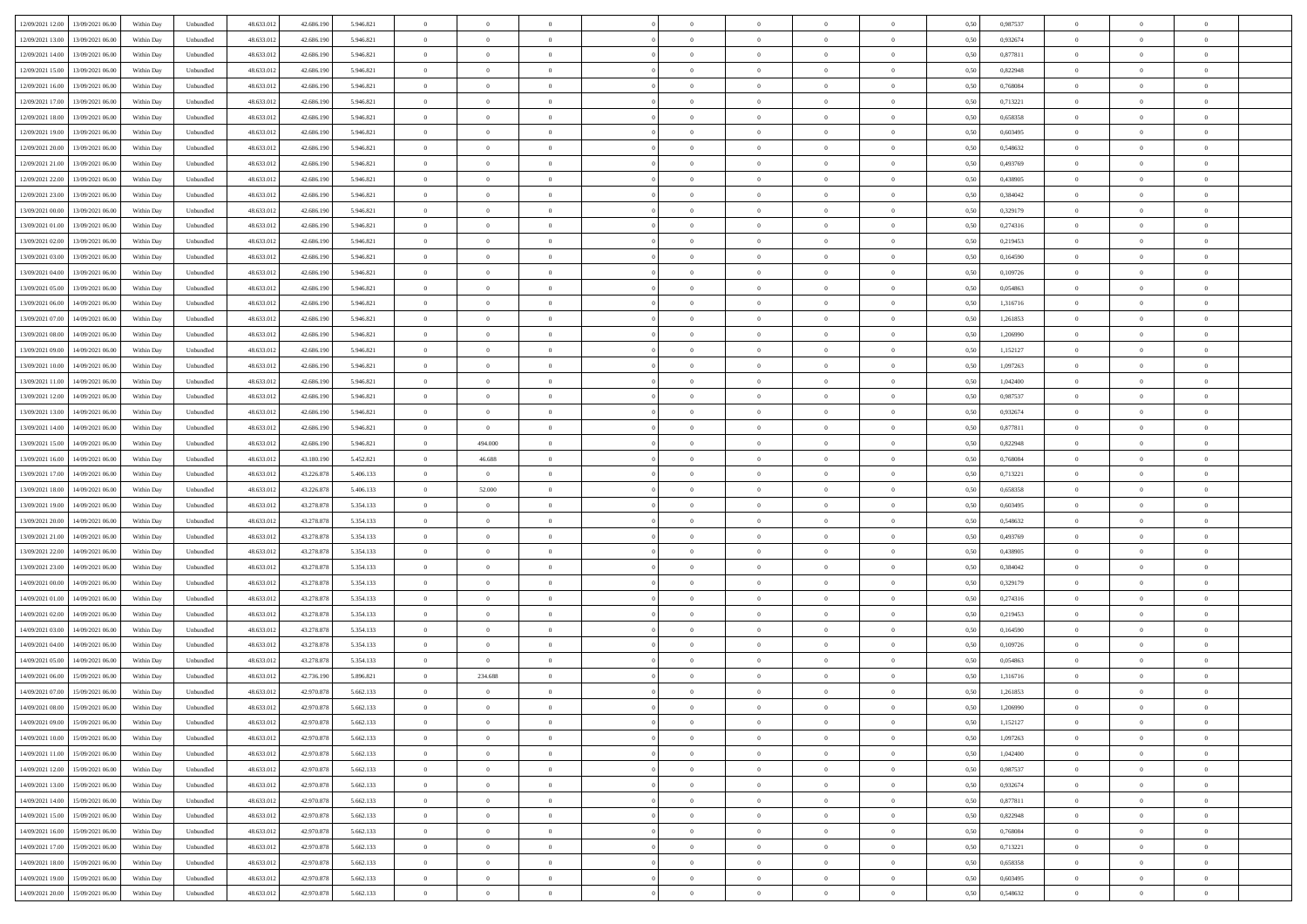|                                              |            |                   |            |            |           | $\overline{0}$ | $\theta$       |                | $\overline{0}$ | $\theta$       |                | $\theta$       |      |          | $\theta$       | $\theta$       | $\theta$       |  |
|----------------------------------------------|------------|-------------------|------------|------------|-----------|----------------|----------------|----------------|----------------|----------------|----------------|----------------|------|----------|----------------|----------------|----------------|--|
| 12/09/2021 12:00 13/09/2021 06:00            | Within Day | Unbundled         | 48.633.01  | 42.686.190 | 5.946.821 |                |                |                |                |                |                |                | 0,50 | 0,987537 |                |                |                |  |
| 12/09/2021 13:00<br>13/09/2021 06:00         | Within Day | Unbundled         | 48.633.01  | 42.686.19  | 5.946.821 | $\bf{0}$       | $\bf{0}$       | $\bf{0}$       | $\bf{0}$       | $\overline{0}$ | $\overline{0}$ | $\bf{0}$       | 0,50 | 0,932674 | $\,$ 0 $\,$    | $\bf{0}$       | $\overline{0}$ |  |
| 12/09/2021 14:00<br>13/09/2021 06:00         | Within Day | Unbundled         | 48.633.013 | 42.686.190 | 5.946.821 | $\overline{0}$ | $\bf{0}$       | $\overline{0}$ | $\bf{0}$       | $\bf{0}$       | $\overline{0}$ | $\bf{0}$       | 0.50 | 0.877811 | $\bf{0}$       | $\overline{0}$ | $\overline{0}$ |  |
| 12/09/2021 15:00<br>13/09/2021 06:00         | Within Day | Unbundled         | 48.633.013 | 42.686.190 | 5.946.821 | $\overline{0}$ | $\overline{0}$ | $\overline{0}$ | $\theta$       | $\theta$       | $\overline{0}$ | $\bf{0}$       | 0,50 | 0,822948 | $\theta$       | $\theta$       | $\overline{0}$ |  |
| 12/09/2021 16:00<br>13/09/2021 06:00         | Within Day | Unbundled         | 48.633.01  | 42.686.190 | 5.946.821 | $\bf{0}$       | $\overline{0}$ | $\bf{0}$       | $\overline{0}$ | $\theta$       | $\overline{0}$ | $\bf{0}$       | 0,50 | 0,768084 | $\,$ 0 $\,$    | $\bf{0}$       | $\overline{0}$ |  |
|                                              |            |                   |            |            |           |                |                |                |                |                |                |                |      |          |                |                |                |  |
| 12/09/2021 17:00<br>13/09/2021 06:00         | Within Day | Unbundled         | 48.633.013 | 42.686.190 | 5.946.821 | $\overline{0}$ | $\overline{0}$ | $\overline{0}$ | $\bf{0}$       | $\overline{0}$ | $\theta$       | $\bf{0}$       | 0.50 | 0,713221 | $\,$ 0 $\,$    | $\theta$       | $\overline{0}$ |  |
| 12/09/2021 18:00<br>13/09/2021 06:00         | Within Day | Unbundled         | 48.633.013 | 42.686.190 | 5.946.821 | $\overline{0}$ | $\overline{0}$ | $\overline{0}$ | $\overline{0}$ | $\overline{0}$ | $\overline{0}$ | $\bf{0}$       | 0,50 | 0,658358 | $\theta$       | $\theta$       | $\overline{0}$ |  |
| 12/09/2021 19:00<br>13/09/2021 06:00         | Within Day | Unbundled         | 48.633.01  | 42.686.190 | 5.946.821 | $\bf{0}$       | $\overline{0}$ | $\bf{0}$       | $\overline{0}$ | $\overline{0}$ | $\overline{0}$ | $\bf{0}$       | 0,50 | 0,603495 | $\,$ 0 $\,$    | $\bf{0}$       | $\overline{0}$ |  |
| 12/09/2021 20:00<br>13/09/2021 06:00         | Within Day | Unbundled         | 48.633.013 | 42.686.190 | 5.946.821 | $\overline{0}$ | $\bf{0}$       | $\overline{0}$ | $\bf{0}$       | $\overline{0}$ | $\overline{0}$ | $\bf{0}$       | 0.50 | 0.548632 | $\bf{0}$       | $\overline{0}$ | $\overline{0}$ |  |
| 12/09/2021 21:00<br>13/09/2021 06:00         | Within Day | Unbundled         | 48.633.013 | 42.686.190 | 5.946.821 | $\overline{0}$ | $\bf{0}$       | $\overline{0}$ | $\overline{0}$ | $\overline{0}$ | $\overline{0}$ | $\bf{0}$       | 0,50 | 0,493769 | $\,$ 0 $\,$    | $\bf{0}$       | $\overline{0}$ |  |
| 12/09/2021 22:00<br>13/09/2021 06:00         | Within Day | Unbundled         | 48.633.01  | 42.686.190 | 5.946.821 | $\bf{0}$       | $\overline{0}$ | $\bf{0}$       | $\bf{0}$       | $\overline{0}$ | $\overline{0}$ | $\bf{0}$       | 0,50 | 0,438905 | $\,$ 0 $\,$    | $\bf{0}$       | $\overline{0}$ |  |
| 12/09/2021 23:00<br>13/09/2021 06:00         | Within Day | Unbundled         | 48.633.013 | 42.686.190 | 5.946.821 | $\overline{0}$ | $\bf{0}$       | $\overline{0}$ | $\overline{0}$ | $\bf{0}$       | $\overline{0}$ | $\bf{0}$       | 0.50 | 0.384042 | $\bf{0}$       | $\overline{0}$ | $\,$ 0         |  |
|                                              |            |                   |            |            |           | $\overline{0}$ | $\overline{0}$ | $\overline{0}$ | $\theta$       | $\theta$       | $\overline{0}$ |                |      |          | $\,$ 0 $\,$    | $\theta$       | $\overline{0}$ |  |
| 13/09/2021 00:00<br>13/09/2021 06:00         | Within Day | Unbundled         | 48.633.01  | 42.686.190 | 5.946.821 |                |                |                |                |                |                | $\bf{0}$       | 0,50 | 0,329179 |                |                |                |  |
| 13/09/2021 01:00<br>13/09/2021 06:00         | Within Day | Unbundled         | 48.633.01  | 42.686.190 | 5.946.821 | $\bf{0}$       | $\overline{0}$ | $\bf{0}$       | $\overline{0}$ | $\bf{0}$       | $\overline{0}$ | $\bf{0}$       | 0,50 | 0,274316 | $\,$ 0 $\,$    | $\bf{0}$       | $\overline{0}$ |  |
| 13/09/2021 02:00<br>13/09/2021 06:00         | Within Day | Unbundled         | 48.633.013 | 42.686.190 | 5.946.821 | $\overline{0}$ | $\overline{0}$ | $\overline{0}$ | $\bf{0}$       | $\overline{0}$ | $\theta$       | $\bf{0}$       | 0.50 | 0,219453 | $\,$ 0 $\,$    | $\theta$       | $\overline{0}$ |  |
| 13/09/2021 03:00<br>13/09/2021 06:00         | Within Day | Unbundled         | 48.633.013 | 42.686.190 | 5.946.821 | $\overline{0}$ | $\overline{0}$ | $\overline{0}$ | $\overline{0}$ | $\overline{0}$ | $\overline{0}$ | $\bf{0}$       | 0,50 | 0,164590 | $\theta$       | $\theta$       | $\overline{0}$ |  |
| 13/09/2021 04:00<br>13/09/2021 06:00         | Within Day | Unbundled         | 48.633.01  | 42.686.190 | 5.946.821 | $\bf{0}$       | $\bf{0}$       | $\bf{0}$       | $\overline{0}$ | $\bf{0}$       | $\overline{0}$ | $\bf{0}$       | 0,50 | 0,109726 | $\,$ 0 $\,$    | $\bf{0}$       | $\overline{0}$ |  |
| 13/09/2021 05:00<br>13/09/2021 06:00         | Within Day | Unbundled         | 48.633.013 | 42.686.190 | 5.946.821 | $\overline{0}$ | $\bf{0}$       | $\overline{0}$ | $\bf{0}$       | $\overline{0}$ | $\overline{0}$ | $\bf{0}$       | 0.50 | 0.054863 | $\bf{0}$       | $\overline{0}$ | $\overline{0}$ |  |
| 13/09/2021 06:00<br>14/09/2021 06:00         | Within Day | Unbundled         | 48.633.013 | 42.686.190 | 5.946.821 | $\overline{0}$ | $\bf{0}$       | $\overline{0}$ | $\overline{0}$ | $\overline{0}$ | $\overline{0}$ | $\bf{0}$       | 0,50 | 1,316716 | $\,$ 0 $\,$    | $\bf{0}$       | $\overline{0}$ |  |
| 13/09/2021 07:00<br>14/09/2021 06:00         | Within Day | Unbundled         | 48.633.01  | 42.686.190 | 5.946.821 | $\bf{0}$       | $\bf{0}$       | $\bf{0}$       | $\bf{0}$       | $\overline{0}$ | $\overline{0}$ | $\bf{0}$       | 0,50 | 1,261853 | $\,$ 0 $\,$    | $\bf{0}$       | $\overline{0}$ |  |
|                                              |            |                   |            |            |           |                |                |                |                |                |                |                |      |          |                |                |                |  |
| 13/09/2021 08:00<br>14/09/2021 06:00         | Within Day | Unbundled         | 48.633.013 | 42.686.190 | 5.946.821 | $\overline{0}$ | $\bf{0}$       | $\overline{0}$ | $\overline{0}$ | $\bf{0}$       | $\overline{0}$ | $\bf{0}$       | 0.50 | 1.206990 | $\bf{0}$       | $\overline{0}$ | $\,$ 0         |  |
| 13/09/2021 09:00<br>14/09/2021 06:00         | Within Day | Unbundled         | 48.633.01  | 42.686.190 | 5.946.821 | $\overline{0}$ | $\overline{0}$ | $\overline{0}$ | $\theta$       | $\theta$       | $\overline{0}$ | $\bf{0}$       | 0,50 | 1,152127 | $\theta$       | $\theta$       | $\overline{0}$ |  |
| 13/09/2021 10:00<br>14/09/2021 06:00         | Within Day | Unbundled         | 48.633.01  | 42.686.190 | 5.946.821 | $\bf{0}$       | $\overline{0}$ | $\bf{0}$       | $\bf{0}$       | $\overline{0}$ | $\overline{0}$ | $\bf{0}$       | 0,50 | 1,097263 | $\,$ 0 $\,$    | $\bf{0}$       | $\overline{0}$ |  |
| 13/09/2021 11:00<br>14/09/2021 06:00         | Within Day | Unbundled         | 48.633.013 | 42.686.190 | 5.946.821 | $\overline{0}$ | $\overline{0}$ | $\overline{0}$ | $\bf{0}$       | $\overline{0}$ | $\theta$       | $\bf{0}$       | 0.50 | 1.042400 | $\,$ 0 $\,$    | $\theta$       | $\overline{0}$ |  |
| 13/09/2021 12:00<br>14/09/2021 06.00         | Within Day | Unbundled         | 48.633.013 | 42.686.190 | 5.946.821 | $\overline{0}$ | $\overline{0}$ | $\overline{0}$ | $\overline{0}$ | $\overline{0}$ | $\overline{0}$ | $\bf{0}$       | 0,50 | 0,987537 | $\,$ 0 $\,$    | $\theta$       | $\overline{0}$ |  |
| 13/09/2021 13:00<br>14/09/2021 06.00         | Within Day | Unbundled         | 48.633.01  | 42.686.190 | 5.946.821 | $\bf{0}$       | $\overline{0}$ | $\bf{0}$       | $\overline{0}$ | $\bf{0}$       | $\overline{0}$ | $\bf{0}$       | 0,50 | 0,932674 | $\,$ 0 $\,$    | $\bf{0}$       | $\overline{0}$ |  |
| 13/09/2021 14:00<br>14/09/2021 06:00         | Within Day | Unbundled         | 48.633.013 | 42.686.190 | 5.946.821 | $\overline{0}$ | $\overline{0}$ | $\overline{0}$ | $\bf{0}$       | $\overline{0}$ | $\overline{0}$ | $\bf{0}$       | 0.50 | 0.877811 | $\bf{0}$       | $\overline{0}$ | $\overline{0}$ |  |
| 13/09/2021 15:00<br>14/09/2021 06:00         | Within Day | Unbundled         | 48.633.01  | 42.686.190 | 5.946.821 | $\overline{0}$ | 494.000        | $\overline{0}$ | $\overline{0}$ | $\overline{0}$ | $\overline{0}$ | $\bf{0}$       | 0,50 | 0,822948 | $\theta$       | $\theta$       | $\overline{0}$ |  |
| 13/09/2021 16:00<br>14/09/2021 06:00         | Within Day | Unbundled         | 48.633.01  | 43.180.190 | 5.452.821 | $\bf{0}$       | 46.688         | $\bf{0}$       | $\bf{0}$       | $\overline{0}$ | $\overline{0}$ | $\bf{0}$       | 0,50 | 0,768084 | $\,$ 0 $\,$    | $\bf{0}$       | $\overline{0}$ |  |
| 13/09/2021 17:00<br>14/09/2021 06:00         | Within Day | Unbundled         | 48.633.013 | 43.226.878 | 5.406.133 | $\overline{0}$ | $\overline{0}$ | $\overline{0}$ | $\bf{0}$       | $\bf{0}$       | $\overline{0}$ | $\bf{0}$       | 0.50 | 0,713221 | $\bf{0}$       | $\overline{0}$ | $\bf{0}$       |  |
|                                              |            |                   |            |            |           |                |                |                |                |                |                |                |      |          |                |                |                |  |
| 13/09/2021 18:00<br>14/09/2021 06:00         | Within Day | Unbundled         | 48.633.013 | 43.226.878 | 5.406.133 | $\overline{0}$ | 52.000         | $\overline{0}$ | $\overline{0}$ | $\overline{0}$ | $\overline{0}$ | $\bf{0}$       | 0.5( | 0,658358 | $\theta$       | $\theta$       | $\overline{0}$ |  |
| 13/09/2021 19:00<br>14/09/2021 06.00         | Within Day | Unbundled         | 48.633.01  | 43.278.878 | 5.354.133 | $\bf{0}$       | $\theta$       | $\bf{0}$       | $\bf{0}$       | $\overline{0}$ | $\overline{0}$ | $\bf{0}$       | 0,50 | 0,603495 | $\,$ 0 $\,$    | $\bf{0}$       | $\overline{0}$ |  |
| 13/09/2021 20:00<br>14/09/2021 06:00         | Within Day | Unbundled         | 48.633.013 | 43.278.878 | 5.354.133 | $\overline{0}$ | $\bf{0}$       | $\overline{0}$ | $\bf{0}$       | $\overline{0}$ | $\overline{0}$ | $\bf{0}$       | 0.50 | 0.548632 | $\,$ 0 $\,$    | $\bf{0}$       | $\overline{0}$ |  |
| 13/09/2021 21:00<br>14/09/2021 06:00         | Within Dav | Unbundled         | 48.633.013 | 43.278.878 | 5.354.133 | $\overline{0}$ | $\overline{0}$ | $\overline{0}$ | $\overline{0}$ | $\theta$       | $\overline{0}$ | $\bf{0}$       | 0.5( | 0,493769 | $\theta$       | $\theta$       | $\overline{0}$ |  |
| 13/09/2021 22:00<br>14/09/2021 06.00         | Within Day | Unbundled         | 48.633.01  | 43.278.878 | 5.354.133 | $\bf{0}$       | $\bf{0}$       | $\bf{0}$       | $\bf{0}$       | $\overline{0}$ | $\overline{0}$ | $\bf{0}$       | 0,50 | 0,438905 | $\,$ 0 $\,$    | $\bf{0}$       | $\overline{0}$ |  |
| 13/09/2021 23:00<br>14/09/2021 06:00         | Within Day | Unbundled         | 48.633.013 | 43.278.878 | 5.354.133 | $\overline{0}$ | $\bf{0}$       | $\overline{0}$ | $\bf{0}$       | $\overline{0}$ | $\overline{0}$ | $\bf{0}$       | 0.50 | 0.384042 | $\bf{0}$       | $\overline{0}$ | $\overline{0}$ |  |
| 14/09/2021 00:00<br>14/09/2021 06:00         | Within Dav | Unbundled         | 48.633.013 | 43.278.878 | 5.354.133 | $\overline{0}$ | $\overline{0}$ | $\overline{0}$ | $\overline{0}$ | $\overline{0}$ | $\overline{0}$ | $\bf{0}$       | 0.50 | 0,329179 | $\theta$       | $\theta$       | $\overline{0}$ |  |
| 14/09/2021 01:00<br>14/09/2021 06.00         | Within Day | Unbundled         | 48.633.01  | 43.278.878 | 5.354.133 | $\bf{0}$       | $\bf{0}$       | $\bf{0}$       | $\bf{0}$       | $\overline{0}$ | $\overline{0}$ | $\bf{0}$       | 0,50 | 0,274316 | $\,$ 0 $\,$    | $\bf{0}$       | $\overline{0}$ |  |
| 14/09/2021 06:00                             |            |                   | 48.633.013 |            |           |                |                | $\overline{0}$ |                |                | $\overline{0}$ |                | 0.50 |          | $\,$ 0 $\,$    |                |                |  |
| 14/09/2021 02:00                             | Within Day | Unbundled         |            | 43.278.878 | 5.354.133 | $\overline{0}$ | $\bf{0}$       |                | $\overline{0}$ | $\bf{0}$       |                | $\bf{0}$       |      | 0,219453 |                | $\overline{0}$ | $\bf{0}$       |  |
| 14/09/2021 03:00<br>14/09/2021 06:00         | Within Dav | Unbundled         | 48.633.013 | 43.278.878 | 5.354.133 | $\overline{0}$ | $\overline{0}$ | $\overline{0}$ | $\overline{0}$ | $\overline{0}$ | $\overline{0}$ | $\bf{0}$       | 0.50 | 0.164590 | $\theta$       | $\theta$       | $\overline{0}$ |  |
| 14/09/2021 04:00<br>14/09/2021 06.00         | Within Day | Unbundled         | 48.633.01  | 43.278.878 | 5.354.133 | $\bf{0}$       | $\bf{0}$       | $\bf{0}$       | $\bf{0}$       | $\overline{0}$ | $\overline{0}$ | $\bf{0}$       | 0,50 | 0,109726 | $\,$ 0 $\,$    | $\bf{0}$       | $\overline{0}$ |  |
| 14/09/2021 05:00<br>14/09/2021 06:00         | Within Day | Unbundled         | 48.633.013 | 43.278.878 | 5.354.133 | $\overline{0}$ | $\overline{0}$ | $\overline{0}$ | $\bf{0}$       | $\overline{0}$ | $\Omega$       | $\bf{0}$       | 0.50 | 0.054863 | $\bf{0}$       | $\theta$       | $\overline{0}$ |  |
| 14/09/2021 06:00<br>15/09/2021 06:00         | Within Dav | Unbundled         | 48.633.013 | 42.736.190 | 5.896.821 | $\overline{0}$ | 234.688        | $\Omega$       | $\overline{0}$ | $\theta$       | $\overline{0}$ | $\overline{0}$ | 0.5( | 1,316716 | $\theta$       | $\theta$       | $\overline{0}$ |  |
| 14/09/2021 07:00<br>15/09/2021 06:00         | Within Day | Unbundled         | 48.633.01  | 42.970.878 | 5.662.133 | $\bf{0}$       | $\,$ 0 $\,$    | $\bf{0}$       | $\bf{0}$       | $\bf{0}$       | $\overline{0}$ | $\bf{0}$       | 0,50 | 1,261853 | $\,$ 0 $\,$    | $\bf{0}$       | $\overline{0}$ |  |
| $14/09/2021\;08.00 \qquad 15/09/2021\;06.00$ | Within Day | ${\sf Unbundred}$ | 48.633.012 | 42.970.878 | 5.662.133 | $\bf{0}$       | $\Omega$       |                | $\Omega$       |                |                |                | 0,50 | 1.206990 | $\theta$       | $\overline{0}$ |                |  |
| 14/09/2021 09:00 15/09/2021 06:00            | Within Day | Unbundled         | 48.633.012 | 42.970.878 | 5.662.133 | $\overline{0}$ | $\overline{0}$ | $\Omega$       | $\theta$       | $\overline{0}$ | $\overline{0}$ | $\bf{0}$       | 0,50 | 1,152127 | $\theta$       | $\overline{0}$ | $\overline{0}$ |  |
| 14/09/2021 10:00<br>15/09/2021 06:00         | Within Day | Unbundled         | 48.633.013 | 42.970.878 | 5.662.133 | $\overline{0}$ | $\bf{0}$       | $\overline{0}$ | $\overline{0}$ | $\bf{0}$       | $\overline{0}$ | $\bf{0}$       | 0,50 | 1,097263 | $\bf{0}$       | $\overline{0}$ | $\bf{0}$       |  |
|                                              |            |                   |            |            |           |                |                |                |                |                |                |                |      |          |                |                |                |  |
| 14/09/2021 11:00 15/09/2021 06:00            | Within Day | Unbundled         | 48.633.012 | 42.970.878 | 5.662.133 | $\overline{0}$ | $\bf{0}$       | $\overline{0}$ | $\overline{0}$ | $\mathbf{0}$   | $\overline{0}$ | $\,$ 0 $\,$    | 0.50 | 1.042400 | $\overline{0}$ | $\bf{0}$       | $\,$ 0 $\,$    |  |
| 14/09/2021 12:00 15/09/2021 06:00            | Within Day | Unbundled         | 48.633.012 | 42.970.878 | 5.662.133 | $\overline{0}$ | $\overline{0}$ | $\overline{0}$ | $\overline{0}$ | $\overline{0}$ | $\overline{0}$ | $\bf{0}$       | 0,50 | 0,987537 | $\overline{0}$ | $\theta$       | $\overline{0}$ |  |
| 14/09/2021 13:00<br>15/09/2021 06:00         | Within Day | Unbundled         | 48.633.012 | 42.970.878 | 5.662.133 | $\overline{0}$ | $\bf{0}$       | $\overline{0}$ | $\overline{0}$ | $\overline{0}$ | $\overline{0}$ | $\bf{0}$       | 0,50 | 0,932674 | $\bf{0}$       | $\overline{0}$ | $\overline{0}$ |  |
| 14/09/2021 14:00<br>15/09/2021 06:00         | Within Day | Unbundled         | 48.633.012 | 42.970.878 | 5.662.133 | $\overline{0}$ | $\bf{0}$       | $\overline{0}$ | $\overline{0}$ | $\bf{0}$       | $\overline{0}$ | $\bf{0}$       | 0.50 | 0.877811 | $\,$ 0 $\,$    | $\overline{0}$ | $\,$ 0         |  |
| 14/09/2021 15:00<br>15/09/2021 06:00         | Within Dav | Unbundled         | 48.633.012 | 42.970.878 | 5.662.133 | $\overline{0}$ | $\overline{0}$ | $\overline{0}$ | $\overline{0}$ | $\overline{0}$ | $\overline{0}$ | $\bf{0}$       | 0.50 | 0,822948 | $\overline{0}$ | $\theta$       | $\overline{0}$ |  |
| 14/09/2021 16:00<br>15/09/2021 06:00         | Within Day | Unbundled         | 48.633.013 | 42.970.878 | 5.662.133 | $\overline{0}$ | $\overline{0}$ | $\overline{0}$ | $\overline{0}$ | $\overline{0}$ | $\overline{0}$ | $\bf{0}$       | 0,50 | 0,768084 | $\bf{0}$       | $\overline{0}$ | $\overline{0}$ |  |
| 14/09/2021 17:00 15/09/2021 06:00            | Within Day | Unbundled         | 48.633.012 | 42.970.878 | 5.662.133 | $\overline{0}$ | $\overline{0}$ | $\overline{0}$ | $\overline{0}$ | $\overline{0}$ | $\overline{0}$ | $\bf{0}$       | 0.50 | 0.713221 | $\mathbf{0}$   | $\bf{0}$       | $\,$ 0         |  |
| 14/09/2021 18:00 15/09/2021 06:00            | Within Dav | Unbundled         | 48.633.012 | 42.970.878 | 5.662.133 | $\overline{0}$ | $\overline{0}$ | $\overline{0}$ | $\overline{0}$ | $\overline{0}$ | $\overline{0}$ | $\bf{0}$       | 0,50 | 0,658358 | $\overline{0}$ | $\theta$       | $\overline{0}$ |  |
|                                              |            |                   |            |            |           |                |                |                |                |                |                |                |      |          |                |                |                |  |
| 14/09/2021 19:00<br>15/09/2021 06:00         | Within Day | Unbundled         | 48.633.013 | 42.970.878 | 5.662.133 | $\overline{0}$ | $\bf{0}$       | $\overline{0}$ | $\overline{0}$ | $\overline{0}$ | $\bf{0}$       | $\bf{0}$       | 0,50 | 0,603495 | $\bf{0}$       | $\,$ 0 $\,$    | $\bf{0}$       |  |
| 14/09/2021 20:00 15/09/2021 06:00            | Within Day | Unbundled         | 48.633.012 | 42.970.878 | 5.662.133 | $\,$ 0 $\,$    | $\bf{0}$       | $\overline{0}$ | $\overline{0}$ | $\,$ 0 $\,$    | $\overline{0}$ | $\bf{0}$       | 0,50 | 0,548632 | $\overline{0}$ | $\,$ 0 $\,$    | $\,$ 0 $\,$    |  |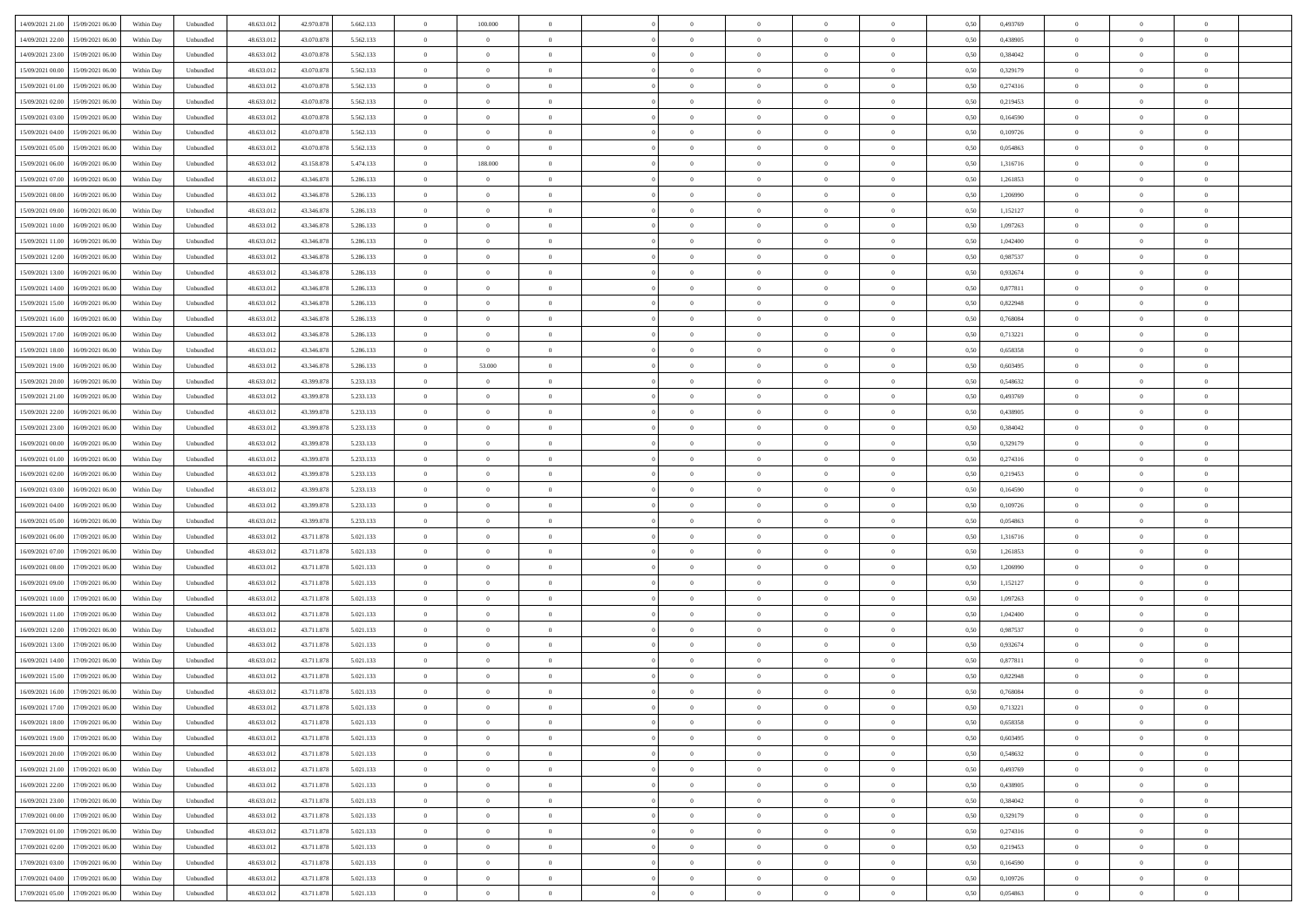| 14/09/2021 21:00 15/09/2021 06:00            | Within Day | Unbundled         | 48.633.01  | 42.970.878 | 5.662.133 | $\overline{0}$ | 100.000        |                | $\overline{0}$ | $\theta$       |                | $\theta$       | 0,50 | 0,493769 | $\theta$       | $\theta$       | $\theta$       |  |
|----------------------------------------------|------------|-------------------|------------|------------|-----------|----------------|----------------|----------------|----------------|----------------|----------------|----------------|------|----------|----------------|----------------|----------------|--|
| 14/09/2021 22:00<br>15/09/2021 06:00         | Within Day | Unbundled         | 48.633.01  | 43.070.878 | 5.562.133 | $\bf{0}$       | $\overline{0}$ | $\bf{0}$       | $\overline{0}$ | $\overline{0}$ | $\overline{0}$ | $\bf{0}$       | 0,50 | 0,438905 | $\,$ 0 $\,$    | $\bf{0}$       | $\overline{0}$ |  |
| 14/09/2021 23:00<br>15/09/2021 06:00         | Within Day | Unbundled         | 48.633.013 | 43,070,878 | 5.562.133 | $\overline{0}$ | $\overline{0}$ | $\overline{0}$ | $\bf{0}$       | $\bf{0}$       | $\overline{0}$ | $\bf{0}$       | 0.50 | 0.384042 | $\bf{0}$       | $\overline{0}$ | $\overline{0}$ |  |
| 15/09/2021 00:00<br>15/09/2021 06:00         |            |                   | 48.633.01  | 43.070.878 |           | $\overline{0}$ | $\bf{0}$       | $\overline{0}$ | $\theta$       | $\theta$       | $\overline{0}$ |                |      |          | $\theta$       | $\theta$       | $\overline{0}$ |  |
|                                              | Within Day | Unbundled         |            |            | 5.562.133 |                |                |                |                |                |                | $\bf{0}$       | 0,50 | 0,329179 |                |                |                |  |
| 15/09/2021 01:00<br>15/09/2021 06:00         | Within Day | Unbundled         | 48.633.01  | 43.070.878 | 5.562.133 | $\bf{0}$       | $\overline{0}$ | $\bf{0}$       | $\overline{0}$ | $\theta$       | $\overline{0}$ | $\bf{0}$       | 0,50 | 0,274316 | $\,$ 0 $\,$    | $\bf{0}$       | $\overline{0}$ |  |
| 15/09/2021 02:00<br>15/09/2021 06:00         | Within Day | Unbundled         | 48.633.013 | 43,070,878 | 5.562.133 | $\overline{0}$ | $\overline{0}$ | $\overline{0}$ | $\bf{0}$       | $\overline{0}$ | $\theta$       | $\bf{0}$       | 0.50 | 0.219453 | $\,$ 0 $\,$    | $\theta$       | $\overline{0}$ |  |
| 15/09/2021 03:00<br>15/09/2021 06:00         | Within Day | Unbundled         | 48.633.013 | 43.070.878 | 5.562.133 | $\overline{0}$ | $\overline{0}$ | $\overline{0}$ | $\overline{0}$ | $\overline{0}$ | $\overline{0}$ | $\bf{0}$       | 0,50 | 0,164590 | $\,$ 0 $\,$    | $\theta$       | $\overline{0}$ |  |
|                                              |            |                   |            |            |           |                |                |                |                |                |                |                |      |          |                |                |                |  |
| 15/09/2021 04:00<br>15/09/2021 06:00         | Within Day | Unbundled         | 48.633.01  | 43.070.878 | 5.562.133 | $\bf{0}$       | $\bf{0}$       | $\bf{0}$       | $\overline{0}$ | $\bf{0}$       | $\overline{0}$ | $\bf{0}$       | 0,50 | 0,109726 | $\,$ 0 $\,$    | $\bf{0}$       | $\overline{0}$ |  |
| 15/09/2021 05:00<br>15/09/2021 06:00         | Within Day | Unbundled         | 48.633.013 | 43,070,878 | 5.562.133 | $\overline{0}$ | $\overline{0}$ | $\overline{0}$ | $\bf{0}$       | $\overline{0}$ | $\overline{0}$ | $\bf{0}$       | 0.50 | 0.054863 | $\bf{0}$       | $\overline{0}$ | $\overline{0}$ |  |
| 15/09/2021 06:00<br>16/09/2021 06:00         | Within Day | Unbundled         | 48.633.013 | 43.158.878 | 5.474.133 | $\overline{0}$ | 188,000        | $\overline{0}$ | $\overline{0}$ | $\overline{0}$ | $\overline{0}$ | $\bf{0}$       | 0,50 | 1,316716 | $\,$ 0 $\,$    | $\bf{0}$       | $\overline{0}$ |  |
| 15/09/2021 07:00<br>16/09/2021 06:00         | Within Day | Unbundled         | 48.633.01  | 43.346.878 | 5.286.133 | $\bf{0}$       | $\theta$       | $\bf{0}$       | $\bf{0}$       | $\bf{0}$       | $\overline{0}$ | $\bf{0}$       | 0,50 | 1,261853 | $\,$ 0 $\,$    | $\bf{0}$       | $\overline{0}$ |  |
|                                              |            |                   |            |            |           |                |                |                |                |                |                |                |      |          |                |                |                |  |
| 15/09/2021 08:00<br>16/09/2021 06:00         | Within Day | Unbundled         | 48.633.013 | 43.346.878 | 5.286.133 | $\overline{0}$ | $\bf{0}$       | $\overline{0}$ | $\overline{0}$ | $\bf{0}$       | $\overline{0}$ | $\bf{0}$       | 0.50 | 1.206990 | $\bf{0}$       | $\overline{0}$ | $\overline{0}$ |  |
| 15/09/2021 09:00<br>16/09/2021 06:00         | Within Day | Unbundled         | 48.633.01  | 43.346.878 | 5.286.133 | $\overline{0}$ | $\overline{0}$ | $\overline{0}$ | $\theta$       | $\theta$       | $\overline{0}$ | $\bf{0}$       | 0,50 | 1,152127 | $\,$ 0 $\,$    | $\theta$       | $\overline{0}$ |  |
| 15/09/2021 10:00<br>16/09/2021 06:00         | Within Day | Unbundled         | 48.633.01  | 43.346.878 | 5.286.133 | $\bf{0}$       | $\overline{0}$ | $\bf{0}$       | $\overline{0}$ | $\theta$       | $\overline{0}$ | $\bf{0}$       | 0,50 | 1,097263 | $\,$ 0 $\,$    | $\bf{0}$       | $\overline{0}$ |  |
|                                              |            |                   |            |            |           |                |                |                |                |                | $\theta$       |                |      |          |                |                |                |  |
| 15/09/2021 11:00<br>16/09/2021 06:00         | Within Day | Unbundled         | 48.633.013 | 43.346.878 | 5.286.133 | $\overline{0}$ | $\overline{0}$ | $\overline{0}$ | $\bf{0}$       | $\overline{0}$ |                | $\bf{0}$       | 0.50 | 1.042400 | $\,$ 0 $\,$    | $\theta$       | $\overline{0}$ |  |
| 15/09/2021 12:00<br>16/09/2021 06:00         | Within Day | Unbundled         | 48.633.013 | 43.346.878 | 5.286.133 | $\overline{0}$ | $\overline{0}$ | $\overline{0}$ | $\overline{0}$ | $\overline{0}$ | $\overline{0}$ | $\bf{0}$       | 0,50 | 0,987537 | $\theta$       | $\theta$       | $\overline{0}$ |  |
| 15/09/2021 13:00<br>16/09/2021 06:00         | Within Day | Unbundled         | 48.633.01  | 43.346.878 | 5.286.133 | $\bf{0}$       | $\overline{0}$ | $\bf{0}$       | $\overline{0}$ | $\bf{0}$       | $\overline{0}$ | $\bf{0}$       | 0,50 | 0,932674 | $\,$ 0 $\,$    | $\bf{0}$       | $\overline{0}$ |  |
| 15/09/2021 14:00<br>16/09/2021 06:00         | Within Day | Unbundled         | 48.633.013 | 43.346.878 | 5.286.133 | $\overline{0}$ | $\bf{0}$       | $\overline{0}$ | $\bf{0}$       | $\overline{0}$ | $\overline{0}$ | $\bf{0}$       | 0.50 | 0.877811 | $\bf{0}$       | $\overline{0}$ | $\overline{0}$ |  |
|                                              |            |                   |            |            |           | $\overline{0}$ |                | $\overline{0}$ | $\overline{0}$ | $\overline{0}$ | $\overline{0}$ |                |      |          | $\,$ 0 $\,$    |                | $\overline{0}$ |  |
| 15/09/2021 15:00<br>16/09/2021 06:00         | Within Day | Unbundled         | 48.633.013 | 43.346.878 | 5.286.133 |                | $\bf{0}$       |                |                |                |                | $\bf{0}$       | 0,50 | 0,822948 |                | $\bf{0}$       |                |  |
| 15/09/2021 16:00<br>16/09/2021 06:00         | Within Day | Unbundled         | 48.633.01  | 43.346.878 | 5.286.133 | $\bf{0}$       | $\bf{0}$       | $\bf{0}$       | $\bf{0}$       | $\overline{0}$ | $\overline{0}$ | $\bf{0}$       | 0,50 | 0,768084 | $\,$ 0 $\,$    | $\bf{0}$       | $\overline{0}$ |  |
| 15/09/2021 17:00<br>16/09/2021 06:00         | Within Day | Unbundled         | 48.633.013 | 43.346.878 | 5.286.133 | $\overline{0}$ | $\bf{0}$       | $\overline{0}$ | $\overline{0}$ | $\bf{0}$       | $\overline{0}$ | $\bf{0}$       | 0.50 | 0,713221 | $\bf{0}$       | $\overline{0}$ | $\overline{0}$ |  |
| 15/09/2021 18:00<br>16/09/2021 06:00         | Within Day | Unbundled         | 48.633.01  | 43.346.878 | 5.286.133 | $\overline{0}$ | $\overline{0}$ | $\overline{0}$ | $\theta$       | $\theta$       | $\overline{0}$ | $\bf{0}$       | 0,50 | 0,658358 | $\theta$       | $\theta$       | $\overline{0}$ |  |
| 15/09/2021 19:00<br>16/09/2021 06:00         | Within Day | Unbundled         | 48.633.01  | 43.346.878 | 5.286.133 | $\bf{0}$       | 53.000         | $\bf{0}$       | $\bf{0}$       | $\,$ 0 $\,$    | $\overline{0}$ | $\bf{0}$       | 0,50 | 0,603495 | $\,$ 0 $\,$    | $\bf{0}$       | $\overline{0}$ |  |
|                                              |            |                   |            |            |           |                |                |                |                |                |                |                |      |          |                |                |                |  |
| 15/09/2021 20:00<br>16/09/2021 06:00         | Within Day | Unbundled         | 48.633.013 | 43.399.878 | 5.233.133 | $\overline{0}$ | $\overline{0}$ | $\overline{0}$ | $\bf{0}$       | $\overline{0}$ | $\theta$       | $\bf{0}$       | 0.50 | 0.548632 | $\,$ 0 $\,$    | $\theta$       | $\overline{0}$ |  |
| 15/09/2021 21:00<br>16/09/2021 06:00         | Within Day | Unbundled         | 48.633.013 | 43.399.878 | 5.233.133 | $\overline{0}$ | $\overline{0}$ | $\overline{0}$ | $\overline{0}$ | $\overline{0}$ | $\overline{0}$ | $\bf{0}$       | 0,50 | 0,493769 | $\,$ 0 $\,$    | $\theta$       | $\overline{0}$ |  |
| 15/09/2021 22:00<br>16/09/2021 06:00         | Within Day | Unbundled         | 48.633.01  | 43.399.878 | 5.233.133 | $\bf{0}$       | $\overline{0}$ | $\bf{0}$       | $\overline{0}$ | $\bf{0}$       | $\overline{0}$ | $\bf{0}$       | 0,50 | 0,438905 | $\,$ 0 $\,$    | $\bf{0}$       | $\overline{0}$ |  |
| 15/09/2021 23:00<br>16/09/2021 06:00         | Within Day | Unbundled         | 48.633.013 | 43.399.878 | 5.233.133 | $\overline{0}$ | $\bf{0}$       | $\overline{0}$ | $\bf{0}$       | $\overline{0}$ | $\overline{0}$ | $\bf{0}$       | 0.50 | 0.384042 | $\bf{0}$       | $\overline{0}$ | $\overline{0}$ |  |
|                                              |            |                   |            |            |           |                |                |                |                |                |                |                |      |          |                |                |                |  |
| 16/09/2021 00:00<br>16/09/2021 06:00         | Within Day | Unbundled         | 48.633.01  | 43.399.878 | 5.233.133 | $\overline{0}$ | $\overline{0}$ | $\overline{0}$ | $\overline{0}$ | $\overline{0}$ | $\overline{0}$ | $\bf{0}$       | 0,50 | 0,329179 | $\theta$       | $\theta$       | $\overline{0}$ |  |
| 16/09/2021 01:00<br>16/09/2021 06:00         | Within Day | Unbundled         | 48.633.01  | 43.399.878 | 5.233.133 | $\bf{0}$       | $\bf{0}$       | $\bf{0}$       | $\bf{0}$       | $\overline{0}$ | $\overline{0}$ | $\bf{0}$       | 0,50 | 0,274316 | $\,$ 0 $\,$    | $\bf{0}$       | $\overline{0}$ |  |
| 16/09/2021 02:00<br>16/09/2021 06:00         | Within Day | Unbundled         | 48.633.013 | 43.399.878 | 5.233.133 | $\overline{0}$ | $\bf{0}$       | $\overline{0}$ | $\overline{0}$ | $\bf{0}$       | $\overline{0}$ | $\bf{0}$       | 0.50 | 0,219453 | $\bf{0}$       | $\overline{0}$ | $\overline{0}$ |  |
| 16/09/2021 03:00<br>16/09/2021 06:00         | Within Day | Unbundled         | 48.633.013 | 43.399.878 | 5.233.133 | $\overline{0}$ | $\overline{0}$ | $\overline{0}$ | $\overline{0}$ | $\overline{0}$ | $\overline{0}$ | $\bf{0}$       | 0.5( | 0,164590 | $\theta$       | $\theta$       | $\overline{0}$ |  |
|                                              |            |                   |            |            |           |                |                |                |                |                |                |                |      |          |                |                |                |  |
| 16/09/2021 04:00<br>16/09/2021 06:00         | Within Day | Unbundled         | 48.633.01  | 43.399.878 | 5.233.133 | $\bf{0}$       | $\overline{0}$ | $\bf{0}$       | $\bf{0}$       | $\,$ 0 $\,$    | $\overline{0}$ | $\bf{0}$       | 0,50 | 0,109726 | $\,$ 0 $\,$    | $\bf{0}$       | $\overline{0}$ |  |
| 16/09/2021 05:00<br>16/09/2021 06:00         | Within Day | Unbundled         | 48.633.013 | 43.399.878 | 5.233.133 | $\overline{0}$ | $\bf{0}$       | $\overline{0}$ | $\bf{0}$       | $\overline{0}$ | $\overline{0}$ | $\bf{0}$       | 0.50 | 0.054863 | $\,$ 0 $\,$    | $\theta$       | $\overline{0}$ |  |
| 16/09/2021 06:00<br>17/09/2021 06:00         | Within Dav | Unbundled         | 48.633.013 | 43.711.878 | 5.021.133 | $\overline{0}$ | $\overline{0}$ | $\overline{0}$ | $\overline{0}$ | $\theta$       | $\overline{0}$ | $\bf{0}$       | 0.5( | 1,316716 | $\theta$       | $\theta$       | $\overline{0}$ |  |
| 16/09/2021 07:00<br>17/09/2021 06:00         | Within Day | Unbundled         | 48.633.01  | 43.711.878 | 5.021.133 | $\bf{0}$       | $\bf{0}$       | $\bf{0}$       | $\bf{0}$       | $\bf{0}$       | $\overline{0}$ | $\bf{0}$       | 0,50 | 1,261853 | $\,$ 0 $\,$    | $\bf{0}$       | $\overline{0}$ |  |
| 16/09/2021 08:00<br>17/09/2021 06:00         | Within Day | Unbundled         | 48.633.013 | 43.711.878 | 5.021.133 | $\overline{0}$ | $\bf{0}$       | $\overline{0}$ | $\bf{0}$       | $\overline{0}$ | $\overline{0}$ | $\bf{0}$       | 0.50 | 1.206990 | $\bf{0}$       | $\overline{0}$ | $\overline{0}$ |  |
|                                              |            |                   |            |            |           |                |                |                |                |                |                |                |      |          |                |                |                |  |
| 16/09/2021 09:00<br>17/09/2021 06:00         | Within Dav | Unbundled         | 48.633.013 | 43.711.878 | 5.021.133 | $\overline{0}$ | $\overline{0}$ | $\overline{0}$ | $\overline{0}$ | $\overline{0}$ | $\overline{0}$ | $\bf{0}$       | 0.50 | 1,152127 | $\theta$       | $\theta$       | $\overline{0}$ |  |
| 16/09/2021 10:00<br>17/09/2021 06:00         | Within Day | Unbundled         | 48.633.01  | 43.711.878 | 5.021.133 | $\bf{0}$       | $\bf{0}$       | $\bf{0}$       | $\bf{0}$       | $\overline{0}$ | $\overline{0}$ | $\bf{0}$       | 0,50 | 1,097263 | $\,$ 0 $\,$    | $\bf{0}$       | $\overline{0}$ |  |
| 16/09/2021 11:00<br>17/09/2021 06:00         | Within Day | Unbundled         | 48.633.013 | 43.711.878 | 5.021.133 | $\overline{0}$ | $\bf{0}$       | $\overline{0}$ | $\overline{0}$ | $\bf{0}$       | $\overline{0}$ | $\bf{0}$       | 0.50 | 1.042400 | $\bf{0}$       | $\overline{0}$ | $\overline{0}$ |  |
| 16/09/2021 12:00<br>17/09/2021 06:00         | Within Dav | Unbundled         | 48.633.013 | 43.711.878 | 5.021.133 | $\overline{0}$ | $\overline{0}$ | $\overline{0}$ | $\overline{0}$ | $\theta$       | $\overline{0}$ | $\bf{0}$       | 0.5( | 0,987537 | $\theta$       | $\theta$       | $\overline{0}$ |  |
|                                              |            |                   |            |            |           |                |                |                |                |                |                |                |      |          |                |                |                |  |
| 16/09/2021 13:00<br>17/09/2021 06:00         | Within Day | Unbundled         | 48.633.013 | 43.711.878 | 5.021.133 | $\bf{0}$       | $\bf{0}$       | $\bf{0}$       | $\bf{0}$       | $\overline{0}$ | $\overline{0}$ | $\bf{0}$       | 0,50 | 0,932674 | $\,$ 0 $\,$    | $\bf{0}$       | $\overline{0}$ |  |
| 16/09/2021 14:00<br>17/09/2021 06:00         | Within Day | Unbundled         | 48.633.013 | 43.711.878 | 5.021.133 | $\overline{0}$ | $\overline{0}$ | $\overline{0}$ | $\bf{0}$       | $\theta$       | $\Omega$       | $\bf{0}$       | 0.50 | 0.877811 | $\,$ 0 $\,$    | $\theta$       | $\overline{0}$ |  |
| 16/09/2021 15:00<br>17/09/2021 06:00         | Within Dav | Unbundled         | 48.633.013 | 43.711.878 | 5.021.133 | $\overline{0}$ | $\overline{0}$ | $\Omega$       | $\overline{0}$ | $\theta$       | $\Omega$       | $\overline{0}$ | 0.5( | 0,822948 | $\theta$       | $\theta$       | $\overline{0}$ |  |
| 16/09/2021 16:00<br>17/09/2021 06:00         | Within Day | Unbundled         | 48.633.01  | 43.711.878 | 5.021.133 | $\bf{0}$       | $\bf{0}$       | $\overline{0}$ | $\bf{0}$       | $\bf{0}$       | $\overline{0}$ | $\bf{0}$       | 0,50 | 0,768084 | $\,$ 0 $\,$    | $\bf{0}$       | $\overline{0}$ |  |
| $16/09/2021\ 17.00 \qquad 17/09/2021\ 06.00$ | Within Day |                   |            |            | 5.021.133 |                |                |                | $\Omega$       |                |                |                | 0,50 |          |                |                |                |  |
|                                              |            | ${\sf Unbundred}$ | 48.633.012 | 43.711.878 |           | $\bf{0}$       | $\Omega$       |                |                |                |                |                |      | 0,713221 | $\theta$       | $\overline{0}$ |                |  |
| 16/09/2021 18:00 17/09/2021 06:00            | Within Day | Unbundled         | 48.633.012 | 43.711.878 | 5.021.133 | $\overline{0}$ | $\overline{0}$ | $\Omega$       | $\theta$       | $\overline{0}$ | $\overline{0}$ | $\bf{0}$       | 0,50 | 0,658358 | $\theta$       | $\overline{0}$ | $\overline{0}$ |  |
| 16/09/2021 19:00<br>17/09/2021 06:00         | Within Day | Unbundled         | 48.633.013 | 43.711.878 | 5.021.133 | $\overline{0}$ | $\bf{0}$       | $\overline{0}$ | $\overline{0}$ | $\bf{0}$       | $\overline{0}$ | $\bf{0}$       | 0,50 | 0,603495 | $\bf{0}$       | $\overline{0}$ | $\bf{0}$       |  |
| 16/09/2021 20:00 17/09/2021 06:00            | Within Day | Unbundled         | 48.633.012 | 43.711.878 | 5.021.133 | $\overline{0}$ | $\bf{0}$       | $\overline{0}$ | $\overline{0}$ | $\mathbf{0}$   | $\overline{0}$ | $\,$ 0 $\,$    | 0.50 | 0.548632 | $\overline{0}$ | $\bf{0}$       | $\,$ 0 $\,$    |  |
|                                              |            |                   |            |            |           |                | $\overline{0}$ |                |                | $\overline{0}$ |                |                |      |          | $\overline{0}$ | $\theta$       | $\overline{0}$ |  |
| 16/09/2021 21:00 17/09/2021 06:00            | Within Day | Unbundled         | 48.633.012 | 43.711.878 | 5.021.133 | $\overline{0}$ |                | $\overline{0}$ | $\overline{0}$ |                | $\overline{0}$ | $\bf{0}$       | 0,50 | 0,493769 |                |                |                |  |
| 16/09/2021 22:00<br>17/09/2021 06:00         | Within Day | Unbundled         | 48.633.012 | 43.711.878 | 5.021.133 | $\overline{0}$ | $\bf{0}$       | $\overline{0}$ | $\overline{0}$ | $\overline{0}$ | $\overline{0}$ | $\bf{0}$       | 0,50 | 0,438905 | $\bf{0}$       | $\overline{0}$ | $\overline{0}$ |  |
| 16/09/2021 23:00<br>17/09/2021 06:00         | Within Day | Unbundled         | 48.633.012 | 43.711.878 | 5.021.133 | $\overline{0}$ | $\bf{0}$       | $\overline{0}$ | $\overline{0}$ | $\overline{0}$ | $\overline{0}$ | $\bf{0}$       | 0.50 | 0.384042 | $\,$ 0 $\,$    | $\overline{0}$ | $\,$ 0         |  |
| 17/09/2021 00:00<br>17/09/2021 06:00         | Within Day | Unbundled         | 48.633.012 | 43.711.878 | 5.021.133 | $\overline{0}$ | $\overline{0}$ | $\overline{0}$ | $\overline{0}$ | $\overline{0}$ | $\overline{0}$ | $\bf{0}$       | 0.50 | 0,329179 | $\overline{0}$ | $\theta$       | $\overline{0}$ |  |
|                                              |            |                   |            |            |           |                | $\overline{0}$ |                |                | $\overline{0}$ |                |                |      |          | $\bf{0}$       | $\overline{0}$ | $\overline{0}$ |  |
| 17/09/2021 01:00<br>17/09/2021 06:00         | Within Day | Unbundled         | 48.633.013 | 43.711.878 | 5.021.133 | $\overline{0}$ |                | $\overline{0}$ | $\overline{0}$ |                | $\overline{0}$ | $\bf{0}$       | 0,50 | 0,274316 |                |                |                |  |
| 17/09/2021 02:00<br>17/09/2021 06:00         | Within Day | Unbundled         | 48.633.012 | 43.711.878 | 5.021.133 | $\overline{0}$ | $\overline{0}$ | $\overline{0}$ | $\overline{0}$ | $\overline{0}$ | $\overline{0}$ | $\bf{0}$       | 0.50 | 0.219453 | $\mathbf{0}$   | $\bf{0}$       | $\,$ 0         |  |
| 17/09/2021 03:00<br>17/09/2021 06:00         | Within Dav | Unbundled         | 48.633.012 | 43.711.878 | 5.021.133 | $\overline{0}$ | $\overline{0}$ | $\overline{0}$ | $\overline{0}$ | $\overline{0}$ | $\overline{0}$ | $\bf{0}$       | 0,50 | 0,164590 | $\overline{0}$ | $\theta$       | $\overline{0}$ |  |
| 17/09/2021 04:00<br>17/09/2021 06:00         | Within Day | Unbundled         | 48.633.013 | 43.711.878 | 5.021.133 | $\overline{0}$ | $\bf{0}$       | $\overline{0}$ | $\overline{0}$ | $\overline{0}$ | $\overline{0}$ | $\bf{0}$       | 0,50 | 0,109726 | $\bf{0}$       | $\,$ 0 $\,$    | $\bf{0}$       |  |
|                                              |            |                   |            |            |           |                |                |                |                |                |                |                |      |          |                |                |                |  |
| 17/09/2021 05:00 17/09/2021 06:00            | Within Day | Unbundled         | 48.633.012 | 43.711.878 | 5.021.133 | $\,$ 0 $\,$    | $\bf{0}$       | $\overline{0}$ | $\overline{0}$ | $\,$ 0 $\,$    | $\overline{0}$ | $\bf{0}$       | 0,50 | 0,054863 | $\overline{0}$ | $\,$ 0 $\,$    | $\,$ 0 $\,$    |  |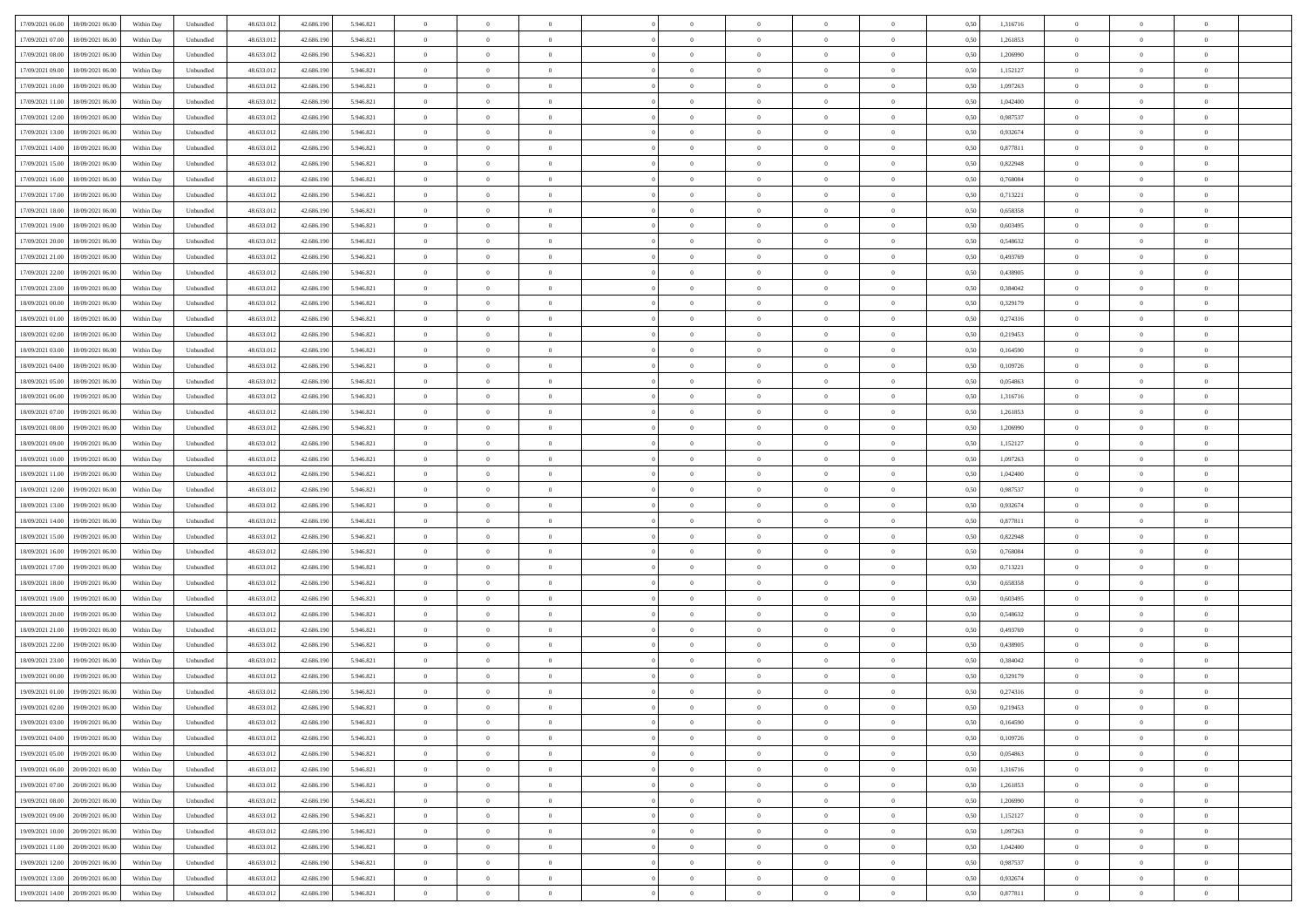| 17/09/2021 06:00<br>18/09/2021 06:00           | Within Day | Unbundled         | 48.633.01  | 42.686.190 | 5.946.821 | $\overline{0}$ | $\theta$       |                | $\overline{0}$ | $\theta$       |                | $\bf{0}$       | 0,50 | 1,316716 | $\theta$       | $\theta$       | $\theta$       |  |
|------------------------------------------------|------------|-------------------|------------|------------|-----------|----------------|----------------|----------------|----------------|----------------|----------------|----------------|------|----------|----------------|----------------|----------------|--|
| 17/09/2021 07:00<br>18/09/2021 06:00           | Within Day | Unbundled         | 48.633.01  | 42.686.19  | 5.946.821 | $\bf{0}$       | $\overline{0}$ | $\bf{0}$       | $\overline{0}$ | $\bf{0}$       | $\overline{0}$ | $\bf{0}$       | 0,50 | 1,261853 | $\,$ 0 $\,$    | $\bf{0}$       | $\overline{0}$ |  |
| 17/09/2021 08:00<br>18/09/2021 06:00           | Within Day | Unbundled         | 48.633.013 | 42.686.190 | 5.946.821 | $\overline{0}$ | $\bf{0}$       | $\overline{0}$ | $\bf{0}$       | $\bf{0}$       | $\overline{0}$ | $\bf{0}$       | 0.50 | 1,206990 | $\bf{0}$       | $\overline{0}$ | $\overline{0}$ |  |
| 17/09/2021 09:00<br>18/09/2021 06:00           |            |                   |            |            |           | $\overline{0}$ | $\overline{0}$ | $\overline{0}$ | $\theta$       | $\theta$       | $\overline{0}$ |                |      | 1,152127 | $\theta$       | $\theta$       | $\overline{0}$ |  |
|                                                | Within Day | Unbundled         | 48.633.013 | 42.686.190 | 5.946.821 |                |                |                |                |                |                | $\bf{0}$       | 0,50 |          |                |                |                |  |
| 17/09/2021 10:00<br>18/09/2021 06:00           | Within Day | Unbundled         | 48.633.01  | 42.686.190 | 5.946.821 | $\overline{0}$ | $\overline{0}$ | $\bf{0}$       | $\overline{0}$ | $\theta$       | $\overline{0}$ | $\bf{0}$       | 0,50 | 1,097263 | $\,$ 0 $\,$    | $\bf{0}$       | $\overline{0}$ |  |
| 17/09/2021 11:00<br>18/09/2021 06:00           | Within Day | Unbundled         | 48.633.013 | 42.686.190 | 5.946.821 | $\overline{0}$ | $\overline{0}$ | $\overline{0}$ | $\bf{0}$       | $\overline{0}$ | $\theta$       | $\bf{0}$       | 0.50 | 1.042400 | $\,$ 0 $\,$    | $\theta$       | $\overline{0}$ |  |
| 17/09/2021 12:00<br>18/09/2021 06:00           | Within Day | Unbundled         | 48.633.013 | 42.686.190 | 5.946.821 | $\overline{0}$ | $\overline{0}$ | $\overline{0}$ | $\overline{0}$ | $\overline{0}$ | $\overline{0}$ | $\bf{0}$       | 0,50 | 0,987537 | $\theta$       | $\theta$       | $\overline{0}$ |  |
|                                                |            |                   |            |            |           |                |                |                |                |                |                |                |      |          |                |                |                |  |
| 17/09/2021 13:00<br>18/09/2021 06:00           | Within Day | Unbundled         | 48.633.01  | 42.686.190 | 5.946.821 | $\overline{0}$ | $\overline{0}$ | $\bf{0}$       | $\overline{0}$ | $\bf{0}$       | $\overline{0}$ | $\bf{0}$       | 0,50 | 0,932674 | $\,$ 0 $\,$    | $\bf{0}$       | $\overline{0}$ |  |
| 17/09/2021 14:00<br>18/09/2021 06:00           | Within Day | Unbundled         | 48.633.013 | 42.686.190 | 5.946.821 | $\overline{0}$ | $\bf{0}$       | $\overline{0}$ | $\bf{0}$       | $\overline{0}$ | $\overline{0}$ | $\bf{0}$       | 0.50 | 0.877811 | $\bf{0}$       | $\overline{0}$ | $\overline{0}$ |  |
| 17/09/2021 15:00<br>18/09/2021 06:00           | Within Day | Unbundled         | 48.633.013 | 42.686.190 | 5.946.821 | $\overline{0}$ | $\bf{0}$       | $\overline{0}$ | $\overline{0}$ | $\overline{0}$ | $\overline{0}$ | $\bf{0}$       | 0,50 | 0,822948 | $\,$ 0 $\,$    | $\bf{0}$       | $\overline{0}$ |  |
| 17/09/2021 16:00<br>18/09/2021 06:00           | Within Day | Unbundled         | 48.633.01  | 42.686.190 | 5.946.821 | $\bf{0}$       | $\overline{0}$ | $\bf{0}$       | $\bf{0}$       | $\bf{0}$       | $\overline{0}$ | $\bf{0}$       | 0,50 | 0,768084 | $\,$ 0 $\,$    | $\bf{0}$       | $\overline{0}$ |  |
|                                                |            |                   |            |            |           |                |                |                |                |                |                |                |      |          |                |                |                |  |
| 17/09/2021 17:00<br>18/09/2021 06:00           | Within Day | Unbundled         | 48.633.013 | 42.686.190 | 5.946.821 | $\overline{0}$ | $\bf{0}$       | $\overline{0}$ | $\bf{0}$       | $\bf{0}$       | $\overline{0}$ | $\bf{0}$       | 0.50 | 0,713221 | $\bf{0}$       | $\overline{0}$ | $\overline{0}$ |  |
| 17/09/2021 18:00<br>18/09/2021 06:00           | Within Day | Unbundled         | 48.633.01  | 42.686.190 | 5.946.821 | $\overline{0}$ | $\overline{0}$ | $\overline{0}$ | $\theta$       | $\theta$       | $\overline{0}$ | $\bf{0}$       | 0,50 | 0,658358 | $\,$ 0 $\,$    | $\theta$       | $\overline{0}$ |  |
| 17/09/2021 19:00<br>18/09/2021 06:00           | Within Day | Unbundled         | 48.633.01  | 42.686.190 | 5.946.821 | $\bf{0}$       | $\theta$       | $\bf{0}$       | $\overline{0}$ | $\theta$       | $\overline{0}$ | $\bf{0}$       | 0,50 | 0,603495 | $\bf{0}$       | $\bf{0}$       | $\overline{0}$ |  |
|                                                |            |                   |            |            |           |                |                |                |                |                |                |                |      |          |                |                |                |  |
| 17/09/2021 20:00<br>18/09/2021 06:00           | Within Day | Unbundled         | 48.633.013 | 42.686.190 | 5.946.821 | $\overline{0}$ | $\overline{0}$ | $\overline{0}$ | $\bf{0}$       | $\overline{0}$ | $\Omega$       | $\bf{0}$       | 0.50 | 0.548632 | $\theta$       | $\theta$       | $\overline{0}$ |  |
| 17/09/2021 21:00<br>18/09/2021 06:00           | Within Day | Unbundled         | 48.633.013 | 42.686.190 | 5.946.821 | $\overline{0}$ | $\overline{0}$ | $\overline{0}$ | $\overline{0}$ | $\theta$       | $\overline{0}$ | $\bf{0}$       | 0,50 | 0,493769 | $\theta$       | $\theta$       | $\overline{0}$ |  |
| 17/09/2021 22:00<br>18/09/2021 06:00           | Within Day | Unbundled         | 48.633.01  | 42.686.190 | 5.946.821 | $\bf{0}$       | $\overline{0}$ | $\bf{0}$       | $\overline{0}$ | $\theta$       | $\overline{0}$ | $\bf{0}$       | 0,50 | 0,438905 | $\,$ 0 $\,$    | $\bf{0}$       | $\overline{0}$ |  |
| 17/09/2021 23:00<br>18/09/2021 06:00           | Within Day | Unbundled         | 48.633.013 | 42.686.190 | 5.946.821 | $\overline{0}$ | $\bf{0}$       | $\overline{0}$ | $\bf{0}$       | $\overline{0}$ | $\overline{0}$ | $\bf{0}$       | 0.50 | 0.384042 | $\bf{0}$       | $\overline{0}$ | $\overline{0}$ |  |
| 18/09/2021 00:00<br>18/09/2021 06:00           | Within Day | Unbundled         | 48.633.013 | 42.686.190 | 5.946.821 | $\overline{0}$ | $\bf{0}$       | $\overline{0}$ | $\overline{0}$ | $\overline{0}$ | $\overline{0}$ | $\bf{0}$       | 0,50 | 0,329179 | $\,$ 0 $\,$    | $\bf{0}$       | $\overline{0}$ |  |
|                                                |            |                   |            |            |           |                |                |                |                |                |                |                |      |          |                |                |                |  |
| 18/09/2021 01:00<br>18/09/2021 06:00           | Within Day | Unbundled         | 48.633.01  | 42.686.190 | 5.946.821 | $\bf{0}$       | $\bf{0}$       | $\bf{0}$       | $\bf{0}$       | $\overline{0}$ | $\overline{0}$ | $\bf{0}$       | 0,50 | 0,274316 | $\,$ 0 $\,$    | $\bf{0}$       | $\overline{0}$ |  |
| 18/09/2021 02:00<br>18/09/2021 06:00           | Within Day | Unbundled         | 48.633.013 | 42.686.190 | 5.946.821 | $\overline{0}$ | $\bf{0}$       | $\overline{0}$ | $\bf{0}$       | $\bf{0}$       | $\overline{0}$ | $\bf{0}$       | 0.50 | 0,219453 | $\bf{0}$       | $\overline{0}$ | $\overline{0}$ |  |
| 18/09/2021 03:00<br>18/09/2021 06:00           | Within Day | Unbundled         | 48.633.01  | 42.686.190 | 5.946.821 | $\overline{0}$ | $\overline{0}$ | $\overline{0}$ | $\theta$       | $\theta$       | $\overline{0}$ | $\bf{0}$       | 0,50 | 0,164590 | $\theta$       | $\theta$       | $\overline{0}$ |  |
| 18/09/2021 04:00<br>18/09/2021 06:00           | Within Day | Unbundled         | 48.633.01  | 42.686.190 | 5.946.821 | $\bf{0}$       | $\overline{0}$ | $\bf{0}$       | $\bf{0}$       | $\bf{0}$       | $\overline{0}$ | $\bf{0}$       | 0,50 | 0,109726 | $\,$ 0 $\,$    | $\bf{0}$       | $\overline{0}$ |  |
|                                                |            |                   |            |            |           |                |                |                |                |                |                |                |      |          |                |                |                |  |
| 18/09/2021 05:00<br>18/09/2021 06:00           | Within Day | Unbundled         | 48.633.013 | 42.686.190 | 5.946.821 | $\overline{0}$ | $\overline{0}$ | $\overline{0}$ | $\bf{0}$       | $\overline{0}$ | $\Omega$       | $\bf{0}$       | 0.50 | 0.054863 | $\,$ 0 $\,$    | $\theta$       | $\overline{0}$ |  |
| 18/09/2021 06:00<br>19/09/2021 06:00           | Within Day | Unbundled         | 48.633.013 | 42.686.190 | 5.946.821 | $\overline{0}$ | $\overline{0}$ | $\overline{0}$ | $\overline{0}$ | $\theta$       | $\overline{0}$ | $\bf{0}$       | 0,50 | 1,316716 | $\,$ 0 $\,$    | $\theta$       | $\overline{0}$ |  |
| 18/09/2021 07:00<br>19/09/2021 06:00           | Within Day | Unbundled         | 48.633.01  | 42.686.190 | 5.946.821 | $\bf{0}$       | $\theta$       | $\bf{0}$       | $\overline{0}$ | $\bf{0}$       | $\overline{0}$ | $\bf{0}$       | 0,50 | 1,261853 | $\,$ 0 $\,$    | $\bf{0}$       | $\overline{0}$ |  |
| 18/09/2021 08:00<br>19/09/2021 06:00           | Within Day | Unbundled         | 48.633.013 | 42.686.190 | 5.946.821 | $\overline{0}$ | $\bf{0}$       | $\overline{0}$ | $\bf{0}$       | $\overline{0}$ | $\overline{0}$ | $\bf{0}$       | 0.50 | 1.206990 | $\bf{0}$       | $\overline{0}$ | $\overline{0}$ |  |
|                                                |            |                   |            |            |           | $\overline{0}$ | $\overline{0}$ | $\overline{0}$ | $\overline{0}$ | $\overline{0}$ | $\overline{0}$ |                |      |          | $\theta$       | $\theta$       | $\overline{0}$ |  |
| 18/09/2021 09:00<br>19/09/2021 06:00           | Within Day | Unbundled         | 48.633.01  | 42.686.190 | 5.946.821 |                |                |                |                |                |                | $\bf{0}$       | 0,50 | 1,152127 |                |                |                |  |
| 18/09/2021 10:00<br>19/09/2021 06:00           | Within Day | Unbundled         | 48.633.01  | 42.686.190 | 5.946.821 | $\bf{0}$       | $\bf{0}$       | $\bf{0}$       | $\bf{0}$       | $\overline{0}$ | $\overline{0}$ | $\bf{0}$       | 0,50 | 1,097263 | $\,$ 0 $\,$    | $\bf{0}$       | $\overline{0}$ |  |
| 18/09/2021 11:00<br>19/09/2021 06:00           | Within Day | Unbundled         | 48.633.013 | 42.686.190 | 5.946.821 | $\overline{0}$ | $\bf{0}$       | $\overline{0}$ | $\bf{0}$       | $\bf{0}$       | $\overline{0}$ | $\bf{0}$       | 0.50 | 1.042400 | $\bf{0}$       | $\overline{0}$ | $\overline{0}$ |  |
| 18/09/2021 12:00<br>19/09/2021 06:00           | Within Day | Unbundled         | 48.633.013 | 42.686.190 | 5.946.821 | $\overline{0}$ | $\overline{0}$ | $\overline{0}$ | $\overline{0}$ | $\overline{0}$ | $\overline{0}$ | $\bf{0}$       | 0.50 | 0,987537 | $\theta$       | $\theta$       | $\overline{0}$ |  |
| 18/09/2021 13:00<br>19/09/2021 06:00           | Within Day | Unbundled         | 48.633.01  | 42.686.190 | 5.946.821 | $\bf{0}$       | $\overline{0}$ | $\bf{0}$       | $\bf{0}$       | $\,$ 0 $\,$    | $\overline{0}$ | $\bf{0}$       | 0,50 | 0,932674 | $\,$ 0 $\,$    | $\bf{0}$       | $\overline{0}$ |  |
|                                                |            |                   |            |            |           |                |                |                |                |                |                |                |      |          |                |                |                |  |
| 18/09/2021 14:00<br>19/09/2021 06:00           | Within Day | Unbundled         | 48.633.013 | 42.686.190 | 5.946.821 | $\overline{0}$ | $\bf{0}$       | $\overline{0}$ | $\bf{0}$       | $\bf{0}$       | $\Omega$       | $\bf{0}$       | 0.50 | 0.877811 | $\,$ 0 $\,$    | $\theta$       | $\overline{0}$ |  |
| 18/09/2021 15:00<br>19/09/2021 06:00           | Within Dav | Unbundled         | 48.633.013 | 42.686.190 | 5.946.821 | $\overline{0}$ | $\overline{0}$ | $\overline{0}$ | $\overline{0}$ | $\theta$       | $\overline{0}$ | $\overline{0}$ | 0.50 | 0,822948 | $\theta$       | $\theta$       | $\overline{0}$ |  |
| 18/09/2021 16:00<br>19/09/2021 06:00           | Within Day | Unbundled         | 48.633.01  | 42.686.190 | 5.946.821 | $\bf{0}$       | $\bf{0}$       | $\bf{0}$       | $\bf{0}$       | $\bf{0}$       | $\overline{0}$ | $\bf{0}$       | 0,50 | 0,768084 | $\,$ 0 $\,$    | $\bf{0}$       | $\overline{0}$ |  |
| 18/09/2021 17:00<br>19/09/2021 06:00           | Within Day | Unbundled         | 48.633.013 | 42.686.190 | 5.946.821 | $\overline{0}$ | $\bf{0}$       | $\overline{0}$ | $\bf{0}$       | $\overline{0}$ | $\overline{0}$ | $\bf{0}$       | 0.50 | 0.713221 | $\bf{0}$       | $\overline{0}$ | $\overline{0}$ |  |
|                                                |            |                   |            |            |           |                |                |                |                |                |                |                |      |          | $\theta$       | $\theta$       | $\overline{0}$ |  |
| 18/09/2021 18:00<br>19/09/2021 06:00           | Within Dav | Unbundled         | 48.633.013 | 42.686.190 | 5.946.821 | $\overline{0}$ | $\overline{0}$ | $\overline{0}$ | $\overline{0}$ | $\overline{0}$ | $\overline{0}$ | $\bf{0}$       | 0.50 | 0,658358 |                |                |                |  |
| 18/09/2021 19:00<br>19/09/2021 06:00           | Within Day | Unbundled         | 48.633.01  | 42.686.190 | 5.946.821 | $\bf{0}$       | $\bf{0}$       | $\bf{0}$       | $\bf{0}$       | $\overline{0}$ | $\overline{0}$ | $\bf{0}$       | 0,50 | 0,603495 | $\,$ 0 $\,$    | $\bf{0}$       | $\overline{0}$ |  |
| 18/09/2021 20:00<br>19/09/2021 06:00           | Within Day | Unbundled         | 48.633.013 | 42.686.190 | 5.946.821 | $\overline{0}$ | $\bf{0}$       | $\overline{0}$ | $\bf{0}$       | $\bf{0}$       | $\overline{0}$ | $\bf{0}$       | 0.50 | 0.548632 | $\bf{0}$       | $\overline{0}$ | $\overline{0}$ |  |
| 18/09/2021 21:00<br>19/09/2021 06:00           | Within Dav | Unbundled         | 48.633.013 | 42.686.190 | 5.946.821 | $\overline{0}$ | $\overline{0}$ | $\overline{0}$ | $\overline{0}$ | $\theta$       | $\overline{0}$ | $\bf{0}$       | 0.50 | 0,493769 | $\theta$       | $\theta$       | $\overline{0}$ |  |
| 18/09/2021 22:00<br>19/09/2021 06:00           | Within Day | Unbundled         | 48.633.01  | 42.686.190 | 5.946.821 | $\bf{0}$       | $\bf{0}$       | $\bf{0}$       | $\bf{0}$       | $\overline{0}$ | $\overline{0}$ | $\bf{0}$       | 0,50 | 0,438905 | $\,$ 0 $\,$    | $\bf{0}$       | $\overline{0}$ |  |
|                                                |            |                   |            |            |           |                |                |                |                |                |                |                |      |          |                |                |                |  |
| 18/09/2021 23:00<br>19/09/2021 06:00           | Within Day | Unbundled         | 48.633.013 | 42.686.190 | 5.946.821 | $\overline{0}$ | $\overline{0}$ | $\overline{0}$ | $\overline{0}$ | $\theta$       | $\Omega$       | $\bf{0}$       | 0.50 | 0.384042 | $\,$ 0 $\,$    | $\theta$       | $\overline{0}$ |  |
| 19/09/2021 00:00<br>19/09/2021 06:00           | Within Dav | Unbundled         | 48.633.013 | 42.686.190 | 5.946.821 | $\overline{0}$ | $\overline{0}$ | $\Omega$       | $\overline{0}$ | $\theta$       | $\Omega$       | $\overline{0}$ | 0.5( | 0,329179 | $\theta$       | $\theta$       | $\overline{0}$ |  |
| 19/09/2021 01:00<br>19/09/2021 06:00           | Within Day | Unbundled         | 48.633.01  | 42.686.190 | 5.946.821 | $\bf{0}$       | $\bf{0}$       | $\overline{0}$ | $\bf{0}$       | $\bf{0}$       | $\overline{0}$ | $\bf{0}$       | 0,50 | 0,274316 | $\overline{0}$ | $\bf{0}$       | $\overline{0}$ |  |
| $19/09/2021\; 02.00 \qquad 19/09/2021\; 06.00$ | Within Day | ${\sf Unbundred}$ | 48.633.012 | 42.686.190 | 5 946 821 | $\overline{0}$ |                |                | $\Omega$       |                |                |                | 0,50 | 0,219453 | $\theta$       | $\overline{0}$ |                |  |
| 19/09/2021 03:00 19/09/2021 06:00              | Within Day | Unbundled         | 48.633.012 | 42.686.190 | 5.946.821 | $\overline{0}$ | $\overline{0}$ | $\Omega$       | $\theta$       | $\overline{0}$ | $\overline{0}$ | $\bf{0}$       | 0,50 | 0,164590 | $\theta$       | $\overline{0}$ | $\overline{0}$ |  |
|                                                |            |                   |            |            |           |                |                |                |                |                |                |                |      |          |                |                |                |  |
| 19/09/2021 04:00<br>19/09/2021 06:00           | Within Day | Unbundled         | 48.633.013 | 42.686.190 | 5.946.821 | $\overline{0}$ | $\bf{0}$       | $\overline{0}$ | $\overline{0}$ | $\bf{0}$       | $\overline{0}$ | $\bf{0}$       | 0,50 | 0,109726 | $\bf{0}$       | $\overline{0}$ | $\bf{0}$       |  |
| 19/09/2021 05:00 19/09/2021 06:00              | Within Day | Unbundled         | 48.633.012 | 42.686.190 | 5.946.821 | $\overline{0}$ | $\bf{0}$       | $\overline{0}$ | $\overline{0}$ | $\mathbf{0}$   | $\overline{0}$ | $\,$ 0 $\,$    | 0.50 | 0.054863 | $\overline{0}$ | $\bf{0}$       | $\,$ 0 $\,$    |  |
| 19/09/2021 06:00 20/09/2021 06:00              | Within Day | Unbundled         | 48.633.012 | 42.686.190 | 5.946.821 | $\overline{0}$ | $\overline{0}$ | $\overline{0}$ | $\overline{0}$ | $\overline{0}$ | $\overline{0}$ | $\bf{0}$       | 0,50 | 1,316716 | $\overline{0}$ | $\theta$       | $\overline{0}$ |  |
|                                                |            |                   |            |            |           |                |                |                |                |                |                |                |      |          | $\bf{0}$       |                |                |  |
| 19/09/2021 07:00<br>20/09/2021 06:00           | Within Day | Unbundled         | 48.633.012 | 42.686.190 | 5.946.821 | $\overline{0}$ | $\bf{0}$       | $\overline{0}$ | $\overline{0}$ | $\bf{0}$       | $\overline{0}$ | $\bf{0}$       | 0,50 | 1,261853 |                | $\overline{0}$ | $\overline{0}$ |  |
| 19/09/2021 08:00<br>20/09/2021 06:00           | Within Day | Unbundled         | 48.633.012 | 42.686.190 | 5.946.821 | $\overline{0}$ | $\bf{0}$       | $\overline{0}$ | $\overline{0}$ | $\bf{0}$       | $\overline{0}$ | $\bf{0}$       | 0.50 | 1.206990 | $\,$ 0 $\,$    | $\overline{0}$ | $\,$ 0         |  |
| 19/09/2021 09:00<br>20/09/2021 06:00           | Within Dav | Unbundled         | 48.633.012 | 42.686.190 | 5.946.821 | $\overline{0}$ | $\overline{0}$ | $\overline{0}$ | $\overline{0}$ | $\overline{0}$ | $\overline{0}$ | $\bf{0}$       | 0.50 | 1,152127 | $\overline{0}$ | $\theta$       | $\overline{0}$ |  |
| 19/09/2021 10:00<br>20/09/2021 06:00           | Within Day | Unbundled         | 48.633.013 | 42.686.190 | 5.946.821 | $\overline{0}$ | $\overline{0}$ | $\overline{0}$ | $\overline{0}$ | $\overline{0}$ | $\overline{0}$ | $\bf{0}$       | 0,50 | 1,097263 | $\bf{0}$       | $\overline{0}$ | $\overline{0}$ |  |
| 19/09/2021 11:00 20/09/2021 06:00              |            | Unbundled         | 48.633.012 | 42.686.190 | 5.946.821 | $\overline{0}$ | $\overline{0}$ |                |                |                | $\overline{0}$ |                | 0.50 | 1.042400 | $\mathbf{0}$   | $\bf{0}$       | $\,$ 0         |  |
|                                                | Within Day |                   |            |            |           |                |                | $\overline{0}$ | $\overline{0}$ | $\overline{0}$ |                | $\bf{0}$       |      |          |                |                |                |  |
| 19/09/2021 12:00 20/09/2021 06:00              | Within Dav | Unbundled         | 48.633.012 | 42.686.190 | 5.946.821 | $\overline{0}$ | $\overline{0}$ | $\overline{0}$ | $\overline{0}$ | $\overline{0}$ | $\overline{0}$ | $\bf{0}$       | 0,50 | 0,987537 | $\overline{0}$ | $\theta$       | $\overline{0}$ |  |
| 19/09/2021 13:00<br>20/09/2021 06:00           | Within Day | Unbundled         | 48.633.013 | 42.686.190 | 5.946.821 | $\overline{0}$ | $\bf{0}$       | $\overline{0}$ | $\overline{0}$ | $\overline{0}$ | $\overline{0}$ | $\bf{0}$       | 0,50 | 0,932674 | $\bf{0}$       | $\,$ 0 $\,$    | $\bf{0}$       |  |
| 19/09/2021 14:00 20/09/2021 06:00              | Within Day | Unbundled         | 48.633.012 | 42.686.190 | 5.946.821 | $\,$ 0 $\,$    | $\bf{0}$       | $\overline{0}$ | $\overline{0}$ | $\,$ 0 $\,$    | $\overline{0}$ | $\,$ 0 $\,$    | 0,50 | 0,877811 | $\overline{0}$ | $\,$ 0 $\,$    | $\,$ 0 $\,$    |  |
|                                                |            |                   |            |            |           |                |                |                |                |                |                |                |      |          |                |                |                |  |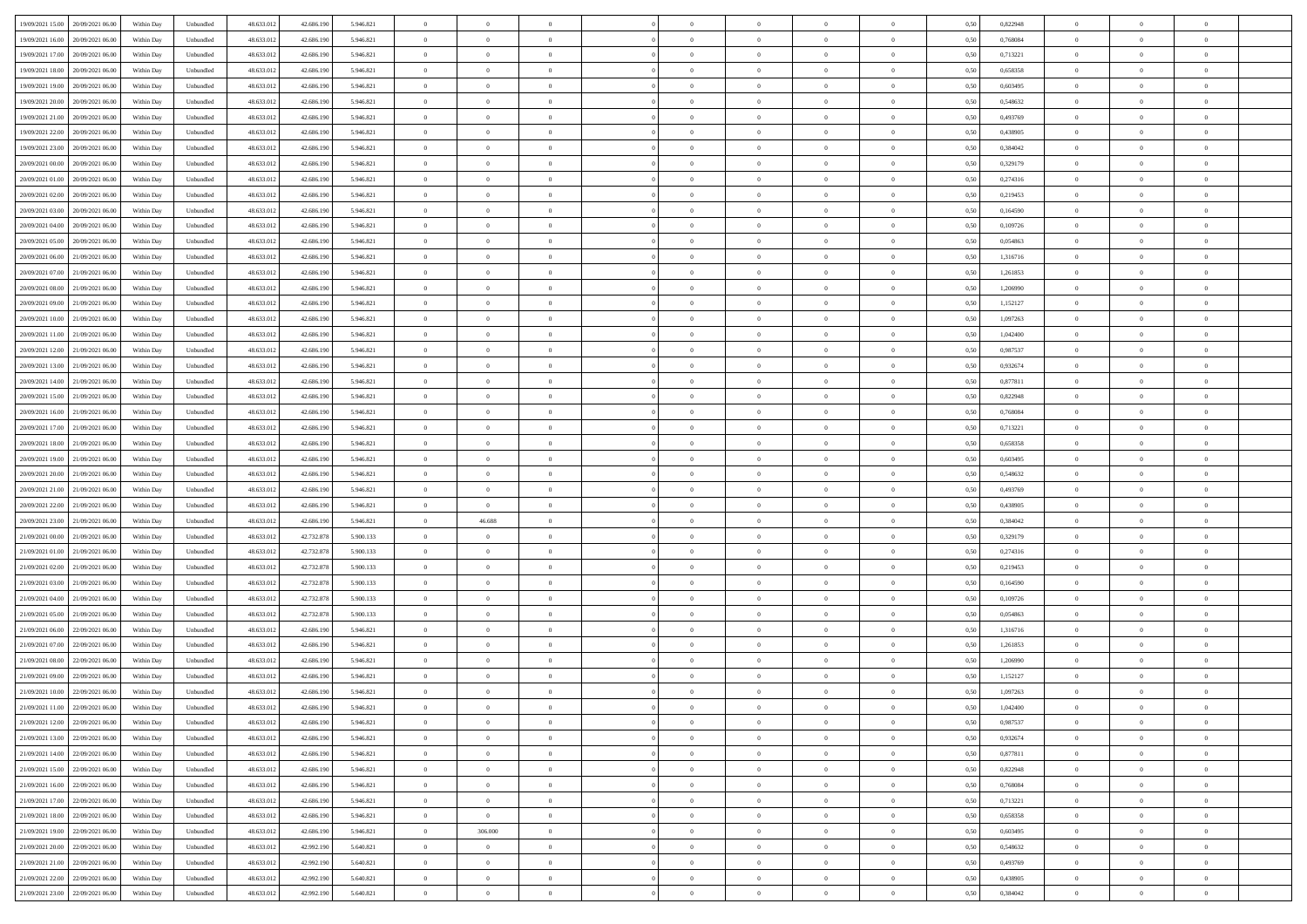|                                      |            |                                   |            |            |           | $\overline{0}$ | $\theta$       |                | $\overline{0}$ | $\theta$       |                | $\bf{0}$       |      |          | $\theta$       | $\theta$       | $\overline{0}$ |  |
|--------------------------------------|------------|-----------------------------------|------------|------------|-----------|----------------|----------------|----------------|----------------|----------------|----------------|----------------|------|----------|----------------|----------------|----------------|--|
| 19/09/2021 15:00 20/09/2021 06:00    | Within Day | Unbundled                         | 48.633.01  | 42.686.190 | 5.946.821 |                |                |                |                |                |                |                | 0,50 | 0,822948 |                |                |                |  |
| 19/09/2021 16:00<br>20/09/2021 06:00 | Within Day | Unbundled                         | 48.633.01  | 42.686.19  | 5.946.821 | $\bf{0}$       | $\bf{0}$       | $\bf{0}$       | $\bf{0}$       | $\overline{0}$ | $\overline{0}$ | $\bf{0}$       | 0,50 | 0,768084 | $\,$ 0 $\,$    | $\bf{0}$       | $\overline{0}$ |  |
| 19/09/2021 17:00<br>20/09/2021 06:00 | Within Day | Unbundled                         | 48.633.013 | 42.686.190 | 5.946.821 | $\overline{0}$ | $\bf{0}$       | $\overline{0}$ | $\bf{0}$       | $\bf{0}$       | $\overline{0}$ | $\bf{0}$       | 0.50 | 0,713221 | $\overline{0}$ | $\overline{0}$ | $\bf{0}$       |  |
| 19/09/2021 18:00<br>20/09/2021 06:00 | Within Day | Unbundled                         | 48.633.013 | 42.686.190 | 5.946.821 | $\overline{0}$ | $\overline{0}$ | $\overline{0}$ | $\theta$       | $\theta$       | $\overline{0}$ | $\bf{0}$       | 0,50 | 0,658358 | $\theta$       | $\theta$       | $\overline{0}$ |  |
| 19/09/2021 19:00<br>20/09/2021 06:00 | Within Day | Unbundled                         | 48.633.01  | 42.686.190 | 5.946.821 | $\overline{0}$ | $\overline{0}$ | $\bf{0}$       | $\overline{0}$ | $\theta$       | $\overline{0}$ | $\bf{0}$       | 0,50 | 0,603495 | $\,$ 0 $\,$    | $\bf{0}$       | $\overline{0}$ |  |
|                                      |            |                                   |            |            |           |                |                |                |                |                |                |                |      |          |                |                |                |  |
| 19/09/2021 20:00<br>20/09/2021 06:00 | Within Day | Unbundled                         | 48.633.013 | 42.686.190 | 5.946.821 | $\overline{0}$ | $\overline{0}$ | $\overline{0}$ | $\bf{0}$       | $\overline{0}$ | $\theta$       | $\bf{0}$       | 0.50 | 0.548632 | $\,$ 0 $\,$    | $\theta$       | $\overline{0}$ |  |
| 19/09/2021 21:00<br>20/09/2021 06:00 | Within Day | Unbundled                         | 48.633.013 | 42.686.190 | 5.946.821 | $\overline{0}$ | $\overline{0}$ | $\overline{0}$ | $\overline{0}$ | $\overline{0}$ | $\overline{0}$ | $\bf{0}$       | 0,50 | 0,493769 | $\theta$       | $\theta$       | $\overline{0}$ |  |
| 19/09/2021 22:00<br>20/09/2021 06:00 | Within Day | Unbundled                         | 48.633.01  | 42.686.190 | 5.946.821 | $\bf{0}$       | $\bf{0}$       | $\bf{0}$       | $\overline{0}$ | $\overline{0}$ | $\overline{0}$ | $\bf{0}$       | 0,50 | 0,438905 | $\,$ 0 $\,$    | $\bf{0}$       | $\overline{0}$ |  |
| 19/09/2021 23:00<br>20/09/2021 06:00 | Within Day | Unbundled                         | 48.633.013 | 42.686.190 | 5.946.821 | $\overline{0}$ | $\bf{0}$       | $\overline{0}$ | $\bf{0}$       | $\overline{0}$ | $\overline{0}$ | $\bf{0}$       | 0.50 | 0.384042 | $\bf{0}$       | $\overline{0}$ | $\overline{0}$ |  |
| 20/09/2021 00:00<br>20/09/2021 06:00 | Within Day | Unbundled                         | 48.633.013 | 42.686.190 | 5.946.821 | $\overline{0}$ | $\bf{0}$       | $\overline{0}$ | $\overline{0}$ | $\overline{0}$ | $\overline{0}$ | $\bf{0}$       | 0,50 | 0,329179 | $\,$ 0 $\,$    | $\bf{0}$       | $\overline{0}$ |  |
| 20/09/2021 01:00<br>20/09/2021 06:00 | Within Day | Unbundled                         | 48.633.01  | 42.686.190 | 5.946.821 | $\bf{0}$       | $\overline{0}$ | $\bf{0}$       | $\bf{0}$       | $\overline{0}$ | $\overline{0}$ | $\bf{0}$       | 0,50 | 0,274316 | $\,$ 0 $\,$    | $\bf{0}$       | $\overline{0}$ |  |
| 20/09/2021 02:00<br>20/09/2021 06:00 | Within Day | Unbundled                         | 48.633.013 | 42.686.190 | 5.946.821 | $\overline{0}$ | $\bf{0}$       | $\overline{0}$ | $\overline{0}$ | $\bf{0}$       | $\overline{0}$ | $\bf{0}$       | 0.50 | 0,219453 | $\bf{0}$       | $\overline{0}$ | $\,$ 0         |  |
|                                      |            |                                   |            |            |           | $\overline{0}$ | $\overline{0}$ | $\overline{0}$ | $\theta$       | $\theta$       | $\overline{0}$ |                |      |          | $\,$ 0 $\,$    | $\theta$       | $\overline{0}$ |  |
| 20/09/2021 03:00<br>20/09/2021 06:00 | Within Day | Unbundled                         | 48.633.01  | 42.686.190 | 5.946.821 |                |                |                |                |                |                | $\bf{0}$       | 0,50 | 0,164590 |                |                |                |  |
| 20/09/2021 04:00<br>20/09/2021 06:00 | Within Day | Unbundled                         | 48.633.01  | 42.686.190 | 5.946.821 | $\bf{0}$       | $\overline{0}$ | $\bf{0}$       | $\overline{0}$ | $\bf{0}$       | $\overline{0}$ | $\bf{0}$       | 0,50 | 0,109726 | $\,$ 0 $\,$    | $\bf{0}$       | $\overline{0}$ |  |
| 20/09/2021 05:00<br>20/09/2021 06:00 | Within Day | Unbundled                         | 48.633.013 | 42.686.190 | 5.946.821 | $\overline{0}$ | $\overline{0}$ | $\overline{0}$ | $\bf{0}$       | $\overline{0}$ | $\theta$       | $\bf{0}$       | 0.50 | 0.054863 | $\,$ 0 $\,$    | $\theta$       | $\overline{0}$ |  |
| 20/09/2021 06:00<br>21/09/2021 06:00 | Within Day | Unbundled                         | 48.633.013 | 42.686.190 | 5.946.821 | $\overline{0}$ | $\overline{0}$ | $\overline{0}$ | $\overline{0}$ | $\overline{0}$ | $\overline{0}$ | $\bf{0}$       | 0,50 | 1,316716 | $\theta$       | $\theta$       | $\overline{0}$ |  |
| 20/09/2021 07:00<br>21/09/2021 06.00 | Within Day | Unbundled                         | 48.633.01  | 42.686.190 | 5.946.821 | $\bf{0}$       | $\bf{0}$       | $\bf{0}$       | $\overline{0}$ | $\bf{0}$       | $\overline{0}$ | $\bf{0}$       | 0,50 | 1,261853 | $\,$ 0 $\,$    | $\bf{0}$       | $\overline{0}$ |  |
| 20/09/2021 08:00<br>21/09/2021 06:00 | Within Day | Unbundled                         | 48.633.013 | 42.686.190 | 5.946.821 | $\overline{0}$ | $\bf{0}$       | $\overline{0}$ | $\bf{0}$       | $\overline{0}$ | $\overline{0}$ | $\bf{0}$       | 0.50 | 1.206990 | $\bf{0}$       | $\overline{0}$ | $\bf{0}$       |  |
| 20/09/2021 09:00<br>21/09/2021 06:00 | Within Day | Unbundled                         | 48.633.013 | 42.686.190 | 5.946.821 | $\overline{0}$ | $\bf{0}$       | $\overline{0}$ | $\overline{0}$ | $\overline{0}$ | $\overline{0}$ | $\bf{0}$       | 0,50 | 1,152127 | $\,$ 0 $\,$    | $\bf{0}$       | $\overline{0}$ |  |
| 20/09/2021 10:00<br>21/09/2021 06.00 | Within Day | Unbundled                         | 48.633.01  | 42.686.190 | 5.946.821 | $\bf{0}$       | $\bf{0}$       | $\bf{0}$       | $\bf{0}$       | $\overline{0}$ | $\overline{0}$ | $\bf{0}$       | 0,50 | 1,097263 | $\,$ 0 $\,$    | $\bf{0}$       | $\overline{0}$ |  |
|                                      |            |                                   |            |            |           |                |                |                |                |                |                |                |      |          |                |                |                |  |
| 20/09/2021 11:00<br>21/09/2021 06:00 | Within Day | Unbundled                         | 48.633.013 | 42.686.190 | 5.946.821 | $\overline{0}$ | $\bf{0}$       | $\overline{0}$ | $\overline{0}$ | $\bf{0}$       | $\overline{0}$ | $\bf{0}$       | 0.50 | 1.042400 | $\bf{0}$       | $\overline{0}$ | $\,$ 0         |  |
| 20/09/2021 12:00<br>21/09/2021 06:00 | Within Day | Unbundled                         | 48.633.01  | 42.686.190 | 5.946.821 | $\overline{0}$ | $\overline{0}$ | $\overline{0}$ | $\overline{0}$ | $\theta$       | $\overline{0}$ | $\bf{0}$       | 0,50 | 0,987537 | $\theta$       | $\theta$       | $\overline{0}$ |  |
| 20/09/2021 13:00<br>21/09/2021 06.00 | Within Day | Unbundled                         | 48.633.01  | 42.686.190 | 5.946.821 | $\bf{0}$       | $\bf{0}$       | $\bf{0}$       | $\bf{0}$       | $\overline{0}$ | $\overline{0}$ | $\bf{0}$       | 0,50 | 0,932674 | $\,$ 0 $\,$    | $\bf{0}$       | $\overline{0}$ |  |
| 20/09/2021 14:00<br>21/09/2021 06:00 | Within Day | Unbundled                         | 48.633.013 | 42.686.190 | 5.946.821 | $\overline{0}$ | $\overline{0}$ | $\overline{0}$ | $\bf{0}$       | $\overline{0}$ | $\theta$       | $\bf{0}$       | 0.50 | 0.877811 | $\,$ 0 $\,$    | $\theta$       | $\overline{0}$ |  |
| 20/09/2021 15:00<br>21/09/2021 06:00 | Within Day | Unbundled                         | 48.633.013 | 42.686.190 | 5.946.821 | $\overline{0}$ | $\overline{0}$ | $\overline{0}$ | $\overline{0}$ | $\overline{0}$ | $\overline{0}$ | $\bf{0}$       | 0,50 | 0,822948 | $\theta$       | $\theta$       | $\overline{0}$ |  |
| 20/09/2021 16:00<br>21/09/2021 06.00 | Within Day | Unbundled                         | 48.633.01  | 42.686.190 | 5.946.821 | $\bf{0}$       | $\overline{0}$ | $\bf{0}$       | $\overline{0}$ | $\bf{0}$       | $\overline{0}$ | $\bf{0}$       | 0,50 | 0,768084 | $\,$ 0 $\,$    | $\bf{0}$       | $\overline{0}$ |  |
| 20/09/2021 17:00<br>21/09/2021 06:00 | Within Day | Unbundled                         | 48.633.013 | 42.686.190 | 5.946.821 | $\overline{0}$ | $\bf{0}$       | $\overline{0}$ | $\bf{0}$       | $\overline{0}$ | $\overline{0}$ | $\bf{0}$       | 0.50 | 0.713221 | $\bf{0}$       | $\overline{0}$ | $\overline{0}$ |  |
| 20/09/2021 18:00<br>21/09/2021 06:00 | Within Day | Unbundled                         | 48.633.01  | 42.686.190 | 5.946.821 | $\overline{0}$ | $\overline{0}$ | $\overline{0}$ | $\overline{0}$ | $\overline{0}$ | $\overline{0}$ | $\bf{0}$       | 0,50 | 0,658358 | $\theta$       | $\theta$       | $\overline{0}$ |  |
|                                      |            |                                   |            |            |           |                |                |                |                |                |                |                |      |          |                |                |                |  |
| 20/09/2021 19:00<br>21/09/2021 06.00 | Within Day | Unbundled                         | 48.633.01  | 42.686.190 | 5.946.821 | $\bf{0}$       | $\bf{0}$       | $\bf{0}$       | $\bf{0}$       | $\overline{0}$ | $\overline{0}$ | $\bf{0}$       | 0,50 | 0,603495 | $\,$ 0 $\,$    | $\bf{0}$       | $\overline{0}$ |  |
| 20/09/2021 20:00<br>21/09/2021 06:00 | Within Day | Unbundled                         | 48.633.013 | 42.686.190 | 5.946.821 | $\overline{0}$ | $\bf{0}$       | $\overline{0}$ | $\bf{0}$       | $\bf{0}$       | $\overline{0}$ | $\bf{0}$       | 0.50 | 0.548632 | $\bf{0}$       | $\overline{0}$ | $\bf{0}$       |  |
| 20/09/2021 21:00<br>21/09/2021 06:00 | Within Day | Unbundled                         | 48.633.013 | 42.686.190 | 5.946.821 | $\overline{0}$ | $\overline{0}$ | $\overline{0}$ | $\overline{0}$ | $\overline{0}$ | $\overline{0}$ | $\bf{0}$       | 0.50 | 0,493769 | $\theta$       | $\theta$       | $\overline{0}$ |  |
| 20/09/2021 22:00<br>21/09/2021 06.00 | Within Day | Unbundled                         | 48.633.01  | 42.686.190 | 5.946.821 | $\bf{0}$       | $\bf{0}$       | $\bf{0}$       | $\bf{0}$       | $\overline{0}$ | $\overline{0}$ | $\bf{0}$       | 0,50 | 0,438905 | $\,$ 0 $\,$    | $\bf{0}$       | $\overline{0}$ |  |
| 20/09/2021 23:00<br>21/09/2021 06:00 | Within Day | Unbundled                         | 48.633.013 | 42.686.190 | 5.946.821 | $\overline{0}$ | 46.688         | $\overline{0}$ | $\bf{0}$       | $\overline{0}$ | $\overline{0}$ | $\bf{0}$       | 0.50 | 0.384042 | $\,$ 0 $\,$    | $\theta$       | $\overline{0}$ |  |
| 21/09/2021 00:00<br>21/09/2021 06:00 | Within Dav | Unbundled                         | 48.633.013 | 42.732.878 | 5.900.133 | $\overline{0}$ | $\overline{0}$ | $\overline{0}$ | $\overline{0}$ | $\overline{0}$ | $\overline{0}$ | $\bf{0}$       | 0.5( | 0,329179 | $\theta$       | $\theta$       | $\overline{0}$ |  |
| 21/09/2021 01:00<br>21/09/2021 06:00 | Within Day | Unbundled                         | 48.633.01  | 42.732.878 | 5.900.133 | $\bf{0}$       | $\overline{0}$ | $\bf{0}$       | $\bf{0}$       | $\overline{0}$ | $\overline{0}$ | $\bf{0}$       | 0,50 | 0,274316 | $\,$ 0 $\,$    | $\bf{0}$       | $\overline{0}$ |  |
| 21/09/2021 02:00<br>21/09/2021 06:00 | Within Day | Unbundled                         | 48.633.013 | 42.732.878 | 5.900.133 | $\overline{0}$ | $\bf{0}$       | $\overline{0}$ | $\bf{0}$       | $\overline{0}$ | $\overline{0}$ | $\bf{0}$       | 0.50 | 0.219453 | $\bf{0}$       | $\overline{0}$ | $\overline{0}$ |  |
| 21/09/2021 03:00<br>21/09/2021 06:00 | Within Dav | Unbundled                         | 48.633.013 | 42.732.878 | 5.900.133 | $\overline{0}$ | $\overline{0}$ | $\overline{0}$ | $\overline{0}$ | $\overline{0}$ | $\overline{0}$ | $\bf{0}$       | 0.50 | 0,164590 | $\theta$       | $\theta$       | $\overline{0}$ |  |
|                                      |            |                                   |            |            |           |                |                |                |                |                |                |                |      |          |                |                |                |  |
| 21/09/2021 04:00<br>21/09/2021 06.00 | Within Day | Unbundled                         | 48.633.01  | 42.732.878 | 5.900.133 | $\bf{0}$       | $\bf{0}$       | $\bf{0}$       | $\bf{0}$       | $\overline{0}$ | $\overline{0}$ | $\bf{0}$       | 0,50 | 0,109726 | $\,$ 0 $\,$    | $\bf{0}$       | $\overline{0}$ |  |
| 21/09/2021 05:00<br>21/09/2021 06:00 | Within Day | Unbundled                         | 48.633.013 | 42.732.878 | 5.900.133 | $\overline{0}$ | $\bf{0}$       | $\overline{0}$ | $\overline{0}$ | $\bf{0}$       | $\overline{0}$ | $\bf{0}$       | 0.50 | 0.054863 | $\,$ 0 $\,$    | $\overline{0}$ | $\,$ 0         |  |
| 21/09/2021 06:00<br>22/09/2021 06:00 | Within Dav | Unbundled                         | 48.633.013 | 42.686.190 | 5.946.821 | $\overline{0}$ | $\overline{0}$ | $\overline{0}$ | $\overline{0}$ | $\overline{0}$ | $\overline{0}$ | $\bf{0}$       | 0.5( | 1,316716 | $\theta$       | $\theta$       | $\overline{0}$ |  |
| 21/09/2021 07:00<br>22/09/2021 06.00 | Within Day | Unbundled                         | 48.633.013 | 42.686.190 | 5.946.821 | $\bf{0}$       | $\bf{0}$       | $\bf{0}$       | $\bf{0}$       | $\overline{0}$ | $\overline{0}$ | $\bf{0}$       | 0,50 | 1,261853 | $\,$ 0 $\,$    | $\bf{0}$       | $\overline{0}$ |  |
| 21/09/2021 08:00<br>22/09/2021 06:00 | Within Day | Unbundled                         | 48.633.013 | 42.686.190 | 5.946.821 | $\overline{0}$ | $\overline{0}$ | $\overline{0}$ | $\bf{0}$       | $\overline{0}$ | $\Omega$       | $\bf{0}$       | 0.50 | 1.206990 | $\bf{0}$       | $\theta$       | $\overline{0}$ |  |
| 21/09/2021 09:00<br>22/09/2021 06:00 | Within Dav | Unbundled                         | 48.633.013 | 42.686.190 | 5.946.821 | $\overline{0}$ | $\overline{0}$ | $\Omega$       | $\overline{0}$ | $\theta$       | $\overline{0}$ | $\overline{0}$ | 0.5( | 1,152127 | $\theta$       | $\theta$       | $\overline{0}$ |  |
| 21/09/2021 10:00<br>22/09/2021 06:00 | Within Day | Unbundled                         | 48.633.01  | 42.686.190 | 5.946.821 | $\bf{0}$       | $\bf{0}$       | $\overline{0}$ | $\bf{0}$       | $\bf{0}$       | $\overline{0}$ | $\bf{0}$       | 0,50 | 1,097263 | $\overline{0}$ | $\bf{0}$       | $\overline{0}$ |  |
| 21/09/2021 11:00 22/09/2021 06:00    | Within Day | $\ensuremath{\mathsf{Unbundred}}$ | 48.633.012 | 42.686.190 | 5 946 821 | $\bf{0}$       | $\Omega$       |                | $\Omega$       |                |                |                | 0,50 | 1,042400 | $\bf{0}$       | $\overline{0}$ |                |  |
|                                      |            |                                   |            |            |           |                |                |                |                |                |                |                |      |          |                |                |                |  |
| 21/09/2021 12:00 22/09/2021 06:00    | Within Day | Unbundled                         | 48.633.012 | 42.686.190 | 5.946.821 | $\overline{0}$ | $\overline{0}$ | $\Omega$       | $\theta$       | $\overline{0}$ | $\overline{0}$ | $\bf{0}$       | 0,50 | 0,987537 | $\theta$       | $\theta$       | $\overline{0}$ |  |
| 21/09/2021 13:00<br>22/09/2021 06:00 | Within Day | Unbundled                         | 48.633.013 | 42.686.190 | 5.946.821 | $\overline{0}$ | $\bf{0}$       | $\overline{0}$ | $\overline{0}$ | $\bf{0}$       | $\overline{0}$ | $\bf{0}$       | 0,50 | 0,932674 | $\bf{0}$       | $\overline{0}$ | $\bf{0}$       |  |
| 21/09/2021 14:00 22/09/2021 06:00    | Within Day | Unbundled                         | 48.633.012 | 42.686.190 | 5.946.821 | $\overline{0}$ | $\bf{0}$       | $\overline{0}$ | $\overline{0}$ | $\mathbf{0}$   | $\overline{0}$ | $\,$ 0 $\,$    | 0.50 | 0.877811 | $\overline{0}$ | $\bf{0}$       | $\,$ 0 $\,$    |  |
| 21/09/2021 15:00 22/09/2021 06:00    | Within Day | Unbundled                         | 48.633.012 | 42.686.190 | 5.946.821 | $\overline{0}$ | $\overline{0}$ | $\overline{0}$ | $\overline{0}$ | $\overline{0}$ | $\overline{0}$ | $\bf{0}$       | 0,50 | 0,822948 | $\overline{0}$ | $\theta$       | $\overline{0}$ |  |
| 21/09/2021 16:00<br>22/09/2021 06:00 | Within Day | Unbundled                         | 48.633.012 | 42.686.190 | 5.946.821 | $\overline{0}$ | $\bf{0}$       | $\overline{0}$ | $\overline{0}$ | $\overline{0}$ | $\overline{0}$ | $\bf{0}$       | 0,50 | 0,768084 | $\bf{0}$       | $\overline{0}$ | $\overline{0}$ |  |
| 21/09/2021 17:00 22/09/2021 06:00    | Within Day | Unbundled                         | 48.633.012 | 42.686.190 | 5.946.821 | $\overline{0}$ | $\bf{0}$       | $\overline{0}$ | $\overline{0}$ | $\bf{0}$       | $\overline{0}$ | $\bf{0}$       | 0.50 | 0,713221 | $\,$ 0 $\,$    | $\overline{0}$ | $\,$ 0         |  |
| 21/09/2021 18:00 22/09/2021 06:00    | Within Day | Unbundled                         | 48.633.012 | 42.686.190 | 5.946.821 | $\overline{0}$ | $\overline{0}$ | $\overline{0}$ | $\overline{0}$ | $\overline{0}$ | $\overline{0}$ | $\bf{0}$       | 0.50 | 0,658358 | $\overline{0}$ | $\theta$       | $\overline{0}$ |  |
| 21/09/2021 19:00<br>22/09/2021 06:00 | Within Day | Unbundled                         | 48.633.013 | 42.686.190 | 5.946.821 | $\overline{0}$ | 306.000        | $\overline{0}$ | $\overline{0}$ | $\overline{0}$ | $\overline{0}$ | $\bf{0}$       | 0,50 | 0,603495 | $\bf{0}$       | $\overline{0}$ | $\overline{0}$ |  |
|                                      |            |                                   |            |            |           |                |                |                |                |                |                |                |      |          |                |                |                |  |
| 21/09/2021 20:00 22/09/2021 06:00    | Within Day | Unbundled                         | 48.633.012 | 42.992.190 | 5.640.821 | $\overline{0}$ | $\overline{0}$ | $\overline{0}$ | $\overline{0}$ | $\overline{0}$ | $\overline{0}$ | $\bf{0}$       | 0.50 | 0.548632 | $\mathbf{0}$   | $\bf{0}$       | $\,$ 0         |  |
| 21/09/2021 21:00 22/09/2021 06:00    | Within Dav | Unbundled                         | 48.633.012 | 42.992.190 | 5.640.821 | $\overline{0}$ | $\overline{0}$ | $\overline{0}$ | $\overline{0}$ | $\overline{0}$ | $\overline{0}$ | $\bf{0}$       | 0,50 | 0,493769 | $\overline{0}$ | $\theta$       | $\overline{0}$ |  |
| 21/09/2021 22:00<br>22/09/2021 06:00 | Within Day | Unbundled                         | 48.633.013 | 42.992.190 | 5.640.821 | $\overline{0}$ | $\bf{0}$       | $\overline{0}$ | $\bf{0}$       | $\overline{0}$ | $\overline{0}$ | $\bf{0}$       | 0,50 | 0,438905 | $\bf{0}$       | $\,$ 0 $\,$    | $\bf{0}$       |  |
| 21/09/2021 23:00 22/09/2021 06:00    | Within Day | Unbundled                         | 48.633.012 | 42.992.190 | 5.640.821 | $\,$ 0 $\,$    | $\bf{0}$       | $\overline{0}$ | $\overline{0}$ | $\,$ 0 $\,$    | $\overline{0}$ | $\bf{0}$       | 0,50 | 0,384042 | $\overline{0}$ | $\,$ 0 $\,$    | $\,$ 0 $\,$    |  |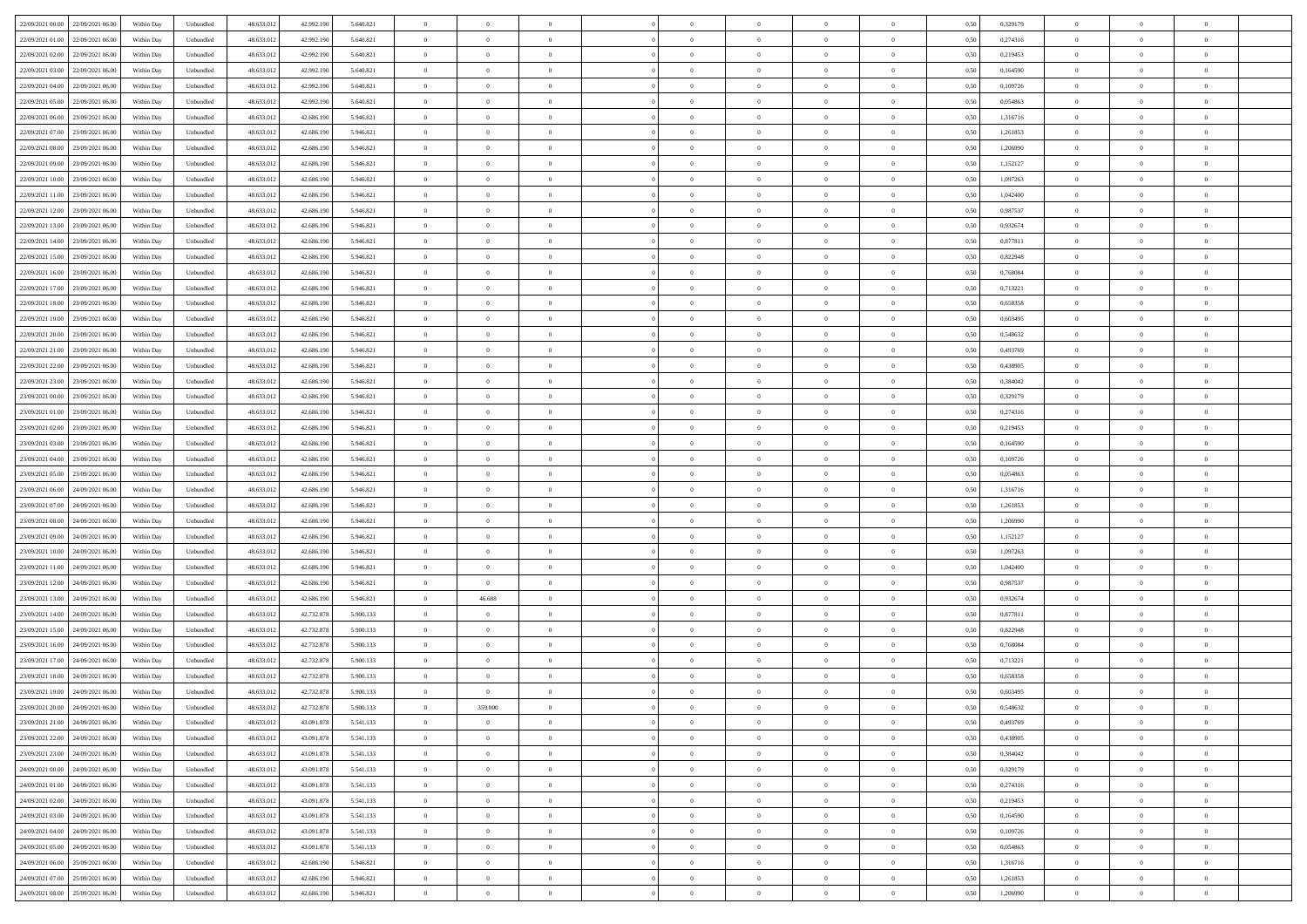| 22/09/2021 00:00 22/09/2021 06:00            | Within Day | Unbundled         | 48.633.01  | 42.992.190 | 5.640.821 | $\overline{0}$ | $\theta$       |                | $\overline{0}$ | $\theta$       |                | $\theta$       | 0,50 | 0,329179 | $\theta$       | $\theta$       | $\theta$       |  |
|----------------------------------------------|------------|-------------------|------------|------------|-----------|----------------|----------------|----------------|----------------|----------------|----------------|----------------|------|----------|----------------|----------------|----------------|--|
| 22/09/2021 01:00<br>22/09/2021 06.00         | Within Day | Unbundled         | 48.633.01  | 42.992.19  | 5.640.821 | $\bf{0}$       | $\bf{0}$       | $\bf{0}$       | $\bf{0}$       | $\overline{0}$ | $\overline{0}$ | $\bf{0}$       | 0,50 | 0,274316 | $\,$ 0 $\,$    | $\bf{0}$       | $\overline{0}$ |  |
| 22/09/2021 02:00<br>22/09/2021 06:00         | Within Day | Unbundled         | 48.633.013 | 42.992.190 | 5.640.821 | $\overline{0}$ | $\bf{0}$       | $\overline{0}$ | $\bf{0}$       | $\bf{0}$       | $\overline{0}$ | $\bf{0}$       | 0.50 | 0,219453 | $\bf{0}$       | $\overline{0}$ | $\overline{0}$ |  |
| 22/09/2021 03:00<br>22/09/2021 06:00         | Within Day | Unbundled         | 48.633.01  | 42.992.190 | 5.640.821 | $\overline{0}$ | $\overline{0}$ | $\overline{0}$ | $\theta$       | $\theta$       | $\overline{0}$ | $\bf{0}$       | 0,50 | 0,164590 | $\theta$       | $\theta$       | $\overline{0}$ |  |
| 22/09/2021 04:00<br>22/09/2021 06.00         | Within Day | Unbundled         | 48.633.01  | 42.992.19  | 5.640.821 | $\overline{0}$ | $\overline{0}$ | $\bf{0}$       | $\overline{0}$ | $\theta$       | $\overline{0}$ | $\bf{0}$       | 0,50 | 0,109726 | $\,$ 0 $\,$    | $\bf{0}$       | $\overline{0}$ |  |
| 22/09/2021 05:00<br>22/09/2021 06:00         | Within Day | Unbundled         | 48.633.013 | 42.992.190 | 5.640.821 | $\overline{0}$ | $\overline{0}$ | $\overline{0}$ | $\bf{0}$       | $\overline{0}$ | $\theta$       | $\bf{0}$       | 0.50 | 0.054863 | $\,$ 0 $\,$    | $\theta$       | $\overline{0}$ |  |
| 22/09/2021 06:00<br>23/09/2021 06:00         | Within Day | Unbundled         | 48.633.013 | 42.686.190 | 5.946.821 | $\overline{0}$ | $\overline{0}$ | $\overline{0}$ | $\overline{0}$ | $\overline{0}$ | $\overline{0}$ | $\bf{0}$       | 0,50 | 1,316716 | $\theta$       | $\theta$       | $\overline{0}$ |  |
|                                              |            |                   |            |            |           |                | $\overline{0}$ |                | $\overline{0}$ | $\overline{0}$ | $\overline{0}$ |                |      |          | $\,$ 0 $\,$    | $\bf{0}$       | $\overline{0}$ |  |
| 22/09/2021 07:00<br>23/09/2021 06.00         | Within Day | Unbundled         | 48.633.01  | 42.686.190 | 5.946.821 | $\bf{0}$       |                | $\bf{0}$       |                |                |                | $\bf{0}$       | 0,50 | 1,261853 |                |                |                |  |
| 22/09/2021 08:00<br>23/09/2021 06:00         | Within Day | Unbundled         | 48.633.013 | 42.686.190 | 5.946.821 | $\overline{0}$ | $\bf{0}$       | $\overline{0}$ | $\bf{0}$       | $\overline{0}$ | $\overline{0}$ | $\bf{0}$       | 0.50 | 1.206990 | $\bf{0}$       | $\overline{0}$ | $\overline{0}$ |  |
| 22/09/2021 09:00<br>23/09/2021 06:00         | Within Day | Unbundled         | 48.633.013 | 42.686.190 | 5.946.821 | $\overline{0}$ | $\bf{0}$       | $\overline{0}$ | $\overline{0}$ | $\overline{0}$ | $\overline{0}$ | $\bf{0}$       | 0,50 | 1,152127 | $\,$ 0 $\,$    | $\bf{0}$       | $\overline{0}$ |  |
| 22/09/2021 10:00<br>23/09/2021 06:00         | Within Day | Unbundled         | 48.633.01  | 42.686.190 | 5.946.821 | $\bf{0}$       | $\overline{0}$ | $\bf{0}$       | $\bf{0}$       | $\bf{0}$       | $\overline{0}$ | $\bf{0}$       | 0,50 | 1,097263 | $\,$ 0 $\,$    | $\bf{0}$       | $\overline{0}$ |  |
| 22/09/2021 11:00<br>23/09/2021 06:00         | Within Day | Unbundled         | 48.633.013 | 42.686.190 | 5.946.821 | $\overline{0}$ | $\bf{0}$       | $\overline{0}$ | $\overline{0}$ | $\bf{0}$       | $\overline{0}$ | $\bf{0}$       | 0.50 | 1.042400 | $\bf{0}$       | $\overline{0}$ | $\,$ 0         |  |
| 22/09/2021 12:00<br>23/09/2021 06:00         | Within Day | Unbundled         | 48.633.01  | 42.686.190 | 5.946.821 | $\overline{0}$ | $\overline{0}$ | $\overline{0}$ | $\theta$       | $\theta$       | $\overline{0}$ | $\bf{0}$       | 0,50 | 0,987537 | $\,$ 0 $\,$    | $\theta$       | $\overline{0}$ |  |
| 22/09/2021 13:00<br>23/09/2021 06:00         | Within Day | Unbundled         | 48.633.01  | 42.686.190 | 5.946.821 | $\bf{0}$       | $\overline{0}$ | $\bf{0}$       | $\overline{0}$ | $\bf{0}$       | $\overline{0}$ | $\bf{0}$       | 0,50 | 0,932674 | $\,$ 0 $\,$    | $\bf{0}$       | $\overline{0}$ |  |
| 22/09/2021 14:00<br>23/09/2021 06:00         | Within Day | Unbundled         | 48.633.013 | 42.686.190 | 5.946.821 | $\overline{0}$ | $\overline{0}$ | $\overline{0}$ | $\bf{0}$       | $\overline{0}$ | $\theta$       | $\bf{0}$       | 0.50 | 0.877811 | $\,$ 0 $\,$    | $\theta$       | $\overline{0}$ |  |
| 22/09/2021 15:00<br>23/09/2021 06:00         | Within Day | Unbundled         | 48.633.013 | 42.686.190 | 5.946.821 | $\overline{0}$ | $\overline{0}$ | $\overline{0}$ | $\overline{0}$ | $\overline{0}$ | $\overline{0}$ | $\bf{0}$       | 0,50 | 0,822948 | $\theta$       | $\theta$       | $\overline{0}$ |  |
| 22/09/2021 16:00<br>23/09/2021 06.00         | Within Day | Unbundled         | 48.633.01  | 42.686.190 | 5.946.821 | $\bf{0}$       | $\overline{0}$ | $\bf{0}$       | $\overline{0}$ | $\bf{0}$       | $\overline{0}$ | $\bf{0}$       | 0,50 | 0,768084 | $\,$ 0 $\,$    | $\bf{0}$       | $\overline{0}$ |  |
| 22/09/2021 17:00<br>23/09/2021 06:00         | Within Day | Unbundled         | 48.633.013 | 42.686.190 | 5.946.821 | $\overline{0}$ | $\bf{0}$       | $\overline{0}$ | $\bf{0}$       | $\overline{0}$ | $\overline{0}$ | $\bf{0}$       | 0.50 | 0.713221 | $\bf{0}$       | $\overline{0}$ | $\overline{0}$ |  |
| 22/09/2021 18:00<br>23/09/2021 06:00         | Within Day | Unbundled         | 48.633.013 | 42.686.190 | 5.946.821 | $\overline{0}$ | $\bf{0}$       | $\overline{0}$ | $\overline{0}$ | $\overline{0}$ | $\overline{0}$ | $\bf{0}$       | 0,50 | 0,658358 | $\,$ 0 $\,$    | $\bf{0}$       | $\overline{0}$ |  |
|                                              |            |                   |            |            |           |                |                |                |                |                |                |                |      |          |                |                |                |  |
| 22/09/2021 19:00<br>23/09/2021 06.00         | Within Day | Unbundled         | 48.633.01  | 42.686.190 | 5.946.821 | $\bf{0}$       | $\bf{0}$       | $\bf{0}$       | $\bf{0}$       | $\overline{0}$ | $\overline{0}$ | $\bf{0}$       | 0,50 | 0,603495 | $\,$ 0 $\,$    | $\bf{0}$       | $\overline{0}$ |  |
| 22/09/2021 20:00<br>23/09/2021 06:00         | Within Day | Unbundled         | 48.633.013 | 42.686.190 | 5.946.821 | $\overline{0}$ | $\bf{0}$       | $\overline{0}$ | $\overline{0}$ | $\bf{0}$       | $\overline{0}$ | $\bf{0}$       | 0.50 | 0.548632 | $\bf{0}$       | $\overline{0}$ | $\,$ 0         |  |
| 22/09/2021 21:00<br>23/09/2021 06:00         | Within Day | Unbundled         | 48.633.01  | 42.686.190 | 5.946.821 | $\overline{0}$ | $\overline{0}$ | $\overline{0}$ | $\theta$       | $\theta$       | $\overline{0}$ | $\bf{0}$       | 0,50 | 0,493769 | $\theta$       | $\theta$       | $\overline{0}$ |  |
| 22/09/2021 22:00<br>23/09/2021 06.00         | Within Day | Unbundled         | 48.633.01  | 42.686.190 | 5.946.821 | $\bf{0}$       | $\overline{0}$ | $\bf{0}$       | $\bf{0}$       | $\overline{0}$ | $\overline{0}$ | $\bf{0}$       | 0,50 | 0,438905 | $\,$ 0 $\,$    | $\bf{0}$       | $\overline{0}$ |  |
| 22/09/2021 23:00<br>23/09/2021 06:00         | Within Day | Unbundled         | 48.633.013 | 42.686.190 | 5.946.821 | $\overline{0}$ | $\overline{0}$ | $\overline{0}$ | $\bf{0}$       | $\overline{0}$ | $\theta$       | $\bf{0}$       | 0.50 | 0.384042 | $\,$ 0 $\,$    | $\theta$       | $\overline{0}$ |  |
| 23/09/2021 00:00<br>23/09/2021 06:00         | Within Day | Unbundled         | 48.633.013 | 42.686.190 | 5.946.821 | $\overline{0}$ | $\overline{0}$ | $\overline{0}$ | $\overline{0}$ | $\overline{0}$ | $\overline{0}$ | $\bf{0}$       | 0,50 | 0,329179 | $\,$ 0 $\,$    | $\theta$       | $\overline{0}$ |  |
| 23/09/2021 01:00<br>23/09/2021 06.00         | Within Day | Unbundled         | 48.633.01  | 42.686.190 | 5.946.821 | $\bf{0}$       | $\overline{0}$ | $\bf{0}$       | $\overline{0}$ | $\bf{0}$       | $\overline{0}$ | $\bf{0}$       | 0,50 | 0,274316 | $\,$ 0 $\,$    | $\bf{0}$       | $\overline{0}$ |  |
| 23/09/2021 02:00<br>23/09/2021 06:00         | Within Day | Unbundled         | 48.633.013 | 42.686.190 | 5.946.821 | $\overline{0}$ | $\bf{0}$       | $\overline{0}$ | $\bf{0}$       | $\overline{0}$ | $\overline{0}$ | $\bf{0}$       | 0.50 | 0.219453 | $\bf{0}$       | $\overline{0}$ | $\overline{0}$ |  |
| 23/09/2021 03:00<br>23/09/2021 06:00         | Within Day | Unbundled         | 48.633.01  | 42.686.190 | 5.946.821 | $\overline{0}$ | $\overline{0}$ | $\overline{0}$ | $\overline{0}$ | $\overline{0}$ | $\overline{0}$ | $\bf{0}$       | 0,50 | 0,164590 | $\theta$       | $\theta$       | $\overline{0}$ |  |
| 23/09/2021 04:00<br>23/09/2021 06.00         | Within Day | Unbundled         | 48.633.01  | 42.686.190 | 5.946.821 | $\bf{0}$       | $\bf{0}$       | $\bf{0}$       | $\bf{0}$       | $\overline{0}$ | $\overline{0}$ | $\bf{0}$       | 0,50 | 0,109726 | $\,$ 0 $\,$    | $\bf{0}$       | $\overline{0}$ |  |
| 23/09/2021 05:00<br>23/09/2021 06:00         | Within Day | Unbundled         | 48.633.013 | 42.686.190 | 5.946.821 | $\overline{0}$ | $\bf{0}$       | $\overline{0}$ | $\bf{0}$       | $\bf{0}$       | $\overline{0}$ | $\bf{0}$       | 0.50 | 0.054863 | $\bf{0}$       | $\overline{0}$ | $\,$ 0         |  |
| 23/09/2021 06:00<br>24/09/2021 06:00         | Within Day | Unbundled         | 48.633.013 | 42.686.190 | 5.946.821 | $\overline{0}$ | $\overline{0}$ | $\overline{0}$ | $\overline{0}$ | $\overline{0}$ | $\overline{0}$ | $\bf{0}$       | 0.5( | 1,316716 | $\theta$       | $\theta$       | $\overline{0}$ |  |
|                                              |            |                   |            |            |           |                | $\overline{0}$ |                |                | $\,$ 0 $\,$    | $\overline{0}$ |                |      |          | $\,$ 0 $\,$    | $\bf{0}$       | $\overline{0}$ |  |
| 23/09/2021 07:00<br>24/09/2021 06.00         | Within Day | Unbundled         | 48.633.01  | 42.686.190 | 5.946.821 | $\bf{0}$       |                | $\bf{0}$       | $\bf{0}$       |                |                | $\bf{0}$       | 0,50 | 1,261853 |                |                |                |  |
| 23/09/2021 08:00<br>24/09/2021 06:00         | Within Day | Unbundled         | 48.633.013 | 42.686.190 | 5.946.821 | $\overline{0}$ | $\bf{0}$       | $\overline{0}$ | $\bf{0}$       | $\overline{0}$ | $\overline{0}$ | $\bf{0}$       | 0.50 | 1.206990 | $\,$ 0 $\,$    | $\bf{0}$       | $\overline{0}$ |  |
| 23/09/2021 09:00<br>24/09/2021 06:00         | Within Dav | Unbundled         | 48.633.013 | 42.686.190 | 5.946.821 | $\overline{0}$ | $\overline{0}$ | $\overline{0}$ | $\overline{0}$ | $\overline{0}$ | $\overline{0}$ | $\bf{0}$       | 0.5( | 1,152127 | $\theta$       | $\theta$       | $\overline{0}$ |  |
| 23/09/2021 10:00<br>24/09/2021 06.00         | Within Day | Unbundled         | 48.633.01  | 42.686.190 | 5.946.821 | $\bf{0}$       | $\bf{0}$       | $\bf{0}$       | $\bf{0}$       | $\bf{0}$       | $\overline{0}$ | $\bf{0}$       | 0,50 | 1,097263 | $\,$ 0 $\,$    | $\bf{0}$       | $\overline{0}$ |  |
| 23/09/2021 11:00<br>24/09/2021 06:00         | Within Day | Unbundled         | 48.633.013 | 42.686.190 | 5.946.821 | $\overline{0}$ | $\bf{0}$       | $\overline{0}$ | $\bf{0}$       | $\overline{0}$ | $\overline{0}$ | $\bf{0}$       | 0.50 | 1.042400 | $\bf{0}$       | $\overline{0}$ | $\overline{0}$ |  |
| 23/09/2021 12:00<br>24/09/2021 06:00         | Within Dav | Unbundled         | 48.633.013 | 42.686.190 | 5.946.821 | $\overline{0}$ | $\overline{0}$ | $\overline{0}$ | $\overline{0}$ | $\overline{0}$ | $\overline{0}$ | $\bf{0}$       | 0.50 | 0,987537 | $\theta$       | $\theta$       | $\overline{0}$ |  |
| 23/09/2021 13:00<br>24/09/2021 06.00         | Within Day | Unbundled         | 48.633.01  | 42.686.190 | 5.946.821 | $\bf{0}$       | 46.688         | $\bf{0}$       | $\bf{0}$       | $\overline{0}$ | $\overline{0}$ | $\bf{0}$       | 0,50 | 0,932674 | $\,$ 0 $\,$    | $\bf{0}$       | $\overline{0}$ |  |
| 23/09/2021 14:00<br>24/09/2021 06:00         | Within Day | Unbundled         | 48.633.013 | 42.732.878 | 5.900.133 | $\overline{0}$ | $\bf{0}$       | $\overline{0}$ | $\overline{0}$ | $\bf{0}$       | $\overline{0}$ | $\bf{0}$       | 0.50 | 0.877811 | $\,$ 0 $\,$    | $\overline{0}$ | $\overline{0}$ |  |
| 23/09/2021 15:00<br>24/09/2021 06:00         | Within Day | Unbundled         | 48.633.013 | 42.732.878 | 5.900.133 | $\overline{0}$ | $\overline{0}$ | $\overline{0}$ | $\overline{0}$ | $\overline{0}$ | $\overline{0}$ | $\bf{0}$       | 0.5( | 0,822948 | $\theta$       | $\theta$       | $\overline{0}$ |  |
| 23/09/2021 16:00<br>24/09/2021 06.00         | Within Day | Unbundled         | 48.633.013 | 42.732.878 | 5.900.133 | $\bf{0}$       | $\bf{0}$       | $\bf{0}$       | $\bf{0}$       | $\overline{0}$ | $\overline{0}$ | $\bf{0}$       | 0,50 | 0,768084 | $\,$ 0 $\,$    | $\bf{0}$       | $\overline{0}$ |  |
| 23/09/2021 17:00<br>24/09/2021 06:00         | Within Day | Unbundled         | 48.633.013 | 42.732.878 | 5.900.133 | $\overline{0}$ | $\overline{0}$ | $\overline{0}$ | $\bf{0}$       | $\overline{0}$ | $\Omega$       | $\bf{0}$       | 0.50 | 0,713221 | $\bf{0}$       | $\theta$       | $\overline{0}$ |  |
| 23/09/2021 18:00<br>24/09/2021 06:00         | Within Dav | Unbundled         | 48.633.013 | 42.732.878 | 5.900.133 | $\overline{0}$ | $\overline{0}$ | $\Omega$       | $\overline{0}$ | $\theta$       | $\Omega$       | $\overline{0}$ | 0.5( | 0,658358 | $\theta$       | $\theta$       | $\overline{0}$ |  |
| 23/09/2021 19:00<br>24/09/2021 06:00         | Within Day | Unbundled         | 48.633.01  | 42.732.878 | 5.900.133 | $\bf{0}$       | $\bf{0}$       | $\bf{0}$       | $\bf{0}$       | $\bf{0}$       | $\overline{0}$ | $\bf{0}$       | 0,50 | 0,603495 | $\,$ 0 $\,$    | $\bf{0}$       | $\overline{0}$ |  |
| $23/09/2021\ 20.00 \qquad 24/09/2021\ 06.00$ | Within Day | ${\sf Unbundred}$ | 48.633.012 | 42.732.878 | 5.900.133 | $\bf{0}$       | 359,000        |                | $\Omega$       |                |                |                | 0,50 | 0,548632 | $\bf{0}$       | $\overline{0}$ |                |  |
|                                              |            |                   |            |            |           | $\overline{0}$ | $\overline{0}$ | $\Omega$       |                | $\overline{0}$ |                |                |      |          | $\theta$       | $\theta$       | $\overline{0}$ |  |
| 23/09/2021 21:00 24/09/2021 06:00            | Within Day | Unbundled         | 48.633.012 | 43.091.878 | 5.541.133 |                |                |                | $\theta$       |                | $\overline{0}$ | $\bf{0}$       | 0,50 | 0,493769 |                |                |                |  |
| 23/09/2021 22:00<br>24/09/2021 06:00         | Within Day | Unbundled         | 48.633.013 | 43.091.878 | 5.541.133 | $\overline{0}$ | $\bf{0}$       | $\overline{0}$ | $\overline{0}$ | $\bf{0}$       | $\overline{0}$ | $\bf{0}$       | 0,50 | 0,438905 | $\bf{0}$       | $\overline{0}$ | $\bf{0}$       |  |
| 23/09/2021 23:00 24/09/2021 06:00            | Within Day | Unbundled         | 48.633.012 | 43.091.878 | 5.541.133 | $\overline{0}$ | $\bf{0}$       | $\overline{0}$ | $\overline{0}$ | $\mathbf{0}$   | $\overline{0}$ | $\,$ 0 $\,$    | 0.50 | 0.384042 | $\overline{0}$ | $\bf{0}$       | $\,$ 0 $\,$    |  |
| 24/09/2021 00:00 24/09/2021 06:00            | Within Day | Unbundled         | 48.633.012 | 43.091.878 | 5.541.133 | $\overline{0}$ | $\overline{0}$ | $\overline{0}$ | $\overline{0}$ | $\overline{0}$ | $\overline{0}$ | $\bf{0}$       | 0,50 | 0,329179 | $\overline{0}$ | $\theta$       | $\overline{0}$ |  |
| 24/09/2021 01:00<br>24/09/2021 06:00         | Within Day | Unbundled         | 48.633.012 | 43.091.878 | 5.541.133 | $\overline{0}$ | $\bf{0}$       | $\overline{0}$ | $\overline{0}$ | $\overline{0}$ | $\overline{0}$ | $\bf{0}$       | 0,50 | 0,274316 | $\bf{0}$       | $\overline{0}$ | $\overline{0}$ |  |
| 24/09/2021 02:00<br>24/09/2021 06:00         | Within Day | Unbundled         | 48.633.012 | 43.091.878 | 5.541.133 | $\overline{0}$ | $\bf{0}$       | $\overline{0}$ | $\overline{0}$ | $\bf{0}$       | $\overline{0}$ | $\bf{0}$       | 0.50 | 0,219453 | $\,$ 0 $\,$    | $\overline{0}$ | $\,$ 0         |  |
| 24/09/2021 03:00 24/09/2021 06:00            | Within Day | Unbundled         | 48.633.012 | 43.091.878 | 5.541.133 | $\overline{0}$ | $\overline{0}$ | $\overline{0}$ | $\overline{0}$ | $\overline{0}$ | $\overline{0}$ | $\bf{0}$       | 0.50 | 0,164590 | $\overline{0}$ | $\theta$       | $\overline{0}$ |  |
| 24/09/2021 04:00<br>24/09/2021 06.00         | Within Day | Unbundled         | 48.633.013 | 43.091.878 | 5.541.133 | $\overline{0}$ | $\overline{0}$ | $\overline{0}$ | $\overline{0}$ | $\overline{0}$ | $\overline{0}$ | $\bf{0}$       | 0,50 | 0,109726 | $\bf{0}$       | $\overline{0}$ | $\overline{0}$ |  |
| 24/09/2021 05:00 24/09/2021 06:00            | Within Day | Unbundled         | 48.633.012 | 43.091.878 | 5.541.133 | $\overline{0}$ | $\overline{0}$ | $\overline{0}$ | $\overline{0}$ | $\overline{0}$ | $\overline{0}$ | $\bf{0}$       | 0.50 | 0.054863 | $\mathbf{0}$   | $\bf{0}$       | $\,$ 0         |  |
| 24/09/2021 06:00 25/09/2021 06:00            | Within Dav | Unbundled         | 48.633.012 | 42.686.190 | 5.946.821 | $\overline{0}$ | $\overline{0}$ | $\overline{0}$ | $\overline{0}$ | $\overline{0}$ | $\overline{0}$ | $\bf{0}$       | 0,50 | 1,316716 | $\overline{0}$ | $\theta$       | $\overline{0}$ |  |
| 24/09/2021 07:00<br>25/09/2021 06:00         | Within Day | Unbundled         | 48.633.013 | 42.686.190 | 5.946.821 | $\overline{0}$ | $\bf{0}$       | $\overline{0}$ | $\bf{0}$       | $\overline{0}$ | $\bf{0}$       | $\bf{0}$       | 0,50 | 1,261853 | $\bf{0}$       | $\,$ 0 $\,$    | $\overline{0}$ |  |
|                                              |            |                   |            |            |           |                |                |                |                |                |                |                |      |          |                |                |                |  |
| 24/09/2021 08:00 25/09/2021 06:00            | Within Day | Unbundled         | 48.633.012 | 42.686.190 | 5.946.821 | $\,$ 0 $\,$    | $\bf{0}$       | $\overline{0}$ | $\overline{0}$ | $\,$ 0 $\,$    | $\overline{0}$ | $\bf{0}$       | 0,50 | 1,206990 | $\overline{0}$ | $\,$ 0 $\,$    | $\,$ 0 $\,$    |  |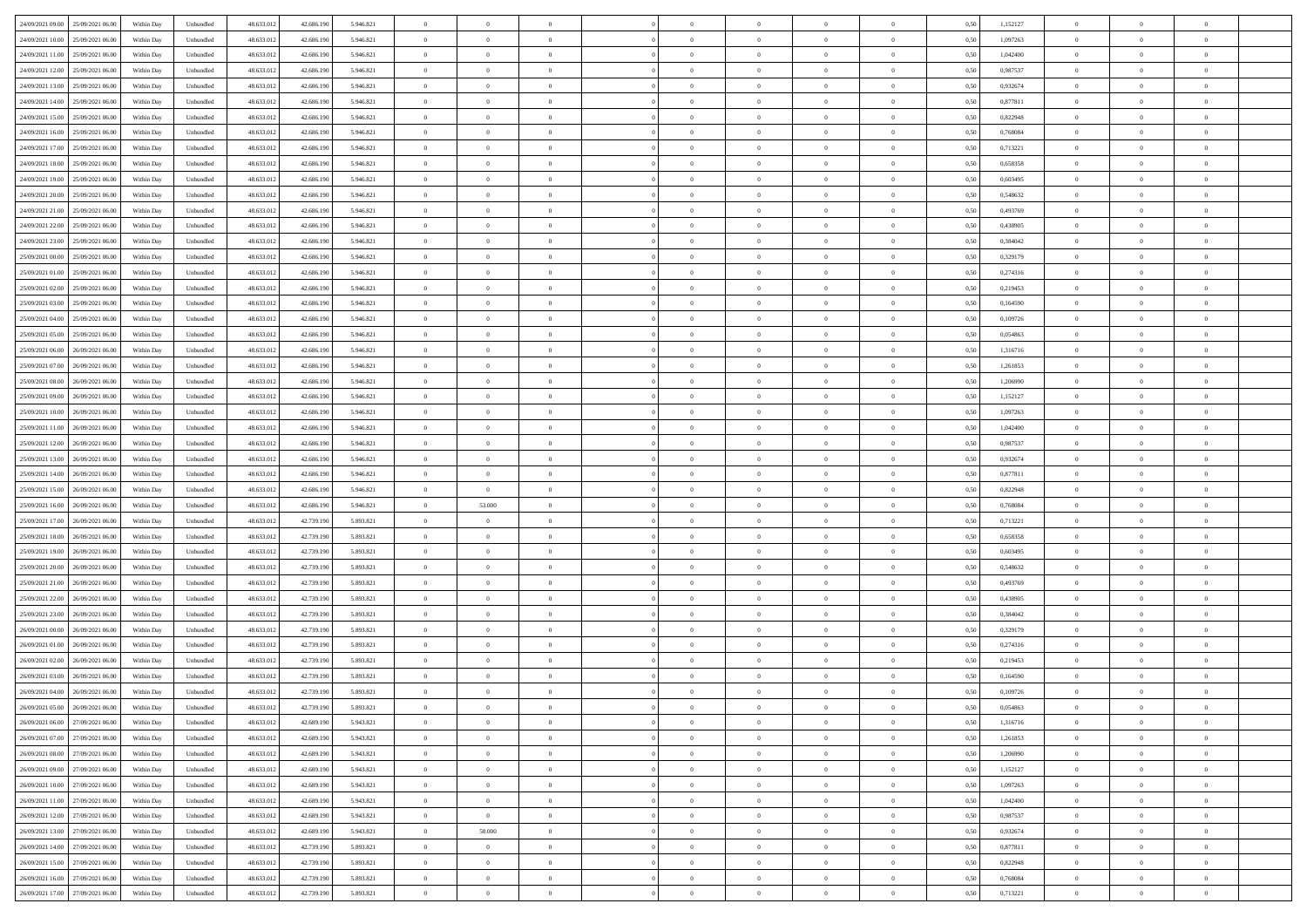| 24/09/2021 09:00 25/09/2021 06:00            | Within Day | Unbundled                         | 48.633.01  | 42.686.190 | 5.946.821 | $\overline{0}$ | $\theta$       |                | $\overline{0}$ | $\theta$       |                | $\bf{0}$       | 0,50 | 1,152127 | $\theta$       | $\theta$       | $\theta$       |  |
|----------------------------------------------|------------|-----------------------------------|------------|------------|-----------|----------------|----------------|----------------|----------------|----------------|----------------|----------------|------|----------|----------------|----------------|----------------|--|
| 24/09/2021 10:00<br>25/09/2021 06.00         | Within Day | Unbundled                         | 48.633.01  | 42.686.19  | 5.946.821 | $\bf{0}$       | $\overline{0}$ | $\bf{0}$       | $\bf{0}$       | $\overline{0}$ | $\overline{0}$ | $\bf{0}$       | 0,50 | 1,097263 | $\,$ 0 $\,$    | $\bf{0}$       | $\overline{0}$ |  |
| 24/09/2021 11:00<br>25/09/2021 06:00         | Within Day | Unbundled                         | 48.633.013 | 42.686.190 | 5.946.821 | $\overline{0}$ | $\bf{0}$       | $\overline{0}$ | $\bf{0}$       | $\bf{0}$       | $\overline{0}$ | $\bf{0}$       | 0.50 | 1.042400 | $\bf{0}$       | $\overline{0}$ | $\overline{0}$ |  |
| 24/09/2021 12:00<br>25/09/2021 06:00         |            |                                   | 48.633.01  |            |           | $\overline{0}$ | $\bf{0}$       | $\overline{0}$ | $\theta$       | $\theta$       | $\overline{0}$ |                |      | 0,987537 | $\theta$       | $\theta$       | $\overline{0}$ |  |
|                                              | Within Day | Unbundled                         |            | 42.686.190 | 5.946.821 |                |                |                |                |                |                | $\bf{0}$       | 0,50 |          |                |                |                |  |
| 24/09/2021 13:00<br>25/09/2021 06.00         | Within Day | Unbundled                         | 48.633.01  | 42.686.190 | 5.946.821 | $\overline{0}$ | $\overline{0}$ | $\bf{0}$       | $\overline{0}$ | $\theta$       | $\overline{0}$ | $\bf{0}$       | 0,50 | 0,932674 | $\,$ 0 $\,$    | $\bf{0}$       | $\overline{0}$ |  |
| 24/09/2021 14:00<br>25/09/2021 06:00         | Within Day | Unbundled                         | 48.633.013 | 42.686.190 | 5.946.821 | $\overline{0}$ | $\overline{0}$ | $\overline{0}$ | $\bf{0}$       | $\overline{0}$ | $\theta$       | $\bf{0}$       | 0.50 | 0.877811 | $\,$ 0 $\,$    | $\theta$       | $\overline{0}$ |  |
| 24/09/2021 15:00<br>25/09/2021 06:00         | Within Day | Unbundled                         | 48.633.013 | 42.686.190 | 5.946.821 | $\overline{0}$ | $\overline{0}$ | $\overline{0}$ | $\overline{0}$ | $\overline{0}$ | $\overline{0}$ | $\bf{0}$       | 0,50 | 0,822948 | $\theta$       | $\theta$       | $\overline{0}$ |  |
|                                              |            |                                   |            |            |           |                |                |                |                |                |                |                |      |          |                |                |                |  |
| 24/09/2021 16:00<br>25/09/2021 06.00         | Within Day | Unbundled                         | 48.633.01  | 42.686.190 | 5.946.821 | $\bf{0}$       | $\overline{0}$ | $\bf{0}$       | $\overline{0}$ | $\bf{0}$       | $\overline{0}$ | $\bf{0}$       | 0,50 | 0,768084 | $\,$ 0 $\,$    | $\bf{0}$       | $\overline{0}$ |  |
| 24/09/2021 17:00<br>25/09/2021 06:00         | Within Day | Unbundled                         | 48.633.013 | 42.686.190 | 5.946.821 | $\overline{0}$ | $\bf{0}$       | $\overline{0}$ | $\bf{0}$       | $\overline{0}$ | $\overline{0}$ | $\bf{0}$       | 0.50 | 0.713221 | $\bf{0}$       | $\overline{0}$ | $\overline{0}$ |  |
| 24/09/2021 18:00<br>25/09/2021 06:00         | Within Day | Unbundled                         | 48.633.013 | 42.686.190 | 5.946.821 | $\overline{0}$ | $\bf{0}$       | $\overline{0}$ | $\overline{0}$ | $\overline{0}$ | $\overline{0}$ | $\bf{0}$       | 0,50 | 0,658358 | $\,$ 0 $\,$    | $\bf{0}$       | $\overline{0}$ |  |
| 24/09/2021 19:00<br>25/09/2021 06.00         | Within Day | Unbundled                         | 48.633.01  | 42.686.190 | 5.946.821 | $\bf{0}$       | $\overline{0}$ | $\bf{0}$       | $\bf{0}$       | $\bf{0}$       | $\overline{0}$ | $\bf{0}$       | 0,50 | 0,603495 | $\,$ 0 $\,$    | $\bf{0}$       | $\overline{0}$ |  |
|                                              |            |                                   |            |            |           |                |                |                |                |                |                |                |      |          |                |                |                |  |
| 24/09/2021 20:00<br>25/09/2021 06:00         | Within Day | Unbundled                         | 48.633.013 | 42.686.190 | 5.946.821 | $\overline{0}$ | $\bf{0}$       | $\overline{0}$ | $\overline{0}$ | $\bf{0}$       | $\overline{0}$ | $\bf{0}$       | 0.50 | 0.548632 | $\bf{0}$       | $\overline{0}$ | $\bf{0}$       |  |
| 24/09/2021 21:00<br>25/09/2021 06:00         | Within Day | Unbundled                         | 48.633.01  | 42.686.190 | 5.946.821 | $\overline{0}$ | $\overline{0}$ | $\overline{0}$ | $\theta$       | $\theta$       | $\overline{0}$ | $\bf{0}$       | 0,50 | 0,493769 | $\,$ 0 $\,$    | $\theta$       | $\overline{0}$ |  |
| 24/09/2021 22.00<br>25/09/2021 06.00         | Within Day | Unbundled                         | 48.633.01  | 42.686.190 | 5.946.821 | $\bf{0}$       | $\overline{0}$ | $\bf{0}$       | $\overline{0}$ | $\bf{0}$       | $\overline{0}$ | $\bf{0}$       | 0,50 | 0,438905 | $\,$ 0 $\,$    | $\bf{0}$       | $\overline{0}$ |  |
|                                              |            |                                   |            |            |           |                |                |                |                |                | $\theta$       |                |      |          |                |                |                |  |
| 24/09/2021 23:00<br>25/09/2021 06:00         | Within Day | Unbundled                         | 48.633.013 | 42.686.190 | 5.946.821 | $\overline{0}$ | $\overline{0}$ | $\overline{0}$ | $\bf{0}$       | $\overline{0}$ |                | $\bf{0}$       | 0.50 | 0.384042 | $\,$ 0 $\,$    | $\theta$       | $\overline{0}$ |  |
| 25/09/2021 00:00<br>25/09/2021 06:00         | Within Day | Unbundled                         | 48.633.013 | 42.686.190 | 5.946.821 | $\overline{0}$ | $\overline{0}$ | $\overline{0}$ | $\overline{0}$ | $\overline{0}$ | $\overline{0}$ | $\bf{0}$       | 0,50 | 0,329179 | $\theta$       | $\theta$       | $\overline{0}$ |  |
| 25/09/2021 01:00<br>25/09/2021 06.00         | Within Day | Unbundled                         | 48.633.01  | 42.686.190 | 5.946.821 | $\bf{0}$       | $\overline{0}$ | $\bf{0}$       | $\overline{0}$ | $\bf{0}$       | $\overline{0}$ | $\bf{0}$       | 0,50 | 0,274316 | $\,$ 0 $\,$    | $\bf{0}$       | $\overline{0}$ |  |
| 25/09/2021 02:00<br>25/09/2021 06:00         | Within Day | Unbundled                         | 48.633.013 | 42.686.190 | 5.946.821 | $\overline{0}$ | $\bf{0}$       | $\overline{0}$ | $\bf{0}$       | $\overline{0}$ | $\overline{0}$ | $\bf{0}$       | 0.50 | 0.219453 | $\bf{0}$       | $\overline{0}$ | $\overline{0}$ |  |
| 25/09/2021 03:00<br>25/09/2021 06:00         | Within Day | Unbundled                         | 48.633.013 | 42.686.190 | 5.946.821 | $\overline{0}$ | $\bf{0}$       | $\overline{0}$ | $\overline{0}$ | $\overline{0}$ | $\overline{0}$ | $\bf{0}$       | 0,50 | 0,164590 | $\,$ 0 $\,$    | $\bf{0}$       | $\overline{0}$ |  |
|                                              |            |                                   |            |            |           |                |                |                |                |                |                |                |      |          |                |                |                |  |
| 25/09/2021 04:00<br>25/09/2021 06.00         | Within Day | Unbundled                         | 48.633.01  | 42.686.190 | 5.946.821 | $\bf{0}$       | $\bf{0}$       | $\bf{0}$       | $\bf{0}$       | $\overline{0}$ | $\overline{0}$ | $\bf{0}$       | 0,50 | 0,109726 | $\,$ 0 $\,$    | $\bf{0}$       | $\overline{0}$ |  |
| 25/09/2021 05:00<br>25/09/2021 06:00         | Within Day | Unbundled                         | 48.633.013 | 42.686.190 | 5.946.821 | $\overline{0}$ | $\bf{0}$       | $\overline{0}$ | $\overline{0}$ | $\bf{0}$       | $\overline{0}$ | $\bf{0}$       | 0.50 | 0.054863 | $\bf{0}$       | $\overline{0}$ | $\overline{0}$ |  |
| 25/09/2021 06:00<br>26/09/2021 06:00         | Within Day | Unbundled                         | 48.633.01  | 42.686.190 | 5.946.821 | $\overline{0}$ | $\overline{0}$ | $\overline{0}$ | $\theta$       | $\theta$       | $\overline{0}$ | $\bf{0}$       | 0,50 | 1,316716 | $\theta$       | $\theta$       | $\overline{0}$ |  |
| 25/09/2021 07:00<br>26/09/2021 06.00         | Within Day | Unbundled                         | 48.633.01  | 42.686.190 | 5.946.821 | $\bf{0}$       | $\overline{0}$ | $\bf{0}$       | $\bf{0}$       | $\,$ 0 $\,$    | $\overline{0}$ | $\bf{0}$       | 0,50 | 1,261853 | $\,$ 0 $\,$    | $\bf{0}$       | $\overline{0}$ |  |
|                                              |            |                                   |            |            |           |                |                |                |                |                |                |                |      |          |                |                |                |  |
| 25/09/2021 08:00<br>26/09/2021 06:00         | Within Day | Unbundled                         | 48.633.013 | 42.686.190 | 5.946.821 | $\overline{0}$ | $\overline{0}$ | $\overline{0}$ | $\bf{0}$       | $\overline{0}$ | $\theta$       | $\bf{0}$       | 0.50 | 1.206990 | $\,$ 0 $\,$    | $\theta$       | $\overline{0}$ |  |
| 25/09/2021 09:00<br>26/09/2021 06:00         | Within Day | Unbundled                         | 48.633.013 | 42.686.190 | 5.946.821 | $\overline{0}$ | $\overline{0}$ | $\overline{0}$ | $\overline{0}$ | $\overline{0}$ | $\overline{0}$ | $\bf{0}$       | 0,50 | 1,152127 | $\,$ 0 $\,$    | $\theta$       | $\overline{0}$ |  |
| 25/09/2021 10:00<br>26/09/2021 06.00         | Within Day | Unbundled                         | 48.633.01  | 42.686.190 | 5.946.821 | $\bf{0}$       | $\overline{0}$ | $\bf{0}$       | $\overline{0}$ | $\bf{0}$       | $\overline{0}$ | $\bf{0}$       | 0,50 | 1,097263 | $\,$ 0 $\,$    | $\bf{0}$       | $\overline{0}$ |  |
| 25/09/2021 11:00<br>26/09/2021 06:00         | Within Day | Unbundled                         | 48.633.013 | 42.686.190 | 5.946.821 | $\overline{0}$ | $\bf{0}$       | $\overline{0}$ | $\bf{0}$       | $\overline{0}$ | $\overline{0}$ | $\bf{0}$       | 0.50 | 1.042400 | $\bf{0}$       | $\overline{0}$ | $\overline{0}$ |  |
|                                              |            |                                   |            |            |           |                |                |                |                |                |                |                |      |          |                |                |                |  |
| 25/09/2021 12:00<br>26/09/2021 06:00         | Within Day | Unbundled                         | 48.633.01  | 42.686.190 | 5.946.821 | $\overline{0}$ | $\overline{0}$ | $\overline{0}$ | $\overline{0}$ | $\overline{0}$ | $\overline{0}$ | $\bf{0}$       | 0,50 | 0,987537 | $\theta$       | $\theta$       | $\overline{0}$ |  |
| 25/09/2021 13:00<br>26/09/2021 06.00         | Within Day | Unbundled                         | 48.633.01  | 42.686.190 | 5.946.821 | $\bf{0}$       | $\bf{0}$       | $\bf{0}$       | $\bf{0}$       | $\overline{0}$ | $\overline{0}$ | $\bf{0}$       | 0,50 | 0,932674 | $\,$ 0 $\,$    | $\bf{0}$       | $\overline{0}$ |  |
| 25/09/2021 14:00<br>26/09/2021 06:00         | Within Day | Unbundled                         | 48.633.013 | 42.686.190 | 5.946.821 | $\overline{0}$ | $\bf{0}$       | $\overline{0}$ | $\bf{0}$       | $\bf{0}$       | $\overline{0}$ | $\bf{0}$       | 0.50 | 0.877811 | $\bf{0}$       | $\overline{0}$ | $\overline{0}$ |  |
| 25/09/2021 15:00<br>26/09/2021 06:00         | Within Day | Unbundled                         | 48.633.013 | 42.686.190 | 5.946.821 | $\overline{0}$ | $\overline{0}$ | $\overline{0}$ | $\overline{0}$ | $\overline{0}$ | $\overline{0}$ | $\bf{0}$       | 0.5( | 0,822948 | $\theta$       | $\theta$       | $\overline{0}$ |  |
|                                              |            |                                   |            |            |           |                |                |                |                | $\,$ 0 $\,$    | $\overline{0}$ |                |      |          |                |                |                |  |
| 25/09/2021 16:00<br>26/09/2021 06.00         | Within Day | Unbundled                         | 48.633.01  | 42.686.190 | 5.946.821 | $\bf{0}$       | 53.000         | $\bf{0}$       | $\bf{0}$       |                |                | $\bf{0}$       | 0,50 | 0,768084 | $\,$ 0 $\,$    | $\bf{0}$       | $\overline{0}$ |  |
| 25/09/2021 17:00<br>26/09/2021 06:00         | Within Day | Unbundled                         | 48.633.013 | 42.739.190 | 5.893.821 | $\overline{0}$ | $\bf{0}$       | $\overline{0}$ | $\bf{0}$       | $\overline{0}$ | $\overline{0}$ | $\bf{0}$       | 0.50 | 0,713221 | $\,$ 0 $\,$    | $\theta$       | $\overline{0}$ |  |
| 25/09/2021 18:00<br>26/09/2021 06:00         | Within Dav | Unbundled                         | 48.633.013 | 42.739.190 | 5.893.821 | $\overline{0}$ | $\overline{0}$ | $\overline{0}$ | $\overline{0}$ | $\theta$       | $\overline{0}$ | $\bf{0}$       | 0.5( | 0,658358 | $\theta$       | $\theta$       | $\overline{0}$ |  |
| 25/09/2021 19:00<br>26/09/2021 06.00         | Within Day | Unbundled                         | 48.633.01  | 42.739.19  | 5.893.821 | $\bf{0}$       | $\bf{0}$       | $\bf{0}$       | $\bf{0}$       | $\bf{0}$       | $\overline{0}$ | $\bf{0}$       | 0,50 | 0,603495 | $\,$ 0 $\,$    | $\bf{0}$       | $\overline{0}$ |  |
| 25/09/2021 20:00<br>26/09/2021 06:00         | Within Day | Unbundled                         | 48.633.013 | 42.739.190 | 5.893.821 | $\overline{0}$ | $\bf{0}$       | $\overline{0}$ | $\bf{0}$       | $\overline{0}$ | $\overline{0}$ | $\bf{0}$       | 0.50 | 0.548632 | $\bf{0}$       | $\overline{0}$ | $\overline{0}$ |  |
|                                              |            |                                   |            |            |           |                |                |                |                |                |                |                |      |          |                |                |                |  |
| 25/09/2021 21:00<br>26/09/2021 06:00         | Within Dav | Unbundled                         | 48.633.013 | 42.739.190 | 5.893.821 | $\overline{0}$ | $\overline{0}$ | $\overline{0}$ | $\overline{0}$ | $\overline{0}$ | $\overline{0}$ | $\bf{0}$       | 0.50 | 0,493769 | $\theta$       | $\theta$       | $\overline{0}$ |  |
| 25/09/2021 22.00<br>26/09/2021 06.00         | Within Day | Unbundled                         | 48.633.01  | 42.739.19  | 5.893.821 | $\bf{0}$       | $\bf{0}$       | $\bf{0}$       | $\bf{0}$       | $\overline{0}$ | $\overline{0}$ | $\bf{0}$       | 0,50 | 0,438905 | $\,$ 0 $\,$    | $\bf{0}$       | $\overline{0}$ |  |
| 25/09/2021 23:00<br>26/09/2021 06:00         | Within Day | Unbundled                         | 48.633.013 | 42.739.190 | 5.893.821 | $\overline{0}$ | $\bf{0}$       | $\overline{0}$ | $\overline{0}$ | $\bf{0}$       | $\overline{0}$ | $\bf{0}$       | 0.50 | 0.384042 | $\,$ 0 $\,$    | $\overline{0}$ | $\overline{0}$ |  |
| 26/09/2021 00:00<br>26/09/2021 06:00         | Within Dav | Unbundled                         | 48.633.013 | 42.739.190 | 5.893.821 | $\overline{0}$ | $\overline{0}$ | $\overline{0}$ | $\overline{0}$ | $\overline{0}$ | $\overline{0}$ | $\bf{0}$       | 0.5( | 0,329179 | $\theta$       | $\theta$       | $\overline{0}$ |  |
|                                              |            |                                   |            |            |           |                |                |                |                |                |                |                |      |          |                |                |                |  |
| 26/09/2021 01:00<br>26/09/2021 06.00         | Within Day | Unbundled                         | 48.633.013 | 42.739.19  | 5.893.821 | $\bf{0}$       | $\bf{0}$       | $\bf{0}$       | $\bf{0}$       | $\overline{0}$ | $\overline{0}$ | $\bf{0}$       | 0,50 | 0,274316 | $\,$ 0 $\,$    | $\bf{0}$       | $\overline{0}$ |  |
| 26/09/2021 02:00<br>26/09/2021 06:00         | Within Day | Unbundled                         | 48.633.013 | 42.739.190 | 5.893.821 | $\overline{0}$ | $\overline{0}$ | $\overline{0}$ | $\bf{0}$       | $\bf{0}$       | $\Omega$       | $\bf{0}$       | 0.50 | 0,219453 | $\bf{0}$       | $\theta$       | $\overline{0}$ |  |
| 26/09/2021 03:00<br>26/09/2021 06:00         | Within Dav | Unbundled                         | 48.633.013 | 42.739.190 | 5.893.821 | $\overline{0}$ | $\overline{0}$ | $\Omega$       | $\overline{0}$ | $\theta$       | $\Omega$       | $\overline{0}$ | 0.5( | 0,164590 | $\theta$       | $\theta$       | $\overline{0}$ |  |
| 26/09/2021 04:00<br>26/09/2021 06:00         | Within Day | Unbundled                         | 48.633.01  | 42.739.190 | 5.893.821 | $\bf{0}$       | $\bf{0}$       | $\overline{0}$ | $\bf{0}$       | $\bf{0}$       | $\overline{0}$ | $\bf{0}$       | 0,50 | 0,109726 | $\overline{0}$ | $\bf{0}$       | $\overline{0}$ |  |
| $26/09/2021\ 05.00 \qquad 26/09/2021\ 06.00$ |            |                                   |            |            |           |                |                |                |                |                |                |                |      | 0.054863 |                |                |                |  |
|                                              | Within Day | $\ensuremath{\mathsf{Unbundred}}$ | 48.633.012 | 42.739.190 | 5.893.821 | $\bf{0}$       | $\Omega$       |                | $\Omega$       |                |                |                | 0,50 |          | $\theta$       | $\overline{0}$ |                |  |
| 26/09/2021 06:00 27/09/2021 06:00            | Within Day | Unbundled                         | 48.633.012 | 42.689.190 | 5.943.821 | $\overline{0}$ | $\overline{0}$ | $\Omega$       | $\theta$       | $\overline{0}$ | $\overline{0}$ | $\bf{0}$       | 0,50 | 1,316716 | $\theta$       | $\overline{0}$ | $\overline{0}$ |  |
| 26/09/2021 07:00<br>27/09/2021 06:00         | Within Day | Unbundled                         | 48.633.013 | 42.689.190 | 5.943.821 | $\overline{0}$ | $\bf{0}$       | $\overline{0}$ | $\overline{0}$ | $\bf{0}$       | $\overline{0}$ | $\bf{0}$       | 0,50 | 1,261853 | $\bf{0}$       | $\overline{0}$ | $\bf{0}$       |  |
| 26/09/2021 08:00 27/09/2021 06:00            | Within Day | Unbundled                         | 48.633.012 | 42.689.190 | 5.943.821 | $\overline{0}$ | $\bf{0}$       | $\overline{0}$ | $\overline{0}$ | $\mathbf{0}$   | $\overline{0}$ | $\,$ 0 $\,$    | 0.50 | 1.206990 | $\overline{0}$ | $\bf{0}$       | $\,$ 0 $\,$    |  |
| 26/09/2021 09:00 27/09/2021 06:00            | Within Day | Unbundled                         | 48.633.012 | 42.689.190 | 5.943.821 | $\overline{0}$ | $\overline{0}$ | $\overline{0}$ | $\overline{0}$ | $\overline{0}$ | $\overline{0}$ | $\bf{0}$       | 0,50 | 1,152127 | $\overline{0}$ | $\theta$       | $\overline{0}$ |  |
|                                              |            |                                   |            |            |           |                |                |                |                |                |                |                |      |          |                |                |                |  |
| 26/09/2021 10:00<br>27/09/2021 06:00         | Within Day | Unbundled                         | 48.633.012 | 42.689.190 | 5.943.821 | $\overline{0}$ | $\bf{0}$       | $\overline{0}$ | $\overline{0}$ | $\bf{0}$       | $\overline{0}$ | $\bf{0}$       | 0,50 | 1,097263 | $\bf{0}$       | $\overline{0}$ | $\overline{0}$ |  |
| 26/09/2021 11:00 27/09/2021 06:00            | Within Day | Unbundled                         | 48.633.012 | 42.689.190 | 5.943.821 | $\overline{0}$ | $\bf{0}$       | $\overline{0}$ | $\overline{0}$ | $\bf{0}$       | $\overline{0}$ | $\bf{0}$       | 0.50 | 1.042400 | $\,$ 0 $\,$    | $\overline{0}$ | $\,$ 0         |  |
| 26/09/2021 12:00<br>27/09/2021 06:00         | Within Dav | Unbundled                         | 48.633.012 | 42.689.190 | 5.943.821 | $\overline{0}$ | $\overline{0}$ | $\overline{0}$ | $\overline{0}$ | $\overline{0}$ | $\overline{0}$ | $\bf{0}$       | 0.50 | 0,987537 | $\overline{0}$ | $\theta$       | $\overline{0}$ |  |
|                                              |            |                                   |            |            |           |                |                |                |                | $\overline{0}$ |                |                |      |          | $\bf{0}$       | $\overline{0}$ | $\overline{0}$ |  |
| 26/09/2021 13:00<br>27/09/2021 06:00         | Within Day | Unbundled                         | 48.633.013 | 42.689.190 | 5.943.821 | $\overline{0}$ | 50.000         | $\overline{0}$ | $\overline{0}$ |                | $\overline{0}$ | $\bf{0}$       | 0,50 | 0,932674 |                |                |                |  |
| 26/09/2021 14:00 27/09/2021 06:00            | Within Day | Unbundled                         | 48.633.012 | 42.739.190 | 5.893.821 | $\overline{0}$ | $\overline{0}$ | $\overline{0}$ | $\overline{0}$ | $\overline{0}$ | $\overline{0}$ | $\bf{0}$       | 0.50 | 0.877811 | $\mathbf{0}$   | $\bf{0}$       | $\,$ 0         |  |
| 26/09/2021 15:00 27/09/2021 06:00            | Within Dav | Unbundled                         | 48.633.012 | 42.739.190 | 5.893.821 | $\overline{0}$ | $\overline{0}$ | $\overline{0}$ | $\overline{0}$ | $\overline{0}$ | $\overline{0}$ | $\bf{0}$       | 0,50 | 0,822948 | $\overline{0}$ | $\theta$       | $\overline{0}$ |  |
| 26/09/2021 16:00<br>27/09/2021 06:00         | Within Day | Unbundled                         | 48.633.013 | 42.739.190 | 5.893.821 | $\overline{0}$ | $\bf{0}$       | $\overline{0}$ | $\overline{0}$ | $\overline{0}$ | $\overline{0}$ | $\bf{0}$       | 0,50 | 0,768084 | $\bf{0}$       | $\,$ 0 $\,$    | $\bf{0}$       |  |
| 26/09/2021 17:00 27/09/2021 06:00            |            | Unbundled                         | 48.633.012 | 42.739.190 | 5.893.821 | $\,$ 0 $\,$    | $\bf{0}$       | $\overline{0}$ |                | $\,$ 0 $\,$    | $\overline{0}$ | $\bf{0}$       | 0,50 | 0,713221 | $\overline{0}$ | $\,$ 0 $\,$    | $\,$ 0 $\,$    |  |
|                                              | Within Day |                                   |            |            |           |                |                |                | $\overline{0}$ |                |                |                |      |          |                |                |                |  |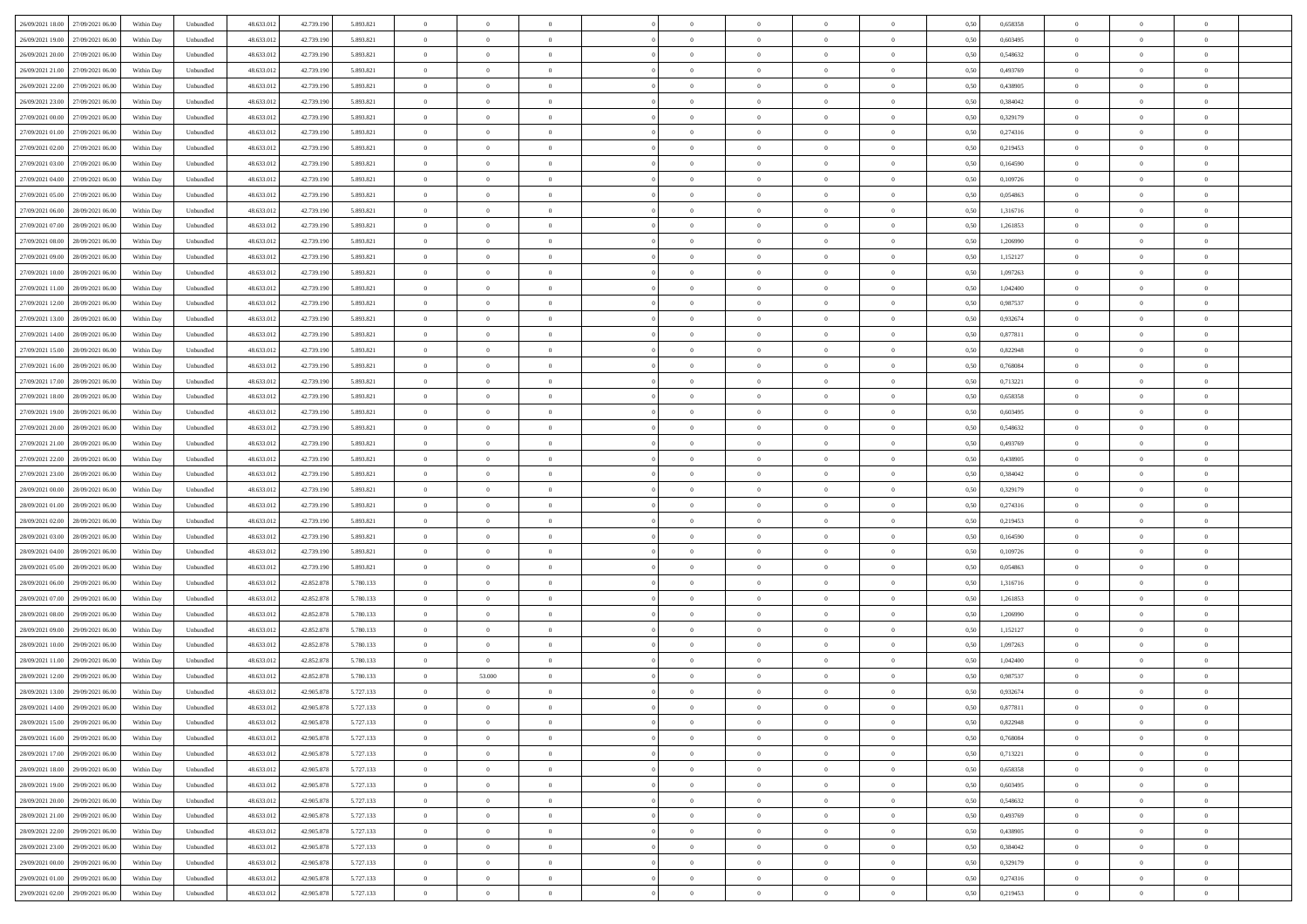| 26/09/2021 18:00 27/09/2021 06:00    | Within Day | Unbundled                         | 48.633.01  | 42.739.190 | 5.893.821 | $\overline{0}$ | $\theta$       |                | $\overline{0}$ | $\theta$       |                | $\bf{0}$       | 0,50 | 0,658358 | $\theta$       | $\theta$       | $\theta$       |  |
|--------------------------------------|------------|-----------------------------------|------------|------------|-----------|----------------|----------------|----------------|----------------|----------------|----------------|----------------|------|----------|----------------|----------------|----------------|--|
| 26/09/2021 19:00<br>27/09/2021 06:00 | Within Day | Unbundled                         | 48.633.01  | 42.739.19  | 5.893.821 | $\bf{0}$       | $\overline{0}$ | $\bf{0}$       | $\bf{0}$       | $\overline{0}$ | $\overline{0}$ | $\bf{0}$       | 0,50 | 0,603495 | $\,$ 0 $\,$    | $\bf{0}$       | $\overline{0}$ |  |
| 26/09/2021 20:00<br>27/09/2021 06:00 | Within Day | Unbundled                         | 48.633.013 | 42.739.190 | 5.893.821 | $\overline{0}$ | $\bf{0}$       | $\overline{0}$ | $\bf{0}$       | $\bf{0}$       | $\overline{0}$ | $\bf{0}$       | 0.50 | 0.548632 | $\bf{0}$       | $\overline{0}$ | $\overline{0}$ |  |
| 26/09/2021 21:00<br>27/09/2021 06:00 |            |                                   | 48.633.01  |            |           | $\overline{0}$ | $\bf{0}$       | $\overline{0}$ | $\theta$       | $\theta$       | $\overline{0}$ |                |      | 0,493769 | $\theta$       | $\theta$       | $\overline{0}$ |  |
|                                      | Within Day | Unbundled                         |            | 42.739.190 | 5.893.821 |                |                |                |                |                |                | $\bf{0}$       | 0,50 |          |                |                |                |  |
| 26/09/2021 22:00<br>27/09/2021 06.00 | Within Day | Unbundled                         | 48.633.01  | 42.739.19  | 5.893.821 | $\bf{0}$       | $\overline{0}$ | $\bf{0}$       | $\overline{0}$ | $\theta$       | $\overline{0}$ | $\bf{0}$       | 0,50 | 0,438905 | $\,$ 0 $\,$    | $\bf{0}$       | $\overline{0}$ |  |
| 26/09/2021 23:00<br>27/09/2021 06:00 | Within Day | Unbundled                         | 48.633.013 | 42.739.190 | 5.893.821 | $\overline{0}$ | $\overline{0}$ | $\overline{0}$ | $\bf{0}$       | $\overline{0}$ | $\theta$       | $\bf{0}$       | 0.50 | 0.384042 | $\,$ 0 $\,$    | $\theta$       | $\overline{0}$ |  |
| 27/09/2021 00:00<br>27/09/2021 06:00 | Within Day | Unbundled                         | 48.633.013 | 42.739.190 | 5.893.821 | $\overline{0}$ | $\overline{0}$ | $\overline{0}$ | $\overline{0}$ | $\overline{0}$ | $\overline{0}$ | $\bf{0}$       | 0,50 | 0,329179 | $\theta$       | $\theta$       | $\overline{0}$ |  |
|                                      |            |                                   |            |            |           |                |                |                |                |                |                |                |      |          |                |                |                |  |
| 27/09/2021 01:00<br>27/09/2021 06.00 | Within Day | Unbundled                         | 48.633.01  | 42.739.19  | 5.893.821 | $\bf{0}$       | $\overline{0}$ | $\bf{0}$       | $\overline{0}$ | $\bf{0}$       | $\overline{0}$ | $\bf{0}$       | 0,50 | 0,274316 | $\,$ 0 $\,$    | $\bf{0}$       | $\overline{0}$ |  |
| 27/09/2021 02:00<br>27/09/2021 06:00 | Within Day | Unbundled                         | 48.633.013 | 42.739.190 | 5.893.821 | $\overline{0}$ | $\bf{0}$       | $\overline{0}$ | $\bf{0}$       | $\overline{0}$ | $\overline{0}$ | $\bf{0}$       | 0.50 | 0.219453 | $\bf{0}$       | $\overline{0}$ | $\overline{0}$ |  |
| 27/09/2021 03:00<br>27/09/2021 06:00 | Within Day | Unbundled                         | 48.633.012 | 42.739.190 | 5.893.821 | $\bf{0}$       | $\bf{0}$       | $\overline{0}$ | $\overline{0}$ | $\overline{0}$ | $\overline{0}$ | $\bf{0}$       | 0,50 | 0,164590 | $\,$ 0 $\,$    | $\bf{0}$       | $\overline{0}$ |  |
| 27/09/2021 04:00<br>27/09/2021 06.00 | Within Day | Unbundled                         | 48.633.01  | 42.739.190 | 5.893.821 | $\bf{0}$       | $\overline{0}$ | $\bf{0}$       | $\bf{0}$       | $\bf{0}$       | $\overline{0}$ | $\bf{0}$       | 0,50 | 0,109726 | $\,$ 0 $\,$    | $\bf{0}$       | $\overline{0}$ |  |
|                                      |            |                                   |            |            |           |                |                |                |                |                |                |                |      |          |                |                |                |  |
| 27/09/2021 05:00<br>27/09/2021 06:00 | Within Day | Unbundled                         | 48.633.013 | 42.739.190 | 5.893.821 | $\overline{0}$ | $\bf{0}$       | $\overline{0}$ | $\bf{0}$       | $\bf{0}$       | $\overline{0}$ | $\bf{0}$       | 0.50 | 0.054863 | $\bf{0}$       | $\overline{0}$ | $\bf{0}$       |  |
| 27/09/2021 06:00<br>28/09/2021 06:00 | Within Day | Unbundled                         | 48.633.01  | 42.739.190 | 5.893.821 | $\overline{0}$ | $\overline{0}$ | $\overline{0}$ | $\theta$       | $\theta$       | $\overline{0}$ | $\bf{0}$       | 0,50 | 1,316716 | $\,$ 0 $\,$    | $\theta$       | $\overline{0}$ |  |
| 27/09/2021 07:00<br>28/09/2021 06:00 | Within Day | Unbundled                         | 48.633.01  | 42.739.19  | 5.893.821 | $\bf{0}$       | $\overline{0}$ | $\bf{0}$       | $\overline{0}$ | $\theta$       | $\overline{0}$ | $\bf{0}$       | 0,50 | 1,261853 | $\,$ 0 $\,$    | $\bf{0}$       | $\overline{0}$ |  |
|                                      |            |                                   |            |            |           |                |                |                |                |                | $\theta$       |                |      |          |                |                |                |  |
| 27/09/2021 08:00<br>28/09/2021 06:00 | Within Day | Unbundled                         | 48.633.013 | 42.739.190 | 5.893.821 | $\overline{0}$ | $\overline{0}$ | $\overline{0}$ | $\bf{0}$       | $\overline{0}$ |                | $\bf{0}$       | 0.50 | 1.206990 | $\,$ 0 $\,$    | $\theta$       | $\overline{0}$ |  |
| 27/09/2021 09:00<br>28/09/2021 06:00 | Within Day | Unbundled                         | 48.633.013 | 42.739.190 | 5.893.821 | $\overline{0}$ | $\overline{0}$ | $\overline{0}$ | $\overline{0}$ | $\overline{0}$ | $\overline{0}$ | $\bf{0}$       | 0,50 | 1,152127 | $\theta$       | $\theta$       | $\overline{0}$ |  |
| 27/09/2021 10:00<br>28/09/2021 06:00 | Within Day | Unbundled                         | 48.633.01  | 42.739.19  | 5.893.821 | $\bf{0}$       | $\overline{0}$ | $\bf{0}$       | $\overline{0}$ | $\bf{0}$       | $\overline{0}$ | $\bf{0}$       | 0,50 | 1,097263 | $\,$ 0 $\,$    | $\bf{0}$       | $\overline{0}$ |  |
| 27/09/2021 11:00<br>28/09/2021 06:00 | Within Day | Unbundled                         | 48.633.013 | 42.739.190 | 5.893.821 | $\overline{0}$ | $\bf{0}$       | $\overline{0}$ | $\bf{0}$       | $\overline{0}$ | $\overline{0}$ | $\bf{0}$       | 0.50 | 1.042400 | $\bf{0}$       | $\overline{0}$ | $\overline{0}$ |  |
|                                      |            |                                   |            |            |           | $\overline{0}$ |                | $\overline{0}$ | $\overline{0}$ | $\overline{0}$ | $\overline{0}$ |                |      |          | $\,$ 0 $\,$    | $\theta$       | $\overline{0}$ |  |
| 27/09/2021 12:00<br>28/09/2021 06:00 | Within Day | Unbundled                         | 48.633.013 | 42.739.190 | 5.893.821 |                | $\bf{0}$       |                |                |                |                | $\bf{0}$       | 0,50 | 0,987537 |                |                |                |  |
| 27/09/2021 13:00<br>28/09/2021 06:00 | Within Day | Unbundled                         | 48.633.01  | 42.739.19  | 5.893.821 | $\bf{0}$       | $\bf{0}$       | $\bf{0}$       | $\bf{0}$       | $\overline{0}$ | $\overline{0}$ | $\bf{0}$       | 0,50 | 0,932674 | $\,$ 0 $\,$    | $\bf{0}$       | $\overline{0}$ |  |
| 27/09/2021 14:00<br>28/09/2021 06:00 | Within Day | Unbundled                         | 48.633.013 | 42.739.190 | 5.893.821 | $\overline{0}$ | $\bf{0}$       | $\overline{0}$ | $\bf{0}$       | $\bf{0}$       | $\overline{0}$ | $\bf{0}$       | 0.50 | 0.877811 | $\bf{0}$       | $\overline{0}$ | $\bf{0}$       |  |
| 27/09/2021 15:00<br>28/09/2021 06:00 | Within Day | Unbundled                         | 48.633.01  | 42.739.190 | 5.893.821 | $\overline{0}$ | $\overline{0}$ | $\overline{0}$ | $\theta$       | $\theta$       | $\overline{0}$ | $\bf{0}$       | 0,50 | 0,822948 | $\theta$       | $\theta$       | $\overline{0}$ |  |
|                                      |            |                                   |            |            |           |                | $\overline{0}$ |                |                | $\,$ 0 $\,$    | $\overline{0}$ |                |      |          | $\,$ 0 $\,$    | $\bf{0}$       | $\overline{0}$ |  |
| 27/09/2021 16:00<br>28/09/2021 06:00 | Within Day | Unbundled                         | 48.633.01  | 42.739.190 | 5.893.821 | $\bf{0}$       |                | $\bf{0}$       | $\bf{0}$       |                |                | $\bf{0}$       | 0,50 | 0,768084 |                |                |                |  |
| 27/09/2021 17:00<br>28/09/2021 06:00 | Within Day | Unbundled                         | 48.633.013 | 42.739.190 | 5.893.821 | $\overline{0}$ | $\overline{0}$ | $\overline{0}$ | $\bf{0}$       | $\overline{0}$ | $\theta$       | $\bf{0}$       | 0.50 | 0,713221 | $\,$ 0 $\,$    | $\theta$       | $\overline{0}$ |  |
| 27/09/2021 18:00<br>28/09/2021 06:00 | Within Day | Unbundled                         | 48.633.013 | 42.739.190 | 5.893.821 | $\overline{0}$ | $\overline{0}$ | $\overline{0}$ | $\overline{0}$ | $\overline{0}$ | $\overline{0}$ | $\bf{0}$       | 0,50 | 0,658358 | $\theta$       | $\theta$       | $\overline{0}$ |  |
| 27/09/2021 19:00<br>28/09/2021 06:00 | Within Day | Unbundled                         | 48.633.01  | 42.739.19  | 5.893.821 | $\bf{0}$       | $\overline{0}$ | $\bf{0}$       | $\overline{0}$ | $\bf{0}$       | $\overline{0}$ | $\bf{0}$       | 0,50 | 0,603495 | $\,$ 0 $\,$    | $\bf{0}$       | $\overline{0}$ |  |
| 27/09/2021 20:00<br>28/09/2021 06:00 | Within Day | Unbundled                         | 48.633.013 | 42.739.190 | 5.893.821 | $\overline{0}$ | $\bf{0}$       | $\overline{0}$ | $\bf{0}$       | $\overline{0}$ | $\overline{0}$ | $\bf{0}$       | 0.50 | 0.548632 | $\bf{0}$       | $\overline{0}$ | $\overline{0}$ |  |
|                                      |            |                                   |            |            |           |                |                |                |                |                |                |                |      |          |                |                |                |  |
| 27/09/2021 21:00<br>28/09/2021 06:00 | Within Day | Unbundled                         | 48.633.01  | 42.739.190 | 5.893.821 | $\overline{0}$ | $\overline{0}$ | $\overline{0}$ | $\overline{0}$ | $\overline{0}$ | $\overline{0}$ | $\bf{0}$       | 0,50 | 0,493769 | $\theta$       | $\theta$       | $\overline{0}$ |  |
| 27/09/2021 22:00<br>28/09/2021 06:00 | Within Day | Unbundled                         | 48.633.01  | 42.739.190 | 5.893.821 | $\bf{0}$       | $\bf{0}$       | $\bf{0}$       | $\bf{0}$       | $\overline{0}$ | $\overline{0}$ | $\bf{0}$       | 0,50 | 0,438905 | $\,$ 0 $\,$    | $\bf{0}$       | $\overline{0}$ |  |
| 27/09/2021 23:00<br>28/09/2021 06:00 | Within Day | Unbundled                         | 48.633.013 | 42.739.190 | 5.893.821 | $\overline{0}$ | $\bf{0}$       | $\overline{0}$ | $\bf{0}$       | $\bf{0}$       | $\overline{0}$ | $\bf{0}$       | 0.50 | 0.384042 | $\bf{0}$       | $\overline{0}$ | $\bf{0}$       |  |
| 28/09/2021 00:00<br>28/09/2021 06:00 | Within Day | Unbundled                         | 48.633.013 | 42.739.190 | 5.893.821 | $\overline{0}$ | $\overline{0}$ | $\overline{0}$ | $\overline{0}$ | $\overline{0}$ | $\overline{0}$ | $\bf{0}$       | 0.5( | 0,329179 | $\theta$       | $\theta$       | $\overline{0}$ |  |
|                                      |            |                                   |            |            |           |                |                |                |                |                |                |                |      |          |                |                |                |  |
| 28/09/2021 01:00<br>28/09/2021 06:00 | Within Day | Unbundled                         | 48.633.01  | 42.739.19  | 5.893.821 | $\bf{0}$       | $\overline{0}$ | $\bf{0}$       | $\bf{0}$       | $\,$ 0 $\,$    | $\overline{0}$ | $\bf{0}$       | 0,50 | 0,274316 | $\,$ 0 $\,$    | $\bf{0}$       | $\overline{0}$ |  |
| 28/09/2021 02:00<br>28/09/2021 06:00 | Within Day | Unbundled                         | 48.633.013 | 42.739.190 | 5.893.821 | $\overline{0}$ | $\bf{0}$       | $\overline{0}$ | $\bf{0}$       | $\overline{0}$ | $\overline{0}$ | $\bf{0}$       | 0.50 | 0,219453 | $\,$ 0 $\,$    | $\theta$       | $\overline{0}$ |  |
| 28/09/2021 03:00<br>28/09/2021 06:00 | Within Dav | Unbundled                         | 48.633.013 | 42.739.190 | 5.893.821 | $\overline{0}$ | $\overline{0}$ | $\overline{0}$ | $\overline{0}$ | $\theta$       | $\overline{0}$ | $\overline{0}$ | 0.50 | 0,164590 | $\theta$       | $\theta$       | $\overline{0}$ |  |
| 28/09/2021 04:00<br>28/09/2021 06:00 | Within Day | Unbundled                         | 48.633.01  | 42.739.19  | 5.893.821 | $\bf{0}$       | $\bf{0}$       | $\bf{0}$       | $\bf{0}$       | $\bf{0}$       | $\overline{0}$ | $\bf{0}$       | 0,50 | 0,109726 | $\,$ 0 $\,$    | $\bf{0}$       | $\overline{0}$ |  |
| 28/09/2021 05:00<br>28/09/2021 06:00 | Within Day | Unbundled                         | 48.633.013 | 42.739.190 | 5.893.821 | $\overline{0}$ | $\bf{0}$       | $\overline{0}$ | $\bf{0}$       | $\overline{0}$ | $\overline{0}$ | $\bf{0}$       | 0.50 | 0.054863 | $\bf{0}$       | $\overline{0}$ | $\overline{0}$ |  |
|                                      |            |                                   |            |            |           |                |                |                |                |                |                |                |      |          |                |                |                |  |
| 28/09/2021 06:00<br>29/09/2021 06:00 | Within Dav | Unbundled                         | 48.633.013 | 42.852.878 | 5.780.133 | $\overline{0}$ | $\overline{0}$ | $\overline{0}$ | $\overline{0}$ | $\overline{0}$ | $\overline{0}$ | $\bf{0}$       | 0.50 | 1,316716 | $\theta$       | $\theta$       | $\overline{0}$ |  |
| 28/09/2021 07:00<br>29/09/2021 06.00 | Within Day | Unbundled                         | 48.633.01  | 42.852.878 | 5.780.133 | $\bf{0}$       | $\bf{0}$       | $\bf{0}$       | $\bf{0}$       | $\overline{0}$ | $\overline{0}$ | $\bf{0}$       | 0,50 | 1,261853 | $\,$ 0 $\,$    | $\bf{0}$       | $\overline{0}$ |  |
| 28/09/2021 08:00<br>29/09/2021 06:00 | Within Day | Unbundled                         | 48.633.013 | 42.852.878 | 5.780.133 | $\overline{0}$ | $\bf{0}$       | $\overline{0}$ | $\overline{0}$ | $\bf{0}$       | $\overline{0}$ | $\bf{0}$       | 0.50 | 1.206990 | $\bf{0}$       | $\overline{0}$ | $\overline{0}$ |  |
| 28/09/2021 09:00<br>29/09/2021 06:00 | Within Dav | Unbundled                         | 48.633.013 | 42.852.878 | 5.780.133 | $\overline{0}$ | $\overline{0}$ | $\overline{0}$ | $\overline{0}$ | $\overline{0}$ | $\overline{0}$ | $\bf{0}$       | 0.5( | 1,152127 | $\theta$       | $\theta$       | $\overline{0}$ |  |
|                                      |            |                                   |            |            |           |                |                |                |                |                |                |                |      |          |                |                |                |  |
| 28/09/2021 10:00<br>29/09/2021 06.00 | Within Day | Unbundled                         | 48.633.013 | 42.852.878 | 5.780.133 | $\bf{0}$       | $\bf{0}$       | $\bf{0}$       | $\bf{0}$       | $\overline{0}$ | $\overline{0}$ | $\bf{0}$       | 0,50 | 1,097263 | $\,$ 0 $\,$    | $\bf{0}$       | $\overline{0}$ |  |
| 28/09/2021 11:00<br>29/09/2021 06:00 | Within Day | Unbundled                         | 48.633.013 | 42.852.878 | 5.780.133 | $\overline{0}$ | $\overline{0}$ | $\overline{0}$ | $\bf{0}$       | $\overline{0}$ | $\Omega$       | $\bf{0}$       | 0.50 | 1.042400 | $\bf{0}$       | $\theta$       | $\overline{0}$ |  |
| 28/09/2021 12:00<br>29/09/2021 06:00 | Within Dav | Unbundled                         | 48.633.013 | 42.852.878 | 5.780.133 | $\overline{0}$ | 53.000         | $\Omega$       | $\overline{0}$ | $\theta$       | $\Omega$       | $\overline{0}$ | 0.5( | 0,987537 | $\theta$       | $\theta$       | $\overline{0}$ |  |
| 28/09/2021 13:00<br>29/09/2021 06:00 | Within Day | Unbundled                         | 48.633.01  | 42.905.878 | 5.727.133 | $\bf{0}$       | $\theta$       | $\bf{0}$       | $\bf{0}$       | $\bf{0}$       | $\overline{0}$ | $\bf{0}$       | 0,50 | 0,932674 | $\overline{0}$ | $\bf{0}$       | $\overline{0}$ |  |
| 28/09/2021 14:00 29/09/2021 06:00    | Within Day | $\ensuremath{\mathsf{Unbundred}}$ | 48.633.012 | 42.905.878 | 5.727.133 |                | $\Omega$       |                | $\Omega$       |                |                |                | 0,50 | 0,877811 | $\theta$       | $\overline{0}$ |                |  |
|                                      |            |                                   |            |            |           | $\bf{0}$       |                |                |                |                |                |                |      |          |                |                |                |  |
| 28/09/2021 15:00 29/09/2021 06:00    | Within Day | Unbundled                         | 48.633.012 | 42.905.878 | 5.727.133 | $\overline{0}$ | $\overline{0}$ | $\Omega$       | $\theta$       | $\overline{0}$ | $\overline{0}$ | $\bf{0}$       | 0,50 | 0,822948 | $\theta$       | $\overline{0}$ | $\overline{0}$ |  |
| 28/09/2021 16:00<br>29/09/2021 06.00 | Within Day | Unbundled                         | 48.633.013 | 42.905.878 | 5.727.133 | $\overline{0}$ | $\bf{0}$       | $\overline{0}$ | $\overline{0}$ | $\bf{0}$       | $\overline{0}$ | $\bf{0}$       | 0,50 | 0,768084 | $\bf{0}$       | $\overline{0}$ | $\bf{0}$       |  |
| 28/09/2021 17:00 29/09/2021 06:00    | Within Day | Unbundled                         | 48.633.012 | 42.905.878 | 5.727.133 | $\overline{0}$ | $\bf{0}$       | $\overline{0}$ | $\overline{0}$ | $\mathbf{0}$   | $\overline{0}$ | $\,$ 0 $\,$    | 0.50 | 0,713221 | $\overline{0}$ | $\bf{0}$       | $\,$ 0 $\,$    |  |
|                                      |            |                                   |            |            |           |                | $\overline{0}$ |                |                | $\overline{0}$ |                |                |      |          | $\overline{0}$ | $\theta$       | $\overline{0}$ |  |
| 28/09/2021 18:00 29/09/2021 06:00    | Within Day | Unbundled                         | 48.633.012 | 42.905.878 | 5.727.133 | $\overline{0}$ |                | $\overline{0}$ | $\overline{0}$ |                | $\overline{0}$ | $\bf{0}$       | 0,50 | 0,658358 |                |                |                |  |
| 28/09/2021 19:00<br>29/09/2021 06:00 | Within Day | Unbundled                         | 48.633.012 | 42.905.878 | 5.727.133 | $\overline{0}$ | $\bf{0}$       | $\overline{0}$ | $\overline{0}$ | $\overline{0}$ | $\overline{0}$ | $\bf{0}$       | 0,50 | 0,603495 | $\bf{0}$       | $\overline{0}$ | $\overline{0}$ |  |
| 28/09/2021 20:00<br>29/09/2021 06:00 | Within Day | Unbundled                         | 48.633.012 | 42.905.878 | 5.727.133 | $\overline{0}$ | $\bf{0}$       | $\overline{0}$ | $\overline{0}$ | $\bf{0}$       | $\overline{0}$ | $\bf{0}$       | 0.50 | 0.548632 | $\,$ 0 $\,$    | $\overline{0}$ | $\,$ 0         |  |
| 28/09/2021 21:00<br>29/09/2021 06:00 | Within Dav | Unbundled                         | 48.633.012 | 42.905.878 | 5.727.133 | $\overline{0}$ | $\overline{0}$ | $\overline{0}$ | $\overline{0}$ | $\overline{0}$ | $\overline{0}$ | $\bf{0}$       | 0,50 | 0,493769 | $\overline{0}$ | $\theta$       | $\overline{0}$ |  |
| 28/09/2021 22:00                     |            |                                   |            |            |           |                | $\overline{0}$ |                |                | $\overline{0}$ |                |                |      |          | $\bf{0}$       | $\overline{0}$ | $\overline{0}$ |  |
| 29/09/2021 06.00                     | Within Day | Unbundled                         | 48.633.013 | 42.905.878 | 5.727.133 | $\overline{0}$ |                | $\overline{0}$ | $\overline{0}$ |                | $\overline{0}$ | $\bf{0}$       | 0,50 | 0,438905 |                |                |                |  |
| 28/09/2021 23:00<br>29/09/2021 06:00 | Within Day | Unbundled                         | 48.633.012 | 42.905.878 | 5.727.133 | $\overline{0}$ | $\overline{0}$ | $\overline{0}$ | $\overline{0}$ | $\overline{0}$ | $\overline{0}$ | $\bf{0}$       | 0.50 | 0.384042 | $\mathbf{0}$   | $\bf{0}$       | $\,$ 0         |  |
| 29/09/2021 00:00 29/09/2021 06:00    | Within Dav | Unbundled                         | 48.633.012 | 42.905.878 | 5.727.133 | $\overline{0}$ | $\overline{0}$ | $\overline{0}$ | $\overline{0}$ | $\overline{0}$ | $\overline{0}$ | $\bf{0}$       | 0,50 | 0,329179 | $\overline{0}$ | $\theta$       | $\overline{0}$ |  |
| 29/09/2021 01:00<br>29/09/2021 06.00 | Within Day | Unbundled                         | 48.633.013 | 42.905.878 | 5.727.133 | $\overline{0}$ | $\bf{0}$       | $\overline{0}$ | $\bf{0}$       | $\overline{0}$ | $\bf{0}$       | $\bf{0}$       | 0,50 | 0,274316 | $\bf{0}$       | $\,$ 0 $\,$    | $\bf{0}$       |  |
| 29/09/2021 02:00 29/09/2021 06:00    |            | Unbundled                         | 48.633.012 |            |           | $\,$ 0 $\,$    | $\bf{0}$       | $\overline{0}$ |                | $\,$ 0 $\,$    | $\overline{0}$ | $\bf{0}$       | 0,50 | 0,219453 | $\overline{0}$ | $\,$ 0 $\,$    | $\,$ 0 $\,$    |  |
|                                      | Within Day |                                   |            | 42.905.878 | 5.727.133 |                |                |                | $\overline{0}$ |                |                |                |      |          |                |                |                |  |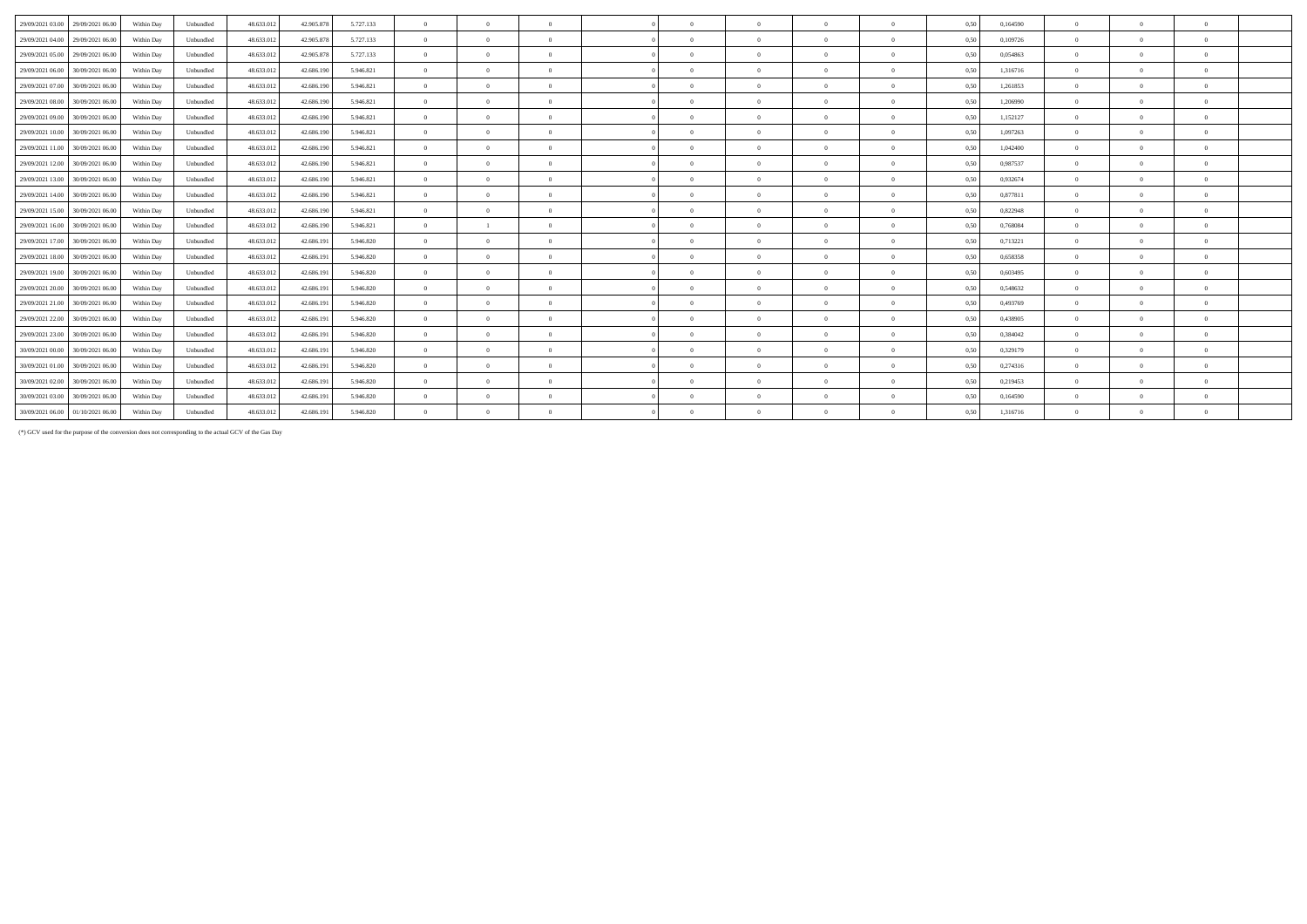| 29/09/2021 03:00<br>29/09/2021 06:00 | Within Day | Unbundled | 48.633.012 | 42.905.878 | 5.727.133 | $\theta$       | $\Omega$       | $\Omega$       | $\Omega$   | $\Omega$       | $\Omega$       | $\Omega$       | 0,50 | 0,164590 | $\Omega$ | $\Omega$ | $\Omega$     |
|--------------------------------------|------------|-----------|------------|------------|-----------|----------------|----------------|----------------|------------|----------------|----------------|----------------|------|----------|----------|----------|--------------|
| 29/09/2021 04:00<br>29/09/2021 06:00 | Within Day | Unbundled | 48.633.012 | 42,905.878 | 5.727.133 | $\overline{0}$ | $\overline{0}$ | $\Omega$       | $\sqrt{2}$ | $\theta$       | $\theta$       | $\theta$       | 0.50 | 0.109726 | $\Omega$ |          | $\mathbf{a}$ |
| 29/09/2021 05:00<br>29/09/2021 06:00 | Within Day | Unbundled | 48.633.013 | 42.905.878 | 5.727.133 | $\overline{0}$ | $\Omega$       | $\Omega$       |            |                | $\Omega$       | $\Omega$       | 0,50 | 0,054863 |          |          |              |
| 29/09/2021 06:00<br>30/09/2021 06:00 | Within Day | Unbundled | 48.633.013 | 42.686.190 | 5.946.821 | $\theta$       | $\theta$       | $\Omega$       | $\Omega$   | $\Omega$       | $\Omega$       | $\theta$       | 0,50 | 1,316716 | $\Omega$ |          | $\mathbf{a}$ |
| 29/09/2021 07:00<br>30/09/2021 06:00 | Within Day | Unbundled | 48.633.013 | 42.686.190 | 5.946.821 | $\theta$       | $\theta$       | $\Omega$       | $\Omega$   | $\Omega$       | $\Omega$       | $\theta$       | 0.50 | 1,261853 | $\Omega$ |          | $\Omega$     |
| 29/09/2021 08:00<br>30/09/2021 06:00 | Within Day | Unbundled | 48.633.013 | 42.686.190 | 5.946.821 | $\theta$       | $\theta$       | $\Omega$       | $\sqrt{2}$ | $\theta$       | $\Omega$       | $\Omega$       | 0.50 | 1,206990 | $\Omega$ |          | $\mathbf{a}$ |
| 29/09/2021 09:00<br>30/09/2021 06:00 | Within Day | Unbundled | 48.633.012 | 42.686.190 | 5.946.821 | $\overline{0}$ | $\overline{0}$ | $\overline{0}$ | $\sqrt{2}$ | $\overline{0}$ | $\theta$       | $\theta$       | 0.50 | 1,152127 | $\Omega$ |          | $\mathbf{a}$ |
| 29/09/2021 10:00<br>30/09/2021 06:00 | Within Day | Unbundled | 48.633.013 | 42.686.190 | 5.946.821 | $\overline{0}$ | $\Omega$       | $\Omega$       |            | $^{\circ}$     | $\overline{0}$ | $\Omega$       | 0,50 | 1,097263 |          |          | $\Omega$     |
| 29/09/2021 11:00<br>30/09/2021 06:00 | Within Day | Unbundled | 48.633.013 | 42.686.190 | 5.946.821 | $\theta$       | $\Omega$       | $\Omega$       | $\Omega$   | $\Omega$       | $\Omega$       | $\Omega$       | 0,50 | 1,042400 |          |          | $\Omega$     |
| 29/09/2021 12:00<br>30/09/2021 06:00 | Within Day | Unbundled | 48.633.013 | 42.686.190 | 5.946.821 | $\theta$       | $\theta$       | $\Omega$       | $\Omega$   | $\Omega$       | $\Omega$       | $\theta$       | 0.50 | 0.987537 | $\Omega$ |          | $\Omega$     |
| 29/09/2021 13:00<br>30/09/2021 06:00 | Within Day | Unbundled | 48.633.012 | 42.686.190 | 5.946.821 | $\overline{0}$ | $\theta$       | $\Omega$       | $\Omega$   | $\theta$       | $\Omega$       | $\theta$       | 0,50 | 0.932674 | $\Omega$ |          | $\Omega$     |
| 29/09/2021 14:00 30/09/2021 06:00    | Within Day | Unbundled | 48.633.013 | 42.686.190 | 5.946.821 | $\overline{0}$ | $\Omega$       | $\Omega$       | $\Omega$   | $\Omega$       | $\Omega$       | $\Omega$       | 0.50 | 0,877811 |          |          | $\Omega$     |
| 29/09/2021 15:00<br>30/09/2021 06:00 | Within Day | Unbundled | 48.633.013 | 42.686.190 | 5.946.821 | $\overline{0}$ | $\theta$       | $\Omega$       | $\Omega$   | $\theta$       | $\overline{0}$ | $\theta$       | 0.50 | 0,822948 |          |          | $\Omega$     |
| 29/09/2021 16:00<br>30/09/2021 06:00 | Within Day | Unbundled | 48.633.013 | 42.686.190 | 5.946.821 | $\Omega$       |                | $\Omega$       | $\Omega$   | $\Omega$       | $\Omega$       | $\Omega$       | 0,50 | 0.768084 |          |          | $\Omega$     |
| 29/09/2021 17:00<br>30/09/2021 06:00 | Within Day | Unbundled | 48.633.013 | 42.686.191 | 5.946.820 | $\theta$       | $\theta$       | $\Omega$       | $\sqrt{2}$ | $\Omega$       | $\Omega$       | $\theta$       | 0.50 | 0.713221 | $\Omega$ |          | $\theta$     |
| 29/09/2021 18:00<br>30/09/2021 06:00 | Within Day | Unbundled | 48.633.012 | 42.686.191 | 5.946.820 | $\overline{0}$ | $\theta$       | $\Omega$       | $\sqrt{2}$ | $\theta$       | $\Omega$       | $\overline{0}$ | 0,50 | 0.658358 | $\Omega$ |          | $\mathbf{a}$ |
| 29/09/2021 19:00 30/09/2021 06:00    | Within Day | Unbundled | 48.633.013 | 42.686.19  | 5.946.820 | $\overline{0}$ | $\Omega$       | $\Omega$       | $\Omega$   | $\Omega$       | $\Omega$       | $\Omega$       | 0.50 | 0.603495 |          |          | $\Omega$     |
| 29/09/2021 20:00<br>30/09/2021 06:00 | Within Day | Unbundled | 48.633.012 | 42.686.191 | 5.946.820 | $\Omega$       | $\theta$       | $\Omega$       | $\sqrt{2}$ | $\Omega$       | $\Omega$       | $\mathbf{a}$   | 0.50 | 0.548632 | $\Omega$ |          | $\mathbf{a}$ |
| 29/09/2021 21:00<br>30/09/2021 06:00 | Within Day | Unbundled | 48.633.013 | 42.686.191 | 5.946.820 | $\overline{0}$ | $\theta$       | $\Omega$       | $\Omega$   | $\Omega$       | $\Omega$       | $\Omega$       | 0,50 | 0,493769 | $\Omega$ |          | $\Omega$     |
| 29/09/2021 22:00<br>30/09/2021 06:00 | Within Day | Unbundled | 48.633.013 | 42.686.191 | 5.946.820 | $\theta$       | $\theta$       | $\Omega$       | $\Omega$   | $\Omega$       | $\Omega$       | $\theta$       | 0.50 | 0.438905 | $\Omega$ |          | $\theta$     |
| 29/09/2021 23:00<br>30/09/2021 06:00 | Within Day | Unbundled | 48.633.01  | 42.686.191 | 5.946.820 | $\Omega$       | $\theta$       | $\Omega$       | $\Omega$   | $\theta$       | $\Omega$       | $\theta$       | 0,50 | 0,384042 | $\Omega$ |          | $\Omega$     |
| 30/09/2021 00:00<br>30/09/2021 06:00 | Within Day | Unbundled | 48.633.013 | 42.686.19  | 5.946.820 | $\theta$       | $\Omega$       | $\Omega$       | $\Omega$   | $\theta$       | $\Omega$       | $\mathbf{a}$   | 0.50 | 0,329179 | $\Omega$ |          | $\mathbf{a}$ |
| 30/09/2021 01:00<br>30/09/2021 06:00 | Within Day | Unbundled | 48.633.012 | 42.686.191 | 5.946.820 | $\theta$       | $\theta$       | $\Omega$       | $\sqrt{2}$ | $\theta$       | $\Omega$       | $\Omega$       | 0.50 | 0,274316 | $\Omega$ |          | $\mathbf{a}$ |
| 30/09/2021 02:00<br>30/09/2021 06:00 | Within Day | Unbundled | 48.633.012 | 42.686.191 | 5.946.820 | $\overline{0}$ | $\Omega$       | $\Omega$       |            | $\Omega$       | $\Omega$       | $\Omega$       | 0,50 | 0,219453 |          |          | $\Omega$     |
| 30/09/2021 03:00<br>30/09/2021 06:00 | Within Day | Unbundled | 48.633.013 | 42.686.191 | 5.946.820 | $\overline{0}$ | $\Omega$       | $\Omega$       | $\Omega$   | $\Omega$       | $\Omega$       | $\Omega$       | 0,50 | 0,164590 | $\Omega$ |          | $\Omega$     |
| 30/09/2021 06:00<br>01/10/2021 06:00 | Within Day | Unbundled | 48.633.012 | 42.686.191 | 5.946.820 | $\overline{0}$ | $\Omega$       | $\Omega$       | $\Omega$   | $\Omega$       | $\Omega$       | $\Omega$       | 0.50 | 1.316716 | $\Omega$ |          |              |
|                                      |            |           |            |            |           |                |                |                |            |                |                |                |      |          |          |          |              |

(\*) GCV used for the purpose of the conversion does not corresponding to the actual GCV of the Gas Day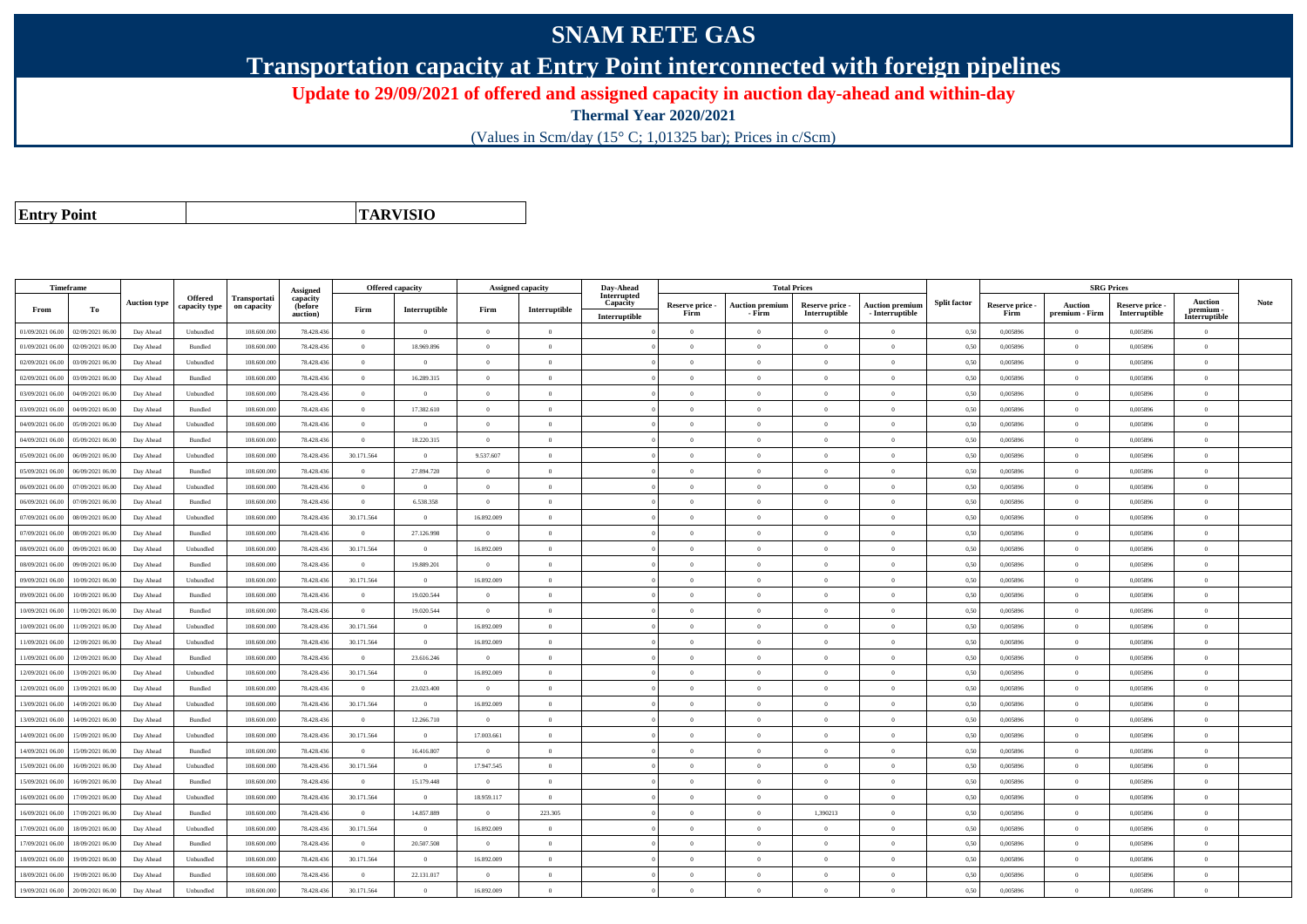## **SNAM RETE GAS**

**Transportation capacity at Entry Point interconnected with foreign pipelines**

**Update to 29/09/2021 of offered and assigned capacity in auction day-ahead and within-day**

**Thermal Year 2020/2021**

(Values in Scm/day (15° C; 1,01325 bar); Prices in c/Scm)

**Entry Point**

**TARVISIO**

|                  | Timeframe        |                     |                |                             |                                 | <b>Offered capacity</b> |                |                | <b>Assigned capacity</b> | Day-Ahead               |                 | <b>Total Prices</b>    |                 |                        |                     |                 | <b>SRG Prices</b> |                 |                            |      |
|------------------|------------------|---------------------|----------------|-----------------------------|---------------------------------|-------------------------|----------------|----------------|--------------------------|-------------------------|-----------------|------------------------|-----------------|------------------------|---------------------|-----------------|-------------------|-----------------|----------------------------|------|
|                  |                  | <b>Auction type</b> | <b>Offered</b> | Transportati<br>on capacity | Assigned<br>capacity<br>(before |                         |                |                |                          | Interrupted<br>Capacity | Reserve price - | <b>Auction premium</b> | Reserve price - | <b>Auction premium</b> | <b>Split factor</b> | Reserve price - | <b>Auction</b>    | Reserve price - | Auction                    | Note |
| From             | To               |                     | capacity type  |                             | auction)                        | Firm                    | Interruptible  | Firm           | Interruptible            | Interruptible           | Firm            | - Firm                 | Interruptible   | $-$ Interruptible      |                     | Firm            | premium - Firm    | Interruptible   | premium -<br>Interruptible |      |
| 01/09/2021 06:00 | 02/09/2021 06:00 | Day Ahead           | Unbundled      | 108.600.000                 | 78.428.436                      | $\overline{0}$          | $\overline{0}$ | $\overline{0}$ | $\overline{0}$           |                         | $\overline{0}$  | $\theta$               | $\overline{0}$  | $\Omega$               | 0,50                | 0,005896        | $\overline{0}$    | 0,005896        | $\bf{0}$                   |      |
| 01/09/2021 06:00 | 02/09/2021 06:00 | Day Ahead           | Bundled        | 108,600,000                 | 78,428,436                      | $\theta$                | 18,969,896     | $\Omega$       | $\Omega$                 |                         | $\Omega$        |                        | $\Omega$        | $\Omega$               | 0.50                | 0.005896        | $\Omega$          | 0.005896        | $\theta$                   |      |
| 02/09/2021 06:00 | 03/09/2021 06:00 | Day Ahead           | Unbundled      | 108.600.000                 | 78.428.436                      | $\overline{0}$          | $\overline{0}$ | $\overline{0}$ | $\Omega$                 |                         | $\Omega$        | $\theta$               | $\overline{0}$  | $\Omega$               | 0,50                | 0,005896        | $\overline{0}$    | 0,005896        | $\bf{0}$                   |      |
| 02/09/2021 06:00 | 03/09/2021 06:00 | Day Ahead           | Bundled        | 108.600.000                 | 78,428,436                      | $\overline{0}$          | 16.289.315     | $\overline{0}$ | $\overline{0}$           |                         | $\overline{0}$  | $\overline{0}$         | $\overline{0}$  | $\overline{0}$         | 0,50                | 0.005896        | $\overline{0}$    | 0.005896        | $\bf{0}$                   |      |
| 03/09/2021 06:00 | 04/09/2021 06:00 | Day Ahead           | Unbundled      | 108,600,000                 | 78.428.436                      | $\overline{0}$          | $\overline{0}$ | $\overline{0}$ | $\overline{0}$           |                         | $\overline{0}$  | $\theta$               | $\overline{0}$  | $\overline{0}$         | 0.50                | 0.005896        | $\overline{0}$    | 0.005896        | $\Omega$                   |      |
| 03/09/2021 06:00 | 04/09/2021 06.00 | Day Ahead           | Bundled        | 108.600.000                 | 78.428.436                      | $\overline{0}$          | 17.382.610     | $\overline{0}$ | $\overline{0}$           |                         | $\theta$        | $\theta$               | $\overline{0}$  | $\mathbf{0}$           | 0,50                | 0,005896        | $\overline{0}$    | 0,005896        | $\bf{0}$                   |      |
| 04/09/2021 06:00 | 05/09/2021 06:00 | Day Ahead           | Unbundled      | 108.600.000                 | 78.428.436                      | $\overline{0}$          | $\overline{0}$ | $\overline{0}$ | $\overline{0}$           |                         | $\Omega$        | $\theta$               | $\overline{0}$  | $\mathbf{0}$           | 0,50                | 0,005896        | $\overline{0}$    | 0,005896        | $\Omega$                   |      |
| 04/09/2021 06:00 | 05/09/2021 06:00 | Day Ahead           | Bundled        | 108,600,000                 | 78.428.436                      | $\theta$                | 18.220.315     | $\Omega$       | $\Omega$                 |                         | $\Omega$        | $\sqrt{2}$             | $\Omega$        | $\Omega$               | 0.50                | 0.005896        | $\overline{0}$    | 0.005896        | $\Omega$                   |      |
| 05/09/2021 06:00 | 06/09/2021 06:00 | Day Ahead           | Unbundled      | 108.600.000                 | 78.428.436                      | 30.171.564              | $\theta$       | 9.537.607      | $\theta$                 |                         | $\Omega$        |                        | $\theta$        | $\theta$               | 0.50                | 0,005896        | $\Omega$          | 0,005896        | $\Omega$                   |      |
| 05/09/2021 06:00 | 06/09/2021 06:00 | Day Ahead           | Bundled        | 108,600,000                 | 78,428,436                      | $\overline{0}$          | 27.894.720     | $\overline{0}$ | $\overline{0}$           |                         | $\overline{0}$  | $\theta$               | $\overline{0}$  | $\overline{0}$         | 0,50                | 0,005896        | $\overline{0}$    | 0.005896        | $\bf{0}$                   |      |
| 06/09/2021 06:00 | 07/09/2021 06:00 | Day Ahead           | Unbundled      | 108.600.000                 | 78.428.436                      | $\bf{0}$                | $\overline{0}$ | $\overline{0}$ | $\overline{0}$           |                         | $\overline{0}$  | $\theta$               | $\overline{0}$  | $\bf{0}$               | 0.50                | 0,005896        | $\overline{0}$    | 0,005896        | $\overline{0}$             |      |
| 06/09/2021 06:00 | 07/09/2021 06.00 | Day Ahead           | Bundled        | 108.600.000                 | 78.428.436                      | $\overline{0}$          | 6.538.358      | $\overline{0}$ | $\Omega$                 |                         | $\Omega$        |                        | $\overline{0}$  | $\Omega$               | 0,50                | 0,005896        | $\overline{0}$    | 0,005896        | $\theta$                   |      |
| 07/09/2021 06:00 | 08/09/2021 06:00 | Day Ahead           | Unbundled      | 108.600.000                 | 78.428.436                      | 30.171.564              | $\overline{0}$ | 16.892.009     | $\overline{0}$           |                         | $\Omega$        | $\theta$               | $\theta$        | $\overline{0}$         | 0.50                | 0,005896        | $\overline{0}$    | 0,005896        | $\Omega$                   |      |
| 07/09/2021 06:00 | 08/09/2021 06:00 | Day Ahead           | Bundled        | 108.600.000                 | 78.428.436                      | $\overline{0}$          | 27.126.998     | $\theta$       | $\Omega$                 |                         | $\Omega$        | $\theta$               | $\overline{0}$  | $\Omega$               | 0,50                | 0,005896        | $\overline{0}$    | 0,005896        | $\Omega$                   |      |
| 08/09/2021 06:00 | 09/09/2021 06:00 | Day Ahead           | Unbundled      | 108,600,000                 | 78,428,436                      | 30.171.564              | $\overline{0}$ | 16.892.009     | $\Omega$                 |                         | $\Omega$        | $\theta$               | $\Omega$        | $\theta$               | 0.50                | 0.005896        | $\overline{0}$    | 0.005896        | $\theta$                   |      |
| 08/09/2021 06:00 | 09/09/2021 06:00 | Day Ahead           | Bundled        | 108.600.000                 | 78.428.436                      | $\overline{0}$          | 19.889.201     | $\overline{0}$ | $\overline{0}$           |                         | $\overline{0}$  | $\theta$               | $\overline{0}$  | $\overline{0}$         | 0,50                | 0,005896        | $\overline{0}$    | 0,005896        | $\bf{0}$                   |      |
| 09/09/2021 06:00 | 10/09/2021 06:00 | Day Ahead           | Unbundled      | 108.600.000                 | 78.428.436                      | 30.171.564              | $\overline{0}$ | 16.892.009     | $\overline{0}$           |                         | $\overline{0}$  | $\overline{0}$         | $\overline{0}$  | $\overline{0}$         | 0,50                | 0,005896        | $\overline{0}$    | 0,005896        | $\bf{0}$                   |      |
| 09/09/2021 06:00 | 10/09/2021 06:00 | Day Ahead           | Bundled        | 108,600,000                 | 78.428.436                      | $\theta$                | 19.020.544     | $\theta$       | $\Omega$                 |                         | $\Omega$        | $\theta$               | $\overline{0}$  | $\theta$               | 0.50                | 0.005896        | $\overline{0}$    | 0.005896        | $\Omega$                   |      |
| 10/09/2021 06:00 | 11/09/2021 06.00 | Day Ahead           | Bundled        | 108.600.000                 | 78.428.436                      | $\overline{0}$          | 19.020.544     | $\overline{0}$ | $\overline{0}$           |                         | $\Omega$        |                        | $\overline{0}$  | $\mathbf{0}$           | 0,50                | 0,005896        | $\overline{0}$    | 0,005896        | $\Omega$                   |      |
| 10/09/2021 06:00 | 11/09/2021 06:00 | Day Ahead           | Unbundled      | 108.600.000                 | 78.428.436                      | 30.171.564              | $\theta$       | 16.892.009     | $\Omega$                 |                         | $\Omega$        | $\theta$               | $\theta$        | $\Omega$               | 0,50                | 0,005896        | $\overline{0}$    | 0,005896        | $\Omega$                   |      |
| 11/09/2021 06:00 | 12/09/2021 06:00 | Day Ahead           | Unbundled      | 108,600,000                 | 78,428,436                      | 30.171.564              | $\overline{0}$ | 16.892.009     | $\Omega$                 |                         | $\Omega$        | $\theta$               | $\theta$        | $\theta$               | 0.50                | 0.005896        | $\overline{0}$    | 0.005896        | $\theta$                   |      |
| 11/09/2021 06:00 | 12/09/2021 06:00 | Day Ahead           | Bundled        | 108.600.000                 | 78.428.436                      | $\overline{0}$          | 23.616.246     | $\overline{0}$ | $\overline{0}$           |                         | $\overline{0}$  | $\theta$               | $\overline{0}$  | $\mathbf{0}$           | 0.50                | 0,005896        | $\overline{0}$    | 0.005896        | $\bf{0}$                   |      |
| 12/09/2021 06:00 | 13/09/2021 06:00 | Day Ahead           | Unbundled      | 108.600.000                 | 78.428.436                      | 30.171.564              | $\overline{0}$ | 16.892.009     | $\overline{0}$           |                         | $\overline{0}$  | $\theta$               | $\overline{0}$  | $\overline{0}$         | 0,50                | 0,005896        | $\overline{0}$    | 0,005896        | $\bf{0}$                   |      |
| 12/09/2021 06:00 | 13/09/2021 06:00 | Day Ahead           | Bundled        | 108.600.000                 | 78.428.436                      | $\overline{0}$          | 23.023.400     | $\overline{0}$ | $\overline{0}$           |                         | $\overline{0}$  | $\theta$               | $\overline{0}$  | $\overline{0}$         | 0,50                | 0,005896        | $\,$ 0 $\,$       | 0,005896        | $\Omega$                   |      |
| 13/09/2021 06:00 | 14/09/2021 06:00 | Day Ahead           | Unbundled      | 108.600.000                 | 78.428.436                      | 30.171.564              | $\theta$       | 16.892.009     | $\Omega$                 |                         | $\Omega$        |                        | $\Omega$        | $\Omega$               | 0.50                | 0,005896        | $\overline{0}$    | 0,005896        | $\Omega$                   |      |
| 13/09/2021 06:00 | 14/09/2021 06:00 | Day Ahead           | Bundled        | 108,600,000                 | 78,428,436                      | $\theta$                | 12.266.710     | $\Omega$       | $\Omega$                 |                         | $\Omega$        | $\theta$               | $\theta$        | $\theta$               | 0,50                | 0.005896        | $\overline{0}$    | 0.005896        | $\theta$                   |      |
| 14/09/2021 06:00 | 15/09/2021 06:00 | Day Ahead           | Unbundled      | 108.600.000                 | 78.428.436                      | 30.171.564              | $\overline{0}$ | 17.003.661     | $\Omega$                 |                         | $\Omega$        | $\theta$               | $\overline{0}$  | $\Omega$               | 0,50                | 0,005896        | $\overline{0}$    | 0,005896        | $\Omega$                   |      |
| 14/09/2021 06:00 | 15/09/2021 06:00 | Day Ahead           | Bundled        | 108.600.000                 | 78.428.436                      | $\theta$                | 16.416.807     | $\theta$       | $\Omega$                 |                         | $\Omega$        |                        | $\overline{0}$  | $\theta$               | 0,50                | 0,005896        | $\overline{0}$    | 0,005896        | $\theta$                   |      |
| 15/09/2021 06:00 | 16/09/2021 06:00 | Day Ahead           | Unbundled      | 108,600,000                 | 78.428.436                      | 30.171.564              | $\overline{0}$ | 17.947.545     | $\overline{0}$           |                         | $\overline{0}$  | $\theta$               | $\overline{0}$  | $\overline{0}$         | 0,50                | 0,005896        | $\overline{0}$    | 0.005896        | $\theta$                   |      |
| 15/09/2021 06:00 | 16/09/2021 06:00 | Day Ahead           | Bundled        | 108.600.000                 | 78.428.436                      | $\overline{0}$          | 15.179.448     | $\overline{0}$ | $\overline{0}$           |                         | $\overline{0}$  | $\theta$               | $\overline{0}$  | $\mathbf{0}$           | 0,50                | 0,005896        | $\overline{0}$    | 0,005896        | $\bf{0}$                   |      |
| 16/09/2021 06:00 | 17/09/2021 06:00 | Day Ahead           | Unbundled      | 108,600,000                 | 78,428,436                      | 30.171.564              | $\overline{0}$ | 18.959.117     | $\overline{0}$           |                         | $\Omega$        | $\theta$               | $\theta$        | $\theta$               | 0.50                | 0.005896        | $\overline{0}$    | 0.005896        | $\theta$                   |      |
| 16/09/2021 06:00 | 17/09/2021 06:00 | Day Ahead           | Bundled        | 108,600,000                 | 78.428.436                      | $\theta$                | 14.857.889     | $\overline{0}$ | 223.305                  |                         | $\Omega$        | $\theta$               | 1,390213        | $\theta$               | 0.50                | 0.005896        | $\overline{0}$    | 0.005896        | $\Omega$                   |      |
| 17/09/2021 06:00 | 18/09/2021 06:00 | Day Ahead           | Unbundled      | 108.600.000                 | 78.428.436                      | 30.171.564              | $\overline{0}$ | 16.892.009     | $\overline{0}$           |                         | $\theta$        | $\theta$               | $\overline{0}$  | $\mathbf{0}$           | 0.50                | 0.005896        | $\overline{0}$    | 0.005896        | $\bf{0}$                   |      |
| 17/09/2021 06:00 | 18/09/2021 06:00 | Day Ahead           | <b>Bundled</b> | 108,600,000                 | 78.428.436                      | $\theta$                | 20,507.508     | $\theta$       | $\theta$                 |                         | $\Omega$        | $\theta$               | $\overline{0}$  | $\Omega$               | 0,50                | 0.005896        | $\overline{0}$    | 0.005896        | $\Omega$                   |      |
| 18/09/2021 06:00 | 19/09/2021 06:00 | Day Ahead           | Unbundled      | 108.600.000                 | 78.428.436                      | 30.171.564              | $\overline{0}$ | 16.892.009     | $\Omega$                 |                         | $\Omega$        | $\sqrt{2}$             | $\Omega$        | $\Omega$               | 0,50                | 0,005896        | $\overline{0}$    | 0,005896        | $\Omega$                   |      |
| 18/09/2021 06:00 | 19/09/2021 06:00 | Day Ahead           | Bundled        | 108.600.000                 | 78.428.436                      | $\overline{0}$          | 22.131.017     | $\Omega$       | $\Omega$                 |                         | $\Omega$        |                        | $\overline{0}$  | $\mathbf{0}$           | 0,50                | 0,005896        | $\overline{0}$    | 0,005896        | $\Omega$                   |      |
| 19/09/2021 06:00 | 20/09/2021 06:00 | Day Ahead           | Unbundled      | 108,600,000                 | 78.428.436                      | 30.171.564              | $\overline{0}$ | 16.892.009     | $\Omega$                 |                         | $\Omega$        |                        | $\Omega$        | $\Omega$               | 0.50                | 0.005896        | $\theta$          | 0.005896        | $\theta$                   |      |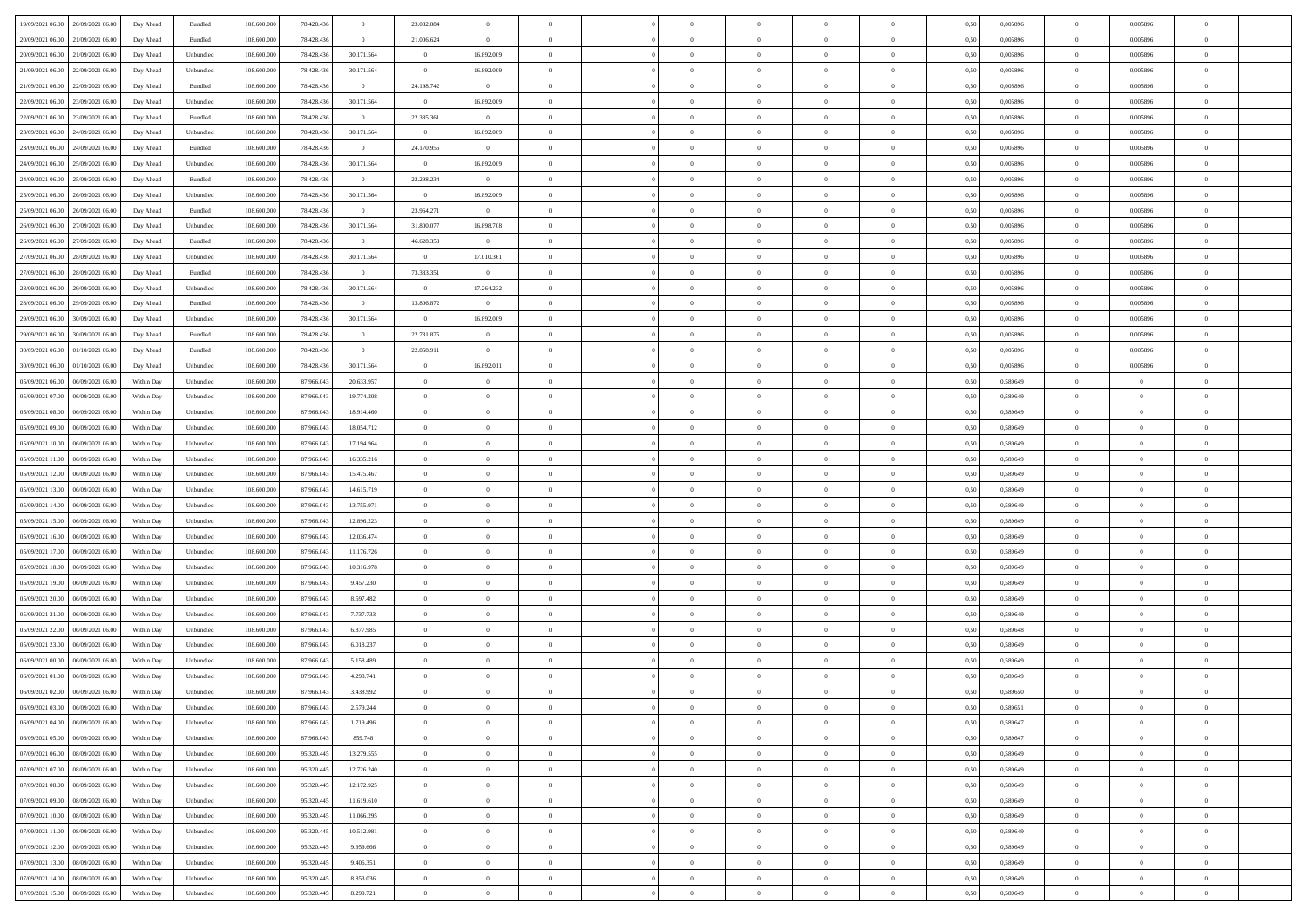| 19/09/2021 06:00<br>20/09/2021 06:00 | Day Ahead  | Bundled   | 108.600.000 | 78.428.436 | $\overline{0}$ | 23.032.084     |                |                |                | $\sqrt{a}$     |                |                | 0,50 | 0,005896 | $\overline{0}$ | 0,005896       |                |  |
|--------------------------------------|------------|-----------|-------------|------------|----------------|----------------|----------------|----------------|----------------|----------------|----------------|----------------|------|----------|----------------|----------------|----------------|--|
|                                      |            |           |             |            |                |                |                |                |                |                |                |                |      |          |                |                |                |  |
| 20/09/2021 06:00<br>21/09/2021 06.00 | Day Ahead  | Bundled   | 108.600.000 | 78.428.43  | $\bf{0}$       | 21.006.624     | $\overline{0}$ | $\overline{0}$ | $\Omega$       | $\overline{0}$ | $\overline{0}$ | $\overline{0}$ | 0,50 | 0,005896 | $\overline{0}$ | 0,005896       |                |  |
| 20/09/2021 06.00<br>21/09/2021 06:00 | Day Ahead  | Unbundled | 108,600,000 | 78.428.436 | 30.171.564     | $\overline{0}$ | 16.892.009     | $\overline{0}$ | $\Omega$       | $\bf{0}$       | $\overline{0}$ | $\overline{0}$ | 0.50 | 0.005896 | $\overline{0}$ | 0.005896       | $\Omega$       |  |
| 21/09/2021 06.00<br>22/09/2021 06:00 | Day Ahead  | Unbundled | 108.600.000 | 78.428.436 | 30.171.564     | $\overline{0}$ | 16.892.009     | $\overline{0}$ | $\overline{0}$ | $\overline{0}$ | $\overline{0}$ | $\overline{0}$ | 0,50 | 0,005896 | $\overline{0}$ | 0,005896       | $\overline{0}$ |  |
| 21/09/2021 06.00<br>22/09/2021 06.0  | Day Ahead  | Bundled   | 108.600.000 | 78.428.43  | $\bf{0}$       | 24.198.742     | $\overline{0}$ | $\overline{0}$ |                | $\overline{0}$ | $\overline{0}$ | $\overline{0}$ | 0,50 | 0,005896 | $\overline{0}$ | 0,005896       |                |  |
| 22/09/2021 06.00<br>23/09/2021 06:00 | Day Ahead  | Unbundled | 108 600 000 | 78.428.436 | 30.171.564     | $\overline{0}$ | 16.892.009     | $\Omega$       | $\Omega$       | $\overline{0}$ | $\overline{0}$ | $\Omega$       | 0.50 | 0.005896 | $\overline{0}$ | 0.005896       | $\Omega$       |  |
|                                      |            |           |             |            |                |                |                |                |                |                |                |                |      |          |                |                |                |  |
| 22/09/2021 06:00<br>23/09/2021 06:00 | Day Ahead  | Bundled   | 108.600.000 | 78.428.436 | $\overline{0}$ | 22.335.361     | $\overline{0}$ | $\overline{0}$ | $\overline{0}$ | $\overline{0}$ | $\overline{0}$ | $\overline{0}$ | 0,50 | 0,005896 | $\overline{0}$ | 0,005896       | $\overline{0}$ |  |
| 23/09/2021 06.00<br>24/09/2021 06.0  | Day Ahead  | Unbundled | 108.600.000 | 78.428.43  | 30.171.564     | $\bf{0}$       | 16.892.009     | $\overline{0}$ |                | $\overline{0}$ | $\overline{0}$ | $\overline{0}$ | 0,50 | 0,005896 | $\overline{0}$ | 0,005896       |                |  |
| 23/09/2021 06.00<br>24/09/2021 06:00 | Day Ahead  | Bundled   | 108,600,000 | 78,428,436 | $\overline{0}$ | 24.170.956     | $\overline{0}$ | $\overline{0}$ | $\overline{0}$ | $\bf{0}$       | $\overline{0}$ | $\overline{0}$ | 0.50 | 0.005896 | $\overline{0}$ | 0.005896       | $\Omega$       |  |
| 24/09/2021 06.00<br>25/09/2021 06:00 | Day Ahead  | Unbundled | 108.600.000 | 78.428.436 | 30.171.564     | $\overline{0}$ | 16.892.009     | $\overline{0}$ | $\overline{0}$ | $\overline{0}$ | $\overline{0}$ | $\overline{0}$ | 0,50 | 0,005896 | $\overline{0}$ | 0,005896       | $\overline{0}$ |  |
| 24/09/2021 06.00<br>25/09/2021 06.0  | Day Ahead  | Bundled   | 108.600.000 | 78.428.43  | $\bf{0}$       | 22.298.234     | $\overline{0}$ | $\overline{0}$ |                | $\overline{0}$ | $\overline{0}$ | $\overline{0}$ | 0,50 | 0,005896 | $\overline{0}$ | 0,005896       |                |  |
| 25/09/2021 06.00<br>26/09/2021 06:00 | Day Ahead  | Unbundled | 108 600 000 | 78,428,436 | 30.171.564     | $\overline{0}$ | 16.892.009     | $\overline{0}$ | $\Omega$       | $\overline{0}$ | $\overline{0}$ | $\overline{0}$ | 0.50 | 0.005896 | $\overline{0}$ | 0.005896       | $\Omega$       |  |
| 25/09/2021 06:00<br>26/09/2021 06.00 | Day Ahead  | Bundled   | 108.600.000 | 78.428.436 | $\overline{0}$ | 23.964.271     | $\overline{0}$ | $\overline{0}$ | $\overline{0}$ | $\overline{0}$ | $\overline{0}$ | $\overline{0}$ | 0,50 | 0,005896 | $\overline{0}$ | 0,005896       | $\overline{0}$ |  |
|                                      |            |           |             |            |                |                |                |                |                |                |                |                |      |          |                |                |                |  |
| 26/09/2021 06.00<br>27/09/2021 06.0  | Day Ahead  | Unbundled | 108.600.000 | 78.428.43  | 30.171.564     | 31.800.077     | 16.898.708     | $\overline{0}$ |                | $\overline{0}$ | $\overline{0}$ | $\overline{0}$ | 0,50 | 0,005896 | $\bf{0}$       | 0,005896       |                |  |
| 26/09/2021 06.00<br>27/09/2021 06:00 | Day Ahead  | Bundled   | 108 600 000 | 78,428,436 | $\overline{0}$ | 46.628.358     | $\mathbf{0}$   | $\overline{0}$ | $\overline{0}$ | $\overline{0}$ | $\overline{0}$ | $\overline{0}$ | 0.50 | 0.005896 | $\overline{0}$ | 0.005896       | $\Omega$       |  |
| 27/09/2021 06.00<br>28/09/2021 06:00 | Day Ahead  | Unbundled | 108.600.000 | 78.428.436 | 30.171.564     | $\overline{0}$ | 17.010.361     | $\overline{0}$ | $\overline{0}$ | $\overline{0}$ | $\overline{0}$ | $\overline{0}$ | 0,50 | 0,005896 | $\overline{0}$ | 0,005896       | $\overline{0}$ |  |
| 27/09/2021 06.00<br>28/09/2021 06.0  | Day Ahead  | Bundled   | 108.600.000 | 78.428.43  | $\bf{0}$       | 73.383.351     | $\bf{0}$       | $\overline{0}$ |                | $\overline{0}$ | $\overline{0}$ | $\bf{0}$       | 0,50 | 0,005896 | $\bf{0}$       | 0,005896       |                |  |
| 28/09/2021 06.00<br>29/09/2021 06:00 | Day Ahead  | Unbundled | 108 600 000 | 78,428,436 | 30.171.564     | $\overline{0}$ | 17.264.232     | $\overline{0}$ | $\overline{0}$ | $\bf{0}$       | $\overline{0}$ | $\overline{0}$ | 0.50 | 0.005896 | $\overline{0}$ | 0.005896       | $\Omega$       |  |
| 28/09/2021 06:00<br>29/09/2021 06.00 | Day Ahead  | Bundled   | 108.600.000 | 78.428.436 | $\overline{0}$ | 13.806.872     | $\overline{0}$ | $\overline{0}$ | $\overline{0}$ | $\overline{0}$ | $\overline{0}$ | $\overline{0}$ | 0,50 | 0,005896 | $\overline{0}$ | 0,005896       | $\overline{0}$ |  |
|                                      |            |           |             |            |                |                |                |                |                |                |                |                |      |          |                |                |                |  |
| 29/09/2021 06.00<br>30/09/2021 06.00 | Day Ahead  | Unbundled | 108.600.000 | 78.428.43  | 30.171.564     | $\overline{0}$ | 16.892.009     | $\overline{0}$ |                | $\overline{0}$ | $\overline{0}$ | $\overline{0}$ | 0,50 | 0,005896 | $\bf{0}$       | 0,005896       |                |  |
| 29/09/2021 06.00<br>30/09/2021 06:00 | Day Ahead  | Bundled   | 108 600 000 | 78.428.436 | $\overline{0}$ | 22.731.875     | $\overline{0}$ | $\Omega$       | $\Omega$       | $\overline{0}$ | $\overline{0}$ | $\Omega$       | 0.50 | 0.005896 | $\overline{0}$ | 0.005896       | $\Omega$       |  |
| 30/09/2021 06.00<br>01/10/2021 06:00 | Day Ahead  | Bundled   | 108.600.000 | 78.428.436 | $\overline{0}$ | 22.858.911     | $\overline{0}$ | $\overline{0}$ | $\overline{0}$ | $\overline{0}$ | $\overline{0}$ | $\overline{0}$ | 0,50 | 0,005896 | $\overline{0}$ | 0,005896       | $\overline{0}$ |  |
| 30/09/2021 06.00<br>01/10/2021 06.00 | Day Ahead  | Unbundled | 108.600.000 | 78.428.43  | 30.171.564     | $\overline{0}$ | 16.892.011     | $\overline{0}$ |                | $\overline{0}$ | $\overline{0}$ | $\bf{0}$       | 0,50 | 0,005896 | $\bf{0}$       | 0,005896       |                |  |
| 05/09/2021 06.00<br>06/09/2021 06:00 | Within Day | Unbundled | 108,600,000 | 87,966,043 | 20.633.957     | $\overline{0}$ | $\overline{0}$ | $\overline{0}$ | $\overline{0}$ | $\bf{0}$       | $\overline{0}$ | $\overline{0}$ | 0.50 | 0.589649 | $\overline{0}$ | $\overline{0}$ | $\overline{0}$ |  |
| 05/09/2021 07:00<br>06/09/2021 06:00 | Within Day | Unbundled | 108.600.000 | 87.966.043 | 19.774.208     | $\overline{0}$ | $\overline{0}$ | $\overline{0}$ | $\overline{0}$ | $\overline{0}$ | $\overline{0}$ | $\overline{0}$ | 0,50 | 0,589649 | $\overline{0}$ | $\theta$       | $\overline{0}$ |  |
|                                      |            |           |             |            |                | $\bf{0}$       | $\theta$       | $\overline{0}$ |                | $\overline{0}$ | $\overline{0}$ | $\overline{0}$ |      |          |                |                |                |  |
| 05/09/2021 08.00<br>06/09/2021 06.0  | Within Day | Unbundled | 108.600.000 | 87.966.04  | 18.914.460     |                |                |                |                |                |                |                | 0,50 | 0,589649 | $\bf{0}$       | $\bf{0}$       |                |  |
| 05/09/2021 09:00<br>06/09/2021 06:00 | Within Day | Unbundled | 108 600 000 | 87,966,043 | 18.054.712     | $\overline{0}$ | $\overline{0}$ | $\overline{0}$ | $\Omega$       | $\overline{0}$ | $\overline{0}$ | $\overline{0}$ | 0.50 | 0.589649 | $\overline{0}$ | $\Omega$       | $\Omega$       |  |
| 05/09/2021 10:00<br>06/09/2021 06:00 | Within Day | Unbundled | 108.600.000 | 87.966.043 | 17.194.964     | $\overline{0}$ | $\overline{0}$ | $\overline{0}$ | $\overline{0}$ | $\overline{0}$ | $\overline{0}$ | $\overline{0}$ | 0,50 | 0,589649 | $\overline{0}$ | $\theta$       | $\overline{0}$ |  |
| 05/09/2021 11:00<br>06/09/2021 06.0  | Within Day | Unbundled | 108.600.000 | 87.966.043 | 16.335.216     | $\overline{0}$ | $\theta$       | $\overline{0}$ |                | $\overline{0}$ | $\overline{0}$ | $\overline{0}$ | 0,50 | 0,589649 | $\bf{0}$       | $\bf{0}$       |                |  |
| 05/09/2021 12:00<br>06/09/2021 06:00 | Within Day | Unbundled | 108 600 000 | 87,966,043 | 15.475.467     | $\overline{0}$ | $\overline{0}$ | $\overline{0}$ | $\overline{0}$ | $\overline{0}$ | $\overline{0}$ | $\overline{0}$ | 0.50 | 0.589649 | $\overline{0}$ | $\Omega$       | $\overline{0}$ |  |
| 05/09/2021 13:00<br>06/09/2021 06:00 | Within Dav | Unbundled | 108.600.000 | 87.966.043 | 14.615.719     | $\overline{0}$ | $\overline{0}$ | $\overline{0}$ | $\Omega$       | $\overline{0}$ | $\overline{0}$ | $\overline{0}$ | 0,50 | 0.589649 | $\overline{0}$ | $\theta$       | $\Omega$       |  |
| 05/09/2021 14:00<br>06/09/2021 06.0  | Within Day | Unbundled | 108.600.000 | 87.966.04  | 13.755.971     | $\bf{0}$       | $\overline{0}$ | $\overline{0}$ |                | $\overline{0}$ | $\overline{0}$ | $\bf{0}$       | 0,50 | 0,589649 | $\bf{0}$       | $\bf{0}$       | $\Omega$       |  |
|                                      |            |           |             |            |                |                |                |                |                |                |                |                |      |          |                |                |                |  |
| 05/09/2021 15:00<br>06/09/2021 06:00 | Within Day | Unbundled | 108,600,000 | 87,966,043 | 12.896.223     | $\overline{0}$ | $\overline{0}$ | $\overline{0}$ | $\Omega$       | $\bf{0}$       | $\overline{0}$ | $\overline{0}$ | 0.50 | 0.589649 | $\overline{0}$ | $\Omega$       | $\Omega$       |  |
| 05/09/2021 16:00<br>06/09/2021 06:00 | Within Dav | Unbundled | 108.600.000 | 87.966.043 | 12.036.474     | $\overline{0}$ | $\overline{0}$ | $\theta$       | $\Omega$       | $\overline{0}$ | $\overline{0}$ | $\theta$       | 0.50 | 0,589649 | $\overline{0}$ | $\overline{0}$ | $\Omega$       |  |
| 05/09/2021 17:00<br>06/09/2021 06.0  | Within Day | Unbundled | 108.600.000 | 87.966.043 | 11.176.726     | $\overline{0}$ | $\theta$       | $\overline{0}$ |                | $\overline{0}$ | $\overline{0}$ | $\overline{0}$ | 0,50 | 0,589649 | $\bf{0}$       | $\bf{0}$       |                |  |
| 05/09/2021 18:00<br>06/09/2021 06:00 | Within Day | Unbundled | 108 600 000 | 87,966,043 | 10.316.978     | $\overline{0}$ | $\overline{0}$ | $\overline{0}$ | $\Omega$       | $\overline{0}$ | $\overline{0}$ | $\overline{0}$ | 0.50 | 0.589649 | $\bf{0}$       | $\Omega$       | $\Omega$       |  |
| 05/09/2021 19:00<br>06/09/2021 06:00 | Within Dav | Unbundled | 108.600.000 | 87.966.043 | 9.457.230      | $\overline{0}$ | $\overline{0}$ | $\theta$       | $\Omega$       | $\overline{0}$ | $\overline{0}$ | $\theta$       | 0,50 | 0,589649 | $\overline{0}$ | $\theta$       | $\Omega$       |  |
| 05/09/2021 20:00<br>06/09/2021 06.0  | Within Day | Unbundled | 108.600.000 | 87.966.043 | 8.597.482      | $\bf{0}$       | $\overline{0}$ | $\overline{0}$ |                | $\overline{0}$ | $\overline{0}$ | $\bf{0}$       | 0,50 | 0,589649 | $\bf{0}$       | $\bf{0}$       |                |  |
| 05/09/2021 21:00<br>06/09/2021 06:00 | Within Day | Unbundled | 108,600,000 | 87,966,043 | 7.737.733      | $\overline{0}$ | $\overline{0}$ | $\overline{0}$ | $\overline{0}$ | $\bf{0}$       | $\overline{0}$ | $\overline{0}$ | 0.50 | 0.589649 | $\overline{0}$ | $\overline{0}$ | $\overline{0}$ |  |
| 05/09/2021 22:00<br>06/09/2021 06:00 | Within Dav | Unbundled | 108.600.000 | 87.966.043 | 6.877.985      | $\overline{0}$ | $\overline{0}$ | $\theta$       | $\Omega$       | $\overline{0}$ | $\overline{0}$ | $\theta$       | 0.50 | 0,589648 | $\overline{0}$ | $\theta$       | $\Omega$       |  |
|                                      |            |           |             |            |                |                |                |                |                |                |                |                |      |          |                |                |                |  |
| 05/09/2021 23.00<br>06/09/2021 06.0  | Within Day | Unbundled | 108.600.000 | 87.966.043 | 6.018.237      | $\bf{0}$       | $\overline{0}$ | $\overline{0}$ | $\Omega$       | $\overline{0}$ | $\overline{0}$ | $\bf{0}$       | 0,50 | 0,589649 | $\bf{0}$       | $\bf{0}$       | $\Omega$       |  |
| 06/09/2021 00:00<br>06/09/2021 06:00 | Within Day | Unbundled | 108 600 000 | 87.966.043 | 5.158.489      | $\overline{0}$ | $\overline{0}$ | $\overline{0}$ | $\Omega$       | $\overline{0}$ | $\overline{0}$ | $\overline{0}$ | 0.50 | 0.589649 | $\overline{0}$ | $\Omega$       | $\Omega$       |  |
| 06/09/2021 01:00<br>06/09/2021 06:00 | Within Dav | Unbundled | 108.600.000 | 87.966.043 | 4.298.741      | $\overline{0}$ | $\Omega$       | $\theta$       | $\Omega$       | $\overline{0}$ | $\Omega$       | $\Omega$       | 0.50 | 0,589649 | $\overline{0}$ | $\Omega$       |                |  |
| 06/09/2021 02:00<br>06/09/2021 06.00 | Within Day | Unbundled | 108.600.000 | 87.966.043 | 3.438.992      | $\bf{0}$       | $\,$ 0 $\,$    | $\overline{0}$ |                | $\overline{0}$ | $\overline{0}$ | $\overline{0}$ | 0,50 | 0,589650 | $\overline{0}$ | $\bf{0}$       | $\overline{0}$ |  |
|                                      | Within Day | Unbundled | 108.600.000 | 87.966.043 | 2.579.244      | $\bf{0}$       | $\theta$       |                |                |                |                |                | 0,50 | 0.589651 | $\bf{0}$       |                |                |  |
|                                      | Within Day | Unbundled | 108.600.000 | 87.966.043 | 1.719.496      | $\overline{0}$ | $\overline{0}$ | $\overline{0}$ | $\Omega$       | $\overline{0}$ | $\overline{0}$ | $\theta$       | 0,50 | 0,589647 | $\overline{0}$ | $\overline{0}$ | $\theta$       |  |
| 06/09/2021 05:00<br>06/09/2021 06.00 | Within Day | Unbundled | 108.600.000 | 87.966.043 | 859.748        | $\overline{0}$ | $\overline{0}$ | $\overline{0}$ | $\overline{0}$ | $\bf{0}$       | $\overline{0}$ | $\overline{0}$ | 0,50 | 0,589647 | $\overline{0}$ | $\overline{0}$ | $\overline{0}$ |  |
|                                      |            |           |             |            |                |                |                |                |                |                |                |                |      |          |                |                |                |  |
| 07/09/2021 06:00<br>08/09/2021 06:00 | Within Day | Unbundled | 108,600,000 | 95.320.445 | 13.279.555     | $\overline{0}$ | $\overline{0}$ | $\overline{0}$ | $\overline{0}$ | $\bf{0}$       | $\overline{0}$ | $\overline{0}$ | 0.50 | 0.589649 | $\bf{0}$       | $\overline{0}$ | $\overline{0}$ |  |
| 07/09/2021 07:00<br>08/09/2021 06:00 | Within Day | Unbundled | 108.600.000 | 95.320.445 | 12.726.240     | $\overline{0}$ | $\overline{0}$ | $\overline{0}$ | $\Omega$       | $\overline{0}$ | $\overline{0}$ | $\mathbf{0}$   | 0,50 | 0.589649 | $\overline{0}$ | $\overline{0}$ | $\overline{0}$ |  |
| 07/09/2021 08:00<br>08/09/2021 06:00 | Within Day | Unbundled | 108.600.000 | 95.320.445 | 12.172.925     | $\overline{0}$ | $\overline{0}$ | $\overline{0}$ | $\overline{0}$ | $\bf{0}$       | $\overline{0}$ | $\overline{0}$ | 0,50 | 0,589649 | $\overline{0}$ | $\bf{0}$       | $\overline{0}$ |  |
| 07/09/2021 09:00<br>08/09/2021 06:00 | Within Day | Unbundled | 108,600,000 | 95.320.445 | 11.619.610     | $\overline{0}$ | $\overline{0}$ | $\overline{0}$ | $\overline{0}$ | $\overline{0}$ | $\overline{0}$ | $\overline{0}$ | 0.50 | 0.589649 | $\overline{0}$ | $\overline{0}$ | $\overline{0}$ |  |
| 07/09/2021 10:00<br>08/09/2021 06:00 | Within Day | Unbundled | 108.600.000 | 95.320.445 | 11.066.295     | $\overline{0}$ | $\overline{0}$ | $\overline{0}$ | $\overline{0}$ | $\overline{0}$ | $\overline{0}$ | $\overline{0}$ | 0,50 | 0,589649 | $\overline{0}$ | $\overline{0}$ | $\overline{0}$ |  |
| 07/09/2021 11:00<br>08/09/2021 06:00 | Within Day | Unbundled | 108.600.000 | 95.320.445 | 10.512.981     | $\bf{0}$       | $\overline{0}$ | $\overline{0}$ | $\overline{0}$ | $\bf{0}$       | $\overline{0}$ | $\overline{0}$ | 0,50 | 0,589649 | $\mathbf{0}$   | $\overline{0}$ | $\overline{0}$ |  |
|                                      |            |           |             |            |                |                |                |                |                |                |                |                |      |          |                |                |                |  |
| 07/09/2021 12:00<br>08/09/2021 06:00 | Within Day | Unbundled | 108,600,000 | 95.320.445 | 9.959.666      | $\overline{0}$ | $\overline{0}$ | $\overline{0}$ | $\overline{0}$ | $\bf{0}$       | $\overline{0}$ | $\overline{0}$ | 0.50 | 0.589649 | $\overline{0}$ | $\overline{0}$ | $\overline{0}$ |  |
| 07/09/2021 13:00<br>08/09/2021 06:00 | Within Day | Unbundled | 108.600.000 | 95.320.445 | 9.406.351      | $\overline{0}$ | $\overline{0}$ | $\overline{0}$ | $\Omega$       | $\overline{0}$ | $\overline{0}$ | $\overline{0}$ | 0,50 | 0.589649 | $\overline{0}$ | $\overline{0}$ | $\theta$       |  |
| 07/09/2021 14:00<br>08/09/2021 06:00 | Within Day | Unbundled | 108.600.000 | 95.320.445 | 8.853.036      | $\bf{0}$       | $\overline{0}$ | $\overline{0}$ | $\overline{0}$ | $\overline{0}$ | $\overline{0}$ | $\mathbf{0}$   | 0,50 | 0,589649 | $\bf{0}$       | $\overline{0}$ | $\overline{0}$ |  |
| 07/09/2021 15:00 08/09/2021 06:00    | Within Day | Unbundled | 108.600.000 | 95.320.445 | 8.299.721      | $\overline{0}$ | $\bf{0}$       | $\overline{0}$ | $\overline{0}$ | $\,$ 0         | $\overline{0}$ | $\overline{0}$ | 0,50 | 0,589649 | $\overline{0}$ | $\overline{0}$ | $\overline{0}$ |  |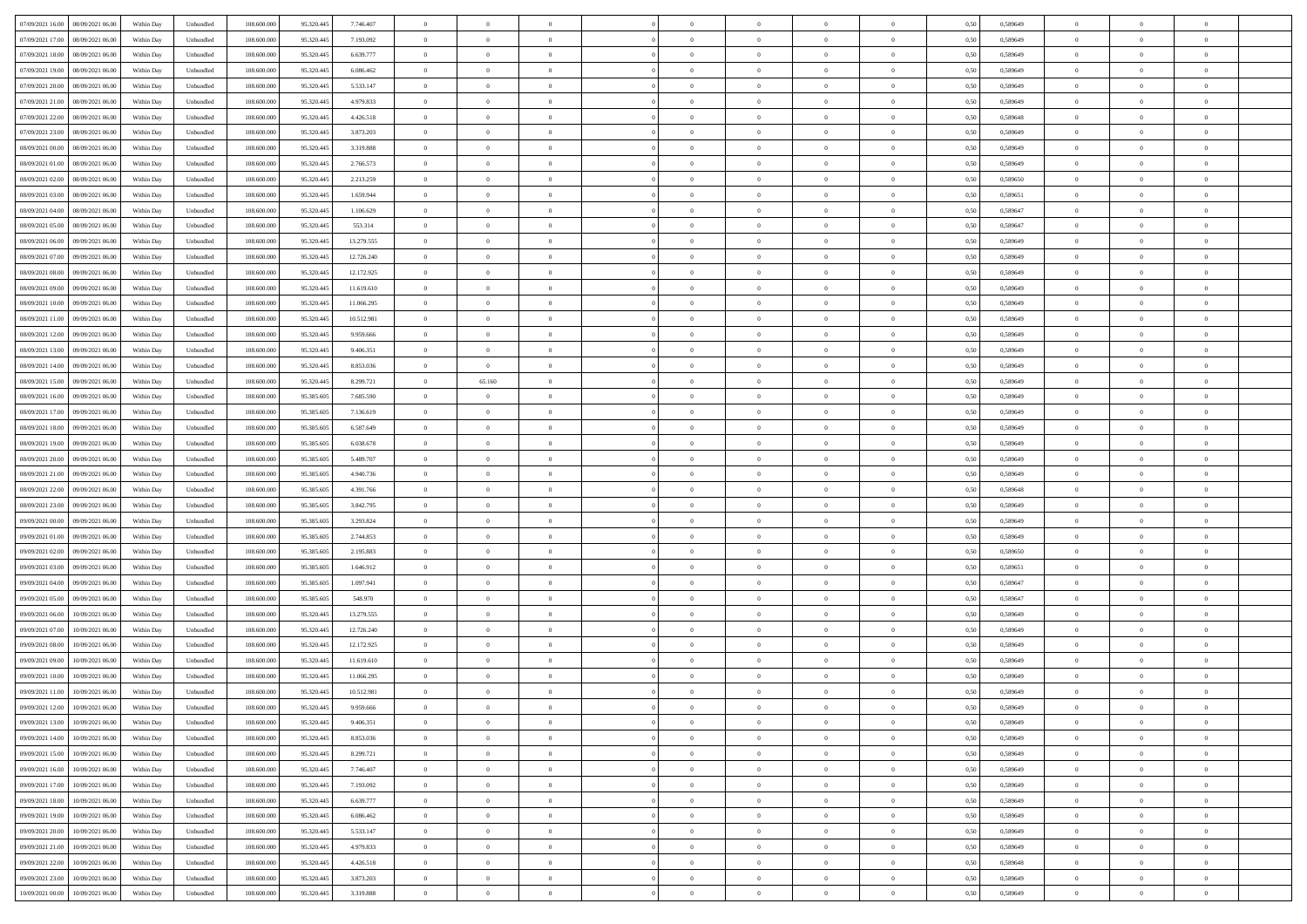| 07/09/2021 16:00  08/09/2021 06:00           | Within Day | Unbundled                   | 108.600.000 | 95.320.445 | 7.746.407  | $\overline{0}$ | $\theta$       |                | $\overline{0}$ | $\bf{0}$       | $\overline{0}$ | $\theta$       | 0,50 | 0,589649 | $\,$ 0 $\,$    | $\overline{0}$ | $\bf{0}$       |  |
|----------------------------------------------|------------|-----------------------------|-------------|------------|------------|----------------|----------------|----------------|----------------|----------------|----------------|----------------|------|----------|----------------|----------------|----------------|--|
|                                              |            |                             |             |            |            |                |                |                |                |                |                |                |      |          |                |                |                |  |
| 07/09/2021 17:00<br>08/09/2021 06:00         | Within Day | Unbundled                   | 108.600.00  | 95.320.445 | 7.193.092  | $\overline{0}$ | $\overline{0}$ | $\overline{0}$ | $\overline{0}$ | $\,$ 0         | $\overline{0}$ | $\bf{0}$       | 0,50 | 0,589649 | $\bf{0}$       | $\overline{0}$ | $\bf{0}$       |  |
| 07/09/2021 18:00<br>08/09/2021 06:00         | Within Day | Unbundled                   | 108,600,000 | 95.320.445 | 6.639.777  | $\overline{0}$ | $\overline{0}$ | $\overline{0}$ | $\overline{0}$ | $\bf{0}$       | $\overline{0}$ | $\overline{0}$ | 0.50 | 0.589649 | $\overline{0}$ | $\overline{0}$ | $\bf{0}$       |  |
| 07/09/2021 19:00<br>08/09/2021 06:00         | Within Day | Unbundled                   | 108.600.000 | 95.320.445 | 6.086.462  | $\overline{0}$ | $\overline{0}$ | $\overline{0}$ | $\overline{0}$ | $\,$ 0         | $\overline{0}$ | $\theta$       | 0,50 | 0,589649 | $\,$ 0 $\,$    | $\overline{0}$ | $\overline{0}$ |  |
| 07/09/2021 20:00<br>08/09/2021 06:00         | Within Day | Unbundled                   | 108.600.00  | 95.320.445 | 5.533.147  | $\overline{0}$ | $\theta$       | $\overline{0}$ |                | $\,$ 0         | $\overline{0}$ | $\bf{0}$       | 0,50 | 0,589649 | $\bf{0}$       | $\overline{0}$ | $\bf{0}$       |  |
| 07/09/2021 21:00<br>08/09/2021 06:00         | Within Day | Unbundled                   | 108,600,000 | 95.320.445 | 4.979.833  | $\overline{0}$ | $\overline{0}$ | $\overline{0}$ | $\overline{0}$ | $\bf{0}$       | $\overline{0}$ | $\overline{0}$ | 0.50 | 0.589649 | $\bf{0}$       | $\overline{0}$ | $\bf{0}$       |  |
| 07/09/2021 22:00<br>08/09/2021 06:00         | Within Day | Unbundled                   | 108.600.000 | 95.320.445 | 4.426.518  | $\overline{0}$ | $\overline{0}$ | $\overline{0}$ | $\overline{0}$ | $\bf{0}$       | $\overline{0}$ | $\overline{0}$ | 0,50 | 0,589648 | $\,$ 0 $\,$    | $\overline{0}$ | $\bf{0}$       |  |
| 07/09/2021 23:00<br>08/09/2021 06:00         | Within Day | Unbundled                   | 108.600.00  | 95.320.445 | 3.873.203  | $\overline{0}$ | $\theta$       | $\overline{0}$ |                | $\,$ 0         | $\overline{0}$ | $\bf{0}$       | 0,50 | 0,589649 | $\bf{0}$       | $\overline{0}$ | $\bf{0}$       |  |
| 08/09/2021 00:00<br>08/09/2021 06:00         |            | Unbundled                   | 108,600,000 | 95.320.445 | 3.319.888  |                | $\overline{0}$ |                |                |                | $\overline{0}$ |                | 0.50 |          |                | $\overline{0}$ |                |  |
|                                              | Within Day |                             |             |            |            | $\overline{0}$ |                | $\overline{0}$ | $\overline{0}$ | $\bf{0}$       |                | $\overline{0}$ |      | 0.589649 | $\bf{0}$       |                | $\bf{0}$       |  |
| 08/09/2021 01:00<br>08/09/2021 06:00         | Within Day | Unbundled                   | 108.600.000 | 95.320.445 | 2.766.573  | $\overline{0}$ | $\overline{0}$ | $\overline{0}$ | $\overline{0}$ | $\bf{0}$       | $\overline{0}$ | $\bf{0}$       | 0,50 | 0,589649 | $\,$ 0 $\,$    | $\overline{0}$ | $\bf{0}$       |  |
| 08/09/2021 02:00<br>08/09/2021 06:00         | Within Day | Unbundled                   | 108.600.00  | 95.320.445 | 2.213.259  | $\bf{0}$       | $\theta$       | $\overline{0}$ | $\overline{0}$ | $\,$ 0         | $\overline{0}$ | $\bf{0}$       | 0,50 | 0,589650 | $\bf{0}$       | $\overline{0}$ | $\bf{0}$       |  |
| 08/09/2021 03:00<br>08/09/2021 06:00         | Within Day | Unbundled                   | 108,600,000 | 95.320.445 | 1.659.944  | $\overline{0}$ | $\overline{0}$ | $\overline{0}$ | $\overline{0}$ | $\,$ 0 $\,$    | $\overline{0}$ | $\overline{0}$ | 0.50 | 0.589651 | $\overline{0}$ | $\bf{0}$       | $\bf{0}$       |  |
| 08/09/2021 04:00<br>08/09/2021 06:00         | Within Day | Unbundled                   | 108.600.000 | 95.320.445 | 1.106.629  | $\overline{0}$ | $\overline{0}$ | $\overline{0}$ | $\overline{0}$ | $\,$ 0         | $\overline{0}$ | $\theta$       | 0,50 | 0,589647 | $\,$ 0 $\,$    | $\overline{0}$ | $\,$ 0 $\,$    |  |
| 08/09/2021 05:00<br>08/09/2021 06:00         | Within Day | Unbundled                   | 108.600.00  | 95.320.445 | 553.314    | $\overline{0}$ | $\theta$       | $\overline{0}$ | $\overline{0}$ | $\,$ 0         | $\overline{0}$ | $\bf{0}$       | 0,50 | 0,589647 | $\bf{0}$       | $\overline{0}$ | $\bf{0}$       |  |
| 08/09/2021 06:00<br>09/09/2021 06:00         | Within Day | Unbundled                   | 108,600,000 | 95.320.445 | 13.279.555 | $\overline{0}$ | $\overline{0}$ | $\overline{0}$ | $\overline{0}$ | $\bf{0}$       | $\overline{0}$ | $\overline{0}$ | 0.50 | 0.589649 | $\bf{0}$       | $\overline{0}$ | $\bf{0}$       |  |
| 08/09/2021 07:00<br>09/09/2021 06:00         | Within Day | Unbundled                   | 108.600.000 | 95.320.445 | 12.726.240 | $\overline{0}$ | $\overline{0}$ | $\overline{0}$ | $\overline{0}$ | $\bf{0}$       | $\overline{0}$ | $\overline{0}$ | 0,50 | 0,589649 | $\,$ 0 $\,$    | $\overline{0}$ | $\overline{0}$ |  |
| 08/09/2021 08:00<br>09/09/2021 06.00         | Within Day | Unbundled                   | 108.600.00  | 95.320.445 | 12.172.925 | $\overline{0}$ | $\theta$       | $\overline{0}$ |                | $\,$ 0         | $\overline{0}$ | $\bf{0}$       | 0,50 | 0,589649 | $\bf{0}$       | $\overline{0}$ | $\bf{0}$       |  |
|                                              |            |                             |             |            |            |                |                |                |                |                |                |                |      |          |                |                |                |  |
| 08/09/2021 09:00<br>09/09/2021 06:00         | Within Day | Unbundled                   | 108,600,000 | 95.320.445 | 11.619.610 | $\overline{0}$ | $\overline{0}$ | $\overline{0}$ | $\overline{0}$ | $\bf{0}$       | $\overline{0}$ | $\overline{0}$ | 0.50 | 0.589649 | $\bf{0}$       | $\overline{0}$ | $\bf{0}$       |  |
| 08/09/2021 10:00<br>09/09/2021 06:00         | Within Day | Unbundled                   | 108.600.000 | 95.320.445 | 11.066.295 | $\overline{0}$ | $\overline{0}$ | $\overline{0}$ | $\overline{0}$ | $\bf{0}$       | $\overline{0}$ | $\overline{0}$ | 0,50 | 0,589649 | $\,$ 0 $\,$    | $\overline{0}$ | $\bf{0}$       |  |
| 08/09/2021 11:00<br>09/09/2021 06.00         | Within Day | Unbundled                   | 108.600.00  | 95.320.445 | 10.512.981 | $\bf{0}$       | $\overline{0}$ | $\overline{0}$ | $\overline{0}$ | $\,$ 0         | $\overline{0}$ | $\bf{0}$       | 0,50 | 0,589649 | $\bf{0}$       | $\overline{0}$ | $\bf{0}$       |  |
| 08/09/2021 12:00<br>09/09/2021 06:00         | Within Day | Unbundled                   | 108,600,000 | 95.320.445 | 9.959.666  | $\overline{0}$ | $\overline{0}$ | $\overline{0}$ | $\overline{0}$ | $\,$ 0 $\,$    | $\overline{0}$ | $\overline{0}$ | 0.50 | 0.589649 | $\overline{0}$ | $\bf{0}$       | $\bf{0}$       |  |
| 08/09/2021 13:00<br>09/09/2021 06:00         | Within Day | Unbundled                   | 108.600.000 | 95.320.445 | 9.406.351  | $\overline{0}$ | $\overline{0}$ | $\overline{0}$ | $\overline{0}$ | $\bf{0}$       | $\overline{0}$ | $\overline{0}$ | 0,50 | 0,589649 | $\,$ 0 $\,$    | $\overline{0}$ | $\overline{0}$ |  |
| 08/09/2021 14:00<br>09/09/2021 06.00         | Within Day | Unbundled                   | 108.600.00  | 95.320.445 | 8.853.036  | $\overline{0}$ | $\overline{0}$ | $\overline{0}$ | $\overline{0}$ | $\,$ 0         | $\overline{0}$ | $\bf{0}$       | 0,50 | 0,589649 | $\bf{0}$       | $\overline{0}$ | $\bf{0}$       |  |
| 08/09/2021 15:00<br>09/09/2021 06:00         | Within Day | Unbundled                   | 108,600,000 | 95.320.445 | 8.299.721  | $\overline{0}$ | 65.160         | $\overline{0}$ | $\overline{0}$ | $\bf{0}$       | $\overline{0}$ | $\overline{0}$ | 0.50 | 0.589649 | $\bf{0}$       | $\overline{0}$ | $\bf{0}$       |  |
| 08/09/2021 16:00<br>09/09/2021 06:00         | Within Day | Unbundled                   | 108.600.000 | 95.385.605 | 7.685.590  | $\overline{0}$ | $\overline{0}$ | $\overline{0}$ | $\overline{0}$ | $\,$ 0         | $\overline{0}$ | $\overline{0}$ | 0,50 | 0,589649 | $\,0\,$        | $\overline{0}$ | $\overline{0}$ |  |
| 08/09/2021 17:00<br>09/09/2021 06.00         | Within Day | Unbundled                   | 108.600.00  | 95.385.60  | 7.136.619  | $\overline{0}$ | $\theta$       | $\overline{0}$ |                | $\,$ 0         | $\overline{0}$ | $\bf{0}$       | 0,50 | 0,589649 | $\bf{0}$       | $\overline{0}$ | $\,$ 0         |  |
| 08/09/2021 18:00<br>09/09/2021 06:00         |            | Unbundled                   | 108,600,000 | 95.385.605 | 6.587.649  |                | $\overline{0}$ | $\overline{0}$ | $\overline{0}$ | $\bf{0}$       | $\overline{0}$ | $\overline{0}$ | 0.50 | 0.589649 | $\bf{0}$       | $\overline{0}$ |                |  |
|                                              | Within Day |                             |             |            |            | $\overline{0}$ |                |                |                |                |                |                |      |          |                |                | $\bf{0}$       |  |
| 08/09/2021 19:00<br>09/09/2021 06:00         | Within Day | Unbundled                   | 108.600.000 | 95.385.605 | 6.038.678  | $\overline{0}$ | $\overline{0}$ | $\overline{0}$ | $\overline{0}$ | $\bf{0}$       | $\overline{0}$ | $\overline{0}$ | 0,50 | 0,589649 | $\,0\,$        | $\overline{0}$ | $\bf{0}$       |  |
| 08/09/2021 20:00<br>09/09/2021 06.00         | Within Day | Unbundled                   | 108.600.00  | 95.385.605 | 5.489.707  | $\bf{0}$       | $\overline{0}$ | $\overline{0}$ | $\overline{0}$ | $\bf{0}$       | $\overline{0}$ | $\bf{0}$       | 0,50 | 0,589649 | $\bf{0}$       | $\overline{0}$ | $\bf{0}$       |  |
| 08/09/2021 21:00<br>09/09/2021 06:00         | Within Day | Unbundled                   | 108,600,000 | 95.385.605 | 4.940.736  | $\overline{0}$ | $\overline{0}$ | $\overline{0}$ | $\overline{0}$ | $\,$ 0 $\,$    | $\overline{0}$ | $\overline{0}$ | 0.50 | 0.589649 | $\,$ 0 $\,$    | $\bf{0}$       | $\bf{0}$       |  |
| 08/09/2021 22:00<br>09/09/2021 06:00         | Within Day | Unbundled                   | 108.600.000 | 95.385.605 | 4.391.766  | $\overline{0}$ | $\overline{0}$ | $\overline{0}$ | $\Omega$       | $\mathbf{0}$   | $\overline{0}$ | $\overline{0}$ | 0.50 | 0.589648 | $\mathbf{0}$   | $\overline{0}$ | $\overline{0}$ |  |
| 08/09/2021 23:00<br>09/09/2021 06.00         | Within Day | Unbundled                   | 108.600.00  | 95.385.605 | 3.842.795  | $\overline{0}$ | $\theta$       | $\overline{0}$ | $\overline{0}$ | $\,$ 0         | $\overline{0}$ | $\bf{0}$       | 0,50 | 0,589649 | $\bf{0}$       | $\overline{0}$ | $\bf{0}$       |  |
| 09/09/2021 00:00<br>09/09/2021 06:00         | Within Day | Unbundled                   | 108,600,000 | 95.385.605 | 3.293.824  | $\overline{0}$ | $\overline{0}$ | $\overline{0}$ | $\overline{0}$ | $\bf{0}$       | $\overline{0}$ | $\overline{0}$ | 0.50 | 0.589649 | $\bf{0}$       | $\overline{0}$ | $\bf{0}$       |  |
| 09/09/2021 01:00<br>09/09/2021 06:00         | Within Day | Unbundled                   | 108.600.000 | 95.385.605 | 2.744.853  | $\overline{0}$ | $\overline{0}$ | $\Omega$       | $\Omega$       | $\mathbf{0}$   | $\overline{0}$ | $\overline{0}$ | 0.50 | 0.589649 | $\mathbf{0}$   | $\overline{0}$ | $\overline{0}$ |  |
| 09/09/2021 02:00<br>09/09/2021 06.00         | Within Day | Unbundled                   | 108.600.00  | 95.385.605 | 2.195.883  | $\bf{0}$       | $\overline{0}$ | $\overline{0}$ |                | $\,$ 0         | $\overline{0}$ | $\bf{0}$       | 0,50 | 0,589650 | $\bf{0}$       | $\overline{0}$ | $\bf{0}$       |  |
| 09/09/2021 03:00<br>09/09/2021 06:00         | Within Day | Unbundled                   | 108,600,000 | 95.385.605 | 1.646.912  | $\overline{0}$ | $\overline{0}$ | $\overline{0}$ | $\overline{0}$ | $\bf{0}$       | $\overline{0}$ | $\overline{0}$ | 0.50 | 0.589651 | $\bf{0}$       | $\overline{0}$ | $\bf{0}$       |  |
| 09/09/2021 04:00<br>09/09/2021 06:00         | Within Day | Unbundled                   | 108.600.000 | 95.385.605 | 1.097.941  | $\overline{0}$ | $\overline{0}$ | $\overline{0}$ | $\Omega$       | $\overline{0}$ | $\overline{0}$ | $\overline{0}$ | 0.50 | 0.589647 | $\mathbf{0}$   | $\overline{0}$ | $\overline{0}$ |  |
|                                              |            |                             |             |            |            |                |                |                |                |                |                |                |      |          |                |                |                |  |
| 09/09/2021 05:00<br>09/09/2021 06.00         | Within Day | Unbundled                   | 108.600.00  | 95.385.605 | 548.970    | $\bf{0}$       | $\overline{0}$ | $\overline{0}$ | $\overline{0}$ | $\bf{0}$       | $\overline{0}$ | $\bf{0}$       | 0,50 | 0,589647 | $\bf{0}$       | $\overline{0}$ | $\bf{0}$       |  |
| 09/09/2021 06:00<br>10/09/2021 06:00         | Within Day | Unbundled                   | 108,600,000 | 95.320.445 | 13.279.555 | $\overline{0}$ | $\overline{0}$ | $\overline{0}$ | $\overline{0}$ | $\,$ 0 $\,$    | $\overline{0}$ | $\overline{0}$ | 0.50 | 0.589649 | $\overline{0}$ | $\bf{0}$       | $\bf{0}$       |  |
| 09/09/2021 07:00<br>10/09/2021 06:00         | Within Day | Unbundled                   | 108.600.000 | 95.320.445 | 12.726.240 | $\overline{0}$ | $\overline{0}$ | $\Omega$       | $\Omega$       | $\overline{0}$ | $\overline{0}$ | $\overline{0}$ | 0,50 | 0.589649 | $\mathbf{0}$   | $\overline{0}$ | $\overline{0}$ |  |
| 09/09/2021 08:00<br>10/09/2021 06:00         | Within Day | Unbundled                   | 108.600.00  | 95.320.445 | 12.172.925 | $\bf{0}$       | $\overline{0}$ | $\overline{0}$ | $\overline{0}$ | $\,$ 0         | $\overline{0}$ | $\bf{0}$       | 0,50 | 0,589649 | $\bf{0}$       | $\overline{0}$ | $\bf{0}$       |  |
| 09/09/2021 09:00<br>10/09/2021 06:00         | Within Day | Unbundled                   | 108,600,000 | 95.320.445 | 11.619.610 | $\overline{0}$ | $\theta$       | $\overline{0}$ | $\overline{0}$ | $\bf{0}$       | $\overline{0}$ | $\overline{0}$ | 0.50 | 0.589649 | $\bf{0}$       | $\overline{0}$ | $\bf{0}$       |  |
| 09/09/2021 10:00<br>10/09/2021 06:00         | Within Day | Unbundled                   | 108.600.000 | 95.320.445 | 11.066.295 | $\overline{0}$ | $\theta$       | $\Omega$       | $\Omega$       | $\bf{0}$       | $\overline{0}$ | $\Omega$       | 0.50 | 0.589649 | $\mathbf{0}$   | $\overline{0}$ | $\overline{0}$ |  |
| 09/09/2021 11:00<br>10/09/2021 06:00         | Within Day | Unbundled                   | 108.600.00  | 95.320.445 | 10.512.981 | $\bf{0}$       | $\overline{0}$ | $\overline{0}$ | $\bf{0}$       | $\,$ 0         | $\overline{0}$ | $\bf{0}$       | 0,50 | 0,589649 | $\bf{0}$       | $\overline{0}$ | $\,$ 0         |  |
| $09/09/2021\ 12.00 \qquad 10/09/2021\ 06.00$ | Within Day | $\ensuremath{\mathsf{Unb}}$ | 108.600.000 | 95.320.445 | 9.959.666  | $\bf{0}$       | $\Omega$       |                |                |                |                |                | 0,50 | 0.589649 | $\overline{0}$ | $\Omega$       |                |  |
| 09/09/2021 13:00 10/09/2021 06:00            | Within Day | Unbundled                   | 108.600.000 | 95.320.445 | 9.406.351  | $\overline{0}$ | $\overline{0}$ | $\overline{0}$ | $\Omega$       | $\overline{0}$ | $\overline{0}$ | $\mathbf{0}$   | 0,50 | 0,589649 | $\theta$       | $\overline{0}$ | $\bf{0}$       |  |
|                                              |            |                             |             |            |            |                |                |                |                |                |                |                |      |          |                |                |                |  |
| 09/09/2021 14:00<br>10/09/2021 06:00         | Within Day | Unbundled                   | 108.600.00  | 95.320.445 | 8.853.036  | $\bf{0}$       | $\bf{0}$       | $\overline{0}$ | $\bf{0}$       | $\overline{0}$ | $\overline{0}$ | $\mathbf{0}$   | 0,50 | 0,589649 | $\overline{0}$ | $\bf{0}$       | $\bf{0}$       |  |
| 09/09/2021 15:00 10/09/2021 06:00            | Within Day | Unbundled                   | 108,600,000 | 95.320.445 | 8.299.721  | $\overline{0}$ | $\overline{0}$ | $\overline{0}$ | $\overline{0}$ | $\overline{0}$ | $\overline{0}$ | $\mathbf{0}$   | 0.50 | 0.589649 | $\overline{0}$ | $\,$ 0 $\,$    | $\,$ 0 $\,$    |  |
| 09/09/2021 16:00 10/09/2021 06:00            | Within Day | Unbundled                   | 108.600.000 | 95.320.445 | 7.746.407  | $\overline{0}$ | $\overline{0}$ | $\overline{0}$ | $\overline{0}$ | $\overline{0}$ | $\overline{0}$ | $\overline{0}$ | 0,50 | 0,589649 | $\theta$       | $\overline{0}$ | $\bf{0}$       |  |
| 09/09/2021 17:00<br>10/09/2021 06:00         | Within Day | Unbundled                   | 108.600.00  | 95.320.445 | 7.193.092  | $\bf{0}$       | $\overline{0}$ | $\overline{0}$ | $\overline{0}$ | $\bf{0}$       | $\overline{0}$ | $\bf{0}$       | 0,50 | 0,589649 | $\overline{0}$ | $\bf{0}$       | $\bf{0}$       |  |
| 09/09/2021 18:00<br>10/09/2021 06:00         | Within Day | Unbundled                   | 108,600,000 | 95.320.445 | 6.639.777  | $\overline{0}$ | $\overline{0}$ | $\overline{0}$ | $\overline{0}$ | $\,$ 0 $\,$    | $\overline{0}$ | $\overline{0}$ | 0.50 | 0.589649 | $\overline{0}$ | $\overline{0}$ | $\bf{0}$       |  |
| 09/09/2021 19:00<br>10/09/2021 06:00         | Within Dav | Unbundled                   | 108.600.000 | 95.320.445 | 6.086.462  | $\overline{0}$ | $\overline{0}$ | $\overline{0}$ | $\overline{0}$ | $\mathbf{0}$   | $\overline{0}$ | $\overline{0}$ | 0,50 | 0,589649 | $\overline{0}$ | $\overline{0}$ | $\bf{0}$       |  |
| 09/09/2021 20:00<br>10/09/2021 06:00         | Within Day | Unbundled                   | 108.600.00  | 95.320.445 | 5.533.147  | $\bf{0}$       | $\,$ 0         | $\overline{0}$ | $\bf{0}$       | $\,$ 0 $\,$    | $\overline{0}$ | $\mathbf{0}$   | 0,50 | 0,589649 | $\overline{0}$ | $\,$ 0 $\,$    | $\bf{0}$       |  |
| 09/09/2021 21:00<br>10/09/2021 06:00         | Within Day | Unbundled                   | 108,600,000 | 95.320.445 | 4.979.833  | $\overline{0}$ | $\overline{0}$ | $\overline{0}$ | $\overline{0}$ | $\,$ 0 $\,$    | $\overline{0}$ | $\mathbf{0}$   | 0.50 | 0.589649 | $\overline{0}$ | $\,$ 0 $\,$    | $\bf{0}$       |  |
| 09/09/2021 22:00<br>10/09/2021 06:00         | Within Dav | Unbundled                   | 108.600.000 | 95.320.445 | 4.426.518  | $\overline{0}$ | $\overline{0}$ | $\overline{0}$ | $\overline{0}$ | $\overline{0}$ | $\overline{0}$ | $\overline{0}$ | 0,50 | 0,589648 | $\overline{0}$ | $\overline{0}$ | $\bf{0}$       |  |
|                                              |            |                             |             |            |            |                |                |                |                |                |                |                |      |          |                |                |                |  |
| 09/09/2021 23:00<br>10/09/2021 06:00         | Within Day | Unbundled                   | 108.600.00  | 95.320.445 | 3.873.203  | $\overline{0}$ | $\overline{0}$ | $\overline{0}$ | $\bf{0}$       | $\bf{0}$       | $\overline{0}$ | $\bf{0}$       | 0,50 | 0,589649 | $\overline{0}$ | $\overline{0}$ | $\bf{0}$       |  |
| 10/09/2021 00:00 10/09/2021 06:00            | Within Day | Unbundled                   | 108.600.000 | 95.320.445 | 3.319.888  | $\overline{0}$ | $\overline{0}$ | $\overline{0}$ | $\overline{0}$ | $\,$ 0 $\,$    | $\overline{0}$ | $\overline{0}$ | 0,50 | 0,589649 | $\,$ 0 $\,$    | $\,$ 0 $\,$    | $\bf{0}$       |  |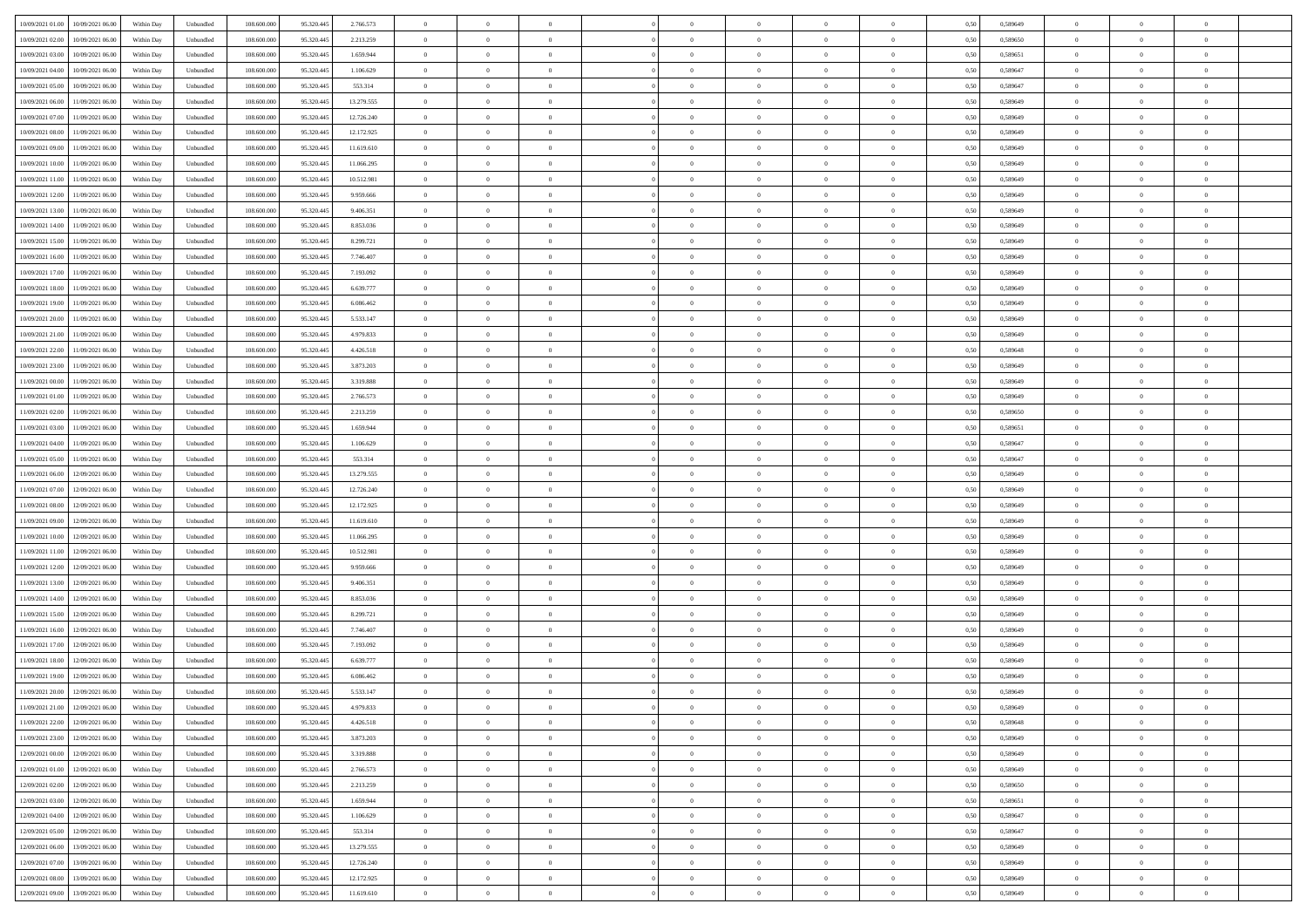| 10/09/2021 01:00<br>10/09/2021 06:00             | Within Day | Unbundled | 108.600.000 | 95.320.445 | 2.766.573  | $\overline{0}$ | $\overline{0}$ |                | $\overline{0}$ | $\theta$       |                | $\theta$       | 0,50 | 0,589649 | $\theta$       | $\theta$       | $\overline{0}$ |  |
|--------------------------------------------------|------------|-----------|-------------|------------|------------|----------------|----------------|----------------|----------------|----------------|----------------|----------------|------|----------|----------------|----------------|----------------|--|
| 10/09/2021 02:00<br>10/09/2021 06:00             | Within Day | Unbundled | 108.600.00  | 95.320.445 | 2.213.259  | $\bf{0}$       | $\bf{0}$       | $\bf{0}$       | $\bf{0}$       | $\overline{0}$ | $\overline{0}$ | $\bf{0}$       | 0,50 | 0,589650 | $\,$ 0 $\,$    | $\bf{0}$       | $\overline{0}$ |  |
| 10/09/2021 03:00<br>10/09/2021 06:00             | Within Day | Unbundled | 108,600,000 | 95.320.445 | 1.659.944  | $\overline{0}$ | $\bf{0}$       | $\overline{0}$ | $\bf{0}$       | $\bf{0}$       | $\overline{0}$ | $\bf{0}$       | 0.50 | 0.589651 | $\bf{0}$       | $\overline{0}$ | $\bf{0}$       |  |
|                                                  |            |           |             |            |            | $\overline{0}$ |                |                |                |                |                |                |      |          | $\theta$       | $\theta$       |                |  |
| 10/09/2021 04:00<br>10/09/2021 06:00             | Within Day | Unbundled | 108.600.000 | 95.320.445 | 1.106.629  |                | $\overline{0}$ | $\overline{0}$ | $\overline{0}$ | $\theta$       | $\overline{0}$ | $\bf{0}$       | 0,50 | 0,589647 |                |                | $\overline{0}$ |  |
| 10/09/2021 05:00<br>10/09/2021 06:00             | Within Day | Unbundled | 108.600.00  | 95.320.445 | 553.314    | $\bf{0}$       | $\overline{0}$ | $\bf{0}$       | $\overline{0}$ | $\theta$       | $\overline{0}$ | $\bf{0}$       | 0,50 | 0,589647 | $\,$ 0 $\,$    | $\bf{0}$       | $\overline{0}$ |  |
| 10/09/2021 06:00<br>11/09/2021 06:00             | Within Day | Unbundled | 108,600,000 | 95.320.44  | 13.279.555 | $\overline{0}$ | $\overline{0}$ | $\overline{0}$ | $\bf{0}$       | $\overline{0}$ | $\theta$       | $\bf{0}$       | 0.50 | 0.589649 | $\,$ 0 $\,$    | $\theta$       | $\overline{0}$ |  |
| 10/09/2021 07:00<br>11/09/2021 06:00             | Within Day | Unbundled | 108.600.000 | 95.320.445 | 12.726.240 | $\overline{0}$ | $\overline{0}$ | $\overline{0}$ | $\overline{0}$ | $\overline{0}$ | $\overline{0}$ | $\bf{0}$       | 0,50 | 0,589649 | $\theta$       | $\theta$       | $\overline{0}$ |  |
|                                                  |            |           |             |            |            |                | $\bf{0}$       | $\bf{0}$       | $\overline{0}$ | $\overline{0}$ | $\overline{0}$ |                |      |          | $\,$ 0 $\,$    | $\bf{0}$       | $\overline{0}$ |  |
| 10/09/2021 08:00<br>11/09/2021 06:00             | Within Day | Unbundled | 108.600.00  | 95.320.445 | 12.172.925 | $\bf{0}$       |                |                |                |                |                | $\bf{0}$       | 0,50 | 0,589649 |                |                |                |  |
| 10/09/2021 09:00<br>11/09/2021 06:00             | Within Day | Unbundled | 108,600,000 | 95.320.445 | 11.619.610 | $\overline{0}$ | $\bf{0}$       | $\overline{0}$ | $\bf{0}$       | $\overline{0}$ | $\overline{0}$ | $\bf{0}$       | 0.50 | 0.589649 | $\bf{0}$       | $\overline{0}$ | $\overline{0}$ |  |
| 10/09/2021 10:00<br>11/09/2021 06:00             | Within Day | Unbundled | 108.600.000 | 95.320.445 | 11.066.295 | $\overline{0}$ | $\bf{0}$       | $\overline{0}$ | $\overline{0}$ | $\overline{0}$ | $\overline{0}$ | $\bf{0}$       | 0,50 | 0,589649 | $\,$ 0 $\,$    | $\bf{0}$       | $\overline{0}$ |  |
| 10/09/2021 11:00<br>11/09/2021 06:00             | Within Day | Unbundled | 108.600.00  | 95.320.445 | 10.512.981 | $\bf{0}$       | $\bf{0}$       | $\bf{0}$       | $\bf{0}$       | $\bf{0}$       | $\overline{0}$ | $\bf{0}$       | 0,50 | 0,589649 | $\,$ 0 $\,$    | $\bf{0}$       | $\overline{0}$ |  |
| 10/09/2021 12:00<br>11/09/2021 06:00             | Within Day | Unbundled | 108,600,000 | 95.320.445 | 9.959.666  | $\overline{0}$ | $\bf{0}$       | $\overline{0}$ | $\overline{0}$ | $\bf{0}$       | $\overline{0}$ | $\bf{0}$       | 0.50 | 0.589649 | $\bf{0}$       | $\overline{0}$ | $\,$ 0         |  |
|                                                  |            |           |             |            |            |                |                |                |                |                |                |                |      |          |                |                |                |  |
| 10/09/2021 13:00<br>11/09/2021 06:00             | Within Day | Unbundled | 108.600.000 | 95.320.445 | 9.406.351  | $\overline{0}$ | $\overline{0}$ | $\overline{0}$ | $\theta$       | $\theta$       | $\overline{0}$ | $\bf{0}$       | 0,50 | 0,589649 | $\,$ 0 $\,$    | $\theta$       | $\overline{0}$ |  |
| 10/09/2021 14:00<br>11/09/2021 06:00             | Within Day | Unbundled | 108.600.00  | 95.320.445 | 8.853.036  | $\bf{0}$       | $\overline{0}$ | $\bf{0}$       | $\bf{0}$       | $\bf{0}$       | $\overline{0}$ | $\bf{0}$       | 0,50 | 0,589649 | $\,$ 0 $\,$    | $\bf{0}$       | $\overline{0}$ |  |
| 10/09/2021 15:00<br>11/09/2021 06:00             | Within Day | Unbundled | 108 600 000 | 95.320.44  | 8.299.721  | $\overline{0}$ | $\overline{0}$ | $\overline{0}$ | $\bf{0}$       | $\overline{0}$ | $\theta$       | $\bf{0}$       | 0.50 | 0.589649 | $\,$ 0 $\,$    | $\theta$       | $\overline{0}$ |  |
| 10/09/2021 16:00<br>11/09/2021 06:00             | Within Day | Unbundled | 108.600.000 | 95.320.445 | 7.746.407  | $\overline{0}$ | $\overline{0}$ | $\overline{0}$ | $\overline{0}$ | $\overline{0}$ | $\overline{0}$ | $\bf{0}$       | 0,50 | 0,589649 | $\theta$       | $\theta$       | $\overline{0}$ |  |
| 10/09/2021 17:00<br>11/09/2021 06:00             | Within Day | Unbundled | 108.600.00  | 95.320.445 | 7.193.092  | $\bf{0}$       | $\bf{0}$       | $\bf{0}$       | $\overline{0}$ | $\overline{0}$ | $\overline{0}$ | $\bf{0}$       | 0,50 | 0,589649 | $\,$ 0 $\,$    | $\bf{0}$       | $\overline{0}$ |  |
|                                                  |            |           |             |            |            |                |                |                |                |                |                |                |      |          |                |                |                |  |
| 10/09/2021 18:00<br>11/09/2021 06:00             | Within Day | Unbundled | 108,600,000 | 95.320.44  | 6.639.777  | $\overline{0}$ | $\bf{0}$       | $\overline{0}$ | $\bf{0}$       | $\overline{0}$ | $\overline{0}$ | $\bf{0}$       | 0.50 | 0.589649 | $\bf{0}$       | $\overline{0}$ | $\bf{0}$       |  |
| 10/09/2021 19:00<br>11/09/2021 06:00             | Within Day | Unbundled | 108.600.000 | 95.320.445 | 6.086.462  | $\overline{0}$ | $\bf{0}$       | $\overline{0}$ | $\overline{0}$ | $\overline{0}$ | $\overline{0}$ | $\bf{0}$       | 0,50 | 0,589649 | $\,$ 0 $\,$    | $\bf{0}$       | $\overline{0}$ |  |
| 10/09/2021 20:00<br>11/09/2021 06:00             | Within Day | Unbundled | 108.600.00  | 95.320.445 | 5.533.147  | $\bf{0}$       | $\bf{0}$       | $\bf{0}$       | $\bf{0}$       | $\overline{0}$ | $\overline{0}$ | $\bf{0}$       | 0,50 | 0,589649 | $\,$ 0 $\,$    | $\bf{0}$       | $\overline{0}$ |  |
| 10/09/2021 21:00<br>11/09/2021 06:00             | Within Day | Unbundled | 108,600,000 | 95.320.445 | 4.979.833  | $\overline{0}$ | $\bf{0}$       | $\overline{0}$ | $\overline{0}$ | $\bf{0}$       | $\overline{0}$ | $\bf{0}$       | 0.50 | 0.589649 | $\bf{0}$       | $\overline{0}$ | $\,$ 0         |  |
| 10/09/2021 22:00<br>11/09/2021 06:00             | Within Day | Unbundled | 108.600.000 | 95.320.445 | 4.426.518  | $\overline{0}$ | $\overline{0}$ | $\overline{0}$ | $\theta$       | $\theta$       | $\overline{0}$ | $\bf{0}$       | 0,50 | 0,589648 | $\theta$       | $\theta$       | $\overline{0}$ |  |
|                                                  |            |           |             |            |            |                | $\bf{0}$       |                |                | $\overline{0}$ | $\overline{0}$ |                |      |          | $\,$ 0 $\,$    | $\bf{0}$       | $\overline{0}$ |  |
| 10/09/2021 23:00<br>11/09/2021 06:00             | Within Day | Unbundled | 108.600.00  | 95.320.445 | 3.873.203  | $\bf{0}$       |                | $\bf{0}$       | $\bf{0}$       |                |                | $\bf{0}$       | 0,50 | 0,589649 |                |                |                |  |
| 11/09/2021 00:00<br>11/09/2021 06:00             | Within Day | Unbundled | 108,600,000 | 95.320.44  | 3.319.888  | $\overline{0}$ | $\overline{0}$ | $\overline{0}$ | $\bf{0}$       | $\overline{0}$ | $\theta$       | $\bf{0}$       | 0.50 | 0.589649 | $\,$ 0 $\,$    | $\theta$       | $\overline{0}$ |  |
| 11/09/2021 01:00<br>11/09/2021 06:00             | Within Day | Unbundled | 108.600.000 | 95.320.445 | 2.766.573  | $\overline{0}$ | $\overline{0}$ | $\overline{0}$ | $\overline{0}$ | $\overline{0}$ | $\overline{0}$ | $\bf{0}$       | 0,50 | 0,589649 | $\,$ 0 $\,$    | $\theta$       | $\overline{0}$ |  |
| 11/09/2021 02:00<br>11/09/2021 06:00             | Within Day | Unbundled | 108.600.00  | 95.320.445 | 2.213.259  | $\bf{0}$       | $\overline{0}$ | $\bf{0}$       | $\overline{0}$ | $\bf{0}$       | $\overline{0}$ | $\bf{0}$       | 0,50 | 0,589650 | $\,$ 0 $\,$    | $\bf{0}$       | $\overline{0}$ |  |
| 11/09/2021 03:00<br>11/09/2021 06:00             | Within Day | Unbundled | 108,600,000 | 95.320.445 | 1.659.944  | $\overline{0}$ | $\bf{0}$       | $\overline{0}$ | $\bf{0}$       | $\overline{0}$ | $\overline{0}$ | $\bf{0}$       | 0.50 | 0.589651 | $\bf{0}$       | $\overline{0}$ | $\overline{0}$ |  |
| 11/09/2021 04:00<br>11/09/2021 06:00             | Within Day | Unbundled | 108.600.000 | 95.320.445 | 1.106.629  | $\overline{0}$ | $\bf{0}$       | $\overline{0}$ | $\overline{0}$ | $\overline{0}$ | $\overline{0}$ | $\bf{0}$       | 0,50 | 0,589647 | $\theta$       | $\theta$       | $\overline{0}$ |  |
| 11/09/2021 06:00                                 | Within Day | Unbundled | 108.600.00  | 95.320.445 | 553.314    | $\bf{0}$       | $\bf{0}$       | $\bf{0}$       | $\bf{0}$       | $\overline{0}$ | $\overline{0}$ | $\bf{0}$       | 0,50 | 0,589647 | $\,$ 0 $\,$    | $\bf{0}$       | $\overline{0}$ |  |
| 11/09/2021 05:00                                 |            |           |             |            |            |                |                |                |                |                |                |                |      |          |                |                |                |  |
| 11/09/2021 06:00<br>12/09/2021 06:00             | Within Day | Unbundled | 108,600,000 | 95.320.445 | 13.279.555 | $\overline{0}$ | $\bf{0}$       | $\overline{0}$ | $\overline{0}$ | $\bf{0}$       | $\overline{0}$ | $\bf{0}$       | 0.50 | 0.589649 | $\bf{0}$       | $\overline{0}$ | $\,$ 0         |  |
| 11/09/2021 07:00<br>12/09/2021 06:00             | Within Day | Unbundled | 108.600.000 | 95.320.445 | 12.726.240 | $\overline{0}$ | $\overline{0}$ | $\overline{0}$ | $\overline{0}$ | $\overline{0}$ | $\overline{0}$ | $\bf{0}$       | 0.50 | 0.589649 | $\theta$       | $\theta$       | $\overline{0}$ |  |
| 11/09/2021 08:00<br>12/09/2021 06:00             | Within Day | Unbundled | 108.600.00  | 95.320.44  | 12.172.925 | $\bf{0}$       | $\bf{0}$       | $\bf{0}$       | $\bf{0}$       | $\overline{0}$ | $\overline{0}$ | $\bf{0}$       | 0,50 | 0,589649 | $\,$ 0 $\,$    | $\bf{0}$       | $\overline{0}$ |  |
| 11/09/2021 09:00<br>12/09/2021 06:00             | Within Day | Unbundled | 108,600,000 | 95.320.445 | 11.619.610 | $\overline{0}$ | $\bf{0}$       | $\overline{0}$ | $\bf{0}$       | $\overline{0}$ | $\overline{0}$ | $\bf{0}$       | 0.50 | 0.589649 | $\,$ 0 $\,$    | $\theta$       | $\overline{0}$ |  |
| 11/09/2021 10:00<br>12/09/2021 06:00             | Within Dav | Unbundled | 108.600.000 | 95.320.445 | 11.066.295 | $\overline{0}$ | $\overline{0}$ | $\overline{0}$ | $\overline{0}$ | $\overline{0}$ | $\overline{0}$ | $\bf{0}$       | 0.5( | 0.589649 | $\theta$       | $\theta$       | $\overline{0}$ |  |
| 12/09/2021 06:00                                 | Within Day | Unbundled | 108.600.00  | 95.320.445 | 10.512.981 | $\bf{0}$       | $\bf{0}$       | $\bf{0}$       | $\bf{0}$       | $\overline{0}$ | $\overline{0}$ | $\bf{0}$       | 0,50 | 0,589649 | $\,$ 0 $\,$    | $\bf{0}$       | $\overline{0}$ |  |
| 11/09/2021 11:00                                 |            |           |             |            |            |                |                |                |                |                |                |                |      |          |                |                |                |  |
| 11/09/2021 12:00<br>12/09/2021 06:00             | Within Day | Unbundled | 108,600,000 | 95.320.44  | 9.959.666  | $\overline{0}$ | $\bf{0}$       | $\overline{0}$ | $\bf{0}$       | $\overline{0}$ | $\overline{0}$ | $\bf{0}$       | 0.50 | 0.589649 | $\bf{0}$       | $\overline{0}$ | $\overline{0}$ |  |
| 11/09/2021 13:00<br>12/09/2021 06:00             | Within Dav | Unbundled | 108.600.000 | 95.320.445 | 9.406.351  | $\overline{0}$ | $\overline{0}$ | $\overline{0}$ | $\overline{0}$ | $\overline{0}$ | $\overline{0}$ | $\bf{0}$       | 0.50 | 0.589649 | $\theta$       | $\theta$       | $\overline{0}$ |  |
| 11/09/2021 14:00<br>12/09/2021 06:00             | Within Day | Unbundled | 108.600.00  | 95.320.445 | 8.853.036  | $\bf{0}$       | $\bf{0}$       | $\bf{0}$       | $\bf{0}$       | $\overline{0}$ | $\overline{0}$ | $\bf{0}$       | 0,50 | 0,589649 | $\,$ 0 $\,$    | $\bf{0}$       | $\overline{0}$ |  |
| 11/09/2021 15:00<br>12/09/2021 06:00             | Within Day | Unbundled | 108,600,000 | 95.320.445 | 8.299.721  | $\overline{0}$ | $\bf{0}$       | $\overline{0}$ | $\overline{0}$ | $\bf{0}$       | $\overline{0}$ | $\bf{0}$       | 0.50 | 0.589649 | $\bf{0}$       | $\overline{0}$ | $\,$ 0         |  |
| 11/09/2021 16:00<br>12/09/2021 06:00             | Within Dav | Unbundled | 108.600.000 | 95.320.445 | 7.746.407  | $\overline{0}$ | $\overline{0}$ | $\overline{0}$ | $\overline{0}$ | $\overline{0}$ | $\overline{0}$ | $\bf{0}$       | 0.50 | 0.589649 | $\theta$       | $\theta$       | $\overline{0}$ |  |
|                                                  |            |           |             |            |            |                |                |                |                |                |                |                |      |          |                |                |                |  |
| 11/09/2021 17:00<br>12/09/2021 06:00             | Within Day | Unbundled | 108.600.00  | 95.320.445 | 7.193.092  | $\bf{0}$       | $\bf{0}$       | $\bf{0}$       | $\bf{0}$       | $\overline{0}$ | $\overline{0}$ | $\bf{0}$       | 0,50 | 0,589649 | $\,$ 0 $\,$    | $\bf{0}$       | $\overline{0}$ |  |
| 11/09/2021 18:00<br>12/09/2021 06:00             | Within Day | Unbundled | 108,600,000 | 95.320.44  | 6.639.777  | $\overline{0}$ | $\overline{0}$ | $\overline{0}$ | $\bf{0}$       | $\overline{0}$ | $\Omega$       | $\bf{0}$       | 0.50 | 0.589649 | $\bf{0}$       | $\theta$       | $\overline{0}$ |  |
| 11/09/2021 19:00<br>12/09/2021 06:00             | Within Dav | Unbundled | 108.600.000 | 95.320.445 | 6.086.462  | $\overline{0}$ | $\overline{0}$ | $\Omega$       | $\theta$       | $\theta$       | $\overline{0}$ | $\overline{0}$ | 0.5( | 0.589649 | $\theta$       | $\theta$       | $\overline{0}$ |  |
| 11/09/2021 20:00<br>12/09/2021 06:00             | Within Day | Unbundled | 108.600.00  | 95.320.445 | 5.533.147  | $\bf{0}$       | $\bf{0}$       | $\bf{0}$       | $\bf{0}$       | $\bf{0}$       | $\overline{0}$ | $\bf{0}$       | 0,50 | 0,589649 | $\,$ 0 $\,$    | $\bf{0}$       | $\overline{0}$ |  |
| $11/09/2021\; 21.00 \quad \  12/09/2021\; 06.00$ | Within Day | Unbundled | 108.600.000 | 95.320.445 | 4.979.833  | $\bf{0}$       | $\theta$       |                | $\overline{0}$ |                |                |                | 0,50 | 0.589649 | $\bf{0}$       | $\bf{0}$       |                |  |
| 11/09/2021 22:00 12/09/2021 06:00                | Within Day | Unbundled | 108.600.000 | 95.320.445 | 4.426.518  | $\overline{0}$ | $\theta$       | $\Omega$       | $\theta$       | $\overline{0}$ | $\overline{0}$ | $\bf{0}$       | 0,50 | 0,589648 | $\theta$       | $\theta$       | $\overline{0}$ |  |
|                                                  |            |           |             |            |            |                |                |                |                |                |                |                |      |          |                |                |                |  |
| 11/09/2021 23:00<br>12/09/2021 06:00             | Within Day | Unbundled | 108.600.00  | 95.320.445 | 3.873.203  | $\overline{0}$ | $\bf{0}$       | $\overline{0}$ | $\overline{0}$ | $\bf{0}$       | $\overline{0}$ | $\bf{0}$       | 0,50 | 0,589649 | $\bf{0}$       | $\overline{0}$ | $\bf{0}$       |  |
| 12/09/2021 00:00 12/09/2021 06:00                | Within Day | Unbundled | 108,600,000 | 95.320.445 | 3.319.888  | $\overline{0}$ | $\bf{0}$       | $\overline{0}$ | $\overline{0}$ | $\mathbf{0}$   | $\overline{0}$ | $\,$ 0 $\,$    | 0.50 | 0.589649 | $\overline{0}$ | $\bf{0}$       | $\,$ 0 $\,$    |  |
| 12/09/2021 01:00 12/09/2021 06:00                | Within Day | Unbundled | 108.600.000 | 95.320.445 | 2.766.573  | $\overline{0}$ | $\overline{0}$ | $\overline{0}$ | $\overline{0}$ | $\overline{0}$ | $\overline{0}$ | $\bf{0}$       | 0,50 | 0.589649 | $\overline{0}$ | $\theta$       | $\overline{0}$ |  |
| 12/09/2021 02:00<br>12/09/2021 06:00             | Within Day | Unbundled | 108.600.000 | 95.320.445 | 2.213.259  | $\overline{0}$ | $\bf{0}$       | $\overline{0}$ | $\overline{0}$ | $\overline{0}$ | $\overline{0}$ | $\bf{0}$       | 0,50 | 0,589650 | $\bf{0}$       | $\overline{0}$ | $\overline{0}$ |  |
| 12/09/2021 03:00<br>12/09/2021 06:00             | Within Day | Unbundled | 108,600,000 | 95.320.445 | 1.659.944  | $\overline{0}$ | $\bf{0}$       | $\overline{0}$ | $\overline{0}$ | $\overline{0}$ | $\overline{0}$ | $\bf{0}$       | 0.50 | 0.589651 | $\,$ 0 $\,$    | $\theta$       | $\,$ 0         |  |
|                                                  |            |           |             |            |            |                |                |                |                |                |                |                |      |          |                |                |                |  |
| 12/09/2021 04:00<br>12/09/2021 06:00             | Within Dav | Unbundled | 108.600.000 | 95.320.445 | 1.106.629  | $\overline{0}$ | $\overline{0}$ | $\overline{0}$ | $\overline{0}$ | $\overline{0}$ | $\overline{0}$ | $\bf{0}$       | 0.50 | 0,589647 | $\overline{0}$ | $\theta$       | $\overline{0}$ |  |
| 12/09/2021 05:00<br>12/09/2021 06:00             | Within Day | Unbundled | 108.600.00  | 95.320.445 | 553.314    | $\overline{0}$ | $\overline{0}$ | $\overline{0}$ | $\overline{0}$ | $\overline{0}$ | $\overline{0}$ | $\bf{0}$       | 0,50 | 0,589647 | $\bf{0}$       | $\overline{0}$ | $\overline{0}$ |  |
| 13/09/2021 06:00<br>12/09/2021 06:00             | Within Day | Unbundled | 108,600,000 | 95.320.445 | 13.279.555 | $\overline{0}$ | $\overline{0}$ | $\overline{0}$ | $\overline{0}$ | $\bf{0}$       | $\overline{0}$ | $\bf{0}$       | 0.50 | 0.589649 | $\mathbf{0}$   | $\bf{0}$       | $\,$ 0         |  |
| 12/09/2021 07:00 13/09/2021 06:00                | Within Dav | Unbundled | 108.600.000 | 95.320.445 | 12.726.240 | $\overline{0}$ | $\overline{0}$ | $\overline{0}$ | $\overline{0}$ | $\overline{0}$ | $\overline{0}$ | $\bf{0}$       | 0,50 | 0.589649 | $\overline{0}$ | $\theta$       | $\overline{0}$ |  |
| 12/09/2021 08:00<br>13/09/2021 06:00             | Within Day | Unbundled | 108.600.00  | 95.320.445 | 12.172.925 | $\overline{0}$ | $\bf{0}$       | $\overline{0}$ | $\bf{0}$       | $\overline{0}$ | $\overline{0}$ | $\bf{0}$       | 0,50 | 0,589649 | $\bf{0}$       | $\bf{0}$       | $\bf{0}$       |  |
|                                                  |            |           |             |            |            |                |                |                |                |                |                |                |      |          |                |                |                |  |
| 12/09/2021 09:00 13/09/2021 06:00                | Within Day | Unbundled | 108.600.000 | 95.320.445 | 11.619.610 | $\overline{0}$ | $\bf{0}$       | $\overline{0}$ | $\overline{0}$ | $\,$ 0 $\,$    | $\overline{0}$ | $\bf{0}$       | 0,50 | 0,589649 | $\overline{0}$ | $\,$ 0 $\,$    | $\,$ 0 $\,$    |  |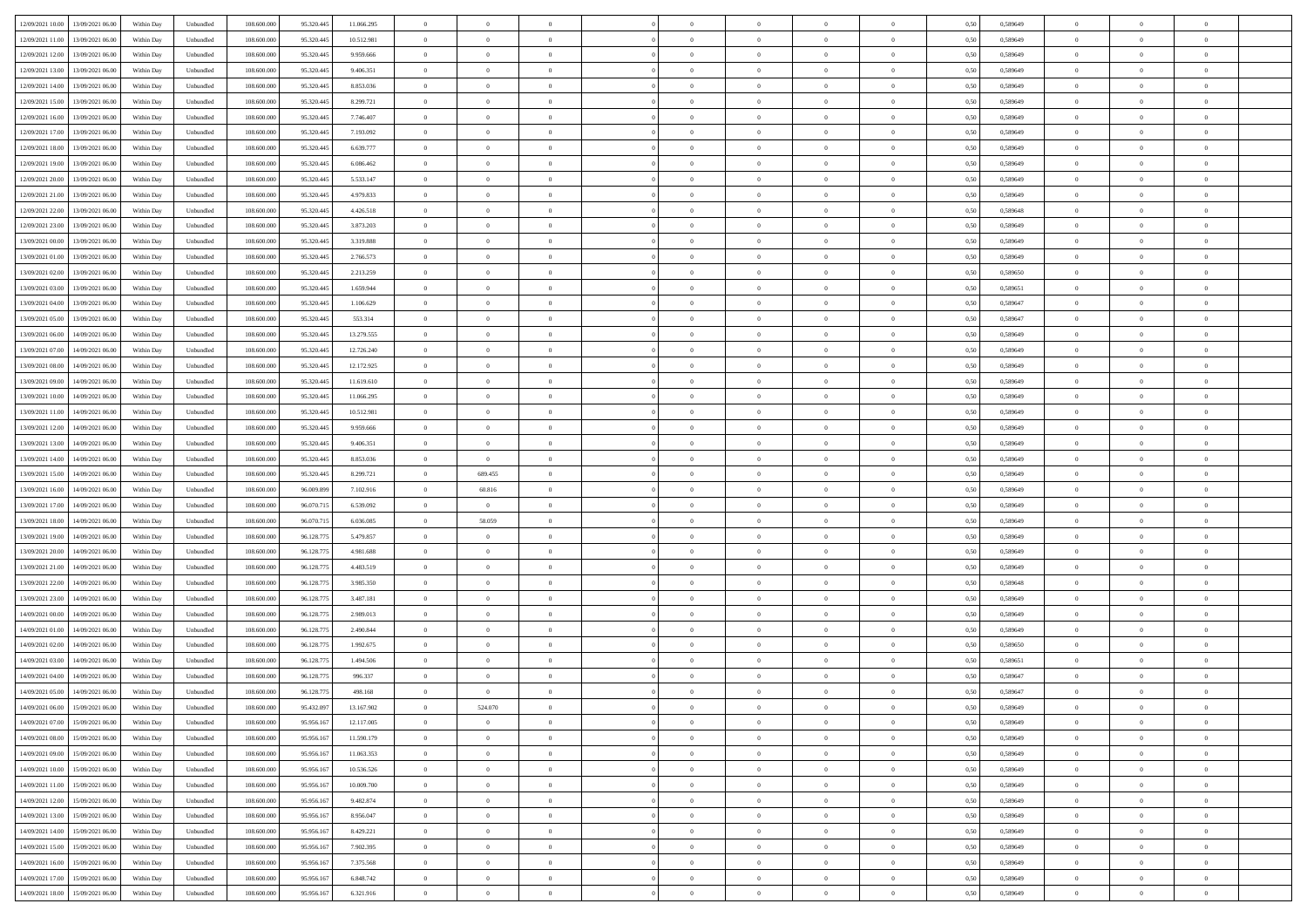| 12/09/2021 10:00 13/09/2021 06:00            | Within Day | Unbundled                   | 108.600.000 | 95.320.445 | 11.066.295 | $\overline{0}$ | $\theta$       |                | $\overline{0}$ | $\theta$       |                | $\theta$       | 0,50 | 0,589649 | $\theta$       | $\theta$       | $\overline{0}$ |  |
|----------------------------------------------|------------|-----------------------------|-------------|------------|------------|----------------|----------------|----------------|----------------|----------------|----------------|----------------|------|----------|----------------|----------------|----------------|--|
| 12/09/2021 11:00<br>13/09/2021 06:00         | Within Day | Unbundled                   | 108.600.00  | 95.320.445 | 10.512.981 | $\bf{0}$       | $\bf{0}$       | $\bf{0}$       | $\bf{0}$       | $\overline{0}$ | $\overline{0}$ | $\bf{0}$       | 0,50 | 0,589649 | $\,$ 0 $\,$    | $\bf{0}$       | $\overline{0}$ |  |
| 12/09/2021 12:00<br>13/09/2021 06:00         | Within Day | Unbundled                   | 108,600,000 | 95.320.445 | 9.959.666  | $\overline{0}$ | $\bf{0}$       | $\overline{0}$ | $\bf{0}$       | $\bf{0}$       | $\overline{0}$ | $\bf{0}$       | 0.50 | 0.589649 | $\bf{0}$       | $\overline{0}$ | $\overline{0}$ |  |
| 12/09/2021 13:00<br>13/09/2021 06:00         | Within Day | Unbundled                   | 108.600.000 | 95.320.445 | 9.406.351  | $\overline{0}$ | $\overline{0}$ | $\overline{0}$ | $\theta$       | $\theta$       | $\overline{0}$ | $\bf{0}$       | 0,50 | 0,589649 | $\theta$       | $\theta$       | $\overline{0}$ |  |
|                                              |            |                             |             |            |            |                |                |                |                |                |                |                |      |          |                |                |                |  |
| 12/09/2021 14:00<br>13/09/2021 06:00         | Within Day | Unbundled                   | 108.600.00  | 95.320.445 | 8.853.036  | $\bf{0}$       | $\overline{0}$ | $\bf{0}$       | $\overline{0}$ | $\theta$       | $\overline{0}$ | $\bf{0}$       | 0,50 | 0,589649 | $\,$ 0 $\,$    | $\bf{0}$       | $\overline{0}$ |  |
| 12/09/2021 15:00<br>13/09/2021 06:00         | Within Day | Unbundled                   | 108,600,000 | 95.320.44  | 8.299.721  | $\overline{0}$ | $\overline{0}$ | $\overline{0}$ | $\bf{0}$       | $\overline{0}$ | $\theta$       | $\bf{0}$       | 0.50 | 0.589649 | $\,$ 0 $\,$    | $\theta$       | $\overline{0}$ |  |
| 12/09/2021 16:00<br>13/09/2021 06:00         | Within Day | Unbundled                   | 108.600.000 | 95.320.445 | 7.746.407  | $\overline{0}$ | $\overline{0}$ | $\overline{0}$ | $\overline{0}$ | $\overline{0}$ | $\overline{0}$ | $\bf{0}$       | 0,50 | 0,589649 | $\theta$       | $\theta$       | $\overline{0}$ |  |
|                                              |            |                             |             |            |            |                |                |                |                |                |                |                |      |          |                |                |                |  |
| 12/09/2021 17:00<br>13/09/2021 06:00         | Within Day | Unbundled                   | 108.600.00  | 95.320.445 | 7.193.092  | $\bf{0}$       | $\bf{0}$       | $\bf{0}$       | $\overline{0}$ | $\overline{0}$ | $\overline{0}$ | $\bf{0}$       | 0,50 | 0,589649 | $\,$ 0 $\,$    | $\bf{0}$       | $\overline{0}$ |  |
| 12/09/2021 18:00<br>13/09/2021 06:00         | Within Day | Unbundled                   | 108,600,000 | 95.320.44  | 6.639.777  | $\overline{0}$ | $\bf{0}$       | $\overline{0}$ | $\bf{0}$       | $\overline{0}$ | $\overline{0}$ | $\bf{0}$       | 0.50 | 0.589649 | $\bf{0}$       | $\overline{0}$ | $\overline{0}$ |  |
| 12/09/2021 19:00<br>13/09/2021 06:00         | Within Day | Unbundled                   | 108.600.000 | 95.320.445 | 6.086.462  | $\overline{0}$ | $\bf{0}$       | $\overline{0}$ | $\overline{0}$ | $\overline{0}$ | $\overline{0}$ | $\bf{0}$       | 0,50 | 0,589649 | $\,$ 0 $\,$    | $\bf{0}$       | $\overline{0}$ |  |
| 12/09/2021 20:00<br>13/09/2021 06:00         | Within Day | Unbundled                   | 108.600.00  | 95.320.445 | 5.533.147  | $\bf{0}$       | $\bf{0}$       | $\bf{0}$       | $\bf{0}$       | $\bf{0}$       | $\overline{0}$ | $\bf{0}$       | 0,50 | 0,589649 | $\,$ 0 $\,$    | $\bf{0}$       | $\overline{0}$ |  |
|                                              |            |                             | 108,600,000 | 95.320.445 | 4.979.833  |                |                |                |                |                | $\overline{0}$ |                |      |          |                |                | $\,$ 0         |  |
| 12/09/2021 21:00<br>13/09/2021 06:00         | Within Day | Unbundled                   |             |            |            | $\overline{0}$ | $\bf{0}$       | $\overline{0}$ | $\overline{0}$ | $\bf{0}$       |                | $\bf{0}$       | 0.50 | 0.589649 | $\bf{0}$       | $\overline{0}$ |                |  |
| 12/09/2021 22:00<br>13/09/2021 06:00         | Within Day | Unbundled                   | 108.600.000 | 95.320.445 | 4.426.518  | $\overline{0}$ | $\overline{0}$ | $\overline{0}$ | $\theta$       | $\theta$       | $\overline{0}$ | $\bf{0}$       | 0,50 | 0,589648 | $\,$ 0 $\,$    | $\theta$       | $\overline{0}$ |  |
| 12/09/2021 23:00<br>13/09/2021 06:00         | Within Day | Unbundled                   | 108.600.00  | 95.320.44  | 3.873.203  | $\bf{0}$       | $\overline{0}$ | $\bf{0}$       | $\overline{0}$ | $\bf{0}$       | $\overline{0}$ | $\bf{0}$       | 0,50 | 0,589649 | $\,$ 0 $\,$    | $\bf{0}$       | $\overline{0}$ |  |
| 13/09/2021 00:00<br>13/09/2021 06:00         | Within Day | Unbundled                   | 108 600 000 | 95.320.445 | 3.319.888  | $\overline{0}$ | $\overline{0}$ | $\overline{0}$ | $\bf{0}$       | $\overline{0}$ | $\theta$       | $\bf{0}$       | 0.50 | 0.589649 | $\theta$       | $\theta$       | $\overline{0}$ |  |
| 13/09/2021 01:00<br>13/09/2021 06:00         | Within Day | Unbundled                   | 108.600.000 | 95.320.445 | 2.766.573  | $\overline{0}$ | $\overline{0}$ | $\overline{0}$ | $\overline{0}$ | $\overline{0}$ | $\overline{0}$ | $\bf{0}$       | 0,50 | 0,589649 | $\theta$       | $\theta$       | $\overline{0}$ |  |
|                                              |            |                             |             |            |            |                |                |                |                |                |                |                |      |          |                |                |                |  |
| 13/09/2021 02:00<br>13/09/2021 06:00         | Within Day | Unbundled                   | 108.600.00  | 95.320.445 | 2.213.259  | $\bf{0}$       | $\bf{0}$       | $\bf{0}$       | $\overline{0}$ | $\bf{0}$       | $\overline{0}$ | $\bf{0}$       | 0,50 | 0,589650 | $\,$ 0 $\,$    | $\bf{0}$       | $\overline{0}$ |  |
| 13/09/2021 03:00<br>13/09/2021 06:00         | Within Day | Unbundled                   | 108,600,000 | 95.320.44  | 1.659.944  | $\overline{0}$ | $\bf{0}$       | $\overline{0}$ | $\bf{0}$       | $\overline{0}$ | $\overline{0}$ | $\bf{0}$       | 0.50 | 0.589651 | $\bf{0}$       | $\overline{0}$ | $\bf{0}$       |  |
| 13/09/2021 04:00<br>13/09/2021 06:00         | Within Day | Unbundled                   | 108.600.000 | 95.320.445 | 1.106.629  | $\overline{0}$ | $\bf{0}$       | $\overline{0}$ | $\overline{0}$ | $\overline{0}$ | $\overline{0}$ | $\bf{0}$       | 0,50 | 0,589647 | $\,$ 0 $\,$    | $\bf{0}$       | $\overline{0}$ |  |
| 13/09/2021 05:00<br>13/09/2021 06:00         | Within Day | Unbundled                   | 108.600.00  | 95.320.445 | 553.314    | $\bf{0}$       | $\bf{0}$       | $\bf{0}$       | $\bf{0}$       | $\overline{0}$ | $\overline{0}$ | $\bf{0}$       | 0,50 | 0,589647 | $\,$ 0 $\,$    | $\bf{0}$       | $\overline{0}$ |  |
|                                              |            |                             |             |            |            |                |                |                |                |                |                |                |      |          |                |                |                |  |
| 13/09/2021 06:00<br>14/09/2021 06:00         | Within Day | Unbundled                   | 108,600,000 | 95.320.445 | 13.279.555 | $\overline{0}$ | $\bf{0}$       | $\overline{0}$ | $\overline{0}$ | $\bf{0}$       | $\overline{0}$ | $\bf{0}$       | 0.50 | 0.589649 | $\bf{0}$       | $\overline{0}$ | $\,$ 0         |  |
| 13/09/2021 07:00<br>14/09/2021 06:00         | Within Day | Unbundled                   | 108.600.000 | 95.320.445 | 12.726.240 | $\overline{0}$ | $\overline{0}$ | $\overline{0}$ | $\theta$       | $\theta$       | $\overline{0}$ | $\bf{0}$       | 0,50 | 0,589649 | $\theta$       | $\theta$       | $\overline{0}$ |  |
| 13/09/2021 08:00<br>14/09/2021 06.00         | Within Day | Unbundled                   | 108.600.00  | 95.320.445 | 12.172.925 | $\bf{0}$       | $\overline{0}$ | $\bf{0}$       | $\bf{0}$       | $\overline{0}$ | $\overline{0}$ | $\bf{0}$       | 0,50 | 0,589649 | $\,$ 0 $\,$    | $\bf{0}$       | $\overline{0}$ |  |
| 13/09/2021 09:00<br>14/09/2021 06:00         | Within Day | Unbundled                   | 108,600,000 | 95.320.44  | 11.619.610 | $\overline{0}$ | $\overline{0}$ | $\overline{0}$ | $\bf{0}$       | $\overline{0}$ | $\theta$       | $\bf{0}$       | 0.50 | 0.589649 | $\,$ 0 $\,$    | $\theta$       | $\overline{0}$ |  |
| 13/09/2021 10:00<br>14/09/2021 06.00         | Within Day | Unbundled                   | 108.600.000 | 95.320.445 | 11.066.295 | $\overline{0}$ | $\overline{0}$ | $\overline{0}$ | $\overline{0}$ | $\overline{0}$ | $\overline{0}$ | $\bf{0}$       | 0,50 | 0,589649 | $\,$ 0 $\,$    | $\theta$       | $\overline{0}$ |  |
|                                              |            |                             |             |            |            |                |                |                |                |                |                |                |      |          |                |                |                |  |
| 13/09/2021 11:00<br>14/09/2021 06.00         | Within Day | Unbundled                   | 108.600.00  | 95.320.445 | 10.512.981 | $\bf{0}$       | $\overline{0}$ | $\bf{0}$       | $\overline{0}$ | $\bf{0}$       | $\overline{0}$ | $\bf{0}$       | 0,50 | 0,589649 | $\,$ 0 $\,$    | $\bf{0}$       | $\overline{0}$ |  |
| 13/09/2021 12:00<br>14/09/2021 06:00         | Within Day | Unbundled                   | 108,600,000 | 95.320.44  | 9.959.666  | $\overline{0}$ | $\bf{0}$       | $\overline{0}$ | $\bf{0}$       | $\overline{0}$ | $\overline{0}$ | $\bf{0}$       | 0.50 | 0.589649 | $\bf{0}$       | $\overline{0}$ | $\overline{0}$ |  |
| 13/09/2021 13:00<br>14/09/2021 06:00         | Within Day | Unbundled                   | 108.600.000 | 95.320.445 | 9.406.351  | $\overline{0}$ | $\bf{0}$       | $\overline{0}$ | $\overline{0}$ | $\overline{0}$ | $\overline{0}$ | $\bf{0}$       | 0,50 | 0,589649 | $\theta$       | $\theta$       | $\overline{0}$ |  |
| 13/09/2021 14:00<br>14/09/2021 06.00         | Within Day | Unbundled                   | 108.600.00  | 95.320.445 | 8.853.036  | $\bf{0}$       | $\bf{0}$       | $\bf{0}$       | $\bf{0}$       | $\overline{0}$ | $\overline{0}$ | $\bf{0}$       | 0,50 | 0,589649 | $\,$ 0 $\,$    | $\bf{0}$       | $\overline{0}$ |  |
|                                              |            |                             |             |            |            |                |                |                |                |                |                |                |      |          |                |                |                |  |
| 13/09/2021 15:00<br>14/09/2021 06:00         | Within Day | Unbundled                   | 108,600,000 | 95.320.445 | 8.299.721  | $\overline{0}$ | 689.455        | $\overline{0}$ | $\bf{0}$       | $\bf{0}$       | $\overline{0}$ | $\bf{0}$       | 0.50 | 0.589649 | $\bf{0}$       | $\overline{0}$ | $\,$ 0         |  |
| 13/09/2021 16:00<br>14/09/2021 06:00         | Within Day | Unbundled                   | 108.600.000 | 96,009.899 | 7.102.916  | $\overline{0}$ | 60.816         | $\overline{0}$ | $\overline{0}$ | $\overline{0}$ | $\overline{0}$ | $\bf{0}$       | 0.50 | 0.589649 | $\theta$       | $\theta$       | $\overline{0}$ |  |
| 13/09/2021 17:00<br>14/09/2021 06.00         | Within Day | Unbundled                   | 108.600.00  | 96.070.71: | 6.539.092  | $\bf{0}$       | $\bf{0}$       | $\bf{0}$       | $\bf{0}$       | $\,$ 0 $\,$    | $\overline{0}$ | $\bf{0}$       | 0,50 | 0,589649 | $\,$ 0 $\,$    | $\bf{0}$       | $\overline{0}$ |  |
| 13/09/2021 18:00<br>14/09/2021 06:00         | Within Day | Unbundled                   | 108,600,000 | 96.070.71  | 6.036.085  | $\overline{0}$ | 58,059         | $\overline{0}$ | $\bf{0}$       | $\overline{0}$ | $\Omega$       | $\bf{0}$       | 0.50 | 0.589649 | $\,$ 0 $\,$    | $\theta$       | $\overline{0}$ |  |
| 13/09/2021 19:00<br>14/09/2021 06:00         | Within Dav | Unbundled                   | 108.600.000 | 96.128.77  | 5.479.857  | $\overline{0}$ | $\overline{0}$ | $\overline{0}$ | $\overline{0}$ | $\theta$       | $\overline{0}$ | $\bf{0}$       | 0.50 | 0.589649 | $\theta$       | $\theta$       | $\overline{0}$ |  |
|                                              |            |                             |             |            |            |                |                |                |                |                |                |                |      |          |                |                |                |  |
| 13/09/2021 20:00<br>14/09/2021 06.00         | Within Day | Unbundled                   | 108.600.00  | 96.128.77  | 4.981.688  | $\bf{0}$       | $\bf{0}$       | $\bf{0}$       | $\bf{0}$       | $\overline{0}$ | $\overline{0}$ | $\bf{0}$       | 0,50 | 0,589649 | $\,$ 0 $\,$    | $\bf{0}$       | $\overline{0}$ |  |
| 13/09/2021 21:00<br>14/09/2021 06:00         | Within Day | Unbundled                   | 108,600,000 | 96.128.775 | 4.483.519  | $\overline{0}$ | $\bf{0}$       | $\overline{0}$ | $\bf{0}$       | $\overline{0}$ | $\overline{0}$ | $\bf{0}$       | 0.50 | 0.589649 | $\bf{0}$       | $\overline{0}$ | $\overline{0}$ |  |
| 13/09/2021 22:00<br>14/09/2021 06:00         | Within Dav | Unbundled                   | 108.600.000 | 96.128.77  | 3.985.350  | $\overline{0}$ | $\overline{0}$ | $\overline{0}$ | $\overline{0}$ | $\overline{0}$ | $\overline{0}$ | $\bf{0}$       | 0.50 | 0.589648 | $\theta$       | $\theta$       | $\overline{0}$ |  |
| 13/09/2021 23:00<br>14/09/2021 06.00         | Within Day | Unbundled                   | 108.600.00  | 96.128.77  | 3.487.181  | $\bf{0}$       | $\bf{0}$       | $\bf{0}$       | $\bf{0}$       | $\overline{0}$ | $\overline{0}$ | $\bf{0}$       | 0,50 | 0,589649 | $\,$ 0 $\,$    | $\bf{0}$       | $\overline{0}$ |  |
| 14/09/2021 06:00                             |            |                             | 108,600,000 |            | 2.989.013  |                |                |                |                |                | $\overline{0}$ |                |      |          |                |                | $\,$ 0         |  |
| 14/09/2021 00:00                             | Within Day | Unbundled                   |             | 96.128.775 |            | $\overline{0}$ | $\bf{0}$       | $\overline{0}$ | $\overline{0}$ | $\bf{0}$       |                | $\bf{0}$       | 0.50 | 0.589649 | $\bf{0}$       | $\overline{0}$ |                |  |
| 14/09/2021 01:00<br>14/09/2021 06:00         | Within Dav | Unbundled                   | 108.600.000 | 96.128.77  | 2.490.844  | $\overline{0}$ | $\overline{0}$ | $\overline{0}$ | $\overline{0}$ | $\overline{0}$ | $\overline{0}$ | $\bf{0}$       | 0.50 | 0.589649 | $\theta$       | $\theta$       | $\overline{0}$ |  |
| 14/09/2021 02:00<br>14/09/2021 06.00         | Within Day | Unbundled                   | 108.600.00  | 96.128.77  | 1.992.675  | $\bf{0}$       | $\bf{0}$       | $\bf{0}$       | $\bf{0}$       | $\overline{0}$ | $\overline{0}$ | $\bf{0}$       | 0,50 | 0,589650 | $\,$ 0 $\,$    | $\bf{0}$       | $\overline{0}$ |  |
| 14/09/2021 03:00<br>14/09/2021 06:00         | Within Day | Unbundled                   | 108,600,000 | 96.128.77  | 1.494.506  | $\overline{0}$ | $\overline{0}$ | $\overline{0}$ | $\bf{0}$       | $\overline{0}$ | $\Omega$       | $\bf{0}$       | 0.50 | 0.589651 | $\bf{0}$       | $\theta$       | $\overline{0}$ |  |
| 14/09/2021 04:00<br>14/09/2021 06:00         | Within Dav | Unbundled                   | 108.600.000 | 96.128.77  | 996.337    | $\overline{0}$ | $\overline{0}$ | $\Omega$       | $\overline{0}$ | $\theta$       | $\overline{0}$ | $\overline{0}$ | 0.5( | 0.589647 | $\theta$       | $\theta$       | $\overline{0}$ |  |
|                                              |            |                             |             |            |            |                |                |                |                |                |                |                |      |          |                |                |                |  |
| 14/09/2021 05:00<br>14/09/2021 06.00         | Within Day | Unbundled                   | 108.600.00  | 96.128.77  | 498.168    | $\bf{0}$       | $\bf{0}$       | $\bf{0}$       | $\bf{0}$       | $\bf{0}$       | $\overline{0}$ | $\bf{0}$       | 0,50 | 0,589647 | $\,$ 0 $\,$    | $\bf{0}$       | $\overline{0}$ |  |
| $14/09/2021\;06.00 \qquad 15/09/2021\;06.00$ | Within Day | $\ensuremath{\mathsf{Unb}}$ | 108.600.000 | 95.432.097 | 13.167.902 | $\bf{0}$       | 524.070        |                | $\overline{0}$ |                |                |                | 0,50 | 0.589649 | $\bf{0}$       | $\overline{0}$ |                |  |
| 14/09/2021 07:00 15/09/2021 06:00            | Within Day | Unbundled                   | 108.600.000 | 95.956.167 | 12.117.005 | $\overline{0}$ | $\overline{0}$ | $\Omega$       | $\theta$       | $\overline{0}$ | $\overline{0}$ | $\bf{0}$       | 0,50 | 0,589649 | $\theta$       | $\theta$       | $\overline{0}$ |  |
| 14/09/2021 08:00<br>15/09/2021 06:00         | Within Day | Unbundled                   | 108.600.00  | 95.956.16  | 11.590.179 | $\overline{0}$ | $\bf{0}$       | $\overline{0}$ | $\overline{0}$ | $\bf{0}$       | $\overline{0}$ | $\bf{0}$       | 0,50 | 0,589649 | $\bf{0}$       | $\overline{0}$ | $\bf{0}$       |  |
|                                              |            |                             | 108,600,000 |            | 11.063.353 |                |                |                |                |                | $\overline{0}$ |                | 0.50 | 0.589649 | $\overline{0}$ |                |                |  |
| 14/09/2021 09:00 15/09/2021 06:00            | Within Day | Unbundled                   |             | 95.956.167 |            | $\overline{0}$ | $\bf{0}$       | $\overline{0}$ | $\overline{0}$ | $\mathbf{0}$   |                | $\,$ 0 $\,$    |      |          |                | $\bf{0}$       | $\,$ 0 $\,$    |  |
| 14/09/2021 10:00 15/09/2021 06:00            | Within Dav | Unbundled                   | 108.600.000 | 95.956.167 | 10.536.526 | $\overline{0}$ | $\overline{0}$ | $\overline{0}$ | $\overline{0}$ | $\overline{0}$ | $\overline{0}$ | $\bf{0}$       | 0,50 | 0.589649 | $\theta$       | $\theta$       | $\overline{0}$ |  |
| 14/09/2021 11:00<br>15/09/2021 06:00         | Within Day | Unbundled                   | 108.600.000 | 95.956.167 | 10.009.700 | $\overline{0}$ | $\bf{0}$       | $\overline{0}$ | $\overline{0}$ | $\bf{0}$       | $\overline{0}$ | $\bf{0}$       | 0,50 | 0,589649 | $\bf{0}$       | $\overline{0}$ | $\overline{0}$ |  |
| 14/09/2021 12:00<br>15/09/2021 06:00         | Within Day | Unbundled                   | 108,600,000 | 95.956.167 | 9.482.874  | $\overline{0}$ | $\bf{0}$       | $\overline{0}$ | $\overline{0}$ | $\overline{0}$ | $\overline{0}$ | $\bf{0}$       | 0.50 | 0.589649 | $\,$ 0 $\,$    | $\overline{0}$ | $\overline{0}$ |  |
| 14/09/2021 13:00<br>15/09/2021 06:00         | Within Dav | Unbundled                   | 108.600.000 | 95.956.167 | 8.956.047  | $\overline{0}$ | $\overline{0}$ | $\overline{0}$ | $\overline{0}$ | $\overline{0}$ | $\overline{0}$ | $\bf{0}$       | 0,50 | 0.589649 | $\overline{0}$ | $\theta$       | $\overline{0}$ |  |
|                                              |            |                             |             |            |            |                |                |                |                |                |                |                |      |          |                |                |                |  |
| 14/09/2021 14:00<br>15/09/2021 06:00         | Within Day | Unbundled                   | 108.600.00  | 95.956.167 | 8.429.221  | $\overline{0}$ | $\overline{0}$ | $\overline{0}$ | $\overline{0}$ | $\overline{0}$ | $\overline{0}$ | $\bf{0}$       | 0,50 | 0,589649 | $\bf{0}$       | $\overline{0}$ | $\overline{0}$ |  |
| 14/09/2021 15:00<br>15/09/2021 06:00         | Within Day | Unbundled                   | 108,600,000 | 95.956.167 | 7.902.395  | $\overline{0}$ | $\overline{0}$ | $\overline{0}$ | $\overline{0}$ | $\overline{0}$ | $\overline{0}$ | $\bf{0}$       | 0.50 | 0.589649 | $\mathbf{0}$   | $\bf{0}$       | $\,$ 0         |  |
| 14/09/2021 16:00 15/09/2021 06:00            | Within Dav | Unbundled                   | 108.600.000 | 95.956.167 | 7.375.568  | $\overline{0}$ | $\overline{0}$ | $\overline{0}$ | $\overline{0}$ | $\overline{0}$ | $\overline{0}$ | $\bf{0}$       | 0,50 | 0.589649 | $\overline{0}$ | $\theta$       | $\overline{0}$ |  |
| 14/09/2021 17:00<br>15/09/2021 06:00         | Within Day | Unbundled                   | 108.600.00  | 95.956.16  | 6.848.742  | $\overline{0}$ | $\bf{0}$       | $\overline{0}$ | $\bf{0}$       | $\overline{0}$ | $\bf{0}$       | $\bf{0}$       | 0,50 | 0,589649 | $\bf{0}$       | $\bf{0}$       | $\bf{0}$       |  |
|                                              |            |                             |             |            |            |                |                |                |                |                |                |                |      |          |                |                |                |  |
| 14/09/2021 18:00 15/09/2021 06:00            | Within Day | Unbundled                   | 108.600.000 | 95.956.167 | 6.321.916  | $\overline{0}$ | $\bf{0}$       | $\overline{0}$ | $\overline{0}$ | $\,$ 0 $\,$    | $\overline{0}$ | $\bf{0}$       | 0,50 | 0,589649 | $\overline{0}$ | $\,$ 0 $\,$    | $\,$ 0 $\,$    |  |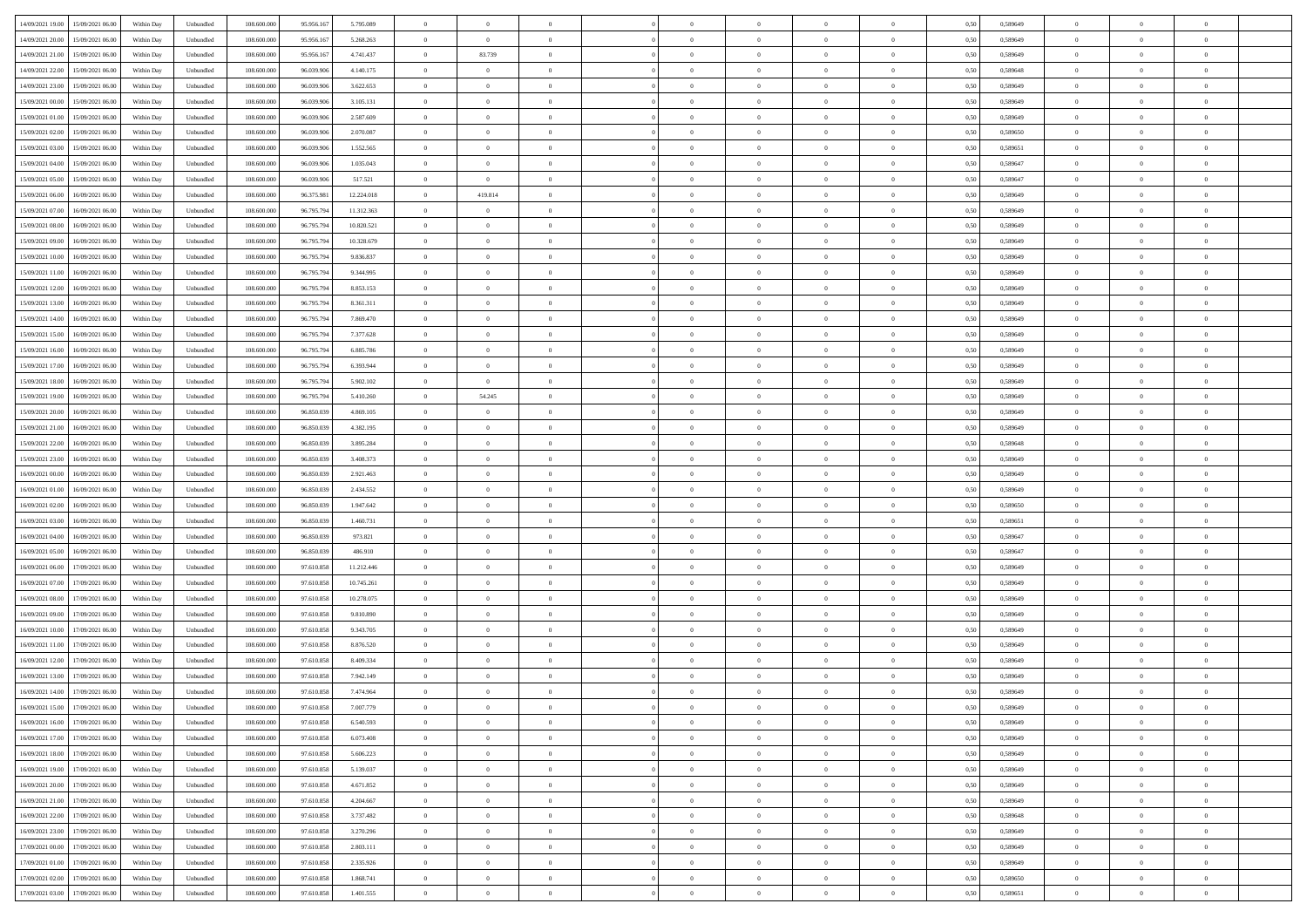| 14/09/2021 19:00 15/09/2021 06:00         | Within Day | Unbundled | 108.600.000 | 95.956.167 | 5.795.089  | $\overline{0}$ | $\overline{0}$ |                | $\overline{0}$ | $\theta$       |                | $\theta$       | 0,50 | 0,589649 | $\theta$       | $\theta$       | $\overline{0}$ |  |
|-------------------------------------------|------------|-----------|-------------|------------|------------|----------------|----------------|----------------|----------------|----------------|----------------|----------------|------|----------|----------------|----------------|----------------|--|
| 14/09/2021 20:00<br>15/09/2021 06:00      | Within Day | Unbundled | 108.600.00  | 95.956.16  | 5.268.263  | $\bf{0}$       | $\bf{0}$       | $\bf{0}$       | $\bf{0}$       | $\overline{0}$ | $\overline{0}$ | $\bf{0}$       | 0,50 | 0,589649 | $\,$ 0 $\,$    | $\bf{0}$       | $\overline{0}$ |  |
| 14/09/2021 21:00<br>15/09/2021 06:00      | Within Day | Unbundled | 108,600,000 | 95.956.167 | 4.741.437  | $\overline{0}$ | 83.739         | $\overline{0}$ | $\bf{0}$       | $\bf{0}$       | $\overline{0}$ | $\bf{0}$       | 0.50 | 0.589649 | $\bf{0}$       | $\overline{0}$ | $\overline{0}$ |  |
| 14/09/2021 22:00<br>15/09/2021 06:00      |            |           | 108.600.000 |            |            | $\overline{0}$ | $\overline{0}$ | $\overline{0}$ | $\theta$       | $\theta$       | $\overline{0}$ |                |      |          | $\theta$       | $\theta$       | $\overline{0}$ |  |
|                                           | Within Day | Unbundled |             | 96.039.906 | 4.140.175  |                |                |                |                |                |                | $\bf{0}$       | 0,50 | 0,589648 |                |                |                |  |
| 14/09/2021 23:00<br>15/09/2021 06:00      | Within Day | Unbundled | 108.600.00  | 96.039.90  | 3.622.653  | $\bf{0}$       | $\overline{0}$ | $\bf{0}$       | $\overline{0}$ | $\theta$       | $\overline{0}$ | $\bf{0}$       | 0,50 | 0,589649 | $\,$ 0 $\,$    | $\bf{0}$       | $\overline{0}$ |  |
| 15/09/2021 00:00<br>15/09/2021 06:00      | Within Day | Unbundled | 108,600,000 | 96.039.906 | 3.105.131  | $\overline{0}$ | $\overline{0}$ | $\overline{0}$ | $\bf{0}$       | $\overline{0}$ | $\theta$       | $\bf{0}$       | 0.50 | 0.589649 | $\,$ 0 $\,$    | $\theta$       | $\overline{0}$ |  |
| 15/09/2021 01:00<br>15/09/2021 06:00      | Within Day | Unbundled | 108.600.000 | 96.039.906 | 2.587.609  | $\overline{0}$ | $\overline{0}$ | $\overline{0}$ | $\overline{0}$ | $\overline{0}$ | $\overline{0}$ | $\bf{0}$       | 0,50 | 0,589649 | $\theta$       | $\theta$       | $\overline{0}$ |  |
|                                           |            |           |             |            |            |                |                |                |                |                |                |                |      |          |                |                |                |  |
| 15/09/2021 02:00<br>15/09/2021 06:00      | Within Day | Unbundled | 108.600.00  | 96.039.90  | 2.070.087  | $\bf{0}$       | $\overline{0}$ | $\bf{0}$       | $\overline{0}$ | $\overline{0}$ | $\overline{0}$ | $\bf{0}$       | 0,50 | 0,589650 | $\,$ 0 $\,$    | $\bf{0}$       | $\overline{0}$ |  |
| 15/09/2021 03:00<br>15/09/2021 06:00      | Within Day | Unbundled | 108,600,000 | 96.039.90  | 1.552.565  | $\overline{0}$ | $\bf{0}$       | $\overline{0}$ | $\bf{0}$       | $\overline{0}$ | $\overline{0}$ | $\bf{0}$       | 0.50 | 0.589651 | $\bf{0}$       | $\overline{0}$ | $\overline{0}$ |  |
| 15/09/2021 04:00<br>15/09/2021 06:00      | Within Day | Unbundled | 108.600.000 | 96.039.906 | 1.035.043  | $\bf{0}$       | $\bf{0}$       | $\overline{0}$ | $\overline{0}$ | $\overline{0}$ | $\overline{0}$ | $\bf{0}$       | 0,50 | 0,589647 | $\,$ 0 $\,$    | $\bf{0}$       | $\overline{0}$ |  |
| 15/09/2021 05:00<br>15/09/2021 06:00      | Within Day | Unbundled | 108.600.00  | 96.039.90  | 517.521    | $\bf{0}$       | $\bf{0}$       | $\bf{0}$       | $\bf{0}$       | $\bf{0}$       | $\overline{0}$ | $\bf{0}$       | 0,50 | 0,589647 | $\,$ 0 $\,$    | $\bf{0}$       | $\overline{0}$ |  |
| 16/09/2021 06:00                          |            |           | 108,600,000 | 96.375.981 |            |                |                |                |                |                | $\overline{0}$ |                |      |          |                |                |                |  |
| 15/09/2021 06:00                          | Within Day | Unbundled |             |            | 12.224.018 | $\overline{0}$ | 419.814        | $\overline{0}$ | $\overline{0}$ | $\bf{0}$       |                | $\bf{0}$       | 0.50 | 0.589649 | $\bf{0}$       | $\overline{0}$ | $\bf{0}$       |  |
| 15/09/2021 07:00<br>16/09/2021 06:00      | Within Day | Unbundled | 108.600.000 | 96.795.794 | 11.312.363 | $\overline{0}$ | $\overline{0}$ | $\overline{0}$ | $\theta$       | $\theta$       | $\overline{0}$ | $\bf{0}$       | 0,50 | 0,589649 | $\,$ 0 $\,$    | $\theta$       | $\overline{0}$ |  |
| 15/09/2021 08:00<br>16/09/2021 06:00      | Within Day | Unbundled | 108.600.00  | 96.795.79  | 10.820.521 | $\bf{0}$       | $\theta$       | $\bf{0}$       | $\overline{0}$ | $\theta$       | $\overline{0}$ | $\bf{0}$       | 0,50 | 0,589649 | $\bf{0}$       | $\bf{0}$       | $\overline{0}$ |  |
| 15/09/2021 09:00<br>16/09/2021 06:00      | Within Day | Unbundled | 108,600,000 | 96.795.79  | 10.328.679 | $\overline{0}$ | $\overline{0}$ | $\overline{0}$ | $\bf{0}$       | $\overline{0}$ | $\theta$       | $\bf{0}$       | 0.50 | 0.589649 | $\theta$       | $\theta$       | $\overline{0}$ |  |
| 15/09/2021 10:00<br>16/09/2021 06:00      | Within Day | Unbundled | 108.600.000 | 96.795.794 | 9.836.837  | $\overline{0}$ | $\overline{0}$ | $\overline{0}$ | $\overline{0}$ | $\overline{0}$ | $\overline{0}$ | $\bf{0}$       | 0,50 | 0,589649 | $\theta$       | $\theta$       | $\overline{0}$ |  |
|                                           |            |           |             |            |            |                |                |                |                |                |                |                |      |          |                |                |                |  |
| 15/09/2021 11:00<br>16/09/2021 06:00      | Within Day | Unbundled | 108.600.00  | 96.795.79  | 9.344.995  | $\bf{0}$       | $\overline{0}$ | $\bf{0}$       | $\overline{0}$ | $\bf{0}$       | $\overline{0}$ | $\bf{0}$       | 0,50 | 0,589649 | $\,$ 0 $\,$    | $\bf{0}$       | $\overline{0}$ |  |
| 15/09/2021 12:00<br>16/09/2021 06:00      | Within Day | Unbundled | 108,600,000 | 96.795.79  | 8.853.153  | $\overline{0}$ | $\bf{0}$       | $\overline{0}$ | $\bf{0}$       | $\overline{0}$ | $\overline{0}$ | $\bf{0}$       | 0.50 | 0.589649 | $\bf{0}$       | $\overline{0}$ | $\overline{0}$ |  |
| 15/09/2021 13:00<br>16/09/2021 06:00      | Within Day | Unbundled | 108.600.000 | 96.795.794 | 8.361.311  | $\overline{0}$ | $\bf{0}$       | $\overline{0}$ | $\overline{0}$ | $\overline{0}$ | $\overline{0}$ | $\bf{0}$       | 0,50 | 0,589649 | $\,$ 0 $\,$    | $\bf{0}$       | $\overline{0}$ |  |
| 15/09/2021 14:00<br>16/09/2021 06:00      | Within Day | Unbundled | 108.600.00  | 96.795.79  | 7.869.470  | $\bf{0}$       | $\bf{0}$       | $\bf{0}$       | $\bf{0}$       | $\overline{0}$ | $\overline{0}$ | $\bf{0}$       | 0,50 | 0,589649 | $\,$ 0 $\,$    | $\bf{0}$       | $\overline{0}$ |  |
| 15/09/2021 15:00<br>16/09/2021 06:00      | Within Day | Unbundled | 108,600,000 | 96.795.794 | 7.377.628  | $\overline{0}$ | $\bf{0}$       | $\overline{0}$ | $\overline{0}$ | $\bf{0}$       | $\overline{0}$ | $\bf{0}$       | 0.50 | 0.589649 | $\bf{0}$       | $\overline{0}$ | $\,$ 0         |  |
|                                           |            |           |             |            |            |                |                |                |                |                |                |                |      |          |                |                |                |  |
| 15/09/2021 16:00<br>16/09/2021 06:00      | Within Day | Unbundled | 108.600.000 | 96.795.794 | 6.885.786  | $\overline{0}$ | $\overline{0}$ | $\overline{0}$ | $\theta$       | $\theta$       | $\overline{0}$ | $\bf{0}$       | 0,50 | 0,589649 | $\theta$       | $\theta$       | $\overline{0}$ |  |
| 15/09/2021 17:00<br>16/09/2021 06:00      | Within Day | Unbundled | 108.600.00  | 96.795.79  | 6.393.944  | $\bf{0}$       | $\overline{0}$ | $\bf{0}$       | $\bf{0}$       | $\,$ 0 $\,$    | $\overline{0}$ | $\bf{0}$       | 0,50 | 0,589649 | $\,$ 0 $\,$    | $\bf{0}$       | $\overline{0}$ |  |
| 15/09/2021 18:00<br>16/09/2021 06:00      | Within Day | Unbundled | 108,600,000 | 96.795.79  | 5.902.102  | $\overline{0}$ | $\overline{0}$ | $\overline{0}$ | $\bf{0}$       | $\overline{0}$ | $\theta$       | $\bf{0}$       | 0.50 | 0.589649 | $\,$ 0 $\,$    | $\theta$       | $\overline{0}$ |  |
| 15/09/2021 19:00<br>16/09/2021 06:00      | Within Day | Unbundled | 108.600.000 | 96.795.794 | 5.410.260  | $\overline{0}$ | 54.245         | $\overline{0}$ | $\overline{0}$ | $\overline{0}$ | $\overline{0}$ | $\bf{0}$       | 0,50 | 0,589649 | $\,$ 0 $\,$    | $\theta$       | $\overline{0}$ |  |
|                                           |            |           |             |            |            | $\bf{0}$       | $\theta$       | $\bf{0}$       | $\overline{0}$ | $\bf{0}$       | $\overline{0}$ |                |      |          | $\,$ 0 $\,$    | $\bf{0}$       | $\overline{0}$ |  |
| 15/09/2021 20:00<br>16/09/2021 06:00      | Within Day | Unbundled | 108.600.00  | 96.850.039 | 4.869.105  |                |                |                |                |                |                | $\bf{0}$       | 0,50 | 0,589649 |                |                |                |  |
| 15/09/2021 21:00<br>16/09/2021 06:00      | Within Day | Unbundled | 108,600,000 | 96.850.039 | 4.382.195  | $\overline{0}$ | $\bf{0}$       | $\overline{0}$ | $\bf{0}$       | $\overline{0}$ | $\overline{0}$ | $\bf{0}$       | 0.50 | 0.589649 | $\bf{0}$       | $\overline{0}$ | $\overline{0}$ |  |
| 15/09/2021 22:00<br>16/09/2021 06:00      | Within Day | Unbundled | 108.600.000 | 96.850.039 | 3.895.284  | $\overline{0}$ | $\bf{0}$       | $\overline{0}$ | $\overline{0}$ | $\overline{0}$ | $\overline{0}$ | $\bf{0}$       | 0,50 | 0,589648 | $\theta$       | $\theta$       | $\overline{0}$ |  |
| 15/09/2021 23:00<br>16/09/2021 06:00      | Within Day | Unbundled | 108.600.00  | 96.850.039 | 3.408.373  | $\bf{0}$       | $\bf{0}$       | $\bf{0}$       | $\bf{0}$       | $\overline{0}$ | $\overline{0}$ | $\bf{0}$       | 0,50 | 0,589649 | $\,$ 0 $\,$    | $\bf{0}$       | $\overline{0}$ |  |
| 16/09/2021 00:00<br>16/09/2021 06:00      | Within Day | Unbundled | 108,600,000 | 96.850.039 | 2.921.463  | $\overline{0}$ | $\bf{0}$       | $\overline{0}$ | $\bf{0}$       | $\bf{0}$       | $\overline{0}$ | $\bf{0}$       | 0.50 | 0.589649 | $\bf{0}$       | $\overline{0}$ | $\bf{0}$       |  |
|                                           |            |           |             |            |            |                |                |                |                |                |                |                |      |          |                |                |                |  |
| 16/09/2021 01:00<br>16/09/2021 06:00      | Within Day | Unbundled | 108.600.000 | 96.850.039 | 2.434.552  | $\overline{0}$ | $\overline{0}$ | $\overline{0}$ | $\overline{0}$ | $\overline{0}$ | $\overline{0}$ | $\bf{0}$       | 0.50 | 0.589649 | $\theta$       | $\theta$       | $\overline{0}$ |  |
| 16/09/2021 02:00<br>16/09/2021 06:00      | Within Day | Unbundled | 108.600.00  | 96.850.039 | 1.947.642  | $\bf{0}$       | $\overline{0}$ | $\bf{0}$       | $\bf{0}$       | $\,$ 0 $\,$    | $\overline{0}$ | $\bf{0}$       | 0,50 | 0,589650 | $\,$ 0 $\,$    | $\bf{0}$       | $\overline{0}$ |  |
| 16/09/2021 03:00<br>16/09/2021 06:00      | Within Day | Unbundled | 108,600,000 | 96.850.039 | 1.460.731  | $\overline{0}$ | $\bf{0}$       | $\overline{0}$ | $\bf{0}$       | $\overline{0}$ | $\Omega$       | $\bf{0}$       | 0.50 | 0.589651 | $\,$ 0 $\,$    | $\theta$       | $\overline{0}$ |  |
| 16/09/2021 04:00<br>16/09/2021 06:00      | Within Dav | Unbundled | 108.600.000 | 96.850.039 | 973.821    | $\overline{0}$ | $\overline{0}$ | $\overline{0}$ | $\overline{0}$ | $\theta$       | $\overline{0}$ | $\bf{0}$       | 0.50 | 0.589647 | $\theta$       | $\theta$       | $\overline{0}$ |  |
| 16/09/2021 05:00<br>16/09/2021 06:00      | Within Day | Unbundled | 108.600.00  | 96.850.039 | 486.910    | $\bf{0}$       | $\bf{0}$       | $\bf{0}$       | $\bf{0}$       | $\bf{0}$       | $\overline{0}$ | $\bf{0}$       | 0,50 | 0,589647 | $\,$ 0 $\,$    | $\bf{0}$       | $\overline{0}$ |  |
|                                           |            |           |             |            |            |                |                |                |                |                |                |                |      |          |                |                |                |  |
| 16/09/2021 06:00<br>17/09/2021 06:00      | Within Day | Unbundled | 108,600,000 | 97.610.858 | 11.212.446 | $\overline{0}$ | $\bf{0}$       | $\overline{0}$ | $\bf{0}$       | $\overline{0}$ | $\overline{0}$ | $\bf{0}$       | 0.50 | 0.589649 | $\bf{0}$       | $\overline{0}$ | $\overline{0}$ |  |
| 16/09/2021 07:00<br>17/09/2021 06:00      | Within Dav | Unbundled | 108.600.000 | 97.610.858 | 10.745.261 | $\overline{0}$ | $\overline{0}$ | $\overline{0}$ | $\overline{0}$ | $\overline{0}$ | $\overline{0}$ | $\bf{0}$       | 0.50 | 0.589649 | $\theta$       | $\theta$       | $\overline{0}$ |  |
| 16/09/2021 08:00<br>17/09/2021 06:00      | Within Day | Unbundled | 108.600.00  | 97.610.858 | 10.278.075 | $\bf{0}$       | $\bf{0}$       | $\bf{0}$       | $\bf{0}$       | $\overline{0}$ | $\overline{0}$ | $\bf{0}$       | 0,50 | 0,589649 | $\,$ 0 $\,$    | $\bf{0}$       | $\overline{0}$ |  |
| 16/09/2021 09:00<br>17/09/2021 06:00      | Within Day | Unbundled | 108,600,000 | 97.610.858 | 9.810.890  | $\overline{0}$ | $\bf{0}$       | $\overline{0}$ | $\overline{0}$ | $\bf{0}$       | $\overline{0}$ | $\bf{0}$       | 0.50 | 0.589649 | $\bf{0}$       | $\overline{0}$ | $\overline{0}$ |  |
| 16/09/2021 10:00<br>17/09/2021 06:00      | Within Dav | Unbundled | 108.600.000 | 97.610.858 | 9.343.705  | $\overline{0}$ | $\overline{0}$ | $\overline{0}$ | $\overline{0}$ | $\overline{0}$ | $\overline{0}$ | $\bf{0}$       | 0.50 | 0.589649 | $\theta$       | $\theta$       | $\overline{0}$ |  |
|                                           |            |           |             |            |            |                |                |                |                |                |                |                |      |          |                |                |                |  |
| 16/09/2021 11:00<br>17/09/2021 06:00      | Within Day | Unbundled | 108.600.00  | 97.610.858 | 8.876.520  | $\bf{0}$       | $\bf{0}$       | $\bf{0}$       | $\bf{0}$       | $\overline{0}$ | $\overline{0}$ | $\bf{0}$       | 0,50 | 0,589649 | $\,$ 0 $\,$    | $\bf{0}$       | $\overline{0}$ |  |
| 16/09/2021 12:00<br>17/09/2021 06:00      | Within Day | Unbundled | 108,600,000 | 97.610.858 | 8.409.334  | $\overline{0}$ | $\overline{0}$ | $\overline{0}$ | $\bf{0}$       | $\overline{0}$ | $\Omega$       | $\bf{0}$       | 0.50 | 0.589649 | $\,$ 0 $\,$    | $\theta$       | $\overline{0}$ |  |
| 16/09/2021 13:00<br>17/09/2021 06:00      | Within Dav | Unbundled | 108.600.000 | 97.610.858 | 7.942.149  | $\overline{0}$ | $\overline{0}$ | $\Omega$       | $\overline{0}$ | $\theta$       | $\Omega$       | $\overline{0}$ | 0.5( | 0.589649 | $\theta$       | $\theta$       | $\overline{0}$ |  |
| 16/09/2021 14:00<br>17/09/2021 06:00      | Within Day | Unbundled | 108.600.00  | 97.610.858 | 7.474.964  | $\bf{0}$       | $\bf{0}$       | $\overline{0}$ | $\bf{0}$       | $\bf{0}$       | $\overline{0}$ | $\bf{0}$       | 0,50 | 0,589649 | $\,$ 0 $\,$    | $\bf{0}$       | $\overline{0}$ |  |
| $1609/2021\;15.00\qquad17/09/2021\;06.00$ | Within Day | Unbundled | 108.600.000 | 97.610.858 | 7.007.779  | $\bf{0}$       | $\Omega$       |                | $\Omega$       |                |                |                | 0,50 | 0.589649 | $\theta$       | $\overline{0}$ |                |  |
|                                           |            |           |             |            |            |                |                |                |                |                |                |                |      |          |                |                |                |  |
| 16/09/2021 16:00 17/09/2021 06:00         | Within Day | Unbundled | 108.600.000 | 97.610.858 | 6.540.593  | $\overline{0}$ | $\overline{0}$ | $\Omega$       | $\theta$       | $\overline{0}$ | $\overline{0}$ | $\bf{0}$       | 0,50 | 0,589649 | $\theta$       | $\theta$       | $\overline{0}$ |  |
| 16/09/2021 17:00<br>17/09/2021 06:00      | Within Day | Unbundled | 108.600.00  | 97.610.858 | 6.073.408  | $\overline{0}$ | $\bf{0}$       | $\overline{0}$ | $\overline{0}$ | $\bf{0}$       | $\overline{0}$ | $\bf{0}$       | 0,50 | 0,589649 | $\bf{0}$       | $\overline{0}$ | $\bf{0}$       |  |
| 16/09/2021 18:00 17/09/2021 06:00         | Within Day | Unbundled | 108,600,000 | 97.610.858 | 5.606.223  | $\overline{0}$ | $\bf{0}$       | $\overline{0}$ | $\overline{0}$ | $\mathbf{0}$   | $\overline{0}$ | $\,$ 0 $\,$    | 0.50 | 0.589649 | $\overline{0}$ | $\bf{0}$       | $\overline{0}$ |  |
| 16/09/2021 19:00 17/09/2021 06:00         | Within Day | Unbundled | 108.600.000 | 97.610.858 | 5.139.037  | $\overline{0}$ | $\overline{0}$ | $\overline{0}$ | $\overline{0}$ | $\overline{0}$ | $\overline{0}$ | $\bf{0}$       | 0,50 | 0.589649 | $\theta$       | $\theta$       | $\overline{0}$ |  |
| 16/09/2021 20:00<br>17/09/2021 06:00      | Within Day | Unbundled | 108.600.000 | 97.610.858 | 4.671.852  | $\overline{0}$ | $\bf{0}$       | $\overline{0}$ | $\overline{0}$ | $\bf{0}$       | $\overline{0}$ | $\bf{0}$       | 0,50 | 0,589649 | $\bf{0}$       | $\overline{0}$ | $\overline{0}$ |  |
|                                           |            |           |             |            |            |                |                |                |                |                |                |                |      |          |                |                |                |  |
| 17/09/2021 06:00<br>16/09/2021 21:00      | Within Day | Unbundled | 108,600,000 | 97.610.858 | 4.204.667  | $\overline{0}$ | $\bf{0}$       | $\overline{0}$ | $\overline{0}$ | $\overline{0}$ | $\overline{0}$ | $\bf{0}$       | 0.50 | 0.589649 | $\,$ 0 $\,$    | $\overline{0}$ | $\,$ 0         |  |
| 16/09/2021 22:00<br>17/09/2021 06:00      | Within Dav | Unbundled | 108.600.000 | 97.610.858 | 3.737.482  | $\overline{0}$ | $\overline{0}$ | $\overline{0}$ | $\overline{0}$ | $\overline{0}$ | $\overline{0}$ | $\bf{0}$       | 0,50 | 0.589648 | $\overline{0}$ | $\theta$       | $\overline{0}$ |  |
| 16/09/2021 23:00<br>17/09/2021 06:00      | Within Day | Unbundled | 108.600.00  | 97.610.858 | 3.270.296  | $\overline{0}$ | $\overline{0}$ | $\overline{0}$ | $\overline{0}$ | $\overline{0}$ | $\overline{0}$ | $\bf{0}$       | 0,50 | 0,589649 | $\bf{0}$       | $\overline{0}$ | $\overline{0}$ |  |
| 17/09/2021 06:00<br>17/09/2021 00:00      | Within Day | Unbundled | 108,600,000 | 97.610.858 | 2.803.111  | $\overline{0}$ | $\overline{0}$ | $\overline{0}$ | $\overline{0}$ | $\overline{0}$ | $\overline{0}$ | $\bf{0}$       | 0.50 | 0.589649 | $\mathbf{0}$   | $\bf{0}$       | $\,$ 0         |  |
|                                           |            |           |             |            |            |                |                |                |                |                |                |                |      |          |                |                |                |  |
| 17/09/2021 01:00<br>17/09/2021 06:00      | Within Dav | Unbundled | 108.600.000 | 97.610.858 | 2.335.926  | $\overline{0}$ | $\overline{0}$ | $\overline{0}$ | $\overline{0}$ | $\overline{0}$ | $\overline{0}$ | $\bf{0}$       | 0,50 | 0.589649 | $\overline{0}$ | $\theta$       | $\overline{0}$ |  |
| 17/09/2021 02:00<br>17/09/2021 06:00      | Within Day | Unbundled | 108.600.00  | 97.610.858 | 1.868.741  | $\overline{0}$ | $\bf{0}$       | $\overline{0}$ | $\bf{0}$       | $\overline{0}$ | $\overline{0}$ | $\bf{0}$       | 0,50 | 0,589650 | $\bf{0}$       | $\,$ 0 $\,$    | $\bf{0}$       |  |
| 17/09/2021 03:00 17/09/2021 06:00         | Within Day | Unbundled | 108.600.000 | 97.610.858 | 1.401.555  | $\overline{0}$ | $\bf{0}$       | $\overline{0}$ | $\overline{0}$ | $\,$ 0 $\,$    | $\overline{0}$ | $\bf{0}$       | 0,50 | 0,589651 | $\overline{0}$ | $\,$ 0 $\,$    | $\,$ 0 $\,$    |  |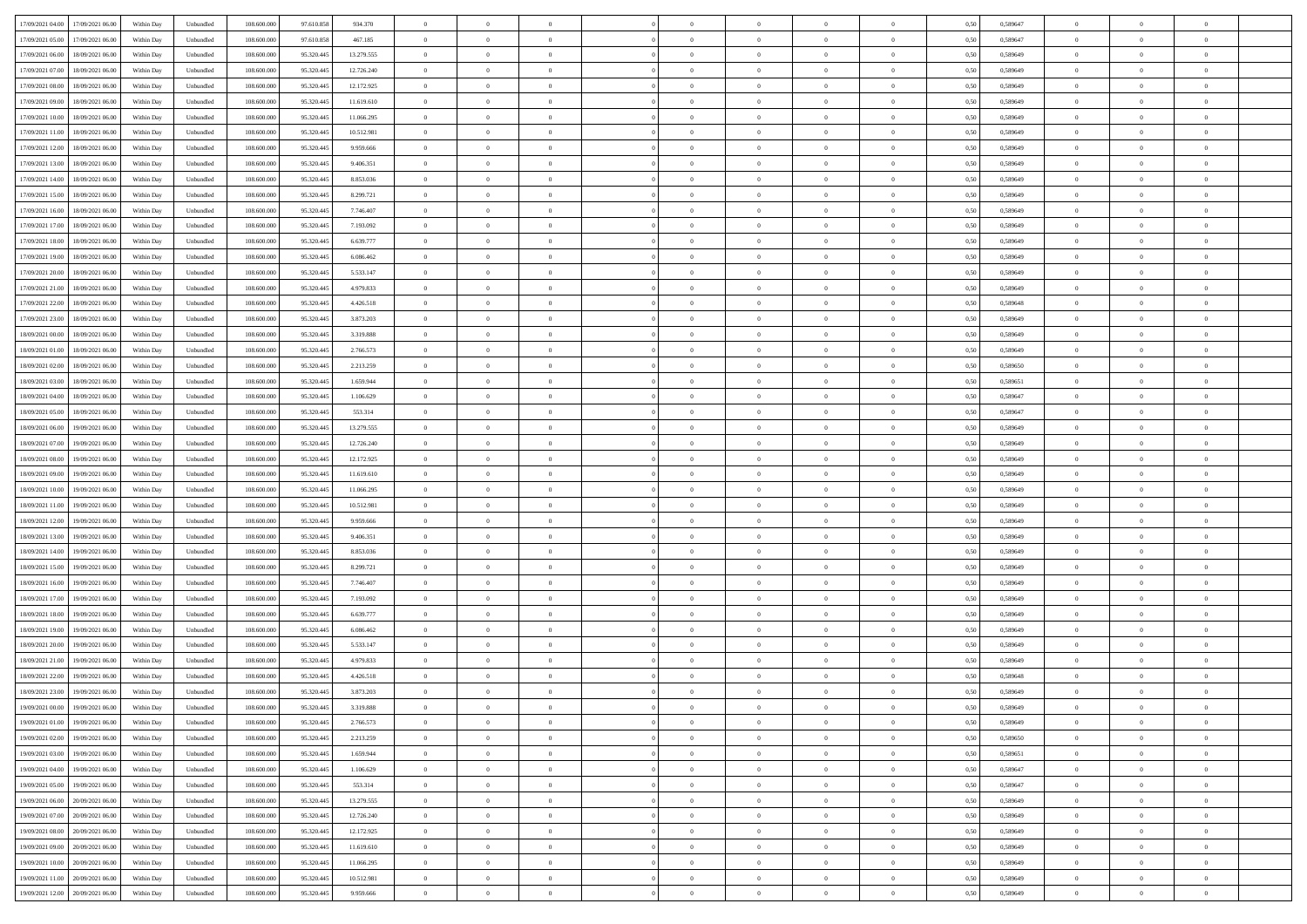| 17/09/2021 04:00 17/09/2021 06:00    | Within Day | Unbundled | 108.600.000 | 97.610.858 | 934.370    | $\overline{0}$ | $\theta$       |                | $\overline{0}$ | $\theta$       |                | $\theta$       | 0,50 | 0,589647 | $\theta$       | $\theta$       | $\overline{0}$ |  |
|--------------------------------------|------------|-----------|-------------|------------|------------|----------------|----------------|----------------|----------------|----------------|----------------|----------------|------|----------|----------------|----------------|----------------|--|
| 17/09/2021 05:00<br>17/09/2021 06:00 | Within Day | Unbundled | 108.600.00  | 97.610.858 | 467.185    | $\bf{0}$       | $\overline{0}$ | $\bf{0}$       | $\overline{0}$ | $\bf{0}$       | $\overline{0}$ | $\bf{0}$       | 0,50 | 0,589647 | $\,$ 0 $\,$    | $\bf{0}$       | $\overline{0}$ |  |
| 17/09/2021 06:00<br>18/09/2021 06:00 | Within Day | Unbundled | 108,600,000 | 95.320.445 | 13.279.555 | $\overline{0}$ | $\bf{0}$       | $\overline{0}$ | $\bf{0}$       | $\bf{0}$       | $\overline{0}$ | $\bf{0}$       | 0.50 | 0.589649 | $\bf{0}$       | $\overline{0}$ | $\overline{0}$ |  |
| 17/09/2021 07:00<br>18/09/2021 06:00 |            |           | 108.600.000 |            |            | $\overline{0}$ | $\overline{0}$ | $\overline{0}$ | $\theta$       | $\theta$       | $\overline{0}$ | $\bf{0}$       |      |          | $\theta$       | $\theta$       | $\overline{0}$ |  |
|                                      | Within Day | Unbundled |             | 95.320.445 | 12.726.240 |                |                |                |                |                |                |                | 0,50 | 0,589649 |                |                |                |  |
| 17/09/2021 08:00<br>18/09/2021 06:00 | Within Day | Unbundled | 108.600.00  | 95.320.445 | 12.172.925 | $\bf{0}$       | $\overline{0}$ | $\bf{0}$       | $\overline{0}$ | $\theta$       | $\overline{0}$ | $\bf{0}$       | 0,50 | 0,589649 | $\,$ 0 $\,$    | $\bf{0}$       | $\overline{0}$ |  |
| 17/09/2021 09:00<br>18/09/2021 06:00 | Within Day | Unbundled | 108,600,000 | 95.320.445 | 11.619.610 | $\overline{0}$ | $\overline{0}$ | $\overline{0}$ | $\bf{0}$       | $\overline{0}$ | $\Omega$       | $\bf{0}$       | 0.50 | 0.589649 | $\bf{0}$       | $\theta$       | $\overline{0}$ |  |
| 17/09/2021 10:00<br>18/09/2021 06:00 | Within Day | Unbundled | 108.600.000 | 95.320.445 | 11.066.295 | $\overline{0}$ | $\overline{0}$ | $\overline{0}$ | $\overline{0}$ | $\overline{0}$ | $\overline{0}$ | $\bf{0}$       | 0,50 | 0,589649 | $\theta$       | $\theta$       | $\overline{0}$ |  |
|                                      |            |           |             |            |            |                |                |                |                |                |                |                |      |          |                |                |                |  |
| 17/09/2021 11:00<br>18/09/2021 06:00 | Within Day | Unbundled | 108.600.00  | 95.320.445 | 10.512.981 | $\bf{0}$       | $\overline{0}$ | $\bf{0}$       | $\overline{0}$ | $\overline{0}$ | $\overline{0}$ | $\bf{0}$       | 0,50 | 0,589649 | $\,$ 0 $\,$    | $\bf{0}$       | $\overline{0}$ |  |
| 17/09/2021 12:00<br>18/09/2021 06:00 | Within Day | Unbundled | 108,600,000 | 95.320.445 | 9.959.666  | $\overline{0}$ | $\bf{0}$       | $\overline{0}$ | $\bf{0}$       | $\overline{0}$ | $\overline{0}$ | $\bf{0}$       | 0.50 | 0.589649 | $\bf{0}$       | $\overline{0}$ | $\overline{0}$ |  |
| 17/09/2021 13:00<br>18/09/2021 06:00 | Within Day | Unbundled | 108.600.000 | 95.320.445 | 9.406.351  | $\overline{0}$ | $\bf{0}$       | $\overline{0}$ | $\overline{0}$ | $\overline{0}$ | $\overline{0}$ | $\bf{0}$       | 0,50 | 0,589649 | $\,$ 0 $\,$    | $\bf{0}$       | $\overline{0}$ |  |
| 17/09/2021 14:00<br>18/09/2021 06:00 | Within Day | Unbundled | 108.600.00  | 95.320.445 | 8.853.036  | $\bf{0}$       | $\overline{0}$ | $\bf{0}$       | $\overline{0}$ | $\bf{0}$       | $\overline{0}$ | $\bf{0}$       | 0,50 | 0,589649 | $\,$ 0 $\,$    | $\bf{0}$       | $\overline{0}$ |  |
|                                      |            |           |             |            |            |                |                |                |                |                |                |                |      |          |                |                |                |  |
| 17/09/2021 15:00<br>18/09/2021 06:00 | Within Day | Unbundled | 108,600,000 | 95.320.445 | 8.299.721  | $\overline{0}$ | $\bf{0}$       | $\overline{0}$ | $\bf{0}$       | $\bf{0}$       | $\overline{0}$ | $\bf{0}$       | 0.50 | 0.589649 | $\bf{0}$       | $\overline{0}$ | $\bf{0}$       |  |
| 17/09/2021 16:00<br>18/09/2021 06:00 | Within Day | Unbundled | 108.600.000 | 95.320.445 | 7.746.407  | $\overline{0}$ | $\overline{0}$ | $\overline{0}$ | $\overline{0}$ | $\theta$       | $\overline{0}$ | $\bf{0}$       | 0,50 | 0,589649 | $\,$ 0 $\,$    | $\theta$       | $\overline{0}$ |  |
| 17/09/2021 17:00<br>18/09/2021 06:00 | Within Day | Unbundled | 108.600.00  | 95.320.44  | 7.193.092  | $\bf{0}$       | $\overline{0}$ | $\bf{0}$       | $\overline{0}$ | $\theta$       | $\overline{0}$ | $\bf{0}$       | 0,50 | 0,589649 | $\bf{0}$       | $\bf{0}$       | $\overline{0}$ |  |
| 17/09/2021 18:00<br>18/09/2021 06:00 | Within Day | Unbundled | 108,600,000 | 95.320.445 | 6.639.777  | $\overline{0}$ | $\overline{0}$ | $\overline{0}$ | $\bf{0}$       | $\overline{0}$ | $\Omega$       | $\bf{0}$       | 0.50 | 0.589649 | $\theta$       | $\theta$       | $\overline{0}$ |  |
| 17/09/2021 19:00<br>18/09/2021 06:00 | Within Day | Unbundled | 108.600.000 | 95.320.445 | 6.086.462  | $\overline{0}$ | $\overline{0}$ | $\overline{0}$ | $\overline{0}$ | $\theta$       | $\overline{0}$ | $\bf{0}$       | 0,50 | 0,589649 | $\theta$       | $\theta$       | $\overline{0}$ |  |
|                                      |            |           |             |            |            |                |                |                |                |                |                |                |      |          |                |                |                |  |
| 17/09/2021 20:00<br>18/09/2021 06:00 | Within Day | Unbundled | 108.600.00  | 95.320.445 | 5.533.147  | $\bf{0}$       | $\overline{0}$ | $\bf{0}$       | $\overline{0}$ | $\theta$       | $\overline{0}$ | $\bf{0}$       | 0,50 | 0,589649 | $\,$ 0 $\,$    | $\bf{0}$       | $\overline{0}$ |  |
| 17/09/2021 21:00<br>18/09/2021 06:00 | Within Day | Unbundled | 108,600,00  | 95.320.44  | 4.979.833  | $\overline{0}$ | $\bf{0}$       | $\overline{0}$ | $\bf{0}$       | $\overline{0}$ | $\overline{0}$ | $\bf{0}$       | 0.50 | 0.589649 | $\bf{0}$       | $\overline{0}$ | $\overline{0}$ |  |
| 17/09/2021 22.00<br>18/09/2021 06:00 | Within Day | Unbundled | 108.600.000 | 95.320.445 | 4.426.518  | $\overline{0}$ | $\bf{0}$       | $\overline{0}$ | $\overline{0}$ | $\overline{0}$ | $\overline{0}$ | $\bf{0}$       | 0,50 | 0,589648 | $\,$ 0 $\,$    | $\theta$       | $\overline{0}$ |  |
| 17/09/2021 23:00<br>18/09/2021 06:00 | Within Day | Unbundled | 108.600.00  | 95.320.445 | 3.873.203  | $\bf{0}$       | $\bf{0}$       | $\bf{0}$       | $\bf{0}$       | $\overline{0}$ | $\overline{0}$ | $\bf{0}$       | 0,50 | 0,589649 | $\,$ 0 $\,$    | $\bf{0}$       | $\overline{0}$ |  |
|                                      |            |           |             |            |            |                |                |                |                |                |                |                |      |          |                |                |                |  |
| 18/09/2021 00:00<br>18/09/2021 06:00 | Within Day | Unbundled | 108,600,000 | 95.320.445 | 3.319.888  | $\overline{0}$ | $\bf{0}$       | $\overline{0}$ | $\bf{0}$       | $\bf{0}$       | $\overline{0}$ | $\bf{0}$       | 0.50 | 0.589649 | $\bf{0}$       | $\overline{0}$ | $\overline{0}$ |  |
| 18/09/2021 01:00<br>18/09/2021 06:00 | Within Day | Unbundled | 108.600.000 | 95.320.445 | 2.766.573  | $\overline{0}$ | $\overline{0}$ | $\overline{0}$ | $\theta$       | $\theta$       | $\overline{0}$ | $\bf{0}$       | 0,50 | 0,589649 | $\theta$       | $\theta$       | $\overline{0}$ |  |
| 18/09/2021 02:00<br>18/09/2021 06:00 | Within Day | Unbundled | 108.600.00  | 95.320.445 | 2.213.259  | $\bf{0}$       | $\overline{0}$ | $\bf{0}$       | $\overline{0}$ | $\theta$       | $\overline{0}$ | $\bf{0}$       | 0,50 | 0,589650 | $\,$ 0 $\,$    | $\bf{0}$       | $\overline{0}$ |  |
| 18/09/2021 03:00<br>18/09/2021 06:00 | Within Day | Unbundled | 108,600,000 | 95.320.44  | 1.659.944  | $\overline{0}$ | $\overline{0}$ | $\overline{0}$ | $\overline{0}$ | $\overline{0}$ | $\Omega$       | $\bf{0}$       | 0.50 | 0.589651 | $\bf{0}$       | $\theta$       | $\overline{0}$ |  |
| 18/09/2021 04:00<br>18/09/2021 06:00 | Within Day | Unbundled | 108.600.000 | 95.320.445 | 1.106.629  | $\overline{0}$ | $\overline{0}$ | $\overline{0}$ | $\overline{0}$ | $\theta$       | $\overline{0}$ | $\bf{0}$       | 0,50 | 0,589647 | $\theta$       | $\theta$       | $\overline{0}$ |  |
|                                      |            |           |             |            |            |                |                |                |                |                |                |                |      |          |                |                |                |  |
| 18/09/2021 05:00<br>18/09/2021 06:00 | Within Day | Unbundled | 108.600.00  | 95.320.445 | 553.314    | $\bf{0}$       | $\theta$       | $\bf{0}$       | $\overline{0}$ | $\theta$       | $\overline{0}$ | $\bf{0}$       | 0,50 | 0,589647 | $\,$ 0 $\,$    | $\bf{0}$       | $\overline{0}$ |  |
| 18/09/2021 06:00<br>19/09/2021 06:00 | Within Day | Unbundled | 108,600,000 | 95.320.445 | 13.279.555 | $\overline{0}$ | $\bf{0}$       | $\overline{0}$ | $\bf{0}$       | $\overline{0}$ | $\overline{0}$ | $\bf{0}$       | 0.50 | 0.589649 | $\bf{0}$       | $\overline{0}$ | $\overline{0}$ |  |
| 18/09/2021 07:00<br>19/09/2021 06:00 | Within Day | Unbundled | 108.600.000 | 95.320.445 | 12.726.240 | $\overline{0}$ | $\overline{0}$ | $\overline{0}$ | $\overline{0}$ | $\overline{0}$ | $\overline{0}$ | $\bf{0}$       | 0,50 | 0,589649 | $\theta$       | $\theta$       | $\overline{0}$ |  |
| 18/09/2021 08:00<br>19/09/2021 06:00 | Within Day | Unbundled | 108.600.00  | 95.320.445 | 12.172.925 | $\bf{0}$       | $\bf{0}$       | $\bf{0}$       | $\bf{0}$       | $\overline{0}$ | $\overline{0}$ | $\bf{0}$       | 0,50 | 0,589649 | $\,$ 0 $\,$    | $\bf{0}$       | $\overline{0}$ |  |
|                                      |            |           |             |            |            |                |                |                |                |                |                |                |      |          |                |                |                |  |
| 18/09/2021 09:00<br>19/09/2021 06:00 | Within Day | Unbundled | 108,600,000 | 95.320.445 | 11.619.610 | $\overline{0}$ | $\bf{0}$       | $\overline{0}$ | $\bf{0}$       | $\bf{0}$       | $\overline{0}$ | $\bf{0}$       | 0.50 | 0.589649 | $\bf{0}$       | $\overline{0}$ | $\overline{0}$ |  |
| 18/09/2021 10:00<br>19/09/2021 06:00 | Within Day | Unbundled | 108.600.000 | 95.320.445 | 11.066.295 | $\overline{0}$ | $\overline{0}$ | $\overline{0}$ | $\overline{0}$ | $\overline{0}$ | $\overline{0}$ | $\bf{0}$       | 0.50 | 0.589649 | $\theta$       | $\theta$       | $\overline{0}$ |  |
| 18/09/2021 11:00<br>19/09/2021 06:00 | Within Day | Unbundled | 108.600.00  | 95.320.44  | 10.512.981 | $\bf{0}$       | $\overline{0}$ | $\bf{0}$       | $\overline{0}$ | $\overline{0}$ | $\overline{0}$ | $\bf{0}$       | 0,50 | 0,589649 | $\,$ 0 $\,$    | $\bf{0}$       | $\overline{0}$ |  |
| 18/09/2021 12:00<br>19/09/2021 06:00 | Within Day | Unbundled | 108,600,000 | 95.320.445 | 9.959.666  | $\overline{0}$ | $\bf{0}$       | $\overline{0}$ | $\bf{0}$       | $\bf{0}$       | $\Omega$       | $\bf{0}$       | 0.50 | 0.589649 | $\,$ 0 $\,$    | $\theta$       | $\overline{0}$ |  |
| 18/09/2021 13:00<br>19/09/2021 06:00 | Within Dav | Unbundled | 108.600.000 | 95.320.445 | 9.406.351  | $\overline{0}$ | $\overline{0}$ | $\overline{0}$ | $\overline{0}$ | $\theta$       | $\overline{0}$ | $\bf{0}$       | 0.50 | 0.589649 | $\theta$       | $\theta$       | $\overline{0}$ |  |
|                                      |            |           |             |            |            |                |                |                |                |                |                |                |      |          |                |                |                |  |
| 18/09/2021 14:00<br>19/09/2021 06:00 | Within Day | Unbundled | 108.600.00  | 95.320.445 | 8.853.036  | $\bf{0}$       | $\bf{0}$       | $\bf{0}$       | $\overline{0}$ | $\bf{0}$       | $\overline{0}$ | $\bf{0}$       | 0,50 | 0,589649 | $\,$ 0 $\,$    | $\bf{0}$       | $\overline{0}$ |  |
| 18/09/2021 15:00<br>19/09/2021 06:00 | Within Day | Unbundled | 108,600,00  | 95.320.44  | 8.299.721  | $\overline{0}$ | $\bf{0}$       | $\overline{0}$ | $\bf{0}$       | $\overline{0}$ | $\overline{0}$ | $\bf{0}$       | 0.50 | 0.589649 | $\bf{0}$       | $\overline{0}$ | $\overline{0}$ |  |
| 18/09/2021 16:00<br>19/09/2021 06:00 | Within Dav | Unbundled | 108.600.000 | 95.320.445 | 7.746.407  | $\overline{0}$ | $\overline{0}$ | $\overline{0}$ | $\overline{0}$ | $\overline{0}$ | $\overline{0}$ | $\overline{0}$ | 0.50 | 0.589649 | $\theta$       | $\theta$       | $\overline{0}$ |  |
| 18/09/2021 17:00<br>19/09/2021 06:00 | Within Day | Unbundled | 108.600.00  | 95.320.445 | 7.193.092  | $\bf{0}$       | $\bf{0}$       | $\bf{0}$       | $\bf{0}$       | $\overline{0}$ | $\overline{0}$ | $\bf{0}$       | 0,50 | 0,589649 | $\,$ 0 $\,$    | $\bf{0}$       | $\overline{0}$ |  |
| 18/09/2021 18:00<br>19/09/2021 06:00 | Within Day | Unbundled | 108,600,000 | 95.320.445 | 6.639.777  | $\overline{0}$ | $\bf{0}$       | $\overline{0}$ | $\bf{0}$       | $\bf{0}$       | $\overline{0}$ | $\bf{0}$       | 0.50 | 0.589649 | $\bf{0}$       | $\overline{0}$ | $\overline{0}$ |  |
|                                      |            |           |             |            |            |                |                |                |                |                |                |                |      |          |                |                |                |  |
| 18/09/2021 19:00<br>19/09/2021 06:00 | Within Dav | Unbundled | 108.600.000 | 95.320.445 | 6.086.462  | $\overline{0}$ | $\overline{0}$ | $\overline{0}$ | $\overline{0}$ | $\theta$       | $\overline{0}$ | $\bf{0}$       | 0.50 | 0.589649 | $\theta$       | $\theta$       | $\overline{0}$ |  |
| 18/09/2021 20:00<br>19/09/2021 06:00 | Within Day | Unbundled | 108.600.00  | 95.320.445 | 5.533.147  | $\bf{0}$       | $\bf{0}$       | $\bf{0}$       | $\bf{0}$       | $\overline{0}$ | $\overline{0}$ | $\bf{0}$       | 0,50 | 0,589649 | $\,$ 0 $\,$    | $\bf{0}$       | $\overline{0}$ |  |
| 18/09/2021 21:00<br>19/09/2021 06:00 | Within Day | Unbundled | 108,600,000 | 95.320.44  | 4.979.833  | $\overline{0}$ | $\overline{0}$ | $\overline{0}$ | $\bf{0}$       | $\theta$       | $\Omega$       | $\bf{0}$       | 0.50 | 0.589649 | $\,$ 0 $\,$    | $\theta$       | $\overline{0}$ |  |
| 18/09/2021 22:00<br>19/09/2021 06:00 | Within Dav | Unbundled | 108.600.000 | 95.320.445 | 4.426.518  | $\overline{0}$ | $\overline{0}$ | $\Omega$       | $\overline{0}$ | $\theta$       | $\Omega$       | $\overline{0}$ | 0.5( | 0.589648 | $\theta$       | $\theta$       | $\overline{0}$ |  |
| 18/09/2021 23:00<br>19/09/2021 06:00 | Within Day | Unbundled | 108.600.00  | 95.320.445 | 3.873.203  | $\bf{0}$       | $\bf{0}$       | $\overline{0}$ | $\bf{0}$       | $\bf{0}$       | $\overline{0}$ | $\bf{0}$       | 0,50 | 0,589649 | $\,$ 0 $\,$    | $\bf{0}$       | $\overline{0}$ |  |
|                                      |            |           |             |            |            |                |                |                |                |                |                |                |      |          |                |                |                |  |
| 19/09/2021 00:00 19/09/2021 06:00    | Within Day | Unbundled | 108.600.000 | 95.320.445 | 3.319.888  | $\overline{0}$ | $\Omega$       |                | $\Omega$       |                |                |                | 0,50 | 0.589649 | $\theta$       | $\overline{0}$ |                |  |
| 19/09/2021 01:00 19/09/2021 06:00    | Within Day | Unbundled | 108.600.000 | 95.320.445 | 2.766.573  | $\overline{0}$ | $\overline{0}$ | $\Omega$       | $\theta$       | $\overline{0}$ | $\overline{0}$ | $\bf{0}$       | 0,50 | 0,589649 | $\theta$       | $\theta$       | $\overline{0}$ |  |
| 19/09/2021 02:00<br>19/09/2021 06:00 | Within Day | Unbundled | 108.600.00  | 95.320.445 | 2.213.259  | $\overline{0}$ | $\bf{0}$       | $\overline{0}$ | $\overline{0}$ | $\bf{0}$       | $\overline{0}$ | $\bf{0}$       | 0,50 | 0,589650 | $\bf{0}$       | $\overline{0}$ | $\bf{0}$       |  |
| 19/09/2021 03:00 19/09/2021 06:00    | Within Day | Unbundled | 108,600,000 | 95.320.445 | 1.659.944  | $\overline{0}$ | $\bf{0}$       | $\overline{0}$ | $\overline{0}$ | $\mathbf{0}$   | $\overline{0}$ | $\,$ 0 $\,$    | 0.50 | 0.589651 | $\overline{0}$ | $\bf{0}$       | $\,$ 0 $\,$    |  |
|                                      |            |           |             |            |            |                |                |                |                |                |                |                |      |          |                |                |                |  |
| 19/09/2021 04:00 19/09/2021 06:00    | Within Dav | Unbundled | 108.600.000 | 95.320.445 | 1.106.629  | $\overline{0}$ | $\overline{0}$ | $\overline{0}$ | $\overline{0}$ | $\overline{0}$ | $\overline{0}$ | $\bf{0}$       | 0,50 | 0,589647 | $\theta$       | $\theta$       | $\overline{0}$ |  |
| 19/09/2021 05:00<br>19/09/2021 06:00 | Within Day | Unbundled | 108.600.000 | 95.320.445 | 553.314    | $\overline{0}$ | $\bf{0}$       | $\overline{0}$ | $\overline{0}$ | $\overline{0}$ | $\overline{0}$ | $\bf{0}$       | 0,50 | 0,589647 | $\bf{0}$       | $\overline{0}$ | $\overline{0}$ |  |
| 19/09/2021 06:00<br>20/09/2021 06:00 | Within Day | Unbundled | 108,600,000 | 95.320.445 | 13.279.555 | $\overline{0}$ | $\bf{0}$       | $\overline{0}$ | $\overline{0}$ | $\overline{0}$ | $\overline{0}$ | $\bf{0}$       | 0.50 | 0.589649 | $\,$ 0 $\,$    | $\theta$       | $\,$ 0         |  |
| 19/09/2021 07:00<br>20/09/2021 06:00 | Within Dav | Unbundled | 108.600.000 | 95.320.445 | 12.726.240 | $\overline{0}$ | $\overline{0}$ | $\overline{0}$ | $\overline{0}$ | $\overline{0}$ | $\overline{0}$ | $\bf{0}$       | 0.50 | 0.589649 | $\overline{0}$ | $\theta$       | $\overline{0}$ |  |
| 19/09/2021 08:00<br>20/09/2021 06:00 | Within Day | Unbundled | 108.600.00  | 95.320.445 | 12.172.925 | $\overline{0}$ | $\overline{0}$ | $\overline{0}$ | $\overline{0}$ | $\overline{0}$ | $\overline{0}$ | $\bf{0}$       | 0,50 | 0,589649 | $\bf{0}$       | $\overline{0}$ | $\,$ 0         |  |
|                                      |            |           |             |            |            |                |                |                |                |                |                |                |      |          |                |                |                |  |
| 19/09/2021 09:00 20/09/2021 06:00    | Within Day | Unbundled | 108,600,000 | 95.320.445 | 11.619.610 | $\overline{0}$ | $\overline{0}$ | $\overline{0}$ | $\overline{0}$ | $\overline{0}$ | $\overline{0}$ | $\bf{0}$       | 0.50 | 0.589649 | $\mathbf{0}$   | $\bf{0}$       | $\,$ 0         |  |
| 19/09/2021 10:00 20/09/2021 06:00    | Within Dav | Unbundled | 108.600.000 | 95.320.445 | 11.066.295 | $\overline{0}$ | $\overline{0}$ | $\overline{0}$ | $\overline{0}$ | $\overline{0}$ | $\overline{0}$ | $\bf{0}$       | 0,50 | 0.589649 | $\overline{0}$ | $\theta$       | $\overline{0}$ |  |
| 19/09/2021 11:00<br>20/09/2021 06:00 | Within Day | Unbundled | 108.600.00  | 95.320.445 | 10.512.981 | $\overline{0}$ | $\bf{0}$       | $\overline{0}$ | $\bf{0}$       | $\overline{0}$ | $\bf{0}$       | $\bf{0}$       | 0,50 | 0,589649 | $\bf{0}$       | $\bf{0}$       | $\bf{0}$       |  |
| 19/09/2021 12:00 20/09/2021 06:00    | Within Day | Unbundled | 108.600.000 | 95.320.445 | 9.959.666  | $\overline{0}$ | $\bf{0}$       | $\overline{0}$ | $\overline{0}$ | $\,$ 0 $\,$    | $\overline{0}$ | $\bf{0}$       | 0,50 | 0,589649 | $\overline{0}$ | $\,$ 0 $\,$    | $\,$ 0 $\,$    |  |
|                                      |            |           |             |            |            |                |                |                |                |                |                |                |      |          |                |                |                |  |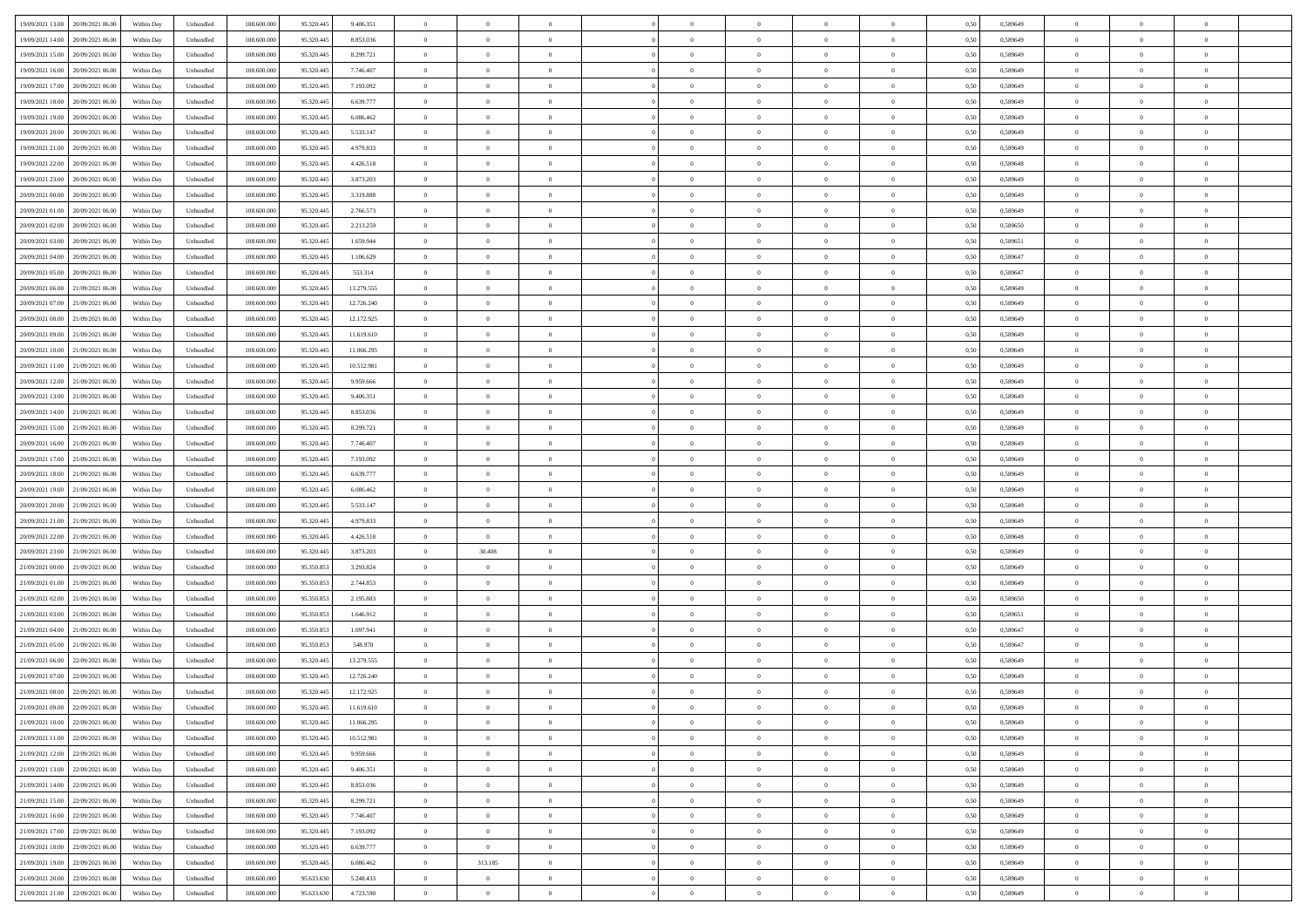| 19/09/2021 13:00 20/09/2021 06:00    | Within Day | Unbundled | 108.600.000 | 95.320.445 | 9.406.351  | $\overline{0}$ | $\theta$       |                | $\overline{0}$ | $\theta$       |                | $\theta$       | 0,50 | 0,589649 | $\theta$       | $\theta$       | $\theta$       |  |
|--------------------------------------|------------|-----------|-------------|------------|------------|----------------|----------------|----------------|----------------|----------------|----------------|----------------|------|----------|----------------|----------------|----------------|--|
| 19/09/2021 14:00<br>20/09/2021 06:00 | Within Day | Unbundled | 108.600.00  | 95.320.445 | 8.853.036  | $\bf{0}$       | $\bf{0}$       | $\bf{0}$       | $\overline{0}$ | $\overline{0}$ | $\overline{0}$ | $\bf{0}$       | 0,50 | 0,589649 | $\,$ 0 $\,$    | $\bf{0}$       | $\overline{0}$ |  |
| 19/09/2021 15:00<br>20/09/2021 06:00 | Within Day | Unbundled | 108,600,000 | 95.320.445 | 8.299.721  | $\overline{0}$ | $\bf{0}$       | $\overline{0}$ | $\bf{0}$       | $\bf{0}$       | $\overline{0}$ | $\bf{0}$       | 0.50 | 0.589649 | $\bf{0}$       | $\overline{0}$ | $\overline{0}$ |  |
| 19/09/2021 16:00<br>20/09/2021 06:00 |            |           | 108.600.000 |            |            | $\overline{0}$ | $\overline{0}$ | $\overline{0}$ | $\theta$       | $\theta$       | $\overline{0}$ |                |      |          | $\theta$       | $\theta$       | $\overline{0}$ |  |
|                                      | Within Day | Unbundled |             | 95.320.445 | 7.746.407  |                |                |                |                |                |                | $\bf{0}$       | 0,50 | 0,589649 |                |                |                |  |
| 19/09/2021 17:00<br>20/09/2021 06:00 | Within Day | Unbundled | 108.600.00  | 95.320.445 | 7.193.092  | $\bf{0}$       | $\overline{0}$ | $\bf{0}$       | $\overline{0}$ | $\theta$       | $\overline{0}$ | $\bf{0}$       | 0,50 | 0,589649 | $\,$ 0 $\,$    | $\bf{0}$       | $\overline{0}$ |  |
| 19/09/2021 18:00<br>20/09/2021 06:00 | Within Day | Unbundled | 108,600,000 | 95.320.44  | 6.639.777  | $\overline{0}$ | $\overline{0}$ | $\overline{0}$ | $\bf{0}$       | $\overline{0}$ | $\theta$       | $\bf{0}$       | 0.50 | 0.589649 | $\,$ 0 $\,$    | $\theta$       | $\overline{0}$ |  |
| 19/09/2021 19:00<br>20/09/2021 06:00 | Within Day | Unbundled | 108.600.000 | 95.320.445 | 6.086.462  | $\overline{0}$ | $\overline{0}$ | $\overline{0}$ | $\overline{0}$ | $\overline{0}$ | $\overline{0}$ | $\bf{0}$       | 0,50 | 0,589649 | $\theta$       | $\theta$       | $\overline{0}$ |  |
|                                      |            |           |             |            |            |                |                |                |                |                |                |                |      |          |                |                |                |  |
| 19/09/2021 20:00<br>20/09/2021 06:00 | Within Day | Unbundled | 108.600.00  | 95.320.445 | 5.533.147  | $\bf{0}$       | $\overline{0}$ | $\bf{0}$       | $\overline{0}$ | $\overline{0}$ | $\overline{0}$ | $\bf{0}$       | 0,50 | 0,589649 | $\,$ 0 $\,$    | $\bf{0}$       | $\overline{0}$ |  |
| 19/09/2021 21:00<br>20/09/2021 06:00 | Within Day | Unbundled | 108,600,000 | 95.320.44  | 4.979.833  | $\overline{0}$ | $\bf{0}$       | $\overline{0}$ | $\bf{0}$       | $\overline{0}$ | $\overline{0}$ | $\bf{0}$       | 0.50 | 0.589649 | $\bf{0}$       | $\overline{0}$ | $\overline{0}$ |  |
| 19/09/2021 22:00<br>20/09/2021 06:00 | Within Day | Unbundled | 108.600.000 | 95.320.445 | 4.426.518  | $\overline{0}$ | $\bf{0}$       | $\overline{0}$ | $\overline{0}$ | $\overline{0}$ | $\overline{0}$ | $\bf{0}$       | 0,50 | 0,589648 | $\,$ 0 $\,$    | $\bf{0}$       | $\overline{0}$ |  |
| 19/09/2021 23:00<br>20/09/2021 06:00 | Within Day | Unbundled | 108.600.00  | 95.320.445 | 3.873.203  | $\bf{0}$       | $\overline{0}$ | $\bf{0}$       | $\bf{0}$       | $\bf{0}$       | $\overline{0}$ | $\bf{0}$       | 0,50 | 0,589649 | $\,$ 0 $\,$    | $\bf{0}$       | $\overline{0}$ |  |
|                                      |            |           |             |            |            |                |                |                |                |                |                |                |      |          |                |                |                |  |
| 20/09/2021 00:00<br>20/09/2021 06:00 | Within Day | Unbundled | 108,600,000 | 95.320.445 | 3.319.888  | $\overline{0}$ | $\bf{0}$       | $\overline{0}$ | $\overline{0}$ | $\bf{0}$       | $\overline{0}$ | $\bf{0}$       | 0.50 | 0.589649 | $\bf{0}$       | $\overline{0}$ | $\,$ 0         |  |
| 20/09/2021 01:00<br>20/09/2021 06:00 | Within Day | Unbundled | 108.600.000 | 95.320.445 | 2.766.573  | $\overline{0}$ | $\overline{0}$ | $\overline{0}$ | $\theta$       | $\theta$       | $\overline{0}$ | $\bf{0}$       | 0,50 | 0,589649 | $\theta$       | $\theta$       | $\overline{0}$ |  |
| 20/09/2021 02:00<br>20/09/2021 06:00 | Within Day | Unbundled | 108.600.00  | 95.320.44  | 2.213.259  | $\bf{0}$       | $\overline{0}$ | $\bf{0}$       | $\overline{0}$ | $\theta$       | $\overline{0}$ | $\bf{0}$       | 0,50 | 0,589650 | $\,$ 0 $\,$    | $\bf{0}$       | $\overline{0}$ |  |
| 20/09/2021 03:00<br>20/09/2021 06:00 | Within Day | Unbundled | 108 600 000 | 95.320.445 | 1.659.944  | $\overline{0}$ | $\overline{0}$ | $\overline{0}$ | $\bf{0}$       | $\overline{0}$ | $\theta$       | $\bf{0}$       | 0.50 | 0.589651 | $\,$ 0 $\,$    | $\theta$       | $\overline{0}$ |  |
| 20/09/2021 04:00<br>20/09/2021 06:00 | Within Day | Unbundled | 108.600.000 | 95.320.445 | 1.106.629  | $\overline{0}$ | $\overline{0}$ | $\overline{0}$ | $\overline{0}$ | $\overline{0}$ | $\overline{0}$ | $\bf{0}$       | 0,50 | 0,589647 | $\theta$       | $\theta$       | $\overline{0}$ |  |
|                                      |            |           |             |            |            |                |                |                |                |                |                |                |      |          |                |                |                |  |
| 20/09/2021 05:00<br>20/09/2021 06:00 | Within Day | Unbundled | 108.600.00  | 95.320.445 | 553.314    | $\bf{0}$       | $\overline{0}$ | $\bf{0}$       | $\overline{0}$ | $\bf{0}$       | $\overline{0}$ | $\bf{0}$       | 0,50 | 0,589647 | $\,$ 0 $\,$    | $\bf{0}$       | $\overline{0}$ |  |
| 20/09/2021 06:00<br>21/09/2021 06:00 | Within Day | Unbundled | 108,600,000 | 95.320.44  | 13.279.555 | $\overline{0}$ | $\bf{0}$       | $\overline{0}$ | $\bf{0}$       | $\overline{0}$ | $\overline{0}$ | $\bf{0}$       | 0.50 | 0.589649 | $\bf{0}$       | $\overline{0}$ | $\overline{0}$ |  |
| 20/09/2021 07:00<br>21/09/2021 06:00 | Within Day | Unbundled | 108.600.000 | 95.320.445 | 12.726.240 | $\overline{0}$ | $\bf{0}$       | $\overline{0}$ | $\overline{0}$ | $\overline{0}$ | $\overline{0}$ | $\bf{0}$       | 0,50 | 0,589649 | $\,$ 0 $\,$    | $\theta$       | $\overline{0}$ |  |
| 20/09/2021 08:00<br>21/09/2021 06.00 | Within Day | Unbundled | 108.600.00  | 95.320.445 | 12.172.925 | $\bf{0}$       | $\bf{0}$       | $\bf{0}$       | $\bf{0}$       | $\overline{0}$ | $\overline{0}$ | $\bf{0}$       | 0,50 | 0,589649 | $\,$ 0 $\,$    | $\bf{0}$       | $\overline{0}$ |  |
|                                      |            |           |             |            |            |                |                |                |                |                |                |                |      |          |                |                |                |  |
| 20/09/2021 09:00<br>21/09/2021 06:00 | Within Day | Unbundled | 108,600,000 | 95.320.445 | 11.619.610 | $\overline{0}$ | $\bf{0}$       | $\overline{0}$ | $\overline{0}$ | $\bf{0}$       | $\overline{0}$ | $\bf{0}$       | 0.50 | 0.589649 | $\bf{0}$       | $\overline{0}$ | $\,$ 0         |  |
| 20/09/2021 10:00<br>21/09/2021 06:00 | Within Day | Unbundled | 108.600.000 | 95.320.445 | 11.066.295 | $\overline{0}$ | $\overline{0}$ | $\overline{0}$ | $\theta$       | $\theta$       | $\overline{0}$ | $\bf{0}$       | 0,50 | 0,589649 | $\theta$       | $\theta$       | $\overline{0}$ |  |
| 20/09/2021 11:00<br>21/09/2021 06.00 | Within Day | Unbundled | 108.600.00  | 95.320.445 | 10.512.981 | $\bf{0}$       | $\overline{0}$ | $\bf{0}$       | $\bf{0}$       | $\,$ 0 $\,$    | $\overline{0}$ | $\bf{0}$       | 0,50 | 0,589649 | $\,$ 0 $\,$    | $\bf{0}$       | $\overline{0}$ |  |
| 20/09/2021 12:00<br>21/09/2021 06:00 | Within Day | Unbundled | 108,600,000 | 95.320.44  | 9.959.666  | $\overline{0}$ | $\overline{0}$ | $\overline{0}$ | $\bf{0}$       | $\overline{0}$ | $\theta$       | $\bf{0}$       | 0.50 | 0.589649 | $\,$ 0 $\,$    | $\theta$       | $\overline{0}$ |  |
| 20/09/2021 13:00<br>21/09/2021 06:00 | Within Day | Unbundled | 108.600.000 | 95.320.445 | 9.406.351  | $\overline{0}$ | $\overline{0}$ | $\overline{0}$ | $\overline{0}$ | $\overline{0}$ | $\overline{0}$ | $\bf{0}$       | 0,50 | 0,589649 | $\theta$       | $\theta$       | $\overline{0}$ |  |
|                                      |            |           |             |            |            |                |                |                |                |                |                |                |      |          |                |                |                |  |
| 20/09/2021 14:00<br>21/09/2021 06.00 | Within Day | Unbundled | 108.600.00  | 95.320.445 | 8.853.036  | $\bf{0}$       | $\overline{0}$ | $\bf{0}$       | $\overline{0}$ | $\theta$       | $\overline{0}$ | $\bf{0}$       | 0,50 | 0,589649 | $\,$ 0 $\,$    | $\bf{0}$       | $\overline{0}$ |  |
| 20/09/2021 15:00<br>21/09/2021 06:00 | Within Day | Unbundled | 108,600,000 | 95.320.44  | 8.299.721  | $\overline{0}$ | $\bf{0}$       | $\overline{0}$ | $\bf{0}$       | $\overline{0}$ | $\overline{0}$ | $\bf{0}$       | 0.50 | 0.589649 | $\bf{0}$       | $\overline{0}$ | $\overline{0}$ |  |
| 20/09/2021 16:00<br>21/09/2021 06:00 | Within Day | Unbundled | 108.600.000 | 95.320.445 | 7.746.407  | $\overline{0}$ | $\overline{0}$ | $\overline{0}$ | $\overline{0}$ | $\overline{0}$ | $\overline{0}$ | $\bf{0}$       | 0,50 | 0,589649 | $\theta$       | $\theta$       | $\overline{0}$ |  |
| 20/09/2021 17:00<br>21/09/2021 06.00 | Within Day | Unbundled | 108.600.00  | 95.320.445 | 7.193.092  | $\bf{0}$       | $\bf{0}$       | $\bf{0}$       | $\bf{0}$       | $\overline{0}$ | $\overline{0}$ | $\bf{0}$       | 0,50 | 0,589649 | $\,$ 0 $\,$    | $\bf{0}$       | $\overline{0}$ |  |
|                                      |            |           |             |            |            |                |                |                |                |                |                |                |      |          |                |                |                |  |
| 20/09/2021 18:00<br>21/09/2021 06:00 | Within Day | Unbundled | 108,600,000 | 95.320.445 | 6.639.777  | $\overline{0}$ | $\bf{0}$       | $\overline{0}$ | $\bf{0}$       | $\bf{0}$       | $\overline{0}$ | $\bf{0}$       | 0.50 | 0.589649 | $\bf{0}$       | $\overline{0}$ | $\,$ 0         |  |
| 20/09/2021 19:00<br>21/09/2021 06:00 | Within Day | Unbundled | 108.600.000 | 95.320.445 | 6.086.462  | $\overline{0}$ | $\overline{0}$ | $\overline{0}$ | $\overline{0}$ | $\overline{0}$ | $\overline{0}$ | $\bf{0}$       | 0.50 | 0.589649 | $\theta$       | $\theta$       | $\overline{0}$ |  |
| 20/09/2021 20:00<br>21/09/2021 06.00 | Within Day | Unbundled | 108.600.00  | 95.320.445 | 5.533.147  | $\bf{0}$       | $\bf{0}$       | $\bf{0}$       | $\bf{0}$       | $\overline{0}$ | $\overline{0}$ | $\bf{0}$       | 0,50 | 0,589649 | $\,$ 0 $\,$    | $\bf{0}$       | $\overline{0}$ |  |
| 20/09/2021 21:00<br>21/09/2021 06:00 | Within Day | Unbundled | 108,600,000 | 95.320.445 | 4.979.833  | $\overline{0}$ | $\bf{0}$       | $\overline{0}$ | $\bf{0}$       | $\overline{0}$ | $\Omega$       | $\bf{0}$       | 0.50 | 0.589649 | $\,$ 0 $\,$    | $\theta$       | $\overline{0}$ |  |
| 20/09/2021 22:00<br>21/09/2021 06:00 | Within Dav | Unbundled | 108.600.000 | 95.320.445 | 4.426.518  | $\overline{0}$ | $\overline{0}$ | $\overline{0}$ | $\overline{0}$ | $\overline{0}$ | $\overline{0}$ | $\bf{0}$       | 0.50 | 0.589648 | $\theta$       | $\theta$       | $\overline{0}$ |  |
|                                      |            |           |             |            |            |                |                |                |                |                |                |                |      |          |                |                |                |  |
| 20/09/2021 23:00<br>21/09/2021 06:00 | Within Day | Unbundled | 108.600.00  | 95.320.445 | 3.873.203  | $\bf{0}$       | 30.408         | $\bf{0}$       | $\bf{0}$       | $\bf{0}$       | $\overline{0}$ | $\bf{0}$       | 0,50 | 0,589649 | $\,$ 0 $\,$    | $\bf{0}$       | $\overline{0}$ |  |
| 21/09/2021 00:00<br>21/09/2021 06:00 | Within Day | Unbundled | 108,600,000 | 95.350.853 | 3.293.824  | $\overline{0}$ | $\bf{0}$       | $\overline{0}$ | $\bf{0}$       | $\overline{0}$ | $\overline{0}$ | $\bf{0}$       | 0.50 | 0.589649 | $\bf{0}$       | $\overline{0}$ | $\overline{0}$ |  |
| 21/09/2021 01:00<br>21/09/2021 06:00 | Within Dav | Unbundled | 108.600.000 | 95.350.853 | 2.744.853  | $\overline{0}$ | $\overline{0}$ | $\overline{0}$ | $\overline{0}$ | $\overline{0}$ | $\overline{0}$ | $\overline{0}$ | 0.50 | 0.589649 | $\theta$       | $\theta$       | $\overline{0}$ |  |
| 21/09/2021 02:00<br>21/09/2021 06.00 | Within Day | Unbundled | 108.600.00  | 95.350.853 | 2.195.883  | $\bf{0}$       | $\bf{0}$       | $\bf{0}$       | $\bf{0}$       | $\overline{0}$ | $\overline{0}$ | $\bf{0}$       | 0,50 | 0,589650 | $\,$ 0 $\,$    | $\bf{0}$       | $\overline{0}$ |  |
| 21/09/2021 06:00                     |            |           | 108,600,000 | 95.350.853 | 1.646.912  |                |                | $\overline{0}$ |                |                | $\overline{0}$ |                |      |          |                |                | $\,$ 0         |  |
| 21/09/2021 03:00                     | Within Day | Unbundled |             |            |            | $\overline{0}$ | $\bf{0}$       |                | $\overline{0}$ | $\bf{0}$       |                | $\bf{0}$       | 0.50 | 0.589651 | $\bf{0}$       | $\overline{0}$ |                |  |
| 21/09/2021 04:00<br>21/09/2021 06:00 | Within Dav | Unbundled | 108.600.000 | 95.350.853 | 1.097.941  | $\overline{0}$ | $\overline{0}$ | $\overline{0}$ | $\overline{0}$ | $\overline{0}$ | $\overline{0}$ | $\bf{0}$       | 0.50 | 0.589647 | $\theta$       | $\theta$       | $\overline{0}$ |  |
| 21/09/2021 05:00<br>21/09/2021 06.00 | Within Day | Unbundled | 108.600.00  | 95.350.853 | 548.970    | $\bf{0}$       | $\bf{0}$       | $\bf{0}$       | $\bf{0}$       | $\overline{0}$ | $\overline{0}$ | $\bf{0}$       | 0,50 | 0,589647 | $\,$ 0 $\,$    | $\bf{0}$       | $\overline{0}$ |  |
| 21/09/2021 06:00<br>22/09/2021 06:00 | Within Day | Unbundled | 108,600,000 | 95.320.44  | 13.279.555 | $\overline{0}$ | $\overline{0}$ | $\overline{0}$ | $\overline{0}$ | $\overline{0}$ | $\Omega$       | $\bf{0}$       | 0.50 | 0.589649 | $\bf{0}$       | $\theta$       | $\overline{0}$ |  |
| 21/09/2021 07:00<br>22/09/2021 06:00 | Within Dav | Unbundled | 108.600.000 | 95.320.445 | 12.726.240 | $\overline{0}$ | $\overline{0}$ | $\Omega$       | $\overline{0}$ | $\theta$       | $\Omega$       | $\overline{0}$ | 0.5( | 0.589649 | $\theta$       | $\theta$       | $\overline{0}$ |  |
|                                      |            |           |             |            |            |                |                |                |                |                |                |                |      |          |                |                |                |  |
| 21/09/2021 08:00<br>22/09/2021 06:00 | Within Day | Unbundled | 108.600.000 | 95.320.445 | 12.172.925 | $\bf{0}$       | $\bf{0}$       | $\overline{0}$ | $\bf{0}$       | $\bf{0}$       | $\overline{0}$ | $\bf{0}$       | 0,50 | 0,589649 | $\,$ 0 $\,$    | $\bf{0}$       | $\overline{0}$ |  |
| 21/09/2021 09:00 22/09/2021 06:00    | Within Day | Unbundled | 108.600.000 | 95.320.445 | 11.619.610 | $\bf{0}$       | $\Omega$       |                | $\Omega$       |                |                |                | 0,50 | 0.589649 | $\bf{0}$       | $\overline{0}$ |                |  |
| 21/09/2021 10:00 22/09/2021 06:00    | Within Day | Unbundled | 108.600.000 | 95.320.445 | 11.066.295 | $\overline{0}$ | $\overline{0}$ | $\Omega$       | $\theta$       | $\overline{0}$ | $\overline{0}$ | $\bf{0}$       | 0,50 | 0,589649 | $\theta$       | $\theta$       | $\overline{0}$ |  |
| 21/09/2021 11:00<br>22/09/2021 06:00 | Within Day | Unbundled | 108.600.00  | 95.320.445 | 10.512.981 | $\overline{0}$ | $\bf{0}$       | $\overline{0}$ | $\overline{0}$ | $\bf{0}$       | $\overline{0}$ | $\bf{0}$       | 0,50 | 0,589649 | $\bf{0}$       | $\overline{0}$ | $\bf{0}$       |  |
| 21/09/2021 12:00 22/09/2021 06:00    | Within Day | Unbundled | 108,600,000 | 95.320.445 | 9.959.666  | $\overline{0}$ | $\bf{0}$       | $\overline{0}$ | $\overline{0}$ | $\mathbf{0}$   | $\overline{0}$ | $\,$ 0 $\,$    | 0.50 | 0.589649 | $\overline{0}$ | $\bf{0}$       | $\,$ 0 $\,$    |  |
|                                      |            |           |             |            |            |                |                |                |                |                |                |                |      |          |                |                |                |  |
| 21/09/2021 13:00 22/09/2021 06:00    | Within Day | Unbundled | 108.600.000 | 95.320.445 | 9.406.351  | $\overline{0}$ | $\overline{0}$ | $\overline{0}$ | $\overline{0}$ | $\overline{0}$ | $\overline{0}$ | $\bf{0}$       | 0,50 | 0.589649 | $\overline{0}$ | $\theta$       | $\overline{0}$ |  |
| 21/09/2021 14:00<br>22/09/2021 06:00 | Within Day | Unbundled | 108.600.000 | 95.320.445 | 8.853.036  | $\overline{0}$ | $\bf{0}$       | $\overline{0}$ | $\overline{0}$ | $\bf{0}$       | $\overline{0}$ | $\bf{0}$       | 0,50 | 0,589649 | $\bf{0}$       | $\overline{0}$ | $\overline{0}$ |  |
| 22/09/2021 06:00<br>21/09/2021 15:00 | Within Day | Unbundled | 108,600,000 | 95.320.445 | 8.299.721  | $\overline{0}$ | $\bf{0}$       | $\overline{0}$ | $\overline{0}$ | $\overline{0}$ | $\overline{0}$ | $\bf{0}$       | 0.50 | 0.589649 | $\,$ 0 $\,$    | $\overline{0}$ | $\,$ 0         |  |
| 21/09/2021 16:00 22/09/2021 06:00    | Within Dav | Unbundled | 108.600.000 | 95.320.445 | 7.746.407  | $\overline{0}$ | $\overline{0}$ | $\overline{0}$ | $\overline{0}$ | $\overline{0}$ | $\overline{0}$ | $\bf{0}$       | 0,50 | 0.589649 | $\overline{0}$ | $\theta$       | $\overline{0}$ |  |
|                                      |            |           |             |            |            |                |                |                |                |                |                |                |      |          |                |                |                |  |
| 21/09/2021 17:00<br>22/09/2021 06:00 | Within Day | Unbundled | 108.600.00  | 95.320.445 | 7.193.092  | $\overline{0}$ | $\overline{0}$ | $\overline{0}$ | $\overline{0}$ | $\overline{0}$ | $\overline{0}$ | $\bf{0}$       | 0,50 | 0,589649 | $\bf{0}$       | $\overline{0}$ | $\,$ 0         |  |
| 21/09/2021 18:00 22/09/2021 06:00    | Within Day | Unbundled | 108,600,000 | 95.320.445 | 6.639.777  | $\overline{0}$ | $\overline{0}$ | $\overline{0}$ | $\overline{0}$ | $\overline{0}$ | $\overline{0}$ | $\bf{0}$       | 0.50 | 0.589649 | $\mathbf{0}$   | $\bf{0}$       | $\,$ 0         |  |
| 21/09/2021 19:00 22/09/2021 06:00    | Within Dav | Unbundled | 108.600.000 | 95.320.445 | 6.086.462  | $\overline{0}$ | 313.185        | $\overline{0}$ | $\overline{0}$ | $\overline{0}$ | $\overline{0}$ | $\bf{0}$       | 0,50 | 0.589649 | $\overline{0}$ | $\theta$       | $\overline{0}$ |  |
| 21/09/2021 20:00<br>22/09/2021 06:00 | Within Day | Unbundled | 108.600.00  | 95.633.630 | 5.248.433  | $\overline{0}$ | $\bf{0}$       | $\overline{0}$ | $\bf{0}$       | $\overline{0}$ | $\overline{0}$ | $\bf{0}$       | 0,50 | 0,589649 | $\bf{0}$       | $\,0\,$        | $\bf{0}$       |  |
|                                      |            |           |             |            |            |                |                |                |                |                |                |                |      |          |                |                |                |  |
| 21/09/2021 21:00 22/09/2021 06:00    | Within Day | Unbundled | 108.600.000 | 95.633.630 | 4.723.590  | $\overline{0}$ | $\bf{0}$       | $\overline{0}$ | $\overline{0}$ | $\,$ 0 $\,$    | $\overline{0}$ | $\bf{0}$       | 0,50 | 0,589649 | $\overline{0}$ | $\,$ 0 $\,$    | $\,$ 0 $\,$    |  |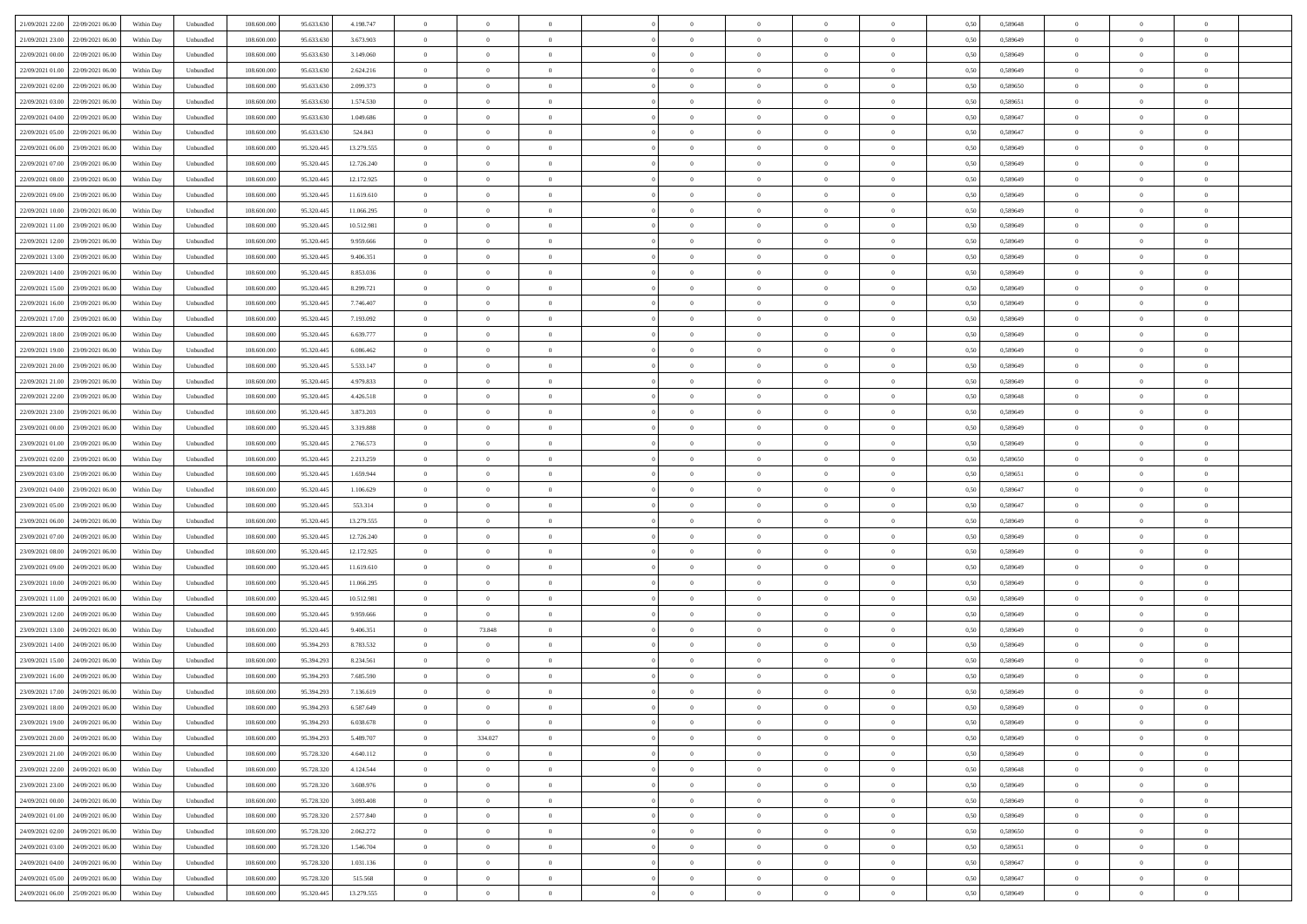| 21/09/2021 22:00 22/09/2021 06:00            | Within Day | Unbundled                   | 108.600.000 | 95.633.630 | 4.198.747  | $\overline{0}$ | $\theta$       |                | $\overline{0}$ | $\theta$       |                | $\theta$       | 0,50 | 0,589648 | $\theta$       | $\theta$       | $\overline{0}$ |  |
|----------------------------------------------|------------|-----------------------------|-------------|------------|------------|----------------|----------------|----------------|----------------|----------------|----------------|----------------|------|----------|----------------|----------------|----------------|--|
| 21/09/2021 23:00<br>22/09/2021 06.00         | Within Day | Unbundled                   | 108.600.00  | 95.633.63  | 3.673.903  | $\bf{0}$       | $\bf{0}$       | $\bf{0}$       | $\bf{0}$       | $\overline{0}$ | $\overline{0}$ | $\bf{0}$       | 0,50 | 0,589649 | $\,$ 0 $\,$    | $\bf{0}$       | $\overline{0}$ |  |
| 22/09/2021 00:00<br>22/09/2021 06:00         | Within Day | Unbundled                   | 108,600,000 | 95.633.630 | 3.149.060  | $\overline{0}$ | $\bf{0}$       | $\overline{0}$ | $\bf{0}$       | $\bf{0}$       | $\overline{0}$ | $\bf{0}$       | 0.50 | 0.589649 | $\bf{0}$       | $\overline{0}$ | $\overline{0}$ |  |
| 22/09/2021 01:00<br>22/09/2021 06:00         |            |                             | 108.600.000 |            |            | $\overline{0}$ | $\overline{0}$ | $\overline{0}$ | $\theta$       | $\theta$       | $\overline{0}$ |                |      |          | $\,$ 0 $\,$    | $\theta$       | $\overline{0}$ |  |
|                                              | Within Day | Unbundled                   |             | 95.633.630 | 2.624.216  |                |                |                |                |                |                | $\bf{0}$       | 0,50 | 0,589649 |                |                |                |  |
| 22/09/2021 02:00<br>22/09/2021 06.00         | Within Day | Unbundled                   | 108.600.00  | 95.633.630 | 2.099.373  | $\bf{0}$       | $\overline{0}$ | $\bf{0}$       | $\overline{0}$ | $\theta$       | $\overline{0}$ | $\bf{0}$       | 0,50 | 0,589650 | $\,$ 0 $\,$    | $\bf{0}$       | $\overline{0}$ |  |
| 22/09/2021 03:00<br>22/09/2021 06:00         | Within Day | Unbundled                   | 108,600,000 | 95.633.630 | 1.574.530  | $\overline{0}$ | $\bf{0}$       | $\overline{0}$ | $\bf{0}$       | $\overline{0}$ | $\theta$       | $\bf{0}$       | 0.50 | 0.589651 | $\,$ 0 $\,$    | $\theta$       | $\overline{0}$ |  |
| 22/09/2021 04:00<br>22/09/2021 06:00         | Within Day | Unbundled                   | 108.600.000 | 95.633.630 | 1.049.686  | $\overline{0}$ | $\overline{0}$ | $\overline{0}$ | $\overline{0}$ | $\overline{0}$ | $\overline{0}$ | $\bf{0}$       | 0,50 | 0,589647 | $\theta$       | $\theta$       | $\overline{0}$ |  |
|                                              |            |                             |             |            |            |                |                |                |                |                |                |                |      |          |                |                |                |  |
| 22/09/2021 05:00<br>22/09/2021 06.00         | Within Day | Unbundled                   | 108.600.00  | 95.633.63  | 524.843    | $\bf{0}$       | $\bf{0}$       | $\bf{0}$       | $\overline{0}$ | $\overline{0}$ | $\overline{0}$ | $\bf{0}$       | 0,50 | 0,589647 | $\,$ 0 $\,$    | $\bf{0}$       | $\overline{0}$ |  |
| 22/09/2021 06:00<br>23/09/2021 06:00         | Within Day | Unbundled                   | 108,600,000 | 95.320.445 | 13.279.555 | $\overline{0}$ | $\bf{0}$       | $\overline{0}$ | $\bf{0}$       | $\overline{0}$ | $\overline{0}$ | $\bf{0}$       | 0.50 | 0.589649 | $\bf{0}$       | $\overline{0}$ | $\overline{0}$ |  |
| 22/09/2021 07:00<br>23/09/2021 06:00         | Within Day | Unbundled                   | 108.600.000 | 95.320.445 | 12.726.240 | $\bf{0}$       | $\bf{0}$       | $\overline{0}$ | $\overline{0}$ | $\overline{0}$ | $\overline{0}$ | $\bf{0}$       | 0,50 | 0,589649 | $\,$ 0 $\,$    | $\bf{0}$       | $\overline{0}$ |  |
| 22/09/2021 08:00<br>23/09/2021 06:00         | Within Day | Unbundled                   | 108.600.00  | 95.320.445 | 12.172.925 | $\bf{0}$       | $\bf{0}$       | $\bf{0}$       | $\bf{0}$       | $\bf{0}$       | $\overline{0}$ | $\bf{0}$       | 0,50 | 0,589649 | $\,$ 0 $\,$    | $\bf{0}$       | $\overline{0}$ |  |
|                                              |            |                             |             |            |            |                |                |                |                |                |                |                |      |          |                |                |                |  |
| 22/09/2021 09:00<br>23/09/2021 06:00         | Within Day | Unbundled                   | 108,600,000 | 95.320.445 | 11.619.610 | $\overline{0}$ | $\bf{0}$       | $\overline{0}$ | $\overline{0}$ | $\bf{0}$       | $\overline{0}$ | $\bf{0}$       | 0.50 | 0.589649 | $\bf{0}$       | $\overline{0}$ | $\,$ 0         |  |
| 22/09/2021 10:00<br>23/09/2021 06:00         | Within Day | Unbundled                   | 108.600.000 | 95.320.445 | 11.066.295 | $\overline{0}$ | $\overline{0}$ | $\overline{0}$ | $\theta$       | $\theta$       | $\overline{0}$ | $\bf{0}$       | 0,50 | 0,589649 | $\,$ 0 $\,$    | $\theta$       | $\overline{0}$ |  |
| 22/09/2021 11:00<br>23/09/2021 06:00         | Within Day | Unbundled                   | 108.600.00  | 95.320.44  | 10.512.981 | $\bf{0}$       | $\overline{0}$ | $\bf{0}$       | $\overline{0}$ | $\bf{0}$       | $\overline{0}$ | $\bf{0}$       | 0,50 | 0,589649 | $\,$ 0 $\,$    | $\bf{0}$       | $\overline{0}$ |  |
| 22/09/2021 12:00<br>23/09/2021 06:00         | Within Day | Unbundled                   | 108,600,000 | 95.320.445 | 9.959.666  | $\overline{0}$ | $\bf{0}$       | $\overline{0}$ | $\bf{0}$       | $\overline{0}$ | $\theta$       | $\bf{0}$       | 0.50 | 0.589649 | $\,$ 0 $\,$    | $\theta$       | $\overline{0}$ |  |
|                                              |            |                             |             |            |            |                |                |                |                |                |                |                |      |          |                |                |                |  |
| 22/09/2021 13:00<br>23/09/2021 06:00         | Within Day | Unbundled                   | 108.600.000 | 95.320.445 | 9.406.351  | $\overline{0}$ | $\overline{0}$ | $\overline{0}$ | $\overline{0}$ | $\overline{0}$ | $\overline{0}$ | $\bf{0}$       | 0,50 | 0,589649 | $\theta$       | $\theta$       | $\overline{0}$ |  |
| 22/09/2021 14:00<br>23/09/2021 06.00         | Within Day | Unbundled                   | 108.600.00  | 95.320.445 | 8.853.036  | $\bf{0}$       | $\bf{0}$       | $\bf{0}$       | $\overline{0}$ | $\bf{0}$       | $\overline{0}$ | $\bf{0}$       | 0,50 | 0,589649 | $\,$ 0 $\,$    | $\bf{0}$       | $\overline{0}$ |  |
| 22/09/2021 15:00<br>23/09/2021 06:00         | Within Day | Unbundled                   | 108,600,000 | 95.320.44  | 8.299.721  | $\overline{0}$ | $\bf{0}$       | $\overline{0}$ | $\bf{0}$       | $\overline{0}$ | $\overline{0}$ | $\bf{0}$       | 0.50 | 0.589649 | $\bf{0}$       | $\overline{0}$ | $\bf{0}$       |  |
| 22/09/2021 16:00<br>23/09/2021 06:00         | Within Day | Unbundled                   | 108.600.000 | 95.320.445 | 7.746.407  | $\overline{0}$ | $\bf{0}$       | $\overline{0}$ | $\overline{0}$ | $\overline{0}$ | $\overline{0}$ | $\bf{0}$       | 0,50 | 0,589649 | $\,$ 0 $\,$    | $\bf{0}$       | $\overline{0}$ |  |
|                                              |            |                             |             |            |            |                |                |                |                |                |                |                |      |          |                |                |                |  |
| 22/09/2021 17:00<br>23/09/2021 06.00         | Within Day | Unbundled                   | 108.600.00  | 95.320.445 | 7.193.092  | $\bf{0}$       | $\bf{0}$       | $\bf{0}$       | $\bf{0}$       | $\overline{0}$ | $\overline{0}$ | $\bf{0}$       | 0,50 | 0,589649 | $\,$ 0 $\,$    | $\bf{0}$       | $\overline{0}$ |  |
| 22/09/2021 18:00<br>23/09/2021 06:00         | Within Day | Unbundled                   | 108,600,000 | 95.320.445 | 6.639.777  | $\overline{0}$ | $\bf{0}$       | $\overline{0}$ | $\overline{0}$ | $\bf{0}$       | $\overline{0}$ | $\bf{0}$       | 0.50 | 0.589649 | $\bf{0}$       | $\overline{0}$ | $\,$ 0         |  |
| 22/09/2021 19:00<br>23/09/2021 06:00         | Within Day | Unbundled                   | 108.600.000 | 95.320.445 | 6.086.462  | $\overline{0}$ | $\overline{0}$ | $\overline{0}$ | $\theta$       | $\theta$       | $\overline{0}$ | $\bf{0}$       | 0,50 | 0,589649 | $\theta$       | $\theta$       | $\overline{0}$ |  |
| 22/09/2021 20:00<br>23/09/2021 06.00         | Within Day | Unbundled                   | 108.600.00  | 95.320.445 | 5.533.147  | $\bf{0}$       | $\bf{0}$       | $\bf{0}$       | $\bf{0}$       | $\overline{0}$ | $\overline{0}$ | $\bf{0}$       | 0,50 | 0,589649 | $\,$ 0 $\,$    | $\bf{0}$       | $\overline{0}$ |  |
|                                              |            |                             |             |            |            |                |                |                |                |                |                |                |      |          |                |                |                |  |
| 22/09/2021 21:00<br>23/09/2021 06:00         | Within Day | Unbundled                   | 108,600,000 | 95.320.44  | 4.979.833  | $\overline{0}$ | $\bf{0}$       | $\overline{0}$ | $\bf{0}$       | $\overline{0}$ | $\theta$       | $\bf{0}$       | 0.50 | 0.589649 | $\,$ 0 $\,$    | $\theta$       | $\overline{0}$ |  |
| 22/09/2021 22:00<br>23/09/2021 06:00         | Within Day | Unbundled                   | 108.600.000 | 95.320.445 | 4.426.518  | $\overline{0}$ | $\overline{0}$ | $\overline{0}$ | $\overline{0}$ | $\overline{0}$ | $\overline{0}$ | $\bf{0}$       | 0,50 | 0,589648 | $\,$ 0 $\,$    | $\theta$       | $\overline{0}$ |  |
| 22/09/2021 23:00<br>23/09/2021 06.00         | Within Day | Unbundled                   | 108.600.00  | 95.320.445 | 3.873.203  | $\bf{0}$       | $\overline{0}$ | $\bf{0}$       | $\overline{0}$ | $\bf{0}$       | $\overline{0}$ | $\bf{0}$       | 0,50 | 0,589649 | $\,$ 0 $\,$    | $\bf{0}$       | $\overline{0}$ |  |
| 23/09/2021 00:00<br>23/09/2021 06:00         | Within Day | Unbundled                   | 108,600,000 | 95.320.445 | 3.319.888  | $\overline{0}$ | $\bf{0}$       | $\overline{0}$ | $\bf{0}$       | $\overline{0}$ | $\overline{0}$ | $\bf{0}$       | 0.50 | 0.589649 | $\bf{0}$       | $\overline{0}$ | $\overline{0}$ |  |
| 23/09/2021 01:00<br>23/09/2021 06:00         | Within Day | Unbundled                   | 108.600.000 | 95.320.445 | 2.766.573  | $\overline{0}$ | $\bf{0}$       | $\overline{0}$ | $\overline{0}$ | $\overline{0}$ | $\overline{0}$ | $\bf{0}$       | 0,50 | 0,589649 | $\theta$       | $\theta$       | $\overline{0}$ |  |
|                                              |            |                             |             |            |            |                |                |                |                |                |                |                |      |          |                |                |                |  |
| 23/09/2021 02:00<br>23/09/2021 06.00         | Within Day | Unbundled                   | 108.600.00  | 95.320.445 | 2.213.259  | $\bf{0}$       | $\bf{0}$       | $\bf{0}$       | $\bf{0}$       | $\overline{0}$ | $\overline{0}$ | $\bf{0}$       | 0,50 | 0,589650 | $\,$ 0 $\,$    | $\bf{0}$       | $\overline{0}$ |  |
| 23/09/2021 03:00<br>23/09/2021 06:00         | Within Day | Unbundled                   | 108,600,000 | 95.320.445 | 1.659.944  | $\overline{0}$ | $\bf{0}$       | $\overline{0}$ | $\bf{0}$       | $\bf{0}$       | $\overline{0}$ | $\bf{0}$       | 0.50 | 0.589651 | $\bf{0}$       | $\overline{0}$ | $\,$ 0         |  |
| 23/09/2021 04:00<br>23/09/2021 06:00         | Within Day | Unbundled                   | 108.600.000 | 95.320.445 | 1.106.629  | $\overline{0}$ | $\overline{0}$ | $\overline{0}$ | $\overline{0}$ | $\overline{0}$ | $\overline{0}$ | $\bf{0}$       | 0.50 | 0.589647 | $\theta$       | $\theta$       | $\overline{0}$ |  |
| 23/09/2021 05:00<br>23/09/2021 06.00         | Within Day | Unbundled                   | 108.600.00  | 95.320.445 | 553.314    | $\bf{0}$       | $\bf{0}$       | $\bf{0}$       | $\bf{0}$       | $\overline{0}$ | $\overline{0}$ | $\bf{0}$       | 0,50 | 0,589647 | $\,$ 0 $\,$    | $\bf{0}$       | $\overline{0}$ |  |
|                                              |            |                             |             |            |            |                |                |                |                |                |                |                |      |          |                |                |                |  |
| 23/09/2021 06:00<br>24/09/2021 06:00         | Within Day | Unbundled                   | 108,600,000 | 95.320.445 | 13.279.555 | $\overline{0}$ | $\bf{0}$       | $\overline{0}$ | $\bf{0}$       | $\overline{0}$ | $\overline{0}$ | $\bf{0}$       | 0.50 | 0.589649 | $\,$ 0 $\,$    | $\bf{0}$       | $\overline{0}$ |  |
| 23/09/2021 07:00<br>24/09/2021 06:00         | Within Dav | Unbundled                   | 108.600.000 | 95.320.445 | 12.726.240 | $\overline{0}$ | $\overline{0}$ | $\overline{0}$ | $\overline{0}$ | $\overline{0}$ | $\overline{0}$ | $\bf{0}$       | 0.50 | 0.589649 | $\theta$       | $\theta$       | $\overline{0}$ |  |
| 23/09/2021 08:00<br>24/09/2021 06.00         | Within Day | Unbundled                   | 108.600.00  | 95.320.445 | 12.172.925 | $\bf{0}$       | $\bf{0}$       | $\bf{0}$       | $\bf{0}$       | $\overline{0}$ | $\overline{0}$ | $\bf{0}$       | 0,50 | 0,589649 | $\,$ 0 $\,$    | $\bf{0}$       | $\overline{0}$ |  |
| 23/09/2021 09:00<br>24/09/2021 06:00         | Within Day | Unbundled                   | 108,600,000 | 95.320.44  | 11.619.610 | $\overline{0}$ | $\bf{0}$       | $\overline{0}$ | $\bf{0}$       | $\overline{0}$ | $\overline{0}$ | $\bf{0}$       | 0.50 | 0.589649 | $\bf{0}$       | $\overline{0}$ | $\overline{0}$ |  |
|                                              |            |                             |             |            |            |                |                |                |                |                |                |                |      |          |                |                |                |  |
| 23/09/2021 10:00<br>24/09/2021 06:00         | Within Dav | Unbundled                   | 108.600.000 | 95.320.445 | 11.066.295 | $\overline{0}$ | $\overline{0}$ | $\overline{0}$ | $\overline{0}$ | $\overline{0}$ | $\overline{0}$ | $\bf{0}$       | 0.50 | 0.589649 | $\theta$       | $\theta$       | $\overline{0}$ |  |
| 23/09/2021 11:00<br>24/09/2021 06.00         | Within Day | Unbundled                   | 108.600.00  | 95.320.445 | 10.512.981 | $\bf{0}$       | $\bf{0}$       | $\bf{0}$       | $\bf{0}$       | $\overline{0}$ | $\overline{0}$ | $\bf{0}$       | 0,50 | 0,589649 | $\,$ 0 $\,$    | $\bf{0}$       | $\overline{0}$ |  |
| 23/09/2021 12:00<br>24/09/2021 06:00         | Within Day | Unbundled                   | 108,600,000 | 95.320.445 | 9.959.666  | $\overline{0}$ | $\overline{0}$ | $\overline{0}$ | $\overline{0}$ | $\bf{0}$       | $\overline{0}$ | $\bf{0}$       | 0.50 | 0.589649 | $\bf{0}$       | $\overline{0}$ | $\,$ 0         |  |
| 23/09/2021 13:00<br>24/09/2021 06:00         | Within Day | Unbundled                   | 108.600.000 | 95.320.445 | 9.406.351  | $\overline{0}$ | 73.848         | $\overline{0}$ | $\overline{0}$ | $\overline{0}$ | $\overline{0}$ | $\bf{0}$       | 0.50 | 0.589649 | $\theta$       | $\theta$       | $\overline{0}$ |  |
| 23/09/2021 14:00<br>24/09/2021 06.00         | Within Day | Unbundled                   | 108.600.00  | 95.394.29  | 8.783.532  | $\bf{0}$       | $\overline{0}$ | $\bf{0}$       | $\bf{0}$       | $\overline{0}$ | $\overline{0}$ | $\bf{0}$       | 0,50 | 0,589649 | $\,$ 0 $\,$    | $\bf{0}$       | $\overline{0}$ |  |
|                                              |            |                             |             |            |            |                |                |                |                |                |                |                |      |          |                |                |                |  |
| 23/09/2021 15:00<br>24/09/2021 06:00         | Within Day | Unbundled                   | 108,600,000 | 95.394.29  | 8.234.561  | $\overline{0}$ | $\overline{0}$ | $\overline{0}$ | $\bf{0}$       | $\overline{0}$ | $\Omega$       | $\bf{0}$       | 0.50 | 0.589649 | $\bf{0}$       | $\theta$       | $\overline{0}$ |  |
| 23/09/2021 16:00<br>24/09/2021 06:00         | Within Dav | Unbundled                   | 108.600.000 | 95.394.29  | 7.685.590  | $\overline{0}$ | $\overline{0}$ | $\Omega$       | $\overline{0}$ | $\theta$       | $\overline{0}$ | $\overline{0}$ | 0.5( | 0.589649 | $\theta$       | $\theta$       | $\overline{0}$ |  |
| 23/09/2021 17:00<br>24/09/2021 06:00         | Within Day | Unbundled                   | 108.600.00  | 95.394.293 | 7.136.619  | $\bf{0}$       | $\bf{0}$       | $\bf{0}$       | $\bf{0}$       | $\bf{0}$       | $\overline{0}$ | $\bf{0}$       | 0,50 | 0,589649 | $\,$ 0 $\,$    | $\bf{0}$       | $\overline{0}$ |  |
| $23/09/2021\ 18.00 \qquad 24/09/2021\ 06.00$ | Within Day | $\ensuremath{\mathsf{Unb}}$ | 108.600.000 | 95.394.293 | 6.587.649  | $\bf{0}$       | $\theta$       |                | $\overline{0}$ |                |                |                | 0,50 | 0.589649 | $\bf{0}$       | $\bf{0}$       |                |  |
|                                              |            |                             |             |            |            |                |                |                |                |                |                |                |      |          |                |                |                |  |
| 23/09/2021 19:00 24/09/2021 06:00            | Within Day | Unbundled                   | 108.600.000 | 95.394.293 | 6.038.678  | $\overline{0}$ | $\overline{0}$ | $\Omega$       | $\theta$       | $\overline{0}$ | $\overline{0}$ | $\bf{0}$       | 0,50 | 0,589649 | $\theta$       | $\theta$       | $\overline{0}$ |  |
| 23/09/2021 20:00<br>24/09/2021 06:00         | Within Day | Unbundled                   | 108.600.00  | 95.394.293 | 5.489.707  | $\overline{0}$ | 334.027        | $\overline{0}$ | $\overline{0}$ | $\bf{0}$       | $\overline{0}$ | $\bf{0}$       | 0,50 | 0,589649 | $\bf{0}$       | $\overline{0}$ | $\bf{0}$       |  |
| 23/09/2021 21:00 24/09/2021 06:00            | Within Day | Unbundled                   | 108,600,000 | 95.728.320 | 4.640.112  | $\overline{0}$ | $\overline{0}$ | $\overline{0}$ | $\overline{0}$ | $\mathbf{0}$   | $\overline{0}$ | $\,$ 0 $\,$    | 0.50 | 0.589649 | $\overline{0}$ | $\bf{0}$       | $\,$ 0 $\,$    |  |
| 23/09/2021 22:00 24/09/2021 06:00            | Within Day | Unbundled                   | 108.600.000 | 95.728.320 | 4.124.544  | $\overline{0}$ | $\overline{0}$ | $\overline{0}$ | $\overline{0}$ | $\overline{0}$ | $\overline{0}$ | $\bf{0}$       | 0,50 | 0.589648 | $\theta$       | $\theta$       | $\overline{0}$ |  |
|                                              |            |                             |             |            |            |                |                |                |                |                |                |                |      |          |                |                |                |  |
| 23/09/2021 23:00<br>24/09/2021 06:00         | Within Day | Unbundled                   | 108.600.000 | 95.728.320 | 3.608.976  | $\overline{0}$ | $\bf{0}$       | $\overline{0}$ | $\overline{0}$ | $\overline{0}$ | $\overline{0}$ | $\bf{0}$       | 0,50 | 0,589649 | $\bf{0}$       | $\overline{0}$ | $\overline{0}$ |  |
| 24/09/2021 06:00<br>24/09/2021 00:00         | Within Day | Unbundled                   | 108,600,000 | 95.728.320 | 3.093.408  | $\overline{0}$ | $\bf{0}$       | $\overline{0}$ | $\overline{0}$ | $\overline{0}$ | $\overline{0}$ | $\bf{0}$       | 0.50 | 0.589649 | $\,$ 0 $\,$    | $\overline{0}$ | $\,$ 0         |  |
| 24/09/2021 01:00 24/09/2021 06:00            | Within Dav | Unbundled                   | 108.600.000 | 95.728.320 | 2.577.840  | $\overline{0}$ | $\overline{0}$ | $\overline{0}$ | $\overline{0}$ | $\overline{0}$ | $\overline{0}$ | $\bf{0}$       | 0,50 | 0.589649 | $\overline{0}$ | $\theta$       | $\overline{0}$ |  |
| 24/09/2021 02:00<br>24/09/2021 06:00         | Within Day | Unbundled                   | 108.600.00  | 95.728.320 | 2.062.272  | $\overline{0}$ | $\overline{0}$ | $\overline{0}$ | $\overline{0}$ | $\overline{0}$ | $\overline{0}$ | $\bf{0}$       | 0,50 | 0,589650 | $\bf{0}$       | $\overline{0}$ | $\overline{0}$ |  |
| 24/09/2021 03:00 24/09/2021 06:00            |            | Unbundled                   | 108,600,000 | 95.728.320 | 1.546.704  | $\overline{0}$ | $\overline{0}$ | $\overline{0}$ |                |                | $\overline{0}$ |                | 0.50 | 0.589651 | $\mathbf{0}$   | $\bf{0}$       | $\,$ 0         |  |
|                                              | Within Day |                             |             |            |            |                |                |                | $\overline{0}$ | $\overline{0}$ |                | $\bf{0}$       |      |          |                |                |                |  |
| 24/09/2021 04:00 24/09/2021 06:00            | Within Dav | Unbundled                   | 108.600.000 | 95.728.320 | 1.031.136  | $\overline{0}$ | $\overline{0}$ | $\overline{0}$ | $\overline{0}$ | $\overline{0}$ | $\overline{0}$ | $\bf{0}$       | 0,50 | 0,589647 | $\overline{0}$ | $\theta$       | $\overline{0}$ |  |
| 24/09/2021 05:00<br>24/09/2021 06.00         | Within Day | Unbundled                   | 108.600.00  | 95.728.320 | 515.568    | $\overline{0}$ | $\bf{0}$       | $\overline{0}$ | $\bf{0}$       | $\overline{0}$ | $\bf{0}$       | $\bf{0}$       | 0,50 | 0,589647 | $\bf{0}$       | $\,$ 0 $\,$    | $\bf{0}$       |  |
| 24/09/2021 06:00 25/09/2021 06:00            | Within Day | Unbundled                   | 108.600.000 | 95.320.445 | 13.279.555 | $\overline{0}$ | $\bf{0}$       | $\overline{0}$ | $\overline{0}$ | $\,$ 0 $\,$    | $\overline{0}$ | $\bf{0}$       | 0,50 | 0,589649 | $\overline{0}$ | $\,$ 0 $\,$    | $\,$ 0 $\,$    |  |
|                                              |            |                             |             |            |            |                |                |                |                |                |                |                |      |          |                |                |                |  |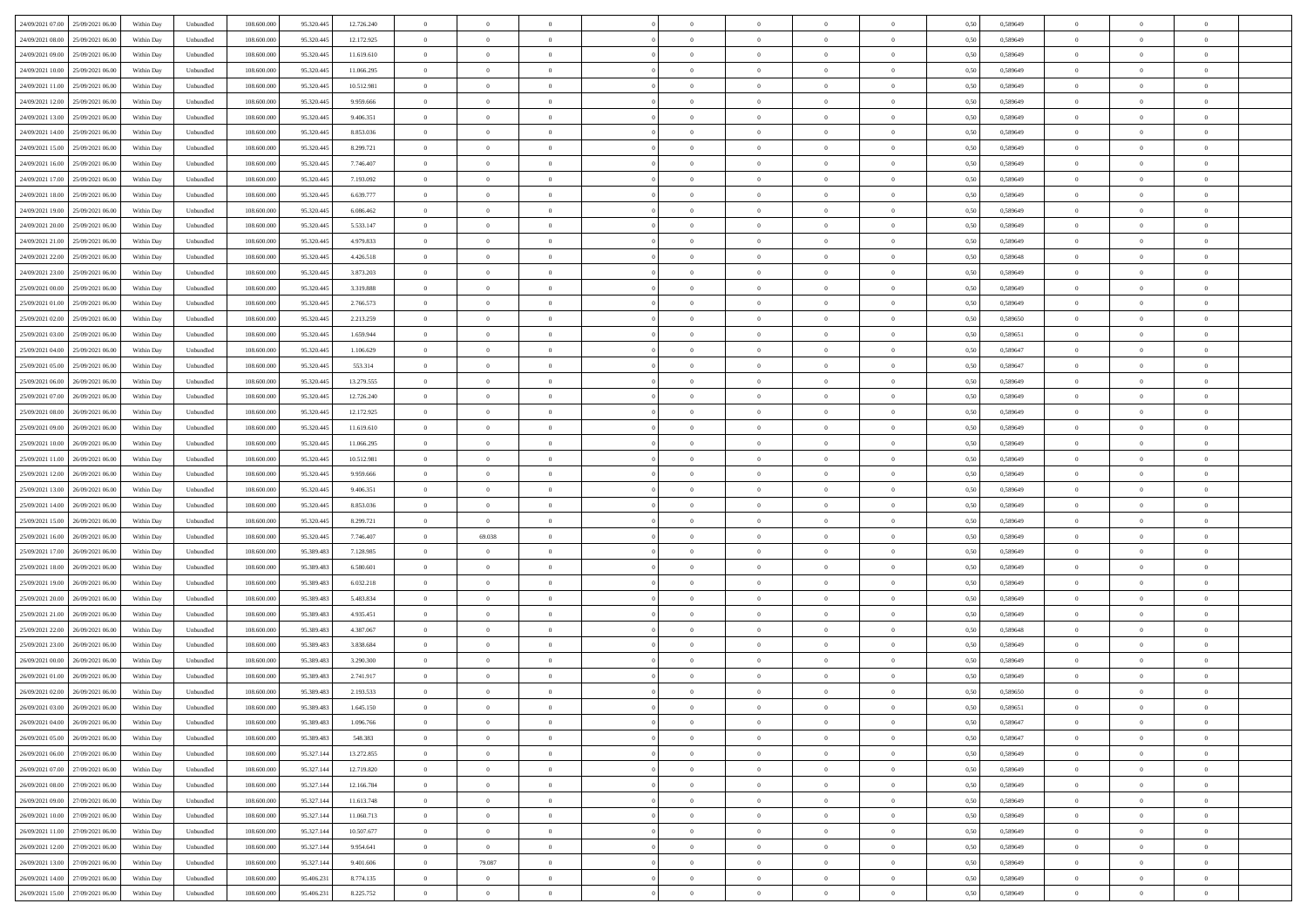| 24/09/2021 07:00 25/09/2021 06:00     | Within Day | Unbundled                   | 108.600.000 | 95.320.445 | 12.726.240 | $\overline{0}$ | $\theta$       |                | $\overline{0}$ | $\bf{0}$       | $\overline{0}$ | $\theta$       | 0,50 | 0,589649 | $\,0\,$        | $\overline{0}$ | $\bf{0}$       |  |
|---------------------------------------|------------|-----------------------------|-------------|------------|------------|----------------|----------------|----------------|----------------|----------------|----------------|----------------|------|----------|----------------|----------------|----------------|--|
|                                       |            |                             |             |            |            |                |                |                |                |                |                |                |      |          |                |                |                |  |
| 24/09/2021 08:00<br>25/09/2021 06.00  | Within Day | Unbundled                   | 108.600.00  | 95.320.445 | 12.172.925 | $\overline{0}$ | $\overline{0}$ | $\overline{0}$ | $\overline{0}$ | $\,$ 0         | $\overline{0}$ | $\bf{0}$       | 0,50 | 0,589649 | $\bf{0}$       | $\overline{0}$ | $\bf{0}$       |  |
| 24/09/2021 09:00<br>25/09/2021 06:00  | Within Day | Unbundled                   | 108,600,000 | 95.320.445 | 11.619.610 | $\overline{0}$ | $\overline{0}$ | $\overline{0}$ | $\overline{0}$ | $\bf{0}$       | $\overline{0}$ | $\overline{0}$ | 0.50 | 0.589649 | $\overline{0}$ | $\bf{0}$       | $\bf{0}$       |  |
| 24/09/2021 10:00<br>25/09/2021 06:00  | Within Day | Unbundled                   | 108.600.000 | 95.320.445 | 11.066.295 | $\overline{0}$ | $\overline{0}$ | $\overline{0}$ | $\overline{0}$ | $\,$ 0         | $\overline{0}$ | $\theta$       | 0,50 | 0,589649 | $\,0\,$        | $\overline{0}$ | $\overline{0}$ |  |
| 24/09/2021 11:00<br>25/09/2021 06.00  | Within Day | Unbundled                   | 108.600.00  | 95.320.445 | 10.512.981 | $\overline{0}$ | $\theta$       | $\overline{0}$ |                | $\,$ 0         | $\overline{0}$ | $\bf{0}$       | 0,50 | 0,589649 | $\bf{0}$       | $\overline{0}$ | $\bf{0}$       |  |
| 24/09/2021 12:00<br>25/09/2021 06:00  | Within Day | Unbundled                   | 108,600,000 | 95.320.445 | 9.959.666  | $\overline{0}$ | $\overline{0}$ | $\overline{0}$ | $\overline{0}$ | $\bf{0}$       | $\overline{0}$ | $\overline{0}$ | 0.50 | 0.589649 | $\bf{0}$       | $\overline{0}$ | $\bf{0}$       |  |
|                                       |            |                             |             |            |            |                |                |                |                |                |                |                |      |          |                |                |                |  |
| 24/09/2021 13:00<br>25/09/2021 06:00  | Within Day | Unbundled                   | 108.600.000 | 95.320.445 | 9.406.351  | $\overline{0}$ | $\overline{0}$ | $\overline{0}$ | $\overline{0}$ | $\bf{0}$       | $\overline{0}$ | $\overline{0}$ | 0,50 | 0,589649 | $\,0\,$        | $\overline{0}$ | $\bf{0}$       |  |
| 24/09/2021 14:00<br>25/09/2021 06.00  | Within Day | Unbundled                   | 108.600.00  | 95.320.445 | 8.853.036  | $\overline{0}$ | $\theta$       | $\overline{0}$ | $\overline{0}$ | $\,$ 0         | $\overline{0}$ | $\bf{0}$       | 0,50 | 0,589649 | $\bf{0}$       | $\overline{0}$ | $\bf{0}$       |  |
| 24/09/2021 15:00<br>25/09/2021 06:00  | Within Day | Unbundled                   | 108,600,000 | 95.320.445 | 8.299.721  | $\overline{0}$ | $\overline{0}$ | $\overline{0}$ | $\overline{0}$ | $\bf{0}$       | $\overline{0}$ | $\overline{0}$ | 0.50 | 0.589649 | $\bf{0}$       | $\overline{0}$ | $\bf{0}$       |  |
| 24/09/2021 16:00<br>25/09/2021 06:00  | Within Day | Unbundled                   | 108.600.000 | 95.320.445 | 7.746.407  | $\overline{0}$ | $\overline{0}$ | $\overline{0}$ | $\overline{0}$ | $\bf{0}$       | $\overline{0}$ | $\overline{0}$ | 0,50 | 0,589649 | $\,$ 0 $\,$    | $\overline{0}$ | $\bf{0}$       |  |
| 24/09/2021 17:00<br>25/09/2021 06.00  | Within Day | Unbundled                   | 108.600.00  | 95.320.445 | 7.193.092  | $\bf{0}$       | $\theta$       | $\overline{0}$ | $\overline{0}$ | $\,$ 0         | $\overline{0}$ | $\bf{0}$       | 0,50 | 0,589649 | $\bf{0}$       | $\overline{0}$ | $\bf{0}$       |  |
| 24/09/2021 18:00<br>25/09/2021 06:00  | Within Day | Unbundled                   | 108,600,000 | 95.320.445 | 6.639.777  | $\overline{0}$ | $\overline{0}$ | $\overline{0}$ | $\overline{0}$ | $\,$ 0 $\,$    | $\overline{0}$ | $\overline{0}$ | 0.50 | 0.589649 | $\,$ 0 $\,$    | $\overline{0}$ | $\bf{0}$       |  |
| 24/09/2021 19:00<br>25/09/2021 06:00  | Within Day | Unbundled                   | 108.600.000 | 95.320.445 | 6.086.462  | $\overline{0}$ | $\overline{0}$ | $\overline{0}$ | $\overline{0}$ | $\,$ 0         | $\overline{0}$ | $\theta$       | 0,50 | 0,589649 | $\,$ 0 $\,$    | $\overline{0}$ | $\,$ 0 $\,$    |  |
|                                       |            |                             |             |            |            |                |                |                |                |                |                |                |      |          |                |                |                |  |
| 24/09/2021 20:00<br>25/09/2021 06.00  | Within Day | Unbundled                   | 108.600.00  | 95.320.445 | 5.533.147  | $\overline{0}$ | $\theta$       | $\overline{0}$ |                | $\,$ 0         | $\overline{0}$ | $\bf{0}$       | 0,50 | 0,589649 | $\bf{0}$       | $\overline{0}$ | $\,$ 0         |  |
| 24/09/2021 21:00<br>25/09/2021 06:00  | Within Day | Unbundled                   | 108,600,000 | 95.320.445 | 4.979.833  | $\overline{0}$ | $\overline{0}$ | $\overline{0}$ | $\overline{0}$ | $\bf{0}$       | $\overline{0}$ | $\overline{0}$ | 0.50 | 0.589649 | $\bf{0}$       | $\overline{0}$ | $\bf{0}$       |  |
| 24/09/2021 22.00<br>25/09/2021 06:00  | Within Day | Unbundled                   | 108.600.000 | 95.320.445 | 4.426.518  | $\overline{0}$ | $\overline{0}$ | $\overline{0}$ | $\overline{0}$ | $\bf{0}$       | $\overline{0}$ | $\overline{0}$ | 0,50 | 0,589648 | $\,$ 0 $\,$    | $\overline{0}$ | $\overline{0}$ |  |
| 24/09/2021 23:00<br>25/09/2021 06.00  | Within Day | Unbundled                   | 108.600.00  | 95.320.445 | 3.873.203  | $\overline{0}$ | $\theta$       | $\overline{0}$ |                | $\,$ 0         | $\overline{0}$ | $\bf{0}$       | 0,50 | 0,589649 | $\bf{0}$       | $\overline{0}$ | $\bf{0}$       |  |
| 25/09/2021 00:00<br>25/09/2021 06:00  | Within Day | Unbundled                   | 108,600,000 | 95.320.445 | 3.319.888  | $\overline{0}$ | $\overline{0}$ | $\overline{0}$ | $\overline{0}$ | $\bf{0}$       | $\overline{0}$ | $\overline{0}$ | 0.50 | 0.589649 | $\bf{0}$       | $\overline{0}$ | $\bf{0}$       |  |
| 25/09/2021 01:00<br>25/09/2021 06:00  | Within Day | Unbundled                   | 108.600.000 | 95.320.445 | 2.766.573  | $\overline{0}$ | $\overline{0}$ | $\overline{0}$ | $\overline{0}$ | $\,$ 0         | $\overline{0}$ | $\overline{0}$ | 0,50 | 0,589649 | $\,$ 0 $\,$    | $\overline{0}$ | $\bf{0}$       |  |
| 25/09/2021 02:00<br>25/09/2021 06.00  | Within Day | Unbundled                   | 108.600.00  | 95.320.445 | 2.213.259  | $\bf{0}$       | $\overline{0}$ | $\overline{0}$ | $\overline{0}$ | $\,$ 0         | $\overline{0}$ | $\bf{0}$       | 0,50 | 0,589650 | $\bf{0}$       | $\overline{0}$ | $\bf{0}$       |  |
|                                       |            |                             |             |            |            |                |                |                |                |                |                |                |      |          |                |                |                |  |
| 25/09/2021 03:00<br>25/09/2021 06:00  | Within Day | Unbundled                   | 108,600,000 | 95.320.445 | 1.659.944  | $\overline{0}$ | $\overline{0}$ | $\overline{0}$ | $\overline{0}$ | $\,$ 0 $\,$    | $\overline{0}$ | $\overline{0}$ | 0.50 | 0.589651 | $\overline{0}$ | $\bf{0}$       | $\bf{0}$       |  |
| 25/09/2021 04:00<br>25/09/2021 06:00  | Within Day | Unbundled                   | 108.600.000 | 95.320.445 | 1.106.629  | $\overline{0}$ | $\overline{0}$ | $\overline{0}$ | $\overline{0}$ | $\bf{0}$       | $\overline{0}$ | $\overline{0}$ | 0,50 | 0,589647 | $\,0\,$        | $\overline{0}$ | $\,$ 0 $\,$    |  |
| 25/09/2021 05:00<br>25/09/2021 06.00  | Within Day | Unbundled                   | 108.600.00  | 95.320.445 | 553.314    | $\overline{0}$ | $\theta$       | $\overline{0}$ | $\overline{0}$ | $\,$ 0         | $\overline{0}$ | $\bf{0}$       | 0,50 | 0,589647 | $\bf{0}$       | $\overline{0}$ | $\bf{0}$       |  |
| 25/09/2021 06:00<br>26/09/2021 06:00  | Within Day | Unbundled                   | 108,600,000 | 95.320.445 | 13.279.555 | $\overline{0}$ | $\overline{0}$ | $\overline{0}$ | $\overline{0}$ | $\bf{0}$       | $\overline{0}$ | $\overline{0}$ | 0.50 | 0.589649 | $\bf{0}$       | $\overline{0}$ | $\bf{0}$       |  |
| 25/09/2021 07:00<br>26/09/2021 06:00  | Within Day | Unbundled                   | 108.600.000 | 95.320.445 | 12.726.240 | $\overline{0}$ | $\overline{0}$ | $\overline{0}$ | $\overline{0}$ | $\,$ 0         | $\overline{0}$ | $\overline{0}$ | 0,50 | 0,589649 | $\,0\,$        | $\overline{0}$ | $\overline{0}$ |  |
| 25/09/2021 08:00<br>26/09/2021 06.00  | Within Day | Unbundled                   | 108.600.00  | 95.320.445 | 12.172.925 | $\overline{0}$ | $\theta$       | $\overline{0}$ |                | $\,$ 0         | $\overline{0}$ | $\bf{0}$       | 0,50 | 0,589649 | $\bf{0}$       | $\overline{0}$ | $\,$ 0         |  |
| 25/09/2021 09:00<br>26/09/2021 06:00  | Within Day | Unbundled                   | 108,600,000 | 95.320.445 | 11.619.610 | $\overline{0}$ | $\overline{0}$ | $\overline{0}$ | $\overline{0}$ | $\bf{0}$       | $\overline{0}$ | $\overline{0}$ | 0.50 | 0.589649 | $\bf{0}$       | $\overline{0}$ | $\bf{0}$       |  |
|                                       |            |                             |             |            |            | $\overline{0}$ | $\overline{0}$ | $\overline{0}$ | $\overline{0}$ |                |                | $\overline{0}$ |      |          | $\,$ 0 $\,$    | $\overline{0}$ |                |  |
| 25/09/2021 10:00<br>26/09/2021 06:00  | Within Day | Unbundled                   | 108.600.000 | 95.320.445 | 11.066.295 |                |                |                |                | $\bf{0}$       | $\overline{0}$ |                | 0,50 | 0,589649 |                |                | $\bf{0}$       |  |
| 25/09/2021 11:00<br>26/09/2021 06.00  | Within Day | Unbundled                   | 108.600.00  | 95.320.445 | 10.512.981 | $\bf{0}$       | $\overline{0}$ | $\overline{0}$ | $\overline{0}$ | $\bf{0}$       | $\overline{0}$ | $\bf{0}$       | 0,50 | 0,589649 | $\bf{0}$       | $\overline{0}$ | $\bf{0}$       |  |
| 25/09/2021 12:00<br>26/09/2021 06:00  | Within Day | Unbundled                   | 108,600,000 | 95.320.445 | 9.959.666  | $\overline{0}$ | $\overline{0}$ | $\overline{0}$ | $\overline{0}$ | $\,$ 0 $\,$    | $\overline{0}$ | $\overline{0}$ | 0.50 | 0.589649 | $\,$ 0 $\,$    | $\overline{0}$ | $\bf{0}$       |  |
| 25/09/2021 13:00<br>26/09/2021 06:00  | Within Day | Unbundled                   | 108.600.000 | 95.320.445 | 9.406.351  | $\overline{0}$ | $\overline{0}$ | $\overline{0}$ | $\overline{0}$ | $\mathbf{0}$   | $\overline{0}$ | $\overline{0}$ | 0.50 | 0.589649 | $\mathbf{0}$   | $\overline{0}$ | $\overline{0}$ |  |
| 25/09/2021 14:00<br>26/09/2021 06.00  | Within Day | Unbundled                   | 108.600.00  | 95.320.445 | 8.853.036  | $\overline{0}$ | $\overline{0}$ | $\overline{0}$ | $\overline{0}$ | $\,$ 0         | $\overline{0}$ | $\bf{0}$       | 0,50 | 0,589649 | $\bf{0}$       | $\overline{0}$ | $\bf{0}$       |  |
| 25/09/2021 15:00<br>26/09/2021 06:00  | Within Day | Unbundled                   | 108,600,000 | 95.320.445 | 8.299.721  | $\overline{0}$ | $\overline{0}$ | $\overline{0}$ | $\overline{0}$ | $\bf{0}$       | $\overline{0}$ | $\overline{0}$ | 0.50 | 0.589649 | $\bf{0}$       | $\overline{0}$ | $\bf{0}$       |  |
| 25/09/2021 16:00<br>26/09/2021 06:00  | Within Day | Unbundled                   | 108.600.000 | 95.320.445 | 7.746.407  | $\overline{0}$ | 69.038         | $\Omega$       | $\Omega$       | $\mathbf{0}$   | $\overline{0}$ | $\overline{0}$ | 0.50 | 0.589649 | $\mathbf{0}$   | $\overline{0}$ | $\overline{0}$ |  |
| 25/09/2021 17:00<br>26/09/2021 06.00  | Within Day | Unbundled                   | 108.600.00  | 95.389.483 | 7.128.985  | $\overline{0}$ | $\theta$       | $\overline{0}$ |                | $\,$ 0         | $\overline{0}$ | $\bf{0}$       | 0,50 | 0,589649 | $\bf{0}$       | $\overline{0}$ | $\bf{0}$       |  |
|                                       |            |                             |             |            |            |                |                |                |                |                |                |                |      |          |                |                |                |  |
| 25/09/2021 18:00<br>26/09/2021 06:00  | Within Day | Unbundled                   | 108,600,000 | 95.389.483 | 6.580.601  | $\overline{0}$ | $\overline{0}$ | $\overline{0}$ | $\overline{0}$ | $\bf{0}$       | $\overline{0}$ | $\overline{0}$ | 0.50 | 0.589649 | $\bf{0}$       | $\overline{0}$ | $\bf{0}$       |  |
| 25/09/2021 19:00<br>26/09/2021 06:00  | Within Day | Unbundled                   | 108.600.000 | 95.389.483 | 6.032.218  | $\overline{0}$ | $\overline{0}$ | $\overline{0}$ | $\Omega$       | $\overline{0}$ | $\overline{0}$ | $\overline{0}$ | 0.50 | 0.589649 | $\mathbf{0}$   | $\overline{0}$ | $\overline{0}$ |  |
| 25/09/2021 20:00<br>26/09/2021 06.00  | Within Day | Unbundled                   | 108.600.00  | 95.389.483 | 5.483.834  | $\overline{0}$ | $\overline{0}$ | $\overline{0}$ | $\overline{0}$ | $\bf{0}$       | $\overline{0}$ | $\bf{0}$       | 0,50 | 0,589649 | $\bf{0}$       | $\overline{0}$ | $\bf{0}$       |  |
| 25/09/2021 21:00<br>26/09/2021 06:00  | Within Day | Unbundled                   | 108,600,000 | 95.389.483 | 4.935.451  | $\overline{0}$ | $\overline{0}$ | $\overline{0}$ | $\overline{0}$ | $\,$ 0 $\,$    | $\overline{0}$ | $\overline{0}$ | 0.50 | 0.589649 | $\overline{0}$ | $\bf{0}$       | $\bf{0}$       |  |
| 25/09/2021 22:00<br>26/09/2021 06:00  | Within Day | Unbundled                   | 108.600.000 | 95.389.483 | 4.387.067  | $\overline{0}$ | $\overline{0}$ | $\Omega$       | $\Omega$       | $\mathbf{0}$   | $\overline{0}$ | $\overline{0}$ | 0,50 | 0.589648 | $\mathbf{0}$   | $\overline{0}$ | $\overline{0}$ |  |
| 25/09/2021 23:00<br>26/09/2021 06.00  | Within Day | Unbundled                   | 108.600.00  | 95.389.483 | 3.838.684  | $\bf{0}$       | $\overline{0}$ | $\overline{0}$ | $\overline{0}$ | $\,$ 0         | $\overline{0}$ | $\bf{0}$       | 0,50 | 0,589649 | $\bf{0}$       | $\overline{0}$ | $\bf{0}$       |  |
| 26/09/2021 00:00<br>26/09/2021 06:00  | Within Day | Unbundled                   | 108,600,000 | 95.389.483 | 3.290.300  | $\overline{0}$ | $\theta$       | $\overline{0}$ | $\overline{0}$ | $\bf{0}$       | $\overline{0}$ | $\overline{0}$ | 0.50 | 0.589649 | $\bf{0}$       | $\overline{0}$ | $\bf{0}$       |  |
| 26/09/2021 01:00<br>26/09/2021 06:00  | Within Day | Unbundled                   | 108.600.000 | 95.389.483 | 2.741.917  | $\overline{0}$ | $\Omega$       | $\Omega$       | $\Omega$       | $\bf{0}$       | $\overline{0}$ | $\Omega$       | 0.50 | 0.589649 | $\mathbf{0}$   | $\overline{0}$ | $\overline{0}$ |  |
|                                       |            |                             |             |            |            |                |                |                |                |                |                |                |      |          |                |                |                |  |
| 26/09/2021 02:00<br>26/09/2021 06.00  | Within Day | Unbundled                   | 108.600.00  | 95.389.483 | 2.193.533  | $\overline{0}$ | $\,$ 0 $\,$    | $\overline{0}$ |                | $\,$ 0         | $\overline{0}$ | $\bf{0}$       | 0,50 | 0,589650 | $\bf{0}$       | $\overline{0}$ | $\,$ 0         |  |
| $26/09/2021$ 03.00 $26/09/2021$ 06.00 | Within Day | $\ensuremath{\mathsf{Unb}}$ | 108.600.000 | 95.389.483 | 1.645.150  | $\bf{0}$       | $\theta$       |                |                |                |                |                | 0,50 | 0.589651 | $\overline{0}$ | $\Omega$       |                |  |
| 26/09/2021 04:00 26/09/2021 06:00     | Within Day | Unbundled                   | 108.600.000 | 95.389.483 | 1.096.766  | $\theta$       | $\overline{0}$ | $\Omega$       | $\Omega$       | $\overline{0}$ | $\overline{0}$ | $\overline{0}$ | 0,50 | 0,589647 | $\theta$       | $\overline{0}$ | $\bf{0}$       |  |
| 26/09/2021 05:00<br>26/09/2021 06.00  | Within Day | Unbundled                   | 108.600.00  | 95.389.483 | 548.383    | $\overline{0}$ | $\bf{0}$       | $\overline{0}$ | $\bf{0}$       | $\overline{0}$ | $\overline{0}$ | $\mathbf{0}$   | 0,50 | 0,589647 | $\overline{0}$ | $\bf{0}$       | $\bf{0}$       |  |
| 26/09/2021 06:00 27/09/2021 06:00     | Within Day | Unbundled                   | 108,600,000 | 95.327.144 | 13.272.855 | $\overline{0}$ | $\overline{0}$ | $\overline{0}$ | $\overline{0}$ | $\overline{0}$ | $\overline{0}$ | $\mathbf{0}$   | 0.50 | 0.589649 | $\overline{0}$ | $\,$ 0 $\,$    | $\,$ 0 $\,$    |  |
| 26/09/2021 07:00 27/09/2021 06:00     | Within Dav | Unbundled                   | 108.600.000 | 95.327.144 | 12.719.820 | $\overline{0}$ | $\overline{0}$ | $\overline{0}$ | $\overline{0}$ | $\overline{0}$ | $\overline{0}$ | $\overline{0}$ | 0,50 | 0,589649 | $\theta$       | $\overline{0}$ | $\bf{0}$       |  |
| 26/09/2021 08:00<br>27/09/2021 06:00  | Within Day | Unbundled                   | 108.600.00  | 95.327.144 | 12.166.784 | $\overline{0}$ | $\overline{0}$ | $\overline{0}$ | $\overline{0}$ | $\bf{0}$       | $\overline{0}$ | $\bf{0}$       | 0,50 | 0,589649 | $\overline{0}$ | $\bf{0}$       | $\bf{0}$       |  |
|                                       |            |                             |             |            |            |                |                |                |                |                |                |                |      |          |                |                |                |  |
| 26/09/2021 09:00 27/09/2021 06:00     | Within Day | Unbundled                   | 108,600,000 | 95.327.144 | 11.613.748 | $\overline{0}$ | $\overline{0}$ | $\overline{0}$ | $\overline{0}$ | $\,$ 0 $\,$    | $\overline{0}$ | $\overline{0}$ | 0.50 | 0.589649 | $\overline{0}$ | $\overline{0}$ | $\bf{0}$       |  |
| 26/09/2021 10:00 27/09/2021 06:00     | Within Dav | Unbundled                   | 108.600.000 | 95.327.144 | 11.060.713 | $\overline{0}$ | $\overline{0}$ | $\overline{0}$ | $\overline{0}$ | $\overline{0}$ | $\overline{0}$ | $\overline{0}$ | 0,50 | 0,589649 | $\overline{0}$ | $\overline{0}$ | $\bf{0}$       |  |
| 26/09/2021 11:00<br>27/09/2021 06:00  | Within Day | Unbundled                   | 108.600.00  | 95.327.144 | 10.507.677 | $\overline{0}$ | $\overline{0}$ | $\overline{0}$ | $\bf{0}$       | $\,$ 0 $\,$    | $\overline{0}$ | $\mathbf{0}$   | 0,50 | 0,589649 | $\overline{0}$ | $\,$ 0 $\,$    | $\bf{0}$       |  |
| 26/09/2021 12:00 27/09/2021 06:00     | Within Day | Unbundled                   | 108,600,000 | 95.327.144 | 9.954.641  | $\overline{0}$ | $\overline{0}$ | $\overline{0}$ | $\overline{0}$ | $\,$ 0 $\,$    | $\overline{0}$ | $\overline{0}$ | 0.50 | 0.589649 | $\overline{0}$ | $\,$ 0 $\,$    | $\bf{0}$       |  |
| 26/09/2021 13:00 27/09/2021 06:00     | Within Dav | Unbundled                   | 108.600.000 | 95.327.144 | 9.401.606  | $\overline{0}$ | 79.087         | $\overline{0}$ | $\overline{0}$ | $\overline{0}$ | $\overline{0}$ | $\overline{0}$ | 0,50 | 0.589649 | $\overline{0}$ | $\overline{0}$ | $\bf{0}$       |  |
| 26/09/2021 14:00<br>27/09/2021 06:00  | Within Day | Unbundled                   | 108.600.00  | 95.406.231 | 8.774.135  | $\overline{0}$ | $\overline{0}$ | $\overline{0}$ | $\overline{0}$ | $\bf{0}$       | $\overline{0}$ | $\bf{0}$       | 0,50 | 0,589649 | $\overline{0}$ | $\bf{0}$       | $\bf{0}$       |  |
| 26/09/2021 15:00 27/09/2021 06:00     | Within Day | Unbundled                   | 108.600.000 | 95.406.231 | 8.225.752  | $\overline{0}$ | $\overline{0}$ | $\overline{0}$ | $\overline{0}$ | $\,$ 0 $\,$    | $\overline{0}$ | $\overline{0}$ | 0,50 | 0,589649 | $\,$ 0 $\,$    | $\,$ 0 $\,$    | $\bf{0}$       |  |
|                                       |            |                             |             |            |            |                |                |                |                |                |                |                |      |          |                |                |                |  |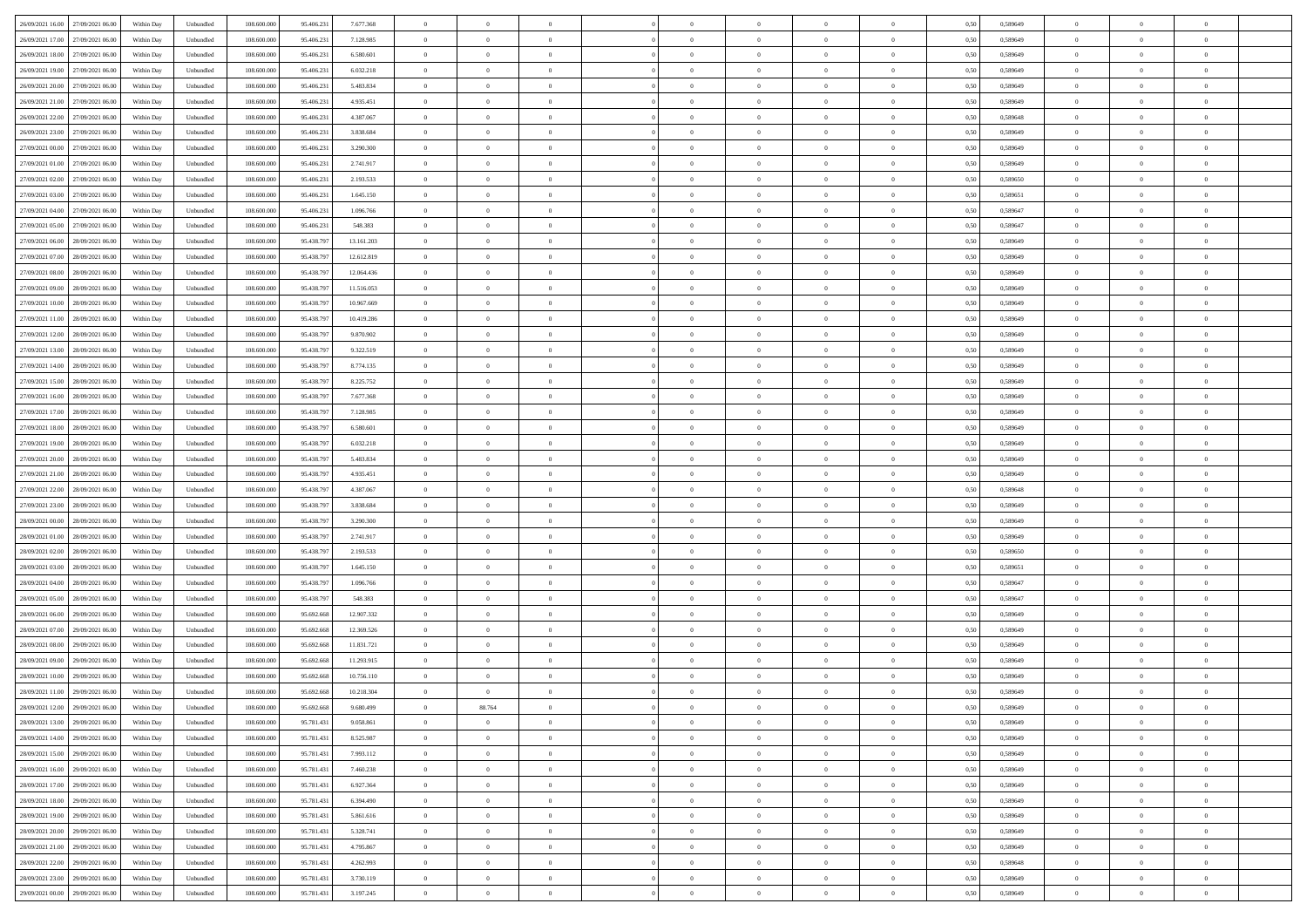| 26/09/2021 16:00 27/09/2021 06:00    | Within Day | Unbundled                   | 108.600.000 | 95.406.231 | 7.677.368  | $\overline{0}$ | $\theta$       |                | $\overline{0}$ | $\theta$       |                | $\theta$       | 0,50 | 0,589649 | $\theta$       | $\theta$       | $\overline{0}$ |  |
|--------------------------------------|------------|-----------------------------|-------------|------------|------------|----------------|----------------|----------------|----------------|----------------|----------------|----------------|------|----------|----------------|----------------|----------------|--|
| 26/09/2021 17:00<br>27/09/2021 06:00 | Within Day | Unbundled                   | 108.600.00  | 95.406.23  | 7.128.985  | $\bf{0}$       | $\bf{0}$       | $\bf{0}$       | $\bf{0}$       | $\overline{0}$ | $\overline{0}$ | $\bf{0}$       | 0,50 | 0,589649 | $\,$ 0 $\,$    | $\bf{0}$       | $\overline{0}$ |  |
| 26/09/2021 18:00<br>27/09/2021 06:00 | Within Day | Unbundled                   | 108,600,000 | 95.406.231 | 6.580.601  | $\overline{0}$ | $\bf{0}$       | $\overline{0}$ | $\bf{0}$       | $\bf{0}$       | $\overline{0}$ | $\bf{0}$       | 0.50 | 0.589649 | $\bf{0}$       | $\overline{0}$ | $\overline{0}$ |  |
| 26/09/2021 19:00<br>27/09/2021 06:00 |            |                             | 108.600.000 |            |            | $\overline{0}$ | $\overline{0}$ | $\overline{0}$ | $\theta$       | $\theta$       | $\overline{0}$ |                |      |          | $\theta$       | $\theta$       | $\overline{0}$ |  |
|                                      | Within Day | Unbundled                   |             | 95.406.231 | 6.032.218  |                |                |                |                |                |                | $\bf{0}$       | 0,50 | 0,589649 |                |                |                |  |
| 26/09/2021 20:00<br>27/09/2021 06.00 | Within Day | Unbundled                   | 108.600.00  | 95.406.23  | 5.483.834  | $\bf{0}$       | $\overline{0}$ | $\bf{0}$       | $\overline{0}$ | $\theta$       | $\overline{0}$ | $\bf{0}$       | 0,50 | 0,589649 | $\,$ 0 $\,$    | $\bf{0}$       | $\overline{0}$ |  |
| 26/09/2021 21:00<br>27/09/2021 06:00 | Within Day | Unbundled                   | 108,600,000 | 95.406.23  | 4.935.451  | $\overline{0}$ | $\overline{0}$ | $\overline{0}$ | $\bf{0}$       | $\overline{0}$ | $\theta$       | $\bf{0}$       | 0.50 | 0.589649 | $\,$ 0 $\,$    | $\theta$       | $\overline{0}$ |  |
| 26/09/2021 22:00<br>27/09/2021 06:00 | Within Day | Unbundled                   | 108.600.000 | 95.406.231 | 4.387.067  | $\overline{0}$ | $\overline{0}$ | $\overline{0}$ | $\overline{0}$ | $\overline{0}$ | $\overline{0}$ | $\bf{0}$       | 0,50 | 0,589648 | $\theta$       | $\theta$       | $\overline{0}$ |  |
|                                      |            |                             |             |            |            |                |                |                |                |                |                |                |      |          |                |                |                |  |
| 26/09/2021 23:00<br>27/09/2021 06.00 | Within Day | Unbundled                   | 108.600.00  | 95.406.23  | 3.838.684  | $\bf{0}$       | $\bf{0}$       | $\bf{0}$       | $\overline{0}$ | $\overline{0}$ | $\overline{0}$ | $\bf{0}$       | 0,50 | 0,589649 | $\,$ 0 $\,$    | $\bf{0}$       | $\overline{0}$ |  |
| 27/09/2021 00:00<br>27/09/2021 06:00 | Within Day | Unbundled                   | 108,600,000 | 95.406.23  | 3.290.300  | $\overline{0}$ | $\bf{0}$       | $\overline{0}$ | $\bf{0}$       | $\overline{0}$ | $\overline{0}$ | $\bf{0}$       | 0.50 | 0.589649 | $\bf{0}$       | $\overline{0}$ | $\overline{0}$ |  |
| 27/09/2021 01:00<br>27/09/2021 06:00 | Within Day | Unbundled                   | 108.600.000 | 95.406.231 | 2.741.917  | $\overline{0}$ | $\bf{0}$       | $\overline{0}$ | $\overline{0}$ | $\overline{0}$ | $\overline{0}$ | $\bf{0}$       | 0,50 | 0,589649 | $\,$ 0 $\,$    | $\bf{0}$       | $\overline{0}$ |  |
| 27/09/2021 02:00<br>27/09/2021 06.00 | Within Day | Unbundled                   | 108.600.00  | 95.406.23  | 2.193.533  | $\bf{0}$       | $\overline{0}$ | $\bf{0}$       | $\bf{0}$       | $\bf{0}$       | $\overline{0}$ | $\bf{0}$       | 0,50 | 0,589650 | $\,$ 0 $\,$    | $\bf{0}$       | $\overline{0}$ |  |
|                                      |            |                             |             |            |            |                |                |                |                |                |                |                |      |          |                |                |                |  |
| 27/09/2021 03:00<br>27/09/2021 06:00 | Within Day | Unbundled                   | 108,600,000 | 95.406.231 | 1.645.150  | $\overline{0}$ | $\bf{0}$       | $\overline{0}$ | $\overline{0}$ | $\bf{0}$       | $\overline{0}$ | $\bf{0}$       | 0.50 | 0.589651 | $\bf{0}$       | $\overline{0}$ | $\,$ 0         |  |
| 27/09/2021 04:00<br>27/09/2021 06:00 | Within Day | Unbundled                   | 108.600.000 | 95.406.231 | 1.096.766  | $\overline{0}$ | $\overline{0}$ | $\overline{0}$ | $\theta$       | $\theta$       | $\overline{0}$ | $\bf{0}$       | 0,50 | 0,589647 | $\,$ 0 $\,$    | $\theta$       | $\overline{0}$ |  |
| 27/09/2021 05:00<br>27/09/2021 06.00 | Within Day | Unbundled                   | 108.600.00  | 95.406.23  | 548.383    | $\bf{0}$       | $\overline{0}$ | $\bf{0}$       | $\overline{0}$ | $\bf{0}$       | $\overline{0}$ | $\bf{0}$       | 0,50 | 0,589647 | $\,$ 0 $\,$    | $\bf{0}$       | $\overline{0}$ |  |
|                                      |            |                             |             |            |            |                |                |                |                |                | $\theta$       |                |      |          |                |                |                |  |
| 27/09/2021 06:00<br>28/09/2021 06:00 | Within Day | Unbundled                   | 108,600,000 | 95.438.797 | 13.161.203 | $\overline{0}$ | $\overline{0}$ | $\overline{0}$ | $\bf{0}$       | $\overline{0}$ |                | $\bf{0}$       | 0.50 | 0.589649 | $\,$ 0 $\,$    | $\theta$       | $\overline{0}$ |  |
| 27/09/2021 07:00<br>28/09/2021 06:00 | Within Day | Unbundled                   | 108.600.000 | 95.438.797 | 12.612.819 | $\overline{0}$ | $\overline{0}$ | $\overline{0}$ | $\overline{0}$ | $\overline{0}$ | $\overline{0}$ | $\bf{0}$       | 0,50 | 0,589649 | $\theta$       | $\theta$       | $\overline{0}$ |  |
| 27/09/2021 08:00<br>28/09/2021 06:00 | Within Day | Unbundled                   | 108.600.00  | 95.438.79  | 12.064.436 | $\bf{0}$       | $\bf{0}$       | $\bf{0}$       | $\overline{0}$ | $\bf{0}$       | $\overline{0}$ | $\bf{0}$       | 0,50 | 0,589649 | $\,$ 0 $\,$    | $\bf{0}$       | $\overline{0}$ |  |
| 27/09/2021 09:00<br>28/09/2021 06:00 | Within Day | Unbundled                   | 108,600,000 | 95.438.79  | 11.516.053 | $\overline{0}$ | $\bf{0}$       | $\overline{0}$ | $\bf{0}$       | $\overline{0}$ | $\overline{0}$ | $\bf{0}$       | 0.50 | 0.589649 | $\bf{0}$       | $\overline{0}$ | $\overline{0}$ |  |
| 27/09/2021 10:00<br>28/09/2021 06:00 | Within Day | Unbundled                   | 108.600.000 | 95.438.797 | 10.967.669 | $\overline{0}$ | $\bf{0}$       | $\overline{0}$ | $\overline{0}$ | $\overline{0}$ | $\overline{0}$ | $\bf{0}$       | 0,50 | 0,589649 | $\,$ 0 $\,$    | $\bf{0}$       | $\overline{0}$ |  |
|                                      |            |                             |             |            |            |                |                |                |                |                |                |                |      |          |                |                |                |  |
| 27/09/2021 11:00<br>28/09/2021 06:00 | Within Day | Unbundled                   | 108.600.00  | 95.438.79  | 10.419.286 | $\bf{0}$       | $\bf{0}$       | $\bf{0}$       | $\bf{0}$       | $\overline{0}$ | $\overline{0}$ | $\bf{0}$       | 0,50 | 0,589649 | $\,$ 0 $\,$    | $\bf{0}$       | $\overline{0}$ |  |
| 27/09/2021 12:00<br>28/09/2021 06:00 | Within Day | Unbundled                   | 108,600,000 | 95.438.797 | 9.870.902  | $\overline{0}$ | $\bf{0}$       | $\overline{0}$ | $\overline{0}$ | $\bf{0}$       | $\overline{0}$ | $\bf{0}$       | 0.50 | 0.589649 | $\bf{0}$       | $\overline{0}$ | $\,$ 0         |  |
| 27/09/2021 13:00<br>28/09/2021 06:00 | Within Day | Unbundled                   | 108.600.000 | 95.438.797 | 9.322.519  | $\overline{0}$ | $\overline{0}$ | $\overline{0}$ | $\theta$       | $\theta$       | $\overline{0}$ | $\bf{0}$       | 0,50 | 0,589649 | $\theta$       | $\theta$       | $\overline{0}$ |  |
|                                      |            |                             |             |            |            |                | $\overline{0}$ |                |                | $\overline{0}$ | $\overline{0}$ |                |      |          | $\,$ 0 $\,$    | $\bf{0}$       | $\overline{0}$ |  |
| 27/09/2021 14:00<br>28/09/2021 06:00 | Within Day | Unbundled                   | 108.600.00  | 95.438.79  | 8.774.135  | $\bf{0}$       |                | $\bf{0}$       | $\bf{0}$       |                |                | $\bf{0}$       | 0,50 | 0,589649 |                |                |                |  |
| 27/09/2021 15:00<br>28/09/2021 06:00 | Within Day | Unbundled                   | 108,600,000 | 95.438.79  | 8.225.752  | $\overline{0}$ | $\overline{0}$ | $\overline{0}$ | $\bf{0}$       | $\overline{0}$ | $\theta$       | $\bf{0}$       | 0.50 | 0.589649 | $\,$ 0 $\,$    | $\theta$       | $\overline{0}$ |  |
| 27/09/2021 16:00<br>28/09/2021 06:00 | Within Day | Unbundled                   | 108.600.000 | 95.438.797 | 7.677.368  | $\overline{0}$ | $\overline{0}$ | $\overline{0}$ | $\overline{0}$ | $\overline{0}$ | $\overline{0}$ | $\bf{0}$       | 0,50 | 0,589649 | $\,$ 0 $\,$    | $\theta$       | $\overline{0}$ |  |
| 27/09/2021 17:00<br>28/09/2021 06:00 | Within Day | Unbundled                   | 108.600.00  | 95.438.79  | 7.128.985  | $\bf{0}$       | $\overline{0}$ | $\bf{0}$       | $\overline{0}$ | $\bf{0}$       | $\overline{0}$ | $\bf{0}$       | 0,50 | 0,589649 | $\,$ 0 $\,$    | $\bf{0}$       | $\overline{0}$ |  |
| 27/09/2021 18:00<br>28/09/2021 06:00 | Within Day | Unbundled                   | 108,600,000 | 95.438.797 | 6.580.601  | $\overline{0}$ | $\bf{0}$       | $\overline{0}$ | $\bf{0}$       | $\overline{0}$ | $\overline{0}$ | $\bf{0}$       | 0.50 | 0.589649 | $\bf{0}$       | $\overline{0}$ | $\overline{0}$ |  |
|                                      |            |                             |             |            |            |                |                |                |                |                |                |                |      |          |                |                |                |  |
| 27/09/2021 19:00<br>28/09/2021 06:00 | Within Day | Unbundled                   | 108.600.000 | 95.438.797 | 6.032.218  | $\overline{0}$ | $\bf{0}$       | $\overline{0}$ | $\overline{0}$ | $\overline{0}$ | $\overline{0}$ | $\bf{0}$       | 0,50 | 0,589649 | $\theta$       | $\theta$       | $\overline{0}$ |  |
| 27/09/2021 20:00<br>28/09/2021 06:00 | Within Day | Unbundled                   | 108.600.00  | 95.438.79  | 5.483.834  | $\bf{0}$       | $\bf{0}$       | $\bf{0}$       | $\bf{0}$       | $\overline{0}$ | $\overline{0}$ | $\bf{0}$       | 0,50 | 0,589649 | $\,$ 0 $\,$    | $\bf{0}$       | $\overline{0}$ |  |
| 27/09/2021 21:00<br>28/09/2021 06:00 | Within Day | Unbundled                   | 108,600,000 | 95.438.797 | 4.935.451  | $\overline{0}$ | $\bf{0}$       | $\overline{0}$ | $\bf{0}$       | $\bf{0}$       | $\overline{0}$ | $\bf{0}$       | 0.50 | 0.589649 | $\bf{0}$       | $\overline{0}$ | $\,$ 0         |  |
| 27/09/2021 22:00<br>28/09/2021 06:00 | Within Day | Unbundled                   | 108.600.000 | 95.438.797 | 4.387.067  | $\overline{0}$ | $\overline{0}$ | $\overline{0}$ | $\overline{0}$ | $\overline{0}$ | $\overline{0}$ | $\bf{0}$       | 0.50 | 0.589648 | $\theta$       | $\theta$       | $\overline{0}$ |  |
|                                      |            |                             |             |            |            |                |                |                |                |                |                |                |      |          |                |                |                |  |
| 27/09/2021 23:00<br>28/09/2021 06:00 | Within Day | Unbundled                   | 108.600.00  | 95.438.79  | 3.838.684  | $\bf{0}$       | $\overline{0}$ | $\bf{0}$       | $\bf{0}$       | $\overline{0}$ | $\overline{0}$ | $\bf{0}$       | 0,50 | 0,589649 | $\,$ 0 $\,$    | $\bf{0}$       | $\overline{0}$ |  |
| 28/09/2021 00:00<br>28/09/2021 06:00 | Within Day | Unbundled                   | 108,600,000 | 95.438.797 | 3.290.300  | $\overline{0}$ | $\bf{0}$       | $\overline{0}$ | $\bf{0}$       | $\overline{0}$ | $\overline{0}$ | $\bf{0}$       | 0.50 | 0.589649 | $\,$ 0 $\,$    | $\bf{0}$       | $\overline{0}$ |  |
| 28/09/2021 01:00<br>28/09/2021 06:00 | Within Dav | Unbundled                   | 108.600.000 | 95.438.797 | 2.741.917  | $\overline{0}$ | $\overline{0}$ | $\overline{0}$ | $\overline{0}$ | $\overline{0}$ | $\overline{0}$ | $\bf{0}$       | 0.50 | 0.589649 | $\theta$       | $\theta$       | $\overline{0}$ |  |
| 28/09/2021 02:00<br>28/09/2021 06:00 | Within Day | Unbundled                   | 108.600.00  | 95.438.79  | 2.193.533  | $\bf{0}$       | $\bf{0}$       | $\bf{0}$       | $\bf{0}$       | $\bf{0}$       | $\overline{0}$ | $\bf{0}$       | 0,50 | 0,589650 | $\,$ 0 $\,$    | $\bf{0}$       | $\overline{0}$ |  |
| 28/09/2021 03:00<br>28/09/2021 06:00 |            | Unbundled                   | 108,600,000 | 95.438.79  | 1.645.150  |                | $\bf{0}$       | $\overline{0}$ |                | $\overline{0}$ | $\overline{0}$ |                | 0.50 | 0.589651 | $\bf{0}$       | $\overline{0}$ | $\overline{0}$ |  |
|                                      | Within Day |                             |             |            |            | $\overline{0}$ |                |                | $\bf{0}$       |                |                | $\bf{0}$       |      |          |                |                |                |  |
| 28/09/2021 04:00<br>28/09/2021 06:00 | Within Dav | Unbundled                   | 108.600.000 | 95.438.797 | 1.096.766  | $\overline{0}$ | $\overline{0}$ | $\overline{0}$ | $\overline{0}$ | $\overline{0}$ | $\overline{0}$ | $\bf{0}$       | 0.50 | 0.589647 | $\theta$       | $\theta$       | $\overline{0}$ |  |
| 28/09/2021 05:00<br>28/09/2021 06:00 | Within Day | Unbundled                   | 108.600.00  | 95.438.79  | 548.383    | $\bf{0}$       | $\bf{0}$       | $\bf{0}$       | $\bf{0}$       | $\overline{0}$ | $\overline{0}$ | $\bf{0}$       | 0,50 | 0,589647 | $\,$ 0 $\,$    | $\bf{0}$       | $\overline{0}$ |  |
| 28/09/2021 06:00<br>29/09/2021 06:00 | Within Day | Unbundled                   | 108,600,000 | 95.692.668 | 12.907.332 | $\overline{0}$ | $\bf{0}$       | $\overline{0}$ | $\overline{0}$ | $\bf{0}$       | $\overline{0}$ | $\bf{0}$       | 0.50 | 0.589649 | $\bf{0}$       | $\overline{0}$ | $\overline{0}$ |  |
| 28/09/2021 07:00<br>29/09/2021 06:00 | Within Dav | Unbundled                   | 108.600.000 | 95.692.668 | 12.369.526 | $\overline{0}$ | $\overline{0}$ | $\overline{0}$ | $\overline{0}$ | $\overline{0}$ | $\overline{0}$ | $\bf{0}$       | 0.50 | 0.589649 | $\theta$       | $\theta$       | $\overline{0}$ |  |
|                                      |            |                             |             |            |            |                |                |                |                |                |                |                |      |          |                |                |                |  |
| 28/09/2021 08:00<br>29/09/2021 06.00 | Within Day | Unbundled                   | 108.600.00  | 95.692.66  | 11.831.721 | $\bf{0}$       | $\bf{0}$       | $\bf{0}$       | $\bf{0}$       | $\overline{0}$ | $\overline{0}$ | $\bf{0}$       | 0,50 | 0,589649 | $\,$ 0 $\,$    | $\bf{0}$       | $\overline{0}$ |  |
| 28/09/2021 09:00<br>29/09/2021 06:00 | Within Day | Unbundled                   | 108,600,000 | 95.692.668 | 11.293.915 | $\overline{0}$ | $\overline{0}$ | $\overline{0}$ | $\bf{0}$       | $\overline{0}$ | $\Omega$       | $\bf{0}$       | 0.50 | 0.589649 | $\bf{0}$       | $\theta$       | $\overline{0}$ |  |
| 28/09/2021 10:00<br>29/09/2021 06:00 | Within Dav | Unbundled                   | 108.600.000 | 95.692.66  | 10.756.110 | $\overline{0}$ | $\overline{0}$ | $\Omega$       | $\overline{0}$ | $\theta$       | $\overline{0}$ | $\overline{0}$ | 0.5( | 0.589649 | $\theta$       | $\theta$       | $\overline{0}$ |  |
| 28/09/2021 11:00<br>29/09/2021 06:00 | Within Day | Unbundled                   | 108.600.00  | 95.692.668 | 10.218.304 | $\bf{0}$       | $\bf{0}$       | $\bf{0}$       | $\bf{0}$       | $\bf{0}$       | $\overline{0}$ | $\bf{0}$       | 0,50 | 0,589649 | $\,$ 0 $\,$    | $\bf{0}$       | $\overline{0}$ |  |
| 28/09/2021 12:00 29/09/2021 06:00    |            |                             | 108.600.000 |            | 9.680.499  |                |                |                |                |                |                |                |      | 0.589649 |                |                |                |  |
|                                      | Within Day | $\ensuremath{\mathsf{Unb}}$ |             | 95.692.668 |            | $\bf{0}$       | 88.764         |                | $\overline{0}$ |                |                |                | 0,50 |          | $\bf{0}$       | $\overline{0}$ |                |  |
| 28/09/2021 13:00 29/09/2021 06:00    | Within Day | Unbundled                   | 108.600.000 | 95.781.431 | 9.058.861  | $\overline{0}$ | $\overline{0}$ | $\Omega$       | $\theta$       | $\overline{0}$ | $\overline{0}$ | $\bf{0}$       | 0,50 | 0,589649 | $\theta$       | $\theta$       | $\overline{0}$ |  |
| 28/09/2021 14:00<br>29/09/2021 06.00 | Within Day | Unbundled                   | 108.600.00  | 95.781.431 | 8.525.987  | $\overline{0}$ | $\bf{0}$       | $\overline{0}$ | $\overline{0}$ | $\bf{0}$       | $\overline{0}$ | $\bf{0}$       | 0,50 | 0,589649 | $\bf{0}$       | $\overline{0}$ | $\bf{0}$       |  |
| 28/09/2021 15:00 29/09/2021 06:00    | Within Day | Unbundled                   | 108,600,000 | 95.781.431 | 7.993.112  | $\overline{0}$ | $\bf{0}$       | $\overline{0}$ | $\overline{0}$ | $\mathbf{0}$   | $\overline{0}$ | $\,$ 0 $\,$    | 0.50 | 0.589649 | $\overline{0}$ | $\bf{0}$       | $\,$ 0 $\,$    |  |
| 28/09/2021 16:00 29/09/2021 06:00    | Within Day | Unbundled                   | 108.600.000 | 95.781.431 | 7.460.238  | $\overline{0}$ | $\overline{0}$ | $\overline{0}$ | $\overline{0}$ | $\overline{0}$ | $\overline{0}$ | $\bf{0}$       | 0,50 | 0.589649 | $\theta$       | $\theta$       | $\overline{0}$ |  |
|                                      |            |                             |             |            |            |                |                |                |                |                |                |                |      |          |                |                |                |  |
| 28/09/2021 17:00<br>29/09/2021 06:00 | Within Day | Unbundled                   | 108.600.000 | 95.781.431 | 6.927.364  | $\overline{0}$ | $\bf{0}$       | $\overline{0}$ | $\overline{0}$ | $\bf{0}$       | $\overline{0}$ | $\bf{0}$       | 0,50 | 0,589649 | $\bf{0}$       | $\overline{0}$ | $\overline{0}$ |  |
| 28/09/2021 18:00<br>29/09/2021 06:00 | Within Day | Unbundled                   | 108,600,000 | 95.781.431 | 6.394.490  | $\overline{0}$ | $\bf{0}$       | $\overline{0}$ | $\overline{0}$ | $\bf{0}$       | $\overline{0}$ | $\bf{0}$       | 0.50 | 0.589649 | $\,$ 0 $\,$    | $\overline{0}$ | $\,$ 0         |  |
| 28/09/2021 19:00<br>29/09/2021 06:00 | Within Dav | Unbundled                   | 108.600.000 | 95.781.431 | 5.861.616  | $\overline{0}$ | $\overline{0}$ | $\overline{0}$ | $\overline{0}$ | $\overline{0}$ | $\overline{0}$ | $\bf{0}$       | 0,50 | 0.589649 | $\overline{0}$ | $\theta$       | $\overline{0}$ |  |
| 28/09/2021 20:00                     |            |                             |             |            |            |                | $\overline{0}$ |                |                | $\overline{0}$ |                |                |      |          | $\bf{0}$       | $\overline{0}$ | $\,$ 0         |  |
| 29/09/2021 06.00                     | Within Day | Unbundled                   | 108.600.00  | 95.781.431 | 5.328.741  | $\overline{0}$ |                | $\overline{0}$ | $\overline{0}$ |                | $\overline{0}$ | $\bf{0}$       | 0,50 | 0,589649 |                |                |                |  |
| 28/09/2021 21:00 29/09/2021 06:00    | Within Day | Unbundled                   | 108,600,000 | 95.781.431 | 4.795.867  | $\overline{0}$ | $\overline{0}$ | $\overline{0}$ | $\overline{0}$ | $\overline{0}$ | $\overline{0}$ | $\bf{0}$       | 0.50 | 0.589649 | $\mathbf{0}$   | $\bf{0}$       | $\,$ 0         |  |
| 28/09/2021 22:00 29/09/2021 06:00    | Within Dav | Unbundled                   | 108.600.000 | 95.781.431 | 4.262.993  | $\overline{0}$ | $\overline{0}$ | $\overline{0}$ | $\overline{0}$ | $\overline{0}$ | $\overline{0}$ | $\bf{0}$       | 0,50 | 0.589648 | $\overline{0}$ | $\theta$       | $\overline{0}$ |  |
| 28/09/2021 23:00<br>29/09/2021 06.00 | Within Day | Unbundled                   | 108.600.00  | 95.781.431 | 3.730.119  | $\overline{0}$ | $\bf{0}$       | $\overline{0}$ | $\bf{0}$       | $\overline{0}$ | $\bf{0}$       | $\bf{0}$       | 0,50 | 0,589649 | $\bf{0}$       | $\,$ 0 $\,$    | $\bf{0}$       |  |
|                                      |            |                             |             |            |            |                |                |                |                |                |                |                |      |          |                |                |                |  |
| 29/09/2021 00:00 29/09/2021 06:00    | Within Day | Unbundled                   | 108.600.000 | 95.781.431 | 3.197.245  | $\,$ 0 $\,$    | $\bf{0}$       | $\overline{0}$ | $\overline{0}$ | $\,$ 0 $\,$    | $\overline{0}$ | $\bf{0}$       | 0,50 | 0,589649 | $\overline{0}$ | $\,$ 0 $\,$    | $\,$ 0 $\,$    |  |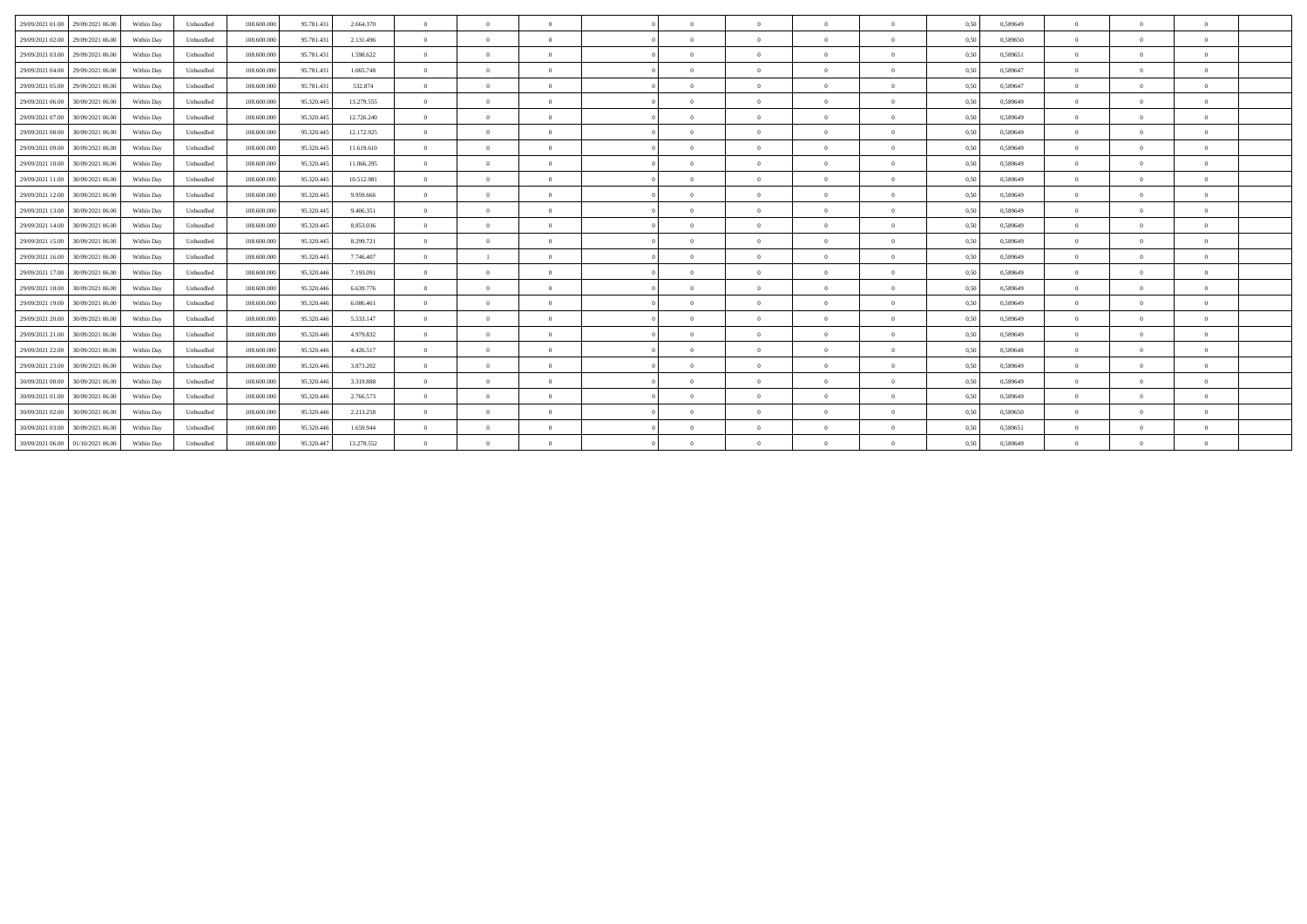| 29/09/2021 01:00<br>29/09/2021 06:00 | Within Day | Unbundled | 108,600,000<br>95.781.43  | 2.664.370  | $\theta$       | $\Omega$       | $\Omega$       |            | $\theta$       | $\Omega$       | $\theta$ | 0,50 | 0.589649 | $\Omega$       | $\Omega$       | $\theta$       |
|--------------------------------------|------------|-----------|---------------------------|------------|----------------|----------------|----------------|------------|----------------|----------------|----------|------|----------|----------------|----------------|----------------|
| 29/09/2021 02:00<br>29/09/2021 06:00 | Within Day | Unbundled | 108,600,000<br>95.781.43  | 2.131.496  | $\overline{0}$ | $\overline{0}$ | $\overline{0}$ | $\sqrt{2}$ | $\overline{0}$ | $\overline{0}$ | $\theta$ | 0.50 | 0.589650 | $\overline{0}$ | $\overline{0}$ | $\mathbf{0}$   |
| 29/09/2021 03:00 29/09/2021 06:00    | Within Day | Unbundled | 95.781.431<br>108.600.000 | 1.598.622  | $\overline{0}$ | $\Omega$       | $\Omega$       |            | $\theta$       | $\Omega$       | $\theta$ | 0,50 | 0,589651 | $\Omega$       | $\Omega$       | $\theta$       |
| 29/09/2021 04:00 29/09/2021 06:00    | Within Day | Unbundled | 95.781.43<br>108.600.000  | 1.065.748  | $\overline{0}$ | $\Omega$       | $\Omega$       |            | $\theta$       | $\Omega$       | $\Omega$ | 0,50 | 0,589647 | $\Omega$       | $\Omega$       | $\theta$       |
| 29/09/2021 05:00 29/09/2021 06:00    | Within Day | Unbundled | 95.781.43<br>108,600,000  | 532.874    | $\overline{0}$ | $\Omega$       | $\Omega$       | $\sqrt{2}$ | $\theta$       | $\overline{0}$ | $\theta$ | 0,50 | 0.589647 | $\overline{0}$ | $\Omega$       | $\bf{0}$       |
| 29/09/2021 06:00<br>30/09/2021 06:00 | Within Day | Unbundled | 108,600,000<br>95.320.445 | 13.279.555 | $\overline{0}$ | $\overline{0}$ | $\overline{0}$ | $\sqrt{2}$ | $\theta$       | $\overline{0}$ | $\theta$ | 0.50 | 0.589649 | $\overline{0}$ | $\overline{0}$ | $\mathbf{0}$   |
| 29/09/2021 07:00<br>30/09/2021 06:00 | Within Day | Unbundled | 108,600,000<br>95.320.445 | 12.726.240 | $\overline{0}$ | $\theta$       | $\Omega$       | $\Omega$   | $\theta$       | $\theta$       | $\theta$ | 0.50 | 0.589649 | $\Omega$       | $\Omega$       | $\mathbf{0}$   |
| 29/09/2021 08:00 30/09/2021 06:00    | Within Day | Unbundled | 108.600.000<br>95.320.445 | 12.172.925 | $\overline{0}$ | $\Omega$       | $\Omega$       | $\sqrt{2}$ | $\theta$       | $\theta$       | $\Omega$ | 0,50 | 0,589649 | $\Omega$       | $\Omega$       | $\theta$       |
| 29/09/2021 09:00<br>30/09/2021 06:00 | Within Day | Unbundled | 108,600,000<br>95.320.445 | 11.619.610 | $\overline{0}$ | $\overline{0}$ | $\overline{0}$ | $\Omega$   | $\overline{0}$ | $\overline{0}$ | $\bf{0}$ | 0.50 | 0,589649 | $\overline{0}$ | $\overline{0}$ | $\bf{0}$       |
| 29/09/2021 10:00<br>30/09/2021 06:00 | Within Day | Unbundled | 108.600.000<br>95.320.445 | 11.066.295 | $\overline{0}$ | $\overline{0}$ | $\overline{0}$ | $\sqrt{2}$ | $\overline{0}$ | $\overline{0}$ | $\theta$ | 0,50 | 0,589649 | $\overline{0}$ | $\overline{0}$ | $\overline{0}$ |
| 29/09/2021 11:00 30/09/2021 06:00    | Within Day | Unbundled | 108,600,000<br>95.320.445 | 10.512.981 | $\overline{0}$ | $\theta$       | $\Omega$       | $\sqrt{2}$ | $\theta$       | $\Omega$       | $\Omega$ | 0.50 | 0.589649 | $\Omega$       | $\Omega$       | $\bf{0}$       |
| 29/09/2021 12:00<br>30/09/2021 06:00 | Within Day | Unbundled | 95.320.445<br>108.600.000 | 9.959.666  | $\Omega$       | $\Omega$       | $\Omega$       |            | $\theta$       | $\Omega$       |          | 0,50 | 0,589649 | $\Omega$       | $\Omega$       | $\Omega$       |
| 29/09/2021 13:00<br>30/09/2021 06:00 | Within Day | Unbundled | 108.600.000<br>95.320.44  | 9.406.351  | $\overline{0}$ | $\theta$       | $\theta$       | $\Omega$   | $\theta$       | $\overline{0}$ | $\theta$ | 0.50 | 0,589649 | $\overline{0}$ | $\Omega$       | $\bf{0}$       |
| 29/09/2021 14:00<br>30/09/2021 06:00 | Within Day | Unbundled | 108,600,000<br>95.320.445 | 8.853.036  | $\overline{0}$ | $\theta$       | $\overline{0}$ | $\sqrt{2}$ | $\theta$       | $\overline{0}$ | $\Omega$ | 0.50 | 0.589649 | $\overline{0}$ | $\Omega$       | $\mathbf{0}$   |
| 29/09/2021 15:00<br>30/09/2021 06:00 | Within Day | Unbundled | 108,600,000<br>95.320.445 | 8.299.721  | $\overline{0}$ | $\theta$       | $\Omega$       | $\Omega$   | $\theta$       | $\overline{0}$ | $\theta$ | 0.50 | 0.589649 | $\Omega$       | $\Omega$       | $\theta$       |
| 29/09/2021 16:00<br>30/09/2021 06:00 | Within Day | Unbundled | 95.320.445<br>108,600,000 | 7.746.407  | $\overline{0}$ | $\overline{1}$ | $\Omega$       | $\sqrt{2}$ | $\theta$       | $\theta$       | $\theta$ | 0.50 | 0.589649 | $\theta$       | $\Omega$       | $\mathbf{0}$   |
| 29/09/2021 17:00<br>30/09/2021 06:00 | Within Day | Unbundled | 108.600.000<br>95.320.446 | 7.193.091  | $\overline{0}$ | $\overline{0}$ | $\overline{0}$ | $\Omega$   | $\overline{0}$ | $\overline{0}$ | $\theta$ | 0,50 | 0,589649 | $\overline{0}$ | $\overline{0}$ | $\bf{0}$       |
| 29/09/2021 18:00<br>30/09/2021 06:00 | Within Day | Unbundled | 108,600,000<br>95.320.446 | 6.639.776  | $\overline{0}$ | $\Omega$       | $\Omega$       | $\sqrt{2}$ | $\theta$       | $\Omega$       | $\Omega$ | 0.50 | 0.589649 | $\Omega$       | $\Omega$       | $\theta$       |
| 29/09/2021 19:00<br>30/09/2021 06:00 | Within Day | Unbundled | 108,600,000<br>95.320.446 | 6.086.461  | $\overline{0}$ | $\Omega$       | $\Omega$       | $\Omega$   | $\theta$       | $\overline{0}$ | $\Omega$ | 0.50 | 0.589649 | $\overline{0}$ | $\Omega$       | $\overline{0}$ |
| 29/09/2021 20:00<br>30/09/2021 06:00 | Within Day | Unbundled | 108,600,000<br>95.320.446 | 5.533.147  | $\overline{0}$ | $\Omega$       | $\Omega$       | $\sqrt{2}$ | $\theta$       | $\Omega$       | $\theta$ | 0.50 | 0.589649 | $\Omega$       | $\Omega$       | $\theta$       |
| 29/09/2021 21:00<br>30/09/2021 06:00 | Within Day | Unbundled | 108.600.000<br>95.320.446 | 4.979.832  | $\overline{0}$ | $\theta$       | $\theta$       | $\sqrt{2}$ | $\theta$       | $\theta$       | $\theta$ | 0,50 | 0,589649 | $\Omega$       | $\Omega$       | $\mathbf{0}$   |
| 29/09/2021 22:00<br>30/09/2021 06:00 | Within Day | Unbundled | 95.320.446<br>108,600,000 | 4.426.517  | $\overline{0}$ | $\overline{0}$ | $\overline{0}$ | $\Omega$   | $\theta$       | $\theta$       | $\theta$ | 0.50 | 0,589648 | $\theta$       | $\Omega$       | $\mathbf{0}$   |
| 29/09/2021 23:00<br>30/09/2021 06:00 | Within Day | Unbundled | 108,600,000<br>95.320.446 | 3.873.202  | $\overline{0}$ | $\Omega$       | $\Omega$       |            | $\theta$       | $\Omega$       | $\Omega$ | 0,50 | 0.589649 | $\Omega$       | $\Omega$       | $\theta$       |
| 30/09/2021 00:00<br>30/09/2021 06:00 | Within Day | Unbundled | 108,600,000<br>95.320.446 | 3.319.888  | $\overline{0}$ | $\theta$       | $\overline{0}$ | $\Omega$   | $\overline{0}$ | $\overline{0}$ | $\theta$ | 0.50 | 0.589649 | $\overline{0}$ | $\overline{0}$ | $\mathbf{0}$   |
| 30/09/2021 01:00<br>30/09/2021 06:00 | Within Day | Unbundled | 108,600,000<br>95.320.446 | 2.766.573  | $\overline{0}$ | $\overline{0}$ | $\overline{0}$ | $\Omega$   | $\overline{0}$ | $\overline{0}$ | $\theta$ | 0.50 | 0.589649 | $\overline{0}$ | $\overline{0}$ | $\mathbf{0}$   |
| 30/09/2021 02.00<br>30/09/2021 06:00 | Within Day | Unbundled | 95.320.446<br>108,600,000 | 2.213.258  | $\theta$       | $\Omega$       | $\Omega$       |            | $\theta$       | $\Omega$       | $\Omega$ | 0,50 | 0,589650 | $\Omega$       | $\Omega$       | $\theta$       |
| 30/09/2021 03:00<br>30/09/2021 06:00 | Within Day | Unbundled | 95.320.446<br>108,600,000 | 1.659.944  | $\overline{0}$ | $\Omega$       | $\Omega$       | $\sqrt{2}$ | $\theta$       | $\Omega$       |          | 0,50 | 0.589651 | $\overline{0}$ | $\Omega$       | $\overline{0}$ |
| 30/09/2021 06:00 01/10/2021 06:00    | Within Day | Unbundled | 95.320.447<br>108,600,000 | 13.279.552 | $\Omega$       | $\Omega$       |                |            |                |                |          | 0.50 | 0.589649 | $\Omega$       | $\Omega$       | $\Omega$       |
|                                      |            |           |                           |            |                |                |                |            |                |                |          |      |          |                |                |                |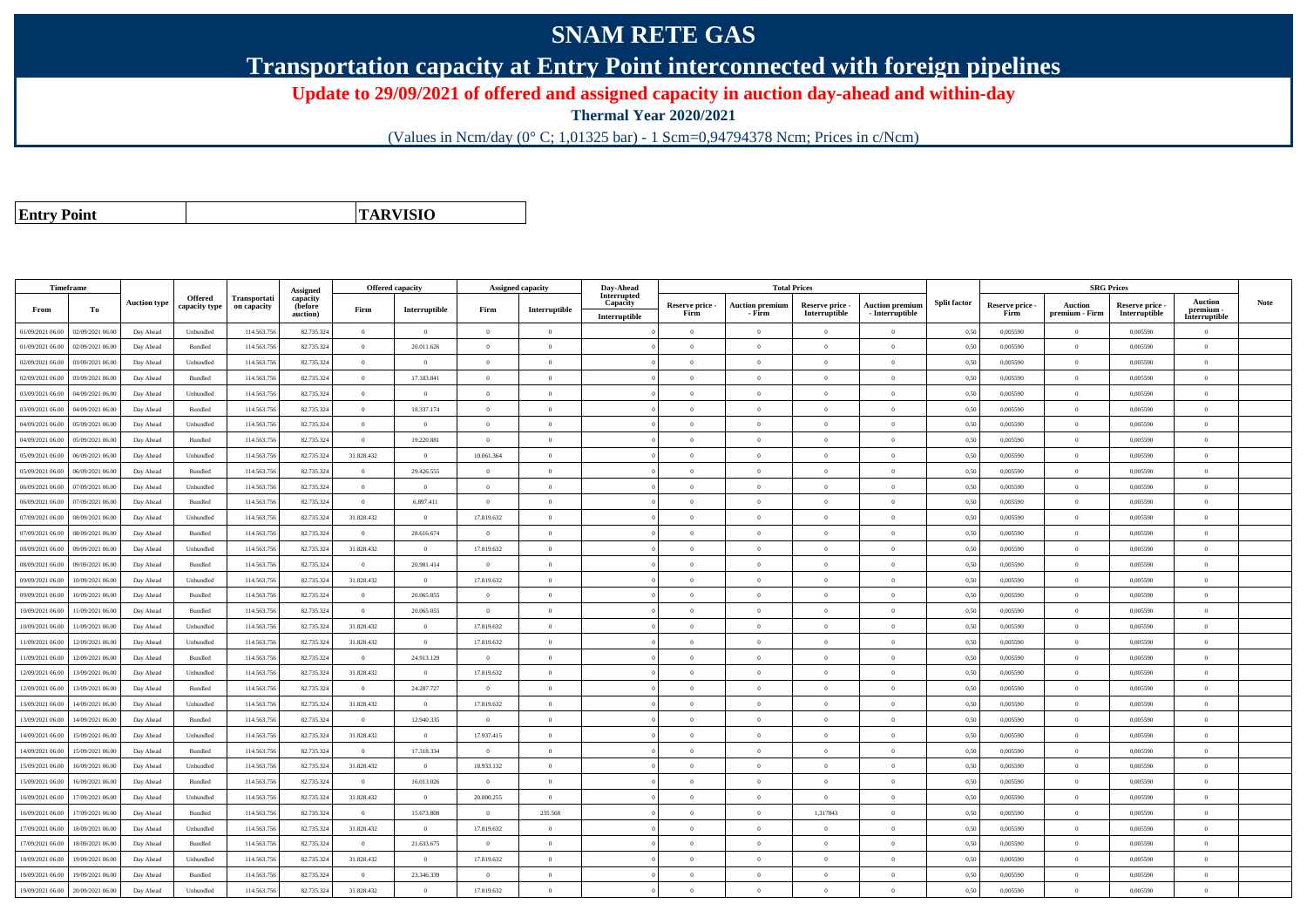## **SNAM RETE GAS**

**Transportation capacity at Entry Point interconnected with foreign pipelines**

**Update to 29/09/2021 of offered and assigned capacity in auction day-ahead and within-day**

**Thermal Year 2020/2021**

(Values in Ncm/day (0° C; 1,01325 bar) - 1 Scm=0,94794378 Ncm; Prices in c/Ncm)

**Entry Point**

**TARVISIO**

|                  | Timeframe        |                     |                                 |                             |                                             | <b>Offered capacity</b> |                |                | <b>Assigned capacity</b> |                           | <b>Total Prices</b><br>Day-Ahead<br>Interrupted |                                  |                                  |                                           |                     | <b>SRG Prices</b>       |                                  |                                  |                                       |      |
|------------------|------------------|---------------------|---------------------------------|-----------------------------|---------------------------------------------|-------------------------|----------------|----------------|--------------------------|---------------------------|-------------------------------------------------|----------------------------------|----------------------------------|-------------------------------------------|---------------------|-------------------------|----------------------------------|----------------------------------|---------------------------------------|------|
| From             | То               | <b>Auction type</b> | <b>Offered</b><br>capacity type | Transportati<br>on capacity | Assigned<br>capacity<br>(before<br>auction) | Firm                    | Interruptible  | Firm           | Interruptible            | Capacity<br>Interruptible | Reserve price -<br>Firm                         | <b>Auction premium</b><br>- Firm | Reserve price -<br>Interruptible | <b>Auction premium</b><br>- Interruptible | <b>Split factor</b> | Reserve price -<br>Firm | <b>Auction</b><br>premium - Firm | Reserve price -<br>Interruptible | Auction<br>premium -<br>Interruptible | Note |
| 01/09/2021 06:00 | 02/09/2021 06:00 | Day Ahead           | Unbundled                       | 114.563.75                  | 82.735.324                                  | $\bf{0}$                | $\theta$       | $\theta$       | $\overline{0}$           |                           | $\overline{0}$                                  | $\Omega$                         | $\Omega$                         | $\theta$                                  | 0.50                | 0.005590                | $\overline{0}$                   | 0.005590                         | $\Omega$                              |      |
| 01/09/2021 06.00 | 02/09/2021 06.00 | Day Ahead           | Bundled                         | 114.563.75                  | 82.735.324                                  | $\bf{0}$                | 20.011.626     | $\overline{0}$ | $\overline{0}$           |                           | $\theta$                                        | $\Omega$                         | $\overline{0}$                   | $\theta$                                  | 0,50                | 0,005590                | $\overline{0}$                   | 0,005590                         | $\bf{0}$                              |      |
| 02/09/2021 06:00 | 03/09/2021 06:00 | Day Ahead           | Unbundled                       | 114,563,756                 | 82.735.324                                  | $\Omega$                | $\theta$       | $\Omega$       | $\Omega$                 |                           | $\Omega$                                        | $\Omega$                         | $\Omega$                         | $\Omega$                                  | 0.50                | 0.005590                | $\overline{0}$                   | 0.005590                         | $\Omega$                              |      |
| 02/09/2021 06:00 | 03/09/2021 06:00 | Day Ahead           | Bundled                         | 114.563.75                  | 82.735.324                                  | $\theta$                | 17.183.841     | $\theta$       | $\overline{0}$           |                           | $\Omega$                                        | $\Omega$                         | $\Omega$                         | $\theta$                                  | 0,50                | 0,005590                | $\overline{0}$                   | 0.005590                         | $\theta$                              |      |
| 03/09/2021 06:00 | 04/09/2021 06.00 | Day Ahead           | Unbundled                       | 114.563.756                 | 82.735.324                                  | $\bf{0}$                | $\overline{0}$ | $\overline{0}$ | $\overline{0}$           |                           | $\overline{0}$                                  | $\overline{0}$                   | $\overline{0}$                   | $\overline{0}$                            | 0,50                | 0.005590                | $\overline{0}$                   | 0.005590                         | $\bf{0}$                              |      |
| 3/09/2021 06.00  | 04/09/2021 06.00 | Day Ahead           | <b>Bundled</b>                  | 114.563.75                  | 82.735.324                                  | $\overline{0}$          | 18.337.174     | $\overline{0}$ | $\overline{0}$           |                           | $\overline{0}$                                  | $\theta$                         | $\overline{0}$                   | $\overline{0}$                            | 0.50                | 0.005590                | $\overline{0}$                   | 0.005590                         | $\bf{0}$                              |      |
| 04/09/2021 06.00 | 05/09/2021 06.00 | Day Ahead           | Unbundled                       | 114.563.75                  | 82.735.324                                  | $\bf{0}$                | $\theta$       | $\overline{0}$ | $\overline{0}$           |                           | $\theta$                                        | $\Omega$                         | $\overline{0}$                   | $\overline{0}$                            | 0,50                | 0,005590                | $\overline{0}$                   | 0,005590                         | $\Omega$                              |      |
| 04/09/2021 06.00 | 05/09/2021 06.00 | Day Ahead           | Bundled                         | 114.563.75                  | 82.735.324                                  | $\bf{0}$                | 19.220.881     | $\overline{0}$ | $\Omega$                 |                           | $\Omega$                                        | $\theta$                         | $\overline{0}$                   | $\Omega$                                  | 0,50                | 0,005590                | $\overline{0}$                   | 0,005590                         | $\Omega$                              |      |
| 05/09/2021 06:00 | 06/09/2021 06:00 | Day Ahead           | Unbundled                       | 114.563.75                  | 82.735.324                                  | 31.828.432              | $\Omega$       | 10.061.364     | $\theta$                 |                           | $\Omega$                                        | $\Omega$                         | $\Omega$                         | $\theta$                                  | 0.50                | 0.005590                | $\overline{0}$                   | 0.005590                         | $\theta$                              |      |
| 05/09/2021 06:00 | 06/09/2021 06:00 | Day Ahead           | Bundled                         | 114.563.75                  | 82.735.324                                  | $\Omega$                | 29.426.555     | $\Omega$       | $\theta$                 |                           | $\Omega$                                        |                                  | $\Omega$                         | $\theta$                                  | 0,50                | 0,005590                | $\theta$                         | 0,005590                         | $\Omega$                              |      |
| 06/09/2021 06:00 | 07/09/2021 06:00 | Day Ahead           | Unbundled                       | 114,563,756                 | 82.735.324                                  | $\overline{0}$          | $\overline{0}$ | $\overline{0}$ | $\overline{0}$           |                           | $\overline{0}$                                  | $\theta$                         | $\theta$                         | $\overline{0}$                            | 0,50                | 0.005590                | $\overline{0}$                   | 0.005590                         | $\bf{0}$                              |      |
| 06/09/2021 06:00 | 07/09/2021 06.00 | Day Ahead           | Bundled                         | 114.563.75                  | 82.735.324                                  | $\bf{0}$                | 6.897.411      | $\overline{0}$ | $\overline{0}$           |                           | $\overline{0}$                                  | $\Omega$                         | $\overline{0}$                   | $\overline{0}$                            | 0,50                | 0,005590                | $\overline{0}$                   | 0,005590                         | $\overline{0}$                        |      |
| 07/09/2021 06:00 | 08/09/2021 06.00 | Day Ahead           | Unbundled                       | 114.563.75                  | 82.735.324                                  | 31.828.432              | $\theta$       | 17.819.632     | $\overline{0}$           |                           | $\theta$                                        |                                  | $\overline{0}$                   | $\mathbf{0}$                              | 0,50                | 0,005590                | $\overline{0}$                   | 0,005590                         | $\theta$                              |      |
| 07/09/2021 06.00 | 08/09/2021 06:00 | Day Ahead           | Bundled                         | 114.563.75                  | 82.735.324                                  | $\overline{0}$          | 28.616.674     | $\overline{0}$ | $\overline{0}$           |                           | $\overline{0}$                                  | $\theta$                         | $\theta$                         | $\overline{0}$                            | 0,50                | 0,005590                | $\overline{0}$                   | 0.005590                         | $\theta$                              |      |
| 08/09/2021 06:00 | 09/09/2021 06.00 | Day Ahead           | Unbundled                       | 114.563.75                  | 82.735.324                                  | 31.828.432              | $\theta$       | 17.819.632     | $\overline{0}$           |                           | $\overline{0}$                                  | $\Omega$                         | $\overline{0}$                   | $\Omega$                                  | 0,50                | 0,005590                | $\overline{0}$                   | 0,005590                         | $\bf{0}$                              |      |
| 08/09/2021 06:00 | 09/09/2021 06:00 | Day Ahead           | <b>Bundled</b>                  | 114,563,75                  | 82.735.324                                  | $\theta$                | 20.981.414     | $\theta$       | $\overline{0}$           |                           | $\theta$                                        | $\Omega$                         | $\Omega$                         | $\theta$                                  | 0.50                | 0.005590                | $\theta$                         | 0.005590                         | $\Omega$                              |      |
| 09/09/2021 06:00 | 10/09/2021 06:00 | Day Ahead           | Unbundled                       | 114,563,75                  | 82.735.324                                  | 31.828.432              | $\theta$       | 17.819.632     | $\overline{0}$           |                           | $\overline{0}$                                  | $\theta$                         | $\theta$                         | $\overline{0}$                            | 0.50                | 0.005590                | $\overline{0}$                   | 0.005590                         | $\Omega$                              |      |
| 09/09/2021 06.00 | 10/09/2021 06.00 | Day Ahead           | Bundled                         | 114.563.75                  | 82.735.324                                  | $\bf{0}$                | 20.065.055     | $\overline{0}$ | $\overline{0}$           |                           | $\overline{0}$                                  | $\Omega$                         | $\overline{0}$                   | $\overline{0}$                            | 0,50                | 0,005590                | $\overline{0}$                   | 0,005590                         | $\bf{0}$                              |      |
| 0/09/2021 06:00  | 11/09/2021 06:00 | Day Ahead           | <b>Bundled</b>                  | 114.563.75                  | 82.735.324                                  | $\theta$                | 20.065.055     | $\sqrt{0}$     | $\overline{0}$           |                           | $\overline{0}$                                  | $\Omega$                         | $\Omega$                         | $\Omega$                                  | 0.50                | 0.005590                | $\overline{0}$                   | 0.005590                         | $\Omega$                              |      |
| 10/09/2021 06.00 | 11/09/2021 06.00 | Day Ahead           | Unbundled                       | 114.563.75                  | 82.735.324                                  | 31.828.432              | $\theta$       | 17.819.632     | $\overline{0}$           |                           | $\overline{0}$                                  | $\Omega$                         | $\theta$                         | $\overline{0}$                            | 0,50                | 0,005590                | $\overline{0}$                   | 0,005590                         | $\Omega$                              |      |
| 11/09/2021 06:00 | 12/09/2021 06:00 | Day Ahead           | Unbundled                       | 114.563.75                  | 82.735.324                                  | 31.828.432              | $\overline{0}$ | 17.819.632     | $\theta$                 |                           | $\Omega$                                        | $\theta$                         | $\Omega$                         | $\theta$                                  | 0,50                | 0,005590                | $\overline{0}$                   | 0,005590                         | $\Omega$                              |      |
| 11/09/2021 06:00 | 12/09/2021 06:00 | Day Ahead           | Bundled                         | 114.563.75                  | 82.735.324                                  | $\theta$                | 24.913.129     | $\theta$       | $\overline{0}$           |                           | $\Omega$                                        | $\Omega$                         | $\Omega$                         | $\Omega$                                  | 0.50                | 0.005590                | $\overline{0}$                   | 0.005590                         | $\theta$                              |      |
| 12/09/2021 06.00 | 13/09/2021 06.00 | Day Ahead           | Unbundled                       | 114.563.75                  | 82.735.324                                  | 31.828.432              | $\overline{0}$ | 17.819.632     | $\overline{0}$           |                           | $\overline{0}$                                  | $\Omega$                         | $\overline{0}$                   | $\overline{0}$                            | 0,50                | 0,005590                | $\overline{0}$                   | 0,005590                         | $\bf{0}$                              |      |
| 12/09/2021 06:00 | 13/09/2021 06:00 | Day Ahead           | Bundled                         | 114.563.756                 | 82.735.324                                  | $\overline{0}$          | 24.287.727     | $\overline{0}$ | $\overline{0}$           |                           | $\overline{0}$                                  | $\Omega$                         | $\overline{0}$                   | $\overline{0}$                            | 0,50                | 0,005590                | $\overline{0}$                   | 0,005590                         | $\Omega$                              |      |
| 13/09/2021 06:00 | 14/09/2021 06.00 | Day Ahead           | Unbundled                       | 114.563.75                  | 82.735.324                                  | 31.828.432              | $\overline{0}$ | 17.819.632     | $\overline{0}$           |                           | $\overline{0}$                                  | $\Omega$                         | $\theta$                         | $\overline{0}$                            | 0,50                | 0,005590                | $\overline{0}$                   | 0,005590                         | $\bf{0}$                              |      |
| 13/09/2021 06:00 | 14/09/2021 06.0  | Day Ahead           | Bundled                         | 114.563.75                  | 82.735.324                                  | $\overline{0}$          | 12.940.335     | $\overline{0}$ | $\overline{0}$           |                           | $\overline{0}$                                  | $\Omega$                         | $\overline{0}$                   | $\overline{0}$                            | 0,50                | 0,005590                | $\overline{0}$                   | 0,005590                         | $\bf{0}$                              |      |
| 14/09/2021 06:00 | 15/09/2021 06:00 | Day Ahead           | Unbundled                       | 114,563,75                  | 82.735.324                                  | 31.828.432              | $\overline{0}$ | 17.937.415     | $\overline{0}$           |                           | $\Omega$                                        | $\theta$                         | $\Omega$                         | $\theta$                                  | 0,50                | 0.005590                | $\overline{0}$                   | 0.005590                         | $\theta$                              |      |
| 14/09/2021 06:00 | 15/09/2021 06:00 | Day Ahead           | Bundled                         | 114.563.75                  | 82.735.324                                  | $\theta$                | 17.318.334     | $\theta$       | $\theta$                 |                           | $\theta$                                        | $\theta$                         | $\Omega$                         | $\theta$                                  | 0,50                | 0,005590                | $\overline{0}$                   | 0,005590                         | $\Omega$                              |      |
| 15/09/2021 06:00 | 16/09/2021 06.00 | Day Ahead           | Unbundled                       | 114.563.75                  | 82.735.324                                  | 31.828.432              | $\overline{0}$ | 18.933.132     | $\overline{0}$           |                           | $\overline{0}$                                  |                                  | $\overline{0}$                   | $\overline{0}$                            | 0,50                | 0,005590                | $\overline{0}$                   | 0,005590                         | $\bf{0}$                              |      |
| 15/09/2021 06:00 | 16/09/2021 06:00 | Day Ahead           | Bundled                         | 114.563.75                  | 82.735.324                                  | $\overline{0}$          | 16.013.026     | $\overline{0}$ | $\overline{0}$           |                           | $\overline{0}$                                  | $\Omega$                         | $\theta$                         | $\,$ 0                                    | 0,50                | 0,005590                | $\overline{0}$                   | 0,005590                         | $\bf{0}$                              |      |
| 16/09/2021 06:00 | 17/09/2021 06.00 | Day Ahead           | Unbundled                       | 114.563.75                  | 82.735.324                                  | 31.828.432              | $\overline{0}$ | 20.000.255     | $\overline{0}$           |                           | $\overline{0}$                                  | $\Omega$                         | $\theta$                         | $\overline{0}$                            | 0,50                | 0,005590                | $\overline{0}$                   | 0,005590                         | $\bf{0}$                              |      |
| 6/09/2021 06:00  | 17/09/2021 06.00 | Day Ahead           | Bundled                         | 114.563.75                  | 82.735.324                                  | $\Omega$                | 15.673.808     | $\Omega$       | 235.568                  |                           | $\Omega$                                        |                                  | 1,317843                         | $\theta$                                  | 0,50                | 0,005590                | $\overline{0}$                   | 0,005590                         | $\Omega$                              |      |
| 17/09/2021 06.00 | 18/09/2021 06.00 | Day Ahead           | Unbundled                       | 114.563.75                  | 82.735.324                                  | 31.828.432              | $\Omega$       | 17.819.632     | $\overline{0}$           |                           | $\Omega$                                        | $\Omega$                         | $\Omega$                         | $\theta$                                  | 0.50                | 0.005590                | $\overline{0}$                   | 0.005590                         | $\theta$                              |      |
| 17/09/2021 06:00 | 18/09/2021 06:00 | Day Ahead           | <b>Bundled</b>                  | 114.563.75                  | 82.735.324                                  | $\theta$                | 21.633.675     | $\Omega$       | $\theta$                 |                           | $\Omega$                                        | $\theta$                         | $\Omega$                         | $\theta$                                  | 0,50                | 0.005590                | $\theta$                         | 0.005590                         | $\Omega$                              |      |
| 8/09/2021 06:00  | 19/09/2021 06:00 | Day Ahead           | Unbundled                       | 114.563.756                 | 82.735.324                                  | 31.828.432              | $\overline{0}$ | 17.819.632     | $\overline{0}$           |                           | $\theta$                                        | $\Omega$                         | $\overline{0}$                   | $\mathbf{0}$                              | 0,50                | 0,005590                | $\overline{0}$                   | 0,005590                         | $\Omega$                              |      |
| 18/09/2021 06.00 | 19/09/2021 06.0  | Day Ahead           | Bundled                         | 114.563.75                  | 82.735.324                                  | $\overline{0}$          | 23.346.339     | $\overline{0}$ | $\overline{0}$           |                           | $\overline{0}$                                  | $\Omega$                         | $\overline{0}$                   | $\overline{0}$                            | 0,50                | 0,005590                | $\overline{0}$                   | 0,005590                         | $\bf{0}$                              |      |
| 19/09/2021 06:00 | 20/09/2021 06:00 | Day Ahead           | Unbundled                       | 114.563.756                 | 82.735.324                                  | 31.828.432              | $\theta$       | 17.819.632     | $\Omega$                 |                           | $\Omega$                                        |                                  | $\Omega$                         | $\theta$                                  | 0,50                | 0,005590                | $\theta$                         | 0,005590                         | $\Omega$                              |      |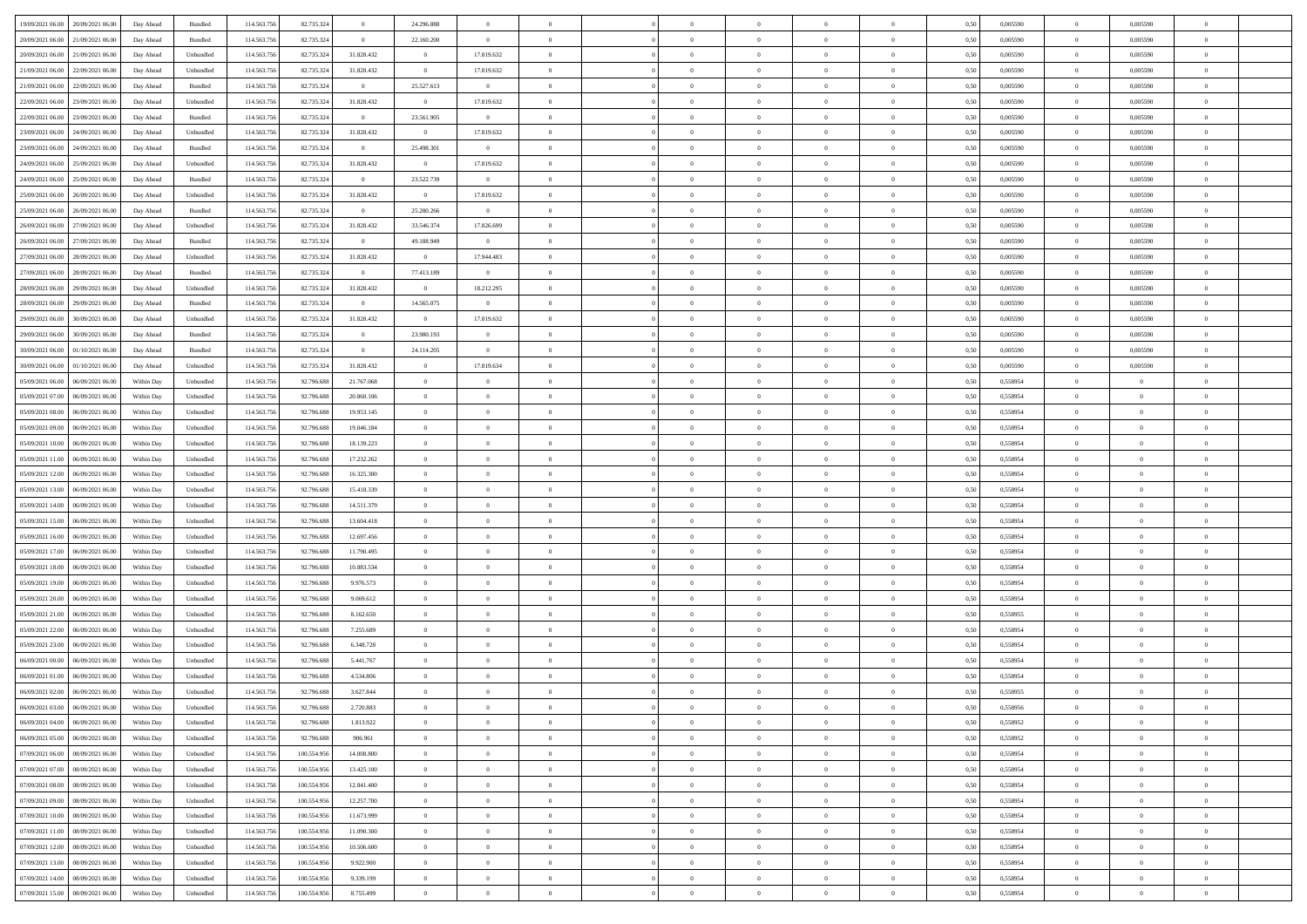| 19/09/2021 06:00<br>20/09/2021 06:00 | Day Ahead  | Bundled   | 114.563.756 | 82.735.324  | $\overline{0}$ | 24.296.888     |                |                |                | $\sqrt{a}$     |                |                | 0,50 | 0,005590 | $\overline{0}$ | 0,005590       |                |  |
|--------------------------------------|------------|-----------|-------------|-------------|----------------|----------------|----------------|----------------|----------------|----------------|----------------|----------------|------|----------|----------------|----------------|----------------|--|
|                                      |            |           |             |             |                |                |                |                |                |                |                |                |      |          |                |                |                |  |
| 20/09/2021 06:00<br>21/09/2021 06.00 | Day Ahead  | Bundled   | 114.563.75  | 82.735.324  | $\bf{0}$       | 22.160.200     | $\overline{0}$ | $\overline{0}$ | $\Omega$       | $\overline{0}$ | $\overline{0}$ | $\overline{0}$ | 0,50 | 0,005590 | $\bf{0}$       | 0,005590       |                |  |
| 20/09/2021 06.00<br>21/09/2021 06:00 | Day Ahead  | Unbundled | 114,563,756 | 82.735.324  | 31.828.432     | $\overline{0}$ | 17.819.632     | $\overline{0}$ | $\overline{0}$ | $\bf{0}$       | $\overline{0}$ | $\overline{0}$ | 0,50 | 0.005590 | $\overline{0}$ | 0.005590       | $\Omega$       |  |
| 21/09/2021 06.00<br>22/09/2021 06:00 | Day Ahead  | Unbundled | 114.563.756 | 82.735.324  | 31.828.432     | $\overline{0}$ | 17.819.632     | $\overline{0}$ | $\overline{0}$ | $\overline{0}$ | $\overline{0}$ | $\overline{0}$ | 0,50 | 0,005590 | $\overline{0}$ | 0,005590       | $\overline{0}$ |  |
| 21/09/2021 06.00<br>22/09/2021 06.0  | Day Ahead  | Bundled   | 114.563.75  | 82.735.324  | $\bf{0}$       | 25.527.613     | $\overline{0}$ | $\overline{0}$ |                | $\overline{0}$ | $\overline{0}$ | $\bf{0}$       | 0,50 | 0,005590 | $\bf{0}$       | 0,005590       |                |  |
|                                      |            |           |             |             |                |                |                |                |                |                |                |                |      |          |                |                |                |  |
| 22/09/2021 06.00<br>23/09/2021 06:00 | Day Ahead  | Unbundled | 114,563,756 | 82.735.324  | 31.828.432     | $\overline{0}$ | 17.819.632     | $\Omega$       | $\Omega$       | $\overline{0}$ | $\overline{0}$ | $\overline{0}$ | 0.50 | 0.005590 | $\overline{0}$ | 0.005590       | $\Omega$       |  |
| 22/09/2021 06:00<br>23/09/2021 06:00 | Day Ahead  | Bundled   | 114.563.756 | 82.735.324  | $\overline{0}$ | 23.561.905     | $\overline{0}$ | $\overline{0}$ | $\overline{0}$ | $\overline{0}$ | $\overline{0}$ | $\overline{0}$ | 0,50 | 0,005590 | $\overline{0}$ | 0,005590       | $\overline{0}$ |  |
| 23/09/2021 06.00<br>24/09/2021 06.0  | Day Ahead  | Unbundled | 114.563.75  | 82.735.324  | 31.828.432     | $\bf{0}$       | 17.819.632     | $\overline{0}$ |                | $\overline{0}$ | $\overline{0}$ | $\overline{0}$ | 0,50 | 0,005590 | $\bf{0}$       | 0,005590       |                |  |
| 23/09/2021 06.00<br>24/09/2021 06:00 | Day Ahead  | Bundled   | 114,563,756 | 82.735.324  | $\overline{0}$ | 25.498.301     | $\overline{0}$ | $\overline{0}$ | $\overline{0}$ | $\bf{0}$       | $\overline{0}$ | $\overline{0}$ | 0.50 | 0.005590 | $\overline{0}$ | 0.005590       | $\overline{0}$ |  |
| 24/09/2021 06.00<br>25/09/2021 06:00 | Day Ahead  | Unbundled | 114.563.756 | 82.735.324  | 31.828.432     | $\overline{0}$ | 17.819.632     | $\overline{0}$ | $\overline{0}$ | $\overline{0}$ | $\overline{0}$ | $\overline{0}$ | 0,50 | 0,005590 | $\overline{0}$ | 0,005590       | $\overline{0}$ |  |
|                                      |            |           |             |             |                |                | $\overline{0}$ |                |                |                |                |                |      |          |                |                |                |  |
| 24/09/2021 06.00<br>25/09/2021 06.0  | Day Ahead  | Bundled   | 114.563.75  | 82.735.324  | $\bf{0}$       | 23.522.739     |                | $\overline{0}$ |                | $\overline{0}$ | $\overline{0}$ | $\bf{0}$       | 0,50 | 0,005590 | $\bf{0}$       | 0,005590       |                |  |
| 25/09/2021 06.00<br>26/09/2021 06:00 | Day Ahead  | Unbundled | 114,563,756 | 82.735.324  | 31.828.432     | $\overline{0}$ | 17.819.632     | $\overline{0}$ | $\Omega$       | $\overline{0}$ | $\overline{0}$ | $\overline{0}$ | 0.50 | 0.005590 | $\overline{0}$ | 0.005590       | $\Omega$       |  |
| 25/09/2021 06:00<br>26/09/2021 06:00 | Day Ahead  | Bundled   | 114.563.756 | 82.735.324  | $\overline{0}$ | 25.280.266     | $\overline{0}$ | $\overline{0}$ | $\overline{0}$ | $\overline{0}$ | $\overline{0}$ | $\overline{0}$ | 0,50 | 0,005590 | $\overline{0}$ | 0,005590       | $\overline{0}$ |  |
| 26/09/2021 06.00<br>27/09/2021 06.0  | Day Ahead  | Unbundled | 114.563.756 | 82.735.324  | 31.828.432     | 33.546.374     | 17.826.699     | $\overline{0}$ |                | $\overline{0}$ | $\overline{0}$ | $\overline{0}$ | 0,50 | 0,005590 | $\bf{0}$       | 0,005590       |                |  |
| 26/09/2021 06.00<br>27/09/2021 06:00 | Day Ahead  | Bundled   | 114,563,756 | 82.735.32   | $\overline{0}$ | 49.188.949     | $\mathbf{0}$   | $\overline{0}$ | $\overline{0}$ | $\overline{0}$ | $\overline{0}$ | $\overline{0}$ | 0.50 | 0.005590 | $\overline{0}$ | 0.005590       | $\Omega$       |  |
| 27/09/2021 06.00<br>28/09/2021 06:00 | Day Ahead  | Unbundled | 114.563.756 | 82.735.324  | 31.828.432     | $\overline{0}$ | 17.944.483     | $\overline{0}$ | $\overline{0}$ | $\overline{0}$ | $\overline{0}$ | $\overline{0}$ | 0,50 | 0,005590 | $\overline{0}$ | 0,005590       | $\overline{0}$ |  |
|                                      |            |           |             |             |                |                |                |                |                |                |                |                |      |          |                |                |                |  |
| 27/09/2021 06.00<br>28/09/2021 06.0  | Day Ahead  | Bundled   | 114.563.75  | 82.735.324  | $\bf{0}$       | 77.413.189     | $\bf{0}$       | $\overline{0}$ |                | $\overline{0}$ | $\overline{0}$ | $\bf{0}$       | 0,50 | 0,005590 | $\overline{0}$ | 0,005590       |                |  |
| 28/09/2021 06.00<br>29/09/2021 06:00 | Day Ahead  | Unbundled | 114,563,756 | 82.735.324  | 31.828.432     | $\overline{0}$ | 18.212.295     | $\overline{0}$ | $\overline{0}$ | $\bf{0}$       | $\overline{0}$ | $\overline{0}$ | 0.50 | 0.005590 | $\overline{0}$ | 0.005590       | $\overline{0}$ |  |
| 28/09/2021 06:00<br>29/09/2021 06.00 | Day Ahead  | Bundled   | 114.563.756 | 82.735.324  | $\overline{0}$ | 14.565.075     | $\overline{0}$ | $\overline{0}$ | $\overline{0}$ | $\overline{0}$ | $\overline{0}$ | $\overline{0}$ | 0,50 | 0,005590 | $\overline{0}$ | 0,005590       | $\overline{0}$ |  |
| 29/09/2021 06.00<br>30/09/2021 06.00 | Day Ahead  | Unbundled | 114.563.75  | 82.735.32   | 31.828.432     | $\overline{0}$ | 17.819.632     | $\overline{0}$ |                | $\overline{0}$ | $\overline{0}$ | $\bf{0}$       | 0,50 | 0,005590 | $\overline{0}$ | 0,005590       |                |  |
| 29/09/2021 06.00<br>30/09/2021 06:00 | Day Ahead  | Bundled   | 114,563,756 | 82.735.32   | $\overline{0}$ | 23,980,193     | $\overline{0}$ | $\overline{0}$ | $\Omega$       | $\overline{0}$ | $\overline{0}$ | $\overline{0}$ | 0.50 | 0.005590 | $\overline{0}$ | 0.005590       | $\Omega$       |  |
| 30/09/2021 06.00<br>01/10/2021 06:00 | Day Ahead  | Bundled   | 114.563.756 | 82.735.324  | $\overline{0}$ | 24.114.205     | $\overline{0}$ | $\overline{0}$ | $\overline{0}$ | $\overline{0}$ | $\overline{0}$ | $\overline{0}$ | 0,50 | 0,005590 | $\overline{0}$ | 0,005590       | $\overline{0}$ |  |
|                                      |            |           |             |             |                |                |                |                |                |                |                |                |      |          |                |                |                |  |
| 30/09/2021 06.00<br>01/10/2021 06.00 | Day Ahead  | Unbundled | 114.563.75  | 82.735.324  | 31.828.432     | $\bf{0}$       | 17.819.634     | $\overline{0}$ |                | $\overline{0}$ | $\overline{0}$ | $\bf{0}$       | 0,50 | 0,005590 | $\overline{0}$ | 0,005590       |                |  |
| 05/09/2021 06.00<br>06/09/2021 06:00 | Within Day | Unbundled | 114,563,756 | 92.796.688  | 21.767.068     | $\overline{0}$ | $\overline{0}$ | $\overline{0}$ | $\overline{0}$ | $\bf{0}$       | $\overline{0}$ | $\overline{0}$ | 0.50 | 0.558954 | $\overline{0}$ | $\overline{0}$ | $\overline{0}$ |  |
| 05/09/2021 07:00<br>06/09/2021 06:00 | Within Day | Unbundled | 114.563.756 | 92.796.688  | 20.860.106     | $\overline{0}$ | $\overline{0}$ | $\overline{0}$ | $\overline{0}$ | $\overline{0}$ | $\overline{0}$ | $\overline{0}$ | 0,50 | 0,558954 | $\overline{0}$ | $\theta$       | $\overline{0}$ |  |
| 05/09/2021 08.00<br>06/09/2021 06.0  | Within Day | Unbundled | 114.563.75  | 92.796.688  | 19.953.145     | $\bf{0}$       | $\theta$       | $\overline{0}$ |                | $\overline{0}$ | $\overline{0}$ | $\bf{0}$       | 0,50 | 0,558954 | $\overline{0}$ | $\bf{0}$       |                |  |
| 05/09/2021 09:00<br>06/09/2021 06:00 | Within Day | Unbundled | 114,563,756 | 92,796,688  | 19,046.184     | $\overline{0}$ | $\overline{0}$ | $\overline{0}$ | $\Omega$       | $\overline{0}$ | $\overline{0}$ | $\overline{0}$ | 0.50 | 0.558954 | $\overline{0}$ | $\Omega$       | $\Omega$       |  |
| 05/09/2021 10:00<br>06/09/2021 06:00 | Within Day | Unbundled | 114.563.756 | 92.796.688  | 18.139.223     | $\overline{0}$ | $\overline{0}$ | $\overline{0}$ | $\overline{0}$ | $\overline{0}$ | $\overline{0}$ | $\overline{0}$ | 0,50 | 0,558954 | $\overline{0}$ | $\theta$       | $\overline{0}$ |  |
|                                      |            |           |             |             |                |                |                |                |                |                |                |                |      |          |                |                |                |  |
| 05/09/2021 11:00<br>06/09/2021 06.0  | Within Day | Unbundled | 114.563.75  | 92.796.688  | 17.232.262     | $\overline{0}$ | $\theta$       | $\overline{0}$ |                | $\overline{0}$ | $\overline{0}$ | $\overline{0}$ | 0,50 | 0,558954 | $\bf{0}$       | $\bf{0}$       |                |  |
| 05/09/2021 12:00<br>06/09/2021 06:00 | Within Day | Unbundled | 114,563,756 | 92,796,688  | 16.325.300     | $\overline{0}$ | $\overline{0}$ | $\overline{0}$ | $\overline{0}$ | $\bf{0}$       | $\overline{0}$ | $\overline{0}$ | 0.50 | 0.558954 | $\overline{0}$ | $\overline{0}$ | $\overline{0}$ |  |
| 05/09/2021 13:00<br>06/09/2021 06:00 | Within Day | Unbundled | 114.563.756 | 92.796.688  | 15.418.339     | $\overline{0}$ | $\overline{0}$ | $\overline{0}$ | $\Omega$       | $\overline{0}$ | $\overline{0}$ | $\overline{0}$ | 0,50 | 0,558954 | $\overline{0}$ | $\theta$       | $\Omega$       |  |
| 05/09/2021 14:00<br>06/09/2021 06.0  | Within Day | Unbundled | 114.563.75  | 92.796.688  | 14.511.379     | $\bf{0}$       | $\overline{0}$ | $\overline{0}$ |                | $\overline{0}$ | $\overline{0}$ | $\bf{0}$       | 0,50 | 0,558954 | $\overline{0}$ | $\bf{0}$       | $\Omega$       |  |
| 05/09/2021 15:00<br>06/09/2021 06:00 | Within Day | Unbundled | 114,563,756 | 92.796.688  | 13,604.418     | $\overline{0}$ | $\overline{0}$ | $\overline{0}$ | $\overline{0}$ | $\bf{0}$       | $\overline{0}$ | $\overline{0}$ | 0.50 | 0.558954 | $\overline{0}$ | $\overline{0}$ | $\Omega$       |  |
| 05/09/2021 16:00<br>06/09/2021 06:00 | Within Dav | Unbundled | 114.563.756 | 92.796.688  | 12.697.456     | $\overline{0}$ | $\overline{0}$ | $\theta$       | $\Omega$       | $\overline{0}$ | $\overline{0}$ | $\theta$       | 0.50 | 0,558954 | $\overline{0}$ | $\overline{0}$ | $\Omega$       |  |
| 05/09/2021 17.00<br>06/09/2021 06.0  | Within Day | Unbundled | 114.563.75  | 92.796.688  | 11.790.495     | $\overline{0}$ | $\theta$       | $\overline{0}$ |                | $\overline{0}$ | $\overline{0}$ | $\bf{0}$       | 0,50 | 0,558954 | $\bf{0}$       | $\bf{0}$       |                |  |
|                                      |            |           |             |             |                |                |                |                |                |                |                |                |      |          |                |                |                |  |
| 05/09/2021 18:00<br>06/09/2021 06:00 | Within Day | Unbundled | 114,563,756 | 92,796,688  | 10.883.534     | $\overline{0}$ | $\overline{0}$ | $\overline{0}$ | $\Omega$       | $\overline{0}$ | $\overline{0}$ | $\overline{0}$ | 0.50 | 0.558954 | $\overline{0}$ | $\Omega$       | $\Omega$       |  |
| 05/09/2021 19:00<br>06/09/2021 06:00 | Within Dav | Unbundled | 114.563.756 | 92.796.688  | 9.976.573      | $\overline{0}$ | $\overline{0}$ | $\theta$       | $\Omega$       | $\overline{0}$ | $\overline{0}$ | $\theta$       | 0,50 | 0,558954 | $\overline{0}$ | $\theta$       | $\Omega$       |  |
| 05/09/2021 20:00<br>06/09/2021 06.0  | Within Day | Unbundled | 114.563.75  | 92.796.688  | 9.069.612      | $\bf{0}$       | $\overline{0}$ | $\overline{0}$ |                | $\overline{0}$ | $\overline{0}$ | $\bf{0}$       | 0,50 | 0,558954 | $\overline{0}$ | $\bf{0}$       |                |  |
| 05/09/2021 21:00<br>06/09/2021 06:00 | Within Day | Unbundled | 114,563,756 | 92.796.688  | 8.162.650      | $\overline{0}$ | $\overline{0}$ | $\overline{0}$ | $\overline{0}$ | $\bf{0}$       | $\overline{0}$ | $\overline{0}$ | 0.50 | 0.558955 | $\overline{0}$ | $\overline{0}$ | $\overline{0}$ |  |
| 05/09/2021 22:00<br>06/09/2021 06:00 | Within Dav | Unbundled | 114.563.756 | 92.796.688  | 7.255.689      | $\overline{0}$ | $\overline{0}$ | $\theta$       | $\Omega$       | $\overline{0}$ | $\overline{0}$ | $\theta$       | 0.50 | 0,558954 | $\overline{0}$ | $\overline{0}$ | $\Omega$       |  |
| 05/09/2021 23.00<br>06/09/2021 06.0  | Within Day | Unbundled | 114.563.75  | 92.796.688  | 6.348.728      | $\bf{0}$       | $\overline{0}$ | $\overline{0}$ | $\overline{0}$ | $\overline{0}$ | $\overline{0}$ | $\bf{0}$       | 0,50 | 0,558954 | $\overline{0}$ | $\bf{0}$       | $\Omega$       |  |
|                                      |            |           |             |             |                |                |                |                |                |                |                |                |      |          |                |                |                |  |
| 06/09/2021 00:00<br>06/09/2021 06:00 | Within Day | Unbundled | 114,563,756 | 92,796,688  | 5.441.767      | $\overline{0}$ | $\overline{0}$ | $\overline{0}$ | $\Omega$       | $\overline{0}$ | $\overline{0}$ | $\overline{0}$ | 0.50 | 0.558954 | $\overline{0}$ | $\Omega$       | $\Omega$       |  |
| 06/09/2021 01:00<br>06/09/2021 06:00 | Within Day | Unbundled | 114.563.756 | 92.796.688  | 4.534.806      | $\overline{0}$ | $\Omega$       | $\theta$       | $\Omega$       | $\overline{0}$ | $\Omega$       | $\theta$       | 0.50 | 0,558954 | $\overline{0}$ | $\Omega$       |                |  |
| 06/09/2021 02:00<br>06/09/2021 06.00 | Within Day | Unbundled | 114.563.756 | 92.796.688  | 3.627.844      | $\overline{0}$ | $\,$ 0 $\,$    | $\overline{0}$ |                | $\overline{0}$ | $\overline{0}$ | $\overline{0}$ | 0,50 | 0,558955 | $\overline{0}$ | $\bf{0}$       | $\overline{0}$ |  |
|                                      | Within Day | Unbundled | 114.563.756 | 92.796.688  | 2.720.883      | $\bf{0}$       | $\theta$       |                |                |                |                |                | 0,50 | 0.558956 | $\bf{0}$       |                |                |  |
|                                      | Within Day | Unbundled | 114.563.756 | 92.796.688  | 1.813.922      | $\overline{0}$ | $\overline{0}$ | $\Omega$       | $\Omega$       | $\overline{0}$ | $\overline{0}$ | $\theta$       | 0,50 | 0,558952 | $\overline{0}$ | $\overline{0}$ | $\theta$       |  |
| 06/09/2021 05:00<br>06/09/2021 06.00 | Within Day | Unbundled | 114.563.756 | 92.796.688  | 906.961        | $\overline{0}$ | $\overline{0}$ | $\overline{0}$ | $\overline{0}$ | $\bf{0}$       | $\overline{0}$ | $\overline{0}$ | 0,50 | 0,558952 | $\overline{0}$ | $\overline{0}$ | $\overline{0}$ |  |
| 07/09/2021 06:00<br>08/09/2021 06:00 | Within Day | Unbundled | 114,563,756 | 100.554.956 | 14,008,800     | $\overline{0}$ | $\overline{0}$ | $\overline{0}$ | $\overline{0}$ | $\bf{0}$       | $\overline{0}$ | $\overline{0}$ | 0.50 | 0.558954 | $\overline{0}$ | $\overline{0}$ | $\overline{0}$ |  |
|                                      |            |           |             |             |                |                |                |                |                |                |                |                |      |          |                |                |                |  |
| 07/09/2021 07:00<br>08/09/2021 06:00 | Within Day | Unbundled | 114.563.756 | 100.554.956 | 13.425.100     | $\overline{0}$ | $\overline{0}$ | $\overline{0}$ | $\Omega$       | $\overline{0}$ | $\overline{0}$ | $\mathbf{0}$   | 0,50 | 0,558954 | $\overline{0}$ | $\overline{0}$ | $\overline{0}$ |  |
| 07/09/2021 08:00<br>08/09/2021 06:00 | Within Day | Unbundled | 114.563.756 | 100.554.956 | 12.841.400     | $\overline{0}$ | $\overline{0}$ | $\overline{0}$ | $\overline{0}$ | $\bf{0}$       | $\overline{0}$ | $\overline{0}$ | 0,50 | 0,558954 | $\overline{0}$ | $\bf{0}$       | $\overline{0}$ |  |
| 07/09/2021 09:00<br>08/09/2021 06:00 | Within Day | Unbundled | 114,563,756 | 100.554.956 | 12.257.700     | $\overline{0}$ | $\overline{0}$ | $\overline{0}$ | $\overline{0}$ | $\overline{0}$ | $\overline{0}$ | $\overline{0}$ | 0.50 | 0.558954 | $\overline{0}$ | $\overline{0}$ | $\overline{0}$ |  |
| 07/09/2021 10:00<br>08/09/2021 06:00 | Within Day | Unbundled | 114.563.756 | 100.554.956 | 11.673.999     | $\overline{0}$ | $\overline{0}$ | $\overline{0}$ | $\overline{0}$ | $\overline{0}$ | $\overline{0}$ | $\mathbf{0}$   | 0,50 | 0,558954 | $\overline{0}$ | $\overline{0}$ | $\overline{0}$ |  |
| 07/09/2021 11:00<br>08/09/2021 06:00 | Within Day | Unbundled | 114.563.75  | 100.554.95  | 11.090.300     | $\overline{0}$ | $\overline{0}$ | $\overline{0}$ | $\overline{0}$ | $\bf{0}$       | $\overline{0}$ | $\overline{0}$ | 0,50 | 0,558954 | $\mathbf{0}$   | $\overline{0}$ | $\overline{0}$ |  |
| 07/09/2021 12:00<br>08/09/2021 06:00 | Within Day | Unbundled | 114,563,756 | 100.554.956 | 10,506,600     | $\overline{0}$ | $\overline{0}$ | $\overline{0}$ | $\overline{0}$ | $\bf{0}$       | $\overline{0}$ | $\overline{0}$ | 0.50 | 0.558954 | $\overline{0}$ | $\overline{0}$ | $\overline{0}$ |  |
|                                      |            |           |             |             |                |                |                |                |                |                |                |                |      |          |                |                |                |  |
| 07/09/2021 13:00<br>08/09/2021 06:00 | Within Day | Unbundled | 114.563.756 | 100.554.956 | 9.922.900      | $\overline{0}$ | $\overline{0}$ | $\overline{0}$ | $\Omega$       | $\overline{0}$ | $\overline{0}$ | $\overline{0}$ | 0,50 | 0,558954 | $\overline{0}$ | $\overline{0}$ | $\theta$       |  |
| 07/09/2021 14:00<br>08/09/2021 06:00 | Within Day | Unbundled | 114.563.756 | 100.554.95  | 9.339.199      | $\overline{0}$ | $\overline{0}$ | $\overline{0}$ | $\overline{0}$ | $\overline{0}$ | $\overline{0}$ | $\mathbf{0}$   | 0,50 | 0,558954 | $\overline{0}$ | $\bf{0}$       | $\overline{0}$ |  |
| 07/09/2021 15:00 08/09/2021 06:00    | Within Day | Unbundled | 114.563.756 | 100.554.956 | 8.755.499      | $\overline{0}$ | $\bf{0}$       | $\overline{0}$ | $\overline{0}$ | $\,$ 0         | $\overline{0}$ | $\overline{0}$ | 0,50 | 0,558954 | $\overline{0}$ | $\overline{0}$ | $\overline{0}$ |  |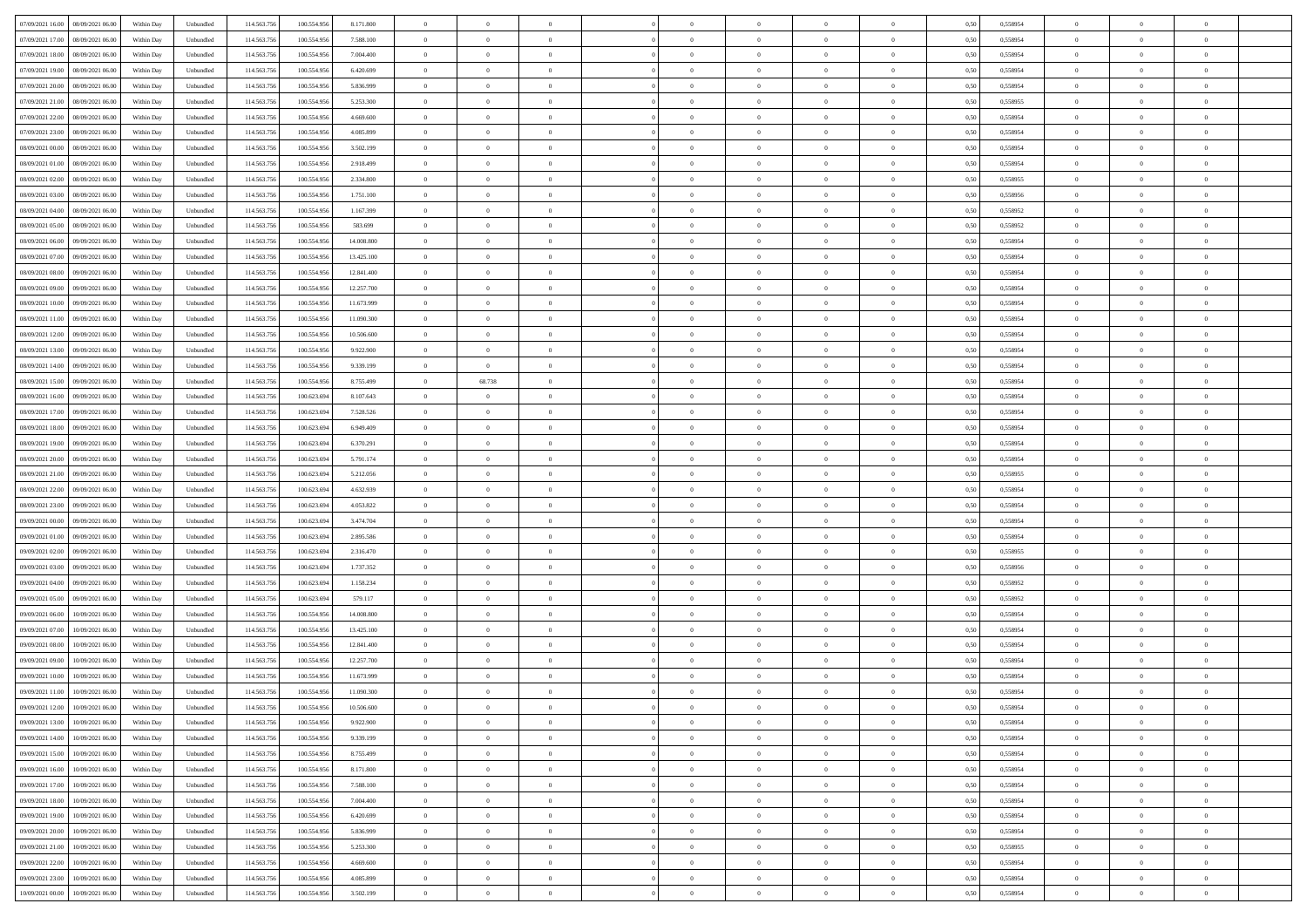| 07/09/2021 16:00<br>08/09/2021 06:00 | Within Day | Unbundled | 114.563.756 | 100.554.956 | 8.171.800  | $\overline{0}$ | $\overline{0}$ | $\overline{0}$ | $\theta$       | $\theta$       |                | $\overline{0}$ | 0,50 | 0,558954 | $\theta$       | $\theta$       | $\overline{0}$ |  |
|--------------------------------------|------------|-----------|-------------|-------------|------------|----------------|----------------|----------------|----------------|----------------|----------------|----------------|------|----------|----------------|----------------|----------------|--|
|                                      |            |           |             |             |            |                | $\overline{0}$ |                | $\,$ 0 $\,$    | $\bf{0}$       | $\overline{0}$ |                |      |          | $\,$ 0 $\,$    | $\bf{0}$       | $\overline{0}$ |  |
| 07/09/2021 17:00<br>08/09/2021 06.00 | Within Day | Unbundled | 114.563.75  | 100.554.956 | 7.588.100  | $\overline{0}$ |                | $\overline{0}$ |                |                |                | $\mathbf{0}$   | 0,50 | 0,558954 |                |                |                |  |
| 07/09/2021 18:00<br>08/09/2021 06:00 | Within Day | Unbundled | 114,563,756 | 100.554.956 | 7 004 400  | $\overline{0}$ | $\overline{0}$ | $\overline{0}$ | $\bf{0}$       | $\bf{0}$       | $\overline{0}$ | $\,$ 0 $\,$    | 0.50 | 0.558954 | $\bf{0}$       | $\overline{0}$ | $\bf{0}$       |  |
| 07/09/2021 19:00<br>08/09/2021 06.00 | Within Day | Unbundled | 114.563.756 | 100.554.956 | 6.420.699  | $\overline{0}$ | $\overline{0}$ | $\overline{0}$ | $\overline{0}$ | $\overline{0}$ | $\overline{0}$ | $\,$ 0 $\,$    | 0,50 | 0,558954 | $\theta$       | $\overline{0}$ | $\overline{0}$ |  |
| 07/09/2021 20.00<br>08/09/2021 06.00 | Within Day | Unbundled | 114.563.75  | 100.554.956 | 5.836.999  | $\overline{0}$ | $\overline{0}$ | $\overline{0}$ | $\bf{0}$       | $\bf{0}$       | $\overline{0}$ | $\bf{0}$       | 0,50 | 0,558954 | $\,$ 0 $\,$    | $\bf{0}$       | $\overline{0}$ |  |
| 07/09/2021 21.00<br>08/09/2021 06:00 | Within Day | Unbundled | 114,563,75  | 100,554,956 | 5.253.300  | $\overline{0}$ | $\overline{0}$ | $\overline{0}$ | $\bf{0}$       | $\bf{0}$       | $\overline{0}$ | $\mathbf{0}$   | 0.50 | 0.558955 | $\,$ 0 $\,$    | $\overline{0}$ | $\overline{0}$ |  |
| 07/09/2021 22.00<br>08/09/2021 06.00 | Within Day | Unbundled | 114.563.756 | 100.554.956 | 4.669.600  | $\overline{0}$ | $\overline{0}$ | $\overline{0}$ | $\overline{0}$ | $\overline{0}$ | $\overline{0}$ | $\bf{0}$       | 0,50 | 0,558954 | $\theta$       | $\theta$       | $\overline{0}$ |  |
| 07/09/2021 23.00<br>08/09/2021 06.00 | Within Day | Unbundled | 114.563.75  | 100.554.956 | 4.085.899  | $\overline{0}$ | $\overline{0}$ | $\overline{0}$ | $\,$ 0 $\,$    | $\bf{0}$       | $\overline{0}$ | $\mathbf{0}$   | 0,50 | 0,558954 | $\,$ 0 $\,$    | $\bf{0}$       | $\overline{0}$ |  |
| 08/09/2021 00:00<br>08/09/2021 06:00 | Within Day | Unbundled | 114,563,756 | 100,554,956 | 3.502.199  | $\overline{0}$ | $\overline{0}$ | $\overline{0}$ | $\bf{0}$       | $\bf{0}$       | $\overline{0}$ | $\mathbf{0}$   | 0.50 | 0.558954 | $\bf{0}$       | $\overline{0}$ | $\bf{0}$       |  |
| 08/09/2021 01:00<br>08/09/2021 06:00 | Within Day | Unbundled | 114.563.756 | 100.554.956 | 2.918.499  | $\overline{0}$ | $\overline{0}$ | $\overline{0}$ | $\bf{0}$       | $\bf{0}$       | $\overline{0}$ | $\bf{0}$       | 0,50 | 0,558954 | $\,$ 0         | $\theta$       | $\overline{0}$ |  |
|                                      |            |           |             |             |            |                |                |                |                |                |                |                |      |          |                |                |                |  |
| 08/09/2021 02:00<br>08/09/2021 06.00 | Within Day | Unbundled | 114.563.75  | 100.554.956 | 2.334.800  | $\overline{0}$ | $\overline{0}$ | $\overline{0}$ | $\,$ 0 $\,$    | $\bf{0}$       | $\overline{0}$ | $\bf{0}$       | 0,50 | 0,558955 | $\,$ 0 $\,$    | $\bf{0}$       | $\overline{0}$ |  |
| 08/09/2021 03:00<br>08/09/2021 06:00 | Within Day | Unbundled | 114,563,756 | 100,554,956 | 1.751.100  | $\overline{0}$ | $\overline{0}$ | $\overline{0}$ | $\bf{0}$       | $\bf{0}$       | $\overline{0}$ | $\,$ 0 $\,$    | 0.50 | 0.558956 | $\bf{0}$       | $\overline{0}$ | $\,$ 0         |  |
| 08/09/2021 04:00<br>08/09/2021 06:00 | Within Day | Unbundled | 114.563.756 | 100.554.956 | 1.167.399  | $\overline{0}$ | $\overline{0}$ | $\overline{0}$ | $\overline{0}$ | $\overline{0}$ | $\overline{0}$ | $\,$ 0 $\,$    | 0,50 | 0,558952 | $\theta$       | $\theta$       | $\overline{0}$ |  |
| 08/09/2021 05:00<br>08/09/2021 06.00 | Within Day | Unbundled | 114.563.75  | 100.554.956 | 583.699    | $\overline{0}$ | $\overline{0}$ | $\overline{0}$ | $\bf{0}$       | $\bf{0}$       | $\overline{0}$ | $\bf{0}$       | 0,50 | 0,558952 | $\,$ 0 $\,$    | $\bf{0}$       | $\overline{0}$ |  |
| 08/09/2021 06:00<br>09/09/2021 06:00 | Within Day | Unbundled | 114,563,756 | 100,554,956 | 14,008,800 | $\overline{0}$ | $\overline{0}$ | $\overline{0}$ | $\bf{0}$       | $\overline{0}$ | $\overline{0}$ | $\mathbf{0}$   | 0.50 | 0.558954 | $\,$ 0 $\,$    | $\theta$       | $\overline{0}$ |  |
| 08/09/2021 07:00<br>09/09/2021 06:00 | Within Day | Unbundled | 114.563.756 | 100.554.956 | 13.425.100 | $\overline{0}$ | $\overline{0}$ | $\overline{0}$ | $\bf{0}$       | $\overline{0}$ | $\overline{0}$ | $\bf{0}$       | 0,50 | 0,558954 | $\overline{0}$ | $\theta$       | $\overline{0}$ |  |
| 08/09/2021 08:00<br>09/09/2021 06.0  | Within Day | Unbundled | 114.563.75  | 100.554.956 | 12.841.400 | $\overline{0}$ | $\overline{0}$ | $\overline{0}$ | $\,$ 0 $\,$    | $\bf{0}$       | $\overline{0}$ | $\bf{0}$       | 0,50 | 0,558954 | $\,$ 0 $\,$    | $\bf{0}$       | $\overline{0}$ |  |
| 08/09/2021 09:00<br>09/09/2021 06:00 | Within Day | Unbundled | 114,563,75  | 100,554,956 | 12.257.700 | $\overline{0}$ | $\overline{0}$ | $\overline{0}$ | $\bf{0}$       | $\bf{0}$       | $\overline{0}$ | $\mathbf{0}$   | 0.50 | 0.558954 | $\bf{0}$       | $\overline{0}$ | $\bf{0}$       |  |
| 08/09/2021 10:00<br>09/09/2021 06:00 | Within Day | Unbundled | 114.563.756 | 100.554.956 | 11.673.999 | $\overline{0}$ | $\overline{0}$ | $\overline{0}$ | $\bf{0}$       | $\overline{0}$ | $\overline{0}$ | $\bf{0}$       | 0,50 | 0,558954 | $\,$ 0 $\,$    | $\,$ 0 $\,$    | $\overline{0}$ |  |
|                                      |            |           |             |             |            |                |                |                |                |                |                |                |      |          |                |                |                |  |
| 08/09/2021 11:00<br>09/09/2021 06.0  | Within Day | Unbundled | 114.563.75  | 100.554.956 | 11.090.300 | $\overline{0}$ | $\overline{0}$ | $\overline{0}$ | $\overline{0}$ | $\bf{0}$       | $\overline{0}$ | $\mathbf{0}$   | 0,50 | 0,558954 | $\,$ 0 $\,$    | $\bf{0}$       | $\overline{0}$ |  |
| 08/09/2021 12:00<br>09/09/2021 06:00 | Within Day | Unbundled | 114,563,756 | 100.554.956 | 10,506,600 | $\overline{0}$ | $\overline{0}$ | $\overline{0}$ | $\bf{0}$       | $\overline{0}$ | $\overline{0}$ | $\,$ 0 $\,$    | 0.50 | 0.558954 | $\bf{0}$       | $\overline{0}$ | $\,$ 0         |  |
| 08/09/2021 13:00<br>09/09/2021 06:00 | Within Day | Unbundled | 114.563.756 | 100.554.956 | 9.922.900  | $\overline{0}$ | $\overline{0}$ | $\overline{0}$ | $\overline{0}$ | $\overline{0}$ | $\overline{0}$ | $\,$ 0 $\,$    | 0.5( | 0,558954 | $\theta$       | $\overline{0}$ | $\overline{0}$ |  |
| 08/09/2021 14:00<br>09/09/2021 06.0  | Within Day | Unbundled | 114.563.75  | 100.554.956 | 9.339.199  | $\overline{0}$ | $\overline{0}$ | $\overline{0}$ | $\overline{0}$ | $\bf{0}$       | $\overline{0}$ | $\bf{0}$       | 0,50 | 0,558954 | $\,$ 0 $\,$    | $\bf{0}$       | $\overline{0}$ |  |
| 08/09/2021 15:00<br>09/09/2021 06:00 | Within Day | Unbundled | 114,563,75  | 100,554,956 | 8,755,499  | $\overline{0}$ | 68.738         | $\overline{0}$ | $\bf{0}$       | $\bf{0}$       | $\overline{0}$ | $\mathbf{0}$   | 0.50 | 0.558954 | $\,$ 0 $\,$    | $\overline{0}$ | $\overline{0}$ |  |
| 08/09/2021 16:00<br>09/09/2021 06:00 | Within Day | Unbundled | 114.563.756 | 100.623.694 | 8.107.643  | $\overline{0}$ | $\overline{0}$ | $\overline{0}$ | $\bf{0}$       | $\overline{0}$ | $\overline{0}$ | $\bf{0}$       | 0,50 | 0,558954 | $\theta$       | $\theta$       | $\overline{0}$ |  |
| 08/09/2021 17:00<br>09/09/2021 06.0  | Within Day | Unbundled | 114.563.75  | 100.623.694 | 7.528.526  | $\overline{0}$ | $\overline{0}$ | $\overline{0}$ | $\,$ 0 $\,$    | $\bf{0}$       | $\overline{0}$ | $\bf{0}$       | 0,50 | 0,558954 | $\,$ 0 $\,$    | $\bf{0}$       | $\overline{0}$ |  |
| 08/09/2021 18:00<br>09/09/2021 06:00 | Within Day | Unbundled | 114,563,756 | 100.623.694 | 6.949.409  | $\overline{0}$ | $\overline{0}$ | $\overline{0}$ | $\bf{0}$       | $\bf{0}$       | $\overline{0}$ | $\mathbf{0}$   | 0.50 | 0.558954 | $\bf{0}$       | $\overline{0}$ | $\bf{0}$       |  |
| 08/09/2021 19:00<br>09/09/2021 06:00 | Within Day | Unbundled | 114.563.756 | 100.623.694 | 6.370.291  | $\overline{0}$ | $\overline{0}$ | $\overline{0}$ | $\bf{0}$       | $\overline{0}$ | $\overline{0}$ | $\bf{0}$       | 0,50 | 0,558954 | $\overline{0}$ | $\overline{0}$ | $\overline{0}$ |  |
|                                      |            |           |             |             |            |                | $\overline{0}$ |                | $\overline{0}$ | $\bf{0}$       | $\overline{0}$ |                |      |          | $\overline{0}$ | $\bf{0}$       | $\overline{0}$ |  |
| 08/09/2021 20:00<br>09/09/2021 06.0  | Within Day | Unbundled | 114.563.75  | 100.623.694 | 5.791.174  | $\overline{0}$ |                | $\overline{0}$ |                |                |                | $\mathbf{0}$   | 0,50 | 0,558954 |                |                |                |  |
| 08/09/2021 21:00<br>09/09/2021 06:00 | Within Day | Unbundled | 114,563,756 | 100.623.694 | 5.212.056  | $\overline{0}$ | $\overline{0}$ | $\overline{0}$ | $\bf{0}$       | $\bf{0}$       | $\overline{0}$ | $\,$ 0 $\,$    | 0.50 | 0.558955 | $\bf{0}$       | $\overline{0}$ | $\,$ 0         |  |
| 08/09/2021 22:00<br>09/09/2021 06:00 | Within Day | Unbundled | 114.563.756 | 100.623.694 | 4.632.939  | $\overline{0}$ | $\overline{0}$ | $\overline{0}$ | $\overline{0}$ | $\overline{0}$ | $\overline{0}$ | $\overline{0}$ | 0.50 | 0,558954 | $\theta$       | $\overline{0}$ | $\overline{0}$ |  |
| 08/09/2021 23.00<br>09/09/2021 06.0  | Within Day | Unbundled | 114.563.75  | 100.623.694 | 4.053.822  | $\overline{0}$ | $\overline{0}$ | $\overline{0}$ | $\,$ 0 $\,$    | $\bf{0}$       | $\overline{0}$ | $\bf{0}$       | 0,50 | 0,558954 | $\,$ 0 $\,$    | $\bf{0}$       | $\overline{0}$ |  |
| 09/09/2021 00:00<br>09/09/2021 06:00 | Within Day | Unbundled | 114,563,756 | 100.623.694 | 3.474.704  | $\overline{0}$ | $\overline{0}$ | $\overline{0}$ | $\bf{0}$       | $\bf{0}$       | $\overline{0}$ | $\mathbf{0}$   | 0.50 | 0.558954 | $\,$ 0 $\,$    | $\theta$       | $\overline{0}$ |  |
| 09/09/2021 01:00<br>09/09/2021 06:00 | Within Day | Unbundled | 114.563.756 | 100.623.694 | 2.895.586  | $\overline{0}$ | $\overline{0}$ | $\overline{0}$ | $\overline{0}$ | $\overline{0}$ | $\overline{0}$ | $\overline{0}$ | 0.50 | 0,558954 | $\theta$       | $\theta$       | $\overline{0}$ |  |
| 09/09/2021 02:00<br>09/09/2021 06.0  | Within Day | Unbundled | 114.563.75  | 100.623.694 | 2.316.470  | $\overline{0}$ | $\overline{0}$ | $\overline{0}$ | $\overline{0}$ | $\bf{0}$       | $\overline{0}$ | $\bf{0}$       | 0,50 | 0,558955 | $\,$ 0 $\,$    | $\bf{0}$       | $\overline{0}$ |  |
| 09/09/2021 03:00<br>09/09/2021 06:00 | Within Day | Unbundled | 114,563,75  | 100.623.694 | 1.737.352  | $\overline{0}$ | $\overline{0}$ | $\overline{0}$ | $\bf{0}$       | $\bf{0}$       | $\overline{0}$ | $\mathbf{0}$   | 0.50 | 0.558956 | $\bf{0}$       | $\overline{0}$ | $\bf{0}$       |  |
| 09/09/2021 04:00<br>09/09/2021 06:00 | Within Day | Unbundled | 114.563.756 | 100.623.694 | 1.158.234  | $\overline{0}$ | $\overline{0}$ | $\overline{0}$ | $\overline{0}$ | $\overline{0}$ | $\overline{0}$ | $\overline{0}$ | 0.50 | 0,558952 | $\overline{0}$ | $\overline{0}$ | $\overline{0}$ |  |
| 09/09/2021 05:00<br>09/09/2021 06.0  | Within Day | Unbundled | 114.563.75  | 100.623.694 | 579.117    | $\overline{0}$ | $\overline{0}$ | $\overline{0}$ | $\overline{0}$ | $\bf{0}$       | $\overline{0}$ | $\mathbf{0}$   | 0,50 | 0,558952 | $\overline{0}$ | $\bf{0}$       | $\overline{0}$ |  |
| 09/09/2021 06.00<br>10/09/2021 06:00 | Within Day | Unbundled | 114,563,756 | 100.554.956 | 14,008,800 | $\overline{0}$ | $\overline{0}$ | $\overline{0}$ | $\bf{0}$       | $\bf{0}$       | $\overline{0}$ | $\,$ 0 $\,$    | 0.50 | 0.558954 | $\bf{0}$       | $\overline{0}$ | $\,$ 0         |  |
|                                      |            |           |             |             |            |                |                |                |                |                |                |                |      |          |                |                |                |  |
| 09/09/2021 07:00<br>10/09/2021 06:00 | Within Day | Unbundled | 114.563.756 | 100.554.956 | 13.425.100 | $\overline{0}$ | $\overline{0}$ | $\overline{0}$ | $\overline{0}$ | $\overline{0}$ | $\overline{0}$ | $\overline{0}$ | 0.50 | 0,558954 | $\theta$       | $\theta$       | $\overline{0}$ |  |
| 09/09/2021 08:00<br>10/09/2021 06.00 | Within Day | Unbundled | 114.563.75  | 100.554.956 | 12.841.400 | $\overline{0}$ | $\overline{0}$ | $\overline{0}$ | $\overline{0}$ | $\bf{0}$       | $\overline{0}$ | $\bf{0}$       | 0,50 | 0,558954 | $\,$ 0 $\,$    | $\bf{0}$       | $\overline{0}$ |  |
| 09/09/2021 09:00<br>10/09/2021 06:00 | Within Day | Unbundled | 114,563,75  | 100,554,956 | 12.257.700 | $\overline{0}$ | $\overline{0}$ | $\overline{0}$ | $\bf{0}$       | $\overline{0}$ | $\overline{0}$ | $\mathbf{0}$   | 0.50 | 0.558954 | $\,$ 0 $\,$    | $\theta$       | $\overline{0}$ |  |
| 09/09/2021 10:00<br>10/09/2021 06:00 | Within Day | Unbundled | 114.563.756 | 100.554.956 | 11.673.999 | $\overline{0}$ | $\overline{0}$ | $\overline{0}$ | $\overline{0}$ | $\overline{0}$ | $\Omega$       | $\overline{0}$ | 0.50 | 0,558954 | $\theta$       | $\theta$       | $\overline{0}$ |  |
| 09/09/2021 11:00<br>10/09/2021 06:00 | Within Day | Unbundled | 114.563.756 | 100.554.956 | 11.090.300 | $\overline{0}$ | $\overline{0}$ | $\overline{0}$ | $\overline{0}$ | $\bf{0}$       | $\overline{0}$ | $\bf{0}$       | 0,50 | 0,558954 | $\overline{0}$ | $\overline{0}$ | $\overline{0}$ |  |
| 09/09/2021 12:00 10/09/2021 06:00    | Within Day | Unbundled | 114.563.756 | 100.554.956 | 10.506.600 | $\bf{0}$       | $\,$ 0 $\,$    |                | $\bf{0}$       |                |                |                | 0,50 | 0.558954 | $\theta$       | $\overline{0}$ |                |  |
| 09/09/2021 13:00<br>10/09/2021 06:00 | Within Day | Unbundled | 114.563.756 | 100.554.956 | 9.922.900  | $\overline{0}$ | $\overline{0}$ | $\overline{0}$ | $\overline{0}$ | $\overline{0}$ | $\overline{0}$ | $\overline{0}$ | 0,50 | 0,558954 | $\theta$       | $\overline{0}$ | $\overline{0}$ |  |
| 09/09/2021 14:00<br>10/09/2021 06:00 | Within Day | Unbundled | 114.563.756 | 100.554.956 | 9.339.199  | $\overline{0}$ | $\overline{0}$ | $\overline{0}$ | $\bf{0}$       | $\overline{0}$ | $\overline{0}$ | $\overline{0}$ | 0,50 | 0,558954 | $\overline{0}$ | $\overline{0}$ | $\bf{0}$       |  |
| 09/09/2021 15:00<br>10/09/2021 06:00 | Within Day | Unbundled | 114.563.756 | 100.554.956 | 8.755.499  | $\overline{0}$ | $\overline{0}$ | $\overline{0}$ | $\,$ 0 $\,$    | $\bf{0}$       | $\overline{0}$ | $\mathbf{0}$   | 0.50 | 0.558954 | $\overline{0}$ | $\bf{0}$       | $\bf{0}$       |  |
| 09/09/2021 16:00<br>10/09/2021 06:00 | Within Dav | Unbundled | 114.563.756 | 100.554.956 | 8.171.800  | $\overline{0}$ | $\overline{0}$ | $\overline{0}$ | $\overline{0}$ | $\overline{0}$ | $\overline{0}$ | $\mathbf{0}$   | 0,50 | 0,558954 | $\overline{0}$ | $\theta$       | $\overline{0}$ |  |
|                                      |            |           |             |             |            |                |                |                |                |                |                |                |      |          |                |                |                |  |
| 09/09/2021 17.00<br>10/09/2021 06:00 | Within Day | Unbundled | 114.563.756 | 100.554.956 | 7.588.100  | $\overline{0}$ | $\overline{0}$ | $\overline{0}$ | $\bf{0}$       | $\bf{0}$       | $\overline{0}$ | $\mathbf{0}$   | 0,50 | 0,558954 | $\overline{0}$ | $\bf{0}$       | $\overline{0}$ |  |
| 09/09/2021 18:00<br>10/09/2021 06:00 | Within Day | Unbundled | 114.563.756 | 100.554.956 | 7.004.400  | $\overline{0}$ | $\overline{0}$ | $\overline{0}$ | $\bf{0}$       | $\overline{0}$ | $\overline{0}$ | $\mathbf{0}$   | 0.50 | 0.558954 | $\,$ 0 $\,$    | $\theta$       | $\overline{0}$ |  |
| 09/09/2021 19:00<br>10/09/2021 06:00 | Within Day | Unbundled | 114.563.756 | 100.554.956 | 6.420.699  | $\overline{0}$ | $\overline{0}$ | $\overline{0}$ | $\overline{0}$ | $\overline{0}$ | $\overline{0}$ | $\mathbf{0}$   | 0,50 | 0,558954 | $\overline{0}$ | $\theta$       | $\overline{0}$ |  |
| 09/09/2021 20:00<br>10/09/2021 06:00 | Within Day | Unbundled | 114.563.75  | 100.554.956 | 5.836.999  | $\overline{0}$ | $\overline{0}$ | $\overline{0}$ | $\bf{0}$       | $\overline{0}$ | $\overline{0}$ | $\,$ 0 $\,$    | 0,50 | 0,558954 | $\bf{0}$       | $\overline{0}$ | $\,$ 0         |  |
| 09/09/2021 21.00<br>10/09/2021 06:00 | Within Day | Unbundled | 114.563.756 | 100.554.956 | 5.253.300  | $\overline{0}$ | $\overline{0}$ | $\overline{0}$ | $\bf{0}$       | $\overline{0}$ | $\overline{0}$ | $\,$ 0 $\,$    | 0.50 | 0.558955 | $\overline{0}$ | $\overline{0}$ | $\,$ 0         |  |
| 09/09/2021 22.00<br>10/09/2021 06:00 | Within Dav | Unbundled | 114.563.756 | 100.554.956 | 4.669.600  | $\overline{0}$ | $\overline{0}$ | $\overline{0}$ | $\overline{0}$ | $\overline{0}$ | $\overline{0}$ | $\mathbf{0}$   | 0,50 | 0,558954 | $\overline{0}$ | $\theta$       | $\overline{0}$ |  |
| 09/09/2021 23.00<br>10/09/2021 06:00 | Within Day | Unbundled | 114.563.756 | 100.554.956 | 4.085.899  | $\overline{0}$ | $\overline{0}$ | $\overline{0}$ | $\bf{0}$       | $\bf{0}$       | $\overline{0}$ | $\mathbf{0}$   | 0,50 | 0,558954 | $\bf{0}$       | $\bf{0}$       | $\bf{0}$       |  |
| 10/09/2021 00:00 10/09/2021 06:00    | Within Day | Unbundled | 114.563.756 | 100.554.956 | 3.502.199  | $\,$ 0 $\,$    | $\overline{0}$ | $\overline{0}$ | $\bf{0}$       | $\,$ 0         | $\overline{0}$ | $\,0\,$        | 0,50 | 0,558954 | $\overline{0}$ | $\,$ 0 $\,$    | $\,$ 0 $\,$    |  |
|                                      |            |           |             |             |            |                |                |                |                |                |                |                |      |          |                |                |                |  |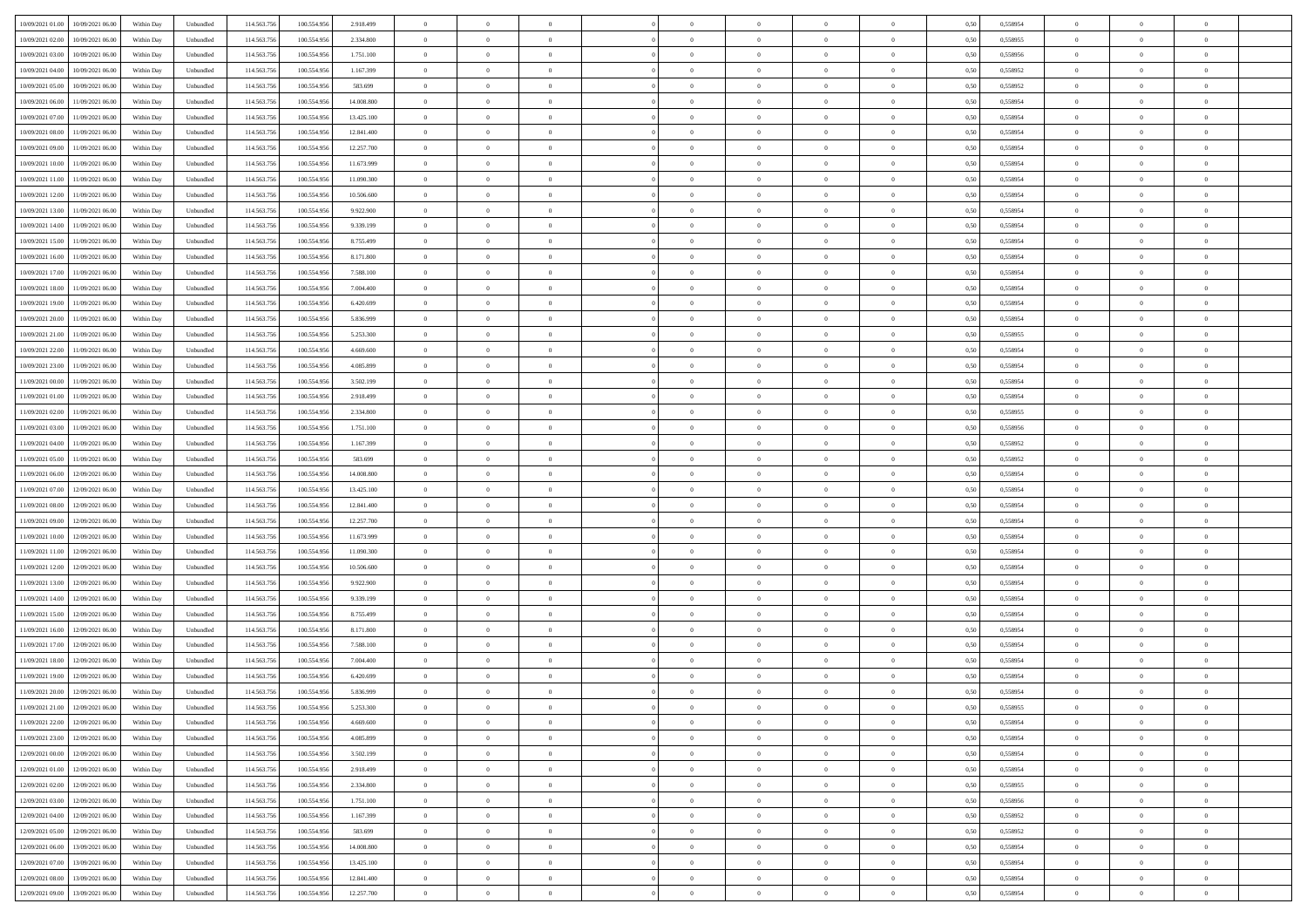| 10/09/2021 01:00<br>10/09/2021 06:00             | Within Day | Unbundled                   | 114.563.75  | 100.554.956 | 2.918.499  | $\overline{0}$ | $\overline{0}$ |                | $\overline{0}$ | $\theta$       |                | $\theta$       | 0,50 | 0,558954 | $\theta$       | $\theta$       | $\overline{0}$ |  |
|--------------------------------------------------|------------|-----------------------------|-------------|-------------|------------|----------------|----------------|----------------|----------------|----------------|----------------|----------------|------|----------|----------------|----------------|----------------|--|
| 10/09/2021 02:00<br>10/09/2021 06:00             | Within Day | Unbundled                   | 114.563.75  | 100.554.95  | 2.334.800  | $\bf{0}$       | $\bf{0}$       | $\bf{0}$       | $\bf{0}$       | $\overline{0}$ | $\overline{0}$ | $\bf{0}$       | 0,50 | 0,558955 | $\,$ 0 $\,$    | $\bf{0}$       | $\overline{0}$ |  |
| 10/09/2021 03:00<br>10/09/2021 06:00             | Within Day | Unbundled                   | 114,563,75  | 100.554.956 | 1.751.100  | $\overline{0}$ | $\bf{0}$       | $\overline{0}$ | $\bf{0}$       | $\bf{0}$       | $\overline{0}$ | $\bf{0}$       | 0.50 | 0.558956 | $\bf{0}$       | $\overline{0}$ | $\bf{0}$       |  |
| 10/09/2021 04:00<br>10/09/2021 06:00             |            |                             | 114.563.75  |             |            | $\overline{0}$ | $\overline{0}$ | $\overline{0}$ | $\theta$       | $\theta$       | $\overline{0}$ |                |      |          | $\theta$       | $\theta$       | $\overline{0}$ |  |
|                                                  | Within Day | Unbundled                   |             | 100.554.956 | 1.167.399  |                |                |                |                |                |                | $\bf{0}$       | 0,50 | 0,558952 |                |                |                |  |
| 10/09/2021 05:00<br>10/09/2021 06:00             | Within Day | Unbundled                   | 114.563.75  | 100.554.95  | 583.699    | $\bf{0}$       | $\overline{0}$ | $\bf{0}$       | $\overline{0}$ | $\theta$       | $\overline{0}$ | $\bf{0}$       | 0,50 | 0,558952 | $\,$ 0 $\,$    | $\bf{0}$       | $\overline{0}$ |  |
| 10/09/2021 06:00<br>11/09/2021 06:00             | Within Day | Unbundled                   | 114,563,75  | 100.554.95  | 14,008,800 | $\overline{0}$ | $\overline{0}$ | $\overline{0}$ | $\bf{0}$       | $\overline{0}$ | $\theta$       | $\bf{0}$       | 0.50 | 0.558954 | $\,$ 0 $\,$    | $\theta$       | $\overline{0}$ |  |
| 10/09/2021 07:00<br>11/09/2021 06:00             | Within Day | Unbundled                   | 114.563.75  | 100.554.956 | 13.425.100 | $\overline{0}$ | $\overline{0}$ | $\overline{0}$ | $\overline{0}$ | $\overline{0}$ | $\overline{0}$ | $\bf{0}$       | 0,50 | 0,558954 | $\theta$       | $\theta$       | $\overline{0}$ |  |
|                                                  |            |                             |             |             |            |                |                |                |                |                |                |                |      |          |                |                |                |  |
| 10/09/2021 08:00<br>11/09/2021 06:00             | Within Day | Unbundled                   | 114.563.75  | 100.554.95  | 12.841.400 | $\bf{0}$       | $\bf{0}$       | $\bf{0}$       | $\overline{0}$ | $\overline{0}$ | $\overline{0}$ | $\bf{0}$       | 0,50 | 0,558954 | $\,$ 0 $\,$    | $\bf{0}$       | $\overline{0}$ |  |
| 10/09/2021 09:00<br>11/09/2021 06:00             | Within Day | Unbundled                   | 114,563,75  | 100.554.95  | 12.257.700 | $\overline{0}$ | $\bf{0}$       | $\overline{0}$ | $\bf{0}$       | $\overline{0}$ | $\overline{0}$ | $\bf{0}$       | 0.50 | 0.558954 | $\bf{0}$       | $\overline{0}$ | $\overline{0}$ |  |
| 10/09/2021 10:00<br>11/09/2021 06:00             | Within Day | Unbundled                   | 114.563.75  | 100.554.956 | 11.673.999 | $\bf{0}$       | $\bf{0}$       | $\overline{0}$ | $\overline{0}$ | $\overline{0}$ | $\overline{0}$ | $\bf{0}$       | 0,50 | 0,558954 | $\,$ 0 $\,$    | $\bf{0}$       | $\overline{0}$ |  |
| 10/09/2021 11:00<br>11/09/2021 06:00             | Within Day | Unbundled                   | 114.563.75  | 100.554.95  | 11.090.300 | $\bf{0}$       | $\bf{0}$       | $\bf{0}$       | $\bf{0}$       | $\overline{0}$ | $\overline{0}$ | $\bf{0}$       | 0,50 | 0,558954 | $\,$ 0 $\,$    | $\bf{0}$       | $\overline{0}$ |  |
|                                                  |            |                             |             |             |            |                |                |                |                |                |                |                |      |          |                |                |                |  |
| 10/09/2021 12:00<br>11/09/2021 06:00             | Within Day | Unbundled                   | 114,563,75  | 100.554.956 | 10,506,600 | $\overline{0}$ | $\bf{0}$       | $\overline{0}$ | $\overline{0}$ | $\bf{0}$       | $\overline{0}$ | $\bf{0}$       | 0.50 | 0.558954 | $\bf{0}$       | $\overline{0}$ | $\,$ 0         |  |
| 10/09/2021 13:00<br>11/09/2021 06:00             | Within Day | Unbundled                   | 114.563.75  | 100.554.956 | 9.922.900  | $\overline{0}$ | $\overline{0}$ | $\overline{0}$ | $\theta$       | $\theta$       | $\overline{0}$ | $\bf{0}$       | 0,50 | 0,558954 | $\,$ 0 $\,$    | $\theta$       | $\overline{0}$ |  |
| 10/09/2021 14:00<br>11/09/2021 06:00             | Within Day | Unbundled                   | 114.563.75  | 100.554.95  | 9.339.199  | $\bf{0}$       | $\overline{0}$ | $\bf{0}$       | $\bf{0}$       | $\bf{0}$       | $\overline{0}$ | $\bf{0}$       | 0,50 | 0,558954 | $\,$ 0 $\,$    | $\bf{0}$       | $\overline{0}$ |  |
|                                                  |            |                             |             |             |            |                |                |                |                |                | $\theta$       |                |      |          |                |                |                |  |
| 10/09/2021 15:00<br>11/09/2021 06:00             | Within Day | Unbundled                   | 114,563,75  | 100.554.956 | 8,755,499  | $\overline{0}$ | $\bf{0}$       | $\overline{0}$ | $\bf{0}$       | $\overline{0}$ |                | $\bf{0}$       | 0.50 | 0.558954 | $\,$ 0 $\,$    | $\theta$       | $\overline{0}$ |  |
| 10/09/2021 16:00<br>11/09/2021 06:00             | Within Day | Unbundled                   | 114.563.75  | 100.554.956 | 8.171.800  | $\overline{0}$ | $\overline{0}$ | $\overline{0}$ | $\overline{0}$ | $\overline{0}$ | $\overline{0}$ | $\bf{0}$       | 0,50 | 0,558954 | $\theta$       | $\theta$       | $\overline{0}$ |  |
| 10/09/2021 17:00<br>11/09/2021 06:00             | Within Day | Unbundled                   | 114.563.75  | 100.554.95  | 7.588.100  | $\bf{0}$       | $\bf{0}$       | $\bf{0}$       | $\overline{0}$ | $\bf{0}$       | $\overline{0}$ | $\bf{0}$       | 0,50 | 0,558954 | $\,$ 0 $\,$    | $\bf{0}$       | $\overline{0}$ |  |
| 10/09/2021 18:00<br>11/09/2021 06:00             | Within Day | Unbundled                   | 114,563,75  | 100.554.95  | 7.004.400  | $\overline{0}$ | $\bf{0}$       | $\overline{0}$ | $\bf{0}$       | $\overline{0}$ | $\overline{0}$ | $\bf{0}$       | 0.50 | 0.558954 | $\bf{0}$       | $\overline{0}$ | $\bf{0}$       |  |
| 10/09/2021 19:00<br>11/09/2021 06:00             | Within Day | Unbundled                   | 114.563.75  | 100.554.956 | 6.420.699  | $\overline{0}$ | $\bf{0}$       | $\overline{0}$ | $\overline{0}$ | $\overline{0}$ | $\overline{0}$ | $\bf{0}$       | 0,50 | 0,558954 | $\,$ 0 $\,$    | $\bf{0}$       | $\overline{0}$ |  |
|                                                  |            |                             |             |             |            |                |                |                |                |                |                |                |      |          |                |                |                |  |
| 10/09/2021 20:00<br>11/09/2021 06:00             | Within Day | Unbundled                   | 114.563.75  | 100.554.95  | 5.836.999  | $\bf{0}$       | $\bf{0}$       | $\bf{0}$       | $\bf{0}$       | $\overline{0}$ | $\overline{0}$ | $\bf{0}$       | 0,50 | 0,558954 | $\,$ 0 $\,$    | $\bf{0}$       | $\overline{0}$ |  |
| 10/09/2021 21:00<br>11/09/2021 06:00             | Within Day | Unbundled                   | 114,563,75  | 100.554.956 | 5.253.300  | $\overline{0}$ | $\bf{0}$       | $\overline{0}$ | $\overline{0}$ | $\bf{0}$       | $\overline{0}$ | $\bf{0}$       | 0.50 | 0.558955 | $\bf{0}$       | $\overline{0}$ | $\,$ 0         |  |
| 10/09/2021 22:00<br>11/09/2021 06:00             | Within Day | Unbundled                   | 114.563.75  | 100.554.956 | 4.669.600  | $\overline{0}$ | $\overline{0}$ | $\overline{0}$ | $\theta$       | $\theta$       | $\overline{0}$ | $\bf{0}$       | 0,50 | 0,558954 | $\theta$       | $\theta$       | $\overline{0}$ |  |
|                                                  |            |                             |             |             |            |                | $\bf{0}$       |                |                | $\overline{0}$ | $\overline{0}$ |                |      |          | $\,$ 0 $\,$    | $\bf{0}$       | $\overline{0}$ |  |
| 10/09/2021 23:00<br>11/09/2021 06:00             | Within Day | Unbundled                   | 114.563.75  | 100.554.95  | 4.085.899  | $\bf{0}$       |                | $\bf{0}$       | $\bf{0}$       |                |                | $\bf{0}$       | 0,50 | 0,558954 |                |                |                |  |
| 11/09/2021 00:00<br>11/09/2021 06:00             | Within Day | Unbundled                   | 114,563,75  | 100.554.95  | 3.502.199  | $\overline{0}$ | $\bf{0}$       | $\overline{0}$ | $\bf{0}$       | $\overline{0}$ | $\theta$       | $\bf{0}$       | 0.50 | 0.558954 | $\,$ 0 $\,$    | $\theta$       | $\overline{0}$ |  |
| 11/09/2021 01:00<br>11/09/2021 06:00             | Within Day | Unbundled                   | 114.563.75  | 100.554.956 | 2.918.499  | $\overline{0}$ | $\overline{0}$ | $\overline{0}$ | $\overline{0}$ | $\overline{0}$ | $\overline{0}$ | $\bf{0}$       | 0,50 | 0,558954 | $\,$ 0 $\,$    | $\theta$       | $\overline{0}$ |  |
| 11/09/2021 02:00<br>11/09/2021 06:00             | Within Day | Unbundled                   | 114.563.75  | 100.554.95  | 2.334.800  | $\bf{0}$       | $\overline{0}$ | $\bf{0}$       | $\overline{0}$ | $\bf{0}$       | $\overline{0}$ | $\bf{0}$       | 0,50 | 0,558955 | $\,$ 0 $\,$    | $\bf{0}$       | $\overline{0}$ |  |
| 11/09/2021 03:00<br>11/09/2021 06:00             | Within Day | Unbundled                   | 114,563,75  | 100.554.956 | 1.751.100  | $\overline{0}$ | $\bf{0}$       | $\overline{0}$ | $\bf{0}$       | $\overline{0}$ | $\overline{0}$ | $\bf{0}$       | 0.50 | 0.558956 | $\bf{0}$       | $\overline{0}$ | $\overline{0}$ |  |
|                                                  |            |                             |             |             |            |                |                |                |                |                |                |                |      |          |                |                |                |  |
| 11/09/2021 04:00<br>11/09/2021 06:00             | Within Day | Unbundled                   | 114.563.75  | 100.554.956 | 1.167.399  | $\overline{0}$ | $\bf{0}$       | $\overline{0}$ | $\overline{0}$ | $\overline{0}$ | $\overline{0}$ | $\bf{0}$       | 0,50 | 0,558952 | $\theta$       | $\theta$       | $\overline{0}$ |  |
| 11/09/2021 05:00<br>11/09/2021 06:00             | Within Day | Unbundled                   | 114.563.75  | 100.554.956 | 583.699    | $\bf{0}$       | $\bf{0}$       | $\bf{0}$       | $\bf{0}$       | $\overline{0}$ | $\overline{0}$ | $\bf{0}$       | 0,50 | 0,558952 | $\,$ 0 $\,$    | $\bf{0}$       | $\overline{0}$ |  |
| 11/09/2021 06:00<br>12/09/2021 06:00             | Within Day | Unbundled                   | 114,563,75  | 100.554.956 | 14,008,800 | $\overline{0}$ | $\bf{0}$       | $\overline{0}$ | $\overline{0}$ | $\bf{0}$       | $\overline{0}$ | $\bf{0}$       | 0.50 | 0.558954 | $\bf{0}$       | $\overline{0}$ | $\,$ 0         |  |
| 11/09/2021 07:00<br>12/09/2021 06:00             | Within Day | Unbundled                   | 114.563.75  | 100,554,956 | 13.425.100 | $\overline{0}$ | $\overline{0}$ | $\overline{0}$ | $\overline{0}$ | $\overline{0}$ | $\overline{0}$ | $\bf{0}$       | 0.50 | 0.558954 | $\theta$       | $\theta$       | $\overline{0}$ |  |
|                                                  |            |                             |             |             |            |                |                |                |                |                |                |                |      |          |                |                |                |  |
| 11/09/2021 08:00<br>12/09/2021 06:00             | Within Day | Unbundled                   | 114.563.75  | 100.554.95  | 12.841.400 | $\bf{0}$       | $\overline{0}$ | $\bf{0}$       | $\bf{0}$       | $\overline{0}$ | $\overline{0}$ | $\bf{0}$       | 0,50 | 0,558954 | $\,$ 0 $\,$    | $\bf{0}$       | $\overline{0}$ |  |
| 11/09/2021 09:00<br>12/09/2021 06:00             | Within Day | Unbundled                   | 114,563,75  | 100.554.95  | 12.257.700 | $\overline{0}$ | $\bf{0}$       | $\overline{0}$ | $\bf{0}$       | $\overline{0}$ | $\overline{0}$ | $\bf{0}$       | 0.50 | 0.558954 | $\,$ 0 $\,$    | $\bf{0}$       | $\overline{0}$ |  |
| 11/09/2021 10:00<br>12/09/2021 06:00             | Within Dav | Unbundled                   | 114.563.75  | 100.554.956 | 11.673.999 | $\overline{0}$ | $\overline{0}$ | $\overline{0}$ | $\overline{0}$ | $\overline{0}$ | $\overline{0}$ | $\bf{0}$       | 0.5( | 0,558954 | $\theta$       | $\theta$       | $\overline{0}$ |  |
| 11/09/2021 11:00<br>12/09/2021 06:00             | Within Day | Unbundled                   | 114.563.75  | 100.554.95  | 11.090.300 | $\bf{0}$       | $\bf{0}$       | $\bf{0}$       | $\bf{0}$       | $\overline{0}$ | $\overline{0}$ | $\bf{0}$       | 0,50 | 0,558954 | $\,$ 0 $\,$    | $\bf{0}$       | $\overline{0}$ |  |
| 12/09/2021 06:00                                 |            | Unbundled                   | 114,563,75  | 100.554.95  | 10,506,600 |                | $\bf{0}$       | $\overline{0}$ |                | $\overline{0}$ | $\overline{0}$ |                | 0.50 | 0.558954 | $\bf{0}$       | $\overline{0}$ | $\overline{0}$ |  |
| 11/09/2021 12:00                                 | Within Day |                             |             |             |            | $\overline{0}$ |                |                | $\bf{0}$       |                |                | $\bf{0}$       |      |          |                |                |                |  |
| 11/09/2021 13:00<br>12/09/2021 06:00             | Within Dav | Unbundled                   | 114.563.75  | 100,554,956 | 9.922.900  | $\overline{0}$ | $\overline{0}$ | $\overline{0}$ | $\overline{0}$ | $\overline{0}$ | $\overline{0}$ | $\bf{0}$       | 0.50 | 0,558954 | $\theta$       | $\theta$       | $\overline{0}$ |  |
| 11/09/2021 14:00<br>12/09/2021 06:00             | Within Day | Unbundled                   | 114.563.75  | 100.554.95  | 9.339.199  | $\bf{0}$       | $\bf{0}$       | $\bf{0}$       | $\bf{0}$       | $\overline{0}$ | $\overline{0}$ | $\bf{0}$       | 0,50 | 0,558954 | $\,$ 0 $\,$    | $\bf{0}$       | $\overline{0}$ |  |
| 11/09/2021 15:00<br>12/09/2021 06:00             | Within Day | Unbundled                   | 114,563,75  | 100.554.956 | 8,755,499  | $\overline{0}$ | $\bf{0}$       | $\overline{0}$ | $\overline{0}$ | $\bf{0}$       | $\overline{0}$ | $\bf{0}$       | 0.50 | 0.558954 | $\bf{0}$       | $\overline{0}$ | $\,$ 0         |  |
| 11/09/2021 16:00<br>12/09/2021 06:00             | Within Dav | Unbundled                   | 114.563.75  | 100.554.956 | 8.171.800  | $\overline{0}$ | $\overline{0}$ | $\overline{0}$ | $\overline{0}$ | $\overline{0}$ | $\overline{0}$ | $\bf{0}$       | 0.50 | 0,558954 | $\theta$       | $\theta$       | $\overline{0}$ |  |
|                                                  |            |                             |             |             |            |                |                |                |                |                |                |                |      |          |                |                |                |  |
| 11/09/2021 17:00<br>12/09/2021 06:00             | Within Day | Unbundled                   | 114.563.75  | 100.554.95  | 7.588.100  | $\bf{0}$       | $\bf{0}$       | $\bf{0}$       | $\bf{0}$       | $\overline{0}$ | $\overline{0}$ | $\bf{0}$       | 0,50 | 0,558954 | $\,$ 0 $\,$    | $\bf{0}$       | $\overline{0}$ |  |
| 11/09/2021 18:00<br>12/09/2021 06:00             | Within Day | Unbundled                   | 114,563,75  | 100.554.95  | 7.004.400  | $\overline{0}$ | $\overline{0}$ | $\overline{0}$ | $\bf{0}$       | $\overline{0}$ | $\Omega$       | $\bf{0}$       | 0.50 | 0.558954 | $\bf{0}$       | $\theta$       | $\overline{0}$ |  |
| 11/09/2021 19:00<br>12/09/2021 06:00             | Within Dav | Unbundled                   | 114.563.75  | 100,554,956 | 6.420.699  | $\overline{0}$ | $\overline{0}$ | $\Omega$       | $\overline{0}$ | $\theta$       | $\overline{0}$ | $\overline{0}$ | 0.5( | 0,558954 | $\theta$       | $\theta$       | $\overline{0}$ |  |
| 11/09/2021 20:00<br>12/09/2021 06:00             | Within Day | Unbundled                   | 114.563.75  | 100.554.95  | 5.836.999  | $\bf{0}$       | $\bf{0}$       | $\bf{0}$       | $\bf{0}$       | $\bf{0}$       | $\overline{0}$ | $\bf{0}$       | 0,50 | 0,558954 | $\overline{0}$ | $\bf{0}$       | $\overline{0}$ |  |
|                                                  |            |                             |             |             |            |                |                |                |                |                |                |                |      |          |                |                |                |  |
| $11/09/2021\; 21.00 \quad \  12/09/2021\; 06.00$ | Within Day | $\ensuremath{\mathsf{Unb}}$ | 114.563.756 | 100.554.956 | 5.253.300  | $\bf{0}$       | $\theta$       |                | $\overline{0}$ |                |                |                | 0,50 | 0.558955 | $\bf{0}$       | $\overline{0}$ |                |  |
| 11/09/2021 22:00 12/09/2021 06:00                | Within Day | Unbundled                   | 114.563.756 | 100.554.956 | 4.669.600  | $\overline{0}$ | $\overline{0}$ | $\Omega$       | $\theta$       | $\overline{0}$ | $\overline{0}$ | $\bf{0}$       | 0,50 | 0,558954 | $\theta$       | $\theta$       | $\overline{0}$ |  |
| 11/09/2021 23:00<br>12/09/2021 06:00             | Within Day | Unbundled                   | 114.563.75  | 100.554.95  | 4.085.899  | $\overline{0}$ | $\bf{0}$       | $\overline{0}$ | $\overline{0}$ | $\bf{0}$       | $\overline{0}$ | $\bf{0}$       | 0,50 | 0,558954 | $\bf{0}$       | $\overline{0}$ | $\bf{0}$       |  |
| 12/09/2021 00:00 12/09/2021 06:00                | Within Day | Unbundled                   | 114,563,756 | 100.554.956 | 3.502.199  | $\overline{0}$ | $\bf{0}$       | $\overline{0}$ | $\overline{0}$ | $\mathbf{0}$   | $\overline{0}$ | $\,$ 0 $\,$    | 0.50 | 0.558954 | $\overline{0}$ | $\bf{0}$       | $\,$ 0 $\,$    |  |
|                                                  |            |                             |             |             |            |                |                |                |                |                |                |                |      |          |                |                |                |  |
| 12/09/2021 01:00 12/09/2021 06:00                | Within Day | Unbundled                   | 114.563.756 | 100.554.956 | 2.918.499  | $\overline{0}$ | $\overline{0}$ | $\overline{0}$ | $\overline{0}$ | $\overline{0}$ | $\overline{0}$ | $\bf{0}$       | 0,50 | 0,558954 | $\overline{0}$ | $\theta$       | $\overline{0}$ |  |
| 12/09/2021 02:00<br>12/09/2021 06:00             | Within Day | Unbundled                   | 114.563.75  | 100.554.956 | 2.334.800  | $\overline{0}$ | $\bf{0}$       | $\overline{0}$ | $\overline{0}$ | $\overline{0}$ | $\overline{0}$ | $\bf{0}$       | 0,50 | 0,558955 | $\bf{0}$       | $\overline{0}$ | $\overline{0}$ |  |
| 12/09/2021 03:00<br>12/09/2021 06:00             | Within Day | Unbundled                   | 114.563.756 | 100.554.956 | 1.751.100  | $\overline{0}$ | $\bf{0}$       | $\overline{0}$ | $\overline{0}$ | $\overline{0}$ | $\overline{0}$ | $\bf{0}$       | 0.50 | 0.558956 | $\,$ 0 $\,$    | $\overline{0}$ | $\overline{0}$ |  |
| 12/09/2021 04:00<br>12/09/2021 06:00             | Within Dav | Unbundled                   | 114.563.756 | 100.554.956 | 1.167.399  | $\overline{0}$ | $\overline{0}$ | $\overline{0}$ | $\overline{0}$ | $\overline{0}$ | $\overline{0}$ | $\bf{0}$       | 0.50 | 0,558952 | $\overline{0}$ | $\theta$       | $\overline{0}$ |  |
|                                                  |            |                             |             |             |            |                |                |                |                |                |                |                |      |          |                |                |                |  |
| 12/09/2021 05:00<br>12/09/2021 06:00             | Within Day | Unbundled                   | 114.563.75  | 100.554.956 | 583.699    | $\overline{0}$ | $\overline{0}$ | $\overline{0}$ | $\overline{0}$ | $\overline{0}$ | $\overline{0}$ | $\bf{0}$       | 0,50 | 0,558952 | $\bf{0}$       | $\overline{0}$ | $\,$ 0         |  |
| 13/09/2021 06:00<br>12/09/2021 06:00             | Within Day | Unbundled                   | 114.563.75  | 100.554.956 | 14,008,800 | $\overline{0}$ | $\overline{0}$ | $\overline{0}$ | $\overline{0}$ | $\bf{0}$       | $\overline{0}$ | $\bf{0}$       | 0.50 | 0.558954 | $\mathbf{0}$   | $\bf{0}$       | $\,$ 0         |  |
| 12/09/2021 07:00 13/09/2021 06:00                | Within Dav | Unbundled                   | 114.563.756 | 100.554.956 | 13.425.100 | $\overline{0}$ | $\overline{0}$ | $\overline{0}$ | $\overline{0}$ | $\overline{0}$ | $\overline{0}$ | $\bf{0}$       | 0,50 | 0,558954 | $\overline{0}$ | $\theta$       | $\overline{0}$ |  |
| 12/09/2021 08:00<br>13/09/2021 06:00             | Within Day | Unbundled                   | 114.563.75  | 100.554.95  | 12.841.400 | $\overline{0}$ | $\bf{0}$       | $\overline{0}$ | $\bf{0}$       | $\overline{0}$ | $\bf{0}$       | $\bf{0}$       | 0,50 | 0,558954 | $\bf{0}$       | $\,$ 0 $\,$    | $\bf{0}$       |  |
|                                                  |            |                             |             |             |            |                |                |                |                |                |                |                |      |          |                |                |                |  |
| 12/09/2021 09:00 13/09/2021 06:00                | Within Day | Unbundled                   | 114.563.756 | 100.554.956 | 12.257.700 | $\overline{0}$ | $\bf{0}$       | $\overline{0}$ | $\overline{0}$ | $\,$ 0 $\,$    | $\overline{0}$ | $\bf{0}$       | 0,50 | 0,558954 | $\overline{0}$ | $\,$ 0 $\,$    | $\,$ 0 $\,$    |  |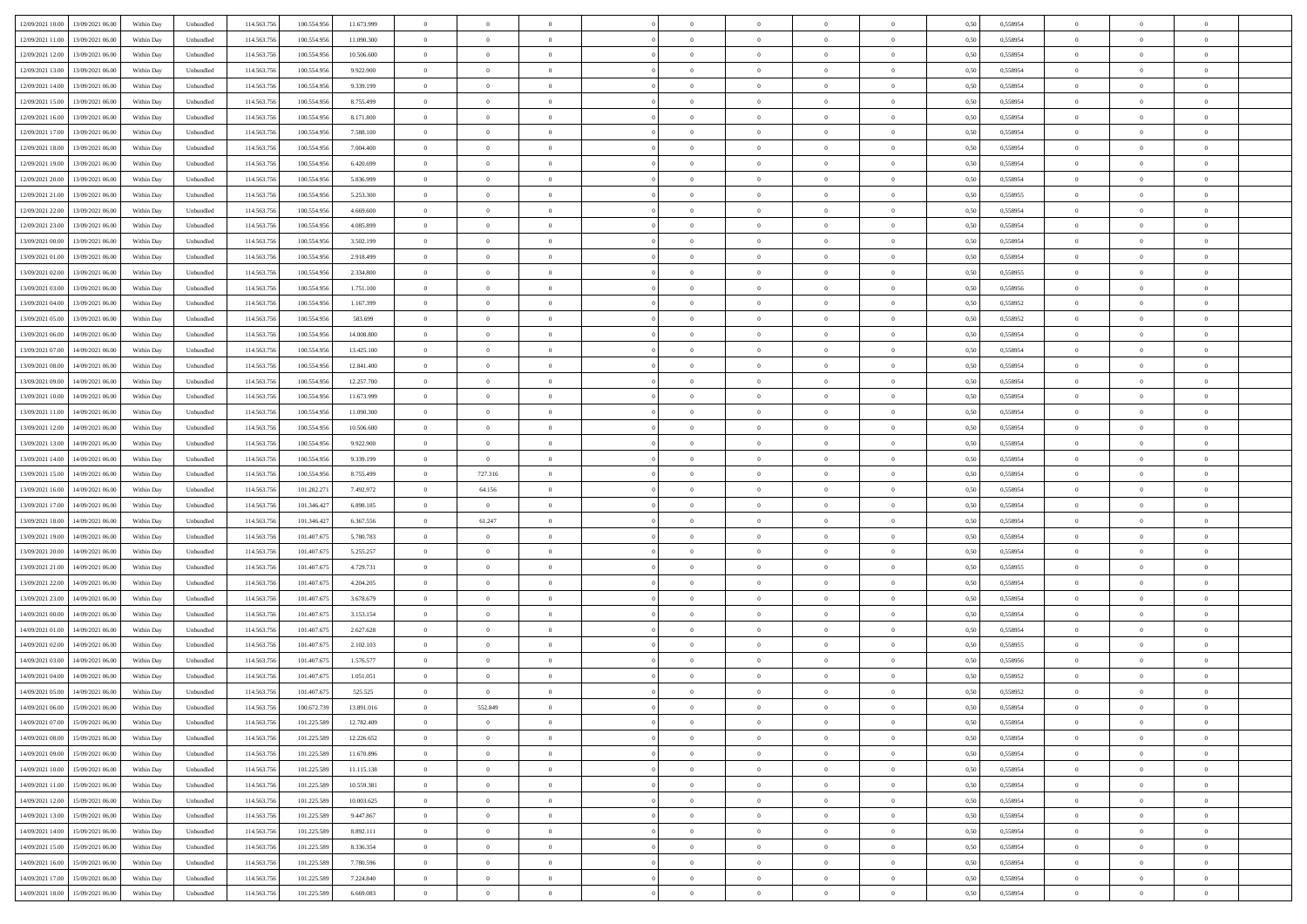| 12/09/2021 10:00<br>13/09/2021 06:00           | Within Day | Unbundled | 114.563.756 | 100.554.956 | 11.673.999 | $\overline{0}$ | $\overline{0}$ | $\overline{0}$ | $\theta$       | $\theta$       |                | $\overline{0}$ | 0,50 | 0,558954 | $\theta$       | $\theta$       | $\theta$       |  |
|------------------------------------------------|------------|-----------|-------------|-------------|------------|----------------|----------------|----------------|----------------|----------------|----------------|----------------|------|----------|----------------|----------------|----------------|--|
|                                                |            |           |             |             |            |                |                |                |                |                |                |                |      |          |                |                |                |  |
| 12/09/2021 11:00<br>13/09/2021 06.00           | Within Day | Unbundled | 114.563.75  | 100.554.956 | 11.090.300 | $\overline{0}$ | $\overline{0}$ | $\overline{0}$ | $\,$ 0 $\,$    | $\bf{0}$       | $\overline{0}$ | $\mathbf{0}$   | 0,50 | 0,558954 | $\,$ 0 $\,$    | $\bf{0}$       | $\overline{0}$ |  |
| 12/09/2021 12:00<br>13/09/2021 06:00           | Within Day | Unbundled | 114,563,756 | 100.554.956 | 10,506,600 | $\overline{0}$ | $\overline{0}$ | $\overline{0}$ | $\bf{0}$       | $\bf{0}$       | $\overline{0}$ | $\mathbf{0}$   | 0.50 | 0.558954 | $\bf{0}$       | $\overline{0}$ | $\bf{0}$       |  |
| 12/09/2021 13:00<br>13/09/2021 06:00           | Within Day | Unbundled | 114.563.756 | 100.554.956 | 9.922.900  | $\overline{0}$ | $\overline{0}$ | $\overline{0}$ | $\overline{0}$ | $\overline{0}$ | $\overline{0}$ | $\,$ 0 $\,$    | 0,50 | 0,558954 | $\theta$       | $\overline{0}$ | $\overline{0}$ |  |
| 12/09/2021 14:00<br>13/09/2021 06.00           | Within Day | Unbundled | 114.563.75  | 100.554.956 | 9.339.199  | $\overline{0}$ | $\overline{0}$ | $\overline{0}$ | $\bf{0}$       | $\overline{0}$ | $\overline{0}$ | $\bf{0}$       | 0,50 | 0,558954 | $\,$ 0 $\,$    | $\bf{0}$       | $\overline{0}$ |  |
| 12/09/2021 15:00<br>13/09/2021 06:00           | Within Day | Unbundled | 114,563,75  | 100,554,956 | 8,755,499  | $\overline{0}$ | $\overline{0}$ | $\overline{0}$ | $\bf{0}$       | $\bf{0}$       | $\overline{0}$ | $\mathbf{0}$   | 0.50 | 0.558954 | $\,$ 0 $\,$    | $\overline{0}$ | $\overline{0}$ |  |
| 12/09/2021 16:00<br>13/09/2021 06:00           | Within Day | Unbundled | 114.563.756 | 100.554.956 | 8.171.800  | $\overline{0}$ | $\overline{0}$ | $\overline{0}$ | $\overline{0}$ | $\overline{0}$ | $\overline{0}$ | $\bf{0}$       | 0,50 | 0,558954 | $\theta$       | $\theta$       | $\overline{0}$ |  |
| 12/09/2021 17:00<br>13/09/2021 06.00           | Within Day | Unbundled | 114.563.75  | 100.554.956 | 7.588.100  | $\overline{0}$ | $\overline{0}$ | $\overline{0}$ | $\,0\,$        | $\bf{0}$       | $\overline{0}$ | $\mathbf{0}$   | 0,50 | 0,558954 | $\,$ 0 $\,$    | $\bf{0}$       | $\overline{0}$ |  |
|                                                |            |           |             |             |            |                |                |                |                |                |                |                |      |          |                |                |                |  |
| 12/09/2021 18:00<br>13/09/2021 06:00           | Within Day | Unbundled | 114,563,756 | 100,554,956 | 7 004 400  | $\overline{0}$ | $\overline{0}$ | $\overline{0}$ | $\bf{0}$       | $\bf{0}$       | $\overline{0}$ | $\mathbf{0}$   | 0.50 | 0.558954 | $\bf{0}$       | $\overline{0}$ | $\bf{0}$       |  |
| 12/09/2021 19:00<br>13/09/2021 06:00           | Within Day | Unbundled | 114.563.756 | 100.554.956 | 6.420.699  | $\overline{0}$ | $\overline{0}$ | $\overline{0}$ | $\bf{0}$       | $\bf{0}$       | $\overline{0}$ | $\bf{0}$       | 0,50 | 0,558954 | $\,$ 0         | $\overline{0}$ | $\overline{0}$ |  |
| 12/09/2021 20.00<br>13/09/2021 06.00           | Within Day | Unbundled | 114.563.75  | 100.554.956 | 5.836.999  | $\overline{0}$ | $\overline{0}$ | $\overline{0}$ | $\,0\,$        | $\bf{0}$       | $\overline{0}$ | $\bf{0}$       | 0,50 | 0,558954 | $\,$ 0 $\,$    | $\bf{0}$       | $\overline{0}$ |  |
| 12/09/2021 21:00<br>13/09/2021 06:00           | Within Day | Unbundled | 114,563,756 | 100.554.956 | 5.253.300  | $\overline{0}$ | $\overline{0}$ | $\overline{0}$ | $\bf{0}$       | $\bf{0}$       | $\overline{0}$ | $\,$ 0 $\,$    | 0.50 | 0.558955 | $\bf{0}$       | $\overline{0}$ | $\,$ 0         |  |
| 12/09/2021 22.00<br>13/09/2021 06:00           | Within Day | Unbundled | 114.563.756 | 100.554.956 | 4.669.600  | $\overline{0}$ | $\overline{0}$ | $\overline{0}$ | $\overline{0}$ | $\overline{0}$ | $\overline{0}$ | $\,$ 0 $\,$    | 0,50 | 0,558954 | $\,$ 0 $\,$    | $\overline{0}$ | $\overline{0}$ |  |
| 12/09/2021 23.00<br>13/09/2021 06.00           | Within Day | Unbundled | 114.563.75  | 100.554.956 | 4.085.899  | $\overline{0}$ | $\overline{0}$ | $\overline{0}$ | $\bf{0}$       | $\bf{0}$       | $\overline{0}$ | $\bf{0}$       | 0,50 | 0,558954 | $\,$ 0 $\,$    | $\bf{0}$       | $\overline{0}$ |  |
| 13/09/2021 00:00<br>13/09/2021 06:00           | Within Day | Unbundled | 114,563,756 | 100,554,956 | 3.502.199  | $\overline{0}$ | $\overline{0}$ | $\overline{0}$ | $\bf{0}$       | $\bf{0}$       | $\overline{0}$ | $\mathbf{0}$   | 0.50 | 0.558954 | $\,$ 0 $\,$    | $\overline{0}$ | $\overline{0}$ |  |
|                                                |            |           |             |             |            |                |                |                |                |                |                |                |      |          |                |                |                |  |
| 13/09/2021 01:00<br>13/09/2021 06:00           | Within Day | Unbundled | 114.563.756 | 100.554.956 | 2.918.499  | $\overline{0}$ | $\overline{0}$ | $\overline{0}$ | $\bf{0}$       | $\overline{0}$ | $\overline{0}$ | $\bf{0}$       | 0,50 | 0,558954 | $\overline{0}$ | $\theta$       | $\overline{0}$ |  |
| 13/09/2021 02.00<br>13/09/2021 06.00           | Within Day | Unbundled | 114.563.75  | 100.554.956 | 2.334.800  | $\overline{0}$ | $\overline{0}$ | $\overline{0}$ | $\,0\,$        | $\bf{0}$       | $\overline{0}$ | $\bf{0}$       | 0,50 | 0,558955 | $\,$ 0 $\,$    | $\bf{0}$       | $\overline{0}$ |  |
| 13/09/2021 03:00<br>13/09/2021 06:00           | Within Day | Unbundled | 114,563,75  | 100,554,956 | 1.751.100  | $\overline{0}$ | $\overline{0}$ | $\overline{0}$ | $\bf{0}$       | $\bf{0}$       | $\overline{0}$ | $\mathbf{0}$   | 0.50 | 0.558956 | $\bf{0}$       | $\overline{0}$ | $\,$ 0         |  |
| 13/09/2021 04:00<br>13/09/2021 06:00           | Within Day | Unbundled | 114.563.756 | 100.554.956 | 1.167.399  | $\overline{0}$ | $\overline{0}$ | $\overline{0}$ | $\bf{0}$       | $\overline{0}$ | $\overline{0}$ | $\bf{0}$       | 0,50 | 0,558952 | $\,$ 0 $\,$    | $\overline{0}$ | $\overline{0}$ |  |
| 13/09/2021 05:00<br>13/09/2021 06.00           | Within Day | Unbundled | 114.563.75  | 100.554.956 | 583.699    | $\overline{0}$ | $\overline{0}$ | $\overline{0}$ | $\overline{0}$ | $\bf{0}$       | $\overline{0}$ | $\mathbf{0}$   | 0,50 | 0,558952 | $\,$ 0 $\,$    | $\bf{0}$       | $\overline{0}$ |  |
| 13/09/2021 06:00<br>14/09/2021 06:00           | Within Day | Unbundled | 114,563,756 | 100.554.956 | 14,008,800 | $\overline{0}$ | $\overline{0}$ | $\overline{0}$ | $\bf{0}$       | $\overline{0}$ | $\overline{0}$ | $\,$ 0 $\,$    | 0.50 | 0.558954 | $\bf{0}$       | $\overline{0}$ | $\,$ 0         |  |
| 13/09/2021 07.00<br>14/09/2021 06:00           | Within Day | Unbundled | 114.563.756 | 100.554.956 | 13.425.100 | $\overline{0}$ | $\overline{0}$ | $\overline{0}$ | $\overline{0}$ | $\overline{0}$ | $\overline{0}$ | $\,$ 0 $\,$    | 0,50 | 0,558954 | $\theta$       | $\overline{0}$ | $\overline{0}$ |  |
|                                                |            |           |             |             |            |                |                |                |                |                |                |                |      |          |                |                |                |  |
| 13/09/2021 08:00<br>14/09/2021 06.00           | Within Day | Unbundled | 114.563.75  | 100.554.956 | 12.841.400 | $\overline{0}$ | $\overline{0}$ | $\overline{0}$ | $\overline{0}$ | $\bf{0}$       | $\overline{0}$ | $\bf{0}$       | 0,50 | 0,558954 | $\,$ 0 $\,$    | $\bf{0}$       | $\overline{0}$ |  |
| 13/09/2021 09:00<br>14/09/2021 06:00           | Within Day | Unbundled | 114,563,75  | 100,554,956 | 12.257.700 | $\overline{0}$ | $\overline{0}$ | $\overline{0}$ | $\bf{0}$       | $\bf{0}$       | $\overline{0}$ | $\mathbf{0}$   | 0.50 | 0.558954 | $\,$ 0 $\,$    | $\overline{0}$ | $\overline{0}$ |  |
| 13/09/2021 10:00<br>14/09/2021 06.00           | Within Day | Unbundled | 114.563.756 | 100.554.956 | 11.673.999 | $\overline{0}$ | $\overline{0}$ | $\overline{0}$ | $\bf{0}$       | $\overline{0}$ | $\overline{0}$ | $\bf{0}$       | 0,50 | 0,558954 | $\,$ 0 $\,$    | $\theta$       | $\overline{0}$ |  |
| 13/09/2021 11:00<br>14/09/2021 06.00           | Within Day | Unbundled | 114.563.75  | 100.554.956 | 11.090.300 | $\overline{0}$ | $\overline{0}$ | $\overline{0}$ | $\,0\,$        | $\bf{0}$       | $\overline{0}$ | $\bf{0}$       | 0,50 | 0,558954 | $\,$ 0 $\,$    | $\bf{0}$       | $\overline{0}$ |  |
| 13/09/2021 12:00<br>14/09/2021 06:00           | Within Day | Unbundled | 114,563,756 | 100,554,956 | 10.506.600 | $\overline{0}$ | $\overline{0}$ | $\overline{0}$ | $\bf{0}$       | $\bf{0}$       | $\overline{0}$ | $\mathbf{0}$   | 0.50 | 0.558954 | $\bf{0}$       | $\overline{0}$ | $\bf{0}$       |  |
| 13/09/2021 13:00<br>14/09/2021 06:00           | Within Day | Unbundled | 114.563.756 | 100.554.956 | 9.922.900  | $\overline{0}$ | $\overline{0}$ | $\overline{0}$ | $\bf{0}$       | $\overline{0}$ | $\overline{0}$ | $\bf{0}$       | 0,50 | 0,558954 | $\overline{0}$ | $\overline{0}$ | $\overline{0}$ |  |
|                                                |            |           |             |             |            |                |                |                | $\overline{0}$ | $\bf{0}$       | $\overline{0}$ |                |      |          | $\overline{0}$ | $\bf{0}$       | $\overline{0}$ |  |
| 13/09/2021 14:00<br>14/09/2021 06.00           | Within Day | Unbundled | 114.563.75  | 100.554.956 | 9.339.199  | $\overline{0}$ | $\overline{0}$ | $\overline{0}$ |                |                |                | $\mathbf{0}$   | 0,50 | 0,558954 |                |                |                |  |
| 13/09/2021 15:00<br>14/09/2021 06:00           | Within Day | Unbundled | 114,563,756 | 100,554,956 | 8,755,499  | $\overline{0}$ | 727.316        | $\overline{0}$ | $\bf{0}$       | $\overline{0}$ | $\overline{0}$ | $\,$ 0 $\,$    | 0.50 | 0.558954 | $\bf{0}$       | $\overline{0}$ | $\,$ 0         |  |
| 13/09/2021 16:00<br>14/09/2021 06:00           | Within Day | Unbundled | 114.563.756 | 101.282.271 | 7.492.972  | $\overline{0}$ | 64.156         | $\overline{0}$ | $\overline{0}$ | $\overline{0}$ | $\overline{0}$ | $\overline{0}$ | 0.50 | 0,558954 | $\theta$       | $\overline{0}$ | $\overline{0}$ |  |
| 13/09/2021 17:00<br>14/09/2021 06.00           | Within Day | Unbundled | 114.563.75  | 101.346.427 | 6.898.185  | $\overline{0}$ | $\overline{0}$ | $\overline{0}$ | $\,0\,$        | $\bf{0}$       | $\overline{0}$ | $\bf{0}$       | 0,50 | 0,558954 | $\,$ 0 $\,$    | $\bf{0}$       | $\overline{0}$ |  |
| 13/09/2021 18:00<br>14/09/2021 06:00           | Within Day | Unbundled | 114,563,756 | 101.346.427 | 6.367.556  | $\overline{0}$ | 61.247         | $\overline{0}$ | $\bf{0}$       | $\bf{0}$       | $\overline{0}$ | $\mathbf{0}$   | 0.50 | 0.558954 | $\,$ 0 $\,$    | $\bf{0}$       | $\overline{0}$ |  |
| 13/09/2021 19:00<br>14/09/2021 06:00           | Within Dav | Unbundled | 114.563.756 | 101.407.675 | 5.780.783  | $\overline{0}$ | $\overline{0}$ | $\overline{0}$ | $\overline{0}$ | $\overline{0}$ | $\overline{0}$ | $\overline{0}$ | 0.50 | 0,558954 | $\theta$       | $\theta$       | $\overline{0}$ |  |
| 13/09/2021 20.00<br>14/09/2021 06.00           | Within Day | Unbundled | 114.563.75  | 101.407.675 | 5.255.257  | $\overline{0}$ | $\overline{0}$ | $\overline{0}$ | $\overline{0}$ | $\bf{0}$       | $\overline{0}$ | $\bf{0}$       | 0,50 | 0,558954 | $\,$ 0 $\,$    | $\bf{0}$       | $\overline{0}$ |  |
| 13/09/2021 21:00<br>14/09/2021 06:00           | Within Day | Unbundled | 114,563,75  | 101.407.675 | 4.729.731  | $\overline{0}$ | $\overline{0}$ | $\overline{0}$ | $\bf{0}$       | $\bf{0}$       | $\overline{0}$ | $\mathbf{0}$   | 0.50 | 0.558955 | $\bf{0}$       | $\overline{0}$ | $\bf{0}$       |  |
| 13/09/2021 22:00<br>14/09/2021 06:00           | Within Day | Unbundled | 114.563.756 | 101.407.675 | 4.204.205  | $\overline{0}$ | $\overline{0}$ | $\overline{0}$ | $\overline{0}$ | $\overline{0}$ | $\overline{0}$ | $\mathbf{0}$   | 0.50 | 0,558954 | $\overline{0}$ | $\overline{0}$ | $\overline{0}$ |  |
|                                                |            |           |             |             |            |                |                |                |                |                |                |                |      |          |                |                |                |  |
| 13/09/2021 23.00<br>14/09/2021 06.00           | Within Day | Unbundled | 114.563.75  | 101.407.675 | 3.678.679  | $\overline{0}$ | $\overline{0}$ | $\overline{0}$ | $\overline{0}$ | $\bf{0}$       | $\overline{0}$ | $\mathbf{0}$   | 0,50 | 0,558954 | $\overline{0}$ | $\bf{0}$       | $\overline{0}$ |  |
| 14/09/2021 00:00<br>14/09/2021 06:00           | Within Day | Unbundled | 114,563,756 | 101.407.675 | 3.153.154  | $\overline{0}$ | $\overline{0}$ | $\overline{0}$ | $\bf{0}$       | $\overline{0}$ | $\overline{0}$ | $\mathbf{0}$   | 0.50 | 0.558954 | $\bf{0}$       | $\overline{0}$ | $\,$ 0         |  |
| 14/09/2021 01:00<br>14/09/2021 06:00           | Within Day | Unbundled | 114.563.756 | 101.407.675 | 2.627.628  | $\overline{0}$ | $\overline{0}$ | $\overline{0}$ | $\overline{0}$ | $\overline{0}$ | $\overline{0}$ | $\overline{0}$ | 0.50 | 0,558954 | $\theta$       | $\theta$       | $\overline{0}$ |  |
| 14/09/2021 02.00<br>14/09/2021 06.00           | Within Day | Unbundled | 114.563.75  | 101.407.675 | 2.102.103  | $\overline{0}$ | $\overline{0}$ | $\overline{0}$ | $\overline{0}$ | $\bf{0}$       | $\overline{0}$ | $\bf{0}$       | 0,50 | 0,558955 | $\,$ 0 $\,$    | $\bf{0}$       | $\overline{0}$ |  |
| 14/09/2021 03:00<br>14/09/2021 06:00           | Within Day | Unbundled | 114,563,75  | 101.407.675 | 1.576.577  | $\overline{0}$ | $\overline{0}$ | $\overline{0}$ | $\bf{0}$       | $\bf{0}$       | $\overline{0}$ | $\mathbf{0}$   | 0.50 | 0.558956 | $\,$ 0 $\,$    | $\theta$       | $\overline{0}$ |  |
| 14/09/2021 04:00<br>14/09/2021 06:00           | Within Day | Unbundled | 114.563.756 | 101.407.675 | 1.051.051  | $\overline{0}$ | $\overline{0}$ | $\overline{0}$ | $\overline{0}$ | $\overline{0}$ | $\Omega$       | $\overline{0}$ | 0.50 | 0,558952 | $\theta$       | $\theta$       | $\overline{0}$ |  |
| 14/09/2021 05:00<br>14/09/2021 06.00           | Within Day | Unbundled | 114.563.756 | 101.407.675 | 525.525    | $\overline{0}$ | $\overline{0}$ | $\overline{0}$ | $\overline{0}$ | $\bf{0}$       | $\overline{0}$ | $\mathbf{0}$   | 0,50 | 0,558952 | $\overline{0}$ | $\overline{0}$ | $\overline{0}$ |  |
|                                                |            |           |             |             | 13.891.016 |                |                |                |                |                |                |                |      | 0.558954 |                |                |                |  |
| $14/09/2021\; 06.00 \qquad 15/09/2021\; 06.00$ | Within Day | Unbundled | 114.563.756 | 100.672.739 |            | $\bf{0}$       | 552.849        |                | $\bf{0}$       |                |                |                | 0,50 |          | $\theta$       | $\overline{0}$ |                |  |
| 14/09/2021 07:00 15/09/2021 06:00              | Within Day | Unbundled | 114.563.756 | 101.225.589 | 12.782.409 | $\overline{0}$ | $\overline{0}$ | $\overline{0}$ | $\overline{0}$ | $\overline{0}$ | $\overline{0}$ | $\overline{0}$ | 0,50 | 0,558954 | $\theta$       | $\theta$       | $\overline{0}$ |  |
| 14/09/2021 08:00<br>15/09/2021 06:00           | Within Day | Unbundled | 114.563.756 | 101.225.589 | 12.226.652 | $\overline{0}$ | $\overline{0}$ | $\overline{0}$ | $\bf{0}$       | $\overline{0}$ | $\overline{0}$ | $\mathbf{0}$   | 0,50 | 0,558954 | $\overline{0}$ | $\overline{0}$ | $\bf{0}$       |  |
| 15/09/2021 06:00<br>14/09/2021 09:00           | Within Day | Unbundled | 114.563.756 | 101.225.589 | 11.670.896 | $\overline{0}$ | $\overline{0}$ | $\overline{0}$ | $\,$ 0 $\,$    | $\bf{0}$       | $\overline{0}$ | $\mathbf{0}$   | 0.50 | 0.558954 | $\overline{0}$ | $\bf{0}$       | $\bf{0}$       |  |
| 14/09/2021 10:00<br>15/09/2021 06:00           | Within Dav | Unbundled | 114.563.756 | 101.225.589 | 11.115.138 | $\overline{0}$ | $\overline{0}$ | $\overline{0}$ | $\overline{0}$ | $\overline{0}$ | $\overline{0}$ | $\mathbf{0}$   | 0,50 | 0,558954 | $\overline{0}$ | $\theta$       | $\overline{0}$ |  |
| 14/09/2021 11:00<br>15/09/2021 06.00           | Within Day | Unbundled | 114.563.756 | 101.225.589 | 10.559.381 | $\overline{0}$ | $\overline{0}$ | $\overline{0}$ | $\bf{0}$       | $\bf{0}$       | $\overline{0}$ | $\mathbf{0}$   | 0,50 | 0,558954 | $\overline{0}$ | $\bf{0}$       | $\overline{0}$ |  |
| 14/09/2021 12:00<br>15/09/2021 06:00           | Within Day | Unbundled | 114.563.756 | 101.225.589 | 10.003.625 | $\overline{0}$ | $\overline{0}$ | $\overline{0}$ | $\bf{0}$       | $\overline{0}$ | $\overline{0}$ | $\mathbf{0}$   | 0.50 | 0.558954 | $\,$ 0 $\,$    | $\theta$       | $\overline{0}$ |  |
|                                                |            |           |             |             |            |                |                |                |                |                |                |                |      |          |                |                |                |  |
| 14/09/2021 13:00<br>15/09/2021 06:00           | Within Day | Unbundled | 114.563.756 | 101.225.589 | 9.447.867  | $\overline{0}$ | $\overline{0}$ | $\overline{0}$ | $\overline{0}$ | $\overline{0}$ | $\overline{0}$ | $\mathbf{0}$   | 0,50 | 0,558954 | $\overline{0}$ | $\theta$       | $\overline{0}$ |  |
| 14/09/2021 14:00<br>15/09/2021 06:00           | Within Day | Unbundled | 114.563.75  | 101.225.589 | 8.892.111  | $\overline{0}$ | $\overline{0}$ | $\overline{0}$ | $\bf{0}$       | $\overline{0}$ | $\overline{0}$ | $\,$ 0 $\,$    | 0,50 | 0,558954 | $\bf{0}$       | $\bf{0}$       | $\overline{0}$ |  |
| 14/09/2021 15:00<br>15/09/2021 06:00           | Within Day | Unbundled | 114.563.756 | 101.225.589 | 8.336.354  | $\overline{0}$ | $\overline{0}$ | $\overline{0}$ | $\bf{0}$       | $\bf{0}$       | $\overline{0}$ | $\,$ 0 $\,$    | 0.50 | 0.558954 | $\overline{0}$ | $\bf{0}$       | $\,$ 0         |  |
| 14/09/2021 16:00<br>15/09/2021 06:00           | Within Dav | Unbundled | 114.563.756 | 101.225.589 | 7.780.596  | $\overline{0}$ | $\overline{0}$ | $\overline{0}$ | $\overline{0}$ | $\overline{0}$ | $\overline{0}$ | $\mathbf{0}$   | 0,50 | 0,558954 | $\overline{0}$ | $\theta$       | $\overline{0}$ |  |
| 14/09/2021 17.00<br>15/09/2021 06.00           | Within Day | Unbundled | 114.563.756 | 101.225.589 | 7.224.840  | $\overline{0}$ | $\overline{0}$ | $\overline{0}$ | $\bf{0}$       | $\bf{0}$       | $\overline{0}$ | $\mathbf{0}$   | 0,50 | 0,558954 | $\bf{0}$       | $\bf{0}$       | $\bf{0}$       |  |
| 14/09/2021 18:00 15/09/2021 06:00              | Within Day | Unbundled | 114.563.756 | 101.225.589 | 6.669.083  | $\overline{0}$ | $\overline{0}$ | $\overline{0}$ | $\bf{0}$       | $\,$ 0         | $\overline{0}$ | $\,0\,$        | 0,50 | 0,558954 | $\overline{0}$ | $\,$ 0 $\,$    | $\,$ 0 $\,$    |  |
|                                                |            |           |             |             |            |                |                |                |                |                |                |                |      |          |                |                |                |  |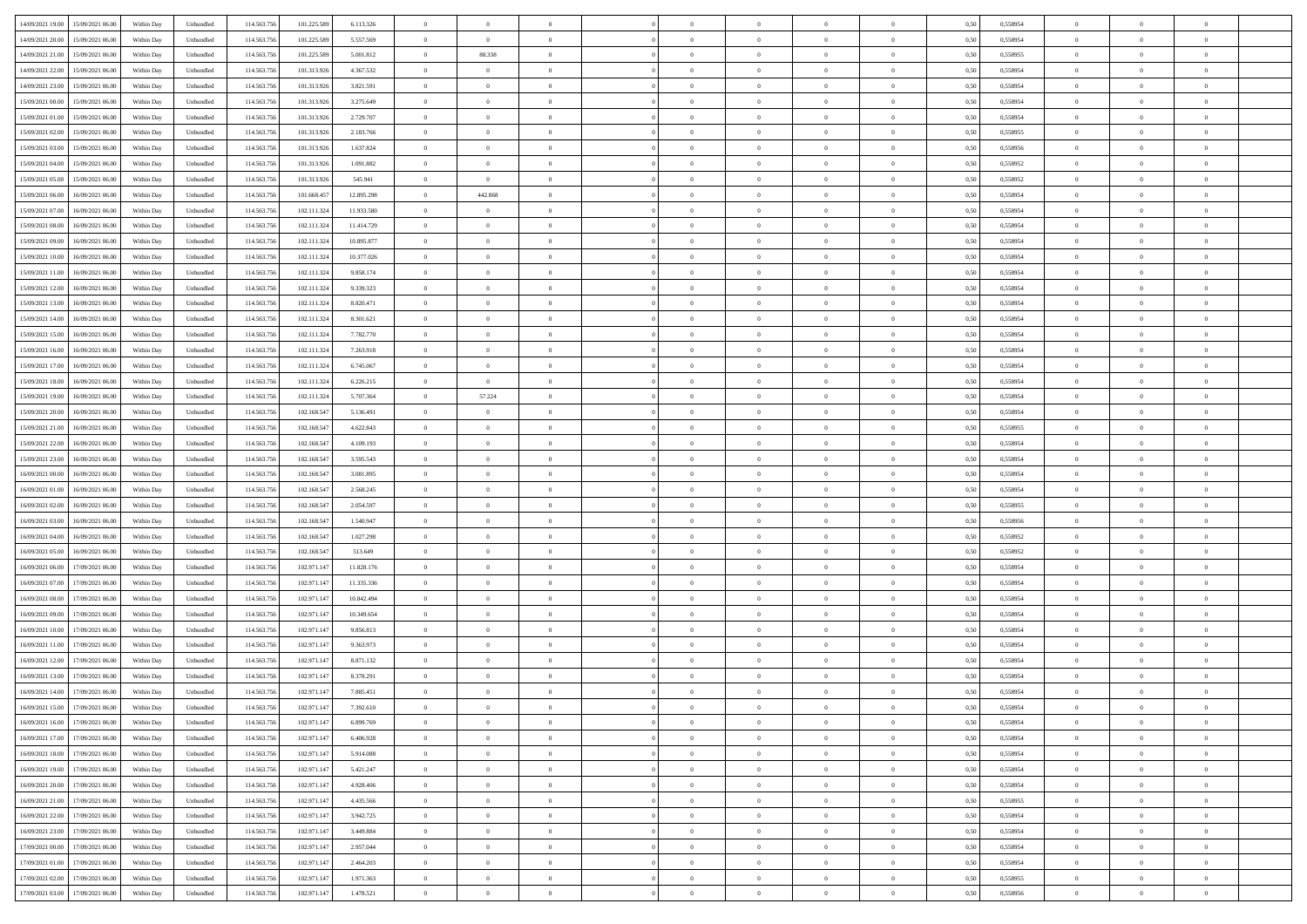| 14/09/2021 19:00 15/09/2021 06:00         |            |           | 114.563.75  |             |            | $\overline{0}$ | $\overline{0}$ |                | $\overline{0}$ | $\theta$       |                | $\bf{0}$       |      | 0,558954 | $\theta$       | $\theta$       | $\theta$       |  |
|-------------------------------------------|------------|-----------|-------------|-------------|------------|----------------|----------------|----------------|----------------|----------------|----------------|----------------|------|----------|----------------|----------------|----------------|--|
|                                           | Within Day | Unbundled |             | 101.225.589 | 6.113.326  |                |                |                |                |                |                |                | 0,50 |          |                |                |                |  |
| 14/09/2021 20:00<br>15/09/2021 06:00      | Within Day | Unbundled | 114.563.75  | 101.225.589 | 5.557.569  | $\bf{0}$       | $\bf{0}$       | $\bf{0}$       | $\bf{0}$       | $\overline{0}$ | $\overline{0}$ | $\bf{0}$       | 0,50 | 0,558954 | $\,$ 0 $\,$    | $\bf{0}$       | $\overline{0}$ |  |
| 14/09/2021 21:00<br>15/09/2021 06:00      | Within Day | Unbundled | 114,563,75  | 101.225.589 | 5.001.812  | $\overline{0}$ | 88.338         | $\overline{0}$ | $\bf{0}$       | $\bf{0}$       | $\overline{0}$ | $\bf{0}$       | 0.50 | 0.558955 | $\bf{0}$       | $\overline{0}$ | $\overline{0}$ |  |
| 14/09/2021 22:00<br>15/09/2021 06:00      | Within Day | Unbundled | 114.563.75  | 101.313.926 | 4.367.532  | $\overline{0}$ | $\overline{0}$ | $\overline{0}$ | $\theta$       | $\theta$       | $\overline{0}$ | $\bf{0}$       | 0,50 | 0,558954 | $\theta$       | $\theta$       | $\overline{0}$ |  |
| 14/09/2021 23:00<br>15/09/2021 06:00      | Within Day | Unbundled | 114.563.75  | 101.313.926 | 3.821.591  | $\bf{0}$       | $\overline{0}$ | $\bf{0}$       | $\overline{0}$ | $\theta$       | $\overline{0}$ | $\bf{0}$       | 0,50 | 0,558954 | $\,$ 0 $\,$    | $\bf{0}$       | $\overline{0}$ |  |
| 15/09/2021 00:00<br>15/09/2021 06:00      |            | Unbundled | 114,563,75  | 101.313.92  | 3.275.649  | $\overline{0}$ | $\overline{0}$ | $\overline{0}$ | $\bf{0}$       | $\overline{0}$ | $\theta$       | $\bf{0}$       | 0.50 | 0.558954 | $\,$ 0 $\,$    | $\theta$       | $\overline{0}$ |  |
|                                           | Within Day |           |             |             |            |                |                |                |                |                |                |                |      |          |                |                |                |  |
| 15/09/2021 01:00<br>15/09/2021 06:00      | Within Day | Unbundled | 114.563.75  | 101.313.926 | 2.729.707  | $\overline{0}$ | $\overline{0}$ | $\overline{0}$ | $\overline{0}$ | $\overline{0}$ | $\overline{0}$ | $\bf{0}$       | 0,50 | 0,558954 | $\theta$       | $\theta$       | $\overline{0}$ |  |
| 15/09/2021 02:00<br>15/09/2021 06:00      | Within Day | Unbundled | 114.563.75  | 101.313.92  | 2.183.766  | $\bf{0}$       | $\bf{0}$       | $\bf{0}$       | $\overline{0}$ | $\overline{0}$ | $\overline{0}$ | $\bf{0}$       | 0,50 | 0,558955 | $\,$ 0 $\,$    | $\bf{0}$       | $\overline{0}$ |  |
| 15/09/2021 03:00<br>15/09/2021 06:00      | Within Day | Unbundled | 114,563,75  | 101.313.92  | 1.637.824  | $\overline{0}$ | $\bf{0}$       | $\overline{0}$ | $\bf{0}$       | $\overline{0}$ | $\overline{0}$ | $\bf{0}$       | 0.50 | 0.558956 | $\bf{0}$       | $\overline{0}$ | $\overline{0}$ |  |
| 15/09/2021 04:00<br>15/09/2021 06:00      | Within Day | Unbundled | 114.563.75  | 101.313.926 | 1.091.882  | $\bf{0}$       | $\bf{0}$       | $\overline{0}$ | $\overline{0}$ | $\overline{0}$ | $\overline{0}$ | $\bf{0}$       | 0,50 | 0,558952 | $\,$ 0 $\,$    | $\bf{0}$       | $\overline{0}$ |  |
| 15/09/2021 05:00<br>15/09/2021 06:00      | Within Day | Unbundled | 114.563.75  | 101.313.926 | 545.941    | $\bf{0}$       | $\bf{0}$       | $\bf{0}$       | $\bf{0}$       | $\bf{0}$       | $\overline{0}$ | $\bf{0}$       | 0,50 | 0,558952 | $\,$ 0 $\,$    | $\bf{0}$       | $\overline{0}$ |  |
| 15/09/2021 06:00<br>16/09/2021 06:00      | Within Day | Unbundled | 114,563,75  | 101.668.457 | 12.895.298 | $\overline{0}$ | 442.868        | $\overline{0}$ | $\overline{0}$ | $\bf{0}$       | $\overline{0}$ | $\bf{0}$       | 0.50 | 0.558954 | $\bf{0}$       | $\overline{0}$ | $\bf{0}$       |  |
| 15/09/2021 07:00<br>16/09/2021 06:00      | Within Day | Unbundled | 114.563.75  | 102.111.324 | 11.933.580 | $\overline{0}$ | $\overline{0}$ | $\overline{0}$ | $\theta$       | $\theta$       | $\overline{0}$ | $\bf{0}$       | 0,50 | 0,558954 | $\,$ 0 $\,$    | $\theta$       | $\overline{0}$ |  |
|                                           |            |           |             |             |            |                |                |                |                |                |                |                |      |          |                |                |                |  |
| 15/09/2021 08:00<br>16/09/2021 06:00      | Within Day | Unbundled | 114.563.75  | 102.111.32  | 11.414.729 | $\bf{0}$       | $\theta$       | $\bf{0}$       | $\overline{0}$ | $\theta$       | $\overline{0}$ | $\bf{0}$       | 0,50 | 0,558954 | $\bf{0}$       | $\bf{0}$       | $\overline{0}$ |  |
| 15/09/2021 09:00<br>16/09/2021 06:00      | Within Day | Unbundled | 114,563,75  | 102.111.32  | 10.895.877 | $\overline{0}$ | $\overline{0}$ | $\overline{0}$ | $\bf{0}$       | $\overline{0}$ | $\theta$       | $\bf{0}$       | 0.50 | 0.558954 | $\,$ 0 $\,$    | $\theta$       | $\overline{0}$ |  |
| 15/09/2021 10:00<br>16/09/2021 06:00      | Within Day | Unbundled | 114.563.75  | 102.111.324 | 10.377.026 | $\overline{0}$ | $\overline{0}$ | $\overline{0}$ | $\overline{0}$ | $\overline{0}$ | $\overline{0}$ | $\bf{0}$       | 0,50 | 0,558954 | $\theta$       | $\theta$       | $\overline{0}$ |  |
| 15/09/2021 11:00<br>16/09/2021 06:00      | Within Day | Unbundled | 114.563.75  | 102.111.324 | 9.858.174  | $\bf{0}$       | $\overline{0}$ | $\bf{0}$       | $\overline{0}$ | $\bf{0}$       | $\overline{0}$ | $\bf{0}$       | 0,50 | 0,558954 | $\,$ 0 $\,$    | $\bf{0}$       | $\overline{0}$ |  |
| 15/09/2021 12:00<br>16/09/2021 06:00      | Within Day | Unbundled | 114,563,75  | 102.111.32  | 9.339.323  | $\overline{0}$ | $\bf{0}$       | $\overline{0}$ | $\bf{0}$       | $\overline{0}$ | $\overline{0}$ | $\bf{0}$       | 0.50 | 0.558954 | $\bf{0}$       | $\overline{0}$ | $\overline{0}$ |  |
| 15/09/2021 13:00<br>16/09/2021 06:00      | Within Day | Unbundled | 114.563.75  | 102.111.324 | 8.820.471  | $\overline{0}$ | $\bf{0}$       | $\overline{0}$ | $\overline{0}$ | $\overline{0}$ | $\overline{0}$ | $\bf{0}$       | 0,50 | 0,558954 | $\,$ 0 $\,$    | $\bf{0}$       | $\overline{0}$ |  |
| 15/09/2021 14:00<br>16/09/2021 06:00      | Within Day | Unbundled | 114.563.75  | 102.111.324 | 8.301.621  | $\bf{0}$       | $\bf{0}$       | $\bf{0}$       | $\bf{0}$       | $\overline{0}$ | $\overline{0}$ | $\bf{0}$       | 0,50 | 0,558954 | $\,$ 0 $\,$    | $\bf{0}$       | $\overline{0}$ |  |
| 15/09/2021 15:00<br>16/09/2021 06:00      | Within Day | Unbundled | 114,563,75  | 102.111.324 | 7.782.770  | $\overline{0}$ | $\bf{0}$       | $\overline{0}$ | $\overline{0}$ | $\bf{0}$       | $\overline{0}$ | $\bf{0}$       | 0.50 | 0.558954 | $\bf{0}$       | $\overline{0}$ | $\overline{0}$ |  |
| 15/09/2021 16:00<br>16/09/2021 06:00      | Within Day | Unbundled | 114.563.75  | 102.111.324 | 7.263.918  | $\overline{0}$ | $\overline{0}$ | $\overline{0}$ | $\theta$       | $\theta$       | $\overline{0}$ | $\bf{0}$       | 0,50 | 0,558954 | $\theta$       | $\theta$       | $\overline{0}$ |  |
|                                           |            |           |             |             |            |                |                |                |                |                |                |                |      |          |                |                |                |  |
| 15/09/2021 17:00<br>16/09/2021 06:00      | Within Day | Unbundled | 114.563.75  | 102.111.324 | 6.745.067  | $\bf{0}$       | $\overline{0}$ | $\bf{0}$       | $\bf{0}$       | $\,$ 0 $\,$    | $\overline{0}$ | $\bf{0}$       | 0,50 | 0,558954 | $\,$ 0 $\,$    | $\bf{0}$       | $\overline{0}$ |  |
| 15/09/2021 18:00<br>16/09/2021 06:00      | Within Day | Unbundled | 114,563,75  | 102.111.32  | 6.226.215  | $\overline{0}$ | $\overline{0}$ | $\overline{0}$ | $\bf{0}$       | $\overline{0}$ | $\theta$       | $\bf{0}$       | 0.50 | 0.558954 | $\,$ 0 $\,$    | $\theta$       | $\overline{0}$ |  |
| 15/09/2021 19:00<br>16/09/2021 06:00      | Within Day | Unbundled | 114.563.75  | 102.111.324 | 5.707.364  | $\overline{0}$ | 57.224         | $\overline{0}$ | $\overline{0}$ | $\overline{0}$ | $\overline{0}$ | $\bf{0}$       | 0,50 | 0,558954 | $\theta$       | $\theta$       | $\overline{0}$ |  |
| 15/09/2021 20:00<br>16/09/2021 06:00      | Within Day | Unbundled | 114.563.75  | 102.168.54  | 5.136.491  | $\bf{0}$       | $\theta$       | $\bf{0}$       | $\overline{0}$ | $\bf{0}$       | $\overline{0}$ | $\bf{0}$       | 0,50 | 0,558954 | $\,$ 0 $\,$    | $\bf{0}$       | $\overline{0}$ |  |
| 15/09/2021 21:00<br>16/09/2021 06:00      | Within Day | Unbundled | 114,563,75  | 102.168.54  | 4.622.843  | $\overline{0}$ | $\bf{0}$       | $\overline{0}$ | $\bf{0}$       | $\overline{0}$ | $\overline{0}$ | $\bf{0}$       | 0.50 | 0.558955 | $\bf{0}$       | $\overline{0}$ | $\overline{0}$ |  |
| 15/09/2021 22:00<br>16/09/2021 06:00      | Within Day | Unbundled | 114.563.75  | 102.168.547 | 4.109.193  | $\overline{0}$ | $\bf{0}$       | $\overline{0}$ | $\overline{0}$ | $\overline{0}$ | $\overline{0}$ | $\bf{0}$       | 0,50 | 0,558954 | $\theta$       | $\theta$       | $\overline{0}$ |  |
| 15/09/2021 23:00<br>16/09/2021 06:00      | Within Day | Unbundled | 114.563.75  | 102.168.54  | 3.595.543  | $\bf{0}$       | $\bf{0}$       | $\bf{0}$       | $\bf{0}$       | $\overline{0}$ | $\overline{0}$ | $\bf{0}$       | 0,50 | 0,558954 | $\,$ 0 $\,$    | $\bf{0}$       | $\overline{0}$ |  |
| 16/09/2021 00:00<br>16/09/2021 06:00      | Within Day | Unbundled | 114,563,75  | 102.168.54  | 3.081.895  | $\overline{0}$ | $\bf{0}$       | $\overline{0}$ | $\bf{0}$       | $\bf{0}$       | $\overline{0}$ | $\bf{0}$       | 0.50 | 0.558954 | $\bf{0}$       | $\overline{0}$ | $\bf{0}$       |  |
|                                           |            |           |             |             |            |                | $\overline{0}$ |                |                | $\overline{0}$ |                |                |      |          | $\theta$       | $\theta$       | $\overline{0}$ |  |
| 16/09/2021 01:00<br>16/09/2021 06:00      | Within Day | Unbundled | 114.563.75  | 102.168.547 | 2.568.245  | $\overline{0}$ |                | $\overline{0}$ | $\overline{0}$ |                | $\overline{0}$ | $\bf{0}$       | 0.50 | 0.558954 |                |                |                |  |
| 16/09/2021 02:00<br>16/09/2021 06:00      | Within Day | Unbundled | 114.563.75  | 102.168.54  | 2.054.597  | $\bf{0}$       | $\overline{0}$ | $\bf{0}$       | $\bf{0}$       | $\,$ 0 $\,$    | $\overline{0}$ | $\bf{0}$       | 0,50 | 0,558955 | $\,$ 0 $\,$    | $\bf{0}$       | $\overline{0}$ |  |
| 16/09/2021 03:00<br>16/09/2021 06:00      | Within Day | Unbundled | 114,563,75  | 102.168.54  | 1.540.947  | $\overline{0}$ | $\bf{0}$       | $\overline{0}$ | $\bf{0}$       | $\overline{0}$ | $\Omega$       | $\bf{0}$       | 0.50 | 0.558956 | $\,$ 0 $\,$    | $\theta$       | $\overline{0}$ |  |
| 16/09/2021 04:00<br>16/09/2021 06:00      | Within Dav | Unbundled | 114.563.75  | 102.168.547 | 1.027.298  | $\overline{0}$ | $\overline{0}$ | $\overline{0}$ | $\overline{0}$ | $\theta$       | $\overline{0}$ | $\bf{0}$       | 0.5( | 0,558952 | $\theta$       | $\theta$       | $\overline{0}$ |  |
| 16/09/2021 05:00<br>16/09/2021 06:00      | Within Day | Unbundled | 114.563.75  | 102.168.547 | 513.649    | $\bf{0}$       | $\bf{0}$       | $\bf{0}$       | $\bf{0}$       | $\overline{0}$ | $\overline{0}$ | $\bf{0}$       | 0,50 | 0,558952 | $\,$ 0 $\,$    | $\bf{0}$       | $\overline{0}$ |  |
| 16/09/2021 06:00<br>17/09/2021 06:00      | Within Day | Unbundled | 114,563,75  | 102.971.14  | 11.828.176 | $\overline{0}$ | $\bf{0}$       | $\overline{0}$ | $\bf{0}$       | $\overline{0}$ | $\overline{0}$ | $\bf{0}$       | 0.50 | 0.558954 | $\bf{0}$       | $\overline{0}$ | $\overline{0}$ |  |
| 16/09/2021 07:00<br>17/09/2021 06:00      | Within Dav | Unbundled | 114.563.75  | 102.971.147 | 11.335.336 | $\overline{0}$ | $\overline{0}$ | $\overline{0}$ | $\overline{0}$ | $\overline{0}$ | $\overline{0}$ | $\bf{0}$       | 0.50 | 0,558954 | $\theta$       | $\theta$       | $\overline{0}$ |  |
| 16/09/2021 08:00<br>17/09/2021 06:00      | Within Day | Unbundled | 114.563.75  | 102.971.14  | 10.842.494 | $\bf{0}$       | $\bf{0}$       | $\bf{0}$       | $\bf{0}$       | $\overline{0}$ | $\overline{0}$ | $\bf{0}$       | 0,50 | 0,558954 | $\,$ 0 $\,$    | $\bf{0}$       | $\overline{0}$ |  |
| 16/09/2021 09:00<br>17/09/2021 06:00      | Within Day | Unbundled | 114,563,75  | 102.971.147 | 10.349.654 | $\overline{0}$ | $\bf{0}$       | $\overline{0}$ | $\overline{0}$ | $\bf{0}$       | $\overline{0}$ | $\bf{0}$       | 0.50 | 0.558954 | $\bf{0}$       | $\overline{0}$ | $\overline{0}$ |  |
|                                           |            |           |             |             |            |                |                |                |                |                |                |                |      |          |                |                |                |  |
| 16/09/2021 10:00<br>17/09/2021 06:00      | Within Dav | Unbundled | 114.563.75  | 102.971.147 | 9.856.813  | $\overline{0}$ | $\overline{0}$ | $\overline{0}$ | $\overline{0}$ | $\overline{0}$ | $\overline{0}$ | $\bf{0}$       | 0.50 | 0.558954 | $\theta$       | $\theta$       | $\overline{0}$ |  |
| 16/09/2021 11:00<br>17/09/2021 06:00      | Within Day | Unbundled | 114.563.75  | 102.971.147 | 9.363.973  | $\bf{0}$       | $\bf{0}$       | $\bf{0}$       | $\bf{0}$       | $\overline{0}$ | $\overline{0}$ | $\bf{0}$       | 0,50 | 0,558954 | $\,$ 0 $\,$    | $\bf{0}$       | $\overline{0}$ |  |
| 16/09/2021 12:00<br>17/09/2021 06:00      | Within Day | Unbundled | 114,563,75  | 102.971.14  | 8.871.132  | $\overline{0}$ | $\overline{0}$ | $\overline{0}$ | $\bf{0}$       | $\theta$       | $\Omega$       | $\bf{0}$       | 0.50 | 0.558954 | $\bf{0}$       | $\theta$       | $\overline{0}$ |  |
| 16/09/2021 13:00<br>17/09/2021 06:00      | Within Dav | Unbundled | 114.563.75  | 102.971.147 | 8.378.291  | $\overline{0}$ | $\overline{0}$ | $\Omega$       | $\overline{0}$ | $\theta$       | $\Omega$       | $\overline{0}$ | 0.5( | 0,558954 | $\theta$       | $\theta$       | $\overline{0}$ |  |
| 16/09/2021 14:00<br>17/09/2021 06:00      | Within Day | Unbundled | 114.563.75  | 102.971.147 | 7.885.451  | $\bf{0}$       | $\bf{0}$       | $\overline{0}$ | $\bf{0}$       | $\bf{0}$       | $\overline{0}$ | $\bf{0}$       | 0,50 | 0,558954 | $\overline{0}$ | $\bf{0}$       | $\overline{0}$ |  |
| $1609/2021\;15.00\qquad17/09/2021\;06.00$ | Within Day | Unbundled | 114.563.756 | 102.971.147 | 7.392.610  | $\bf{0}$       | $\Omega$       |                | $\Omega$       |                |                |                | 0,50 | 0.558954 | $\theta$       | $\overline{0}$ |                |  |
| 16/09/2021 16:00 17/09/2021 06:00         | Within Day | Unbundled | 114.563.756 | 102.971.147 | 6.899.769  | $\overline{0}$ | $\overline{0}$ | $\Omega$       | $\theta$       | $\overline{0}$ | $\overline{0}$ | $\bf{0}$       | 0,50 | 0,558954 | $\theta$       | $\overline{0}$ | $\overline{0}$ |  |
| 16/09/2021 17:00<br>17/09/2021 06:00      | Within Day | Unbundled | 114.563.75  | 102.971.147 | 6.406.928  | $\overline{0}$ | $\bf{0}$       | $\overline{0}$ | $\overline{0}$ | $\bf{0}$       | $\overline{0}$ | $\bf{0}$       | 0,50 | 0,558954 | $\bf{0}$       | $\overline{0}$ | $\bf{0}$       |  |
|                                           |            |           |             |             |            |                |                |                |                |                |                |                |      |          |                |                |                |  |
| 16/09/2021 18:00 17/09/2021 06:00         | Within Day | Unbundled | 114,563,756 | 102.971.147 | 5.914.088  | $\overline{0}$ | $\bf{0}$       | $\overline{0}$ | $\overline{0}$ | $\mathbf{0}$   | $\overline{0}$ | $\,$ 0 $\,$    | 0.50 | 0.558954 | $\overline{0}$ | $\bf{0}$       | $\,$ 0 $\,$    |  |
| 16/09/2021 19:00 17/09/2021 06:00         | Within Day | Unbundled | 114.563.756 | 102.971.147 | 5.421.247  | $\overline{0}$ | $\overline{0}$ | $\overline{0}$ | $\overline{0}$ | $\overline{0}$ | $\overline{0}$ | $\bf{0}$       | 0,50 | 0,558954 | $\overline{0}$ | $\theta$       | $\overline{0}$ |  |
| 16/09/2021 20:00<br>17/09/2021 06:00      | Within Day | Unbundled | 114.563.75  | 102.971.147 | 4.928.406  | $\overline{0}$ | $\bf{0}$       | $\overline{0}$ | $\overline{0}$ | $\bf{0}$       | $\overline{0}$ | $\bf{0}$       | 0,50 | 0,558954 | $\bf{0}$       | $\overline{0}$ | $\overline{0}$ |  |
| 17/09/2021 06:00<br>16/09/2021 21:00      | Within Day | Unbundled | 114.563.756 | 102.971.147 | 4.435.566  | $\overline{0}$ | $\bf{0}$       | $\overline{0}$ | $\overline{0}$ | $\bf{0}$       | $\overline{0}$ | $\bf{0}$       | 0.50 | 0.558955 | $\,$ 0 $\,$    | $\overline{0}$ | $\overline{0}$ |  |
| 16/09/2021 22:00<br>17/09/2021 06:00      | Within Dav | Unbundled | 114.563.756 | 102.971.147 | 3.942.725  | $\overline{0}$ | $\overline{0}$ | $\overline{0}$ | $\overline{0}$ | $\overline{0}$ | $\overline{0}$ | $\bf{0}$       | 0.50 | 0,558954 | $\overline{0}$ | $\theta$       | $\overline{0}$ |  |
| 16/09/2021 23:00<br>17/09/2021 06:00      | Within Day | Unbundled | 114.563.75  | 102.971.147 | 3.449.884  | $\overline{0}$ | $\overline{0}$ | $\overline{0}$ | $\overline{0}$ | $\overline{0}$ | $\overline{0}$ | $\bf{0}$       | 0,50 | 0,558954 | $\bf{0}$       | $\overline{0}$ | $\overline{0}$ |  |
| 17/09/2021 06:00<br>17/09/2021 00:00      | Within Day | Unbundled | 114.563.75  | 102.971.147 | 2.957.044  | $\overline{0}$ | $\overline{0}$ | $\overline{0}$ | $\overline{0}$ | $\overline{0}$ | $\overline{0}$ | $\bf{0}$       | 0.50 | 0.558954 | $\mathbf{0}$   | $\bf{0}$       | $\,$ 0         |  |
| 17/09/2021 01:00<br>17/09/2021 06:00      | Within Dav | Unbundled | 114.563.756 | 102.971.147 | 2.464.203  | $\overline{0}$ | $\overline{0}$ | $\overline{0}$ | $\overline{0}$ | $\overline{0}$ | $\overline{0}$ | $\bf{0}$       | 0,50 | 0,558954 | $\overline{0}$ | $\theta$       | $\overline{0}$ |  |
|                                           |            |           |             |             |            |                |                |                |                |                |                |                |      |          |                |                |                |  |
| 17/09/2021 02:00<br>17/09/2021 06:00      | Within Day | Unbundled | 114.563.75  | 102.971.147 | 1.971.363  | $\overline{0}$ | $\bf{0}$       | $\overline{0}$ | $\bf{0}$       | $\overline{0}$ | $\bf{0}$       | $\bf{0}$       | 0,50 | 0,558955 | $\bf{0}$       | $\,$ 0 $\,$    | $\bf{0}$       |  |
| 17/09/2021 03:00 17/09/2021 06:00         | Within Day | Unbundled | 114.563.756 | 102.971.147 | 1.478.521  | $\overline{0}$ | $\bf{0}$       | $\overline{0}$ | $\overline{0}$ | $\,$ 0 $\,$    | $\overline{0}$ | $\bf{0}$       | 0,50 | 0,558956 | $\overline{0}$ | $\,$ 0 $\,$    | $\,$ 0 $\,$    |  |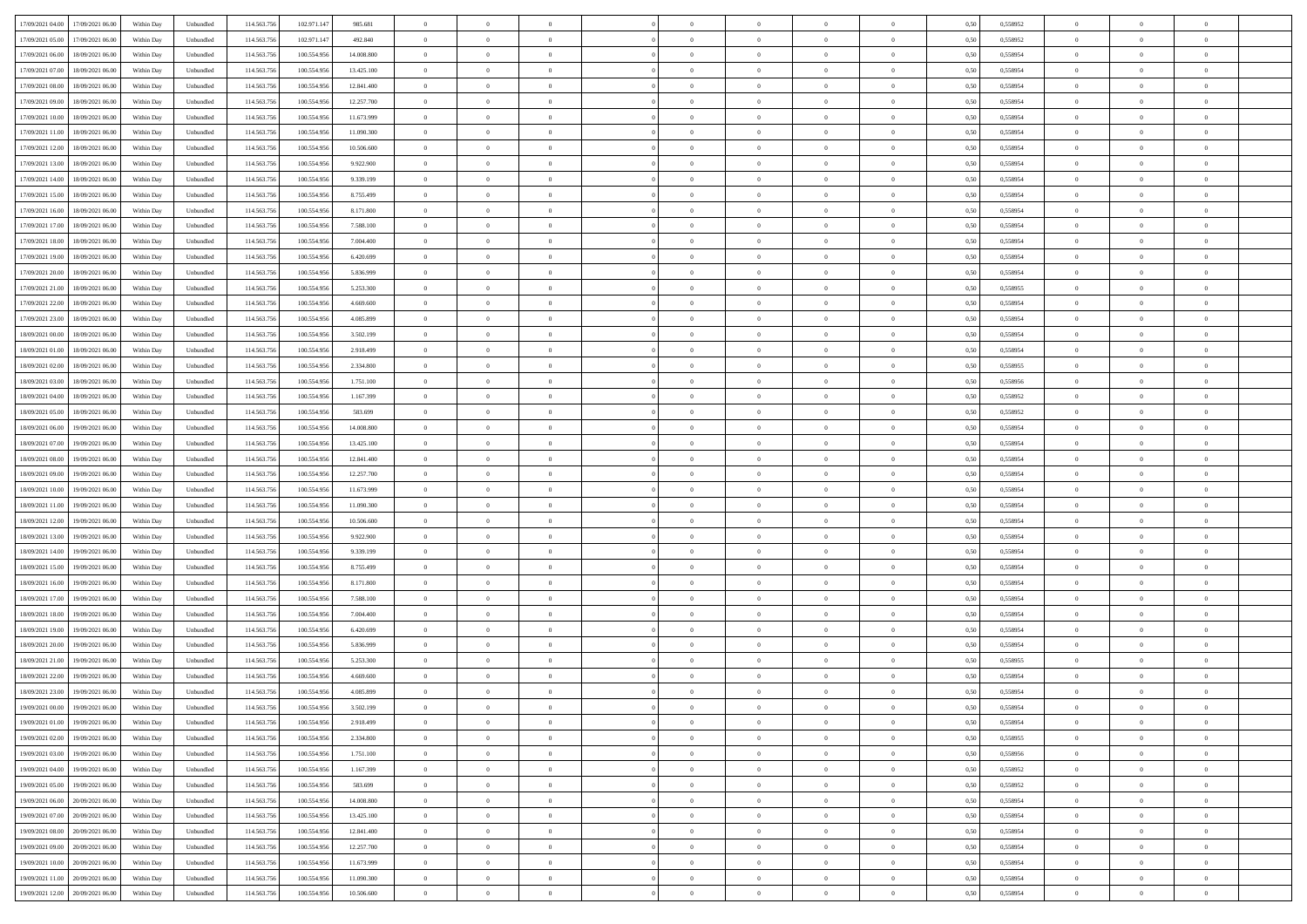| 17/09/2021 04:00<br>17/09/2021 06:00 | Within Day | Unbundled | 114.563.756 | 102.971.147 | 985.681    | $\overline{0}$ | $\overline{0}$ | $\overline{0}$ | $\theta$       | $\theta$       |                | $\overline{0}$ | 0,50 | 0,558952 | $\theta$       | $\theta$       | $\theta$       |  |
|--------------------------------------|------------|-----------|-------------|-------------|------------|----------------|----------------|----------------|----------------|----------------|----------------|----------------|------|----------|----------------|----------------|----------------|--|
|                                      |            |           |             |             |            |                |                |                |                |                |                |                |      |          |                |                |                |  |
| 17/09/2021 05:00<br>17/09/2021 06.00 | Within Day | Unbundled | 114.563.75  | 102.971.147 | 492.840    | $\overline{0}$ | $\overline{0}$ | $\overline{0}$ | $\,$ 0 $\,$    | $\bf{0}$       | $\overline{0}$ | $\mathbf{0}$   | 0,50 | 0,558952 | $\,$ 0 $\,$    | $\bf{0}$       | $\overline{0}$ |  |
| 17/09/2021 06:00<br>18/09/2021 06:00 | Within Day | Unbundled | 114,563,756 | 100.554.956 | 14,008,800 | $\overline{0}$ | $\overline{0}$ | $\overline{0}$ | $\bf{0}$       | $\bf{0}$       | $\overline{0}$ | $\,$ 0 $\,$    | 0.50 | 0.558954 | $\bf{0}$       | $\overline{0}$ | $\bf{0}$       |  |
| 17/09/2021 07:00<br>18/09/2021 06:00 | Within Day | Unbundled | 114.563.756 | 100.554.956 | 13.425.100 | $\overline{0}$ | $\overline{0}$ | $\overline{0}$ | $\overline{0}$ | $\overline{0}$ | $\overline{0}$ | $\,$ 0 $\,$    | 0,50 | 0,558954 | $\theta$       | $\overline{0}$ | $\overline{0}$ |  |
| 17/09/2021 08:00<br>18/09/2021 06.00 | Within Day | Unbundled | 114.563.75  | 100.554.956 | 12.841.400 | $\overline{0}$ | $\overline{0}$ | $\overline{0}$ | $\bf{0}$       | $\bf{0}$       | $\overline{0}$ | $\bf{0}$       | 0,50 | 0,558954 | $\,$ 0 $\,$    | $\bf{0}$       | $\overline{0}$ |  |
| 17/09/2021 09:00<br>18/09/2021 06:00 | Within Day | Unbundled | 114,563,75  | 100,554,956 | 12.257.700 | $\overline{0}$ | $\overline{0}$ | $\overline{0}$ | $\bf{0}$       | $\bf{0}$       | $\overline{0}$ | $\mathbf{0}$   | 0.50 | 0.558954 | $\,$ 0 $\,$    | $\overline{0}$ | $\overline{0}$ |  |
| 17/09/2021 10:00<br>18/09/2021 06:00 | Within Day | Unbundled | 114.563.756 | 100.554.956 | 11.673.999 | $\overline{0}$ | $\overline{0}$ | $\overline{0}$ | $\overline{0}$ | $\overline{0}$ | $\overline{0}$ | $\bf{0}$       | 0,50 | 0,558954 | $\theta$       | $\theta$       | $\overline{0}$ |  |
|                                      |            |           |             |             |            |                |                |                |                |                |                |                |      |          |                |                |                |  |
| 17/09/2021 11:00<br>18/09/2021 06.00 | Within Day | Unbundled | 114.563.75  | 100.554.956 | 11.090.300 | $\overline{0}$ | $\overline{0}$ | $\overline{0}$ | $\,$ 0 $\,$    | $\bf{0}$       | $\overline{0}$ | $\mathbf{0}$   | 0,50 | 0,558954 | $\,$ 0 $\,$    | $\bf{0}$       | $\overline{0}$ |  |
| 17/09/2021 12:00<br>18/09/2021 06:00 | Within Day | Unbundled | 114,563,756 | 100,554,956 | 10.506.600 | $\overline{0}$ | $\overline{0}$ | $\overline{0}$ | $\bf{0}$       | $\bf{0}$       | $\overline{0}$ | $\mathbf{0}$   | 0.50 | 0.558954 | $\bf{0}$       | $\overline{0}$ | $\bf{0}$       |  |
| 17/09/2021 13:00<br>18/09/2021 06:00 | Within Day | Unbundled | 114.563.756 | 100.554.956 | 9.922.900  | $\overline{0}$ | $\overline{0}$ | $\overline{0}$ | $\bf{0}$       | $\bf{0}$       | $\overline{0}$ | $\bf{0}$       | 0,50 | 0,558954 | $\,$ 0         | $\theta$       | $\overline{0}$ |  |
| 17/09/2021 14:00<br>18/09/2021 06.00 | Within Day | Unbundled | 114.563.75  | 100.554.956 | 9.339.199  | $\overline{0}$ | $\overline{0}$ | $\overline{0}$ | $\,$ 0 $\,$    | $\bf{0}$       | $\overline{0}$ | $\bf{0}$       | 0,50 | 0,558954 | $\,$ 0 $\,$    | $\bf{0}$       | $\overline{0}$ |  |
| 17/09/2021 15:00<br>18/09/2021 06:00 | Within Day | Unbundled | 114,563,756 | 100,554,956 | 8,755,499  | $\overline{0}$ | $\overline{0}$ | $\overline{0}$ | $\bf{0}$       | $\bf{0}$       | $\overline{0}$ | $\,$ 0 $\,$    | 0.50 | 0.558954 | $\bf{0}$       | $\overline{0}$ | $\,$ 0         |  |
|                                      |            |           |             |             |            |                | $\overline{0}$ | $\overline{0}$ | $\overline{0}$ | $\overline{0}$ | $\overline{0}$ | $\,$ 0 $\,$    |      |          | $\theta$       | $\theta$       |                |  |
| 17/09/2021 16:00<br>18/09/2021 06:00 | Within Day | Unbundled | 114.563.756 | 100.554.956 | 8.171.800  | $\overline{0}$ |                |                |                |                |                |                | 0,50 | 0,558954 |                |                | $\overline{0}$ |  |
| 17/09/2021 17.00<br>18/09/2021 06.00 | Within Day | Unbundled | 114.563.75  | 100.554.956 | 7.588.100  | $\overline{0}$ | $\overline{0}$ | $\overline{0}$ | $\bf{0}$       | $\bf{0}$       | $\overline{0}$ | $\bf{0}$       | 0,50 | 0,558954 | $\,$ 0 $\,$    | $\bf{0}$       | $\overline{0}$ |  |
| 17/09/2021 18:00<br>18/09/2021 06:00 | Within Day | Unbundled | 114,563,756 | 100,554,956 | 7 004 400  | $\overline{0}$ | $\overline{0}$ | $\overline{0}$ | $\bf{0}$       | $\overline{0}$ | $\overline{0}$ | $\mathbf{0}$   | 0.50 | 0.558954 | $\,$ 0 $\,$    | $\theta$       | $\overline{0}$ |  |
| 17/09/2021 19:00<br>18/09/2021 06:00 | Within Day | Unbundled | 114.563.756 | 100.554.956 | 6.420.699  | $\overline{0}$ | $\overline{0}$ | $\overline{0}$ | $\bf{0}$       | $\overline{0}$ | $\overline{0}$ | $\bf{0}$       | 0,50 | 0,558954 | $\theta$       | $\theta$       | $\overline{0}$ |  |
| 17/09/2021 20.00<br>18/09/2021 06.00 | Within Day | Unbundled | 114.563.75  | 100.554.956 | 5.836.999  | $\overline{0}$ | $\overline{0}$ | $\overline{0}$ | $\,$ 0 $\,$    | $\bf{0}$       | $\overline{0}$ | $\bf{0}$       | 0,50 | 0,558954 | $\,$ 0 $\,$    | $\bf{0}$       | $\overline{0}$ |  |
| 17/09/2021 21.00<br>18/09/2021 06:00 | Within Day | Unbundled | 114,563,75  | 100,554,956 | 5.253.300  | $\overline{0}$ | $\overline{0}$ | $\overline{0}$ | $\bf{0}$       | $\bf{0}$       | $\overline{0}$ | $\mathbf{0}$   | 0.50 | 0.558955 | $\bf{0}$       | $\overline{0}$ | $\bf{0}$       |  |
|                                      |            |           |             |             |            |                |                |                |                | $\overline{0}$ | $\overline{0}$ |                |      |          | $\,$ 0 $\,$    | $\,$ 0 $\,$    |                |  |
| 17/09/2021 22.00<br>18/09/2021 06:00 | Within Day | Unbundled | 114.563.756 | 100.554.956 | 4.669.600  | $\overline{0}$ | $\overline{0}$ | $\overline{0}$ | $\bf{0}$       |                |                | $\bf{0}$       | 0,50 | 0,558954 |                |                | $\overline{0}$ |  |
| 17/09/2021 23.00<br>18/09/2021 06.00 | Within Day | Unbundled | 114.563.75  | 100.554.956 | 4.085.899  | $\overline{0}$ | $\overline{0}$ | $\overline{0}$ | $\overline{0}$ | $\bf{0}$       | $\overline{0}$ | $\mathbf{0}$   | 0,50 | 0,558954 | $\,$ 0 $\,$    | $\bf{0}$       | $\overline{0}$ |  |
| 18/09/2021 00:00<br>18/09/2021 06:00 | Within Day | Unbundled | 114,563,756 | 100.554.956 | 3.502.199  | $\overline{0}$ | $\overline{0}$ | $\overline{0}$ | $\bf{0}$       | $\overline{0}$ | $\overline{0}$ | $\,$ 0 $\,$    | 0.50 | 0.558954 | $\bf{0}$       | $\overline{0}$ | $\,$ 0         |  |
| 18/09/2021 01:00<br>18/09/2021 06:00 | Within Day | Unbundled | 114.563.756 | 100.554.956 | 2.918.499  | $\overline{0}$ | $\overline{0}$ | $\overline{0}$ | $\overline{0}$ | $\overline{0}$ | $\overline{0}$ | $\,$ 0 $\,$    | 0,50 | 0,558954 | $\theta$       | $\overline{0}$ | $\overline{0}$ |  |
| 18/09/2021 02:00<br>18/09/2021 06.00 | Within Day | Unbundled | 114.563.75  | 100.554.956 | 2.334.800  | $\overline{0}$ | $\overline{0}$ | $\overline{0}$ | $\overline{0}$ | $\bf{0}$       | $\overline{0}$ | $\bf{0}$       | 0,50 | 0,558955 | $\,$ 0 $\,$    | $\bf{0}$       | $\overline{0}$ |  |
| 18/09/2021 03:00<br>18/09/2021 06:00 | Within Day | Unbundled | 114,563,75  | 100,554,956 | 1.751.100  | $\overline{0}$ | $\overline{0}$ | $\overline{0}$ | $\bf{0}$       | $\bf{0}$       | $\overline{0}$ | $\mathbf{0}$   | 0.50 | 0.558956 | $\,$ 0 $\,$    | $\overline{0}$ | $\overline{0}$ |  |
| 18/09/2021 04:00<br>18/09/2021 06:00 | Within Day | Unbundled | 114.563.756 | 100.554.956 | 1.167.399  | $\overline{0}$ | $\overline{0}$ | $\overline{0}$ | $\bf{0}$       | $\overline{0}$ | $\overline{0}$ | $\bf{0}$       | 0,50 | 0,558952 | $\theta$       | $\theta$       | $\overline{0}$ |  |
|                                      |            |           |             |             |            |                |                |                |                |                |                |                |      |          |                |                |                |  |
| 18/09/2021 05:00<br>18/09/2021 06.00 | Within Day | Unbundled | 114.563.75  | 100.554.956 | 583.699    | $\overline{0}$ | $\overline{0}$ | $\overline{0}$ | $\,$ 0 $\,$    | $\bf{0}$       | $\overline{0}$ | $\bf{0}$       | 0,50 | 0,558952 | $\,$ 0 $\,$    | $\bf{0}$       | $\overline{0}$ |  |
| 18/09/2021 06:00<br>19/09/2021 06:00 | Within Day | Unbundled | 114,563,756 | 100,554,956 | 14,008,800 | $\overline{0}$ | $\overline{0}$ | $\overline{0}$ | $\bf{0}$       | $\bf{0}$       | $\overline{0}$ | $\mathbf{0}$   | 0.50 | 0.558954 | $\bf{0}$       | $\overline{0}$ | $\bf{0}$       |  |
| 18/09/2021 07:00<br>19/09/2021 06:00 | Within Day | Unbundled | 114.563.756 | 100.554.956 | 13.425.100 | $\overline{0}$ | $\overline{0}$ | $\overline{0}$ | $\bf{0}$       | $\overline{0}$ | $\overline{0}$ | $\bf{0}$       | 0,50 | 0,558954 | $\overline{0}$ | $\overline{0}$ | $\overline{0}$ |  |
| 18/09/2021 08:00<br>19/09/2021 06.00 | Within Day | Unbundled | 114.563.75  | 100.554.956 | 12.841.400 | $\overline{0}$ | $\overline{0}$ | $\overline{0}$ | $\overline{0}$ | $\bf{0}$       | $\overline{0}$ | $\mathbf{0}$   | 0,50 | 0,558954 | $\overline{0}$ | $\bf{0}$       | $\overline{0}$ |  |
| 18/09/2021 09:00<br>19/09/2021 06:00 | Within Day | Unbundled | 114,563,756 | 100.554.956 | 12.257.700 | $\overline{0}$ | $\overline{0}$ | $\overline{0}$ | $\bf{0}$       | $\bf{0}$       | $\overline{0}$ | $\,$ 0 $\,$    | 0.50 | 0.558954 | $\bf{0}$       | $\overline{0}$ | $\,$ 0         |  |
| 18/09/2021 10:00<br>19/09/2021 06:00 | Within Day | Unbundled | 114.563.756 | 100.554.956 | 11.673.999 | $\overline{0}$ | $\overline{0}$ | $\overline{0}$ | $\overline{0}$ | $\overline{0}$ | $\overline{0}$ | $\overline{0}$ | 0.50 | 0,558954 | $\theta$       | $\overline{0}$ | $\overline{0}$ |  |
|                                      |            |           |             |             |            |                |                |                |                |                | $\overline{0}$ |                |      |          |                |                |                |  |
| 18/09/2021 11:00<br>19/09/2021 06.00 | Within Day | Unbundled | 114.563.75  | 100.554.956 | 11.090.300 | $\overline{0}$ | $\overline{0}$ | $\overline{0}$ | $\,$ 0 $\,$    | $\bf{0}$       |                | $\bf{0}$       | 0,50 | 0,558954 | $\,$ 0 $\,$    | $\bf{0}$       | $\overline{0}$ |  |
| 18/09/2021 12:00<br>19/09/2021 06:00 | Within Day | Unbundled | 114,563,756 | 100,554,956 | 10.506.600 | $\overline{0}$ | $\overline{0}$ | $\overline{0}$ | $\bf{0}$       | $\bf{0}$       | $\overline{0}$ | $\mathbf{0}$   | 0.50 | 0.558954 | $\,$ 0 $\,$    | $\theta$       | $\overline{0}$ |  |
| 18/09/2021 13:00<br>19/09/2021 06:00 | Within Day | Unbundled | 114.563.756 | 100.554.956 | 9.922.900  | $\overline{0}$ | $\overline{0}$ | $\overline{0}$ | $\overline{0}$ | $\overline{0}$ | $\overline{0}$ | $\overline{0}$ | 0.50 | 0,558954 | $\theta$       | $\theta$       | $\overline{0}$ |  |
| 18/09/2021 14:00<br>19/09/2021 06.00 | Within Day | Unbundled | 114.563.75  | 100.554.956 | 9.339.199  | $\overline{0}$ | $\overline{0}$ | $\overline{0}$ | $\overline{0}$ | $\bf{0}$       | $\overline{0}$ | $\bf{0}$       | 0,50 | 0,558954 | $\,$ 0 $\,$    | $\bf{0}$       | $\overline{0}$ |  |
| 18/09/2021 15:00<br>19/09/2021 06:00 | Within Day | Unbundled | 114,563,75  | 100,554,956 | 8,755,499  | $\overline{0}$ | $\overline{0}$ | $\overline{0}$ | $\bf{0}$       | $\bf{0}$       | $\overline{0}$ | $\mathbf{0}$   | 0.50 | 0.558954 | $\bf{0}$       | $\overline{0}$ | $\bf{0}$       |  |
| 18/09/2021 16:00<br>19/09/2021 06:00 | Within Day | Unbundled | 114.563.756 | 100.554.956 | 8.171.800  | $\overline{0}$ | $\overline{0}$ | $\overline{0}$ | $\overline{0}$ | $\overline{0}$ | $\overline{0}$ | $\mathbf{0}$   | 0.50 | 0,558954 | $\overline{0}$ | $\overline{0}$ | $\overline{0}$ |  |
| 18/09/2021 17:00<br>19/09/2021 06.00 | Within Day | Unbundled | 114.563.75  | 100.554.956 | 7.588.100  | $\overline{0}$ | $\overline{0}$ | $\overline{0}$ | $\overline{0}$ | $\bf{0}$       | $\overline{0}$ | $\mathbf{0}$   | 0,50 | 0,558954 | $\overline{0}$ | $\bf{0}$       | $\overline{0}$ |  |
| 18/09/2021 18:00<br>19/09/2021 06:00 |            | Unbundled | 114,563,756 | 100.554.956 | 7 004 400  |                |                |                |                | $\bf{0}$       | $\overline{0}$ | $\,$ 0 $\,$    | 0.50 | 0.558954 | $\bf{0}$       | $\overline{0}$ | $\,$ 0         |  |
|                                      | Within Day |           |             |             |            | $\overline{0}$ | $\overline{0}$ | $\overline{0}$ | $\bf{0}$       |                |                |                |      |          |                |                |                |  |
| 18/09/2021 19:00<br>19/09/2021 06:00 | Within Day | Unbundled | 114.563.756 | 100.554.956 | 6.420.699  | $\overline{0}$ | $\overline{0}$ | $\overline{0}$ | $\overline{0}$ | $\overline{0}$ | $\overline{0}$ | $\overline{0}$ | 0.50 | 0,558954 | $\theta$       | $\theta$       | $\overline{0}$ |  |
| 18/09/2021 20:00<br>19/09/2021 06.0  | Within Day | Unbundled | 114.563.75  | 100.554.956 | 5.836.999  | $\overline{0}$ | $\overline{0}$ | $\overline{0}$ | $\overline{0}$ | $\bf{0}$       | $\overline{0}$ | $\bf{0}$       | 0,50 | 0,558954 | $\,$ 0 $\,$    | $\bf{0}$       | $\overline{0}$ |  |
| 18/09/2021 21:00<br>19/09/2021 06:00 | Within Day | Unbundled | 114,563,75  | 100,554,956 | 5.253.300  | $\overline{0}$ | $\overline{0}$ | $\overline{0}$ | $\overline{0}$ | $\overline{0}$ | $\overline{0}$ | $\mathbf{0}$   | 0.50 | 0.558955 | $\,$ 0 $\,$    | $\theta$       | $\overline{0}$ |  |
| 18/09/2021 22:00<br>19/09/2021 06:00 | Within Day | Unbundled | 114.563.756 | 100.554.956 | 4.669.600  | $\overline{0}$ | $\overline{0}$ | $\overline{0}$ | $\overline{0}$ | $\overline{0}$ | $\Omega$       | $\overline{0}$ | 0.50 | 0,558954 | $\theta$       | $\theta$       | $\overline{0}$ |  |
| 18/09/2021 23:00<br>19/09/2021 06.00 | Within Day | Unbundled | 114.563.756 | 100.554.956 | 4.085.899  | $\overline{0}$ | $\overline{0}$ | $\overline{0}$ | $\overline{0}$ | $\bf{0}$       | $\overline{0}$ | $\mathbf{0}$   | 0,50 | 0,558954 | $\overline{0}$ | $\overline{0}$ | $\overline{0}$ |  |
| 19/09/2021 00:00 19/09/2021 06:00    | Within Day | Unbundled | 114.563.756 | 100.554.956 | 3.502.199  | $\bf{0}$       | $\,$ 0 $\,$    |                | $\bf{0}$       |                |                |                | 0,50 | 0.558954 | $\theta$       | $\overline{0}$ |                |  |
|                                      |            |           |             |             |            |                | $\overline{0}$ |                |                | $\overline{0}$ |                | $\overline{0}$ |      |          | $\theta$       | $\theta$       | $\overline{0}$ |  |
| 19/09/2021 01:00<br>19/09/2021 06:00 | Within Day | Unbundled | 114.563.756 | 100.554.956 | 2.918.499  | $\overline{0}$ |                | $\overline{0}$ | $\overline{0}$ |                | $\overline{0}$ |                | 0,50 | 0,558954 |                |                |                |  |
| 19/09/2021 02:00<br>19/09/2021 06.00 | Within Day | Unbundled | 114.563.756 | 100.554.956 | 2.334.800  | $\overline{0}$ | $\overline{0}$ | $\overline{0}$ | $\bf{0}$       | $\overline{0}$ | $\overline{0}$ | $\overline{0}$ | 0,50 | 0,558955 | $\overline{0}$ | $\overline{0}$ | $\bf{0}$       |  |
| 19/09/2021 03:00<br>19/09/2021 06:00 | Within Day | Unbundled | 114.563.756 | 100.554.956 | 1.751.100  | $\overline{0}$ | $\overline{0}$ | $\overline{0}$ | $\,$ 0 $\,$    | $\bf{0}$       | $\overline{0}$ | $\mathbf{0}$   | 0.50 | 0.558956 | $\overline{0}$ | $\bf{0}$       | $\overline{0}$ |  |
| 19/09/2021 04:00<br>19/09/2021 06:00 | Within Dav | Unbundled | 114.563.756 | 100.554.956 | 1.167.399  | $\overline{0}$ | $\overline{0}$ | $\overline{0}$ | $\overline{0}$ | $\overline{0}$ | $\overline{0}$ | $\mathbf{0}$   | 0,50 | 0,558952 | $\overline{0}$ | $\theta$       | $\overline{0}$ |  |
| 19/09/2021 05:00<br>19/09/2021 06.00 | Within Day | Unbundled | 114.563.756 | 100.554.956 | 583.699    | $\overline{0}$ | $\overline{0}$ | $\overline{0}$ | $\bf{0}$       | $\bf{0}$       | $\overline{0}$ | $\mathbf{0}$   | 0,50 | 0,558952 | $\overline{0}$ | $\bf{0}$       | $\overline{0}$ |  |
| 19/09/2021 06:00<br>20/09/2021 06:00 | Within Day | Unbundled | 114.563.756 | 100.554.956 | 14,008,800 | $\overline{0}$ | $\overline{0}$ | $\overline{0}$ | $\bf{0}$       | $\overline{0}$ | $\overline{0}$ | $\mathbf{0}$   | 0.50 | 0.558954 | $\,$ 0 $\,$    | $\theta$       | $\overline{0}$ |  |
|                                      |            |           |             |             |            |                |                |                |                |                |                |                |      |          |                |                |                |  |
| 19/09/2021 07:00<br>20/09/2021 06:00 | Within Dav | Unbundled | 114.563.756 | 100.554.956 | 13.425.100 | $\overline{0}$ | $\overline{0}$ | $\overline{0}$ | $\overline{0}$ | $\overline{0}$ | $\overline{0}$ | $\mathbf{0}$   | 0,50 | 0,558954 | $\overline{0}$ | $\theta$       | $\overline{0}$ |  |
| 19/09/2021 08:00<br>20/09/2021 06.00 | Within Day | Unbundled | 114.563.75  | 100.554.956 | 12.841.400 | $\overline{0}$ | $\overline{0}$ | $\overline{0}$ | $\bf{0}$       | $\overline{0}$ | $\overline{0}$ | $\,$ 0 $\,$    | 0,50 | 0,558954 | $\bf{0}$       | $\overline{0}$ | $\,$ 0         |  |
| 19/09/2021 09:00<br>20/09/2021 06:00 | Within Day | Unbundled | 114.563.756 | 100.554.956 | 12.257.700 | $\overline{0}$ | $\overline{0}$ | $\overline{0}$ | $\bf{0}$       | $\overline{0}$ | $\overline{0}$ | $\,$ 0 $\,$    | 0.50 | 0.558954 | $\overline{0}$ | $\bf{0}$       | $\,$ 0         |  |
| 19/09/2021 10:00<br>20/09/2021 06:00 | Within Dav | Unbundled | 114.563.756 | 100.554.956 | 11.673.999 | $\overline{0}$ | $\overline{0}$ | $\overline{0}$ | $\overline{0}$ | $\overline{0}$ | $\overline{0}$ | $\mathbf{0}$   | 0,50 | 0,558954 | $\overline{0}$ | $\theta$       | $\overline{0}$ |  |
| 19/09/2021 11:00<br>20/09/2021 06.0  | Within Day | Unbundled | 114.563.756 | 100.554.956 | 11.090.300 | $\overline{0}$ | $\overline{0}$ | $\overline{0}$ | $\bf{0}$       | $\bf{0}$       | $\overline{0}$ | $\mathbf{0}$   | 0,50 | 0,558954 | $\bf{0}$       | $\bf{0}$       | $\bf{0}$       |  |
| 19/09/2021 12:00 20/09/2021 06:00    | Within Day | Unbundled | 114.563.756 | 100.554.956 | 10.506.600 | $\overline{0}$ | $\overline{0}$ | $\overline{0}$ | $\bf{0}$       | $\,$ 0         | $\overline{0}$ | $\,0\,$        | 0,50 | 0,558954 | $\overline{0}$ | $\,$ 0 $\,$    | $\,$ 0 $\,$    |  |
|                                      |            |           |             |             |            |                |                |                |                |                |                |                |      |          |                |                |                |  |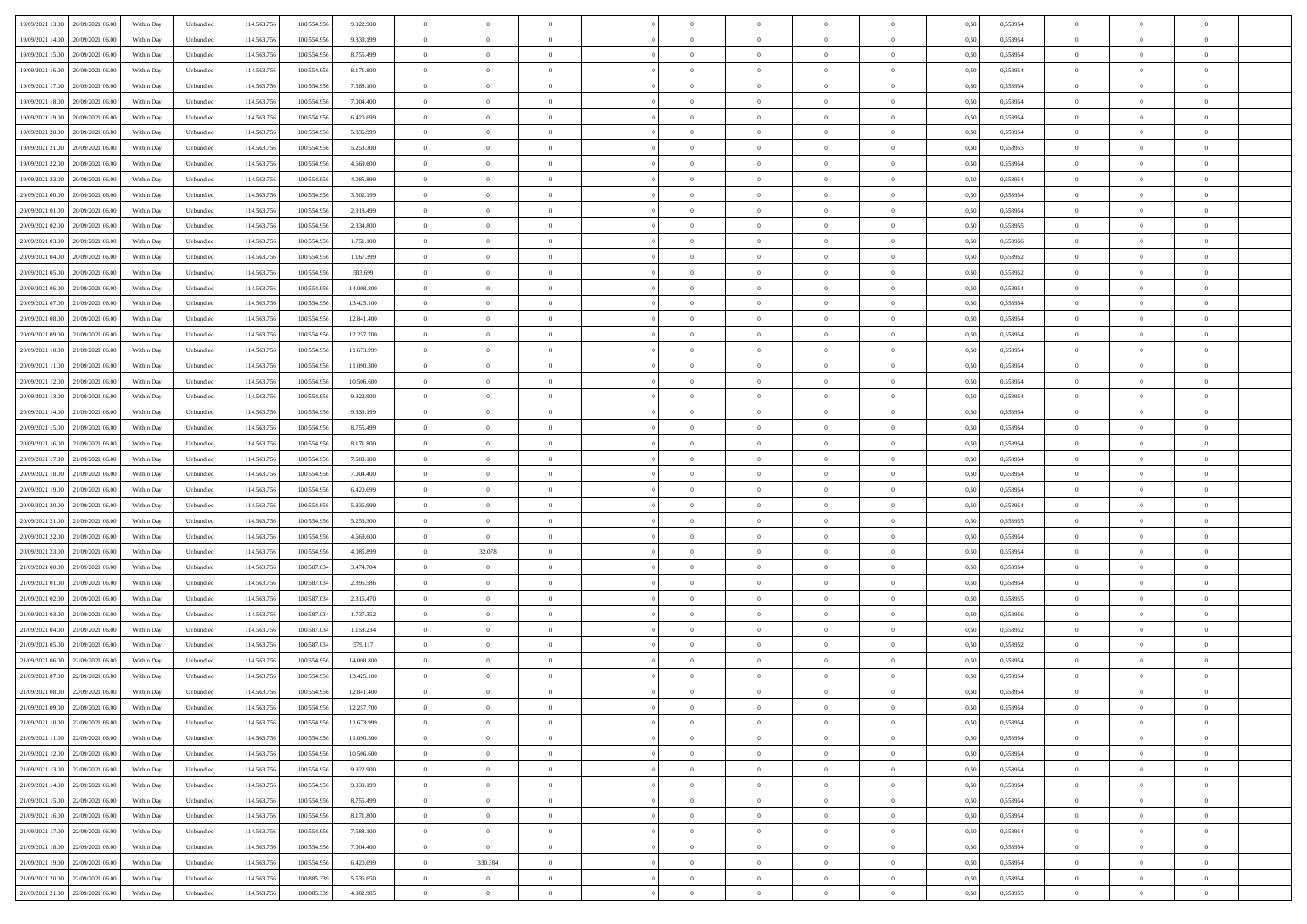| 19/09/2021 13:00<br>20/09/2021 06:00 | Within Day | Unbundled | 114.563.756 | 100.554.956 | 9.922.900  | $\overline{0}$ | $\overline{0}$   |                | $\theta$       | $\theta$       |                | $\overline{0}$ | 0,50 | 0,558954 | $\theta$       | $\theta$       | $\overline{0}$ |  |
|--------------------------------------|------------|-----------|-------------|-------------|------------|----------------|------------------|----------------|----------------|----------------|----------------|----------------|------|----------|----------------|----------------|----------------|--|
|                                      |            |           |             |             |            |                | $\overline{0}$   |                |                |                |                |                |      |          |                | $\theta$       | $\overline{0}$ |  |
| 19/09/2021 14:00<br>20/09/2021 06.0  | Within Day | Unbundled | 114.563.75  | 100.554.956 | 9.339.199  | $\bf{0}$       |                  | $\overline{0}$ | $\bf{0}$       | $\bf{0}$       | $\overline{0}$ | $\bf{0}$       | 0,50 | 0,558954 | $\,$ 0 $\,$    |                |                |  |
| 19/09/2021 15:00<br>20/09/2021 06:00 | Within Day | Unbundled | 114.563.756 | 100.554.956 | 8,755,499  | $\overline{0}$ | $\overline{0}$   | $\overline{0}$ | $\bf{0}$       | $\bf{0}$       | $\overline{0}$ | $\mathbf{0}$   | 0.50 | 0.558954 | $\bf{0}$       | $\overline{0}$ | $\overline{0}$ |  |
| 19/09/2021 16:00<br>20/09/2021 06:00 | Within Day | Unbundled | 114.563.756 | 100.554.956 | 8.171.800  | $\overline{0}$ | $\overline{0}$   | $\overline{0}$ | $\overline{0}$ | $\overline{0}$ | $\overline{0}$ | $\bf{0}$       | 0,50 | 0,558954 | $\theta$       | $\theta$       | $\overline{0}$ |  |
| 19/09/2021 17:00<br>20/09/2021 06.0  | Within Day | Unbundled | 114.563.75  | 100.554.956 | 7.588.100  | $\overline{0}$ | $\overline{0}$   | $\bf{0}$       | $\overline{0}$ | $\overline{0}$ | $\overline{0}$ | $\bf{0}$       | 0,50 | 0,558954 | $\,$ 0 $\,$    | $\theta$       | $\overline{0}$ |  |
| 19/09/2021 18:00<br>20/09/2021 06:00 | Within Day | Unbundled | 114.563.75  | 100,554,956 | 7 004 400  | $\overline{0}$ | $\overline{0}$   | $\overline{0}$ | $\overline{0}$ | $\overline{0}$ | $\overline{0}$ | $\mathbf{0}$   | 0.50 | 0.558954 | $\theta$       | $\theta$       | $\overline{0}$ |  |
| 19/09/2021 19:00<br>20/09/2021 06:00 | Within Day | Unbundled | 114.563.756 | 100.554.956 | 6.420.699  | $\overline{0}$ | $\overline{0}$   | $\overline{0}$ | $\overline{0}$ | $\overline{0}$ | $\overline{0}$ | $\bf{0}$       | 0,50 | 0,558954 | $\theta$       | $\theta$       | $\overline{0}$ |  |
| 19/09/2021 20.00<br>20/09/2021 06.0  | Within Day | Unbundled | 114.563.75  | 100.554.956 | 5.836.999  | $\overline{0}$ | $\overline{0}$   | $\overline{0}$ | $\overline{0}$ | $\bf{0}$       | $\overline{0}$ | $\bf{0}$       | 0,50 | 0,558954 | $\,$ 0 $\,$    | $\bf{0}$       | $\overline{0}$ |  |
|                                      |            |           |             |             |            |                |                  |                |                |                |                |                |      |          |                |                |                |  |
| 19/09/2021 21:00<br>20/09/2021 06:00 | Within Day | Unbundled | 114,563,756 | 100,554,956 | 5.253.300  | $\overline{0}$ | $\overline{0}$   | $\overline{0}$ | $\overline{0}$ | $\overline{0}$ | $\overline{0}$ | $\mathbf{0}$   | 0.50 | 0.558955 | $\,$ 0 $\,$    | $\overline{0}$ | $\overline{0}$ |  |
| 19/09/2021 22.00<br>20/09/2021 06:00 | Within Day | Unbundled | 114.563.756 | 100.554.956 | 4.669.600  | $\overline{0}$ | $\overline{0}$   | $\overline{0}$ | $\bf{0}$       | $\overline{0}$ | $\overline{0}$ | $\bf{0}$       | 0,50 | 0,558954 | $\,$ 0 $\,$    | $\theta$       | $\overline{0}$ |  |
| 19/09/2021 23.00<br>20/09/2021 06.0  | Within Day | Unbundled | 114.563.75  | 100.554.956 | 4.085.899  | $\overline{0}$ | $\overline{0}$   | $\bf{0}$       | $\bf{0}$       | $\bf{0}$       | $\overline{0}$ | $\bf{0}$       | 0,50 | 0,558954 | $\,$ 0 $\,$    | $\bf{0}$       | $\overline{0}$ |  |
| 20/09/2021 00:00<br>20/09/2021 06:00 | Within Day | Unbundled | 114,563,756 | 100,554,956 | 3.502.199  | $\overline{0}$ | $\overline{0}$   | $\overline{0}$ | $\bf{0}$       | $\bf{0}$       | $\overline{0}$ | $\mathbf{0}$   | 0.50 | 0.558954 | $\bf{0}$       | $\overline{0}$ | $\bf{0}$       |  |
| 20/09/2021 01:00<br>20/09/2021 06:00 | Within Day | Unbundled | 114.563.756 | 100.554.956 | 2.918.499  | $\overline{0}$ | $\overline{0}$   | $\overline{0}$ | $\overline{0}$ | $\overline{0}$ | $\overline{0}$ | $\overline{0}$ | 0,50 | 0,558954 | $\theta$       | $\theta$       | $\overline{0}$ |  |
| 20/09/2021 02:00<br>20/09/2021 06.0  | Within Day | Unbundled | 114.563.75  | 100.554.956 | 2.334.800  | $\overline{0}$ | $\overline{0}$   | $\bf{0}$       | $\bf{0}$       | $\overline{0}$ | $\overline{0}$ | $\bf{0}$       | 0,50 | 0,558955 | $\,$ 0 $\,$    | $\bf{0}$       | $\overline{0}$ |  |
| 20/09/2021 03:00<br>20/09/2021 06:00 | Within Day | Unbundled | 114.563.756 | 100,554,956 | 1.751.100  | $\overline{0}$ | $\overline{0}$   | $\overline{0}$ | $\overline{0}$ | $\overline{0}$ | $\overline{0}$ | $\overline{0}$ | 0.50 | 0.558956 | $\,$ 0 $\,$    | $\theta$       | $\overline{0}$ |  |
|                                      |            |           |             |             |            |                | $\overline{0}$   | $\overline{0}$ | $\overline{0}$ | $\overline{0}$ | $\overline{0}$ |                |      |          | $\theta$       | $\theta$       | $\overline{0}$ |  |
| 20/09/2021 04:00<br>20/09/2021 06:00 | Within Day | Unbundled | 114.563.756 | 100.554.956 | 1.167.399  | $\overline{0}$ |                  |                |                |                |                | $\bf{0}$       | 0,50 | 0,558952 |                |                |                |  |
| 20/09/2021 05:00<br>20/09/2021 06.0  | Within Day | Unbundled | 114.563.75  | 100.554.956 | 583.699    | $\overline{0}$ | $\overline{0}$   | $\overline{0}$ | $\overline{0}$ | $\overline{0}$ | $\overline{0}$ | $\bf{0}$       | 0,50 | 0,558952 | $\,$ 0 $\,$    | $\theta$       | $\overline{0}$ |  |
| 20/09/2021 06:00<br>21/09/2021 06:00 | Within Day | Unbundled | 114,563,75  | 100,554,956 | 14,008,800 | $\overline{0}$ | $\overline{0}$   | $\overline{0}$ | $\overline{0}$ | $\bf{0}$       | $\overline{0}$ | $\mathbf{0}$   | 0.50 | 0.558954 | $\,$ 0 $\,$    | $\overline{0}$ | $\bf{0}$       |  |
| 20/09/2021 07:00<br>21/09/2021 06:00 | Within Day | Unbundled | 114.563.756 | 100.554.956 | 13.425.100 | $\overline{0}$ | $\overline{0}$   | $\overline{0}$ | $\overline{0}$ | $\overline{0}$ | $\overline{0}$ | $\bf{0}$       | 0,50 | 0,558954 | $\theta$       | $\theta$       | $\overline{0}$ |  |
| 20/09/2021 08:00<br>21/09/2021 06.00 | Within Day | Unbundled | 114.563.75  | 100.554.956 | 12.841.400 | $\overline{0}$ | $\overline{0}$   | $\overline{0}$ | $\bf{0}$       | $\bf{0}$       | $\overline{0}$ | $\bf{0}$       | 0,50 | 0,558954 | $\,$ 0 $\,$    | $\bf{0}$       | $\overline{0}$ |  |
| 20/09/2021 09:00<br>21/09/2021 06:00 | Within Day | Unbundled | 114,563,756 | 100.554.956 | 12.257.700 | $\overline{0}$ | $\overline{0}$   | $\overline{0}$ | $\bf{0}$       | $\bf{0}$       | $\overline{0}$ | $\mathbf{0}$   | 0.50 | 0.558954 | $\bf{0}$       | $\overline{0}$ | $\bf{0}$       |  |
| 20/09/2021 10:00<br>21/09/2021 06:00 | Within Day | Unbundled | 114.563.756 | 100.554.956 | 11.673.999 | $\overline{0}$ | $\overline{0}$   | $\overline{0}$ | $\overline{0}$ | $\overline{0}$ | $\overline{0}$ | $\,$ 0 $\,$    | 0.5( | 0,558954 | $\theta$       | $\theta$       | $\overline{0}$ |  |
|                                      |            |           |             |             |            |                | $\overline{0}$   |                |                |                |                |                |      |          |                |                |                |  |
| 20/09/2021 11:00<br>21/09/2021 06.00 | Within Day | Unbundled | 114.563.75  | 100.554.956 | 11.090.300 | $\overline{0}$ |                  | $\overline{0}$ | $\bf{0}$       | $\bf{0}$       | $\overline{0}$ | $\bf{0}$       | 0,50 | 0,558954 | $\,$ 0 $\,$    | $\bf{0}$       | $\overline{0}$ |  |
| 20/09/2021 12:00<br>21/09/2021 06:00 | Within Day | Unbundled | 114.563.75  | 100,554,956 | 10.506.600 | $\overline{0}$ | $\overline{0}$   | $\overline{0}$ | $\overline{0}$ | $\overline{0}$ | $\overline{0}$ | $\mathbf{0}$   | 0.50 | 0.558954 | $\theta$       | $\theta$       | $\overline{0}$ |  |
| 20/09/2021 13:00<br>21/09/2021 06:00 | Within Day | Unbundled | 114.563.756 | 100.554.956 | 9.922.900  | $\overline{0}$ | $\overline{0}$   | $\overline{0}$ | $\overline{0}$ | $\overline{0}$ | $\overline{0}$ | $\bf{0}$       | 0,50 | 0,558954 | $\theta$       | $\theta$       | $\overline{0}$ |  |
| 20/09/2021 14:00<br>21/09/2021 06.00 | Within Day | Unbundled | 114.563.75  | 100.554.956 | 9.339.199  | $\overline{0}$ | $\overline{0}$   | $\overline{0}$ | $\overline{0}$ | $\overline{0}$ | $\overline{0}$ | $\bf{0}$       | 0,50 | 0,558954 | $\,$ 0 $\,$    | $\theta$       | $\overline{0}$ |  |
| 20/09/2021 15:00<br>21/09/2021 06:00 | Within Day | Unbundled | 114,563,756 | 100,554,956 | 8,755,499  | $\overline{0}$ | $\overline{0}$   | $\overline{0}$ | $\overline{0}$ | $\overline{0}$ | $\overline{0}$ | $\mathbf{0}$   | 0.50 | 0.558954 | $\,$ 0 $\,$    | $\overline{0}$ | $\overline{0}$ |  |
| 20/09/2021 16:00<br>21/09/2021 06:00 | Within Day | Unbundled | 114.563.756 | 100.554.956 | 8.171.800  | $\overline{0}$ | $\overline{0}$   | $\overline{0}$ | $\overline{0}$ | $\overline{0}$ | $\overline{0}$ | $\bf{0}$       | 0,50 | 0,558954 | $\theta$       | $\theta$       | $\overline{0}$ |  |
| 20/09/2021 17:00<br>21/09/2021 06.00 | Within Day | Unbundled | 114.563.75  | 100.554.956 | 7.588.100  | $\overline{0}$ | $\overline{0}$   | $\overline{0}$ | $\bf{0}$       | $\bf{0}$       | $\overline{0}$ | $\bf{0}$       | 0,50 | 0,558954 | $\,$ 0 $\,$    | $\bf{0}$       | $\overline{0}$ |  |
| 21/09/2021 06:00                     |            | Unbundled | 114,563,756 | 100,554,956 | 7 004 400  |                |                  |                |                |                | $\overline{0}$ |                |      | 0.558954 |                | $\overline{0}$ |                |  |
| 20/09/2021 18:00                     | Within Day |           |             |             |            | $\overline{0}$ | $\overline{0}$   | $\overline{0}$ | $\bf{0}$       | $\bf{0}$       |                | $\mathbf{0}$   | 0.50 |          | $\bf{0}$       |                | $\bf{0}$       |  |
| 20/09/2021 19:00<br>21/09/2021 06:00 | Within Day | Unbundled | 114.563.756 | 100.554.956 | 6.420.699  | $\overline{0}$ | $\overline{0}$   | $\overline{0}$ | $\overline{0}$ | $\overline{0}$ | $\overline{0}$ | $\overline{0}$ | 0.50 | 0.558954 | $\theta$       | $\theta$       | $\overline{0}$ |  |
| 20/09/2021 20:00<br>21/09/2021 06.00 | Within Day | Unbundled | 114.563.75  | 100.554.956 | 5.836.999  | $\overline{0}$ | $\overline{0}$   | $\overline{0}$ | $\bf{0}$       | $\overline{0}$ | $\overline{0}$ | $\bf{0}$       | 0,50 | 0,558954 | $\,$ 0 $\,$    | $\bf{0}$       | $\overline{0}$ |  |
| 20/09/2021 21:00<br>21/09/2021 06:00 | Within Day | Unbundled | 114.563.756 | 100,554,956 | 5.253.300  | $\overline{0}$ | $\overline{0}$   | $\overline{0}$ | $\overline{0}$ | $\overline{0}$ | $\overline{0}$ | $\mathbf{0}$   | 0.50 | 0.558955 | $\,$ 0 $\,$    | $\theta$       | $\overline{0}$ |  |
| 20/09/2021 22:00<br>21/09/2021 06:00 | Within Day | Unbundled | 114.563.756 | 100.554.956 | 4.669.600  | $\overline{0}$ | $\overline{0}$   | $\overline{0}$ | $\overline{0}$ | $\overline{0}$ | $\Omega$       | $\overline{0}$ | 0.50 | 0,558954 | $\theta$       | $\theta$       | $\overline{0}$ |  |
| 20/09/2021 23:00<br>21/09/2021 06.00 | Within Day | Unbundled | 114.563.75  | 100.554.956 | 4.085.899  | $\overline{0}$ | 32.078           | $\overline{0}$ | $\bf{0}$       | $\overline{0}$ | $\overline{0}$ | $\bf{0}$       | 0,50 | 0,558954 | $\,$ 0 $\,$    | $\bf{0}$       | $\overline{0}$ |  |
| 21/09/2021 00:00<br>21/09/2021 06:00 | Within Day | Unbundled | 114,563,75  | 100,587,034 | 3.474.704  | $\overline{0}$ | $\overline{0}$   | $\overline{0}$ | $\overline{0}$ | $\bf{0}$       | $\overline{0}$ | $\mathbf{0}$   | 0.50 | 0.558954 | $\,$ 0 $\,$    | $\overline{0}$ | $\overline{0}$ |  |
| 21/09/2021 01:00<br>21/09/2021 06:00 | Within Day | Unbundled | 114.563.756 | 100.587.034 | 2.895.586  | $\overline{0}$ | $\overline{0}$   | $\overline{0}$ | $\overline{0}$ | $\overline{0}$ | $\overline{0}$ | $\overline{0}$ | 0.50 | 0,558954 | $\theta$       | $\theta$       | $\overline{0}$ |  |
| 21/09/2021 06.00                     | Within Day | Unbundled | 114.563.75  | 100.587.034 | 2.316.470  | $\overline{0}$ | $\overline{0}$   | $\overline{0}$ | $\overline{0}$ | $\bf{0}$       | $\overline{0}$ | $\bf{0}$       | 0,50 | 0,558955 | $\,$ 0 $\,$    | $\bf{0}$       | $\overline{0}$ |  |
| 21/09/2021 02:00                     |            |           |             |             |            |                |                  |                |                |                |                |                |      |          |                |                |                |  |
| 21/09/2021 03:00<br>21/09/2021 06:00 | Within Day | Unbundled | 114,563,756 | 100.587.034 | 1.737.352  | $\overline{0}$ | $\overline{0}$   | $\overline{0}$ | $\bf{0}$       | $\bf{0}$       | $\overline{0}$ | $\mathbf{0}$   | 0.50 | 0.558956 | $\bf{0}$       | $\overline{0}$ | $\bf{0}$       |  |
| 21/09/2021 04:00<br>21/09/2021 06:00 | Within Day | Unbundled | 114.563.756 | 100.587.034 | 1.158.234  | $\overline{0}$ | $\overline{0}$   | $\overline{0}$ | $\overline{0}$ | $\overline{0}$ | $\overline{0}$ | $\overline{0}$ | 0.50 | 0,558952 | $\theta$       | $\theta$       | $\overline{0}$ |  |
| 21/09/2021 05:00<br>21/09/2021 06.00 | Within Day | Unbundled | 114.563.75  | 100.587.034 | 579.117    | $\overline{0}$ | $\overline{0}$   | $\overline{0}$ | $\,$ 0 $\,$    | $\bf{0}$       | $\overline{0}$ | $\bf{0}$       | 0,50 | 0,558952 | $\,$ 0 $\,$    | $\bf{0}$       | $\overline{0}$ |  |
| 21/09/2021 06:00<br>22/09/2021 06:00 | Within Day | Unbundled | 114.563.756 | 100,554,956 | 14,008,800 | $\overline{0}$ | $\overline{0}$   | $\overline{0}$ | $\overline{0}$ | $\overline{0}$ | $\overline{0}$ | $\mathbf{0}$   | 0.50 | 0.558954 | $\,$ 0 $\,$    | $\theta$       | $\overline{0}$ |  |
| 21/09/2021 07:00<br>22/09/2021 06:00 | Within Day | Unbundled | 114.563.756 | 100.554.956 | 13.425.100 | $\overline{0}$ | $\overline{0}$   | $\overline{0}$ | $\overline{0}$ | $\overline{0}$ | $\Omega$       | $\overline{0}$ | 0.50 | 0,558954 | $\theta$       | $\theta$       | $\overline{0}$ |  |
| 21/09/2021 08:00<br>22/09/2021 06.00 | Within Day | Unbundled | 114.563.756 | 100.554.956 | 12.841.400 | $\overline{0}$ | $\overline{0}$   | $\bf{0}$       | $\,$ 0 $\,$    | $\bf{0}$       | $\overline{0}$ | $\bf{0}$       | 0,50 | 0,558954 | $\overline{0}$ | $\bf{0}$       | $\overline{0}$ |  |
| 21/09/2021 09:00 22/09/2021 06:00    | Within Day | Unbundled | 114.563.756 | 100.554.956 | 12.257.700 | $\bf{0}$       | $\boldsymbol{0}$ |                | $\overline{0}$ |                |                |                | 0,50 | 0.558954 | $\theta$       | $\overline{0}$ |                |  |
| 21/09/2021 10:00 22/09/2021 06:00    | Within Day | Unbundled | 114.563.756 | 100.554.956 | 11.673.999 | $\overline{0}$ | $\overline{0}$   | $\overline{0}$ | $\overline{0}$ | $\overline{0}$ | $\overline{0}$ | $\overline{0}$ | 0,50 | 0,558954 | $\theta$       | $\theta$       | $\overline{0}$ |  |
|                                      |            |           |             |             |            |                |                  |                |                |                |                |                |      |          |                |                |                |  |
| 21/09/2021 11:00<br>22/09/2021 06.00 | Within Day | Unbundled | 114.563.756 | 100.554.956 | 11.090.300 | $\overline{0}$ | $\overline{0}$   | $\overline{0}$ | $\bf{0}$       | $\overline{0}$ | $\overline{0}$ | $\bf{0}$       | 0,50 | 0,558954 | $\overline{0}$ | $\overline{0}$ | $\bf{0}$       |  |
| 21/09/2021 12:00 22/09/2021 06:00    | Within Day | Unbundled | 114.563.756 | 100.554.956 | 10.506.600 | $\overline{0}$ | $\overline{0}$   | $\overline{0}$ | $\,$ 0 $\,$    | $\bf{0}$       | $\overline{0}$ | $\mathbf{0}$   | 0.50 | 0.558954 | $\overline{0}$ | $\bf{0}$       | $\bf{0}$       |  |
| 21/09/2021 13:00 22/09/2021 06:00    | Within Dav | Unbundled | 114.563.756 | 100.554.956 | 9.922.900  | $\overline{0}$ | $\overline{0}$   | $\overline{0}$ | $\overline{0}$ | $\overline{0}$ | $\overline{0}$ | $\mathbf{0}$   | 0,50 | 0,558954 | $\overline{0}$ | $\theta$       | $\overline{0}$ |  |
| 21/09/2021 14:00<br>22/09/2021 06:00 | Within Day | Unbundled | 114.563.756 | 100.554.956 | 9.339.199  | $\overline{0}$ | $\overline{0}$   | $\overline{0}$ | $\bf{0}$       | $\bf{0}$       | $\overline{0}$ | $\mathbf{0}$   | 0,50 | 0,558954 | $\overline{0}$ | $\overline{0}$ | $\overline{0}$ |  |
| 21/09/2021 15.00<br>22/09/2021 06:00 | Within Day | Unbundled | 114.563.756 | 100.554.956 | 8.755.499  | $\overline{0}$ | $\overline{0}$   | $\overline{0}$ | $\bf{0}$       | $\overline{0}$ | $\overline{0}$ | $\mathbf{0}$   | 0.50 | 0.558954 | $\,$ 0 $\,$    | $\theta$       | $\,$ 0         |  |
| 21/09/2021 16:00<br>22/09/2021 06:00 | Within Dav | Unbundled | 114.563.756 | 100.554.956 | 8.171.800  | $\overline{0}$ | $\overline{0}$   | $\overline{0}$ | $\overline{0}$ | $\overline{0}$ | $\overline{0}$ | $\mathbf{0}$   | 0,50 | 0,558954 | $\overline{0}$ | $\theta$       | $\overline{0}$ |  |
| 21/09/2021 17:00<br>22/09/2021 06:00 | Within Day | Unbundled | 114.563.75  | 100.554.956 | 7.588.100  | $\overline{0}$ | $\overline{0}$   | $\overline{0}$ | $\bf{0}$       | $\bf{0}$       | $\overline{0}$ | $\,$ 0 $\,$    | 0,50 | 0,558954 | $\bf{0}$       | $\overline{0}$ | $\,$ 0         |  |
|                                      |            |           |             |             |            |                |                  |                |                |                |                |                |      |          |                |                |                |  |
| 22/09/2021 06:00<br>21/09/2021 18:00 | Within Day | Unbundled | 114.563.756 | 100.554.956 | 7.004.400  | $\overline{0}$ | $\overline{0}$   | $\overline{0}$ | $\bf{0}$       | $\overline{0}$ | $\overline{0}$ | $\,$ 0 $\,$    | 0.50 | 0.558954 | $\overline{0}$ | $\bf{0}$       | $\,$ 0         |  |
| 21/09/2021 19:00<br>22/09/2021 06:00 | Within Dav | Unbundled | 114.563.756 | 100.554.956 | 6.420.699  | $\overline{0}$ | 330.384          | $\overline{0}$ | $\overline{0}$ | $\overline{0}$ | $\overline{0}$ | $\mathbf{0}$   | 0,50 | 0,558954 | $\overline{0}$ | $\theta$       | $\overline{0}$ |  |
| 21/09/2021 20:00<br>22/09/2021 06.00 | Within Day | Unbundled | 114.563.75  | 100.885.339 | 5.536.650  | $\overline{0}$ | $\overline{0}$   | $\overline{0}$ | $\bf{0}$       | $\bf{0}$       | $\overline{0}$ | $\mathbf{0}$   | 0,50 | 0,558954 | $\bf{0}$       | $\bf{0}$       | $\bf{0}$       |  |
| 21/09/2021 21.00 22/09/2021 06.00    | Within Day | Unbundled | 114.563.756 | 100.885.339 | 4.982.985  | $\overline{0}$ | $\overline{0}$   | $\overline{0}$ | $\bf{0}$       | $\,$ 0         | $\overline{0}$ | $\,0\,$        | 0,50 | 0,558955 | $\overline{0}$ | $\,$ 0 $\,$    | $\,$ 0 $\,$    |  |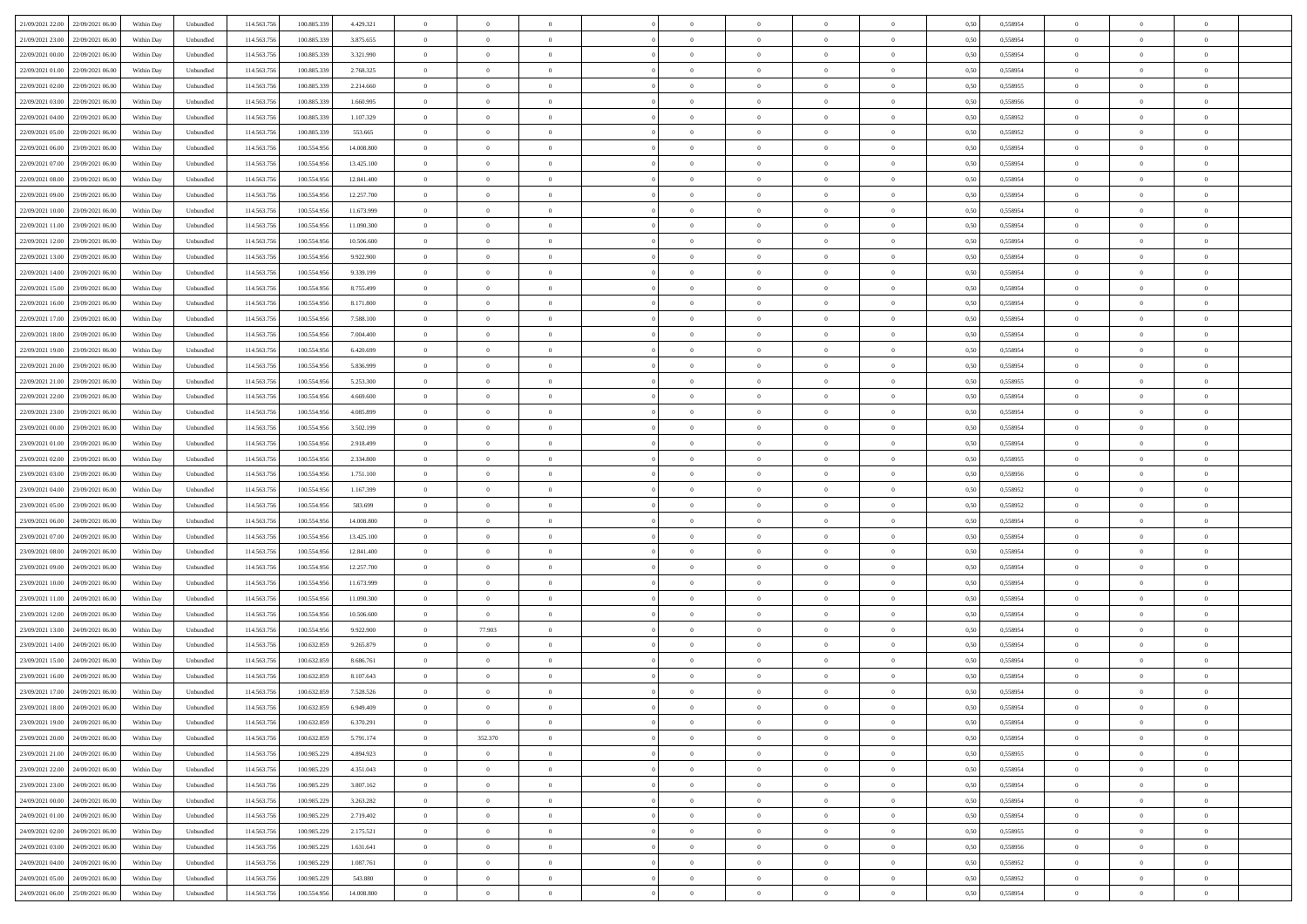| 21/09/2021 22:00<br>22/09/2021 06:00 | Within Day | Unbundled | 114.563.756 | 100.885.339 | 4.429.321  | $\overline{0}$ | $\overline{0}$ | $\overline{0}$ | $\theta$       | $\theta$       |                | $\overline{0}$ | 0,50 | 0,558954 | $\theta$       | $\theta$       | $\theta$       |  |
|--------------------------------------|------------|-----------|-------------|-------------|------------|----------------|----------------|----------------|----------------|----------------|----------------|----------------|------|----------|----------------|----------------|----------------|--|
|                                      |            |           |             |             |            |                |                |                |                |                |                |                |      |          |                |                |                |  |
| 21/09/2021 23.00<br>22/09/2021 06.00 | Within Day | Unbundled | 114.563.75  | 100.885.339 | 3.875.655  | $\overline{0}$ | $\overline{0}$ | $\overline{0}$ | $\,$ 0 $\,$    | $\bf{0}$       | $\overline{0}$ | $\mathbf{0}$   | 0,50 | 0,558954 | $\,$ 0 $\,$    | $\bf{0}$       | $\overline{0}$ |  |
| 22/09/2021 00:00<br>22/09/2021 06:00 | Within Day | Unbundled | 114,563,756 | 100,885,339 | 3.321.990  | $\overline{0}$ | $\overline{0}$ | $\overline{0}$ | $\bf{0}$       | $\bf{0}$       | $\overline{0}$ | $\mathbf{0}$   | 0.50 | 0.558954 | $\bf{0}$       | $\overline{0}$ | $\bf{0}$       |  |
| 22/09/2021 01:00<br>22/09/2021 06:00 | Within Day | Unbundled | 114.563.756 | 100.885.339 | 2.768.325  | $\overline{0}$ | $\overline{0}$ | $\overline{0}$ | $\overline{0}$ | $\overline{0}$ | $\overline{0}$ | $\,$ 0 $\,$    | 0,50 | 0,558954 | $\theta$       | $\overline{0}$ | $\overline{0}$ |  |
| 22/09/2021 02:00<br>22/09/2021 06.00 | Within Day | Unbundled | 114.563.75  | 100.885.339 | 2.214.660  | $\overline{0}$ | $\overline{0}$ | $\overline{0}$ | $\bf{0}$       | $\bf{0}$       | $\overline{0}$ | $\bf{0}$       | 0,50 | 0,558955 | $\,$ 0 $\,$    | $\bf{0}$       | $\overline{0}$ |  |
|                                      |            |           |             |             |            |                |                |                |                |                |                |                |      |          |                |                |                |  |
| 22/09/2021 03:00<br>22/09/2021 06:00 | Within Day | Unbundled | 114,563,75  | 100,885,339 | 1.660.995  | $\overline{0}$ | $\overline{0}$ | $\overline{0}$ | $\bf{0}$       | $\bf{0}$       | $\overline{0}$ | $\mathbf{0}$   | 0.50 | 0.558956 | $\,$ 0 $\,$    | $\overline{0}$ | $\overline{0}$ |  |
| 22/09/2021 04:00<br>22/09/2021 06:00 | Within Day | Unbundled | 114.563.756 | 100.885.339 | 1.107.329  | $\overline{0}$ | $\overline{0}$ | $\overline{0}$ | $\overline{0}$ | $\overline{0}$ | $\overline{0}$ | $\bf{0}$       | 0,50 | 0,558952 | $\theta$       | $\theta$       | $\overline{0}$ |  |
| 22/09/2021 05:00<br>22/09/2021 06.0  | Within Day | Unbundled | 114.563.75  | 100.885.339 | 553.665    | $\overline{0}$ | $\overline{0}$ | $\overline{0}$ | $\,$ 0 $\,$    | $\bf{0}$       | $\overline{0}$ | $\mathbf{0}$   | 0,50 | 0,558952 | $\,$ 0 $\,$    | $\bf{0}$       | $\overline{0}$ |  |
| 22/09/2021 06:00<br>23/09/2021 06:00 | Within Day | Unbundled | 114,563,756 | 100,554,956 | 14,008,800 | $\overline{0}$ | $\overline{0}$ | $\overline{0}$ | $\bf{0}$       | $\bf{0}$       | $\overline{0}$ | $\mathbf{0}$   | 0.50 | 0.558954 | $\bf{0}$       | $\overline{0}$ | $\bf{0}$       |  |
| 22/09/2021 07:00<br>23/09/2021 06:00 | Within Day | Unbundled | 114.563.756 | 100.554.956 | 13.425.100 | $\overline{0}$ | $\overline{0}$ | $\overline{0}$ | $\bf{0}$       | $\bf{0}$       | $\overline{0}$ | $\bf{0}$       | 0,50 | 0,558954 | $\,$ 0         | $\theta$       | $\overline{0}$ |  |
|                                      |            |           |             |             |            |                |                |                |                |                |                |                |      |          |                |                |                |  |
| 22/09/2021 08:00<br>23/09/2021 06.0  | Within Day | Unbundled | 114.563.75  | 100.554.956 | 12.841.400 | $\overline{0}$ | $\overline{0}$ | $\overline{0}$ | $\,$ 0 $\,$    | $\bf{0}$       | $\overline{0}$ | $\bf{0}$       | 0,50 | 0,558954 | $\,$ 0 $\,$    | $\bf{0}$       | $\overline{0}$ |  |
| 22/09/2021 09:00<br>23/09/2021 06:00 | Within Day | Unbundled | 114,563,756 | 100.554.956 | 12.257.700 | $\overline{0}$ | $\overline{0}$ | $\overline{0}$ | $\bf{0}$       | $\bf{0}$       | $\overline{0}$ | $\,$ 0 $\,$    | 0.50 | 0.558954 | $\bf{0}$       | $\overline{0}$ | $\,$ 0         |  |
| 22/09/2021 10:00<br>23/09/2021 06:00 | Within Day | Unbundled | 114.563.756 | 100.554.956 | 11.673.999 | $\overline{0}$ | $\overline{0}$ | $\overline{0}$ | $\overline{0}$ | $\overline{0}$ | $\overline{0}$ | $\,$ 0 $\,$    | 0,50 | 0,558954 | $\theta$       | $\theta$       | $\overline{0}$ |  |
| 22/09/2021 11:00<br>23/09/2021 06.0  | Within Day | Unbundled | 114.563.75  | 100.554.956 | 11.090.300 | $\overline{0}$ | $\overline{0}$ | $\overline{0}$ | $\bf{0}$       | $\bf{0}$       | $\overline{0}$ | $\bf{0}$       | 0,50 | 0,558954 | $\,$ 0 $\,$    | $\bf{0}$       | $\overline{0}$ |  |
| 22/09/2021 12:00<br>23/09/2021 06:00 | Within Day | Unbundled | 114,563,756 | 100,554,956 | 10.506.600 | $\overline{0}$ | $\overline{0}$ | $\overline{0}$ | $\bf{0}$       | $\overline{0}$ | $\overline{0}$ | $\mathbf{0}$   | 0.50 | 0.558954 | $\,$ 0 $\,$    | $\theta$       | $\overline{0}$ |  |
|                                      |            |           |             |             |            |                |                |                |                |                |                |                |      |          |                |                |                |  |
| 22/09/2021 13:00<br>23/09/2021 06:00 | Within Day | Unbundled | 114.563.756 | 100.554.956 | 9.922.900  | $\overline{0}$ | $\overline{0}$ | $\overline{0}$ | $\bf{0}$       | $\overline{0}$ | $\overline{0}$ | $\bf{0}$       | 0,50 | 0,558954 | $\overline{0}$ | $\theta$       | $\overline{0}$ |  |
| 22/09/2021 14:00<br>23/09/2021 06.0  | Within Day | Unbundled | 114.563.75  | 100.554.956 | 9.339.199  | $\overline{0}$ | $\overline{0}$ | $\overline{0}$ | $\,$ 0 $\,$    | $\bf{0}$       | $\overline{0}$ | $\bf{0}$       | 0,50 | 0,558954 | $\,$ 0 $\,$    | $\bf{0}$       | $\overline{0}$ |  |
| 22/09/2021 15:00<br>23/09/2021 06:00 | Within Day | Unbundled | 114,563,756 | 100,554,956 | 8,755,499  | $\overline{0}$ | $\overline{0}$ | $\overline{0}$ | $\bf{0}$       | $\bf{0}$       | $\overline{0}$ | $\mathbf{0}$   | 0.50 | 0.558954 | $\bf{0}$       | $\overline{0}$ | $\,$ 0         |  |
| 22/09/2021 16:00<br>23/09/2021 06:00 | Within Day | Unbundled | 114.563.756 | 100.554.956 | 8.171.800  | $\overline{0}$ | $\overline{0}$ | $\overline{0}$ | $\bf{0}$       | $\overline{0}$ | $\overline{0}$ | $\bf{0}$       | 0,50 | 0,558954 | $\,$ 0 $\,$    | $\,$ 0 $\,$    | $\overline{0}$ |  |
| 22/09/2021 17:00<br>23/09/2021 06.0  | Within Day | Unbundled | 114.563.75  | 100.554.956 | 7.588.100  | $\overline{0}$ | $\overline{0}$ | $\overline{0}$ | $\overline{0}$ | $\bf{0}$       | $\overline{0}$ | $\mathbf{0}$   | 0,50 | 0,558954 | $\,$ 0 $\,$    | $\bf{0}$       | $\overline{0}$ |  |
|                                      |            |           |             |             |            |                |                |                |                |                |                |                |      |          |                |                |                |  |
| 22/09/2021 18:00<br>23/09/2021 06:00 | Within Day | Unbundled | 114,563,756 | 100.554.956 | 7 004 400  | $\overline{0}$ | $\overline{0}$ | $\overline{0}$ | $\bf{0}$       | $\overline{0}$ | $\overline{0}$ | $\,$ 0 $\,$    | 0.50 | 0.558954 | $\bf{0}$       | $\overline{0}$ | $\,$ 0         |  |
| 22/09/2021 19:00<br>23/09/2021 06:00 | Within Day | Unbundled | 114.563.756 | 100.554.956 | 6.420.699  | $\overline{0}$ | $\overline{0}$ | $\overline{0}$ | $\overline{0}$ | $\overline{0}$ | $\overline{0}$ | $\,$ 0 $\,$    | 0.5( | 0,558954 | $\theta$       | $\overline{0}$ | $\overline{0}$ |  |
| 22/09/2021 20.00<br>23/09/2021 06.0  | Within Day | Unbundled | 114.563.75  | 100.554.956 | 5.836.999  | $\overline{0}$ | $\overline{0}$ | $\overline{0}$ | $\overline{0}$ | $\bf{0}$       | $\overline{0}$ | $\bf{0}$       | 0,50 | 0,558954 | $\,$ 0 $\,$    | $\bf{0}$       | $\overline{0}$ |  |
| 22/09/2021 21:00<br>23/09/2021 06:00 | Within Day | Unbundled | 114,563,75  | 100,554,956 | 5.253.300  | $\overline{0}$ | $\overline{0}$ | $\overline{0}$ | $\bf{0}$       | $\bf{0}$       | $\overline{0}$ | $\mathbf{0}$   | 0.50 | 0.558955 | $\,$ 0 $\,$    | $\overline{0}$ | $\overline{0}$ |  |
| 22/09/2021 22:00<br>23/09/2021 06:00 | Within Day | Unbundled | 114.563.756 | 100.554.956 | 4.669.600  | $\overline{0}$ | $\overline{0}$ | $\overline{0}$ | $\bf{0}$       | $\overline{0}$ | $\overline{0}$ | $\bf{0}$       | 0,50 | 0,558954 | $\theta$       | $\theta$       | $\overline{0}$ |  |
| 22/09/2021 23.00<br>23/09/2021 06.0  | Within Day | Unbundled | 114.563.75  | 100.554.956 | 4.085.899  | $\overline{0}$ | $\overline{0}$ | $\overline{0}$ | $\,$ 0 $\,$    | $\bf{0}$       | $\overline{0}$ | $\bf{0}$       | 0,50 | 0,558954 | $\,$ 0 $\,$    | $\bf{0}$       | $\overline{0}$ |  |
| 23/09/2021 00:00<br>23/09/2021 06:00 |            |           | 114,563,756 | 100,554,956 | 3.502.199  |                |                | $\overline{0}$ |                |                | $\overline{0}$ |                | 0.50 | 0.558954 |                |                |                |  |
|                                      | Within Day | Unbundled |             |             |            | $\overline{0}$ | $\overline{0}$ |                | $\bf{0}$       | $\bf{0}$       |                | $\mathbf{0}$   |      |          | $\bf{0}$       | $\overline{0}$ | $\bf{0}$       |  |
| 23/09/2021 01:00<br>23/09/2021 06:00 | Within Day | Unbundled | 114.563.756 | 100.554.956 | 2.918.499  | $\overline{0}$ | $\overline{0}$ | $\overline{0}$ | $\bf{0}$       | $\overline{0}$ | $\overline{0}$ | $\bf{0}$       | 0,50 | 0,558954 | $\overline{0}$ | $\overline{0}$ | $\overline{0}$ |  |
| 23/09/2021 02:00<br>23/09/2021 06.0  | Within Day | Unbundled | 114.563.75  | 100.554.956 | 2.334.800  | $\overline{0}$ | $\overline{0}$ | $\overline{0}$ | $\overline{0}$ | $\bf{0}$       | $\overline{0}$ | $\mathbf{0}$   | 0,50 | 0,558955 | $\overline{0}$ | $\bf{0}$       | $\overline{0}$ |  |
| 23/09/2021 03:00<br>23/09/2021 06:00 | Within Day | Unbundled | 114,563,756 | 100,554,956 | 1.751.100  | $\overline{0}$ | $\overline{0}$ | $\overline{0}$ | $\bf{0}$       | $\overline{0}$ | $\overline{0}$ | $\,$ 0 $\,$    | 0.50 | 0.558956 | $\bf{0}$       | $\overline{0}$ | $\,$ 0         |  |
| 23/09/2021 04:00<br>23/09/2021 06:00 | Within Day | Unbundled | 114.563.756 | 100,554,956 | 1.167.399  | $\overline{0}$ | $\overline{0}$ | $\overline{0}$ | $\overline{0}$ | $\overline{0}$ | $\overline{0}$ | $\overline{0}$ | 0.50 | 0,558952 | $\theta$       | $\overline{0}$ | $\overline{0}$ |  |
| 23/09/2021 05:00<br>23/09/2021 06.0  | Within Day | Unbundled | 114.563.75  | 100.554.956 | 583.699    | $\overline{0}$ | $\overline{0}$ | $\overline{0}$ | $\,$ 0 $\,$    | $\bf{0}$       | $\overline{0}$ | $\bf{0}$       | 0,50 | 0,558952 | $\,$ 0 $\,$    | $\bf{0}$       | $\overline{0}$ |  |
| 23/09/2021 06.00<br>24/09/2021 06:00 | Within Day | Unbundled | 114.563.756 | 100,554,956 | 14,008,800 | $\overline{0}$ | $\overline{0}$ | $\overline{0}$ | $\bf{0}$       | $\bf{0}$       | $\overline{0}$ | $\mathbf{0}$   | 0.50 | 0.558954 | $\,$ 0 $\,$    | $\bf{0}$       | $\overline{0}$ |  |
|                                      |            |           |             |             |            |                |                |                |                |                |                |                |      |          |                |                |                |  |
| 23/09/2021 07:00<br>24/09/2021 06:00 | Within Day | Unbundled | 114.563.756 | 100.554.956 | 13.425.100 | $\overline{0}$ | $\overline{0}$ | $\overline{0}$ | $\overline{0}$ | $\overline{0}$ | $\overline{0}$ | $\overline{0}$ | 0.50 | 0,558954 | $\theta$       | $\theta$       | $\overline{0}$ |  |
| 23/09/2021 08:00<br>24/09/2021 06.0  | Within Day | Unbundled | 114.563.75  | 100.554.956 | 12.841.400 | $\overline{0}$ | $\overline{0}$ | $\overline{0}$ | $\overline{0}$ | $\bf{0}$       | $\overline{0}$ | $\bf{0}$       | 0,50 | 0,558954 | $\,$ 0 $\,$    | $\bf{0}$       | $\overline{0}$ |  |
| 23/09/2021 09:00<br>24/09/2021 06:00 | Within Day | Unbundled | 114,563,75  | 100,554,956 | 12.257.700 | $\overline{0}$ | $\overline{0}$ | $\overline{0}$ | $\bf{0}$       | $\bf{0}$       | $\overline{0}$ | $\mathbf{0}$   | 0.50 | 0.558954 | $\bf{0}$       | $\overline{0}$ | $\bf{0}$       |  |
| 23/09/2021 10:00<br>24/09/2021 06:00 | Within Day | Unbundled | 114.563.756 | 100.554.956 | 11.673.999 | $\overline{0}$ | $\overline{0}$ | $\overline{0}$ | $\overline{0}$ | $\overline{0}$ | $\overline{0}$ | $\mathbf{0}$   | 0.50 | 0,558954 | $\overline{0}$ | $\overline{0}$ | $\overline{0}$ |  |
| 23/09/2021 11:00<br>24/09/2021 06.0  | Within Day | Unbundled | 114.563.75  | 100.554.956 | 11.090.300 | $\overline{0}$ | $\overline{0}$ | $\overline{0}$ | $\overline{0}$ | $\bf{0}$       | $\overline{0}$ | $\mathbf{0}$   | 0,50 | 0,558954 | $\overline{0}$ | $\bf{0}$       | $\overline{0}$ |  |
| 23/09/2021 12:00<br>24/09/2021 06:00 | Within Day | Unbundled | 114,563,756 | 100.554.956 | 10,506,600 | $\overline{0}$ | $\overline{0}$ | $\overline{0}$ | $\bf{0}$       | $\overline{0}$ | $\overline{0}$ | $\,$ 0 $\,$    | 0.50 | 0.558954 | $\bf{0}$       | $\overline{0}$ | $\,$ 0         |  |
|                                      |            |           |             |             |            |                |                |                |                |                |                |                |      |          |                |                |                |  |
| 23/09/2021 13:00<br>24/09/2021 06:00 | Within Day | Unbundled | 114.563.756 | 100.554.956 | 9.922.900  | $\overline{0}$ | 77.903         | $\overline{0}$ | $\overline{0}$ | $\overline{0}$ | $\overline{0}$ | $\overline{0}$ | 0.50 | 0,558954 | $\theta$       | $\theta$       | $\overline{0}$ |  |
| 23/09/2021 14:00<br>24/09/2021 06.0  | Within Day | Unbundled | 114.563.75  | 100.632.859 | 9.265.879  | $\overline{0}$ | $\overline{0}$ | $\overline{0}$ | $\overline{0}$ | $\bf{0}$       | $\overline{0}$ | $\bf{0}$       | 0,50 | 0,558954 | $\,$ 0 $\,$    | $\bf{0}$       | $\overline{0}$ |  |
| 23/09/2021 15:00<br>24/09/2021 06:00 | Within Day | Unbundled | 114,563,75  | 100.632.859 | 8.686.761  | $\overline{0}$ | $\overline{0}$ | $\overline{0}$ | $\overline{0}$ | $\bf{0}$       | $\overline{0}$ | $\mathbf{0}$   | 0.50 | 0.558954 | $\,$ 0 $\,$    | $\theta$       | $\overline{0}$ |  |
| 23/09/2021 16:00<br>24/09/2021 06:00 | Within Day | Unbundled | 114.563.756 | 100.632.859 | 8.107.643  | $\overline{0}$ | $\overline{0}$ | $\overline{0}$ | $\overline{0}$ | $\overline{0}$ | $\Omega$       | $\overline{0}$ | 0.50 | 0,558954 | $\theta$       | $\theta$       | $\overline{0}$ |  |
| 23/09/2021 17:00<br>24/09/2021 06:00 | Within Day | Unbundled | 114.563.756 | 100.632.859 | 7.528.526  | $\overline{0}$ | $\overline{0}$ | $\overline{0}$ | $\overline{0}$ | $\bf{0}$       | $\overline{0}$ | $\bf{0}$       | 0,50 | 0,558954 | $\overline{0}$ | $\overline{0}$ | $\overline{0}$ |  |
| 23/09/2021 18:00 24/09/2021 06:00    | Within Day | Unbundled | 114.563.756 | 100.632.859 | 6.949.409  | $\bf{0}$       | $\,$ 0 $\,$    |                | $\bf{0}$       |                |                |                | 0,50 | 0.558954 | $\theta$       | $\overline{0}$ |                |  |
|                                      |            |           |             |             |            |                |                |                |                |                |                |                |      |          |                |                |                |  |
| 23/09/2021 19:00 24/09/2021 06:00    | Within Day | Unbundled | 114.563.756 | 100.632.859 | 6.370.291  | $\overline{0}$ | $\overline{0}$ | $\overline{0}$ | $\overline{0}$ | $\overline{0}$ | $\overline{0}$ | $\overline{0}$ | 0,50 | 0,558954 | $\theta$       | $\theta$       | $\overline{0}$ |  |
| 23/09/2021 20:00<br>24/09/2021 06.00 | Within Day | Unbundled | 114.563.756 | 100.632.859 | 5.791.174  | $\overline{0}$ | 352.370        | $\overline{0}$ | $\bf{0}$       | $\overline{0}$ | $\overline{0}$ | $\overline{0}$ | 0,50 | 0,558954 | $\overline{0}$ | $\overline{0}$ | $\bf{0}$       |  |
| 23/09/2021 21:00<br>24/09/2021 06:00 | Within Day | Unbundled | 114.563.756 | 100.985.229 | 4.894.923  | $\overline{0}$ | $\overline{0}$ | $\overline{0}$ | $\,$ 0 $\,$    | $\bf{0}$       | $\overline{0}$ | $\mathbf{0}$   | 0.50 | 0.558955 | $\overline{0}$ | $\bf{0}$       | $\bf{0}$       |  |
| 23/09/2021 22.00 24/09/2021 06:00    | Within Dav | Unbundled | 114.563.756 | 100.985.229 | 4.351.043  | $\overline{0}$ | $\overline{0}$ | $\overline{0}$ | $\overline{0}$ | $\overline{0}$ | $\overline{0}$ | $\mathbf{0}$   | 0,50 | 0,558954 | $\overline{0}$ | $\theta$       | $\overline{0}$ |  |
| 23/09/2021 23:00<br>24/09/2021 06:00 | Within Day | Unbundled | 114.563.756 | 100.985.229 | 3.807.162  | $\overline{0}$ | $\overline{0}$ | $\overline{0}$ | $\bf{0}$       | $\bf{0}$       | $\overline{0}$ | $\mathbf{0}$   | 0,50 | 0,558954 | $\overline{0}$ | $\bf{0}$       | $\overline{0}$ |  |
| 24/09/2021 06:00                     |            | Unbundled |             |             | 3.263.282  |                |                | $\overline{0}$ |                | $\bf{0}$       | $\overline{0}$ |                | 0.50 | 0.558954 | $\,$ 0 $\,$    | $\theta$       | $\,$ 0         |  |
| 24/09/2021 00.00                     | Within Day |           | 114.563.756 | 100.985.229 |            | $\overline{0}$ | $\overline{0}$ |                | $\bf{0}$       |                |                | $\mathbf{0}$   |      |          |                |                |                |  |
| 24/09/2021 01:00<br>24/09/2021 06:00 | Within Dav | Unbundled | 114.563.756 | 100.985.229 | 2.719.402  | $\overline{0}$ | $\overline{0}$ | $\overline{0}$ | $\overline{0}$ | $\overline{0}$ | $\overline{0}$ | $\mathbf{0}$   | 0,50 | 0,558954 | $\overline{0}$ | $\theta$       | $\overline{0}$ |  |
| 24/09/2021 02.00<br>24/09/2021 06:00 | Within Day | Unbundled | 114.563.75  | 100.985.229 | 2.175.521  | $\overline{0}$ | $\overline{0}$ | $\overline{0}$ | $\bf{0}$       | $\bf{0}$       | $\overline{0}$ | $\,$ 0 $\,$    | 0,50 | 0,558955 | $\bf{0}$       | $\overline{0}$ | $\,$ 0         |  |
| 24/09/2021 06:00<br>24/09/2021 03:00 | Within Day | Unbundled | 114.563.756 | 100.985.229 | 1.631.641  | $\overline{0}$ | $\overline{0}$ | $\overline{0}$ | $\bf{0}$       | $\overline{0}$ | $\overline{0}$ | $\,$ 0 $\,$    | 0.50 | 0.558956 | $\overline{0}$ | $\bf{0}$       | $\,$ 0         |  |
| 24/09/2021 04:00<br>24/09/2021 06:00 | Within Dav | Unbundled | 114.563.756 | 100.985.229 | 1.087.761  | $\overline{0}$ | $\overline{0}$ | $\overline{0}$ | $\overline{0}$ | $\overline{0}$ | $\overline{0}$ | $\mathbf{0}$   | 0,50 | 0,558952 | $\overline{0}$ | $\theta$       | $\overline{0}$ |  |
| 24/09/2021 05:00<br>24/09/2021 06.0  | Within Day | Unbundled | 114.563.756 | 100.985.229 | 543.880    | $\overline{0}$ | $\overline{0}$ | $\overline{0}$ | $\bf{0}$       | $\bf{0}$       | $\overline{0}$ | $\mathbf{0}$   | 0,50 | 0,558952 | $\bf{0}$       | $\bf{0}$       | $\bf{0}$       |  |
| 24/09/2021 06:00 25/09/2021 06:00    |            | Unbundled | 114.563.756 | 100.554.956 | 14.008.800 | $\,$ 0 $\,$    | $\overline{0}$ | $\overline{0}$ | $\bf{0}$       | $\,$ 0         | $\overline{0}$ | $\,0\,$        | 0,50 | 0,558954 | $\overline{0}$ | $\,$ 0 $\,$    | $\,$ 0 $\,$    |  |
|                                      | Within Day |           |             |             |            |                |                |                |                |                |                |                |      |          |                |                |                |  |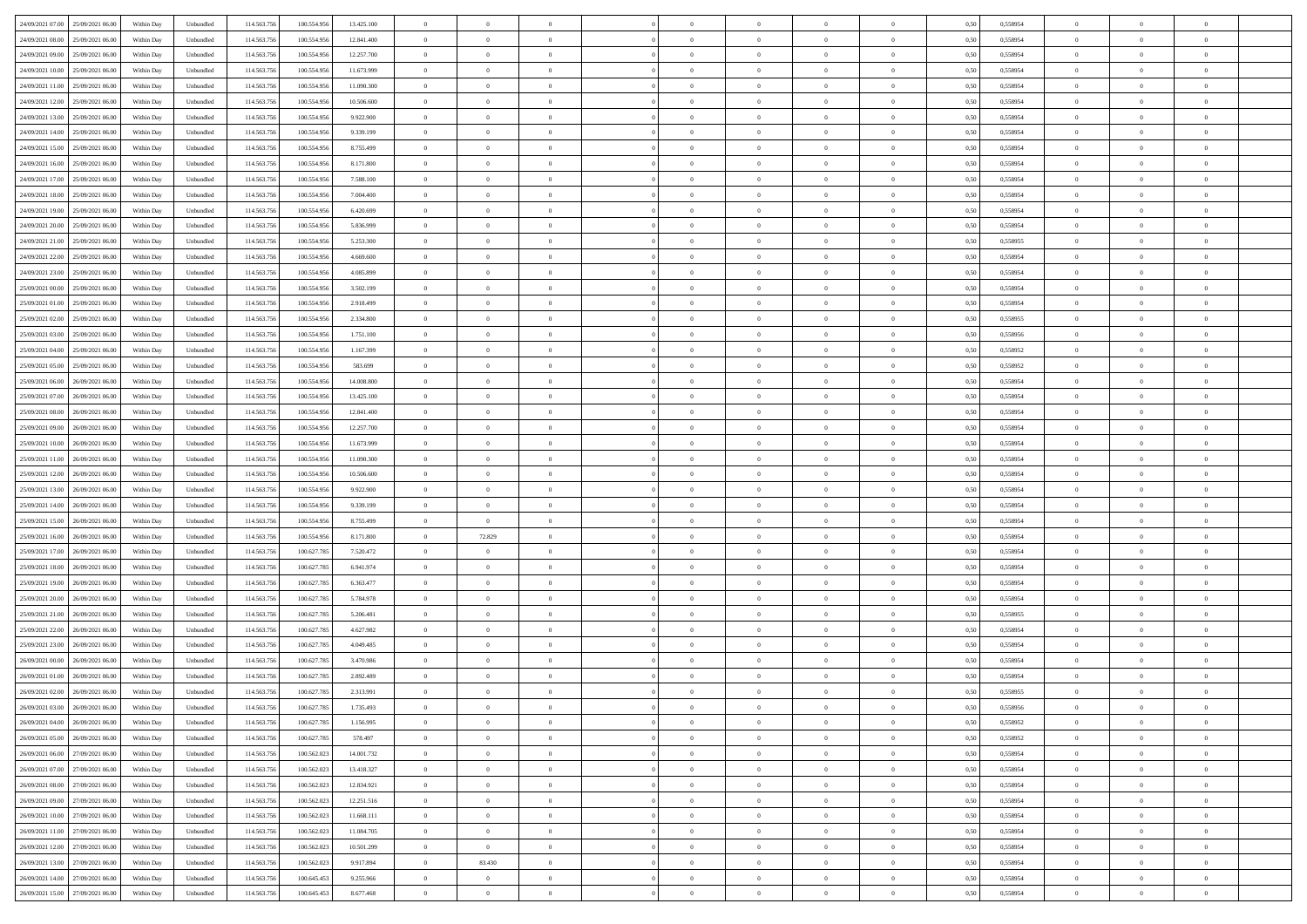| 24/09/2021 07:00<br>25/09/2021 06:00 | Within Day | Unbundled | 114.563.756 | 100.554.956 | 13.425.100 | $\overline{0}$ | $\overline{0}$ | $\overline{0}$ | $\theta$       | $\theta$       |                | $\overline{0}$ | 0,50 | 0,558954 | $\theta$       | $\theta$       | $\theta$       |  |
|--------------------------------------|------------|-----------|-------------|-------------|------------|----------------|----------------|----------------|----------------|----------------|----------------|----------------|------|----------|----------------|----------------|----------------|--|
|                                      |            |           |             |             |            |                |                |                |                |                |                |                |      |          |                |                |                |  |
| 24/09/2021 08:00<br>25/09/2021 06.00 | Within Day | Unbundled | 114.563.75  | 100.554.956 | 12.841.400 | $\overline{0}$ | $\overline{0}$ | $\overline{0}$ | $\,$ 0 $\,$    | $\bf{0}$       | $\overline{0}$ | $\mathbf{0}$   | 0,50 | 0,558954 | $\,$ 0 $\,$    | $\bf{0}$       | $\overline{0}$ |  |
| 24/09/2021 09:00<br>25/09/2021 06:00 | Within Day | Unbundled | 114,563,756 | 100.554.956 | 12.257.700 | $\overline{0}$ | $\overline{0}$ | $\overline{0}$ | $\bf{0}$       | $\bf{0}$       | $\overline{0}$ | $\,$ 0 $\,$    | 0.50 | 0.558954 | $\bf{0}$       | $\overline{0}$ | $\bf{0}$       |  |
| 24/09/2021 10:00<br>25/09/2021 06:00 | Within Day | Unbundled | 114.563.756 | 100.554.956 | 11.673.999 | $\overline{0}$ | $\overline{0}$ | $\overline{0}$ | $\overline{0}$ | $\overline{0}$ | $\overline{0}$ | $\,$ 0 $\,$    | 0,50 | 0,558954 | $\theta$       | $\overline{0}$ | $\overline{0}$ |  |
| 24/09/2021 11:00<br>25/09/2021 06.00 | Within Day | Unbundled | 114.563.75  | 100.554.956 | 11.090.300 | $\overline{0}$ | $\overline{0}$ | $\overline{0}$ | $\bf{0}$       | $\bf{0}$       | $\overline{0}$ | $\bf{0}$       | 0,50 | 0,558954 | $\,$ 0 $\,$    | $\bf{0}$       | $\overline{0}$ |  |
| 24/09/2021 12:00<br>25/09/2021 06:00 | Within Day | Unbundled | 114,563,75  | 100,554,956 | 10.506.600 | $\overline{0}$ | $\overline{0}$ | $\overline{0}$ | $\bf{0}$       | $\bf{0}$       | $\overline{0}$ | $\mathbf{0}$   | 0.50 | 0.558954 | $\,$ 0 $\,$    | $\overline{0}$ | $\overline{0}$ |  |
| 24/09/2021 13:00<br>25/09/2021 06:00 | Within Day | Unbundled | 114.563.756 | 100.554.956 | 9.922.900  | $\overline{0}$ | $\overline{0}$ | $\overline{0}$ | $\overline{0}$ | $\overline{0}$ | $\overline{0}$ | $\bf{0}$       | 0,50 | 0,558954 | $\theta$       | $\theta$       | $\overline{0}$ |  |
| 24/09/2021 14:00<br>25/09/2021 06.00 | Within Day | Unbundled | 114.563.75  | 100.554.956 | 9.339.199  | $\overline{0}$ | $\overline{0}$ | $\overline{0}$ | $\,$ 0 $\,$    | $\bf{0}$       | $\overline{0}$ | $\mathbf{0}$   | 0,50 | 0,558954 | $\,$ 0 $\,$    | $\bf{0}$       | $\overline{0}$ |  |
| 24/09/2021 15:00<br>25/09/2021 06:00 | Within Day | Unbundled | 114,563,756 | 100,554,956 | 8,755,499  | $\overline{0}$ | $\overline{0}$ | $\overline{0}$ | $\bf{0}$       | $\bf{0}$       | $\overline{0}$ | $\mathbf{0}$   | 0.50 | 0.558954 | $\bf{0}$       | $\overline{0}$ | $\bf{0}$       |  |
| 24/09/2021 16:00<br>25/09/2021 06:00 | Within Day | Unbundled | 114.563.756 | 100.554.956 | 8.171.800  | $\overline{0}$ | $\overline{0}$ | $\overline{0}$ | $\bf{0}$       | $\bf{0}$       | $\overline{0}$ | $\bf{0}$       | 0,50 | 0,558954 | $\,$ 0         | $\theta$       | $\overline{0}$ |  |
|                                      |            |           |             |             |            |                |                |                |                |                |                |                |      |          |                |                |                |  |
| 24/09/2021 17.00<br>25/09/2021 06.00 | Within Day | Unbundled | 114.563.75  | 100.554.956 | 7.588.100  | $\overline{0}$ | $\overline{0}$ | $\overline{0}$ | $\,$ 0 $\,$    | $\bf{0}$       | $\overline{0}$ | $\bf{0}$       | 0,50 | 0,558954 | $\,$ 0 $\,$    | $\bf{0}$       | $\overline{0}$ |  |
| 24/09/2021 18:00<br>25/09/2021 06:00 | Within Day | Unbundled | 114,563,756 | 100,554,956 | 7 004 400  | $\overline{0}$ | $\overline{0}$ | $\overline{0}$ | $\bf{0}$       | $\bf{0}$       | $\overline{0}$ | $\,$ 0 $\,$    | 0.50 | 0.558954 | $\bf{0}$       | $\overline{0}$ | $\,$ 0         |  |
| 24/09/2021 19:00<br>25/09/2021 06:00 | Within Day | Unbundled | 114.563.756 | 100.554.956 | 6.420.699  | $\overline{0}$ | $\overline{0}$ | $\overline{0}$ | $\overline{0}$ | $\overline{0}$ | $\overline{0}$ | $\,$ 0 $\,$    | 0,50 | 0,558954 | $\theta$       | $\overline{0}$ | $\overline{0}$ |  |
| 24/09/2021 20.00<br>25/09/2021 06.00 | Within Day | Unbundled | 114.563.75  | 100.554.956 | 5.836.999  | $\overline{0}$ | $\overline{0}$ | $\overline{0}$ | $\bf{0}$       | $\bf{0}$       | $\overline{0}$ | $\bf{0}$       | 0,50 | 0,558954 | $\,$ 0 $\,$    | $\bf{0}$       | $\overline{0}$ |  |
| 24/09/2021 21.00<br>25/09/2021 06:00 | Within Day | Unbundled | 114,563,756 | 100,554,956 | 5.253.300  | $\overline{0}$ | $\overline{0}$ | $\overline{0}$ | $\bf{0}$       | $\overline{0}$ | $\overline{0}$ | $\mathbf{0}$   | 0.50 | 0.558955 | $\,$ 0 $\,$    | $\theta$       | $\overline{0}$ |  |
| 24/09/2021 22.00<br>25/09/2021 06:00 | Within Day | Unbundled | 114.563.756 | 100.554.956 | 4.669.600  | $\overline{0}$ | $\overline{0}$ | $\overline{0}$ | $\bf{0}$       | $\overline{0}$ | $\overline{0}$ | $\bf{0}$       | 0,50 | 0,558954 | $\overline{0}$ | $\theta$       | $\overline{0}$ |  |
| 24/09/2021 23.00<br>25/09/2021 06.00 | Within Day | Unbundled | 114.563.75  | 100.554.956 | 4.085.899  | $\overline{0}$ | $\overline{0}$ | $\overline{0}$ | $\,$ 0 $\,$    | $\bf{0}$       | $\overline{0}$ | $\bf{0}$       | 0,50 | 0,558954 | $\,$ 0 $\,$    | $\bf{0}$       | $\overline{0}$ |  |
| 25/09/2021 00:00<br>25/09/2021 06:00 | Within Day | Unbundled | 114,563,75  | 100,554,956 | 3.502.199  | $\overline{0}$ | $\overline{0}$ | $\overline{0}$ | $\bf{0}$       | $\bf{0}$       | $\overline{0}$ | $\mathbf{0}$   | 0.50 | 0.558954 | $\bf{0}$       | $\overline{0}$ | $\,$ 0         |  |
| 25/09/2021 01:00<br>25/09/2021 06:00 | Within Day | Unbundled | 114.563.756 | 100.554.956 | 2.918.499  | $\overline{0}$ | $\overline{0}$ | $\overline{0}$ | $\bf{0}$       | $\overline{0}$ | $\overline{0}$ | $\bf{0}$       | 0,50 | 0,558954 | $\,$ 0 $\,$    | $\,$ 0 $\,$    | $\overline{0}$ |  |
|                                      |            |           |             |             |            |                |                |                |                |                |                |                |      |          |                |                |                |  |
| 25/09/2021 02.00<br>25/09/2021 06.00 | Within Day | Unbundled | 114.563.75  | 100.554.956 | 2.334.800  | $\overline{0}$ | $\overline{0}$ | $\overline{0}$ | $\overline{0}$ | $\bf{0}$       | $\overline{0}$ | $\mathbf{0}$   | 0,50 | 0,558955 | $\,$ 0 $\,$    | $\bf{0}$       | $\overline{0}$ |  |
| 25/09/2021 03.00<br>25/09/2021 06:00 | Within Day | Unbundled | 114,563,756 | 100.554.956 | 1.751.100  | $\overline{0}$ | $\overline{0}$ | $\overline{0}$ | $\bf{0}$       | $\overline{0}$ | $\overline{0}$ | $\,$ 0 $\,$    | 0.50 | 0.558956 | $\bf{0}$       | $\overline{0}$ | $\,$ 0         |  |
| 25/09/2021 04:00<br>25/09/2021 06:00 | Within Day | Unbundled | 114.563.756 | 100.554.956 | 1.167.399  | $\overline{0}$ | $\overline{0}$ | $\overline{0}$ | $\overline{0}$ | $\overline{0}$ | $\overline{0}$ | $\,$ 0 $\,$    | 0.5( | 0,558952 | $\theta$       | $\overline{0}$ | $\overline{0}$ |  |
| 25/09/2021 05:00<br>25/09/2021 06.00 | Within Day | Unbundled | 114.563.75  | 100.554.956 | 583.699    | $\overline{0}$ | $\overline{0}$ | $\overline{0}$ | $\overline{0}$ | $\bf{0}$       | $\overline{0}$ | $\bf{0}$       | 0,50 | 0,558952 | $\,$ 0 $\,$    | $\bf{0}$       | $\overline{0}$ |  |
| 25/09/2021 06:00<br>26/09/2021 06:00 | Within Day | Unbundled | 114,563,75  | 100,554,956 | 14,008,800 | $\overline{0}$ | $\overline{0}$ | $\overline{0}$ | $\bf{0}$       | $\bf{0}$       | $\overline{0}$ | $\mathbf{0}$   | 0.50 | 0.558954 | $\,$ 0 $\,$    | $\overline{0}$ | $\overline{0}$ |  |
| 25/09/2021 07:00<br>26/09/2021 06:00 | Within Day | Unbundled | 114.563.756 | 100.554.956 | 13.425.100 | $\overline{0}$ | $\overline{0}$ | $\overline{0}$ | $\bf{0}$       | $\overline{0}$ | $\overline{0}$ | $\bf{0}$       | 0,50 | 0,558954 | $\theta$       | $\theta$       | $\overline{0}$ |  |
| 25/09/2021 08:00<br>26/09/2021 06.0  | Within Day | Unbundled | 114.563.75  | 100.554.956 | 12.841.400 | $\overline{0}$ | $\overline{0}$ | $\overline{0}$ | $\,$ 0 $\,$    | $\bf{0}$       | $\overline{0}$ | $\bf{0}$       | 0,50 | 0,558954 | $\,$ 0 $\,$    | $\bf{0}$       | $\overline{0}$ |  |
| 25/09/2021 09:00<br>26/09/2021 06:00 | Within Day | Unbundled | 114,563,756 | 100,554,956 | 12.257.700 | $\overline{0}$ | $\overline{0}$ | $\overline{0}$ | $\bf{0}$       | $\bf{0}$       | $\overline{0}$ | $\mathbf{0}$   | 0.50 | 0.558954 | $\bf{0}$       | $\overline{0}$ | $\bf{0}$       |  |
| 25/09/2021 10:00<br>26/09/2021 06:00 | Within Day | Unbundled | 114.563.756 | 100.554.956 | 11.673.999 | $\overline{0}$ | $\overline{0}$ | $\overline{0}$ | $\bf{0}$       | $\overline{0}$ | $\overline{0}$ | $\bf{0}$       | 0,50 | 0,558954 | $\overline{0}$ | $\overline{0}$ | $\overline{0}$ |  |
|                                      |            |           |             |             |            |                | $\overline{0}$ |                | $\overline{0}$ | $\bf{0}$       | $\overline{0}$ |                |      |          | $\overline{0}$ | $\bf{0}$       | $\overline{0}$ |  |
| 25/09/2021 11:00<br>26/09/2021 06.0  | Within Day | Unbundled | 114.563.75  | 100.554.956 | 11.090.300 | $\overline{0}$ |                | $\overline{0}$ |                |                |                | $\mathbf{0}$   | 0,50 | 0,558954 |                |                |                |  |
| 25/09/2021 12:00<br>26/09/2021 06:00 | Within Day | Unbundled | 114,563,756 | 100.554.956 | 10,506,600 | $\overline{0}$ | $\overline{0}$ | $\overline{0}$ | $\bf{0}$       | $\overline{0}$ | $\overline{0}$ | $\,$ 0 $\,$    | 0.50 | 0.558954 | $\bf{0}$       | $\overline{0}$ | $\,$ 0         |  |
| 25/09/2021 13:00<br>26/09/2021 06:00 | Within Day | Unbundled | 114.563.756 | 100.554.956 | 9.922.900  | $\overline{0}$ | $\overline{0}$ | $\overline{0}$ | $\overline{0}$ | $\overline{0}$ | $\overline{0}$ | $\overline{0}$ | 0.50 | 0,558954 | $\theta$       | $\overline{0}$ | $\overline{0}$ |  |
| 25/09/2021 14:00<br>26/09/2021 06.0  | Within Day | Unbundled | 114.563.75  | 100.554.956 | 9.339.199  | $\overline{0}$ | $\overline{0}$ | $\overline{0}$ | $\,$ 0 $\,$    | $\bf{0}$       | $\overline{0}$ | $\bf{0}$       | 0,50 | 0,558954 | $\,$ 0 $\,$    | $\bf{0}$       | $\overline{0}$ |  |
| 25/09/2021 15:00<br>26/09/2021 06:00 | Within Day | Unbundled | 114,563,756 | 100,554,956 | 8,755,499  | $\overline{0}$ | $\overline{0}$ | $\bf{0}$       | $\bf{0}$       | $\bf{0}$       | $\overline{0}$ | $\mathbf{0}$   | 0.50 | 0.558954 | $\,$ 0 $\,$    | $\theta$       | $\overline{0}$ |  |
| 25/09/2021 16:00<br>26/09/2021 06:00 | Within Day | Unbundled | 114.563.756 | 100.554.956 | 8.171.800  | $\overline{0}$ | 72.829         | $\overline{0}$ | $\overline{0}$ | $\overline{0}$ | $\overline{0}$ | $\overline{0}$ | 0.50 | 0,558954 | $\theta$       | $\theta$       | $\overline{0}$ |  |
| 25/09/2021 17:00<br>26/09/2021 06.0  | Within Day | Unbundled | 114.563.75  | 100.627.785 | 7.520.472  | $\overline{0}$ | $\overline{0}$ | $\overline{0}$ | $\overline{0}$ | $\bf{0}$       | $\overline{0}$ | $\bf{0}$       | 0,50 | 0,558954 | $\,$ 0 $\,$    | $\bf{0}$       | $\overline{0}$ |  |
| 25/09/2021 18:00<br>26/09/2021 06:00 | Within Day | Unbundled | 114,563,75  | 100.627.785 | 6.941.974  | $\overline{0}$ | $\overline{0}$ | $\overline{0}$ | $\bf{0}$       | $\bf{0}$       | $\overline{0}$ | $\mathbf{0}$   | 0.50 | 0.558954 | $\bf{0}$       | $\overline{0}$ | $\bf{0}$       |  |
| 25/09/2021 19:00<br>26/09/2021 06:00 | Within Day | Unbundled | 114.563.756 | 100.627.785 | 6.363.477  | $\overline{0}$ | $\overline{0}$ | $\overline{0}$ | $\overline{0}$ | $\overline{0}$ | $\overline{0}$ | $\overline{0}$ | 0.50 | 0,558954 | $\overline{0}$ | $\overline{0}$ | $\overline{0}$ |  |
| 25/09/2021 20.00<br>26/09/2021 06.0  | Within Day | Unbundled | 114.563.75  | 100.627.785 | 5.784.978  | $\overline{0}$ | $\overline{0}$ | $\overline{0}$ | $\overline{0}$ | $\bf{0}$       | $\overline{0}$ | $\mathbf{0}$   | 0,50 | 0,558954 | $\overline{0}$ | $\bf{0}$       | $\overline{0}$ |  |
| 25/09/2021 21:00<br>26/09/2021 06:00 | Within Day | Unbundled | 114,563,756 | 100.627.785 | 5.206.481  | $\overline{0}$ | $\overline{0}$ | $\overline{0}$ | $\bf{0}$       | $\overline{0}$ | $\overline{0}$ | $\,$ 0 $\,$    | 0.50 | 0.558955 | $\bf{0}$       | $\overline{0}$ | $\,$ 0         |  |
|                                      |            |           |             |             |            |                |                |                |                |                |                |                |      |          |                |                |                |  |
| 25/09/2021 22:00<br>26/09/2021 06:00 | Within Day | Unbundled | 114.563.756 | 100.627.785 | 4.627.982  | $\overline{0}$ | $\overline{0}$ | $\overline{0}$ | $\overline{0}$ | $\overline{0}$ | $\overline{0}$ | $\overline{0}$ | 0.50 | 0,558954 | $\overline{0}$ | $\theta$       | $\overline{0}$ |  |
| 25/09/2021 23.00<br>26/09/2021 06.0  | Within Day | Unbundled | 114.563.75  | 100.627.785 | 4.049.485  | $\overline{0}$ | $\overline{0}$ | $\overline{0}$ | $\overline{0}$ | $\bf{0}$       | $\overline{0}$ | $\bf{0}$       | 0,50 | 0,558954 | $\,$ 0 $\,$    | $\bf{0}$       | $\overline{0}$ |  |
| 26/09/2021 00:00<br>26/09/2021 06:00 | Within Day | Unbundled | 114,563,75  | 100.627.785 | 3.470.986  | $\overline{0}$ | $\overline{0}$ | $\overline{0}$ | $\overline{0}$ | $\overline{0}$ | $\overline{0}$ | $\mathbf{0}$   | 0.50 | 0.558954 | $\,$ 0 $\,$    | $\theta$       | $\overline{0}$ |  |
| 26/09/2021 01:00<br>26/09/2021 06:00 | Within Day | Unbundled | 114.563.756 | 100.627.785 | 2.892.489  | $\overline{0}$ | $\overline{0}$ | $\overline{0}$ | $\overline{0}$ | $\overline{0}$ | $\Omega$       | $\overline{0}$ | 0.50 | 0,558954 | $\overline{0}$ | $\theta$       | $\overline{0}$ |  |
| 26/09/2021 02:00<br>26/09/2021 06.00 | Within Day | Unbundled | 114.563.756 | 100.627.785 | 2.313.991  | $\overline{0}$ | $\overline{0}$ | $\overline{0}$ | $\overline{0}$ | $\bf{0}$       | $\overline{0}$ | $\bf{0}$       | 0,50 | 0,558955 | $\overline{0}$ | $\overline{0}$ | $\overline{0}$ |  |
| 26/09/2021 03:00 26/09/2021 06:00    | Within Day | Unbundled | 114.563.756 | 100.627.785 | 1.735.493  | $\bf{0}$       | $\,$ 0 $\,$    |                | $\bf{0}$       |                |                |                | 0,50 | 0,558956 | $\theta$       | $\overline{0}$ |                |  |
| 26/09/2021 04:00 26/09/2021 06:00    | Within Day | Unbundled | 114.563.756 | 100.627.785 | 1.156.995  | $\overline{0}$ | $\overline{0}$ | $\overline{0}$ | $\overline{0}$ | $\overline{0}$ | $\overline{0}$ | $\overline{0}$ | 0,50 | 0,558952 | $\theta$       | $\theta$       | $\overline{0}$ |  |
| 26/09/2021 05:00<br>26/09/2021 06.00 | Within Day | Unbundled | 114.563.756 | 100.627.785 | 578.497    | $\overline{0}$ | $\overline{0}$ | $\overline{0}$ | $\bf{0}$       | $\overline{0}$ | $\overline{0}$ | $\overline{0}$ | 0,50 | 0,558952 | $\overline{0}$ | $\overline{0}$ | $\bf{0}$       |  |
| 26/09/2021 06:00 27/09/2021 06:00    | Within Day | Unbundled | 114.563.756 | 100.562.023 | 14.001.732 | $\overline{0}$ | $\overline{0}$ | $\overline{0}$ | $\,$ 0 $\,$    | $\bf{0}$       | $\overline{0}$ | $\mathbf{0}$   | 0.50 | 0.558954 | $\overline{0}$ | $\bf{0}$       | $\bf{0}$       |  |
| 26/09/2021 07:00<br>27/09/2021 06:00 | Within Dav | Unbundled | 114.563.756 | 100.562.023 | 13.418.327 | $\overline{0}$ | $\overline{0}$ | $\overline{0}$ | $\overline{0}$ | $\overline{0}$ | $\overline{0}$ | $\mathbf{0}$   | 0,50 | 0,558954 | $\overline{0}$ | $\theta$       | $\overline{0}$ |  |
|                                      |            |           |             |             |            |                |                |                |                |                |                |                |      |          |                |                |                |  |
| 26/09/2021 08:00<br>27/09/2021 06.00 | Within Day | Unbundled | 114.563.756 | 100.562.023 | 12.834.921 | $\overline{0}$ | $\overline{0}$ | $\overline{0}$ | $\bf{0}$       | $\bf{0}$       | $\overline{0}$ | $\mathbf{0}$   | 0,50 | 0,558954 | $\overline{0}$ | $\bf{0}$       | $\overline{0}$ |  |
| 27/09/2021 06:00<br>26/09/2021 09:00 | Within Day | Unbundled | 114.563.756 | 100.562.023 | 12.251.516 | $\overline{0}$ | $\overline{0}$ | $\overline{0}$ | $\bf{0}$       | $\overline{0}$ | $\overline{0}$ | $\mathbf{0}$   | 0.50 | 0.558954 | $\,$ 0 $\,$    | $\theta$       | $\overline{0}$ |  |
| 26/09/2021 10:00<br>27/09/2021 06:00 | Within Dav | Unbundled | 114.563.756 | 100.562.023 | 11.668.111 | $\overline{0}$ | $\overline{0}$ | $\overline{0}$ | $\overline{0}$ | $\overline{0}$ | $\overline{0}$ | $\mathbf{0}$   | 0,50 | 0,558954 | $\overline{0}$ | $\theta$       | $\overline{0}$ |  |
| 26/09/2021 11:00<br>27/09/2021 06:00 | Within Day | Unbundled | 114.563.75  | 100.562.023 | 11.084.705 | $\overline{0}$ | $\overline{0}$ | $\overline{0}$ | $\bf{0}$       | $\overline{0}$ | $\overline{0}$ | $\,$ 0 $\,$    | 0,50 | 0,558954 | $\bf{0}$       | $\overline{0}$ | $\overline{0}$ |  |
| 27/09/2021 06:00<br>26/09/2021 12.00 | Within Day | Unbundled | 114.563.756 | 100.562.023 | 10.501.299 | $\overline{0}$ | $\overline{0}$ | $\overline{0}$ | $\bf{0}$       | $\overline{0}$ | $\overline{0}$ | $\,$ 0 $\,$    | 0.50 | 0.558954 | $\overline{0}$ | $\bf{0}$       | $\,$ 0         |  |
| 26/09/2021 13:00<br>27/09/2021 06:00 | Within Dav | Unbundled | 114.563.756 | 100.562.023 | 9.917.894  | $\overline{0}$ | 83.430         | $\overline{0}$ | $\overline{0}$ | $\overline{0}$ | $\overline{0}$ | $\mathbf{0}$   | 0,50 | 0,558954 | $\overline{0}$ | $\theta$       | $\overline{0}$ |  |
| 26/09/2021 14:00<br>27/09/2021 06.0  | Within Day | Unbundled | 114.563.756 | 100.645.453 | 9.255.966  | $\overline{0}$ | $\overline{0}$ | $\overline{0}$ | $\bf{0}$       | $\bf{0}$       | $\overline{0}$ | $\mathbf{0}$   | 0,50 | 0,558954 | $\bf{0}$       | $\bf{0}$       | $\bf{0}$       |  |
| 26/09/2021 15:00 27/09/2021 06:00    | Within Day | Unbundled | 114.563.756 | 100.645.453 | 8.677.468  | $\overline{0}$ | $\overline{0}$ | $\overline{0}$ | $\bf{0}$       | $\,$ 0         | $\overline{0}$ | $\,0\,$        | 0,50 | 0,558954 | $\overline{0}$ | $\,$ 0 $\,$    | $\,$ 0 $\,$    |  |
|                                      |            |           |             |             |            |                |                |                |                |                |                |                |      |          |                |                |                |  |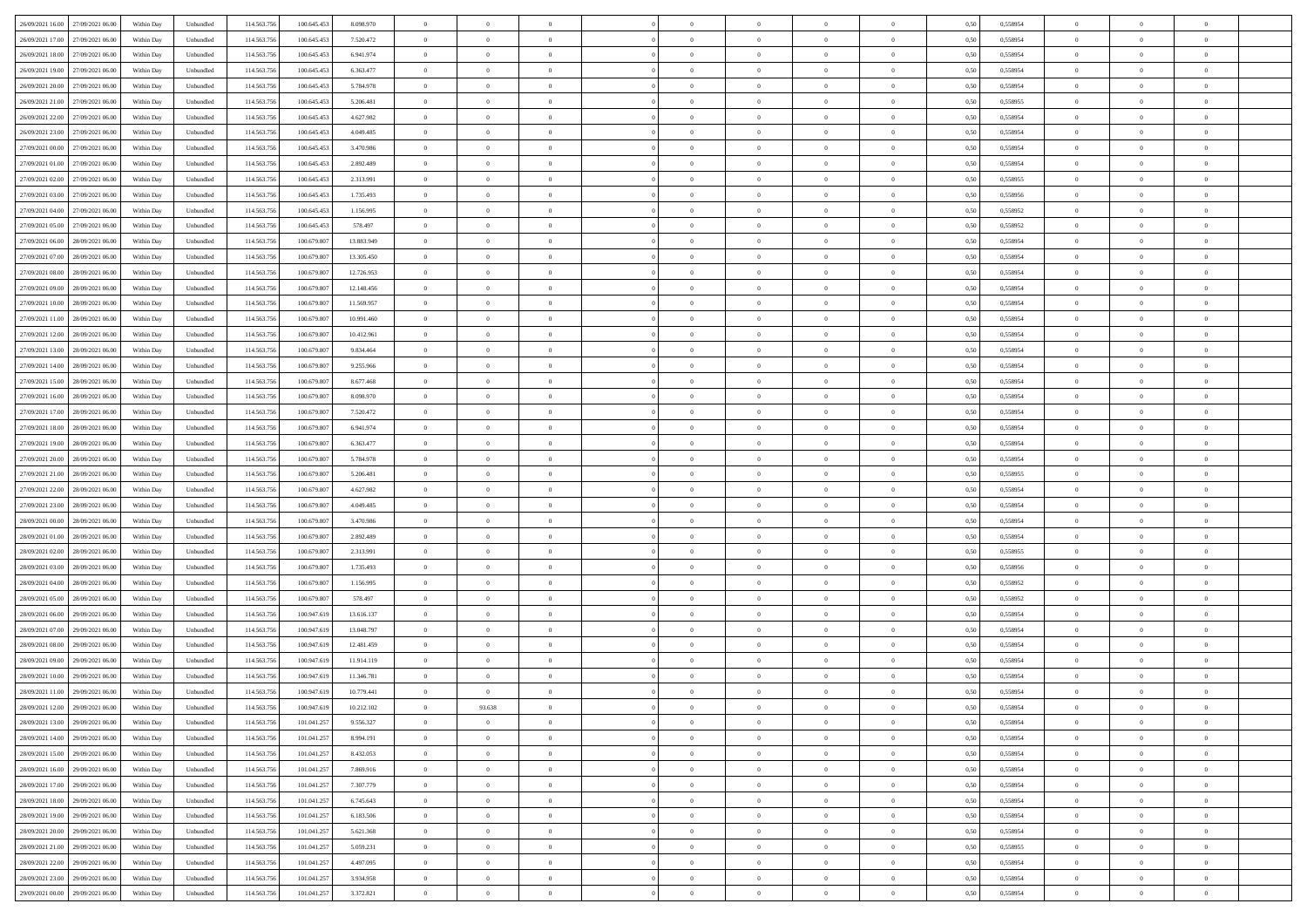| 26/09/2021 16:00 27/09/2021 06:00    | Within Day | Unbundled                   | 114.563.756 | 100.645.453 | 8.098.970  | $\overline{0}$ | $\theta$       |                | $\overline{0}$ | $\bf{0}$       | $\overline{0}$ | $\theta$       | 0,50 | 0,558954 | $\,0\,$        | $\overline{0}$ | $\bf{0}$       |  |
|--------------------------------------|------------|-----------------------------|-------------|-------------|------------|----------------|----------------|----------------|----------------|----------------|----------------|----------------|------|----------|----------------|----------------|----------------|--|
|                                      |            |                             |             |             |            |                |                |                |                |                |                |                |      |          |                |                |                |  |
| 26/09/2021 17:00<br>27/09/2021 06:00 | Within Day | Unbundled                   | 114.563.75  | 100.645.453 | 7.520.472  | $\overline{0}$ | $\overline{0}$ | $\overline{0}$ | $\overline{0}$ | $\bf{0}$       | $\overline{0}$ | $\bf{0}$       | 0,50 | 0,558954 | $\bf{0}$       | $\overline{0}$ | $\bf{0}$       |  |
| 26/09/2021 18:00<br>27/09/2021 06:00 | Within Day | Unbundled                   | 114.563.75  | 100.645.453 | 6.941.974  | $\overline{0}$ | $\bf{0}$       | $\overline{0}$ | $\overline{0}$ | $\,$ 0 $\,$    | $\overline{0}$ | $\overline{0}$ | 0.50 | 0.558954 | $\overline{0}$ | $\overline{0}$ | $\bf{0}$       |  |
| 26/09/2021 19:00<br>27/09/2021 06:00 | Within Day | Unbundled                   | 114.563.75  | 100.645.453 | 6.363.477  | $\overline{0}$ | $\overline{0}$ | $\overline{0}$ | $\overline{0}$ | $\,0\,$        | $\overline{0}$ | $\overline{0}$ | 0,50 | 0,558954 | $\,$ 0 $\,$    | $\overline{0}$ | $\,$ 0 $\,$    |  |
| 26/09/2021 20:00<br>27/09/2021 06.00 | Within Day | Unbundled                   | 114.563.75  | 100.645.453 | 5.784.978  | $\overline{0}$ | $\theta$       | $\overline{0}$ | $\overline{0}$ | $\,$ 0         | $\overline{0}$ | $\bf{0}$       | 0,50 | 0,558954 | $\bf{0}$       | $\overline{0}$ | $\bf{0}$       |  |
| 26/09/2021 21:00<br>27/09/2021 06:00 | Within Day | Unbundled                   | 114.563.75  | 100.645.45  | 5.206.481  | $\overline{0}$ | $\overline{0}$ | $\overline{0}$ | $\overline{0}$ | $\bf{0}$       | $\overline{0}$ | $\overline{0}$ | 0.50 | 0.558955 | $\bf{0}$       | $\overline{0}$ | $\bf{0}$       |  |
|                                      |            |                             |             |             |            |                |                |                |                |                |                |                |      |          |                |                |                |  |
| 26/09/2021 22:00<br>27/09/2021 06:00 | Within Day | Unbundled                   | 114.563.75  | 100.645.453 | 4.627.982  | $\overline{0}$ | $\overline{0}$ | $\overline{0}$ | $\overline{0}$ | $\bf{0}$       | $\overline{0}$ | $\overline{0}$ | 0,50 | 0,558954 | $\,$ 0 $\,$    | $\overline{0}$ | $\bf{0}$       |  |
| 26/09/2021 23:00<br>27/09/2021 06.00 | Within Day | Unbundled                   | 114.563.75  | 100.645.453 | 4.049.485  | $\overline{0}$ | $\overline{0}$ | $\overline{0}$ | $\overline{0}$ | $\,$ 0         | $\overline{0}$ | $\bf{0}$       | 0,50 | 0,558954 | $\bf{0}$       | $\overline{0}$ | $\bf{0}$       |  |
| 27/09/2021 00:00<br>27/09/2021 06:00 | Within Day | Unbundled                   | 114.563.75  | 100.645.453 | 3.470.986  | $\overline{0}$ | $\overline{0}$ | $\overline{0}$ | $\overline{0}$ | $\bf{0}$       | $\overline{0}$ | $\overline{0}$ | 0.50 | 0.558954 | $\overline{0}$ | $\overline{0}$ | $\bf{0}$       |  |
| 27/09/2021 01:00<br>27/09/2021 06:00 | Within Day | Unbundled                   | 114.563.75  | 100.645.453 | 2.892.489  | $\overline{0}$ | $\overline{0}$ | $\overline{0}$ | $\overline{0}$ | $\bf{0}$       | $\overline{0}$ | $\bf{0}$       | 0,50 | 0,558954 | $\,$ 0 $\,$    | $\overline{0}$ | $\bf{0}$       |  |
| 27/09/2021 02:00<br>27/09/2021 06.00 | Within Day | Unbundled                   | 114.563.75  | 100.645.453 | 2.313.991  | $\bf{0}$       | $\overline{0}$ | $\overline{0}$ | $\overline{0}$ | $\,$ 0         | $\overline{0}$ | $\bf{0}$       | 0,50 | 0,558955 | $\bf{0}$       | $\overline{0}$ | $\bf{0}$       |  |
| 27/09/2021 03:00<br>27/09/2021 06:00 | Within Day | Unbundled                   | 114.563.75  | 100.645.453 | 1.735.493  | $\overline{0}$ | $\bf{0}$       | $\overline{0}$ | $\overline{0}$ | $\,$ 0 $\,$    | $\overline{0}$ | $\overline{0}$ | 0.50 | 0.558956 | $\,$ 0 $\,$    | $\overline{0}$ | $\bf{0}$       |  |
| 27/09/2021 04:00<br>27/09/2021 06:00 | Within Day | Unbundled                   | 114.563.75  | 100.645.453 | 1.156.995  | $\overline{0}$ | $\overline{0}$ | $\overline{0}$ | $\overline{0}$ | $\,$ 0         | $\overline{0}$ | $\overline{0}$ | 0,50 | 0,558952 | $\,$ 0 $\,$    | $\overline{0}$ | $\,$ 0 $\,$    |  |
|                                      |            |                             |             |             |            |                |                |                |                |                |                |                |      |          |                |                |                |  |
| 27/09/2021 05:00<br>27/09/2021 06.00 | Within Day | Unbundled                   | 114.563.75  | 100.645.453 | 578.497    | $\overline{0}$ | $\theta$       | $\overline{0}$ | $\overline{0}$ | $\,$ 0         | $\overline{0}$ | $\bf{0}$       | 0,50 | 0,558952 | $\bf{0}$       | $\overline{0}$ | $\bf{0}$       |  |
| 27/09/2021 06:00<br>28/09/2021 06:00 | Within Day | Unbundled                   | 114,563,75  | 100.679.807 | 13,883,949 | $\overline{0}$ | $\overline{0}$ | $\overline{0}$ | $\overline{0}$ | $\bf{0}$       | $\overline{0}$ | $\overline{0}$ | 0.50 | 0.558954 | $\bf{0}$       | $\overline{0}$ | $\bf{0}$       |  |
| 27/09/2021 07:00<br>28/09/2021 06:00 | Within Day | Unbundled                   | 114.563.75  | 100.679.807 | 13.305.450 | $\overline{0}$ | $\overline{0}$ | $\overline{0}$ | $\overline{0}$ | $\bf{0}$       | $\overline{0}$ | $\overline{0}$ | 0,50 | 0,558954 | $\,$ 0 $\,$    | $\overline{0}$ | $\bf{0}$       |  |
| 27/09/2021 08:00<br>28/09/2021 06:00 | Within Day | Unbundled                   | 114.563.75  | 100.679.807 | 12.726.953 | $\overline{0}$ | $\overline{0}$ | $\overline{0}$ | $\overline{0}$ | $\,$ 0         | $\overline{0}$ | $\bf{0}$       | 0,50 | 0,558954 | $\bf{0}$       | $\overline{0}$ | $\bf{0}$       |  |
| 27/09/2021 09:00<br>28/09/2021 06:00 | Within Day | Unbundled                   | 114.563.75  | 100,679,807 | 12.148.456 | $\overline{0}$ | $\overline{0}$ | $\overline{0}$ | $\overline{0}$ | $\bf{0}$       | $\overline{0}$ | $\overline{0}$ | 0.50 | 0.558954 | $\bf{0}$       | $\overline{0}$ | $\bf{0}$       |  |
| 27/09/2021 10:00<br>28/09/2021 06:00 | Within Day | Unbundled                   | 114.563.75  | 100.679.807 | 11.569.957 | $\overline{0}$ | $\overline{0}$ | $\overline{0}$ | $\overline{0}$ | $\bf{0}$       | $\overline{0}$ | $\bf{0}$       | 0,50 | 0,558954 | $\,$ 0 $\,$    | $\overline{0}$ | $\bf{0}$       |  |
|                                      |            |                             |             |             |            |                |                |                |                |                |                |                |      |          |                |                |                |  |
| 27/09/2021 11:00<br>28/09/2021 06:00 | Within Day | Unbundled                   | 114.563.75  | 100.679.807 | 10.991.460 | $\bf{0}$       | $\overline{0}$ | $\overline{0}$ | $\overline{0}$ | $\bf{0}$       | $\overline{0}$ | $\bf{0}$       | 0,50 | 0,558954 | $\bf{0}$       | $\overline{0}$ | $\bf{0}$       |  |
| 27/09/2021 12:00<br>28/09/2021 06:00 | Within Day | Unbundled                   | 114.563.75  | 100.679.807 | 10.412.961 | $\overline{0}$ | $\overline{0}$ | $\overline{0}$ | $\overline{0}$ | $\,$ 0 $\,$    | $\overline{0}$ | $\overline{0}$ | 0.50 | 0.558954 | $\overline{0}$ | $\overline{0}$ | $\bf{0}$       |  |
| 27/09/2021 13:00<br>28/09/2021 06:00 | Within Day | Unbundled                   | 114.563.75  | 100.679.807 | 9.834.464  | $\overline{0}$ | $\overline{0}$ | $\overline{0}$ | $\overline{0}$ | $\,$ 0 $\,$    | $\overline{0}$ | $\overline{0}$ | 0,50 | 0,558954 | $\,$ 0 $\,$    | $\overline{0}$ | $\,$ 0 $\,$    |  |
| 27/09/2021 14:00<br>28/09/2021 06:00 | Within Day | Unbundled                   | 114.563.75  | 100.679.807 | 9.255.966  | $\overline{0}$ | $\overline{0}$ | $\overline{0}$ | $\overline{0}$ | $\,$ 0         | $\overline{0}$ | $\bf{0}$       | 0,50 | 0,558954 | $\bf{0}$       | $\overline{0}$ | $\bf{0}$       |  |
| 27/09/2021 15:00<br>28/09/2021 06:00 | Within Day | Unbundled                   | 114.563.75  | 100,679,807 | 8.677.468  | $\overline{0}$ | $\overline{0}$ | $\overline{0}$ | $\overline{0}$ | $\bf{0}$       | $\overline{0}$ | $\overline{0}$ | 0.50 | 0.558954 | $\bf{0}$       | $\overline{0}$ | $\bf{0}$       |  |
| 27/09/2021 16:00<br>28/09/2021 06:00 | Within Day | Unbundled                   | 114.563.75  | 100.679.807 | 8.098.970  | $\overline{0}$ | $\overline{0}$ | $\overline{0}$ | $\overline{0}$ | $\bf{0}$       | $\overline{0}$ | $\overline{0}$ | 0,50 | 0,558954 | $\,0\,$        | $\overline{0}$ | $\bf{0}$       |  |
| 27/09/2021 17:00<br>28/09/2021 06:00 | Within Day | Unbundled                   | 114.563.75  | 100.679.807 | 7.520.472  | $\overline{0}$ | $\theta$       | $\overline{0}$ |                | $\,$ 0         | $\overline{0}$ | $\bf{0}$       | 0,50 | 0,558954 | $\bf{0}$       | $\overline{0}$ | $\bf{0}$       |  |
|                                      |            |                             |             |             |            |                |                |                |                |                |                |                |      |          |                |                |                |  |
| 27/09/2021 18:00<br>28/09/2021 06:00 | Within Day | Unbundled                   | 114,563,75  | 100.679.807 | 6.941.974  | $\overline{0}$ | $\overline{0}$ | $\overline{0}$ | $\overline{0}$ | $\bf{0}$       | $\overline{0}$ | $\overline{0}$ | 0.50 | 0.558954 | $\overline{0}$ | $\overline{0}$ | $\bf{0}$       |  |
| 27/09/2021 19:00<br>28/09/2021 06:00 | Within Day | Unbundled                   | 114.563.75  | 100.679.807 | 6.363.477  | $\overline{0}$ | $\overline{0}$ | $\overline{0}$ | $\overline{0}$ | $\bf{0}$       | $\overline{0}$ | $\overline{0}$ | 0,50 | 0,558954 | $\,0\,$        | $\overline{0}$ | $\bf{0}$       |  |
| 27/09/2021 20:00<br>28/09/2021 06:00 | Within Day | Unbundled                   | 114.563.75  | 100.679.807 | 5.784.978  | $\overline{0}$ | $\overline{0}$ | $\overline{0}$ | $\overline{0}$ | $\bf{0}$       | $\overline{0}$ | $\bf{0}$       | 0,50 | 0,558954 | $\bf{0}$       | $\overline{0}$ | $\bf{0}$       |  |
| 27/09/2021 21:00<br>28/09/2021 06:00 | Within Day | Unbundled                   | 114.563.75  | 100.679.807 | 5.206.481  | $\overline{0}$ | $\bf{0}$       | $\overline{0}$ | $\overline{0}$ | $\,$ 0 $\,$    | $\overline{0}$ | $\mathbf{0}$   | 0.50 | 0.558955 | $\,$ 0 $\,$    | $\bf{0}$       | $\bf{0}$       |  |
| 27/09/2021 22:00<br>28/09/2021 06:00 | Within Day | Unbundled                   | 114.563.75  | 100.679.807 | 4.627.982  | $\overline{0}$ | $\overline{0}$ | $\overline{0}$ | $\overline{0}$ | $\overline{0}$ | $\overline{0}$ | $\overline{0}$ | 0.50 | 0,558954 | $\mathbf{0}$   | $\overline{0}$ | $\overline{0}$ |  |
| 27/09/2021 23:00<br>28/09/2021 06:00 | Within Day | Unbundled                   | 114.563.75  | 100.679.807 | 4.049.485  | $\bf{0}$       | $\overline{0}$ | $\overline{0}$ | $\overline{0}$ | $\,$ 0         | $\overline{0}$ | $\bf{0}$       | 0,50 | 0,558954 | $\bf{0}$       | $\overline{0}$ | $\bf{0}$       |  |
| 28/09/2021 00:00<br>28/09/2021 06:00 | Within Day | Unbundled                   | 114.563.75  | 100.679.807 | 3.470.986  | $\overline{0}$ | $\overline{0}$ | $\overline{0}$ | $\overline{0}$ | $\bf{0}$       | $\overline{0}$ | $\overline{0}$ | 0.50 | 0.558954 | $\bf{0}$       | $\overline{0}$ | $\bf{0}$       |  |
|                                      |            |                             |             |             |            |                | $\overline{0}$ | $\Omega$       | $\Omega$       | $\overline{0}$ |                |                |      |          | $\mathbf{0}$   | $\overline{0}$ | $\overline{0}$ |  |
| 28/09/2021 01:00<br>28/09/2021 06:00 | Within Day | Unbundled                   | 114.563.75  | 100.679.807 | 2.892.489  | $\overline{0}$ |                |                |                |                | $\overline{0}$ | $\overline{0}$ | 0.50 | 0,558954 |                |                |                |  |
| 28/09/2021 02:00<br>28/09/2021 06:00 | Within Day | Unbundled                   | 114.563.75  | 100.679.807 | 2.313.991  | $\bf{0}$       | $\overline{0}$ | $\overline{0}$ | $\overline{0}$ | $\bf{0}$       | $\overline{0}$ | $\bf{0}$       | 0,50 | 0,558955 | $\bf{0}$       | $\overline{0}$ | $\bf{0}$       |  |
| 28/09/2021 03:00<br>28/09/2021 06:00 | Within Day | Unbundled                   | 114.563.75  | 100,679,807 | 1.735.493  | $\overline{0}$ | $\overline{0}$ | $\overline{0}$ | $\overline{0}$ | $\bf{0}$       | $\overline{0}$ | $\overline{0}$ | 0.50 | 0.558956 | $\overline{0}$ | $\bf{0}$       | $\bf{0}$       |  |
| 28/09/2021 04:00<br>28/09/2021 06:00 | Within Day | Unbundled                   | 114.563.75  | 100.679.807 | 1.156.995  | $\overline{0}$ | $\overline{0}$ | $\overline{0}$ | $\overline{0}$ | $\overline{0}$ | $\overline{0}$ | $\overline{0}$ | 0.50 | 0,558952 | $\mathbf{0}$   | $\overline{0}$ | $\overline{0}$ |  |
| 28/09/2021 05:00<br>28/09/2021 06:00 | Within Day | Unbundled                   | 114.563.75  | 100.679.807 | 578.497    | $\overline{0}$ | $\overline{0}$ | $\overline{0}$ | $\bf{0}$       | $\bf{0}$       | $\overline{0}$ | $\bf{0}$       | 0,50 | 0,558952 | $\bf{0}$       | $\overline{0}$ | $\bf{0}$       |  |
| 28/09/2021 06:00<br>29/09/2021 06:00 | Within Day | Unbundled                   | 114.563.75  | 100.947.619 | 13.616.137 | $\overline{0}$ | $\overline{0}$ | $\overline{0}$ | $\overline{0}$ | $\,$ 0 $\,$    | $\overline{0}$ | $\overline{0}$ | 0.50 | 0.558954 | $\overline{0}$ | $\bf{0}$       | $\bf{0}$       |  |
| 28/09/2021 07:00<br>29/09/2021 06:00 | Within Day | Unbundled                   | 114.563.75  | 100.947.619 | 13.048.797 | $\overline{0}$ | $\overline{0}$ | $\Omega$       | $\overline{0}$ | $\overline{0}$ | $\overline{0}$ | $\overline{0}$ | 0.50 | 0,558954 | $\mathbf{0}$   | $\overline{0}$ | $\overline{0}$ |  |
| 28/09/2021 08:00<br>29/09/2021 06.00 | Within Day | Unbundled                   | 114.563.75  | 100.947.619 | 12.481.459 | $\bf{0}$       | $\overline{0}$ | $\overline{0}$ | $\overline{0}$ | $\bf{0}$       | $\overline{0}$ | $\bf{0}$       | 0,50 | 0,558954 | $\bf{0}$       | $\overline{0}$ | $\bf{0}$       |  |
|                                      |            |                             |             |             |            |                |                |                |                |                |                |                |      |          |                |                |                |  |
| 28/09/2021 09:00<br>29/09/2021 06:00 | Within Day | Unbundled                   | 114.563.756 | 100,947.619 | 11.914.119 | $\overline{0}$ | $\overline{0}$ | $\overline{0}$ | $\overline{0}$ | $\bf{0}$       | $\overline{0}$ | $\overline{0}$ | 0.50 | 0.558954 | $\bf{0}$       | $\overline{0}$ | $\bf{0}$       |  |
| 28/09/2021 10:00<br>29/09/2021 06:00 | Within Day | Unbundled                   | 114.563.75  | 100.947.619 | 11.346.781 | $\overline{0}$ | $\theta$       | $\Omega$       | $\Omega$       | $\mathbf{0}$   | $\overline{0}$ | $\theta$       | 0.50 | 0,558954 | $\mathbf{0}$   | $\overline{0}$ | $\overline{0}$ |  |
| 28/09/2021 11:00<br>29/09/2021 06:00 | Within Day | Unbundled                   | 114.563.75  | 100.947.619 | 10.779.441 | $\overline{0}$ | $\overline{0}$ | $\overline{0}$ | $\bf{0}$       | $\,$ 0         | $\overline{0}$ | $\bf{0}$       | 0,50 | 0,558954 | $\bf{0}$       | $\overline{0}$ | $\bf{0}$       |  |
| 28/09/2021 12:00 29/09/2021 06:00    | Within Day | $\ensuremath{\mathsf{Unb}}$ | 114.563.756 | 100.947.619 | 10.212.102 | $\bf{0}$       | 93.638         |                |                | $\bf{0}$       |                |                | 0,50 | 0.558954 | $\bf{0}$       | $\Omega$       |                |  |
| 28/09/2021 13:00 29/09/2021 06:00    | Within Day | Unbundled                   | 114.563.756 | 101.041.257 | 9.556.327  | $\theta$       | $\overline{0}$ | $\theta$       | $\Omega$       | $\overline{0}$ | $\overline{0}$ | $\mathbf{0}$   | 0,50 | 0,558954 | $\theta$       | $\overline{0}$ | $\bf{0}$       |  |
| 28/09/2021 14:00<br>29/09/2021 06.00 | Within Day | Unbundled                   | 114.563.75  | 101.041.257 | 8.994.191  | $\overline{0}$ | $\bf{0}$       | $\overline{0}$ | $\bf{0}$       | $\overline{0}$ | $\overline{0}$ | $\mathbf{0}$   | 0,50 | 0,558954 | $\overline{0}$ | $\bf{0}$       | $\bf{0}$       |  |
| 28/09/2021 15:00 29/09/2021 06:00    | Within Day | Unbundled                   | 114,563,756 | 101.041.257 | 8.432.053  | $\overline{0}$ | $\overline{0}$ | $\overline{0}$ | $\overline{0}$ | $\overline{0}$ | $\overline{0}$ | $\mathbf{0}$   | 0.50 | 0.558954 | $\overline{0}$ | $\,$ 0 $\,$    | $\,$ 0 $\,$    |  |
|                                      |            |                             |             |             |            |                |                |                |                |                |                |                |      |          |                |                |                |  |
| 28/09/2021 16:00 29/09/2021 06:00    | Within Day | Unbundled                   | 114.563.756 | 101.041.257 | 7.869.916  | $\overline{0}$ | $\overline{0}$ | $\overline{0}$ | $\overline{0}$ | $\overline{0}$ | $\overline{0}$ | $\overline{0}$ | 0,50 | 0,558954 | $\theta$       | $\overline{0}$ | $\bf{0}$       |  |
| 28/09/2021 17:00<br>29/09/2021 06:00 | Within Day | Unbundled                   | 114.563.75  | 101.041.257 | 7.307.779  | $\overline{0}$ | $\overline{0}$ | $\overline{0}$ | $\overline{0}$ | $\bf{0}$       | $\overline{0}$ | $\bf{0}$       | 0,50 | 0,558954 | $\overline{0}$ | $\bf{0}$       | $\bf{0}$       |  |
| 28/09/2021 18:00 29/09/2021 06:00    | Within Day | Unbundled                   | 114.563.756 | 101.041.257 | 6.745.643  | $\overline{0}$ | $\overline{0}$ | $\overline{0}$ | $\overline{0}$ | $\,$ 0 $\,$    | $\overline{0}$ | $\overline{0}$ | 0.50 | 0.558954 | $\overline{0}$ | $\overline{0}$ | $\bf{0}$       |  |
| 28/09/2021 19:00 29/09/2021 06:00    | Within Dav | Unbundled                   | 114.563.756 | 101.041.257 | 6.183.506  | $\overline{0}$ | $\overline{0}$ | $\overline{0}$ | $\overline{0}$ | $\mathbf{0}$   | $\overline{0}$ | $\overline{0}$ | 0,50 | 0,558954 | $\overline{0}$ | $\overline{0}$ | $\bf{0}$       |  |
| 28/09/2021 20:00<br>29/09/2021 06:00 | Within Day | Unbundled                   | 114.563.75  | 101.041.257 | 5.621.368  | $\overline{0}$ | $\,$ 0         | $\overline{0}$ | $\bf{0}$       | $\,$ 0 $\,$    | $\overline{0}$ | $\mathbf{0}$   | 0,50 | 0,558954 | $\overline{0}$ | $\,$ 0 $\,$    | $\bf{0}$       |  |
| 28/09/2021 21:00 29/09/2021 06:00    | Within Day | Unbundled                   | 114.563.75  | 101.041.257 | 5.059.231  | $\overline{0}$ | $\overline{0}$ | $\overline{0}$ | $\overline{0}$ | $\,$ 0 $\,$    | $\overline{0}$ | $\mathbf{0}$   | 0.50 | 0.558955 | $\overline{0}$ | $\,$ 0 $\,$    | $\bf{0}$       |  |
| 28/09/2021 22:00 29/09/2021 06:00    | Within Dav | Unbundled                   | 114.563.75  | 101.041.257 | 4.497.095  | $\overline{0}$ | $\overline{0}$ | $\overline{0}$ | $\overline{0}$ | $\overline{0}$ | $\overline{0}$ | $\overline{0}$ | 0,50 | 0,558954 | $\overline{0}$ | $\overline{0}$ | $\bf{0}$       |  |
|                                      |            |                             |             |             |            |                |                |                |                |                |                |                |      |          |                |                |                |  |
| 28/09/2021 23:00<br>29/09/2021 06.00 | Within Day | Unbundled                   | 114.563.75  | 101.041.257 | 3.934.958  | $\overline{0}$ | $\overline{0}$ | $\overline{0}$ | $\bf{0}$       | $\bf{0}$       | $\overline{0}$ | $\bf{0}$       | 0,50 | 0,558954 | $\overline{0}$ | $\bf{0}$       | $\bf{0}$       |  |
| 29/09/2021 00:00 29/09/2021 06:00    | Within Day | Unbundled                   | 114.563.756 | 101.041.257 | 3.372.821  | $\overline{0}$ | $\overline{0}$ | $\overline{0}$ | $\overline{0}$ | $\,$ 0 $\,$    | $\overline{0}$ | $\overline{0}$ | 0,50 | 0,558954 | $\,$ 0 $\,$    | $\,$ 0 $\,$    | $\bf{0}$       |  |